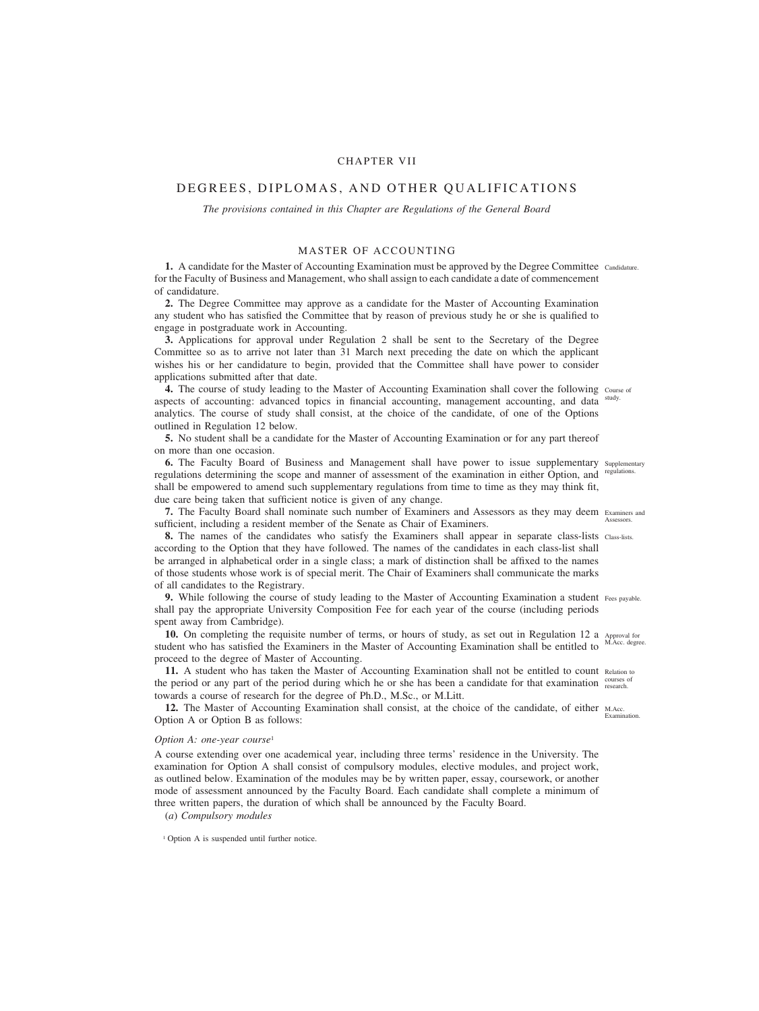# CHAPTER VII

# DEGREES, DIPLOMAS, AND OTHER QUALIFICATIONS

*The provisions contained in this Chapter are Regulations of the General Board*

# MASTER OF ACCOUNTING

1. A candidate for the Master of Accounting Examination must be approved by the Degree Committee Candidature. for the Faculty of Business and Management, who shall assign to each candidate a date of commencement of candidature.

**2.** The Degree Committee may approve as a candidate for the Master of Accounting Examination any student who has satisfied the Committee that by reason of previous study he or she is qualified to engage in postgraduate work in Accounting.

**3.** Applications for approval under Regulation 2 shall be sent to the Secretary of the Degree Committee so as to arrive not later than 31 March next preceding the date on which the applicant wishes his or her candidature to begin, provided that the Committee shall have power to consider applications submitted after that date.

4. The course of study leading to the Master of Accounting Examination shall cover the following Course of aspects of accounting: advanced topics in financial accounting, management accounting, and data analytics. The course of study shall consist, at the choice of the candidate, of one of the Options outlined in Regulation 12 below. study.

**5.** No student shall be a candidate for the Master of Accounting Examination or for any part thereof on more than one occasion.

**6.** The Faculty Board of Business and Management shall have power to issue supplementary supplementary regulations determining the scope and manner of assessment of the examination in either Option, and regulations. shall be empowered to amend such supplementary regulations from time to time as they may think fit, due care being taken that sufficient notice is given of any change.

**7.** The Faculty Board shall nominate such number of Examiners and Assessors as they may deem Examiners and sufficient, including a resident member of the Senate as Chair of Examiners. Assessors.

**8.** The names of the candidates who satisfy the Examiners shall appear in separate class-lists class-lists. according to the Option that they have followed. The names of the candidates in each class-list shall be arranged in alphabetical order in a single class; a mark of distinction shall be affixed to the names of those students whose work is of special merit. The Chair of Examiners shall communicate the marks of all candidates to the Registrary.

**9.** While following the course of study leading to the Master of Accounting Examination a student Fees payable. shall pay the appropriate University Composition Fee for each year of the course (including periods spent away from Cambridge).

10. On completing the requisite number of terms, or hours of study, as set out in Regulation 12 a Approval for student who has satisfied the Examiners in the Master of Accounting Examination shall be entitled to proceed to the degree of Master of Accounting. M.Acc. degree.

11. A student who has taken the Master of Accounting Examination shall not be entitled to count Relation to the period or any part of the period during which he or she has been a candidate for that examination courses of towards a course of research for the degree of Ph.D., M.Sc., or M.Litt.

12. The Master of Accounting Examination shall consist, at the choice of the candidate, of either M.Acc. Option A or Option B as follows: Examination.

# *Option A: one-year course*<sup>1</sup>

A course extending over one academical year, including three terms' residence in the University. The examination for Option A shall consist of compulsory modules, elective modules, and project work, as outlined below. Examination of the modules may be by written paper, essay, coursework, or another mode of assessment announced by the Faculty Board. Each candidate shall complete a minimum of three written papers, the duration of which shall be announced by the Faculty Board.

(*a*) *Compulsory modules*

<sup>1</sup> Option A is suspended until further notice.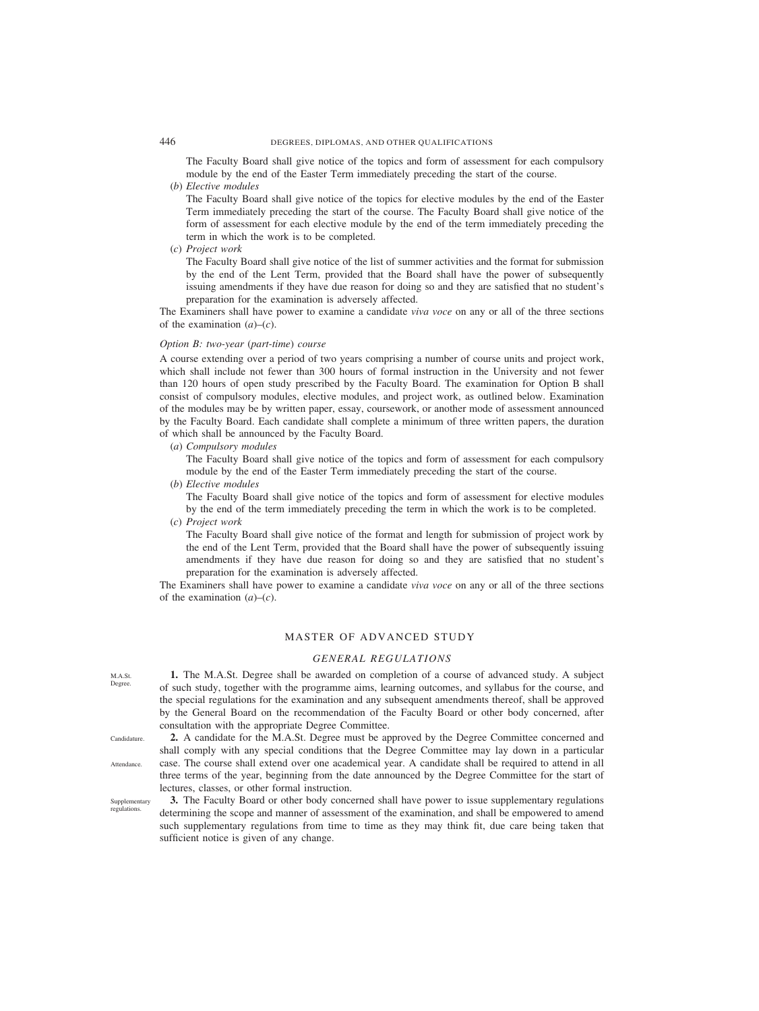The Faculty Board shall give notice of the topics and form of assessment for each compulsory module by the end of the Easter Term immediately preceding the start of the course.

(*b*) *Elective modules*

The Faculty Board shall give notice of the topics for elective modules by the end of the Easter Term immediately preceding the start of the course. The Faculty Board shall give notice of the form of assessment for each elective module by the end of the term immediately preceding the term in which the work is to be completed.

(*c*) *Project work*

The Faculty Board shall give notice of the list of summer activities and the format for submission by the end of the Lent Term, provided that the Board shall have the power of subsequently issuing amendments if they have due reason for doing so and they are satisfied that no student's preparation for the examination is adversely affected.

The Examiners shall have power to examine a candidate *viva voce* on any or all of the three sections of the examination (*a*)–(*c*).

# *Option B: two-year* (*part-time*) *course*

A course extending over a period of two years comprising a number of course units and project work, which shall include not fewer than 300 hours of formal instruction in the University and not fewer than 120 hours of open study prescribed by the Faculty Board. The examination for Option B shall consist of compulsory modules, elective modules, and project work, as outlined below. Examination of the modules may be by written paper, essay, coursework, or another mode of assessment announced by the Faculty Board. Each candidate shall complete a minimum of three written papers, the duration of which shall be announced by the Faculty Board.

(*a*) *Compulsory modules*

The Faculty Board shall give notice of the topics and form of assessment for each compulsory module by the end of the Easter Term immediately preceding the start of the course.

(*b*) *Elective modules*

The Faculty Board shall give notice of the topics and form of assessment for elective modules by the end of the term immediately preceding the term in which the work is to be completed.

(*c*) *Project work*

The Faculty Board shall give notice of the format and length for submission of project work by the end of the Lent Term, provided that the Board shall have the power of subsequently issuing amendments if they have due reason for doing so and they are satisfied that no student's preparation for the examination is adversely affected.

The Examiners shall have power to examine a candidate *viva voce* on any or all of the three sections of the examination (*a*)–(*c*).

# MASTER OF ADVANCED STUDY

# *GENERAL REGULATIONS*

**1.** The M.A.St. Degree shall be awarded on completion of a course of advanced study. A subject of such study, together with the programme aims, learning outcomes, and syllabus for the course, and the special regulations for the examination and any subsequent amendments thereof, shall be approved by the General Board on the recommendation of the Faculty Board or other body concerned, after consultation with the appropriate Degree Committee.

**2.** A candidate for the M.A.St. Degree must be approved by the Degree Committee concerned and shall comply with any special conditions that the Degree Committee may lay down in a particular case. The course shall extend over one academical year. A candidate shall be required to attend in all three terms of the year, beginning from the date announced by the Degree Committee for the start of lectures, classes, or other formal instruction.

Supplementary regulations.

**Candidature** 

Attendance.

**3.** The Faculty Board or other body concerned shall have power to issue supplementary regulations determining the scope and manner of assessment of the examination, and shall be empowered to amend such supplementary regulations from time to time as they may think fit, due care being taken that sufficient notice is given of any change.

M.A.St. Degree.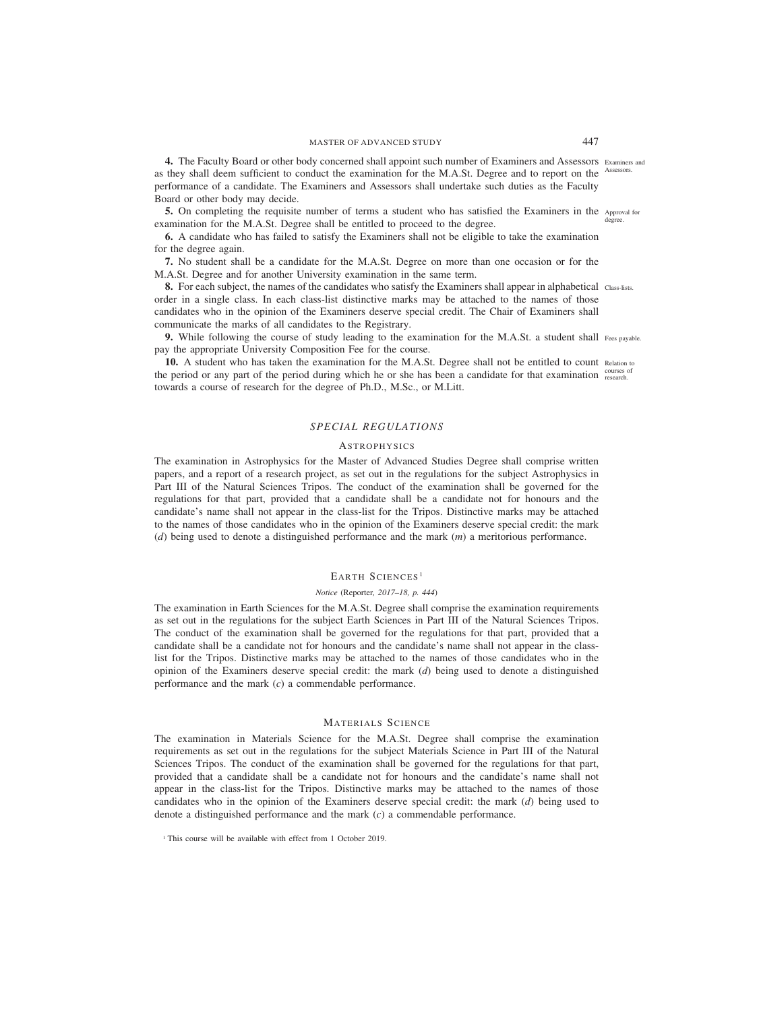**4.** The Faculty Board or other body concerned shall appoint such number of Examiners and Assessors Examiners and as they shall deem sufficient to conduct the examination for the M.A.St. Degree and to report on the Assessors. performance of a candidate. The Examiners and Assessors shall undertake such duties as the Faculty Board or other body may decide.

**5.** On completing the requisite number of terms a student who has satisfied the Examiners in the Approval for examination for the M.A.St. Degree shall be entitled to proceed to the degree. degree.

**6.** A candidate who has failed to satisfy the Examiners shall not be eligible to take the examination for the degree again.

**7.** No student shall be a candidate for the M.A.St. Degree on more than one occasion or for the M.A.St. Degree and for another University examination in the same term.

**8.** For each subject, the names of the candidates who satisfy the Examiners shall appear in alphabetical class-lists. order in a single class. In each class-list distinctive marks may be attached to the names of those candidates who in the opinion of the Examiners deserve special credit. The Chair of Examiners shall communicate the marks of all candidates to the Registrary.

**9.** While following the course of study leading to the examination for the M.A.St. a student shall Fees payable. pay the appropriate University Composition Fee for the course.

**10.** A student who has taken the examination for the M.A.St. Degree shall not be entitled to count Relation to the period or any part of the period during which he or she has been a candidate for that examination courses of towards a course of research for the degree of Ph.D., M.Sc., or M.Litt.

# *SPECIAL REGULATIONS*

## **ASTROPHYSICS**

The examination in Astrophysics for the Master of Advanced Studies Degree shall comprise written papers, and a report of a research project, as set out in the regulations for the subject Astrophysics in Part III of the Natural Sciences Tripos. The conduct of the examination shall be governed for the regulations for that part, provided that a candidate shall be a candidate not for honours and the candidate's name shall not appear in the class-list for the Tripos. Distinctive marks may be attached to the names of those candidates who in the opinion of the Examiners deserve special credit: the mark (*d*) being used to denote a distinguished performance and the mark (*m*) a meritorious performance.

# EARTH SCIENCES<sup>1</sup>

## *Notice (*Reporter*, 2017–18, p. 444)*

The examination in Earth Sciences for the M.A.St. Degree shall comprise the examination requirements as set out in the regulations for the subject Earth Sciences in Part III of the Natural Sciences Tripos. The conduct of the examination shall be governed for the regulations for that part, provided that a candidate shall be a candidate not for honours and the candidate's name shall not appear in the classlist for the Tripos. Distinctive marks may be attached to the names of those candidates who in the opinion of the Examiners deserve special credit: the mark (*d*) being used to denote a distinguished performance and the mark (*c*) a commendable performance.

## MATERIALS SCIENCE

The examination in Materials Science for the M.A.St. Degree shall comprise the examination requirements as set out in the regulations for the subject Materials Science in Part III of the Natural Sciences Tripos. The conduct of the examination shall be governed for the regulations for that part, provided that a candidate shall be a candidate not for honours and the candidate's name shall not appear in the class-list for the Tripos. Distinctive marks may be attached to the names of those candidates who in the opinion of the Examiners deserve special credit: the mark (*d*) being used to denote a distinguished performance and the mark (*c*) a commendable performance.

<sup>&</sup>lt;sup>1</sup> This course will be available with effect from 1 October 2019.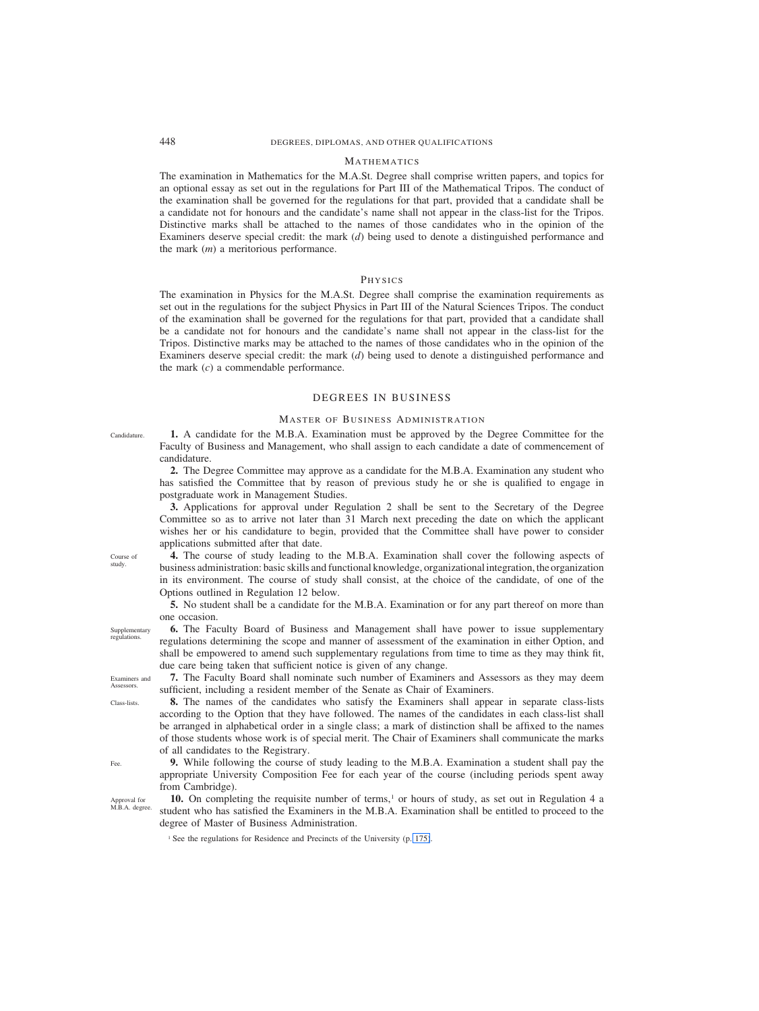# 448 DEGREES, DIPLOMAS, AND OTHER QUALIFICATIONS

## **MATHEMATICS**

The examination in Mathematics for the M.A.St. Degree shall comprise written papers, and topics for an optional essay as set out in the regulations for Part III of the Mathematical Tripos. The conduct of the examination shall be governed for the regulations for that part, provided that a candidate shall be a candidate not for honours and the candidate's name shall not appear in the class-list for the Tripos. Distinctive marks shall be attached to the names of those candidates who in the opinion of the Examiners deserve special credit: the mark (*d*) being used to denote a distinguished performance and the mark (*m*) a meritorious performance.

### PHYSICS

The examination in Physics for the M.A.St. Degree shall comprise the examination requirements as set out in the regulations for the subject Physics in Part III of the Natural Sciences Tripos. The conduct of the examination shall be governed for the regulations for that part, provided that a candidate shall be a candidate not for honours and the candidate's name shall not appear in the class-list for the Tripos. Distinctive marks may be attached to the names of those candidates who in the opinion of the Examiners deserve special credit: the mark (*d*) being used to denote a distinguished performance and the mark (*c*) a commendable performance.

# DEGREES IN BUSINESS

# MASTER OF BUSINESS ADMINISTRATION

**1.** A candidate for the M.B.A. Examination must be approved by the Degree Committee for the Faculty of Business and Management, who shall assign to each candidate a date of commencement of candidature.

**2.** The Degree Committee may approve as a candidate for the M.B.A. Examination any student who has satisfied the Committee that by reason of previous study he or she is qualified to engage in postgraduate work in Management Studies.

**3.** Applications for approval under Regulation 2 shall be sent to the Secretary of the Degree Committee so as to arrive not later than 31 March next preceding the date on which the applicant wishes her or his candidature to begin, provided that the Committee shall have power to consider applications submitted after that date.

**4.** The course of study leading to the M.B.A. Examination shall cover the following aspects of business administration: basic skills and functional knowledge, organizational integration, the organization in its environment. The course of study shall consist, at the choice of the candidate, of one of the Options outlined in Regulation 12 below.

**5.** No student shall be a candidate for the M.B.A. Examination or for any part thereof on more than one occasion.

**6.** The Faculty Board of Business and Management shall have power to issue supplementary regulations determining the scope and manner of assessment of the examination in either Option, and shall be empowered to amend such supplementary regulations from time to time as they may think fit, due care being taken that sufficient notice is given of any change.

**7.** The Faculty Board shall nominate such number of Examiners and Assessors as they may deem sufficient, including a resident member of the Senate as Chair of Examiners.

**8.** The names of the candidates who satisfy the Examiners shall appear in separate class-lists according to the Option that they have followed. The names of the candidates in each class-list shall be arranged in alphabetical order in a single class; a mark of distinction shall be affixed to the names of those students whose work is of special merit. The Chair of Examiners shall communicate the marks of all candidates to the Registrary.

**9.** While following the course of study leading to the M.B.A. Examination a student shall pay the appropriate University Composition Fee for each year of the course (including periods spent away from Cambridge).

**10.** On completing the requisite number of terms,<sup>1</sup> or hours of study, as set out in Regulation 4 a student who has satisfied the Examiners in the M.B.A. Examination shall be entitled to proceed to the degree of Master of Business Administration.

<sup>1</sup> See the regulations for Residence and Precincts of the University (p. 175).

Candidature.

Supplementary regulations.

Course of study.

Examiners and **Assessors** 

Class-lists.

Fee.

Approval for M.B.A. degree.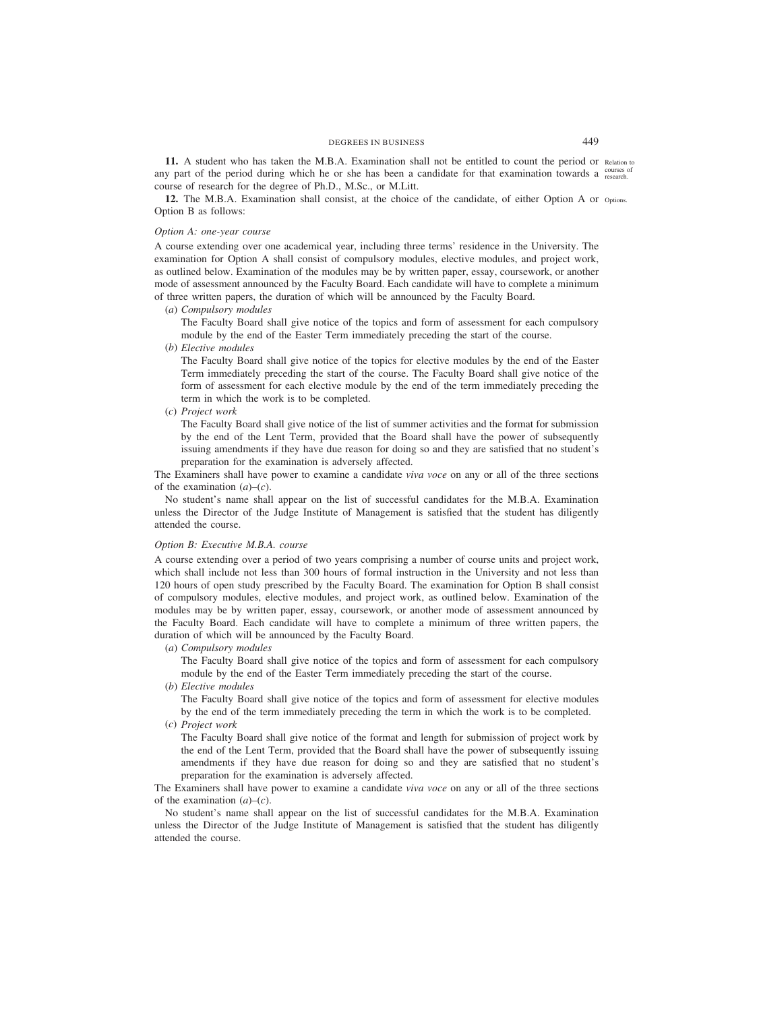**11.** A student who has taken the M.B.A. Examination shall not be entitled to count the period or Relation to any part of the period during which he or she has been a candidate for that examination towards a courses of course of research for the degree of Ph.D., M.Sc., or M.Litt.

12. The M.B.A. Examination shall consist, at the choice of the candidate, of either Option A or options. Option B as follows:

# *Option A: one-year course*

A course extending over one academical year, including three terms' residence in the University. The examination for Option A shall consist of compulsory modules, elective modules, and project work, as outlined below. Examination of the modules may be by written paper, essay, coursework, or another mode of assessment announced by the Faculty Board. Each candidate will have to complete a minimum of three written papers, the duration of which will be announced by the Faculty Board.

(*a*) *Compulsory modules*

The Faculty Board shall give notice of the topics and form of assessment for each compulsory module by the end of the Easter Term immediately preceding the start of the course.

(*b*) *Elective modules*

The Faculty Board shall give notice of the topics for elective modules by the end of the Easter Term immediately preceding the start of the course. The Faculty Board shall give notice of the form of assessment for each elective module by the end of the term immediately preceding the term in which the work is to be completed.

(*c*) *Project work*

The Faculty Board shall give notice of the list of summer activities and the format for submission by the end of the Lent Term, provided that the Board shall have the power of subsequently issuing amendments if they have due reason for doing so and they are satisfied that no student's preparation for the examination is adversely affected.

The Examiners shall have power to examine a candidate *viva voce* on any or all of the three sections of the examination  $(a)$ – $(c)$ .

No student's name shall appear on the list of successful candidates for the M.B.A. Examination unless the Director of the Judge Institute of Management is satisfied that the student has diligently attended the course.

## *Option B: Executive M.B.A. course*

A course extending over a period of two years comprising a number of course units and project work, which shall include not less than 300 hours of formal instruction in the University and not less than 120 hours of open study prescribed by the Faculty Board. The examination for Option B shall consist of compulsory modules, elective modules, and project work, as outlined below. Examination of the modules may be by written paper, essay, coursework, or another mode of assessment announced by the Faculty Board. Each candidate will have to complete a minimum of three written papers, the duration of which will be announced by the Faculty Board.

(*a*) *Compulsory modules*

The Faculty Board shall give notice of the topics and form of assessment for each compulsory module by the end of the Easter Term immediately preceding the start of the course.

(*b*) *Elective modules*

The Faculty Board shall give notice of the topics and form of assessment for elective modules by the end of the term immediately preceding the term in which the work is to be completed.

(*c*) *Project work*

The Faculty Board shall give notice of the format and length for submission of project work by the end of the Lent Term, provided that the Board shall have the power of subsequently issuing amendments if they have due reason for doing so and they are satisfied that no student's preparation for the examination is adversely affected.

The Examiners shall have power to examine a candidate *viva voce* on any or all of the three sections of the examination  $(a)$ – $(c)$ .

No student's name shall appear on the list of successful candidates for the M.B.A. Examination unless the Director of the Judge Institute of Management is satisfied that the student has diligently attended the course.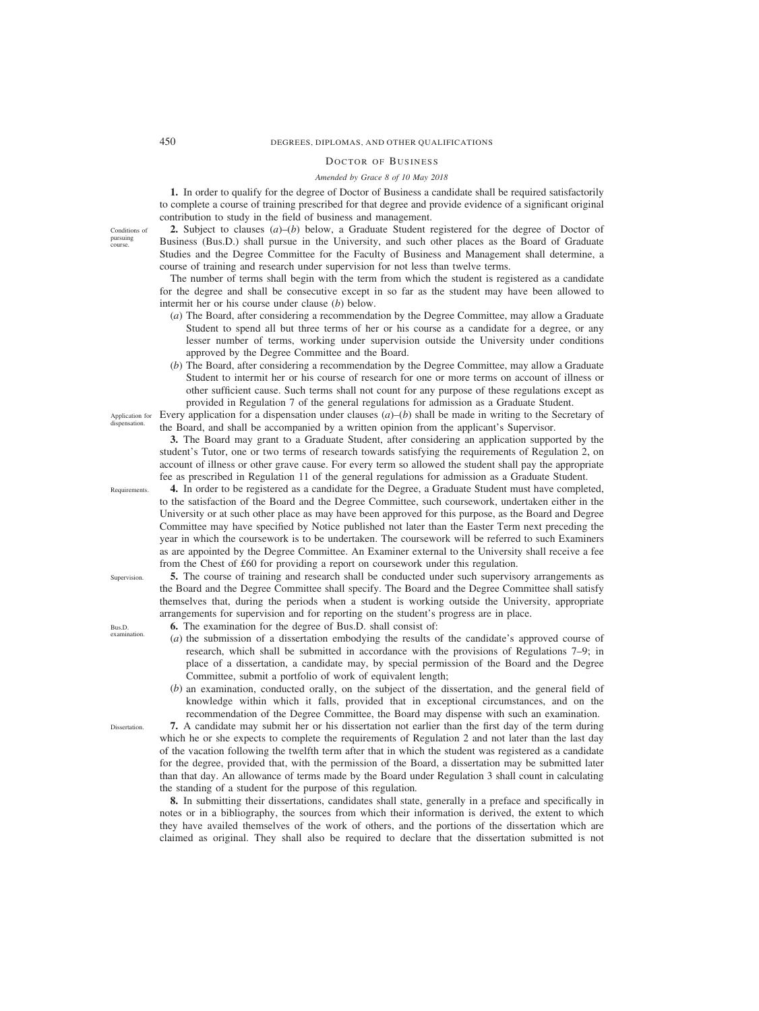# 450 DEGREES, DIPLOMAS, AND OTHER QUALIFICATIONS

## DOCTOR OF BUSINESS

## *Amended by Grace 8 of 10 May 2018*

**1.** In order to qualify for the degree of Doctor of Business a candidate shall be required satisfactorily to complete a course of training prescribed for that degree and provide evidence of a significant original contribution to study in the field of business and management.

**2.** Subject to clauses  $(a)$ –(*b*) below, a Graduate Student registered for the degree of Doctor of Business (Bus.D.) shall pursue in the University, and such other places as the Board of Graduate Studies and the Degree Committee for the Faculty of Business and Management shall determine, a course of training and research under supervision for not less than twelve terms.

The number of terms shall begin with the term from which the student is registered as a candidate for the degree and shall be consecutive except in so far as the student may have been allowed to intermit her or his course under clause (*b*) below.

- (*a*) The Board, after considering a recommendation by the Degree Committee, may allow a Graduate Student to spend all but three terms of her or his course as a candidate for a degree, or any lesser number of terms, working under supervision outside the University under conditions approved by the Degree Committee and the Board.
- (*b*) The Board, after considering a recommendation by the Degree Committee, may allow a Graduate Student to intermit her or his course of research for one or more terms on account of illness or other sufficient cause. Such terms shall not count for any purpose of these regulations except as provided in Regulation 7 of the general regulations for admission as a Graduate Student.

Every application for a dispensation under clauses (*a*)*–*(*b*) shall be made in writing to the Secretary of the Board, and shall be accompanied by a written opinion from the applicant's Supervisor.

**3.** The Board may grant to a Graduate Student, after considering an application supported by the student's Tutor, one or two terms of research towards satisfying the requirements of Regulation 2, on account of illness or other grave cause. For every term so allowed the student shall pay the appropriate fee as prescribed in Regulation 11 of the general regulations for admission as a Graduate Student.

**4.** In order to be registered as a candidate for the Degree, a Graduate Student must have completed, to the satisfaction of the Board and the Degree Committee, such coursework, undertaken either in the University or at such other place as may have been approved for this purpose, as the Board and Degree Committee may have specified by Notice published not later than the Easter Term next preceding the year in which the coursework is to be undertaken. The coursework will be referred to such Examiners as are appointed by the Degree Committee. An Examiner external to the University shall receive a fee from the Chest of £60 for providing a report on coursework under this regulation.

**5.** The course of training and research shall be conducted under such supervisory arrangements as the Board and the Degree Committee shall specify. The Board and the Degree Committee shall satisfy themselves that, during the periods when a student is working outside the University, appropriate arrangements for supervision and for reporting on the student's progress are in place.

- **6.** The examination for the degree of Bus.D. shall consist of:
- (*a*) the submission of a dissertation embodying the results of the candidate's approved course of research, which shall be submitted in accordance with the provisions of Regulations 7–9; in place of a dissertation, a candidate may, by special permission of the Board and the Degree Committee, submit a portfolio of work of equivalent length;
- (*b*) an examination, conducted orally, on the subject of the dissertation, and the general field of knowledge within which it falls, provided that in exceptional circumstances, and on the recommendation of the Degree Committee, the Board may dispense with such an examination.

**7.** A candidate may submit her or his dissertation not earlier than the first day of the term during which he or she expects to complete the requirements of Regulation 2 and not later than the last day of the vacation following the twelfth term after that in which the student was registered as a candidate for the degree, provided that, with the permission of the Board, a dissertation may be submitted later than that day. An allowance of terms made by the Board under Regulation 3 shall count in calculating the standing of a student for the purpose of this regulation*.*

**8.** In submitting their dissertations, candidates shall state, generally in a preface and specifically in notes or in a bibliography, the sources from which their information is derived, the extent to which they have availed themselves of the work of others, and the portions of the dissertation which are claimed as original. They shall also be required to declare that the dissertation submitted is not

Application for dispensation.

Requirements.

Supervision.

Bus.D. examination

**Dissertation** 

Conditions of pursuing course.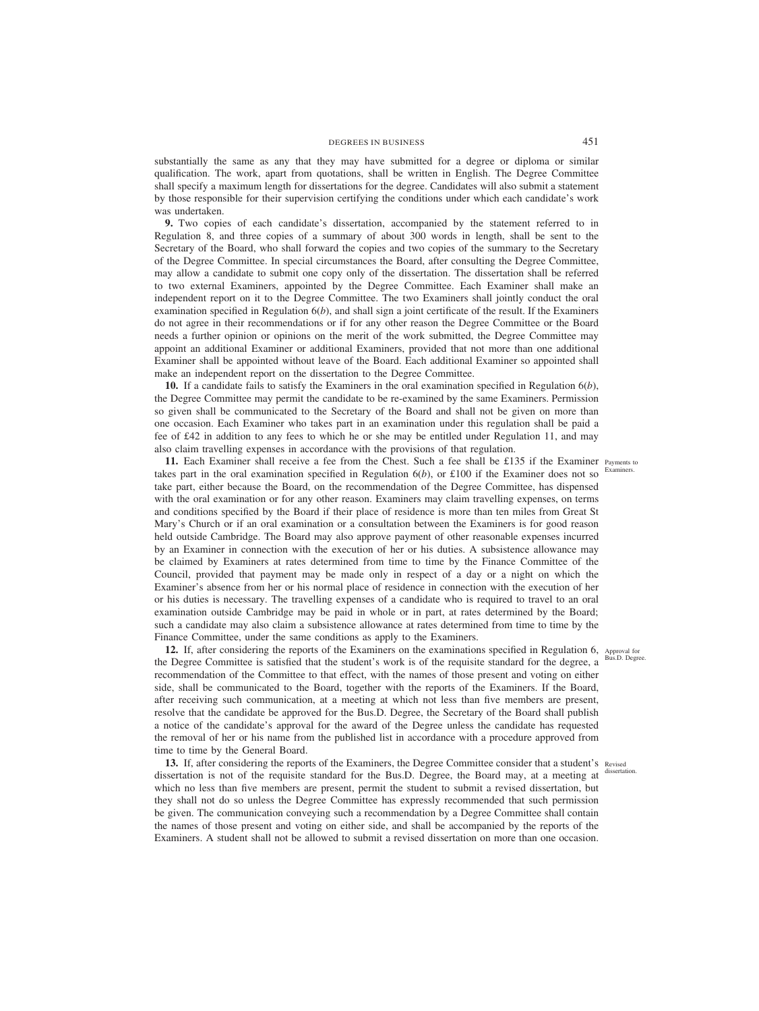substantially the same as any that they may have submitted for a degree or diploma or similar qualification. The work, apart from quotations, shall be written in English. The Degree Committee shall specify a maximum length for dissertations for the degree. Candidates will also submit a statement by those responsible for their supervision certifying the conditions under which each candidate's work was undertaken.

**9.** Two copies of each candidate's dissertation, accompanied by the statement referred to in Regulation 8, and three copies of a summary of about 300 words in length, shall be sent to the Secretary of the Board, who shall forward the copies and two copies of the summary to the Secretary of the Degree Committee. In special circumstances the Board, after consulting the Degree Committee, may allow a candidate to submit one copy only of the dissertation. The dissertation shall be referred to two external Examiners, appointed by the Degree Committee. Each Examiner shall make an independent report on it to the Degree Committee. The two Examiners shall jointly conduct the oral examination specified in Regulation 6(*b*), and shall sign a joint certificate of the result. If the Examiners do not agree in their recommendations or if for any other reason the Degree Committee or the Board needs a further opinion or opinions on the merit of the work submitted, the Degree Committee may appoint an additional Examiner or additional Examiners, provided that not more than one additional Examiner shall be appointed without leave of the Board. Each additional Examiner so appointed shall make an independent report on the dissertation to the Degree Committee.

**10.** If a candidate fails to satisfy the Examiners in the oral examination specified in Regulation 6(*b*), the Degree Committee may permit the candidate to be re-examined by the same Examiners. Permission so given shall be communicated to the Secretary of the Board and shall not be given on more than one occasion. Each Examiner who takes part in an examination under this regulation shall be paid a fee of £42 in addition to any fees to which he or she may be entitled under Regulation 11, and may also claim travelling expenses in accordance with the provisions of that regulation.

11. Each Examiner shall receive a fee from the Chest. Such a fee shall be £135 if the Examiner Payments to takes part in the oral examination specified in Regulation  $6(b)$ , or £100 if the Examiner does not so take part, either because the Board, on the recommendation of the Degree Committee, has dispensed with the oral examination or for any other reason. Examiners may claim travelling expenses, on terms and conditions specified by the Board if their place of residence is more than ten miles from Great St Mary's Church or if an oral examination or a consultation between the Examiners is for good reason held outside Cambridge. The Board may also approve payment of other reasonable expenses incurred by an Examiner in connection with the execution of her or his duties. A subsistence allowance may be claimed by Examiners at rates determined from time to time by the Finance Committee of the Council, provided that payment may be made only in respect of a day or a night on which the Examiner's absence from her or his normal place of residence in connection with the execution of her or his duties is necessary. The travelling expenses of a candidate who is required to travel to an oral examination outside Cambridge may be paid in whole or in part, at rates determined by the Board; such a candidate may also claim a subsistence allowance at rates determined from time to time by the Finance Committee, under the same conditions as apply to the Examiners.

**12.** If, after considering the reports of the Examiners on the examinations specified in Regulation 6, Approval for the Degree Committee is satisfied that the student's work is of the requisite standard for the degree, a recommendation of the Committee to that effect, with the names of those present and voting on either side, shall be communicated to the Board, together with the reports of the Examiners. If the Board, after receiving such communication, at a meeting at which not less than five members are present, resolve that the candidate be approved for the Bus.D. Degree, the Secretary of the Board shall publish a notice of the candidate's approval for the award of the Degree unless the candidate has requested the removal of her or his name from the published list in accordance with a procedure approved from time to time by the General Board.

13. If, after considering the reports of the Examiners, the Degree Committee consider that a student's Revised dissertation is not of the requisite standard for the Bus.D. Degree, the Board may, at a meeting at which no less than five members are present, permit the student to submit a revised dissertation, but they shall not do so unless the Degree Committee has expressly recommended that such permission be given. The communication conveying such a recommendation by a Degree Committee shall contain the names of those present and voting on either side, and shall be accompanied by the reports of the Examiners. A student shall not be allowed to submit a revised dissertation on more than one occasion.

Examiners.

Bus.D. Degree.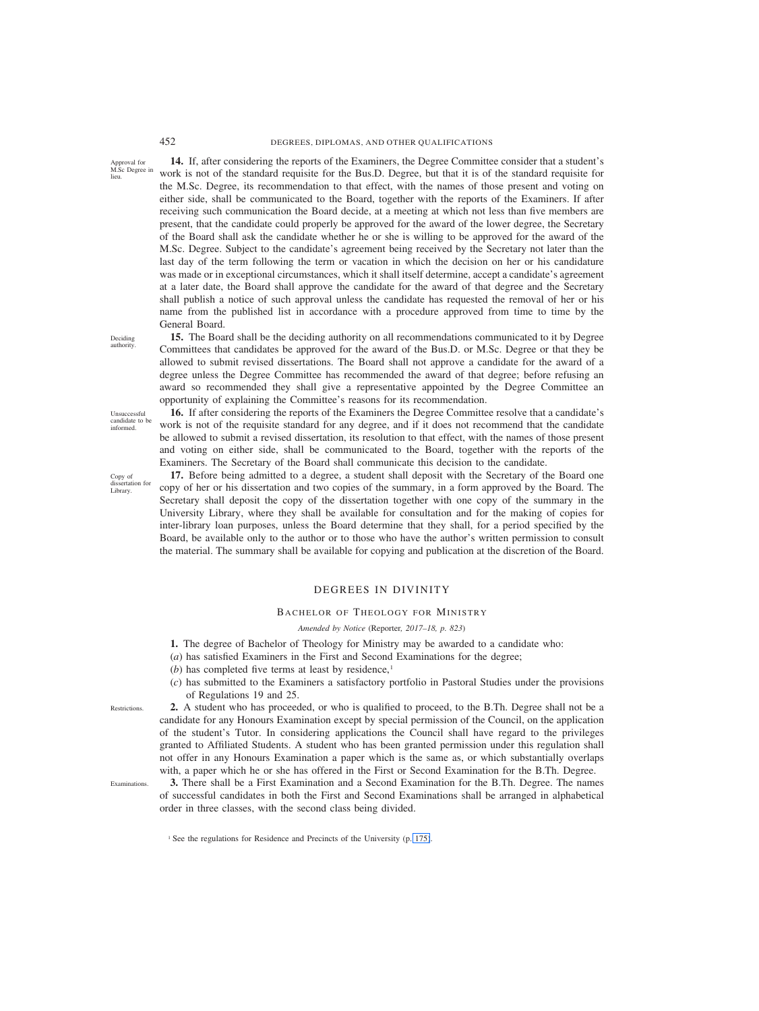# 452 DEGREES, DIPLOMAS, AND OTHER QUALIFICATIONS

Approval for M.Sc Degree in lieu.

**14.** If, after considering the reports of the Examiners, the Degree Committee consider that a student's work is not of the standard requisite for the Bus.D. Degree, but that it is of the standard requisite for the M.Sc. Degree, its recommendation to that effect, with the names of those present and voting on either side, shall be communicated to the Board, together with the reports of the Examiners. If after receiving such communication the Board decide, at a meeting at which not less than five members are present, that the candidate could properly be approved for the award of the lower degree, the Secretary of the Board shall ask the candidate whether he or she is willing to be approved for the award of the M.Sc. Degree. Subject to the candidate's agreement being received by the Secretary not later than the last day of the term following the term or vacation in which the decision on her or his candidature was made or in exceptional circumstances, which it shall itself determine, accept a candidate's agreement at a later date, the Board shall approve the candidate for the award of that degree and the Secretary shall publish a notice of such approval unless the candidate has requested the removal of her or his name from the published list in accordance with a procedure approved from time to time by the General Board.

**15.** The Board shall be the deciding authority on all recommendations communicated to it by Degree Committees that candidates be approved for the award of the Bus.D. or M.Sc. Degree or that they be allowed to submit revised dissertations. The Board shall not approve a candidate for the award of a degree unless the Degree Committee has recommended the award of that degree; before refusing an award so recommended they shall give a representative appointed by the Degree Committee an

Deciding authority.

Unsuccessful candidate to be informed.

opportunity of explaining the Committee's reasons for its recommendation. **16.** If after considering the reports of the Examiners the Degree Committee resolve that a candidate's work is not of the requisite standard for any degree, and if it does not recommend that the candidate be allowed to submit a revised dissertation, its resolution to that effect, with the names of those present and voting on either side, shall be communicated to the Board, together with the reports of the

Copy of dissertation for Library.

Examiners. The Secretary of the Board shall communicate this decision to the candidate. **17.** Before being admitted to a degree, a student shall deposit with the Secretary of the Board one copy of her or his dissertation and two copies of the summary, in a form approved by the Board. The Secretary shall deposit the copy of the dissertation together with one copy of the summary in the University Library, where they shall be available for consultation and for the making of copies for inter-library loan purposes, unless the Board determine that they shall, for a period specified by the Board, be available only to the author or to those who have the author's written permission to consult the material. The summary shall be available for copying and publication at the discretion of the Board.

# DEGREES IN DIVINITY

### BACHELOR OF THEOLOGY FOR MINISTRY

### *Amended by Notice (*Reporter*, 2017–18, p. 823)*

- **1.** The degree of Bachelor of Theology for Ministry may be awarded to a candidate who:
- (*a*) has satisfied Examiners in the First and Second Examinations for the degree;
- (*b*) has completed five terms at least by residence, $<sup>1</sup>$ </sup>
- (*c*) has submitted to the Examiners a satisfactory portfolio in Pastoral Studies under the provisions of Regulations 19 and 25.

**Restrictions** 

**2.** A student who has proceeded, or who is qualified to proceed, to the B.Th. Degree shall not be a candidate for any Honours Examination except by special permission of the Council, on the application of the student's Tutor. In considering applications the Council shall have regard to the privileges granted to Affiliated Students. A student who has been granted permission under this regulation shall not offer in any Honours Examination a paper which is the same as, or which substantially overlaps with, a paper which he or she has offered in the First or Second Examination for the B.Th. Degree.

Examinations.

**3.** There shall be a First Examination and a Second Examination for the B.Th. Degree. The names of successful candidates in both the First and Second Examinations shall be arranged in alphabetical order in three classes, with the second class being divided.

<sup>1</sup> See the regulations for Residence and Precincts of the University (p. 175).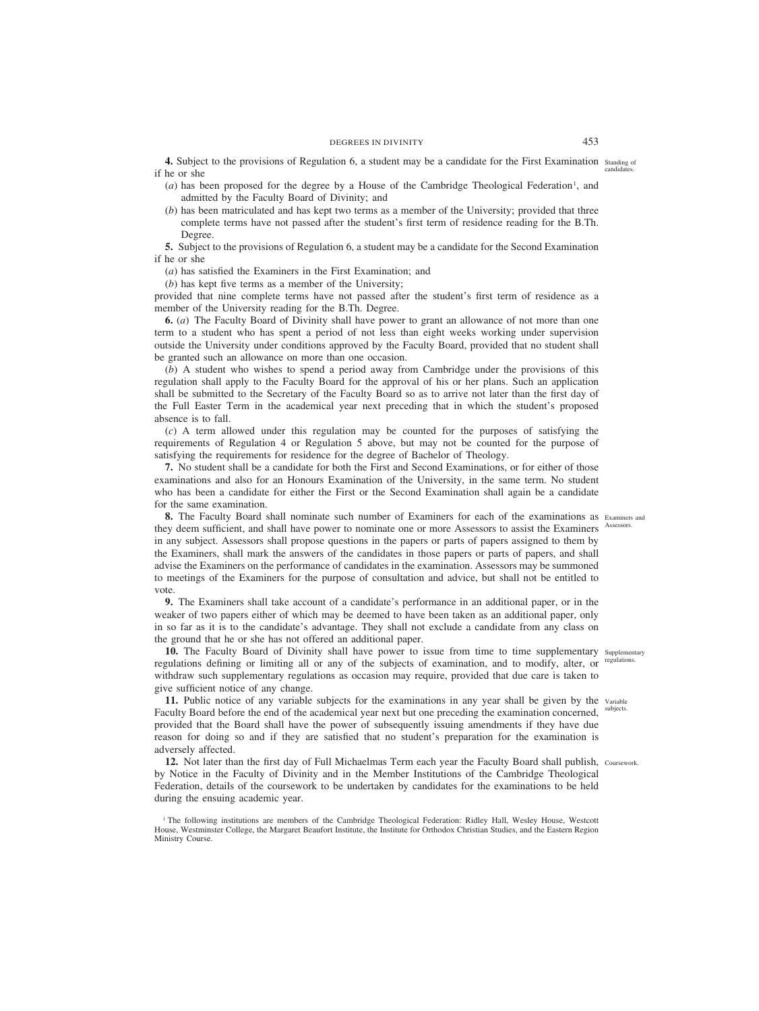**4.** Subject to the provisions of Regulation 6, a student may be a candidate for the First Examination standing of if he or she candidates.

- $(a)$  has been proposed for the degree by a House of the Cambridge Theological Federation<sup>1</sup>, and admitted by the Faculty Board of Divinity; and
- (*b*) has been matriculated and has kept two terms as a member of the University; provided that three complete terms have not passed after the student's first term of residence reading for the B.Th. Degree.

**5.** Subject to the provisions of Regulation 6, a student may be a candidate for the Second Examination if he or she

(*a*) has satisfied the Examiners in the First Examination; and

(*b*) has kept five terms as a member of the University;

provided that nine complete terms have not passed after the student's first term of residence as a member of the University reading for the B.Th. Degree.

**6.** (*a*) The Faculty Board of Divinity shall have power to grant an allowance of not more than one term to a student who has spent a period of not less than eight weeks working under supervision outside the University under conditions approved by the Faculty Board, provided that no student shall be granted such an allowance on more than one occasion.

(*b*) A student who wishes to spend a period away from Cambridge under the provisions of this regulation shall apply to the Faculty Board for the approval of his or her plans. Such an application shall be submitted to the Secretary of the Faculty Board so as to arrive not later than the first day of the Full Easter Term in the academical year next preceding that in which the student's proposed absence is to fall.

(*c*) A term allowed under this regulation may be counted for the purposes of satisfying the requirements of Regulation 4 or Regulation 5 above, but may not be counted for the purpose of satisfying the requirements for residence for the degree of Bachelor of Theology.

**7.** No student shall be a candidate for both the First and Second Examinations, or for either of those examinations and also for an Honours Examination of the University, in the same term. No student who has been a candidate for either the First or the Second Examination shall again be a candidate for the same examination.

**8.** The Faculty Board shall nominate such number of Examiners for each of the examinations as Examiners and they deem sufficient, and shall have power to nominate one or more Assessors to assist the Examiners in any subject. Assessors shall propose questions in the papers or parts of papers assigned to them by the Examiners, shall mark the answers of the candidates in those papers or parts of papers, and shall advise the Examiners on the performance of candidates in the examination. Assessors may be summoned to meetings of the Examiners for the purpose of consultation and advice, but shall not be entitled to vote. Assessors.

**9.** The Examiners shall take account of a candidate's performance in an additional paper, or in the weaker of two papers either of which may be deemed to have been taken as an additional paper, only in so far as it is to the candidate's advantage. They shall not exclude a candidate from any class on the ground that he or she has not offered an additional paper.

10. The Faculty Board of Divinity shall have power to issue from time to time supplementary supplementary regulations defining or limiting all or any of the subjects of examination, and to modify, alter, or regulations. withdraw such supplementary regulations as occasion may require, provided that due care is taken to give sufficient notice of any change.

11. Public notice of any variable subjects for the examinations in any year shall be given by the variable Faculty Board before the end of the academical year next but one preceding the examination concerned, subjects. provided that the Board shall have the power of subsequently issuing amendments if they have due reason for doing so and if they are satisfied that no student's preparation for the examination is adversely affected.

**12.** Not later than the first day of Full Michaelmas Term each year the Faculty Board shall publish, Coursework.by Notice in the Faculty of Divinity and in the Member Institutions of the Cambridge Theological Federation, details of the coursework to be undertaken by candidates for the examinations to be held during the ensuing academic year.

<sup>&</sup>lt;sup>1</sup> The following institutions are members of the Cambridge Theological Federation: Ridley Hall, Wesley House, Westcott House, Westminster College, the Margaret Beaufort Institute, the Institute for Orthodox Christian Studies, and the Eastern Region Ministry Course.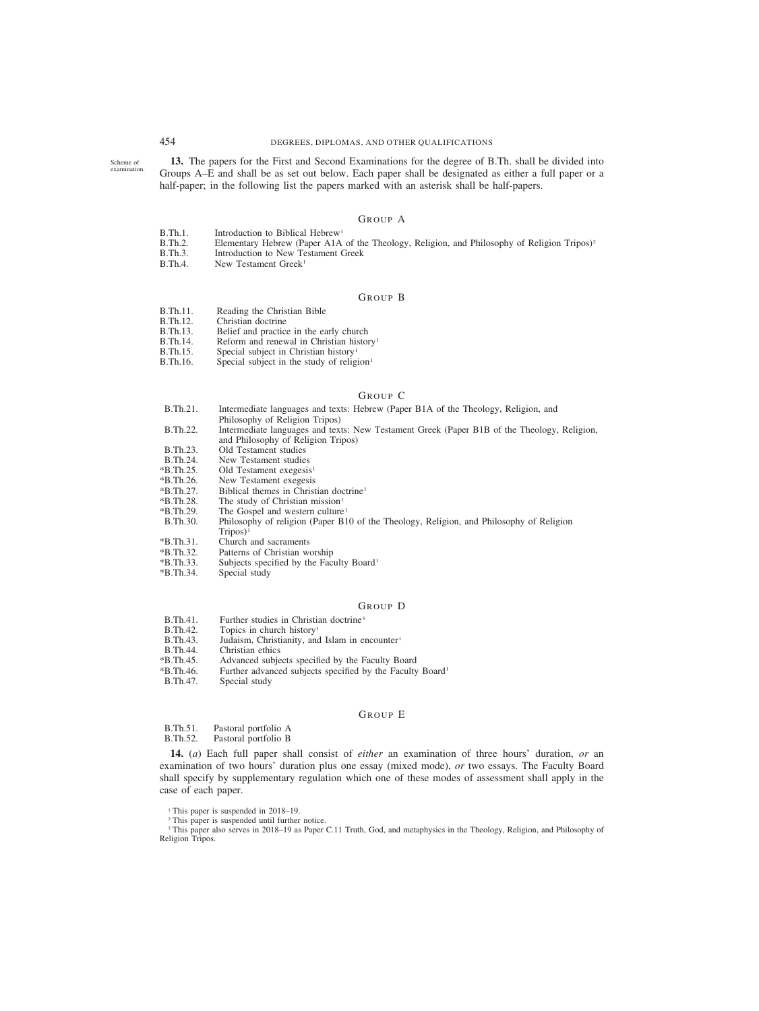# 454 DEGREES, DIPLOMAS, AND OTHER QUALIFICATIONS

Scheme of examination.

**13.** The papers for the First and Second Examinations for the degree of B.Th. shall be divided into Groups A–E and shall be as set out below. Each paper shall be designated as either a full paper or a half-paper; in the following list the papers marked with an asterisk shall be half-papers.

# GROUP A

- B.Th.1. Introduction to Biblical Hebrew<sup>1</sup><br>B.Th.2. Elementary Hebrew (Paper A1A)
- B.Th.2. Elementary Hebrew (Paper A1A of the Theology, Religion, and Philosophy of Religion Tripos)<sup>2</sup><br>B.Th.3. Introduction to New Testament Greek
- B.Th.3. Introduction to New Testament Greek<br>B.Th.4. New Testament Greek<sup>1</sup>
- New Testament Greek<sup>1</sup>

### GROUP B

- B.Th.11. Reading the Christian Bible<br>B.Th.12. Christian doctrine
- B.Th.12. Christian doctrine<br>B.Th.13. Belief and practic
- B.Th.13. Belief and practice in the early church<br>B.Th.14. Reform and renewal in Christian history
- B.Th.14. Reform and renewal in Christian history<sup>1</sup><br>B.Th.15. Special subject in Christian history<sup>1</sup>
- B.Th.15. Special subject in Christian history<sup>1</sup> B.Th.16. Special subject in the study of relig
- Special subject in the study of religion $1$

### GROUP C

- B.Th.21. Intermediate languages and texts: Hebrew (Paper B1A of the Theology, Religion, and
	- Philosophy of Religion Tripos)
- B.Th.22. Intermediate languages and texts: New Testament Greek (Paper B1B of the Theology, Religion, and Philosophy of Religion Tripos)
- 
- B.Th.23. Old Testament studies<br>B.Th.24. New Testament studies
- B.Th.24. New Testament studies<br>
\*B.Th.25. Old Testament exegesis
- \*B.Th.25. Old Testament exegesis<sup>1</sup><br>\*B.Th.26. New Testament exegesis
- \*B.Th.26. New Testament exegesis  $*B.Th.27.$  Biblical themes in Christian doctrine<sup>1</sup><br> $*B.Th.28.$  The study of Christian mission<sup>1</sup>
- 
- \*B.Th.28. The study of Christian mission<sup>1</sup><br>\*B.Th.29. The Gospel and western culture
- \*B.Th.29. The Gospel and western culture<sup>1</sup><br>B.Th.30. Philosophy of religion (Paper B1) Philosophy of religion (Paper B10 of the Theology, Religion, and Philosophy of Religion  $Tripos)^{1}$
- \*B.Th.31. Church and sacraments<br>\*B.Th.32. Patterns of Christian work
- \*B.Th.32. Patterns of Christian worship
- \*B.Th.33. Subjects specified by the Faculty Board1
- Special study

## GROUP D

- B.Th.41. Further studies in Christian doctrine<sup>3</sup><br>B.Th.42. Topics in church history<sup>1</sup>
- B.Th.42. Topics in church history<sup>1</sup><br>B.Th.43. Judaism, Christianity, and
- B.Th.43. Judaism, Christianity, and Islam in encounter<sup>1</sup><br>B.Th.44. Christian ethics
- B.Th.44. Christian ethics<br>
\*B.Th.45. Advanced subje
- \*B.Th.45. Advanced subjects specified by the Faculty Board
- \*B.Th.46. Further advanced subjects specified by the Faculty Board1
- Special study

## GROUP E

- B.Th.51. Pastoral portfolio A<br>B.Th.52. Pastoral portfolio B
- Pastoral portfolio B

**14.** (*a*) Each full paper shall consist of *either* an examination of three hours' duration, *or* an examination of two hours' duration plus one essay (mixed mode), *or* two essays. The Faculty Board shall specify by supplementary regulation which one of these modes of assessment shall apply in the case of each paper.

<sup>1</sup> This paper is suspended in 2018–19.

<sup>2</sup> This paper is suspended until further notice.

<sup>3</sup> This paper also serves in 2018–19 as Paper C.11 Truth, God, and metaphysics in the Theology, Religion, and Philosophy of Religion Tripos.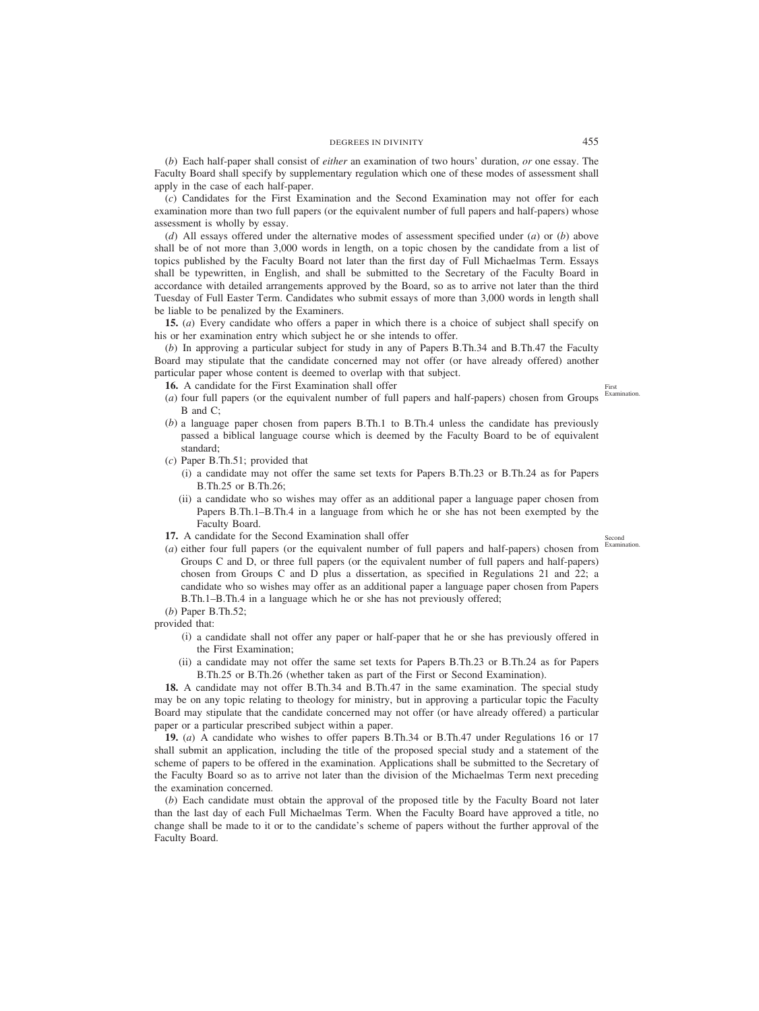(*b*) Each half-paper shall consist of *either* an examination of two hours' duration, *or* one essay. The Faculty Board shall specify by supplementary regulation which one of these modes of assessment shall apply in the case of each half-paper.

(*c*) Candidates for the First Examination and the Second Examination may not offer for each examination more than two full papers (or the equivalent number of full papers and half-papers) whose assessment is wholly by essay.

(*d*) All essays offered under the alternative modes of assessment specified under (*a*) or (*b*) above shall be of not more than 3,000 words in length, on a topic chosen by the candidate from a list of topics published by the Faculty Board not later than the first day of Full Michaelmas Term. Essays shall be typewritten, in English, and shall be submitted to the Secretary of the Faculty Board in accordance with detailed arrangements approved by the Board, so as to arrive not later than the third Tuesday of Full Easter Term. Candidates who submit essays of more than 3,000 words in length shall be liable to be penalized by the Examiners.

**15.** (*a*) Every candidate who offers a paper in which there is a choice of subject shall specify on his or her examination entry which subject he or she intends to offer.

(*b*) In approving a particular subject for study in any of Papers B.Th.34 and B.Th.47 the Faculty Board may stipulate that the candidate concerned may not offer (or have already offered) another particular paper whose content is deemed to overlap with that subject.

**16.** A candidate for the First Examination shall offer

- (*a*) four full papers (or the equivalent number of full papers and half-papers) chosen from Groups B and C;
- (*b*) a language paper chosen from papers B.Th.1 to B.Th.4 unless the candidate has previously passed a biblical language course which is deemed by the Faculty Board to be of equivalent standard;
- (*c*) Paper B.Th.51; provided that
	- (i) a candidate may not offer the same set texts for Papers B.Th.23 or B.Th.24 as for Papers B.Th.25 or B.Th.26;
	- (ii) a candidate who so wishes may offer as an additional paper a language paper chosen from Papers B.Th.1–B.Th.4 in a language from which he or she has not been exempted by the Faculty Board.
- **17.** A candidate for the Second Examination shall offer
- (*a*) either four full papers (or the equivalent number of full papers and half-papers) chosen from Groups C and D, or three full papers (or the equivalent number of full papers and half-papers) chosen from Groups C and D plus a dissertation, as specified in Regulations 21 and 22; a candidate who so wishes may offer as an additional paper a language paper chosen from Papers B.Th.1–B.Th.4 in a language which he or she has not previously offered;
- (*b*) Paper B.Th.52;

provided that:

- (i) a candidate shall not offer any paper or half-paper that he or she has previously offered in the First Examination;
- (ii) a candidate may not offer the same set texts for Papers B.Th.23 or B.Th.24 as for Papers B.Th.25 or B.Th.26 (whether taken as part of the First or Second Examination).

**18.** A candidate may not offer B.Th.34 and B.Th.47 in the same examination. The special study may be on any topic relating to theology for ministry, but in approving a particular topic the Faculty Board may stipulate that the candidate concerned may not offer (or have already offered) a particular paper or a particular prescribed subject within a paper.

**19.** (*a*) A candidate who wishes to offer papers B.Th.34 or B.Th.47 under Regulations 16 or 17 shall submit an application, including the title of the proposed special study and a statement of the scheme of papers to be offered in the examination. Applications shall be submitted to the Secretary of the Faculty Board so as to arrive not later than the division of the Michaelmas Term next preceding the examination concerned.

(*b*) Each candidate must obtain the approval of the proposed title by the Faculty Board not later than the last day of each Full Michaelmas Term. When the Faculty Board have approved a title, no change shall be made to it or to the candidate's scheme of papers without the further approval of the Faculty Board.

First Examination.

Second Examination.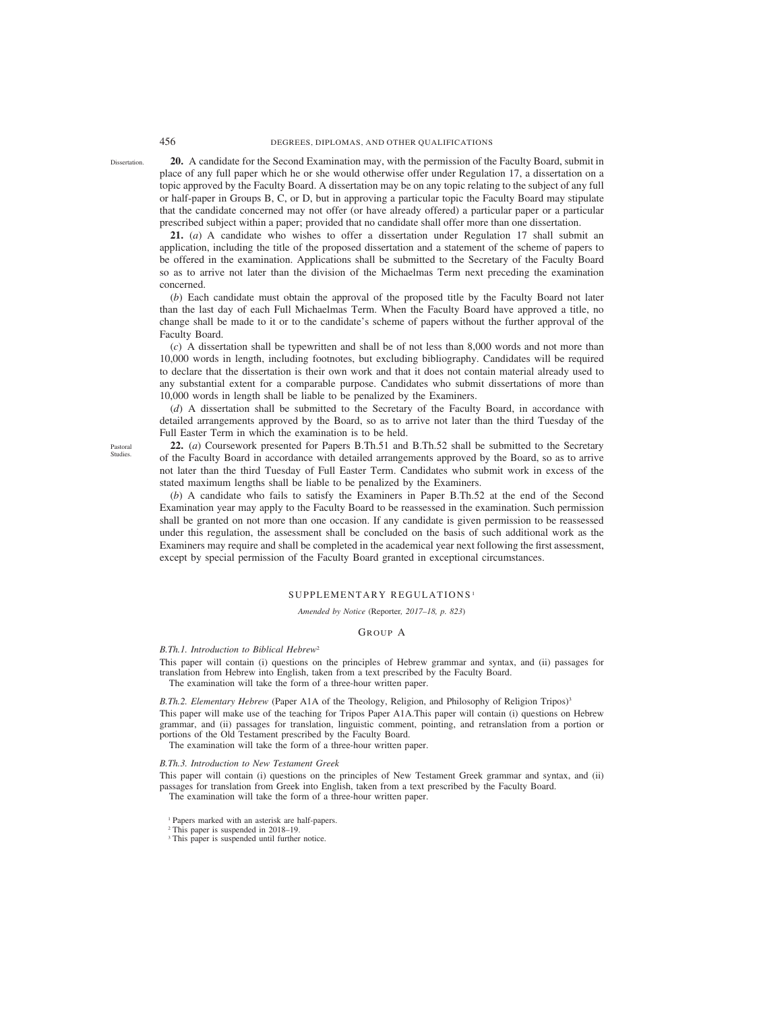Dissertation.

**20.** A candidate for the Second Examination may, with the permission of the Faculty Board, submit in place of any full paper which he or she would otherwise offer under Regulation 17, a dissertation on a topic approved by the Faculty Board. A dissertation may be on any topic relating to the subject of any full or half-paper in Groups B, C, or D, but in approving a particular topic the Faculty Board may stipulate that the candidate concerned may not offer (or have already offered) a particular paper or a particular prescribed subject within a paper; provided that no candidate shall offer more than one dissertation.

**21.** (*a*) A candidate who wishes to offer a dissertation under Regulation 17 shall submit an application, including the title of the proposed dissertation and a statement of the scheme of papers to be offered in the examination. Applications shall be submitted to the Secretary of the Faculty Board so as to arrive not later than the division of the Michaelmas Term next preceding the examination concerned.

(*b*) Each candidate must obtain the approval of the proposed title by the Faculty Board not later than the last day of each Full Michaelmas Term. When the Faculty Board have approved a title, no change shall be made to it or to the candidate's scheme of papers without the further approval of the Faculty Board.

(*c*) A dissertation shall be typewritten and shall be of not less than 8,000 words and not more than 10,000 words in length, including footnotes, but excluding bibliography. Candidates will be required to declare that the dissertation is their own work and that it does not contain material already used to any substantial extent for a comparable purpose. Candidates who submit dissertations of more than 10,000 words in length shall be liable to be penalized by the Examiners.

(*d*) A dissertation shall be submitted to the Secretary of the Faculty Board, in accordance with detailed arrangements approved by the Board, so as to arrive not later than the third Tuesday of the Full Easter Term in which the examination is to be held.

**22.** (*a*) Coursework presented for Papers B.Th.51 and B.Th.52 shall be submitted to the Secretary of the Faculty Board in accordance with detailed arrangements approved by the Board, so as to arrive not later than the third Tuesday of Full Easter Term. Candidates who submit work in excess of the stated maximum lengths shall be liable to be penalized by the Examiners.

(*b*) A candidate who fails to satisfy the Examiners in Paper B.Th.52 at the end of the Second Examination year may apply to the Faculty Board to be reassessed in the examination. Such permission shall be granted on not more than one occasion. If any candidate is given permission to be reassessed under this regulation, the assessment shall be concluded on the basis of such additional work as the Examiners may require and shall be completed in the academical year next following the first assessment, except by special permission of the Faculty Board granted in exceptional circumstances.

# SUPPLEMENTARY REGULATIONS <sup>1</sup>

*Amended by Notice (*Reporter*, 2017–18, p. 823)*

## GROUP A

## *B.Th.1. Introduction to Biblical Hebrew*<sup>2</sup>

This paper will contain (i) questions on the principles of Hebrew grammar and syntax, and (ii) passages for translation from Hebrew into English, taken from a text prescribed by the Faculty Board.

The examination will take the form of a three-hour written paper.

*B.Th.2. Elementary Hebrew* (Paper A1A of the Theology, Religion, and Philosophy of Religion Tripos)<sup>3</sup> This paper will make use of the teaching for Tripos Paper A1A.This paper will contain (i) questions on Hebrew grammar, and (ii) passages for translation, linguistic comment, pointing, and retranslation from a portion or portions of the Old Testament prescribed by the Faculty Board.

The examination will take the form of a three-hour written paper.

### *B.Th.3. Introduction to New Testament Greek*

This paper will contain (i) questions on the principles of New Testament Greek grammar and syntax, and (ii) passages for translation from Greek into English, taken from a text prescribed by the Faculty Board. The examination will take the form of a three-hour written paper.

<sup>1</sup> Papers marked with an asterisk are half-papers.

Pastoral Studies.

<sup>2</sup> This paper is suspended in 2018–19.

<sup>&</sup>lt;sup>3</sup> This paper is suspended until further notice.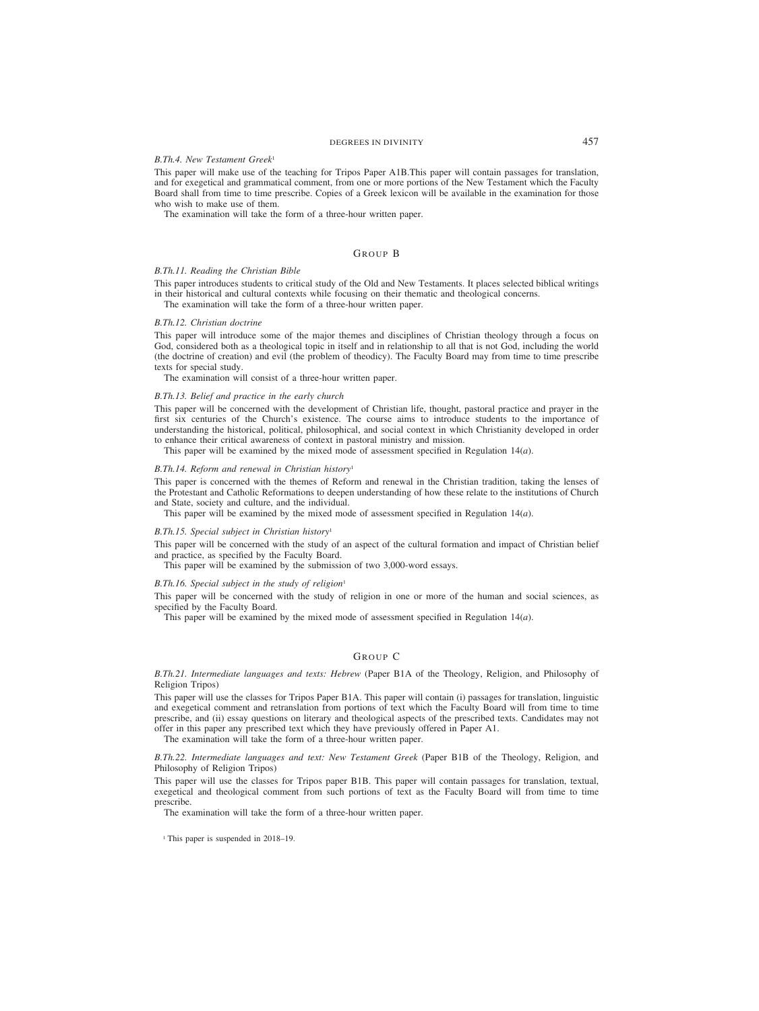# DEGREES IN DIVINITY 457

## *B.Th.4. New Testament Greek*<sup>1</sup>

This paper will make use of the teaching for Tripos Paper A1B.This paper will contain passages for translation, and for exegetical and grammatical comment, from one or more portions of the New Testament which the Faculty Board shall from time to time prescribe. Copies of a Greek lexicon will be available in the examination for those who wish to make use of them.

The examination will take the form of a three-hour written paper.

# GROUP B

### *B.Th.11. Reading the Christian Bible*

This paper introduces students to critical study of the Old and New Testaments. It places selected biblical writings in their historical and cultural contexts while focusing on their thematic and theological concerns.

The examination will take the form of a three-hour written paper.

### *B.Th.12. Christian doctrine*

This paper will introduce some of the major themes and disciplines of Christian theology through a focus on God, considered both as a theological topic in itself and in relationship to all that is not God, including the world (the doctrine of creation) and evil (the problem of theodicy). The Faculty Board may from time to time prescribe texts for special study.

The examination will consist of a three-hour written paper.

### *B.Th.13. Belief and practice in the early church*

This paper will be concerned with the development of Christian life, thought, pastoral practice and prayer in the first six centuries of the Church's existence. The course aims to introduce students to the importance of understanding the historical, political, philosophical, and social context in which Christianity developed in order to enhance their critical awareness of context in pastoral ministry and mission.

This paper will be examined by the mixed mode of assessment specified in Regulation 14(*a*).

## *B.Th.14. Reform and renewal in Christian history*<sup>1</sup>

This paper is concerned with the themes of Reform and renewal in the Christian tradition, taking the lenses of the Protestant and Catholic Reformations to deepen understanding of how these relate to the institutions of Church and State, society and culture, and the individual.

This paper will be examined by the mixed mode of assessment specified in Regulation 14(*a*).

### *B.Th.15. Special subject in Christian history*<sup>1</sup>

This paper will be concerned with the study of an aspect of the cultural formation and impact of Christian belief and practice, as specified by the Faculty Board.

This paper will be examined by the submission of two 3,000-word essays.

### *B.Th.16. Special subject in the study of religion*<sup>1</sup>

This paper will be concerned with the study of religion in one or more of the human and social sciences, as specified by the Faculty Board.

This paper will be examined by the mixed mode of assessment specified in Regulation 14(*a*).

# GROUP C

*B.Th.21. Intermediate languages and texts: Hebrew* (Paper B1A of the Theology, Religion, and Philosophy of Religion Tripos)

This paper will use the classes for Tripos Paper B1A. This paper will contain (i) passages for translation, linguistic and exegetical comment and retranslation from portions of text which the Faculty Board will from time to time prescribe, and (ii) essay questions on literary and theological aspects of the prescribed texts. Candidates may not offer in this paper any prescribed text which they have previously offered in Paper A1.

The examination will take the form of a three-hour written paper.

*B.Th.22. Intermediate languages and text: New Testament Greek* (Paper B1B of the Theology, Religion, and Philosophy of Religion Tripos)

This paper will use the classes for Tripos paper B1B. This paper will contain passages for translation, textual, exegetical and theological comment from such portions of text as the Faculty Board will from time to time prescribe.

The examination will take the form of a three-hour written paper.

<sup>1</sup> This paper is suspended in 2018–19.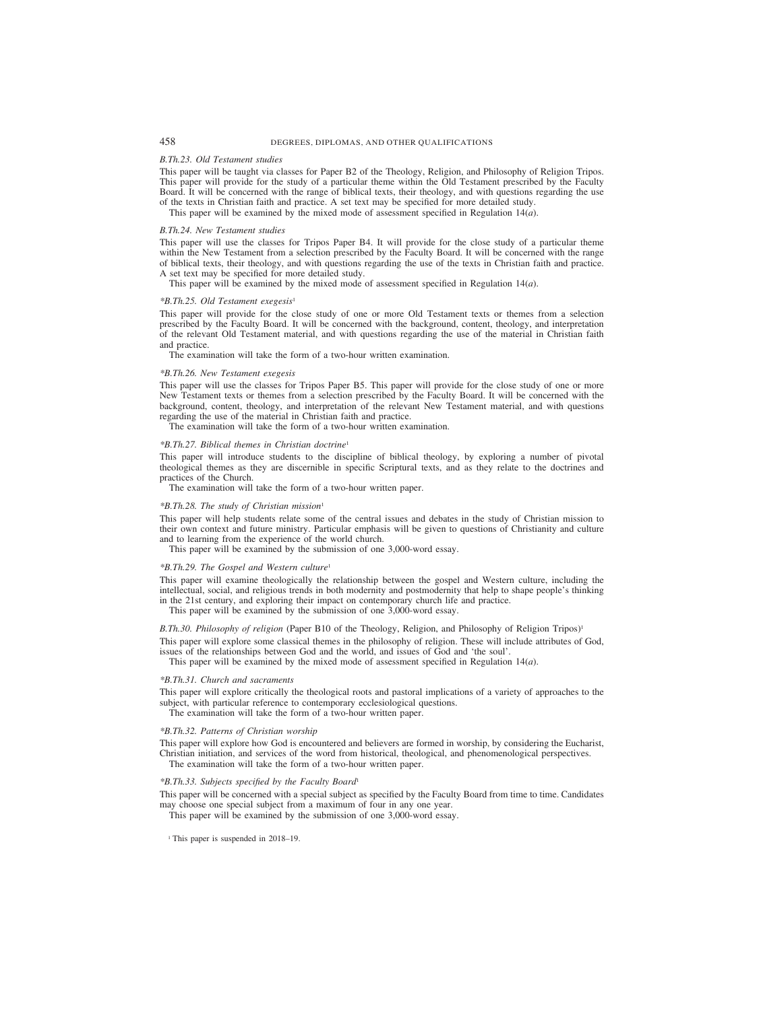# 458 DEGREES, DIPLOMAS, AND OTHER QUALIFICATIONS

### *B.Th.23. Old Testament studies*

This paper will be taught via classes for Paper B2 of the Theology, Religion, and Philosophy of Religion Tripos. This paper will provide for the study of a particular theme within the Old Testament prescribed by the Faculty Board. It will be concerned with the range of biblical texts, their theology, and with questions regarding the use of the texts in Christian faith and practice. A set text may be specified for more detailed study.

This paper will be examined by the mixed mode of assessment specified in Regulation 14(*a*).

### *B.Th.24. New Testament studies*

This paper will use the classes for Tripos Paper B4. It will provide for the close study of a particular theme within the New Testament from a selection prescribed by the Faculty Board. It will be concerned with the range of biblical texts, their theology, and with questions regarding the use of the texts in Christian faith and practice. A set text may be specified for more detailed study.

This paper will be examined by the mixed mode of assessment specified in Regulation 14(*a*).

### *\*B.Th.25. Old Testament exegesis*<sup>1</sup>

This paper will provide for the close study of one or more Old Testament texts or themes from a selection prescribed by the Faculty Board. It will be concerned with the background, content, theology, and interpretation of the relevant Old Testament material, and with questions regarding the use of the material in Christian faith and practice.

The examination will take the form of a two-hour written examination.

### *\*B.Th.26. New Testament exegesis*

This paper will use the classes for Tripos Paper B5. This paper will provide for the close study of one or more New Testament texts or themes from a selection prescribed by the Faculty Board. It will be concerned with the background, content, theology, and interpretation of the relevant New Testament material, and with questions regarding the use of the material in Christian faith and practice.

The examination will take the form of a two-hour written examination.

### *\*B.Th.27. Biblical themes in Christian doctrine*<sup>1</sup>

This paper will introduce students to the discipline of biblical theology, by exploring a number of pivotal theological themes as they are discernible in specific Scriptural texts, and as they relate to the doctrines and practices of the Church.

The examination will take the form of a two-hour written paper.

### *\*B.Th.28. The study of Christian mission*<sup>1</sup>

This paper will help students relate some of the central issues and debates in the study of Christian mission to their own context and future ministry. Particular emphasis will be given to questions of Christianity and culture and to learning from the experience of the world church.

This paper will be examined by the submission of one 3,000-word essay.

### *\*B.Th.29. The Gospel and Western culture*<sup>1</sup>

This paper will examine theologically the relationship between the gospel and Western culture, including the intellectual, social, and religious trends in both modernity and postmodernity that help to shape people's thinking in the 21st century, and exploring their impact on contemporary church life and practice.

This paper will be examined by the submission of one 3,000-word essay.

*B.Th.30. Philosophy of religion* (Paper B10 of the Theology, Religion, and Philosophy of Religion Tripos)<sup>1</sup>

This paper will explore some classical themes in the philosophy of religion. These will include attributes of God, issues of the relationships between God and the world, and issues of God and 'the soul'.

This paper will be examined by the mixed mode of assessment specified in Regulation 14(*a*).

### *\*B.Th.31. Church and sacraments*

This paper will explore critically the theological roots and pastoral implications of a variety of approaches to the subject, with particular reference to contemporary ecclesiological questions.

The examination will take the form of a two-hour written paper.

### *\*B.Th.32. Patterns of Christian worship*

This paper will explore how God is encountered and believers are formed in worship, by considering the Eucharist, Christian initiation, and services of the word from historical, theological, and phenomenological perspectives. The examination will take the form of a two-hour written paper.

## *\*B.Th.33. Subjects specified by the Faculty Board*<sup>1</sup>

This paper will be concerned with a special subject as specified by the Faculty Board from time to time. Candidates may choose one special subject from a maximum of four in any one year.

This paper will be examined by the submission of one 3,000-word essay.

<sup>1</sup> This paper is suspended in 2018–19.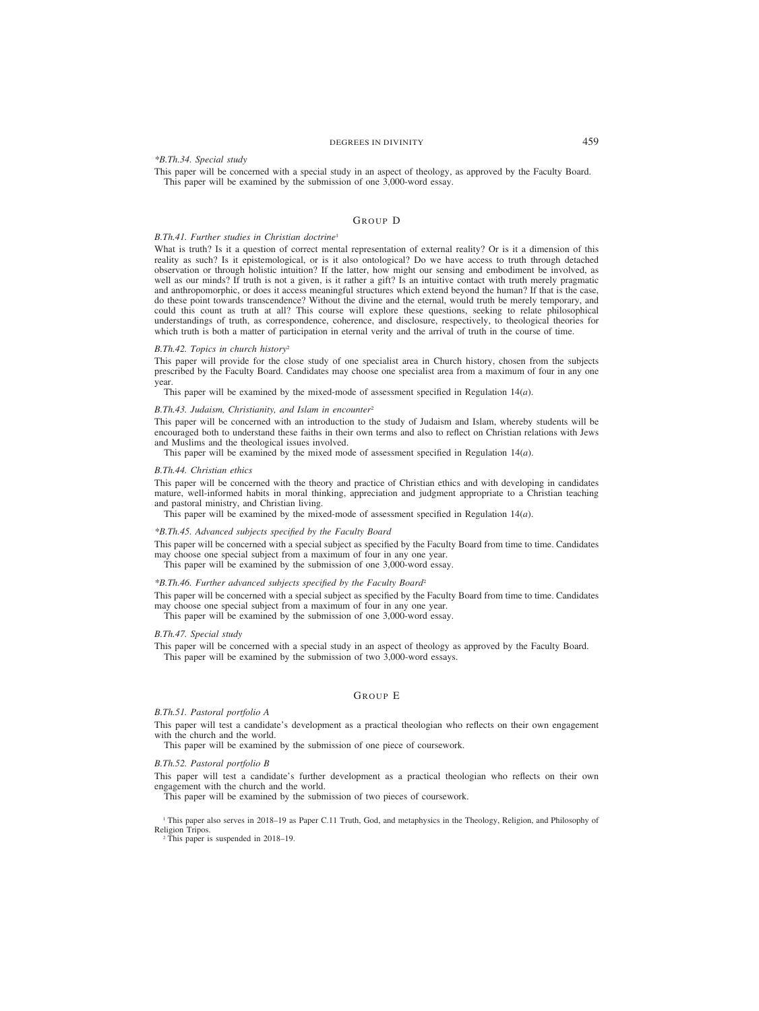# DEGREES IN DIVINITY 459

## *\*B.Th.34. Special study*

This paper will be concerned with a special study in an aspect of theology, as approved by the Faculty Board. This paper will be examined by the submission of one  $3,000$ -word essay.

# GROUP D

# *B.Th.41. Further studies in Christian doctrine*<sup>1</sup>

What is truth? Is it a question of correct mental representation of external reality? Or is it a dimension of this reality as such? Is it epistemological, or is it also ontological? Do we have access to truth through detached observation or through holistic intuition? If the latter, how might our sensing and embodiment be involved, as well as our minds? If truth is not a given, is it rather a gift? Is an intuitive contact with truth merely pragmatic and anthropomorphic, or does it access meaningful structures which extend beyond the human? If that is the case, do these point towards transcendence? Without the divine and the eternal, would truth be merely temporary, and could this count as truth at all? This course will explore these questions, seeking to relate philosophical understandings of truth, as correspondence, coherence, and disclosure, respectively, to theological theories for which truth is both a matter of participation in eternal verity and the arrival of truth in the course of time.

### *B.Th.42. Topics in church history*<sup>2</sup>

This paper will provide for the close study of one specialist area in Church history, chosen from the subjects prescribed by the Faculty Board. Candidates may choose one specialist area from a maximum of four in any one year.

This paper will be examined by the mixed-mode of assessment specified in Regulation 14(*a*).

### *B.Th.43. Judaism, Christianity, and Islam in encounter*<sup>2</sup>

This paper will be concerned with an introduction to the study of Judaism and Islam, whereby students will be encouraged both to understand these faiths in their own terms and also to reflect on Christian relations with Jews and Muslims and the theological issues involved.

This paper will be examined by the mixed mode of assessment specified in Regulation 14(*a*).

### *B.Th.44. Christian ethics*

This paper will be concerned with the theory and practice of Christian ethics and with developing in candidates mature, well-informed habits in moral thinking, appreciation and judgment appropriate to a Christian teaching and pastoral ministry, and Christian living.

This paper will be examined by the mixed-mode of assessment specified in Regulation 14(*a*).

## *\*B.Th.45. Advanced subjects specified by the Faculty Board*

This paper will be concerned with a special subject as specified by the Faculty Board from time to time. Candidates may choose one special subject from a maximum of four in any one year.

This paper will be examined by the submission of one 3,000-word essay.

## *\*B.Th.46. Further advanced subjects specified by the Faculty Board*<sup>2</sup>

This paper will be concerned with a special subject as specified by the Faculty Board from time to time. Candidates may choose one special subject from a maximum of four in any one year.

This paper will be examined by the submission of one 3,000-word essay.

## *B.Th.47. Special study*

This paper will be concerned with a special study in an aspect of theology as approved by the Faculty Board. This paper will be examined by the submission of two 3,000-word essays.

# GROUP E

### *B.Th.51. Pastoral portfolio A*

This paper will test a candidate's development as a practical theologian who reflects on their own engagement with the church and the world.

This paper will be examined by the submission of one piece of coursework.

### *B.Th.52. Pastoral portfolio B*

This paper will test a candidate's further development as a practical theologian who reflects on their own engagement with the church and the world.

This paper will be examined by the submission of two pieces of coursework.

<sup>1</sup> This paper also serves in 2018–19 as Paper C.11 Truth, God, and metaphysics in the Theology, Religion, and Philosophy of Religion Tripos.

<sup>2</sup> This paper is suspended in 2018–19.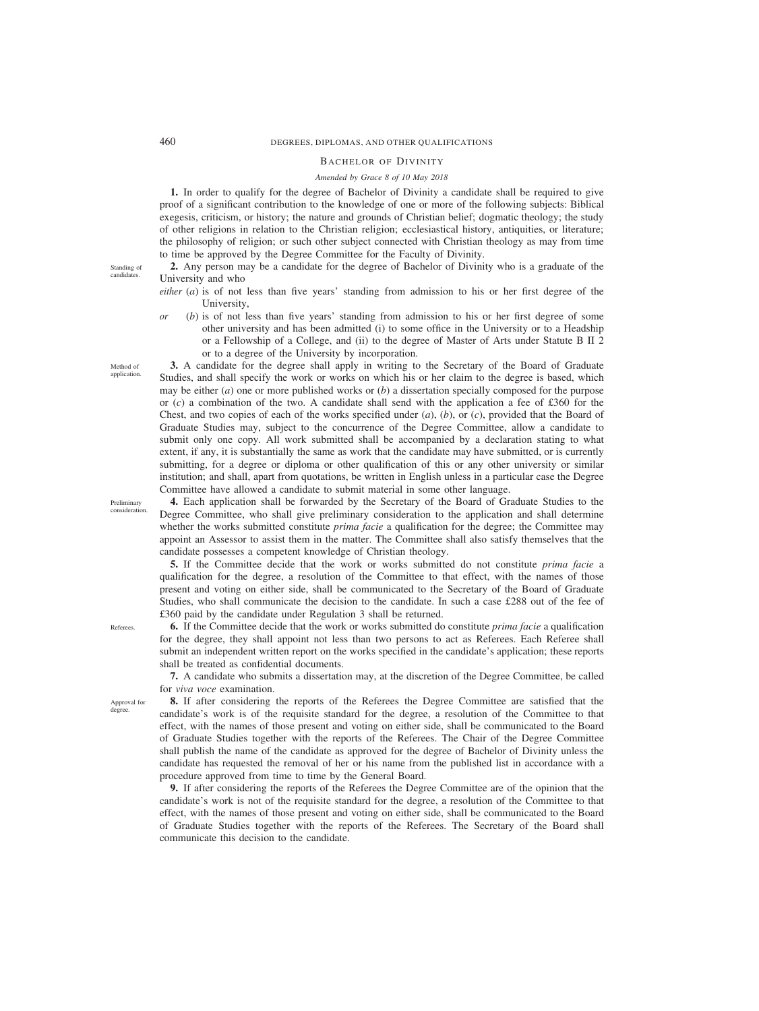# 460 DEGREES, DIPLOMAS, AND OTHER QUALIFICATIONS

# BACHELOR OF DIVINITY

# *Amended by Grace 8 of 10 May 2018*

**1.** In order to qualify for the degree of Bachelor of Divinity a candidate shall be required to give proof of a significant contribution to the knowledge of one or more of the following subjects: Biblical exegesis, criticism, or history; the nature and grounds of Christian belief; dogmatic theology; the study of other religions in relation to the Christian religion; ecclesiastical history, antiquities, or literature; the philosophy of religion; or such other subject connected with Christian theology as may from time to time be approved by the Degree Committee for the Faculty of Divinity.

Standing of candidates.

Method of application.

- **2.** Any person may be a candidate for the degree of Bachelor of Divinity who is a graduate of the University and who
- *either* (*a*) is of not less than five years' standing from admission to his or her first degree of the University,
- *or* (*b*) is of not less than five years' standing from admission to his or her first degree of some other university and has been admitted (i) to some office in the University or to a Headship or a Fellowship of a College, and (ii) to the degree of Master of Arts under Statute B II 2 or to a degree of the University by incorporation.

**3.** A candidate for the degree shall apply in writing to the Secretary of the Board of Graduate Studies, and shall specify the work or works on which his or her claim to the degree is based, which may be either (*a*) one or more published works or (*b*) a dissertation specially composed for the purpose or (*c*) a combination of the two. A candidate shall send with the application a fee of £360 for the Chest, and two copies of each of the works specified under (*a*), (*b*), or (*c*), provided that the Board of Graduate Studies may, subject to the concurrence of the Degree Committee, allow a candidate to submit only one copy. All work submitted shall be accompanied by a declaration stating to what extent, if any, it is substantially the same as work that the candidate may have submitted, or is currently submitting, for a degree or diploma or other qualification of this or any other university or similar institution; and shall, apart from quotations, be written in English unless in a particular case the Degree Committee have allowed a candidate to submit material in some other language.

Preliminary consideration.

**4.** Each application shall be forwarded by the Secretary of the Board of Graduate Studies to the Degree Committee, who shall give preliminary consideration to the application and shall determine whether the works submitted constitute *prima facie* a qualification for the degree; the Committee may appoint an Assessor to assist them in the matter. The Committee shall also satisfy themselves that the candidate possesses a competent knowledge of Christian theology.

**5.** If the Committee decide that the work or works submitted do not constitute *prima facie* a qualification for the degree, a resolution of the Committee to that effect, with the names of those present and voting on either side, shall be communicated to the Secretary of the Board of Graduate Studies, who shall communicate the decision to the candidate. In such a case £288 out of the fee of £360 paid by the candidate under Regulation 3 shall be returned.

**6.** If the Committee decide that the work or works submitted do constitute *prima facie* a qualification for the degree, they shall appoint not less than two persons to act as Referees. Each Referee shall submit an independent written report on the works specified in the candidate's application; these reports shall be treated as confidential documents.

**7.** A candidate who submits a dissertation may, at the discretion of the Degree Committee, be called for *viva voce* examination.

Approval for degree.

Referees.

**8.** If after considering the reports of the Referees the Degree Committee are satisfied that the candidate's work is of the requisite standard for the degree, a resolution of the Committee to that effect, with the names of those present and voting on either side, shall be communicated to the Board of Graduate Studies together with the reports of the Referees. The Chair of the Degree Committee shall publish the name of the candidate as approved for the degree of Bachelor of Divinity unless the candidate has requested the removal of her or his name from the published list in accordance with a

**9.** If after considering the reports of the Referees the Degree Committee are of the opinion that the candidate's work is not of the requisite standard for the degree, a resolution of the Committee to that effect, with the names of those present and voting on either side, shall be communicated to the Board of Graduate Studies together with the reports of the Referees. The Secretary of the Board shall communicate this decision to the candidate.

procedure approved from time to time by the General Board.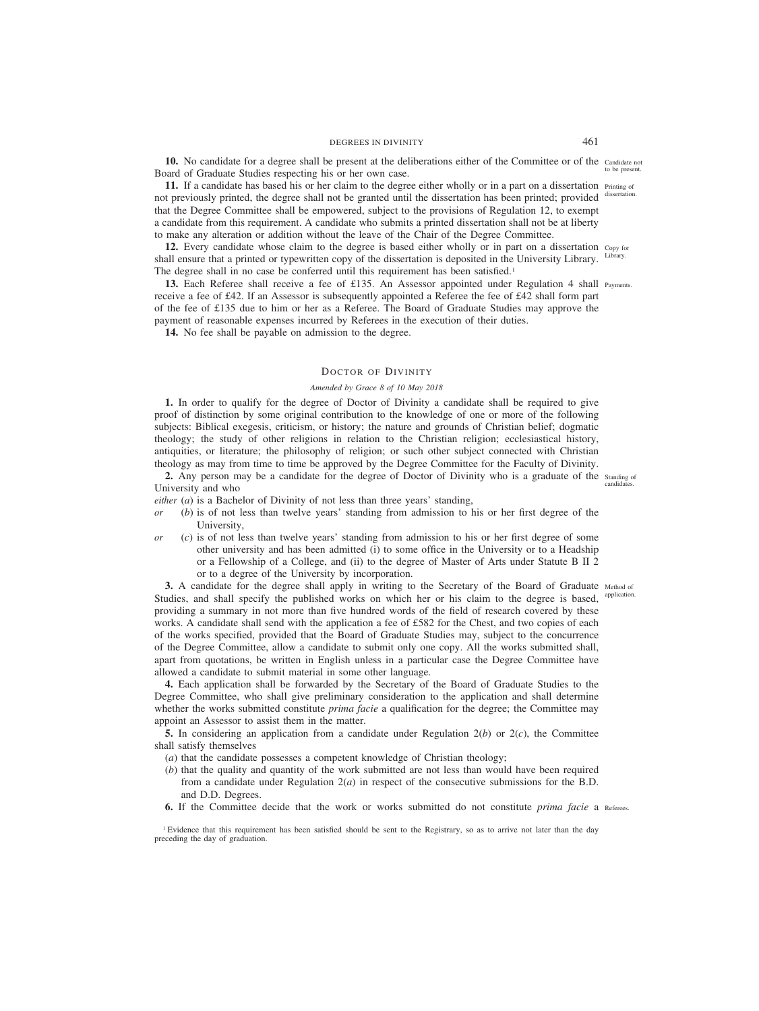10. No candidate for a degree shall be present at the deliberations either of the Committee or of the Candidate not Board of Graduate Studies respecting his or her own case.

**11.** If a candidate has based his or her claim to the degree either wholly or in a part on a dissertation  $P_{\text{rinting of}}$ not previously printed, the degree shall not be granted until the dissertation has been printed; provided dissertation. that the Degree Committee shall be empowered, subject to the provisions of Regulation 12, to exempt a candidate from this requirement. A candidate who submits a printed dissertation shall not be at liberty to make any alteration or addition without the leave of the Chair of the Degree Committee.

12. Every candidate whose claim to the degree is based either wholly or in part on a dissertation copy for shall ensure that a printed or typewritten copy of the dissertation is deposited in the University Library. The degree shall in no case be conferred until this requirement has been satisfied.<sup>1</sup>

**13.** Each Referee shall receive a fee of £135. An Assessor appointed under Regulation 4 shall Payments. receive a fee of £42. If an Assessor is subsequently appointed a Referee the fee of £42 shall form part of the fee of £135 due to him or her as a Referee. The Board of Graduate Studies may approve the payment of reasonable expenses incurred by Referees in the execution of their duties.

**14.** No fee shall be payable on admission to the degree.

## DOCTOR OF DIVINITY

## *Amended by Grace 8 of 10 May 2018*

**1.** In order to qualify for the degree of Doctor of Divinity a candidate shall be required to give proof of distinction by some original contribution to the knowledge of one or more of the following subjects: Biblical exegesis, criticism, or history; the nature and grounds of Christian belief; dogmatic theology; the study of other religions in relation to the Christian religion; ecclesiastical history, antiquities, or literature; the philosophy of religion; or such other subject connected with Christian theology as may from time to time be approved by the Degree Committee for the Faculty of Divinity.

2. Any person may be a candidate for the degree of Doctor of Divinity who is a graduate of the standing of University and who

*either* (*a*) is a Bachelor of Divinity of not less than three years' standing,

- *or* (*b*) is of not less than twelve years' standing from admission to his or her first degree of the University,
- *or* (*c*) is of not less than twelve years' standing from admission to his or her first degree of some other university and has been admitted (i) to some office in the University or to a Headship or a Fellowship of a College, and (ii) to the degree of Master of Arts under Statute B II 2 or to a degree of the University by incorporation.

**3.** A candidate for the degree shall apply in writing to the Secretary of the Board of Graduate Method of Studies, and shall specify the published works on which her or his claim to the degree is based, providing a summary in not more than five hundred words of the field of research covered by these works. A candidate shall send with the application a fee of £582 for the Chest, and two copies of each of the works specified, provided that the Board of Graduate Studies may, subject to the concurrence of the Degree Committee, allow a candidate to submit only one copy. All the works submitted shall, apart from quotations, be written in English unless in a particular case the Degree Committee have allowed a candidate to submit material in some other language.

**4.** Each application shall be forwarded by the Secretary of the Board of Graduate Studies to the Degree Committee, who shall give preliminary consideration to the application and shall determine whether the works submitted constitute *prima facie* a qualification for the degree; the Committee may appoint an Assessor to assist them in the matter.

**5.** In considering an application from a candidate under Regulation 2(*b*) or 2(*c*), the Committee shall satisfy themselves

- (*a*) that the candidate possesses a competent knowledge of Christian theology;
- (*b*) that the quality and quantity of the work submitted are not less than would have been required from a candidate under Regulation  $2(a)$  in respect of the consecutive submissions for the B.D. and D.D. Degrees.
- **6.** If the Committee decide that the work or works submitted do not constitute *prima facie* a Referees.

<sup>1</sup> Evidence that this requirement has been satisfied should be sent to the Registrary, so as to arrive not later than the day preceding the day of graduation.

to be present.

Library.

candidat

application.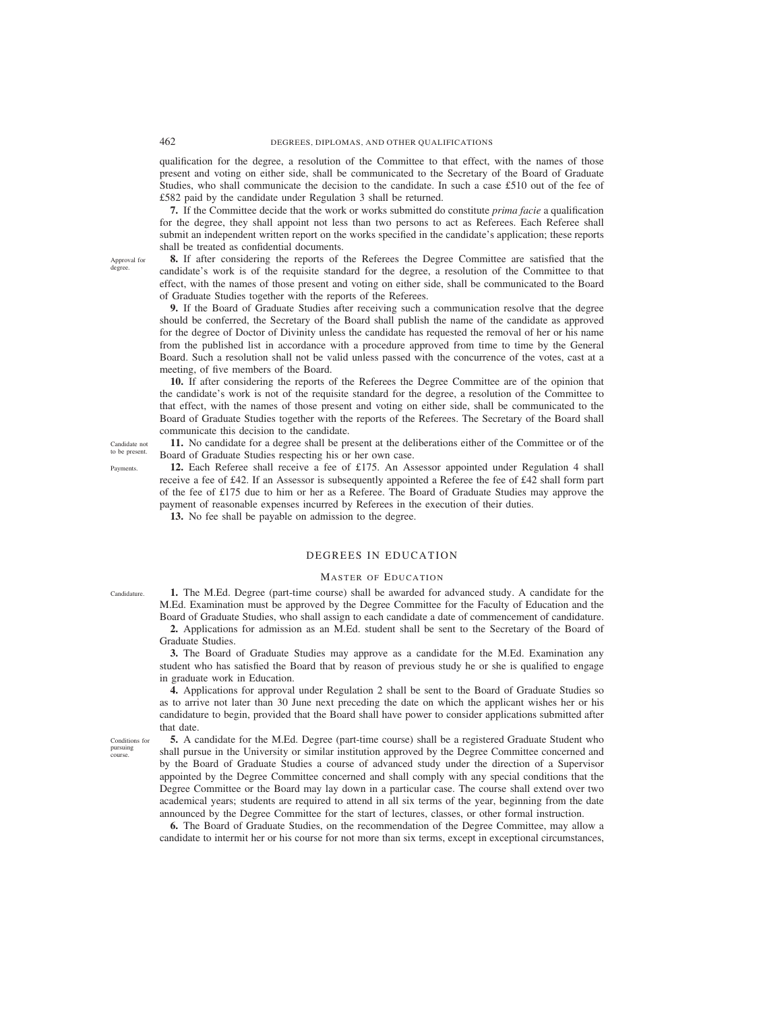qualification for the degree, a resolution of the Committee to that effect, with the names of those present and voting on either side, shall be communicated to the Secretary of the Board of Graduate Studies, who shall communicate the decision to the candidate. In such a case £510 out of the fee of £582 paid by the candidate under Regulation 3 shall be returned.

**7.** If the Committee decide that the work or works submitted do constitute *prima facie* a qualification for the degree, they shall appoint not less than two persons to act as Referees. Each Referee shall submit an independent written report on the works specified in the candidate's application; these reports shall be treated as confidential documents.

**8.** If after considering the reports of the Referees the Degree Committee are satisfied that the candidate's work is of the requisite standard for the degree, a resolution of the Committee to that effect, with the names of those present and voting on either side, shall be communicated to the Board of Graduate Studies together with the reports of the Referees.

**9.** If the Board of Graduate Studies after receiving such a communication resolve that the degree should be conferred, the Secretary of the Board shall publish the name of the candidate as approved for the degree of Doctor of Divinity unless the candidate has requested the removal of her or his name from the published list in accordance with a procedure approved from time to time by the General Board. Such a resolution shall not be valid unless passed with the concurrence of the votes, cast at a meeting, of five members of the Board.

**10.** If after considering the reports of the Referees the Degree Committee are of the opinion that the candidate's work is not of the requisite standard for the degree, a resolution of the Committee to that effect, with the names of those present and voting on either side, shall be communicated to the Board of Graduate Studies together with the reports of the Referees. The Secretary of the Board shall communicate this decision to the candidate.

**11.** No candidate for a degree shall be present at the deliberations either of the Committee or of the Board of Graduate Studies respecting his or her own case.

**12.** Each Referee shall receive a fee of £175. An Assessor appointed under Regulation 4 shall receive a fee of £42. If an Assessor is subsequently appointed a Referee the fee of £42 shall form part of the fee of £175 due to him or her as a Referee. The Board of Graduate Studies may approve the payment of reasonable expenses incurred by Referees in the execution of their duties.

**13.** No fee shall be payable on admission to the degree.

# DEGREES IN EDUCATION

# MASTER OF EDUCATION

**1.** The M.Ed. Degree (part-time course) shall be awarded for advanced study. A candidate for the M.Ed. Examination must be approved by the Degree Committee for the Faculty of Education and the Board of Graduate Studies, who shall assign to each candidate a date of commencement of candidature.

**2.** Applications for admission as an M.Ed. student shall be sent to the Secretary of the Board of Graduate Studies.

**3.** The Board of Graduate Studies may approve as a candidate for the M.Ed. Examination any student who has satisfied the Board that by reason of previous study he or she is qualified to engage in graduate work in Education.

**4.** Applications for approval under Regulation 2 shall be sent to the Board of Graduate Studies so as to arrive not later than 30 June next preceding the date on which the applicant wishes her or his candidature to begin, provided that the Board shall have power to consider applications submitted after that date.

Conditions for pursuing course.

**5.** A candidate for the M.Ed. Degree (part-time course) shall be a registered Graduate Student who shall pursue in the University or similar institution approved by the Degree Committee concerned and by the Board of Graduate Studies a course of advanced study under the direction of a Supervisor appointed by the Degree Committee concerned and shall comply with any special conditions that the Degree Committee or the Board may lay down in a particular case. The course shall extend over two academical years; students are required to attend in all six terms of the year, beginning from the date announced by the Degree Committee for the start of lectures, classes, or other formal instruction.

**6.** The Board of Graduate Studies, on the recommendation of the Degree Committee, may allow a candidate to intermit her or his course for not more than six terms, except in exceptional circumstances,

Candidate not

Approval for degree.

to be present. Payments.

Candidature.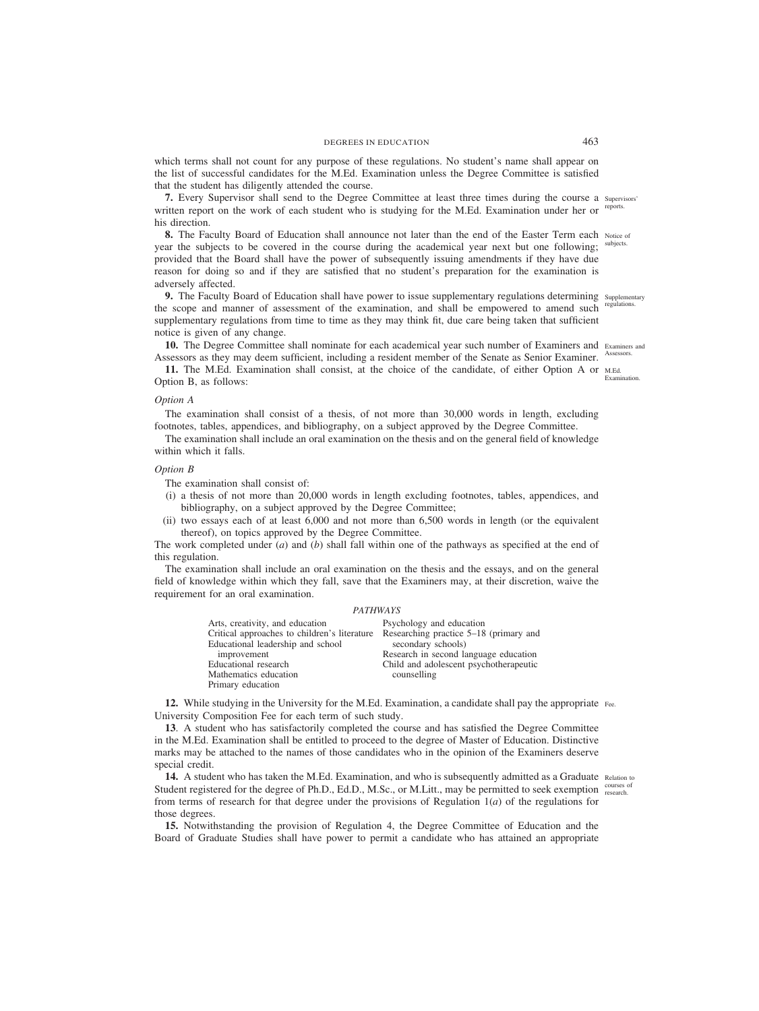which terms shall not count for any purpose of these regulations. No student's name shall appear on the list of successful candidates for the M.Ed. Examination unless the Degree Committee is satisfied that the student has diligently attended the course.

**7.** Every Supervisor shall send to the Degree Committee at least three times during the course a Supervisors' written report on the work of each student who is studying for the M.Ed. Examination under her or his direction. reports.

**8.** The Faculty Board of Education shall announce not later than the end of the Easter Term each Notice of year the subjects to be covered in the course during the academical year next but one following; provided that the Board shall have the power of subsequently issuing amendments if they have due reason for doing so and if they are satisfied that no student's preparation for the examination is adversely affected. subjects.

**9.** The Faculty Board of Education shall have power to issue supplementary regulations determining supplementary the scope and manner of assessment of the examination, and shall be empowered to amend such supplementary regulations from time to time as they may think fit, due care being taken that sufficient notice is given of any change.

10. The Degree Committee shall nominate for each academical year such number of Examiners and Examiners and Assessors as they may deem sufficient, including a resident member of the Senate as Senior Examiner. Assessors.

**11.** The M.Ed. Examination shall consist, at the choice of the candidate, of either Option A or M.Ed. Option B, as follows:

### *Option A*

The examination shall consist of a thesis, of not more than 30,000 words in length, excluding footnotes, tables, appendices, and bibliography, on a subject approved by the Degree Committee.

The examination shall include an oral examination on the thesis and on the general field of knowledge within which it falls.

# *Option B*

The examination shall consist of:

- (i) a thesis of not more than 20,000 words in length excluding footnotes, tables, appendices, and bibliography, on a subject approved by the Degree Committee;
- (ii) two essays each of at least 6,000 and not more than 6,500 words in length (or the equivalent thereof), on topics approved by the Degree Committee.

The work completed under (*a*) and (*b*) shall fall within one of the pathways as specified at the end of this regulation.

The examination shall include an oral examination on the thesis and the essays, and on the general field of knowledge within which they fall, save that the Examiners may, at their discretion, waive the requirement for an oral examination.

## *PATHWAYS*

| Arts, creativity, and education<br>Critical approaches to children's literature | Psychology and education<br>Researching practice 5–18 (primary and |
|---------------------------------------------------------------------------------|--------------------------------------------------------------------|
| Educational leadership and school                                               | secondary schools)                                                 |
| improvement                                                                     | Research in second language education                              |
| Educational research                                                            | Child and adolescent psychotherapeutic                             |
| Mathematics education                                                           | counselling                                                        |
| Primary education                                                               |                                                                    |

**12.** While studying in the University for the M.Ed. Examination, a candidate shall pay the appropriate Fee. University Composition Fee for each term of such study.

**13**. A student who has satisfactorily completed the course and has satisfied the Degree Committee in the M.Ed. Examination shall be entitled to proceed to the degree of Master of Education. Distinctive marks may be attached to the names of those candidates who in the opinion of the Examiners deserve special credit.

14. A student who has taken the M.Ed. Examination, and who is subsequently admitted as a Graduate Relation to Student registered for the degree of Ph.D., Ed.D., M.Sc., or M.Litt., may be permitted to seek exemption courses of from terms of research for that degree under the provisions of Regulation 1(*a*) of the regulations for those degrees.

**15.** Notwithstanding the provision of Regulation 4, the Degree Committee of Education and the Board of Graduate Studies shall have power to permit a candidate who has attained an appropriate

regulations.

Examination.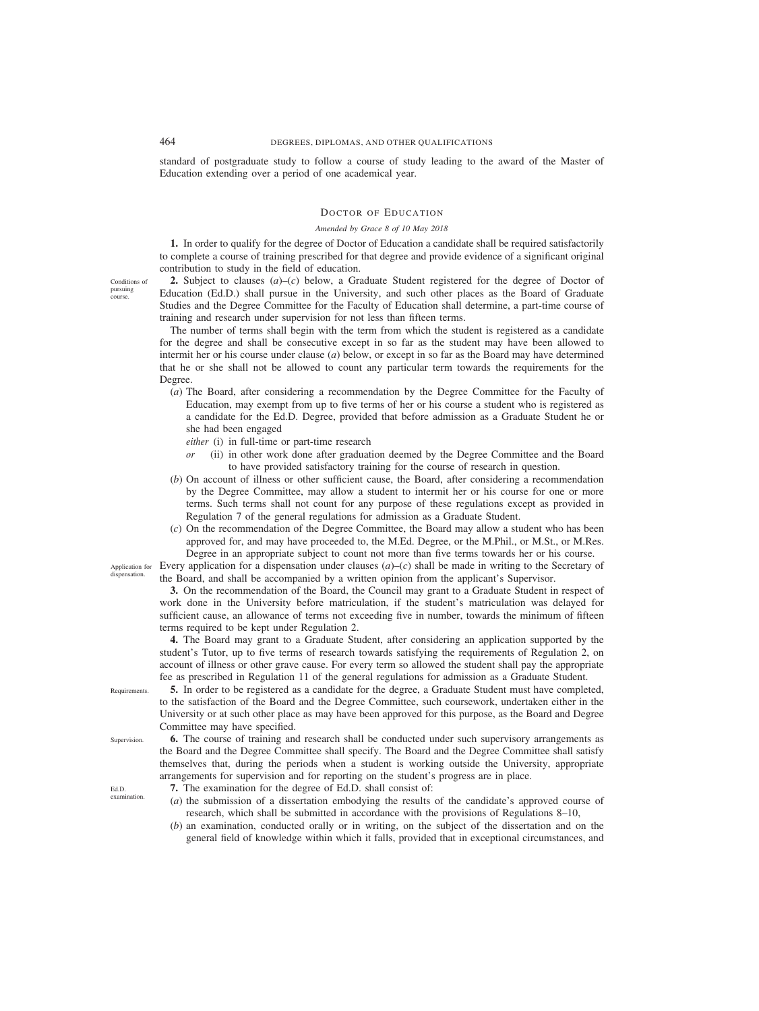standard of postgraduate study to follow a course of study leading to the award of the Master of Education extending over a period of one academical year.

## DOCTOR OF EDUCATION

# *Amended by Grace 8 of 10 May 2018*

**1.** In order to qualify for the degree of Doctor of Education a candidate shall be required satisfactorily to complete a course of training prescribed for that degree and provide evidence of a significant original contribution to study in the field of education.

**2.** Subject to clauses (*a*)–(*c*) below, a Graduate Student registered for the degree of Doctor of Education (Ed.D.) shall pursue in the University, and such other places as the Board of Graduate Studies and the Degree Committee for the Faculty of Education shall determine, a part-time course of training and research under supervision for not less than fifteen terms.

The number of terms shall begin with the term from which the student is registered as a candidate for the degree and shall be consecutive except in so far as the student may have been allowed to intermit her or his course under clause (*a*) below, or except in so far as the Board may have determined that he or she shall not be allowed to count any particular term towards the requirements for the Degree.

- (*a*) The Board, after considering a recommendation by the Degree Committee for the Faculty of Education, may exempt from up to five terms of her or his course a student who is registered as a candidate for the Ed.D. Degree, provided that before admission as a Graduate Student he or she had been engaged
	- *either* (i) in full-time or part-time research
	- *or* (ii) in other work done after graduation deemed by the Degree Committee and the Board to have provided satisfactory training for the course of research in question.
- (*b*) On account of illness or other sufficient cause, the Board, after considering a recommendation by the Degree Committee, may allow a student to intermit her or his course for one or more terms. Such terms shall not count for any purpose of these regulations except as provided in Regulation 7 of the general regulations for admission as a Graduate Student.
- (*c*) On the recommendation of the Degree Committee, the Board may allow a student who has been approved for, and may have proceeded to, the M.Ed. Degree, or the M.Phil., or M.St., or M.Res. Degree in an appropriate subject to count not more than five terms towards her or his course.

Every application for a dispensation under clauses (*a*)–(*c*) shall be made in writing to the Secretary of the Board, and shall be accompanied by a written opinion from the applicant's Supervisor.

**3.** On the recommendation of the Board, the Council may grant to a Graduate Student in respect of work done in the University before matriculation, if the student's matriculation was delayed for sufficient cause, an allowance of terms not exceeding five in number, towards the minimum of fifteen terms required to be kept under Regulation 2.

**4.** The Board may grant to a Graduate Student, after considering an application supported by the student's Tutor, up to five terms of research towards satisfying the requirements of Regulation 2, on account of illness or other grave cause. For every term so allowed the student shall pay the appropriate fee as prescribed in Regulation 11 of the general regulations for admission as a Graduate Student.

**5.** In order to be registered as a candidate for the degree, a Graduate Student must have completed, to the satisfaction of the Board and the Degree Committee, such coursework, undertaken either in the University or at such other place as may have been approved for this purpose, as the Board and Degree Committee may have specified.

**6.** The course of training and research shall be conducted under such supervisory arrangements as the Board and the Degree Committee shall specify. The Board and the Degree Committee shall satisfy themselves that, during the periods when a student is working outside the University, appropriate arrangements for supervision and for reporting on the student's progress are in place.

**7.** The examination for the degree of Ed.D. shall consist of:

- (*a*) the submission of a dissertation embodying the results of the candidate's approved course of research, which shall be submitted in accordance with the provisions of Regulations 8–10,
- (*b*) an examination, conducted orally or in writing, on the subject of the dissertation and on the general field of knowledge within which it falls, provided that in exceptional circumstances, and

Application for dispensation.

Conditions of pursuing course.

Supervision.

Requirements.

Ed.D. examination.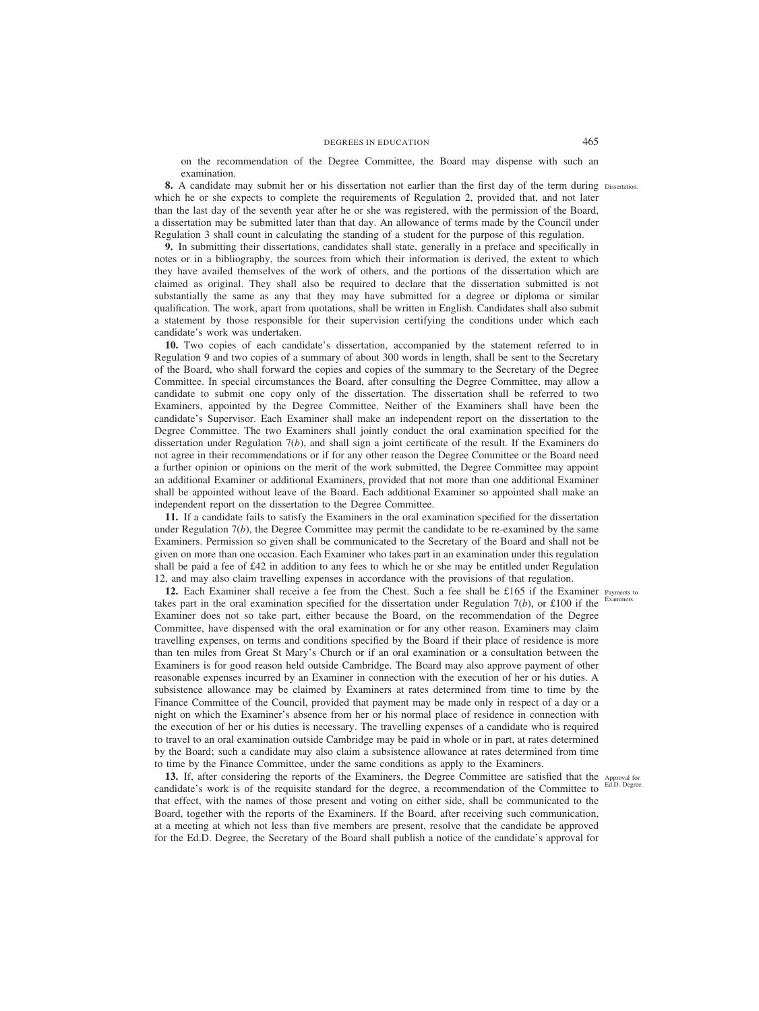on the recommendation of the Degree Committee, the Board may dispense with such an examination.

**8.** A candidate may submit her or his dissertation not earlier than the first day of the term during Dissertation. which he or she expects to complete the requirements of Regulation 2, provided that, and not later than the last day of the seventh year after he or she was registered, with the permission of the Board, a dissertation may be submitted later than that day. An allowance of terms made by the Council under Regulation 3 shall count in calculating the standing of a student for the purpose of this regulation.

**9.** In submitting their dissertations, candidates shall state, generally in a preface and specifically in notes or in a bibliography, the sources from which their information is derived, the extent to which they have availed themselves of the work of others, and the portions of the dissertation which are claimed as original. They shall also be required to declare that the dissertation submitted is not substantially the same as any that they may have submitted for a degree or diploma or similar qualification. The work, apart from quotations, shall be written in English. Candidates shall also submit a statement by those responsible for their supervision certifying the conditions under which each candidate's work was undertaken.

**10.** Two copies of each candidate's dissertation, accompanied by the statement referred to in Regulation 9 and two copies of a summary of about 300 words in length, shall be sent to the Secretary of the Board, who shall forward the copies and copies of the summary to the Secretary of the Degree Committee. In special circumstances the Board, after consulting the Degree Committee, may allow a candidate to submit one copy only of the dissertation. The dissertation shall be referred to two Examiners, appointed by the Degree Committee. Neither of the Examiners shall have been the candidate's Supervisor. Each Examiner shall make an independent report on the dissertation to the Degree Committee. The two Examiners shall jointly conduct the oral examination specified for the dissertation under Regulation 7(*b*), and shall sign a joint certificate of the result. If the Examiners do not agree in their recommendations or if for any other reason the Degree Committee or the Board need a further opinion or opinions on the merit of the work submitted, the Degree Committee may appoint an additional Examiner or additional Examiners, provided that not more than one additional Examiner shall be appointed without leave of the Board. Each additional Examiner so appointed shall make an independent report on the dissertation to the Degree Committee.

**11.** If a candidate fails to satisfy the Examiners in the oral examination specified for the dissertation under Regulation  $7(b)$ , the Degree Committee may permit the candidate to be re-examined by the same Examiners. Permission so given shall be communicated to the Secretary of the Board and shall not be given on more than one occasion. Each Examiner who takes part in an examination under this regulation shall be paid a fee of £42 in addition to any fees to which he or she may be entitled under Regulation 12, and may also claim travelling expenses in accordance with the provisions of that regulation.

12. Each Examiner shall receive a fee from the Chest. Such a fee shall be £165 if the Examiner Payments to takes part in the oral examination specified for the dissertation under Regulation  $7(b)$ , or £100 if the Examiner does not so take part, either because the Board, on the recommendation of the Degree Committee, have dispensed with the oral examination or for any other reason. Examiners may claim travelling expenses, on terms and conditions specified by the Board if their place of residence is more than ten miles from Great St Mary's Church or if an oral examination or a consultation between the Examiners is for good reason held outside Cambridge. The Board may also approve payment of other reasonable expenses incurred by an Examiner in connection with the execution of her or his duties. A subsistence allowance may be claimed by Examiners at rates determined from time to time by the Finance Committee of the Council, provided that payment may be made only in respect of a day or a night on which the Examiner's absence from her or his normal place of residence in connection with the execution of her or his duties is necessary. The travelling expenses of a candidate who is required to travel to an oral examination outside Cambridge may be paid in whole or in part, at rates determined by the Board; such a candidate may also claim a subsistence allowance at rates determined from time to time by the Finance Committee, under the same conditions as apply to the Examiners.

13. If, after considering the reports of the Examiners, the Degree Committee are satisfied that the Approval for candidate's work is of the requisite standard for the degree, a recommendation of the Committee to that effect, with the names of those present and voting on either side, shall be communicated to the Board, together with the reports of the Examiners. If the Board, after receiving such communication, at a meeting at which not less than five members are present, resolve that the candidate be approved for the Ed.D. Degree, the Secretary of the Board shall publish a notice of the candidate's approval for

Examiners.

Ed.D. Degree.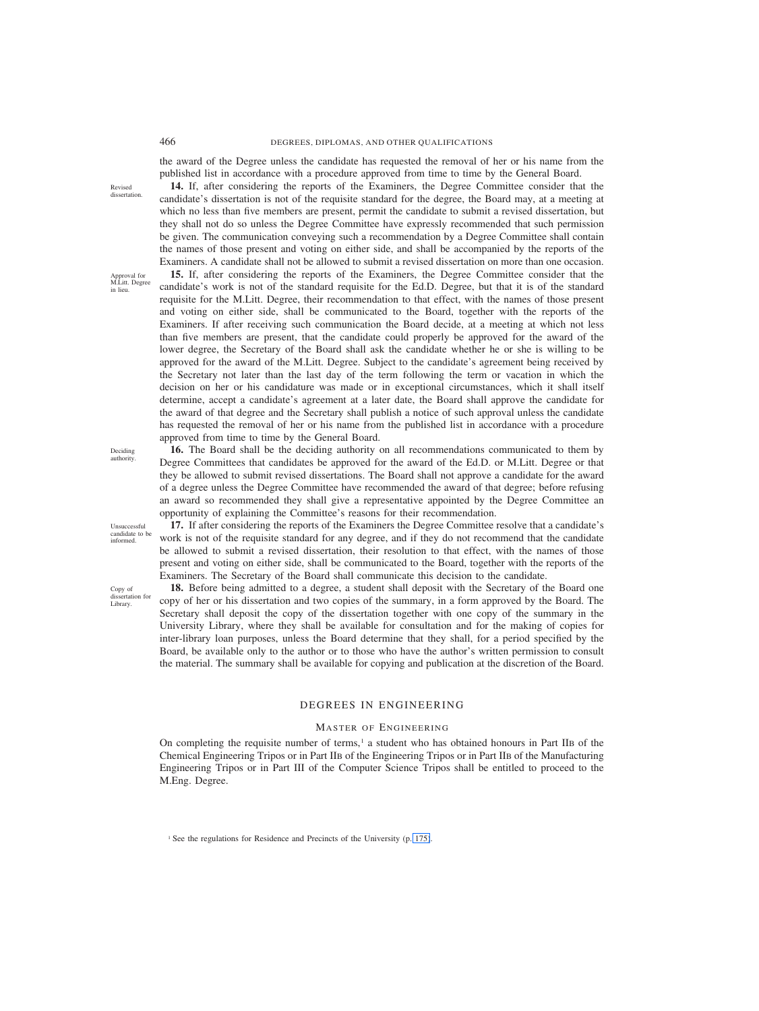Revised dissertation

Approval for M.Litt. Degree in lieu.

## 466 DEGREES, DIPLOMAS, AND OTHER QUALIFICATIONS

the award of the Degree unless the candidate has requested the removal of her or his name from the published list in accordance with a procedure approved from time to time by the General Board.

**14.** If, after considering the reports of the Examiners, the Degree Committee consider that the candidate's dissertation is not of the requisite standard for the degree, the Board may, at a meeting at which no less than five members are present, permit the candidate to submit a revised dissertation, but they shall not do so unless the Degree Committee have expressly recommended that such permission be given. The communication conveying such a recommendation by a Degree Committee shall contain the names of those present and voting on either side, and shall be accompanied by the reports of the Examiners. A candidate shall not be allowed to submit a revised dissertation on more than one occasion. **15.** If, after considering the reports of the Examiners, the Degree Committee consider that the candidate's work is not of the standard requisite for the Ed.D. Degree, but that it is of the standard requisite for the M.Litt. Degree, their recommendation to that effect, with the names of those present and voting on either side, shall be communicated to the Board, together with the reports of the Examiners. If after receiving such communication the Board decide, at a meeting at which not less than five members are present, that the candidate could properly be approved for the award of the lower degree, the Secretary of the Board shall ask the candidate whether he or she is willing to be approved for the award of the M.Litt. Degree. Subject to the candidate's agreement being received by the Secretary not later than the last day of the term following the term or vacation in which the decision on her or his candidature was made or in exceptional circumstances, which it shall itself determine, accept a candidate's agreement at a later date, the Board shall approve the candidate for the award of that degree and the Secretary shall publish a notice of such approval unless the candidate has requested the removal of her or his name from the published list in accordance with a procedure approved from time to time by the General Board.

Deciding authority.

Unsuccessful candidate to be informed.

Copy of dissertation for Library.

**16.** The Board shall be the deciding authority on all recommendations communicated to them by Degree Committees that candidates be approved for the award of the Ed.D. or M.Litt. Degree or that they be allowed to submit revised dissertations. The Board shall not approve a candidate for the award of a degree unless the Degree Committee have recommended the award of that degree; before refusing an award so recommended they shall give a representative appointed by the Degree Committee an opportunity of explaining the Committee's reasons for their recommendation.

**17.** If after considering the reports of the Examiners the Degree Committee resolve that a candidate's work is not of the requisite standard for any degree, and if they do not recommend that the candidate be allowed to submit a revised dissertation, their resolution to that effect, with the names of those present and voting on either side, shall be communicated to the Board, together with the reports of the Examiners. The Secretary of the Board shall communicate this decision to the candidate.

**18.** Before being admitted to a degree, a student shall deposit with the Secretary of the Board one copy of her or his dissertation and two copies of the summary, in a form approved by the Board. The Secretary shall deposit the copy of the dissertation together with one copy of the summary in the University Library, where they shall be available for consultation and for the making of copies for inter-library loan purposes, unless the Board determine that they shall, for a period specified by the Board, be available only to the author or to those who have the author's written permission to consult the material. The summary shall be available for copying and publication at the discretion of the Board.

# DEGREES IN ENGINEERING

## MASTER OF ENGINEERING

On completing the requisite number of terms, $\frac{1}{1}$  a student who has obtained honours in Part IIB of the Chemical Engineering Tripos or in Part IIB of the Engineering Tripos or in Part IIB of the Manufacturing Engineering Tripos or in Part III of the Computer Science Tripos shall be entitled to proceed to the M.Eng. Degree.

<sup>1</sup> See the regulations for Residence and Precincts of the University (p. 175).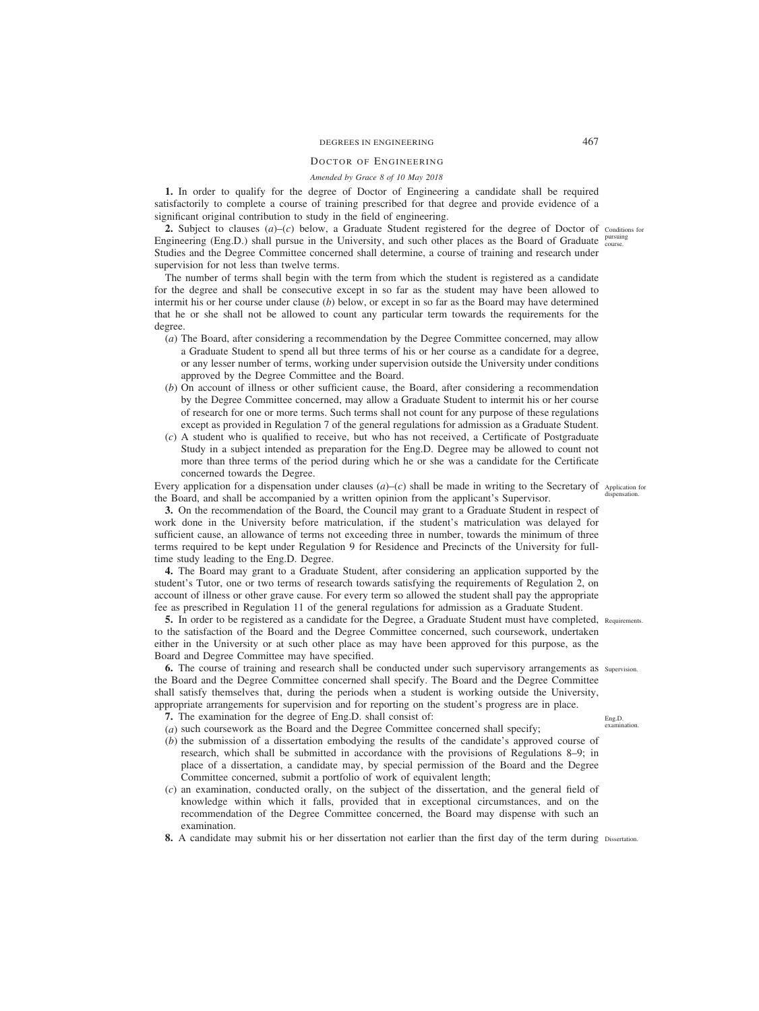# DEGREES IN ENGINEERING 467

# DOCTOR OF ENGINEERING

# *Amended by Grace 8 of 10 May 2018*

**1.** In order to qualify for the degree of Doctor of Engineering a candidate shall be required satisfactorily to complete a course of training prescribed for that degree and provide evidence of a significant original contribution to study in the field of engineering.

2. Subject to clauses  $(a)$ –(*c*) below, a Graduate Student registered for the degree of Doctor of conditions for Engineering (Eng.D.) shall pursue in the University, and such other places as the Board of Graduate pursuing Studies and the Degree Committee concerned shall determine, a course of training and research under supervision for not less than twelve terms.

The number of terms shall begin with the term from which the student is registered as a candidate for the degree and shall be consecutive except in so far as the student may have been allowed to intermit his or her course under clause (*b*) below, or except in so far as the Board may have determined that he or she shall not be allowed to count any particular term towards the requirements for the degree.

- (*a*) The Board, after considering a recommendation by the Degree Committee concerned, may allow a Graduate Student to spend all but three terms of his or her course as a candidate for a degree, or any lesser number of terms, working under supervision outside the University under conditions approved by the Degree Committee and the Board.
- (*b*) On account of illness or other sufficient cause, the Board, after considering a recommendation by the Degree Committee concerned, may allow a Graduate Student to intermit his or her course of research for one or more terms. Such terms shall not count for any purpose of these regulations except as provided in Regulation 7 of the general regulations for admission as a Graduate Student.
- (*c*) A student who is qualified to receive, but who has not received, a Certificate of Postgraduate Study in a subject intended as preparation for the Eng.D. Degree may be allowed to count not more than three terms of the period during which he or she was a candidate for the Certificate concerned towards the Degree.

Every application for a dispensation under clauses (*a*)*–*(*c*) shall be made in writing to the Secretary of Application for the Board, and shall be accompanied by a written opinion from the applicant's Supervisor.

**3.** On the recommendation of the Board, the Council may grant to a Graduate Student in respect of work done in the University before matriculation, if the student's matriculation was delayed for sufficient cause, an allowance of terms not exceeding three in number, towards the minimum of three terms required to be kept under Regulation 9 for Residence and Precincts of the University for fulltime study leading to the Eng.D. Degree.

**4.** The Board may grant to a Graduate Student, after considering an application supported by the student's Tutor, one or two terms of research towards satisfying the requirements of Regulation 2, on account of illness or other grave cause. For every term so allowed the student shall pay the appropriate fee as prescribed in Regulation 11 of the general regulations for admission as a Graduate Student.

**5.** In order to be registered as a candidate for the Degree, a Graduate Student must have completed, Requirements. to the satisfaction of the Board and the Degree Committee concerned, such coursework, undertaken either in the University or at such other place as may have been approved for this purpose, as the Board and Degree Committee may have specified.

**6.** The course of training and research shall be conducted under such supervisory arrangements as supervision. the Board and the Degree Committee concerned shall specify. The Board and the Degree Committee shall satisfy themselves that, during the periods when a student is working outside the University, appropriate arrangements for supervision and for reporting on the student's progress are in place.

**7.** The examination for the degree of Eng.D. shall consist of:

- (*a*) such coursework as the Board and the Degree Committee concerned shall specify;
- (*b*) the submission of a dissertation embodying the results of the candidate's approved course of research, which shall be submitted in accordance with the provisions of Regulations 8–9; in place of a dissertation, a candidate may, by special permission of the Board and the Degree Committee concerned, submit a portfolio of work of equivalent length;
- (*c*) an examination, conducted orally, on the subject of the dissertation, and the general field of knowledge within which it falls, provided that in exceptional circumstances, and on the recommendation of the Degree Committee concerned, the Board may dispense with such an examination.
- **8.** A candidate may submit his or her dissertation not earlier than the first day of the term during Dissertation.

dispensation.

Eng.D. examination.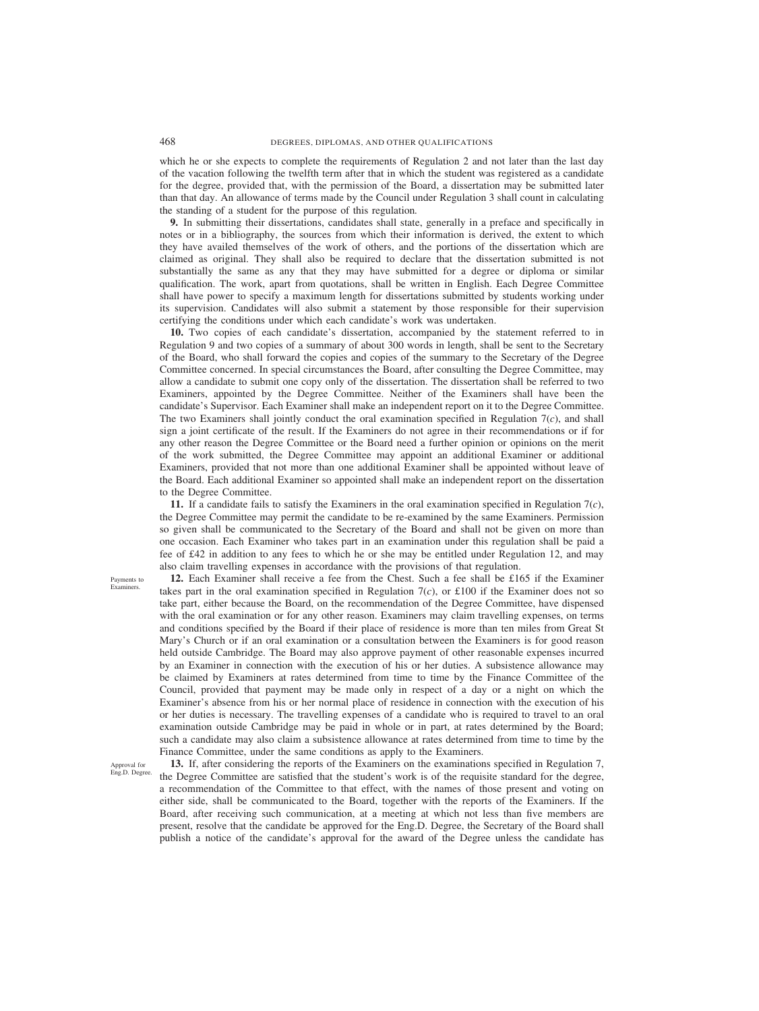which he or she expects to complete the requirements of Regulation 2 and not later than the last day of the vacation following the twelfth term after that in which the student was registered as a candidate for the degree, provided that, with the permission of the Board, a dissertation may be submitted later than that day. An allowance of terms made by the Council under Regulation 3 shall count in calculating the standing of a student for the purpose of this regulation*.*

**9.** In submitting their dissertations, candidates shall state, generally in a preface and specifically in notes or in a bibliography, the sources from which their information is derived, the extent to which they have availed themselves of the work of others, and the portions of the dissertation which are claimed as original. They shall also be required to declare that the dissertation submitted is not substantially the same as any that they may have submitted for a degree or diploma or similar qualification. The work, apart from quotations, shall be written in English. Each Degree Committee shall have power to specify a maximum length for dissertations submitted by students working under its supervision. Candidates will also submit a statement by those responsible for their supervision certifying the conditions under which each candidate's work was undertaken.

**10.** Two copies of each candidate's dissertation, accompanied by the statement referred to in Regulation 9 and two copies of a summary of about 300 words in length, shall be sent to the Secretary of the Board, who shall forward the copies and copies of the summary to the Secretary of the Degree Committee concerned. In special circumstances the Board, after consulting the Degree Committee, may allow a candidate to submit one copy only of the dissertation. The dissertation shall be referred to two Examiners, appointed by the Degree Committee. Neither of the Examiners shall have been the candidate's Supervisor. Each Examiner shall make an independent report on it to the Degree Committee. The two Examiners shall jointly conduct the oral examination specified in Regulation 7(*c*), and shall sign a joint certificate of the result. If the Examiners do not agree in their recommendations or if for any other reason the Degree Committee or the Board need a further opinion or opinions on the merit of the work submitted, the Degree Committee may appoint an additional Examiner or additional Examiners, provided that not more than one additional Examiner shall be appointed without leave of the Board. Each additional Examiner so appointed shall make an independent report on the dissertation to the Degree Committee.

**11.** If a candidate fails to satisfy the Examiners in the oral examination specified in Regulation 7(*c*), the Degree Committee may permit the candidate to be re-examined by the same Examiners. Permission so given shall be communicated to the Secretary of the Board and shall not be given on more than one occasion. Each Examiner who takes part in an examination under this regulation shall be paid a fee of £42 in addition to any fees to which he or she may be entitled under Regulation 12, and may also claim travelling expenses in accordance with the provisions of that regulation.

**12.** Each Examiner shall receive a fee from the Chest. Such a fee shall be £165 if the Examiner takes part in the oral examination specified in Regulation  $7(c)$ , or £100 if the Examiner does not so take part, either because the Board, on the recommendation of the Degree Committee, have dispensed with the oral examination or for any other reason. Examiners may claim travelling expenses, on terms and conditions specified by the Board if their place of residence is more than ten miles from Great St Mary's Church or if an oral examination or a consultation between the Examiners is for good reason held outside Cambridge. The Board may also approve payment of other reasonable expenses incurred by an Examiner in connection with the execution of his or her duties. A subsistence allowance may be claimed by Examiners at rates determined from time to time by the Finance Committee of the Council, provided that payment may be made only in respect of a day or a night on which the Examiner's absence from his or her normal place of residence in connection with the execution of his or her duties is necessary. The travelling expenses of a candidate who is required to travel to an oral examination outside Cambridge may be paid in whole or in part, at rates determined by the Board; such a candidate may also claim a subsistence allowance at rates determined from time to time by the Finance Committee, under the same conditions as apply to the Examiners.

Approval for Eng.D. Degree.

Payments to Examiners.

> **13.** If, after considering the reports of the Examiners on the examinations specified in Regulation 7, the Degree Committee are satisfied that the student's work is of the requisite standard for the degree, a recommendation of the Committee to that effect, with the names of those present and voting on either side, shall be communicated to the Board, together with the reports of the Examiners. If the Board, after receiving such communication, at a meeting at which not less than five members are present, resolve that the candidate be approved for the Eng.D. Degree, the Secretary of the Board shall publish a notice of the candidate's approval for the award of the Degree unless the candidate has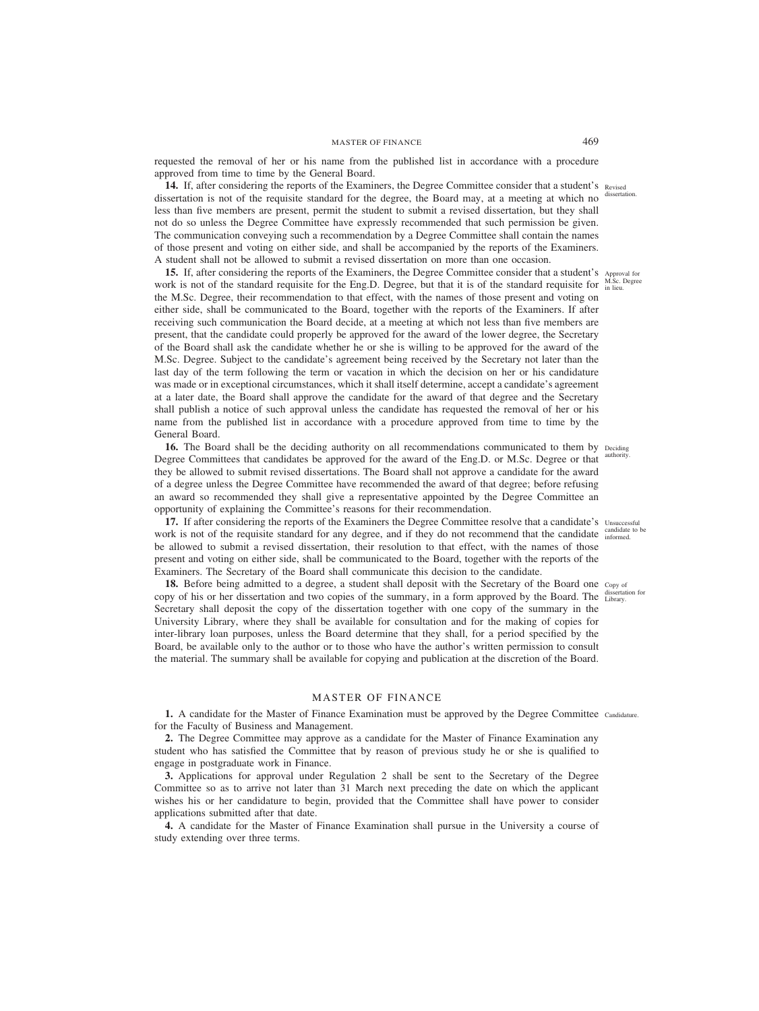requested the removal of her or his name from the published list in accordance with a procedure approved from time to time by the General Board.

14. If, after considering the reports of the Examiners, the Degree Committee consider that a student's Revised dissertation is not of the requisite standard for the degree, the Board may, at a meeting at which no less than five members are present, permit the student to submit a revised dissertation, but they shall not do so unless the Degree Committee have expressly recommended that such permission be given. The communication conveying such a recommendation by a Degree Committee shall contain the names of those present and voting on either side, and shall be accompanied by the reports of the Examiners. A student shall not be allowed to submit a revised dissertation on more than one occasion.

**15.** If, after considering the reports of the Examiners, the Degree Committee consider that a student's Approval for work is not of the standard requisite for the Eng.D. Degree, but that it is of the standard requisite for  $\frac{M.SC}{in$  lieu. the M.Sc. Degree, their recommendation to that effect, with the names of those present and voting on either side, shall be communicated to the Board, together with the reports of the Examiners. If after receiving such communication the Board decide, at a meeting at which not less than five members are present, that the candidate could properly be approved for the award of the lower degree, the Secretary of the Board shall ask the candidate whether he or she is willing to be approved for the award of the M.Sc. Degree. Subject to the candidate's agreement being received by the Secretary not later than the last day of the term following the term or vacation in which the decision on her or his candidature was made or in exceptional circumstances, which it shall itself determine, accept a candidate's agreement at a later date, the Board shall approve the candidate for the award of that degree and the Secretary shall publish a notice of such approval unless the candidate has requested the removal of her or his name from the published list in accordance with a procedure approved from time to time by the General Board.

16. The Board shall be the deciding authority on all recommendations communicated to them by Deciding Degree Committees that candidates be approved for the award of the Eng.D. or M.Sc. Degree or that they be allowed to submit revised dissertations. The Board shall not approve a candidate for the award of a degree unless the Degree Committee have recommended the award of that degree; before refusing an award so recommended they shall give a representative appointed by the Degree Committee an opportunity of explaining the Committee's reasons for their recommendation.

**17.** If after considering the reports of the Examiners the Degree Committee resolve that a candidate's Unsuccessful work is not of the requisite standard for any degree, and if they do not recommend that the candidate  $\frac{100 \text{ radine}}{100 \text{ radine}}$ be allowed to submit a revised dissertation, their resolution to that effect, with the names of those present and voting on either side, shall be communicated to the Board, together with the reports of the Examiners. The Secretary of the Board shall communicate this decision to the candidate.

18. Before being admitted to a degree, a student shall deposit with the Secretary of the Board one copy of copy of his or her dissertation and two copies of the summary, in a form approved by the Board. The usserial Secretary shall deposit the copy of the dissertation together with one copy of the summary in the University Library, where they shall be available for consultation and for the making of copies for inter-library loan purposes, unless the Board determine that they shall, for a period specified by the Board, be available only to the author or to those who have the author's written permission to consult the material. The summary shall be available for copying and publication at the discretion of the Board.

## MASTER OF FINANCE

1. A candidate for the Master of Finance Examination must be approved by the Degree Committee Candidature. for the Faculty of Business and Management.

**2.** The Degree Committee may approve as a candidate for the Master of Finance Examination any student who has satisfied the Committee that by reason of previous study he or she is qualified to engage in postgraduate work in Finance.

**3.** Applications for approval under Regulation 2 shall be sent to the Secretary of the Degree Committee so as to arrive not later than 31 March next preceding the date on which the applicant wishes his or her candidature to begin, provided that the Committee shall have power to consider applications submitted after that date.

**4.** A candidate for the Master of Finance Examination shall pursue in the University a course of study extending over three terms.

dissertation.

authority.

andidate to be

dissertation for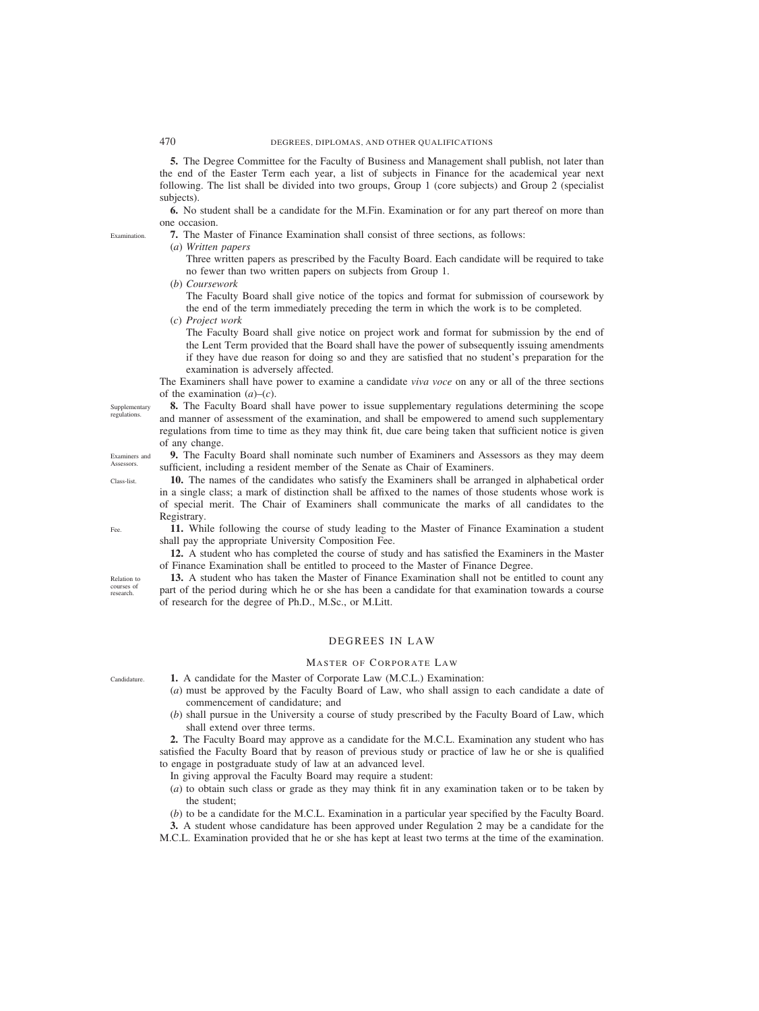**5.** The Degree Committee for the Faculty of Business and Management shall publish, not later than the end of the Easter Term each year, a list of subjects in Finance for the academical year next following. The list shall be divided into two groups, Group 1 (core subjects) and Group 2 (specialist subjects).

**6.** No student shall be a candidate for the M.Fin. Examination or for any part thereof on more than one occasion.

**7.** The Master of Finance Examination shall consist of three sections, as follows:

(*a*) *Written papers*

Three written papers as prescribed by the Faculty Board. Each candidate will be required to take no fewer than two written papers on subjects from Group 1.

(*b*) *Coursework*

The Faculty Board shall give notice of the topics and format for submission of coursework by the end of the term immediately preceding the term in which the work is to be completed.

(*c*) *Project work*

The Faculty Board shall give notice on project work and format for submission by the end of the Lent Term provided that the Board shall have the power of subsequently issuing amendments if they have due reason for doing so and they are satisfied that no student's preparation for the examination is adversely affected.

The Examiners shall have power to examine a candidate *viva voce* on any or all of the three sections of the examination  $(a)$ – $(c)$ .

**8.** The Faculty Board shall have power to issue supplementary regulations determining the scope and manner of assessment of the examination, and shall be empowered to amend such supplementary regulations from time to time as they may think fit, due care being taken that sufficient notice is given of any change. **Supplementary** 

**9.** The Faculty Board shall nominate such number of Examiners and Assessors as they may deem sufficient, including a resident member of the Senate as Chair of Examiners. Examiners and

**10.** The names of the candidates who satisfy the Examiners shall be arranged in alphabetical order in a single class; a mark of distinction shall be affixed to the names of those students whose work is of special merit. The Chair of Examiners shall communicate the marks of all candidates to the Registrary.

**11.** While following the course of study leading to the Master of Finance Examination a student shall pay the appropriate University Composition Fee.

**12.** A student who has completed the course of study and has satisfied the Examiners in the Master of Finance Examination shall be entitled to proceed to the Master of Finance Degree.

**13.** A student who has taken the Master of Finance Examination shall not be entitled to count any part of the period during which he or she has been a candidate for that examination towards a course of research for the degree of Ph.D., M.Sc., or M.Litt.

# DEGREES IN LAW

## MASTER OF CORPORATE LAW

**1.** A candidate for the Master of Corporate Law (M.C.L.) Examination:

- (*a*) must be approved by the Faculty Board of Law, who shall assign to each candidate a date of commencement of candidature; and
- (*b*) shall pursue in the University a course of study prescribed by the Faculty Board of Law, which shall extend over three terms.

**2.** The Faculty Board may approve as a candidate for the M.C.L. Examination any student who has satisfied the Faculty Board that by reason of previous study or practice of law he or she is qualified to engage in postgraduate study of law at an advanced level.

- In giving approval the Faculty Board may require a student:
- (*a*) to obtain such class or grade as they may think fit in any examination taken or to be taken by the student;
- (*b*) to be a candidate for the M.C.L. Examination in a particular year specified by the Faculty Board.

**3.** A student whose candidature has been approved under Regulation 2 may be a candidate for the

M.C.L. Examination provided that he or she has kept at least two terms at the time of the examination.

regulations.

Assessors. Class-list.

Fee.

Relation to courses of research.

Candidature.

Examination.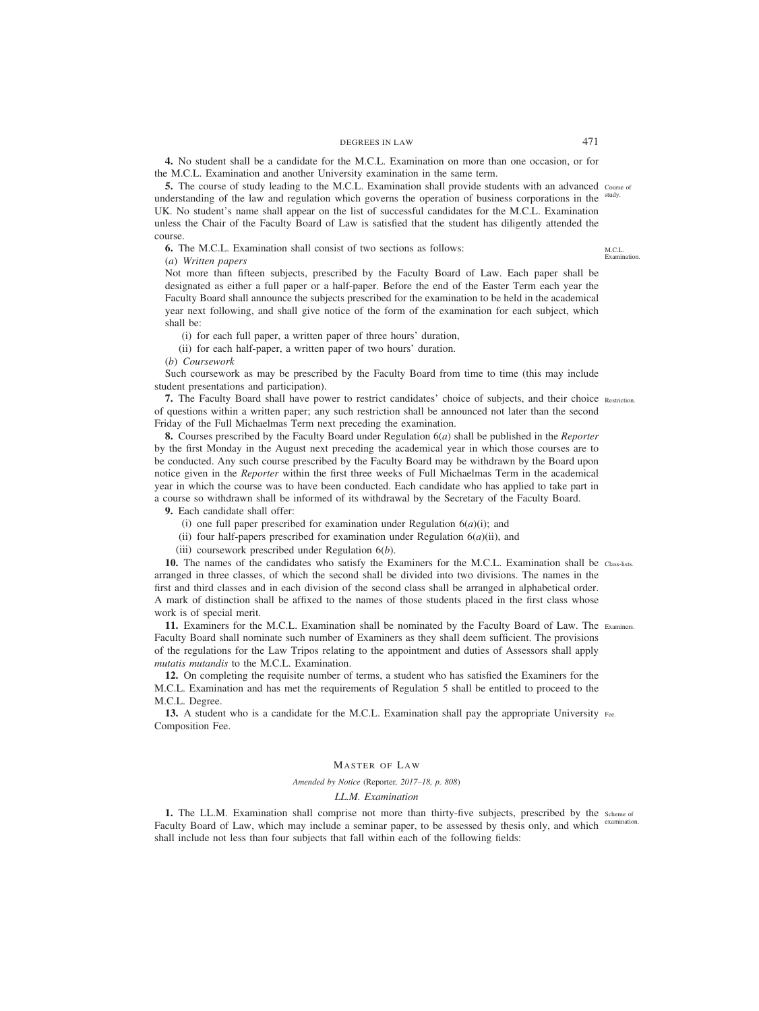## DEGREES IN LAW 471

**4.** No student shall be a candidate for the M.C.L. Examination on more than one occasion, or for the M.C.L. Examination and another University examination in the same term.

**5.** The course of study leading to the M.C.L. Examination shall provide students with an advanced course of understanding of the law and regulation which governs the operation of business corporations in the study. UK. No student's name shall appear on the list of successful candidates for the M.C.L. Examination unless the Chair of the Faculty Board of Law is satisfied that the student has diligently attended the course.

**6.** The M.C.L. Examination shall consist of two sections as follows:

(*a*) *Written papers*

Not more than fifteen subjects, prescribed by the Faculty Board of Law. Each paper shall be designated as either a full paper or a half-paper. Before the end of the Easter Term each year the Faculty Board shall announce the subjects prescribed for the examination to be held in the academical year next following, and shall give notice of the form of the examination for each subject, which shall be:

(i) for each full paper, a written paper of three hours' duration,

(ii) for each half-paper, a written paper of two hours' duration.

(*b*) *Coursework*

Such coursework as may be prescribed by the Faculty Board from time to time (this may include student presentations and participation).

**7.** The Faculty Board shall have power to restrict candidates' choice of subjects, and their choice Restriction. of questions within a written paper; any such restriction shall be announced not later than the second Friday of the Full Michaelmas Term next preceding the examination.

**8.** Courses prescribed by the Faculty Board under Regulation 6(*a*) shall be published in the *Reporter* by the first Monday in the August next preceding the academical year in which those courses are to be conducted. Any such course prescribed by the Faculty Board may be withdrawn by the Board upon notice given in the *Reporter* within the first three weeks of Full Michaelmas Term in the academical year in which the course was to have been conducted. Each candidate who has applied to take part in a course so withdrawn shall be informed of its withdrawal by the Secretary of the Faculty Board.

**9.** Each candidate shall offer:

- (i) one full paper prescribed for examination under Regulation  $6(a)(i)$ ; and
- (ii) four half-papers prescribed for examination under Regulation  $6(a)(ii)$ , and

(iii) coursework prescribed under Regulation 6(*b*).

**10.** The names of the candidates who satisfy the Examiners for the M.C.L. Examination shall be Class-lists. arranged in three classes, of which the second shall be divided into two divisions. The names in the first and third classes and in each division of the second class shall be arranged in alphabetical order. A mark of distinction shall be affixed to the names of those students placed in the first class whose work is of special merit.

**11.** Examiners for the M.C.L. Examination shall be nominated by the Faculty Board of Law. The Examiners. Faculty Board shall nominate such number of Examiners as they shall deem sufficient. The provisions of the regulations for the Law Tripos relating to the appointment and duties of Assessors shall apply *mutatis mutandis* to the M.C.L. Examination.

**12.** On completing the requisite number of terms, a student who has satisfied the Examiners for the M.C.L. Examination and has met the requirements of Regulation 5 shall be entitled to proceed to the M.C.L. Degree.

**13.** A student who is a candidate for the M.C.L. Examination shall pay the appropriate University Fee. Composition Fee.

## MASTER OF LAW

*Amended by Notice (*Reporter*, 2017–18, p. 808)*

## *LL.M. Examination*

1. The LL.M. Examination shall comprise not more than thirty-five subjects, prescribed by the scheme of Faculty Board of Law, which may include a seminar paper, to be assessed by thesis only, and which examination. shall include not less than four subjects that fall within each of the following fields:

M.C.L. Examination.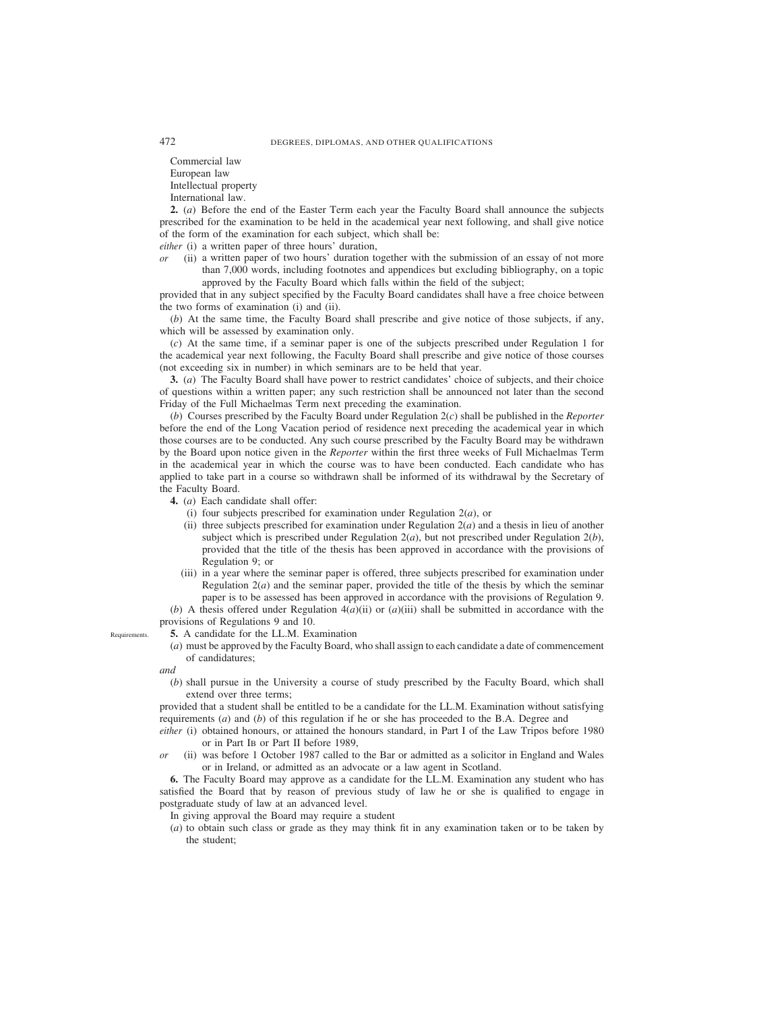Commercial law European law Intellectual property International law.

**2.** (*a*) Before the end of the Easter Term each year the Faculty Board shall announce the subjects prescribed for the examination to be held in the academical year next following, and shall give notice of the form of the examination for each subject, which shall be:

*either* (i) a written paper of three hours' duration,

*or* (ii) a written paper of two hours' duration together with the submission of an essay of not more than 7,000 words, including footnotes and appendices but excluding bibliography, on a topic approved by the Faculty Board which falls within the field of the subject;

provided that in any subject specified by the Faculty Board candidates shall have a free choice between the two forms of examination (i) and (ii).

(*b*) At the same time, the Faculty Board shall prescribe and give notice of those subjects, if any, which will be assessed by examination only.

(*c*) At the same time, if a seminar paper is one of the subjects prescribed under Regulation 1 for the academical year next following, the Faculty Board shall prescribe and give notice of those courses (not exceeding six in number) in which seminars are to be held that year.

**3.** (*a*) The Faculty Board shall have power to restrict candidates' choice of subjects, and their choice of questions within a written paper; any such restriction shall be announced not later than the second Friday of the Full Michaelmas Term next preceding the examination.

(*b*) Courses prescribed by the Faculty Board under Regulation 2(*c*) shall be published in the *Reporter* before the end of the Long Vacation period of residence next preceding the academical year in which those courses are to be conducted. Any such course prescribed by the Faculty Board may be withdrawn by the Board upon notice given in the *Reporter* within the first three weeks of Full Michaelmas Term in the academical year in which the course was to have been conducted. Each candidate who has applied to take part in a course so withdrawn shall be informed of its withdrawal by the Secretary of the Faculty Board.

**4.** (*a*) Each candidate shall offer:

- (i) four subjects prescribed for examination under Regulation 2(*a*), or
- (ii) three subjects prescribed for examination under Regulation  $2(a)$  and a thesis in lieu of another subject which is prescribed under Regulation  $2(a)$ , but not prescribed under Regulation  $2(b)$ , provided that the title of the thesis has been approved in accordance with the provisions of Regulation 9; or
- (iii) in a year where the seminar paper is offered, three subjects prescribed for examination under Regulation 2(*a*) and the seminar paper, provided the title of the thesis by which the seminar paper is to be assessed has been approved in accordance with the provisions of Regulation 9.

(*b*) A thesis offered under Regulation 4(*a*)(ii) or (*a*)(iii) shall be submitted in accordance with the provisions of Regulations 9 and 10.

**5.** A candidate for the LL.M. Examination

(*a*) must be approved by the Faculty Board, who shall assign to each candidate a date of commencement of candidatures;

*and*

**Requirements** 

(*b*) shall pursue in the University a course of study prescribed by the Faculty Board, which shall extend over three terms;

provided that a student shall be entitled to be a candidate for the LL.M. Examination without satisfying requirements (*a*) and (*b*) of this regulation if he or she has proceeded to the B.A. Degree and

- *either* (i) obtained honours, or attained the honours standard, in Part I of the Law Tripos before 1980 or in Part IB or Part II before 1989,
- *or* (ii) was before 1 October 1987 called to the Bar or admitted as a solicitor in England and Wales or in Ireland, or admitted as an advocate or a law agent in Scotland.

**6.** The Faculty Board may approve as a candidate for the LL.M. Examination any student who has satisfied the Board that by reason of previous study of law he or she is qualified to engage in postgraduate study of law at an advanced level.

In giving approval the Board may require a student

(*a*) to obtain such class or grade as they may think fit in any examination taken or to be taken by the student;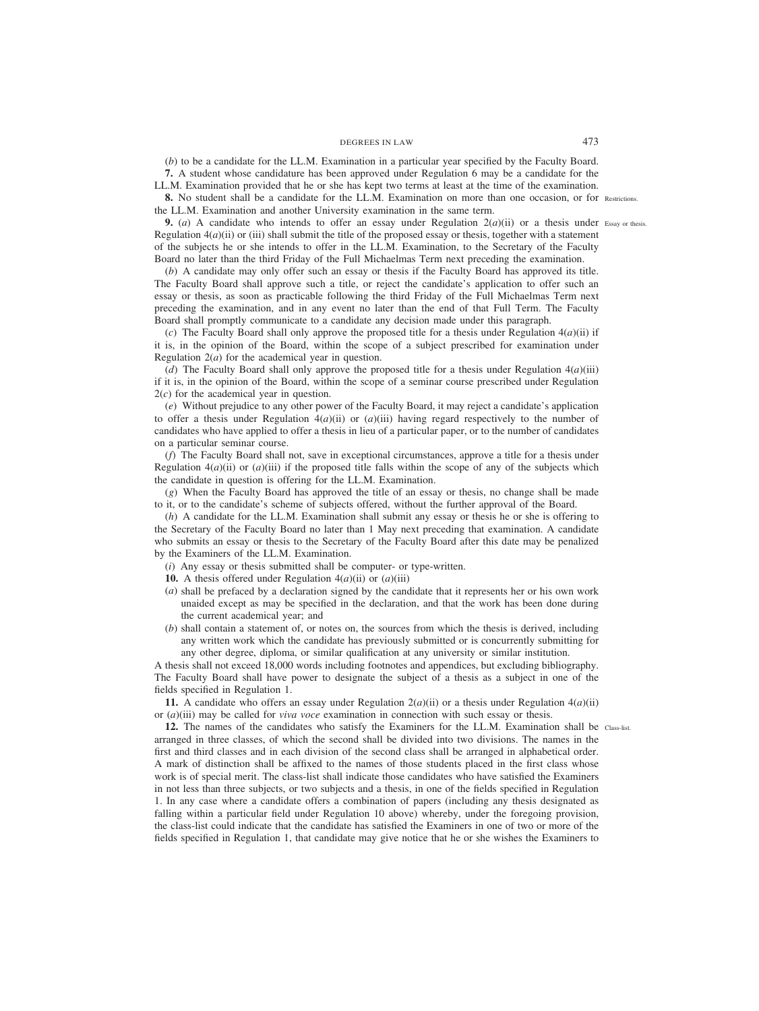# DEGREES IN LAW 473

(*b*) to be a candidate for the LL.M. Examination in a particular year specified by the Faculty Board.

**7.** A student whose candidature has been approved under Regulation 6 may be a candidate for the LL.M. Examination provided that he or she has kept two terms at least at the time of the examination.

**8.** No student shall be a candidate for the LL.M. Examination on more than one occasion, or for Restrictions. the LL.M. Examination and another University examination in the same term.

**9.** (*a*) A candidate who intends to offer an essay under Regulation  $2(a)(ii)$  or a thesis under Essay or thesis. Regulation  $4(a)$ (ii) or (iii) shall submit the title of the proposed essay or thesis, together with a statement of the subjects he or she intends to offer in the LL.M. Examination, to the Secretary of the Faculty Board no later than the third Friday of the Full Michaelmas Term next preceding the examination.

(*b*) A candidate may only offer such an essay or thesis if the Faculty Board has approved its title. The Faculty Board shall approve such a title, or reject the candidate's application to offer such an essay or thesis, as soon as practicable following the third Friday of the Full Michaelmas Term next preceding the examination, and in any event no later than the end of that Full Term. The Faculty Board shall promptly communicate to a candidate any decision made under this paragraph.

(*c*) The Faculty Board shall only approve the proposed title for a thesis under Regulation  $4(a)(ii)$  if it is, in the opinion of the Board, within the scope of a subject prescribed for examination under Regulation 2(*a*) for the academical year in question.

(*d*) The Faculty Board shall only approve the proposed title for a thesis under Regulation  $4(a)(iii)$ if it is, in the opinion of the Board, within the scope of a seminar course prescribed under Regulation 2(*c*) for the academical year in question.

(*e*) Without prejudice to any other power of the Faculty Board, it may reject a candidate's application to offer a thesis under Regulation  $4(a)(ii)$  or  $(a)(iii)$  having regard respectively to the number of candidates who have applied to offer a thesis in lieu of a particular paper, or to the number of candidates on a particular seminar course.

(*f*) The Faculty Board shall not, save in exceptional circumstances, approve a title for a thesis under Regulation  $4(a)$ (ii) or  $(a)$ (iii) if the proposed title falls within the scope of any of the subjects which the candidate in question is offering for the LL.M. Examination.

(*g*) When the Faculty Board has approved the title of an essay or thesis, no change shall be made to it, or to the candidate's scheme of subjects offered, without the further approval of the Board.

(*h*) A candidate for the LL.M. Examination shall submit any essay or thesis he or she is offering to the Secretary of the Faculty Board no later than 1 May next preceding that examination. A candidate who submits an essay or thesis to the Secretary of the Faculty Board after this date may be penalized by the Examiners of the LL.M. Examination.

- (*i*) Any essay or thesis submitted shall be computer- or type-written.
- **10.** A thesis offered under Regulation  $4(a)(ii)$  or  $(a)(iii)$
- (*a*) shall be prefaced by a declaration signed by the candidate that it represents her or his own work unaided except as may be specified in the declaration, and that the work has been done during the current academical year; and
- (*b*) shall contain a statement of, or notes on, the sources from which the thesis is derived, including any written work which the candidate has previously submitted or is concurrently submitting for any other degree, diploma, or similar qualification at any university or similar institution.

A thesis shall not exceed 18,000 words including footnotes and appendices, but excluding bibliography. The Faculty Board shall have power to designate the subject of a thesis as a subject in one of the fields specified in Regulation 1.

**11.** A candidate who offers an essay under Regulation  $2(a)(ii)$  or a thesis under Regulation  $4(a)(ii)$ or (*a*)(iii) may be called for *viva voce* examination in connection with such essay or thesis.

12. The names of the candidates who satisfy the Examiners for the LL.M. Examination shall be class-list. arranged in three classes, of which the second shall be divided into two divisions. The names in the first and third classes and in each division of the second class shall be arranged in alphabetical order. A mark of distinction shall be affixed to the names of those students placed in the first class whose work is of special merit. The class-list shall indicate those candidates who have satisfied the Examiners in not less than three subjects, or two subjects and a thesis, in one of the fields specified in Regulation 1. In any case where a candidate offers a combination of papers (including any thesis designated as falling within a particular field under Regulation 10 above) whereby, under the foregoing provision, the class-list could indicate that the candidate has satisfied the Examiners in one of two or more of the fields specified in Regulation 1, that candidate may give notice that he or she wishes the Examiners to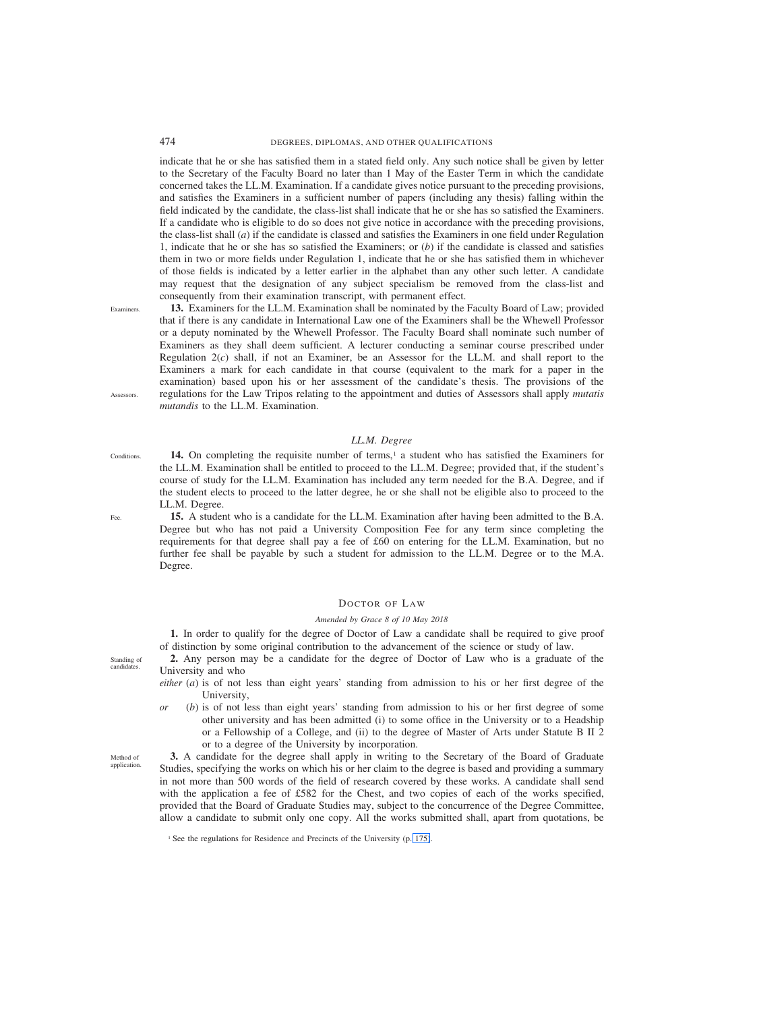474 DEGREES, DIPLOMAS, AND OTHER QUALIFICATIONS

indicate that he or she has satisfied them in a stated field only. Any such notice shall be given by letter to the Secretary of the Faculty Board no later than 1 May of the Easter Term in which the candidate concerned takes the LL.M. Examination. If a candidate gives notice pursuant to the preceding provisions, and satisfies the Examiners in a sufficient number of papers (including any thesis) falling within the field indicated by the candidate, the class-list shall indicate that he or she has so satisfied the Examiners. If a candidate who is eligible to do so does not give notice in accordance with the preceding provisions, the class-list shall (*a*) if the candidate is classed and satisfies the Examiners in one field under Regulation 1, indicate that he or she has so satisfied the Examiners; or (*b*) if the candidate is classed and satisfies them in two or more fields under Regulation 1, indicate that he or she has satisfied them in whichever of those fields is indicated by a letter earlier in the alphabet than any other such letter. A candidate may request that the designation of any subject specialism be removed from the class-list and consequently from their examination transcript, with permanent effect.

**13.** Examiners for the LL.M. Examination shall be nominated by the Faculty Board of Law; provided that if there is any candidate in International Law one of the Examiners shall be the Whewell Professor or a deputy nominated by the Whewell Professor. The Faculty Board shall nominate such number of Examiners as they shall deem sufficient. A lecturer conducting a seminar course prescribed under Regulation 2(*c*) shall, if not an Examiner, be an Assessor for the LL.M. and shall report to the Examiners a mark for each candidate in that course (equivalent to the mark for a paper in the examination) based upon his or her assessment of the candidate's thesis. The provisions of the regulations for the Law Tripos relating to the appointment and duties of Assessors shall apply *mutatis mutandis* to the LL.M. Examination. **Examiners** Assessors.

## *LL.M. Degree*

14. On completing the requisite number of terms,<sup>1</sup> a student who has satisfied the Examiners for the LL.M. Examination shall be entitled to proceed to the LL.M. Degree; provided that, if the student's course of study for the LL.M. Examination has included any term needed for the B.A. Degree, and if the student elects to proceed to the latter degree, he or she shall not be eligible also to proceed to the LL.M. Degree. **Conditions** 

**15.** A student who is a candidate for the LL.M. Examination after having been admitted to the B.A. Degree but who has not paid a University Composition Fee for any term since completing the requirements for that degree shall pay a fee of £60 on entering for the LL.M. Examination, but no further fee shall be payable by such a student for admission to the LL.M. Degree or to the M.A. Degree.

# DOCTOR OF LAW

## *Amended by Grace 8 of 10 May 2018*

**1.** In order to qualify for the degree of Doctor of Law a candidate shall be required to give proof of distinction by some original contribution to the advancement of the science or study of law.

- **2.** Any person may be a candidate for the degree of Doctor of Law who is a graduate of the University and who
- *either* (*a*) is of not less than eight years' standing from admission to his or her first degree of the University,
- *or* (*b*) is of not less than eight years' standing from admission to his or her first degree of some other university and has been admitted (i) to some office in the University or to a Headship or a Fellowship of a College, and (ii) to the degree of Master of Arts under Statute B II 2 or to a degree of the University by incorporation.

**3.** A candidate for the degree shall apply in writing to the Secretary of the Board of Graduate Studies, specifying the works on which his or her claim to the degree is based and providing a summary in not more than 500 words of the field of research covered by these works. A candidate shall send with the application a fee of £582 for the Chest, and two copies of each of the works specified, provided that the Board of Graduate Studies may, subject to the concurrence of the Degree Committee, allow a candidate to submit only one copy. All the works submitted shall, apart from quotations, be

Standing of candidates.

Method of application.

Fee.

<sup>&</sup>lt;sup>1</sup> See the regulations for Residence and Precincts of the University (p. 175).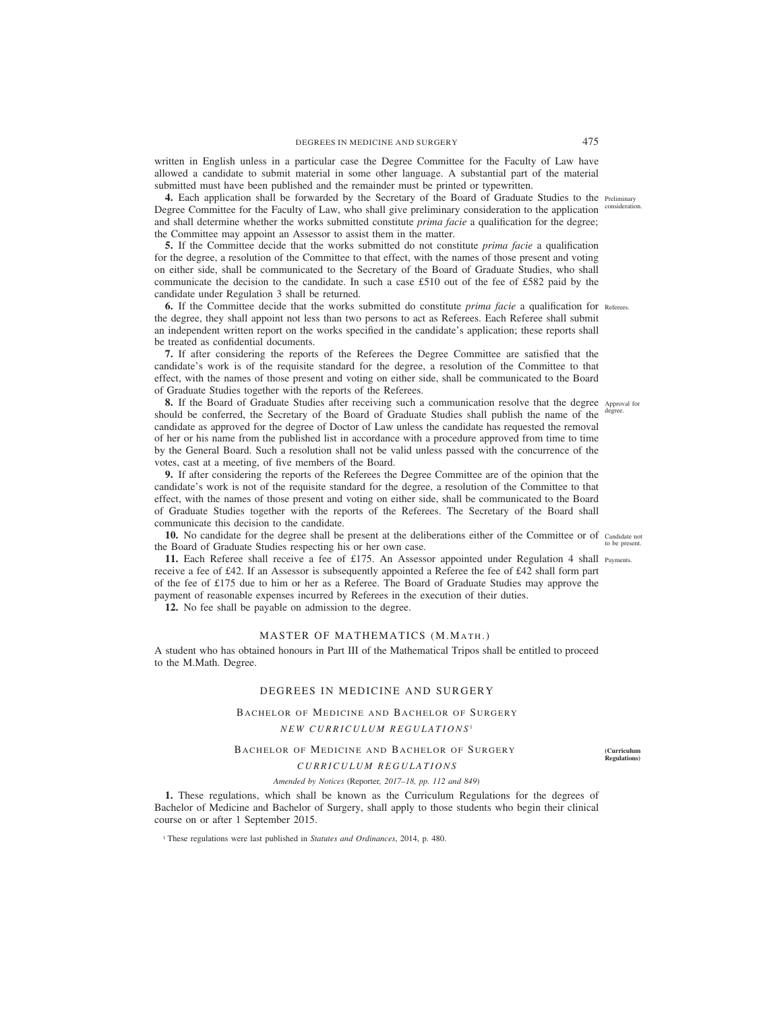written in English unless in a particular case the Degree Committee for the Faculty of Law have allowed a candidate to submit material in some other language. A substantial part of the material submitted must have been published and the remainder must be printed or typewritten.

**4.** Each application shall be forwarded by the Secretary of the Board of Graduate Studies to the Preliminary Degree Committee for the Faculty of Law, who shall give preliminary consideration to the application consideration. and shall determine whether the works submitted constitute *prima facie* a qualification for the degree; the Committee may appoint an Assessor to assist them in the matter.

**5.** If the Committee decide that the works submitted do not constitute *prima facie* a qualification for the degree, a resolution of the Committee to that effect, with the names of those present and voting on either side, shall be communicated to the Secretary of the Board of Graduate Studies, who shall communicate the decision to the candidate. In such a case £510 out of the fee of £582 paid by the candidate under Regulation 3 shall be returned.

**6.** If the Committee decide that the works submitted do constitute *prima facie* a qualification for Referees. the degree, they shall appoint not less than two persons to act as Referees. Each Referee shall submit an independent written report on the works specified in the candidate's application; these reports shall be treated as confidential documents.

**7.** If after considering the reports of the Referees the Degree Committee are satisfied that the candidate's work is of the requisite standard for the degree, a resolution of the Committee to that effect, with the names of those present and voting on either side, shall be communicated to the Board of Graduate Studies together with the reports of the Referees.

**8.** If the Board of Graduate Studies after receiving such a communication resolve that the degree Approval for should be conferred, the Secretary of the Board of Graduate Studies shall publish the name of the degree. candidate as approved for the degree of Doctor of Law unless the candidate has requested the removal of her or his name from the published list in accordance with a procedure approved from time to time by the General Board. Such a resolution shall not be valid unless passed with the concurrence of the votes, cast at a meeting, of five members of the Board.

**9.** If after considering the reports of the Referees the Degree Committee are of the opinion that the candidate's work is not of the requisite standard for the degree, a resolution of the Committee to that effect, with the names of those present and voting on either side, shall be communicated to the Board of Graduate Studies together with the reports of the Referees. The Secretary of the Board shall communicate this decision to the candidate.

10. No candidate for the degree shall be present at the deliberations either of the Committee or of candidate not the Board of Graduate Studies respecting his or her own case. to be present.

11. Each Referee shall receive a fee of £175. An Assessor appointed under Regulation 4 shall Payments. receive a fee of £42. If an Assessor is subsequently appointed a Referee the fee of £42 shall form part of the fee of £175 due to him or her as a Referee. The Board of Graduate Studies may approve the payment of reasonable expenses incurred by Referees in the execution of their duties.

**12.** No fee shall be payable on admission to the degree.

# MASTER OF MATHEMATICS (M.MATH.)

A student who has obtained honours in Part III of the Mathematical Tripos shall be entitled to proceed to the M.Math. Degree.

# DEGREES IN MEDICINE AND SURGERY

## BACHELOR OF MEDICINE AND BACHELOR OF SURGERY

# *NEW CURRICULUM REGULATIONS* <sup>1</sup>

# BACHELOR OF MEDICINE AND BACHELOR OF SURGERY

**(Curriculum Regulations)**

*CURRICULUM REGULATIONS*

*Amended by Notices (*Reporter*, 2017–18, pp. 112 and 849)*

**1.** These regulations, which shall be known as the Curriculum Regulations for the degrees of Bachelor of Medicine and Bachelor of Surgery, shall apply to those students who begin their clinical course on or after 1 September 2015.

<sup>1</sup> These regulations were last published in *Statutes and Ordinances*, 2014, p. 480.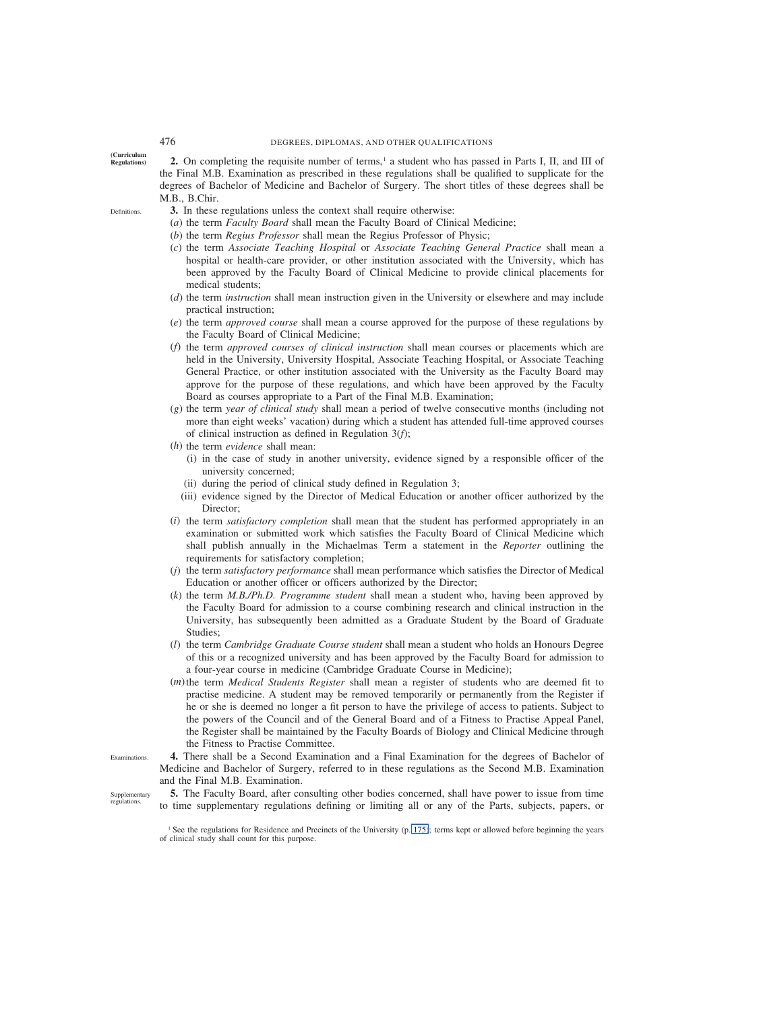Definitions.

**(Curriculum Regulations)**

**2.** On completing the requisite number of terms,<sup>1</sup> a student who has passed in Parts I, II, and III of the Final M.B. Examination as prescribed in these regulations shall be qualified to supplicate for the degrees of Bachelor of Medicine and Bachelor of Surgery. The short titles of these degrees shall be M.B., B.Chir.

- **3.** In these regulations unless the context shall require otherwise:
- (*a*) the term *Faculty Board* shall mean the Faculty Board of Clinical Medicine;
- (*b*) the term *Regius Professor* shall mean the Regius Professor of Physic;
- (*c*) the term *Associate Teaching Hospital* or *Associate Teaching General Practice* shall mean a hospital or health-care provider, or other institution associated with the University, which has been approved by the Faculty Board of Clinical Medicine to provide clinical placements for medical students;
- (*d*) the term *instruction* shall mean instruction given in the University or elsewhere and may include practical instruction;
- (*e*) the term *approved course* shall mean a course approved for the purpose of these regulations by the Faculty Board of Clinical Medicine;
- (*f*) the term *approved courses of clinical instruction* shall mean courses or placements which are held in the University, University Hospital, Associate Teaching Hospital, or Associate Teaching General Practice, or other institution associated with the University as the Faculty Board may approve for the purpose of these regulations, and which have been approved by the Faculty Board as courses appropriate to a Part of the Final M.B. Examination;
- (*g*) the term *year of clinical study* shall mean a period of twelve consecutive months (including not more than eight weeks' vacation) during which a student has attended full-time approved courses of clinical instruction as defined in Regulation 3(*f*);
- (*h*) the term *evidence* shall mean:
	- (i) in the case of study in another university, evidence signed by a responsible officer of the university concerned;
	- (ii) during the period of clinical study defined in Regulation 3;
	- (iii) evidence signed by the Director of Medical Education or another officer authorized by the Director;
- (*i*) the term *satisfactory completion* shall mean that the student has performed appropriately in an examination or submitted work which satisfies the Faculty Board of Clinical Medicine which shall publish annually in the Michaelmas Term a statement in the *Reporter* outlining the requirements for satisfactory completion;
- (*j*) the term *satisfactory performance* shall mean performance which satisfies the Director of Medical Education or another officer or officers authorized by the Director;
- (*k*) the term *M.B./Ph.D. Programme student* shall mean a student who, having been approved by the Faculty Board for admission to a course combining research and clinical instruction in the University, has subsequently been admitted as a Graduate Student by the Board of Graduate Studies;
- (*l*) the term *Cambridge Graduate Course student* shall mean a student who holds an Honours Degree of this or a recognized university and has been approved by the Faculty Board for admission to a four-year course in medicine (Cambridge Graduate Course in Medicine);
- (*m*)the term *Medical Students Register* shall mean a register of students who are deemed fit to practise medicine. A student may be removed temporarily or permanently from the Register if he or she is deemed no longer a fit person to have the privilege of access to patients. Subject to the powers of the Council and of the General Board and of a Fitness to Practise Appeal Panel, the Register shall be maintained by the Faculty Boards of Biology and Clinical Medicine through the Fitness to Practise Committee.

**4.** There shall be a Second Examination and a Final Examination for the degrees of Bachelor of Medicine and Bachelor of Surgery, referred to in these regulations as the Second M.B. Examination and the Final M.B. Examination.

Supplementary regulations.

Examinations.

**5.** The Faculty Board, after consulting other bodies concerned, shall have power to issue from time to time supplementary regulations defining or limiting all or any of the Parts, subjects, papers, or

<sup>&</sup>lt;sup>1</sup> See the regulations for Residence and Precincts of the University (p. 175); terms kept or allowed before beginning the years of clinical study shall count for this purpose.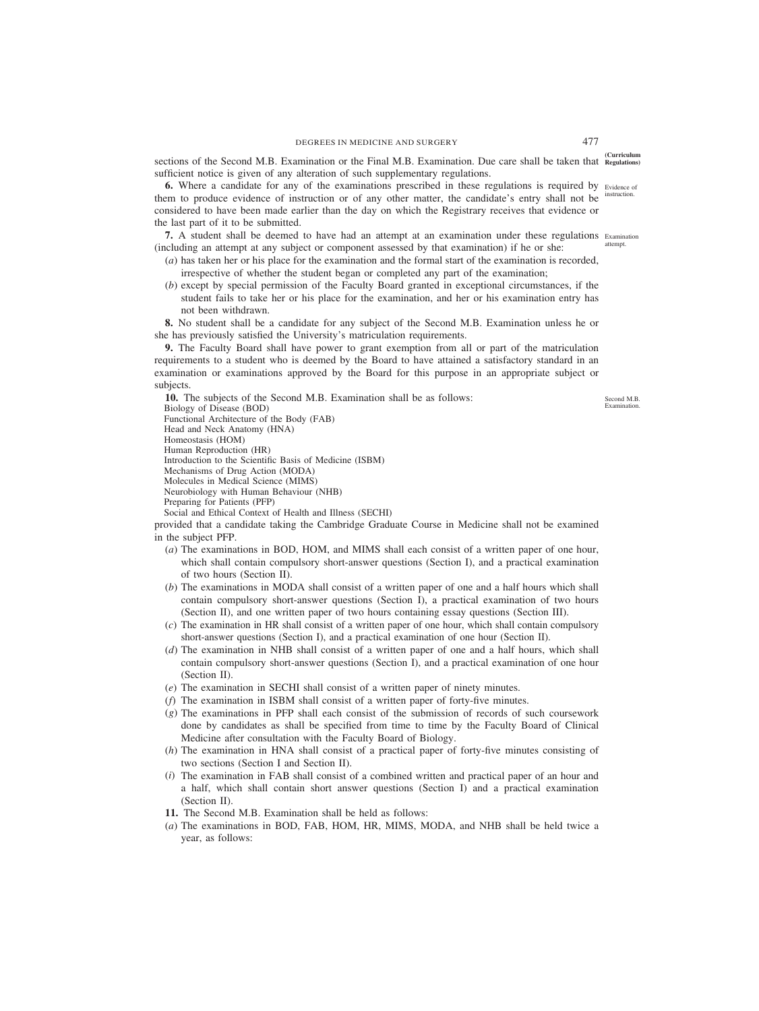**(Curriculum** sections of the Second M.B. Examination or the Final M.B. Examination. Due care shall be taken that **Regulations)** sufficient notice is given of any alteration of such supplementary regulations.

**6.** Where a candidate for any of the examinations prescribed in these regulations is required by Evidence of them to produce evidence of instruction or of any other matter, the candidate's entry shall not be considered to have been made earlier than the day on which the Registrary receives that evidence or the last part of it to be submitted. instruction.

**7.** A student shall be deemed to have had an attempt at an examination under these regulations Examination (including an attempt at any subject or component assessed by that examination) if he or she: attempt.

- (*a*) has taken her or his place for the examination and the formal start of the examination is recorded, irrespective of whether the student began or completed any part of the examination;
- (*b*) except by special permission of the Faculty Board granted in exceptional circumstances, if the student fails to take her or his place for the examination, and her or his examination entry has not been withdrawn.

**8.** No student shall be a candidate for any subject of the Second M.B. Examination unless he or she has previously satisfied the University's matriculation requirements.

**9.** The Faculty Board shall have power to grant exemption from all or part of the matriculation requirements to a student who is deemed by the Board to have attained a satisfactory standard in an examination or examinations approved by the Board for this purpose in an appropriate subject or subjects.

**10.** The subjects of the Second M.B. Examination shall be as follows: Biology of Disease (BOD) Functional Architecture of the Body (FAB) Head and Neck Anatomy (HNA) Homeostasis (HOM) Human Reproduction (HR) Introduction to the Scientific Basis of Medicine (ISBM) Mechanisms of Drug Action (MODA) Molecules in Medical Science (MIMS) Neurobiology with Human Behaviour (NHB) Preparing for Patients (PFP)

Social and Ethical Context of Health and Illness (SECHI)

provided that a candidate taking the Cambridge Graduate Course in Medicine shall not be examined in the subject PFP.

- (*a*) The examinations in BOD, HOM, and MIMS shall each consist of a written paper of one hour, which shall contain compulsory short-answer questions (Section I), and a practical examination of two hours (Section II).
- (*b*) The examinations in MODA shall consist of a written paper of one and a half hours which shall contain compulsory short-answer questions (Section I), a practical examination of two hours (Section II), and one written paper of two hours containing essay questions (Section III).
- (*c*) The examination in HR shall consist of a written paper of one hour, which shall contain compulsory short-answer questions (Section I), and a practical examination of one hour (Section II).
- (*d*) The examination in NHB shall consist of a written paper of one and a half hours, which shall contain compulsory short-answer questions (Section I), and a practical examination of one hour (Section II).
- (*e*) The examination in SECHI shall consist of a written paper of ninety minutes.
- (*f*) The examination in ISBM shall consist of a written paper of forty-five minutes.
- (*g*) The examinations in PFP shall each consist of the submission of records of such coursework done by candidates as shall be specified from time to time by the Faculty Board of Clinical Medicine after consultation with the Faculty Board of Biology.
- (*h*) The examination in HNA shall consist of a practical paper of forty-five minutes consisting of two sections (Section I and Section II).
- (*i*) The examination in FAB shall consist of a combined written and practical paper of an hour and a half, which shall contain short answer questions (Section I) and a practical examination (Section II).
- **11.** The Second M.B. Examination shall be held as follows:
- (*a*) The examinations in BOD, FAB, HOM, HR, MIMS, MODA, and NHB shall be held twice a year, as follows:

Second M.B. Examination.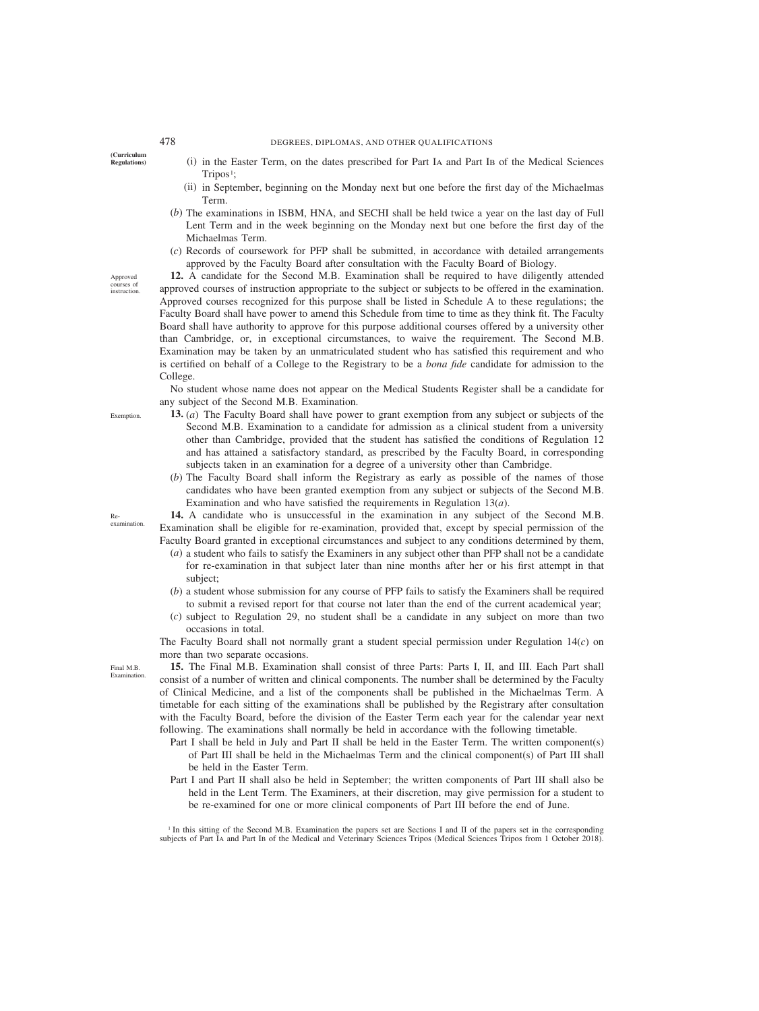**(Curriculum Regulations)**

# 478 DEGREES, DIPLOMAS, AND OTHER QUALIFICATIONS

- (i) in the Easter Term, on the dates prescribed for Part IA and Part IB of the Medical Sciences  $Tripos<sup>1</sup>;$
- (ii) in September, beginning on the Monday next but one before the first day of the Michaelmas Term.
- (*b*) The examinations in ISBM, HNA, and SECHI shall be held twice a year on the last day of Full Lent Term and in the week beginning on the Monday next but one before the first day of the Michaelmas Term.
- (*c*) Records of coursework for PFP shall be submitted, in accordance with detailed arrangements approved by the Faculty Board after consultation with the Faculty Board of Biology.

**12.** A candidate for the Second M.B. Examination shall be required to have diligently attended approved courses of instruction appropriate to the subject or subjects to be offered in the examination. Approved courses recognized for this purpose shall be listed in Schedule A to these regulations; the Faculty Board shall have power to amend this Schedule from time to time as they think fit. The Faculty Board shall have authority to approve for this purpose additional courses offered by a university other than Cambridge, or, in exceptional circumstances, to waive the requirement. The Second M.B. Examination may be taken by an unmatriculated student who has satisfied this requirement and who is certified on behalf of a College to the Registrary to be a *bona fide* candidate for admission to the College.

No student whose name does not appear on the Medical Students Register shall be a candidate for any subject of the Second M.B. Examination.

- **13.** (*a*) The Faculty Board shall have power to grant exemption from any subject or subjects of the Second M.B. Examination to a candidate for admission as a clinical student from a university other than Cambridge, provided that the student has satisfied the conditions of Regulation 12 and has attained a satisfactory standard, as prescribed by the Faculty Board, in corresponding subjects taken in an examination for a degree of a university other than Cambridge.
- (*b*) The Faculty Board shall inform the Registrary as early as possible of the names of those candidates who have been granted exemption from any subject or subjects of the Second M.B. Examination and who have satisfied the requirements in Regulation 13(*a*).

**14.** A candidate who is unsuccessful in the examination in any subject of the Second M.B. Examination shall be eligible for re-examination, provided that, except by special permission of the Faculty Board granted in exceptional circumstances and subject to any conditions determined by them,

- (*a*) a student who fails to satisfy the Examiners in any subject other than PFP shall not be a candidate for re-examination in that subject later than nine months after her or his first attempt in that subject;
- (*b*) a student whose submission for any course of PFP fails to satisfy the Examiners shall be required to submit a revised report for that course not later than the end of the current academical year;
- (*c*) subject to Regulation 29, no student shall be a candidate in any subject on more than two occasions in total.

The Faculty Board shall not normally grant a student special permission under Regulation 14(*c*) on more than two separate occasions.

**15.** The Final M.B. Examination shall consist of three Parts: Parts I, II, and III. Each Part shall consist of a number of written and clinical components. The number shall be determined by the Faculty of Clinical Medicine, and a list of the components shall be published in the Michaelmas Term. A timetable for each sitting of the examinations shall be published by the Registrary after consultation with the Faculty Board, before the division of the Easter Term each year for the calendar year next following. The examinations shall normally be held in accordance with the following timetable.

- Part I shall be held in July and Part II shall be held in the Easter Term. The written component(s) of Part III shall be held in the Michaelmas Term and the clinical component(s) of Part III shall be held in the Easter Term.
- Part I and Part II shall also be held in September; the written components of Part III shall also be held in the Lent Term. The Examiners, at their discretion, may give permission for a student to be re-examined for one or more clinical components of Part III before the end of June.

<sup>1</sup> In this sitting of the Second M.B. Examination the papers set are Sections I and II of the papers set in the corresponding subjects of Part IA and Part IB of the Medical and Veterinary Sciences Tripos (Medical Sciences Tripos from 1 October 2018).

**Exemption** 

Approved courses of instruction.

Reexamination.

Final M.B. Examination.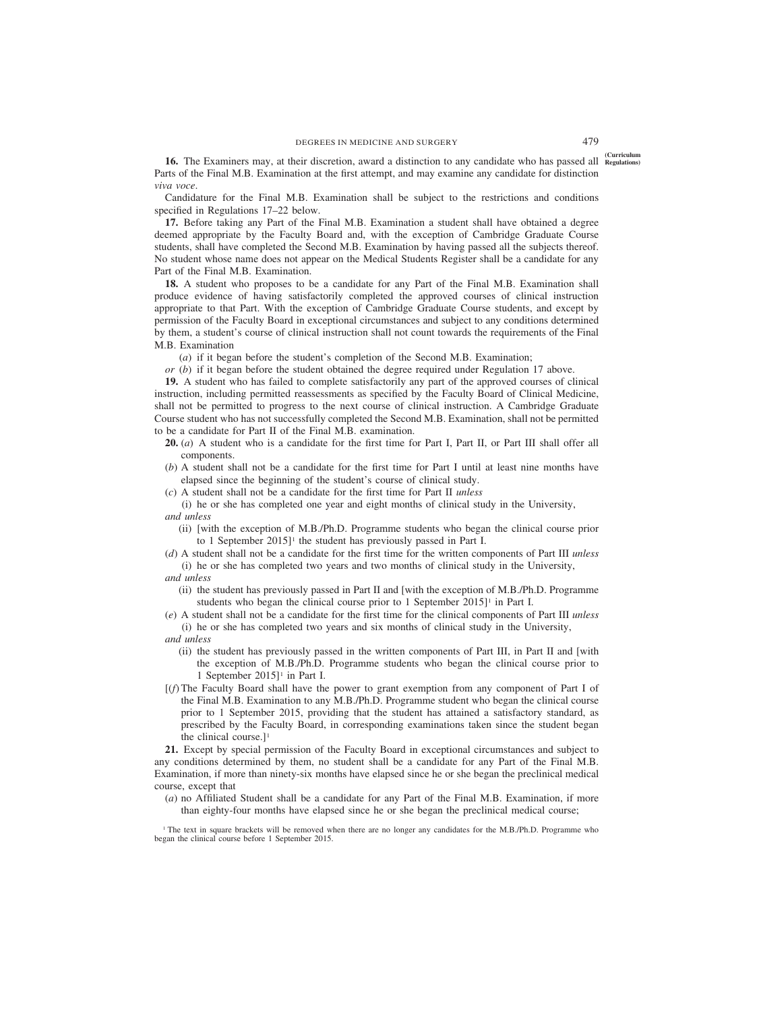**16.** The Examiners may, at their discretion, award a distinction to any candidate who has passed all Regulations) Parts of the Final M.B. Examination at the first attempt, and may examine any candidate for distinction *viva voce*.

Candidature for the Final M.B. Examination shall be subject to the restrictions and conditions specified in Regulations 17–22 below.

**17.** Before taking any Part of the Final M.B. Examination a student shall have obtained a degree deemed appropriate by the Faculty Board and, with the exception of Cambridge Graduate Course students, shall have completed the Second M.B. Examination by having passed all the subjects thereof. No student whose name does not appear on the Medical Students Register shall be a candidate for any Part of the Final M.B. Examination.

**18.** A student who proposes to be a candidate for any Part of the Final M.B. Examination shall produce evidence of having satisfactorily completed the approved courses of clinical instruction appropriate to that Part. With the exception of Cambridge Graduate Course students, and except by permission of the Faculty Board in exceptional circumstances and subject to any conditions determined by them, a student's course of clinical instruction shall not count towards the requirements of the Final M.B. Examination

(*a*) if it began before the student's completion of the Second M.B. Examination;

*or* (*b*) if it began before the student obtained the degree required under Regulation 17 above.

**19.** A student who has failed to complete satisfactorily any part of the approved courses of clinical instruction, including permitted reassessments as specified by the Faculty Board of Clinical Medicine, shall not be permitted to progress to the next course of clinical instruction. A Cambridge Graduate Course student who has not successfully completed the Second M.B. Examination, shall not be permitted to be a candidate for Part II of the Final M.B. examination.

- **20.** (*a*) A student who is a candidate for the first time for Part I, Part II, or Part III shall offer all components.
- (*b*) A student shall not be a candidate for the first time for Part I until at least nine months have elapsed since the beginning of the student's course of clinical study.
- (*c*) A student shall not be a candidate for the first time for Part II *unless*

(i) he or she has completed one year and eight months of clinical study in the University, *and unless*

- (ii) [with the exception of M.B./Ph.D. Programme students who began the clinical course prior to 1 September 2015]<sup>1</sup> the student has previously passed in Part I.
- (*d*) A student shall not be a candidate for the first time for the written components of Part III *unless* (i) he or she has completed two years and two months of clinical study in the University,
- *and unless*
	- (ii) the student has previously passed in Part II and [with the exception of M.B./Ph.D. Programme students who began the clinical course prior to 1 September  $2015$ <sup>1</sup> in Part I.

(*e*) A student shall not be a candidate for the first time for the clinical components of Part III *unless* (i) he or she has completed two years and six months of clinical study in the University, *and unless*

- (ii) the student has previously passed in the written components of Part III, in Part II and [with the exception of M.B./Ph.D. Programme students who began the clinical course prior to 1 September 2015]1 in Part I.
- [(*f*) The Faculty Board shall have the power to grant exemption from any component of Part I of the Final M.B. Examination to any M.B./Ph.D. Programme student who began the clinical course prior to 1 September 2015, providing that the student has attained a satisfactory standard, as prescribed by the Faculty Board, in corresponding examinations taken since the student began the clinical course.]<sup>1</sup>

**21.** Except by special permission of the Faculty Board in exceptional circumstances and subject to any conditions determined by them, no student shall be a candidate for any Part of the Final M.B. Examination, if more than ninety-six months have elapsed since he or she began the preclinical medical course, except that

(*a*) no Affiliated Student shall be a candidate for any Part of the Final M.B. Examination, if more than eighty-four months have elapsed since he or she began the preclinical medical course;

<sup>1</sup> The text in square brackets will be removed when there are no longer any candidates for the M.B./Ph.D. Programme who began the clinical course before 1 September 2015.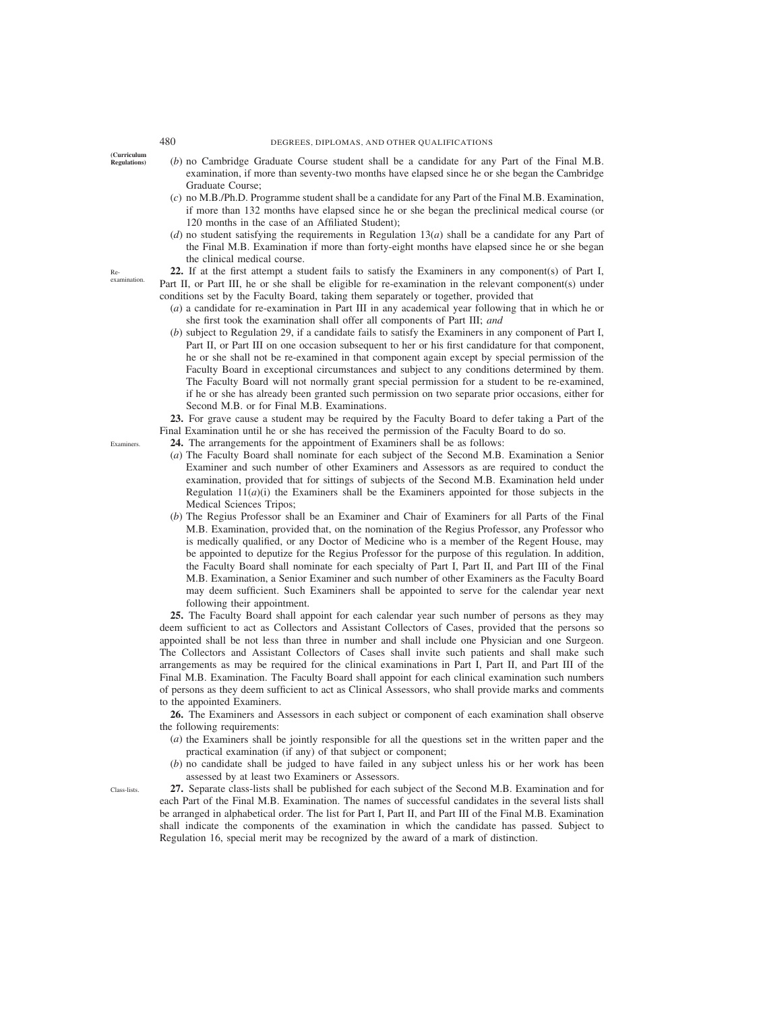**(Curriculum**

**Regulations)** (*b*) no Cambridge Graduate Course student shall be a candidate for any Part of the Final M.B. examination, if more than seventy-two months have elapsed since he or she began the Cambridge Graduate Course;

- (*c*) no M.B./Ph.D. Programme student shall be a candidate for any Part of the Final M.B. Examination, if more than 132 months have elapsed since he or she began the preclinical medical course (or 120 months in the case of an Affiliated Student);
- (*d*) no student satisfying the requirements in Regulation 13(*a*) shall be a candidate for any Part of the Final M.B. Examination if more than forty-eight months have elapsed since he or she began the clinical medical course.

**22.** If at the first attempt a student fails to satisfy the Examiners in any component(s) of Part I, Part II, or Part III, he or she shall be eligible for re-examination in the relevant component(s) under conditions set by the Faculty Board, taking them separately or together, provided that

- (*a*) a candidate for re-examination in Part III in any academical year following that in which he or she first took the examination shall offer all components of Part III; *and*
- (*b*) subject to Regulation 29, if a candidate fails to satisfy the Examiners in any component of Part I, Part II, or Part III on one occasion subsequent to her or his first candidature for that component, he or she shall not be re-examined in that component again except by special permission of the Faculty Board in exceptional circumstances and subject to any conditions determined by them. The Faculty Board will not normally grant special permission for a student to be re-examined, if he or she has already been granted such permission on two separate prior occasions, either for Second M.B. or for Final M.B. Examinations.

**23.** For grave cause a student may be required by the Faculty Board to defer taking a Part of the Final Examination until he or she has received the permission of the Faculty Board to do so.

- **24.** The arrangements for the appointment of Examiners shall be as follows:
- (*a*) The Faculty Board shall nominate for each subject of the Second M.B. Examination a Senior Examiner and such number of other Examiners and Assessors as are required to conduct the examination, provided that for sittings of subjects of the Second M.B. Examination held under Regulation  $11(a)(i)$  the Examiners shall be the Examiners appointed for those subjects in the Medical Sciences Tripos;
- (*b*) The Regius Professor shall be an Examiner and Chair of Examiners for all Parts of the Final M.B. Examination, provided that, on the nomination of the Regius Professor, any Professor who is medically qualified, or any Doctor of Medicine who is a member of the Regent House, may be appointed to deputize for the Regius Professor for the purpose of this regulation. In addition, the Faculty Board shall nominate for each specialty of Part I, Part II, and Part III of the Final M.B. Examination, a Senior Examiner and such number of other Examiners as the Faculty Board may deem sufficient. Such Examiners shall be appointed to serve for the calendar year next following their appointment.

**25.** The Faculty Board shall appoint for each calendar year such number of persons as they may deem sufficient to act as Collectors and Assistant Collectors of Cases, provided that the persons so appointed shall be not less than three in number and shall include one Physician and one Surgeon. The Collectors and Assistant Collectors of Cases shall invite such patients and shall make such arrangements as may be required for the clinical examinations in Part I, Part II, and Part III of the Final M.B. Examination. The Faculty Board shall appoint for each clinical examination such numbers of persons as they deem sufficient to act as Clinical Assessors, who shall provide marks and comments to the appointed Examiners.

**26.** The Examiners and Assessors in each subject or component of each examination shall observe the following requirements:

- (*a*) the Examiners shall be jointly responsible for all the questions set in the written paper and the practical examination (if any) of that subject or component;
- (*b*) no candidate shall be judged to have failed in any subject unless his or her work has been assessed by at least two Examiners or Assessors.

**27.** Separate class-lists shall be published for each subject of the Second M.B. Examination and for each Part of the Final M.B. Examination. The names of successful candidates in the several lists shall be arranged in alphabetical order. The list for Part I, Part II, and Part III of the Final M.B. Examination shall indicate the components of the examination in which the candidate has passed. Subject to Regulation 16, special merit may be recognized by the award of a mark of distinction.

Examiners.

Class-lists.

examination.

Re-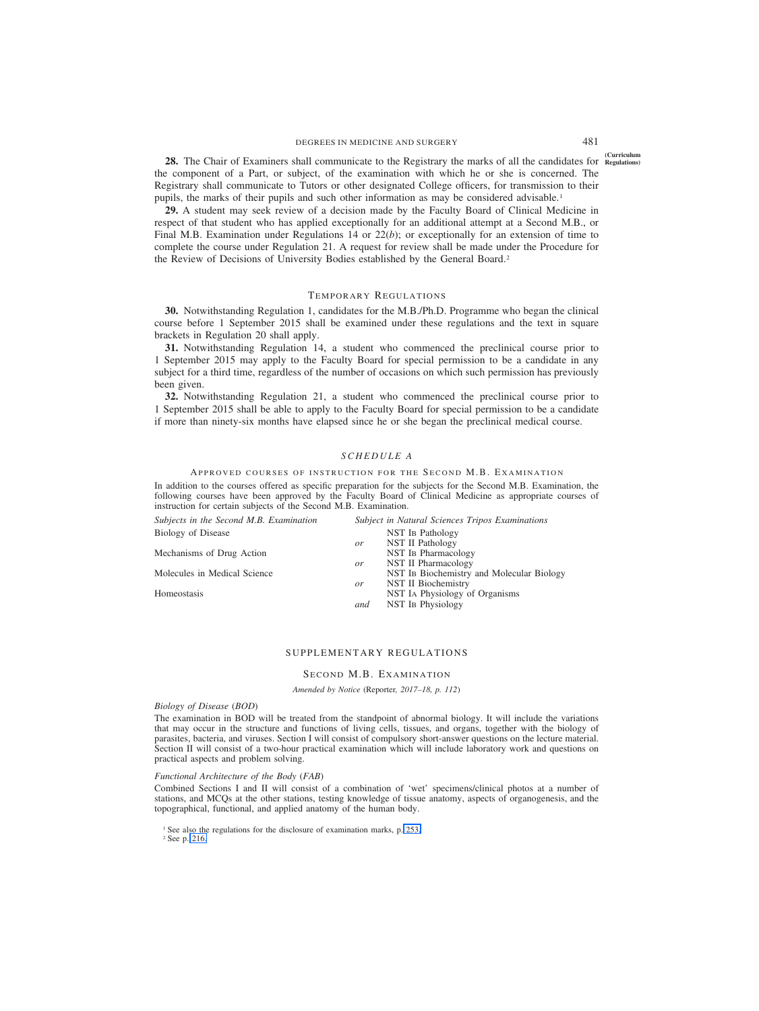## DEGREES IN MEDICINE AND SURGERY 481

<sup>(Curriculum</sup>) **28.** The Chair of Examiners shall communicate to the Registrary the marks of all the candidates for Regulations the component of a Part, or subject, of the examination with which he or she is concerned. The Registrary shall communicate to Tutors or other designated College officers, for transmission to their pupils, the marks of their pupils and such other information as may be considered advisable.1

**29.** A student may seek review of a decision made by the Faculty Board of Clinical Medicine in respect of that student who has applied exceptionally for an additional attempt at a Second M.B., or Final M.B. Examination under Regulations 14 or 22(*b*); or exceptionally for an extension of time to complete the course under Regulation 21. A request for review shall be made under the Procedure for the Review of Decisions of University Bodies established by the General Board.<sup>2</sup>

## TEMPORARY REGULATIONS

**30.** Notwithstanding Regulation 1, candidates for the M.B./Ph.D. Programme who began the clinical course before 1 September 2015 shall be examined under these regulations and the text in square brackets in Regulation 20 shall apply.

**31.** Notwithstanding Regulation 14, a student who commenced the preclinical course prior to 1 September 2015 may apply to the Faculty Board for special permission to be a candidate in any subject for a third time, regardless of the number of occasions on which such permission has previously been given.

**32.** Notwithstanding Regulation 21, a student who commenced the preclinical course prior to 1 September 2015 shall be able to apply to the Faculty Board for special permission to be a candidate if more than ninety-six months have elapsed since he or she began the preclinical medical course.

#### *SCHEDULE A*

#### APPROVED COURSES OF INSTRUCTION FOR THE SECOND M.B. EXAMINATION

In addition to the courses offered as specific preparation for the subjects for the Second M.B. Examination, the following courses have been approved by the Faculty Board of Clinical Medicine as appropriate courses of instruction for certain subjects of the Second M.B. Examination.

| Subjects in the Second M.B. Examination |               | Subject in Natural Sciences Tripos Examinations |
|-----------------------------------------|---------------|-------------------------------------------------|
| Biology of Disease                      |               | NST IB Pathology                                |
|                                         | or            | NST II Pathology                                |
| Mechanisms of Drug Action               |               | NST IB Pharmacology                             |
|                                         | or            | NST II Pharmacology                             |
| Molecules in Medical Science            |               | NST IB Biochemistry and Molecular Biology       |
|                                         | <sub>or</sub> | NST II Biochemistry                             |
| Homeostasis                             |               | NST IA Physiology of Organisms                  |
|                                         | and           | <b>NST IB Physiology</b>                        |
|                                         |               |                                                 |

## SUPPLEMENTARY REGULATIONS

# SECOND M.B. EXAMINATION

*Amended by Notice (*Reporter*, 2017–18, p. 112)*

*Biology of Disease (BOD)*

The examination in BOD will be treated from the standpoint of abnormal biology. It will include the variations that may occur in the structure and functions of living cells, tissues, and organs, together with the biology of parasites, bacteria, and viruses. Section I will consist of compulsory short-answer questions on the lecture material. Section II will consist of a two-hour practical examination which will include laboratory work and questions on practical aspects and problem solving.

#### *Functional Architecture of the Body (FAB)*

Combined Sections I and II will consist of a combination of 'wet' specimens/clinical photos at a number of stations, and MCQs at the other stations, testing knowledge of tissue anatomy, aspects of organogenesis, and the topographical, functional, and applied anatomy of the human body.

<sup>1</sup> See also the regulations for the disclosure of examination marks, p. 253.

<sup>2</sup> See p. 216.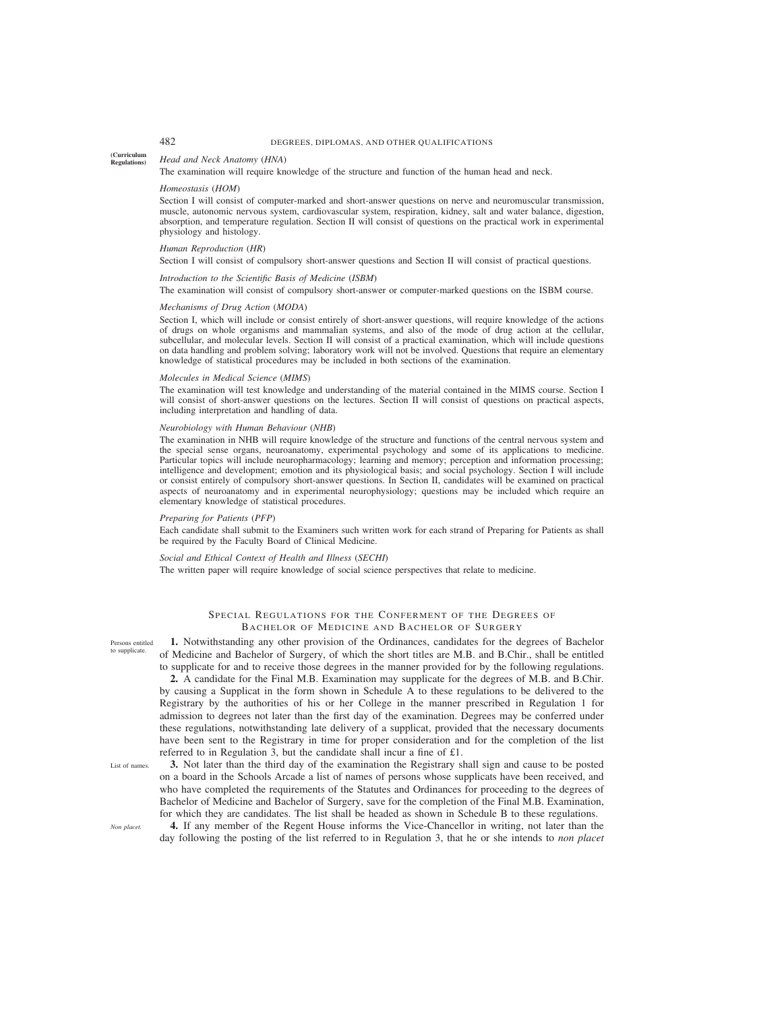#### **(Curriculum Regulations)** *Head and Neck Anatomy (HNA)*

The examination will require knowledge of the structure and function of the human head and neck.

#### *Homeostasis (HOM)*

Section I will consist of computer-marked and short-answer questions on nerve and neuromuscular transmission, muscle, autonomic nervous system, cardiovascular system, respiration, kidney, salt and water balance, digestion, absorption, and temperature regulation. Section II will consist of questions on the practical work in experimental physiology and histology.

#### *Human Reproduction (HR)*

Section I will consist of compulsory short-answer questions and Section II will consist of practical questions.

#### *Introduction to the Scientific Basis of Medicine (ISBM)*

The examination will consist of compulsory short-answer or computer-marked questions on the ISBM course.

#### *Mechanisms of Drug Action (MODA)*

Section I, which will include or consist entirely of short-answer questions, will require knowledge of the actions of drugs on whole organisms and mammalian systems, and also of the mode of drug action at the cellular, subcellular, and molecular levels. Section II will consist of a practical examination, which will include questions on data handling and problem solving; laboratory work will not be involved. Questions that require an elementary knowledge of statistical procedures may be included in both sections of the examination.

#### *Molecules in Medical Science (MIMS)*

The examination will test knowledge and understanding of the material contained in the MIMS course. Section I will consist of short-answer questions on the lectures. Section II will consist of questions on practical aspects, including interpretation and handling of data.

#### *Neurobiology with Human Behaviour (NHB)*

The examination in NHB will require knowledge of the structure and functions of the central nervous system and the special sense organs, neuroanatomy, experimental psychology and some of its applications to medicine. Particular topics will include neuropharmacology; learning and memory; perception and information processing; intelligence and development; emotion and its physiological basis; and social psychology. Section I will include or consist entirely of compulsory short-answer questions. In Section II, candidates will be examined on practical aspects of neuroanatomy and in experimental neurophysiology; questions may be included which require an elementary knowledge of statistical procedures.

#### *Preparing for Patients (PFP)*

Each candidate shall submit to the Examiners such written work for each strand of Preparing for Patients as shall be required by the Faculty Board of Clinical Medicine.

### *Social and Ethical Context of Health and Illness (SECHI)*

The written paper will require knowledge of social science perspectives that relate to medicine.

# SPECIAL REGULATIONS FOR THE CONFERMENT OF THE DEGREES OF BACHELOR OF MEDICINE AND BACHELOR OF SURGERY

Persons entitled to supplicate.

**1.** Notwithstanding any other provision of the Ordinances, candidates for the degrees of Bachelor of Medicine and Bachelor of Surgery, of which the short titles are M.B. and B.Chir., shall be entitled to supplicate for and to receive those degrees in the manner provided for by the following regulations.

**2.** A candidate for the Final M.B. Examination may supplicate for the degrees of M.B. and B.Chir. by causing a Supplicat in the form shown in Schedule A to these regulations to be delivered to the Registrary by the authorities of his or her College in the manner prescribed in Regulation 1 for admission to degrees not later than the first day of the examination. Degrees may be conferred under these regulations, notwithstanding late delivery of a supplicat, provided that the necessary documents have been sent to the Registrary in time for proper consideration and for the completion of the list referred to in Regulation 3, but the candidate shall incur a fine of £1.

**3.** Not later than the third day of the examination the Registrary shall sign and cause to be posted on a board in the Schools Arcade a list of names of persons whose supplicats have been received, and who have completed the requirements of the Statutes and Ordinances for proceeding to the degrees of

List of names.

*Non placet.*

Bachelor of Medicine and Bachelor of Surgery, save for the completion of the Final M.B. Examination, for which they are candidates. The list shall be headed as shown in Schedule B to these regulations. **4.** If any member of the Regent House informs the Vice-Chancellor in writing, not later than the

day following the posting of the list referred to in Regulation 3, that he or she intends to *non placet*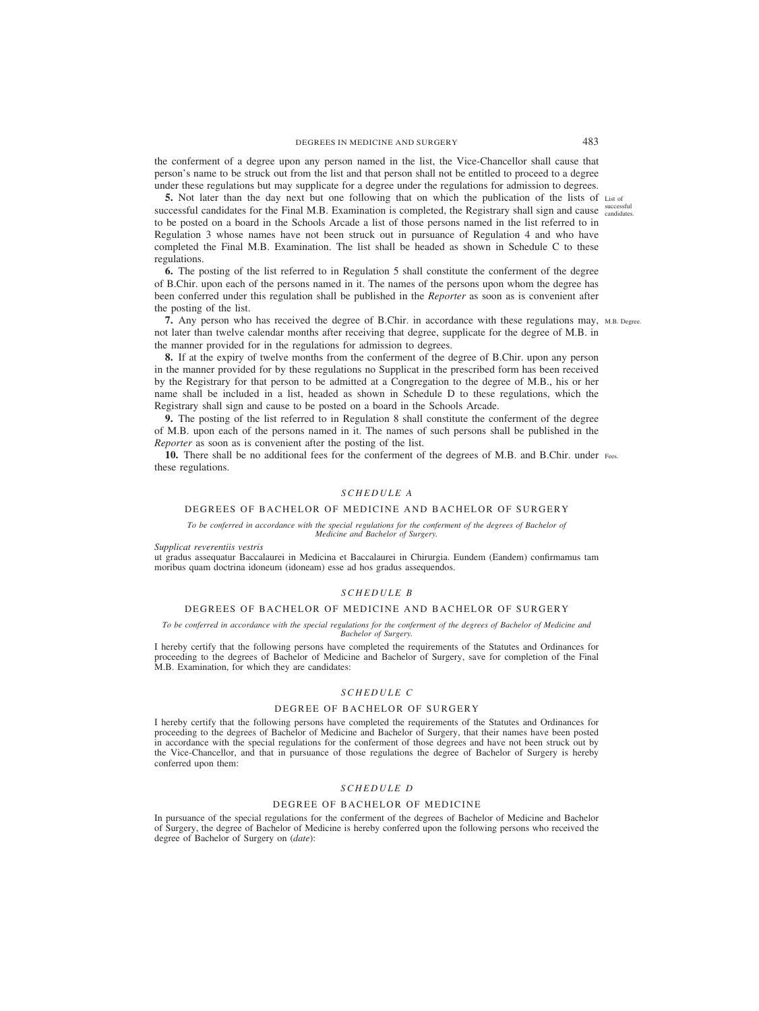## DEGREES IN MEDICINE AND SURGERY 483

the conferment of a degree upon any person named in the list, the Vice-Chancellor shall cause that person's name to be struck out from the list and that person shall not be entitled to proceed to a degree under these regulations but may supplicate for a degree under the regulations for admission to degrees.

**5.** Not later than the day next but one following that on which the publication of the lists of List of successful candidates for the Final M.B. Examination is completed, the Registrary shall sign and cause successful to be posted on a board in the Schools Arcade a list of those persons named in the list referred to in Regulation 3 whose names have not been struck out in pursuance of Regulation 4 and who have completed the Final M.B. Examination. The list shall be headed as shown in Schedule C to these regulations.

**6.** The posting of the list referred to in Regulation 5 shall constitute the conferment of the degree of B.Chir. upon each of the persons named in it. The names of the persons upon whom the degree has been conferred under this regulation shall be published in the *Reporter* as soon as is convenient after the posting of the list.

**7.** Any person who has received the degree of B.Chir. in accordance with these regulations may, M.B. Degree. not later than twelve calendar months after receiving that degree, supplicate for the degree of M.B. in the manner provided for in the regulations for admission to degrees.

**8.** If at the expiry of twelve months from the conferment of the degree of B.Chir. upon any person in the manner provided for by these regulations no Supplicat in the prescribed form has been received by the Registrary for that person to be admitted at a Congregation to the degree of M.B., his or her name shall be included in a list, headed as shown in Schedule D to these regulations, which the Registrary shall sign and cause to be posted on a board in the Schools Arcade.

**9.** The posting of the list referred to in Regulation 8 shall constitute the conferment of the degree of M.B. upon each of the persons named in it. The names of such persons shall be published in the *Reporter* as soon as is convenient after the posting of the list.

**10.** There shall be no additional fees for the conferment of the degrees of M.B. and B.Chir. under Fees.these regulations.

### *SCHEDULE A*

#### DEGREES OF BACHELOR OF MEDICINE AND BACHELOR OF SURGERY

*To be conferred in accordance with the special regulations for the conferment of the degrees of Bachelor of Medicine and Bachelor of Surgery.*

*Supplicat reverentiis vestris*

ut gradus assequatur Baccalaurei in Medicina et Baccalaurei in Chirurgia. Eundem (Eandem) confirmamus tam moribus quam doctrina idoneum (idoneam) esse ad hos gradus assequendos.

## *SCHEDULE B*

## DEGREES OF BACHELOR OF MEDICINE AND BACHELOR OF SURGERY

*To be conferred in accordance with the special regulations for the conferment of the degrees of Bachelor of Medicine and Bachelor of Surgery.*

I hereby certify that the following persons have completed the requirements of the Statutes and Ordinances for proceeding to the degrees of Bachelor of Medicine and Bachelor of Surgery, save for completion of the Final M.B. Examination, for which they are candidates:

# *SCHEDULE C*

## DEGREE OF BACHELOR OF SURGERY

I hereby certify that the following persons have completed the requirements of the Statutes and Ordinances for proceeding to the degrees of Bachelor of Medicine and Bachelor of Surgery, that their names have been posted in accordance with the special regulations for the conferment of those degrees and have not been struck out by the Vice-Chancellor, and that in pursuance of those regulations the degree of Bachelor of Surgery is hereby conferred upon them:

## *SCHEDULE D*

#### DEGREE OF BACHELOR OF MEDICINE

In pursuance of the special regulations for the conferment of the degrees of Bachelor of Medicine and Bachelor of Surgery, the degree of Bachelor of Medicine is hereby conferred upon the following persons who received the degree of Bachelor of Surgery on (*date*):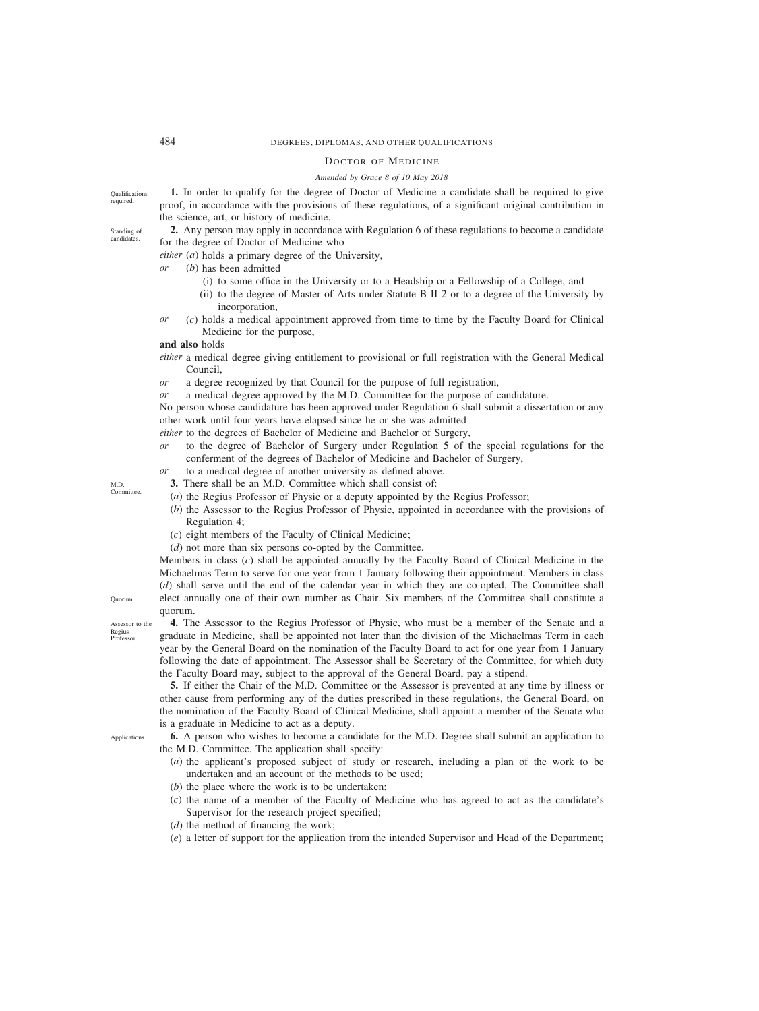## 484 DEGREES, DIPLOMAS, AND OTHER QUALIFICATIONS

## DOCTOR OF MEDICINE

## *Amended by Grace 8 of 10 May 2018*

**1.** In order to qualify for the degree of Doctor of Medicine a candidate shall be required to give proof, in accordance with the provisions of these regulations, of a significant original contribution in the science, art, or history of medicine.

**2.** Any person may apply in accordance with Regulation 6 of these regulations to become a candidate for the degree of Doctor of Medicine who

*either* (*a*) holds a primary degree of the University,

- *or* (*b*) has been admitted
	- (i) to some office in the University or to a Headship or a Fellowship of a College, and
	- (ii) to the degree of Master of Arts under Statute B II 2 or to a degree of the University by incorporation,
- *or* (*c*) holds a medical appointment approved from time to time by the Faculty Board for Clinical Medicine for the purpose,

## **and also** holds

- *either* a medical degree giving entitlement to provisional or full registration with the General Medical Council,
- *or* a degree recognized by that Council for the purpose of full registration,
- *or* a medical degree approved by the M.D. Committee for the purpose of candidature.

No person whose candidature has been approved under Regulation 6 shall submit a dissertation or any other work until four years have elapsed since he or she was admitted

- *either* to the degrees of Bachelor of Medicine and Bachelor of Surgery,
- *or* to the degree of Bachelor of Surgery under Regulation 5 of the special regulations for the conferment of the degrees of Bachelor of Medicine and Bachelor of Surgery,
- *or* to a medical degree of another university as defined above.
	- **3.** There shall be an M.D. Committee which shall consist of:
	- (*a*) the Regius Professor of Physic or a deputy appointed by the Regius Professor;
	- (*b*) the Assessor to the Regius Professor of Physic, appointed in accordance with the provisions of Regulation 4;
	- (*c*) eight members of the Faculty of Clinical Medicine;
	- (*d*) not more than six persons co-opted by the Committee.

Members in class (*c*) shall be appointed annually by the Faculty Board of Clinical Medicine in the Michaelmas Term to serve for one year from 1 January following their appointment. Members in class (*d*) shall serve until the end of the calendar year in which they are co-opted. The Committee shall elect annually one of their own number as Chair. Six members of the Committee shall constitute a quorum.

**4.** The Assessor to the Regius Professor of Physic, who must be a member of the Senate and a

Assessor to the Regius Professor.

graduate in Medicine, shall be appointed not later than the division of the Michaelmas Term in each year by the General Board on the nomination of the Faculty Board to act for one year from 1 January following the date of appointment. The Assessor shall be Secretary of the Committee, for which duty the Faculty Board may, subject to the approval of the General Board, pay a stipend. **5.** If either the Chair of the M.D. Committee or the Assessor is prevented at any time by illness or

other cause from performing any of the duties prescribed in these regulations, the General Board, on the nomination of the Faculty Board of Clinical Medicine, shall appoint a member of the Senate who is a graduate in Medicine to act as a deputy.

**6.** A person who wishes to become a candidate for the M.D. Degree shall submit an application to the M.D. Committee. The application shall specify:

- (*a*) the applicant's proposed subject of study or research, including a plan of the work to be undertaken and an account of the methods to be used;
- (*b*) the place where the work is to be undertaken;
- (*c*) the name of a member of the Faculty of Medicine who has agreed to act as the candidate's Supervisor for the research project specified;
- (*d*) the method of financing the work;
- (*e*) a letter of support for the application from the intended Supervisor and Head of the Department;

Applications.

Quorum.

M.D. Committee.

Standing of candidates.

Qualifications required.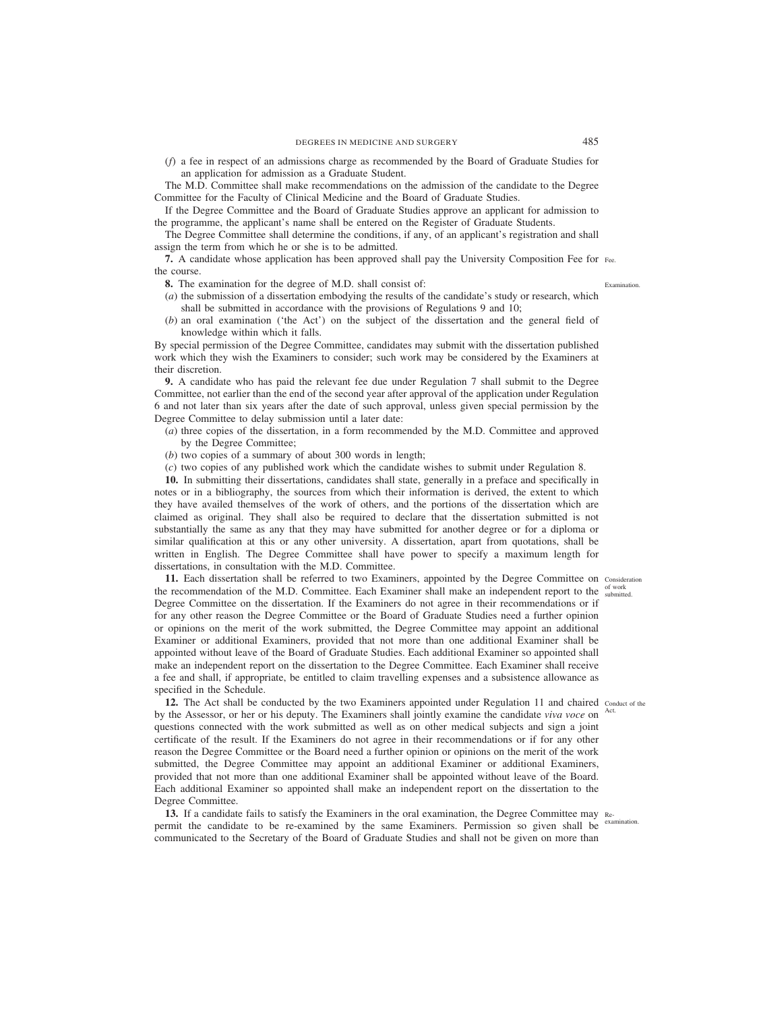(*f*) a fee in respect of an admissions charge as recommended by the Board of Graduate Studies for an application for admission as a Graduate Student.

The M.D. Committee shall make recommendations on the admission of the candidate to the Degree Committee for the Faculty of Clinical Medicine and the Board of Graduate Studies.

If the Degree Committee and the Board of Graduate Studies approve an applicant for admission to the programme, the applicant's name shall be entered on the Register of Graduate Students.

The Degree Committee shall determine the conditions, if any, of an applicant's registration and shall assign the term from which he or she is to be admitted.

**7.** A candidate whose application has been approved shall pay the University Composition Fee for Fee. the course.

- **8.** The examination for the degree of M.D. shall consist of:
- (*a*) the submission of a dissertation embodying the results of the candidate's study or research, which shall be submitted in accordance with the provisions of Regulations 9 and 10;
- (*b*) an oral examination ('the Act') on the subject of the dissertation and the general field of knowledge within which it falls.

By special permission of the Degree Committee, candidates may submit with the dissertation published work which they wish the Examiners to consider; such work may be considered by the Examiners at their discretion.

**9.** A candidate who has paid the relevant fee due under Regulation 7 shall submit to the Degree Committee, not earlier than the end of the second year after approval of the application under Regulation 6 and not later than six years after the date of such approval, unless given special permission by the Degree Committee to delay submission until a later date:

- (*a*) three copies of the dissertation, in a form recommended by the M.D. Committee and approved by the Degree Committee;
- (*b*) two copies of a summary of about 300 words in length;
- (*c*) two copies of any published work which the candidate wishes to submit under Regulation 8.

**10.** In submitting their dissertations, candidates shall state, generally in a preface and specifically in notes or in a bibliography, the sources from which their information is derived, the extent to which they have availed themselves of the work of others, and the portions of the dissertation which are claimed as original. They shall also be required to declare that the dissertation submitted is not substantially the same as any that they may have submitted for another degree or for a diploma or similar qualification at this or any other university. A dissertation, apart from quotations, shall be written in English. The Degree Committee shall have power to specify a maximum length for dissertations, in consultation with the M.D. Committee.

11. Each dissertation shall be referred to two Examiners, appointed by the Degree Committee on Consideration the recommendation of the M.D. Committee. Each Examiner shall make an independent report to the submitted. Degree Committee on the dissertation. If the Examiners do not agree in their recommendations or if for any other reason the Degree Committee or the Board of Graduate Studies need a further opinion or opinions on the merit of the work submitted, the Degree Committee may appoint an additional Examiner or additional Examiners, provided that not more than one additional Examiner shall be appointed without leave of the Board of Graduate Studies. Each additional Examiner so appointed shall make an independent report on the dissertation to the Degree Committee. Each Examiner shall receive a fee and shall, if appropriate, be entitled to claim travelling expenses and a subsistence allowance as specified in the Schedule.

12. The Act shall be conducted by the two Examiners appointed under Regulation 11 and chaired conduct of the by the Assessor, or her or his deputy. The Examiners shall jointly examine the candidate *viva voce* on <sup>Act.</sup> questions connected with the work submitted as well as on other medical subjects and sign a joint certificate of the result. If the Examiners do not agree in their recommendations or if for any other reason the Degree Committee or the Board need a further opinion or opinions on the merit of the work submitted, the Degree Committee may appoint an additional Examiner or additional Examiners, provided that not more than one additional Examiner shall be appointed without leave of the Board. Each additional Examiner so appointed shall make an independent report on the dissertation to the Degree Committee.

**13.** If a candidate fails to satisfy the Examiners in the oral examination, the Degree Committee may Repermit the candidate to be re-examined by the same Examiners. Permission so given shall be communicated to the Secretary of the Board of Graduate Studies and shall not be given on more than examination.

Examination.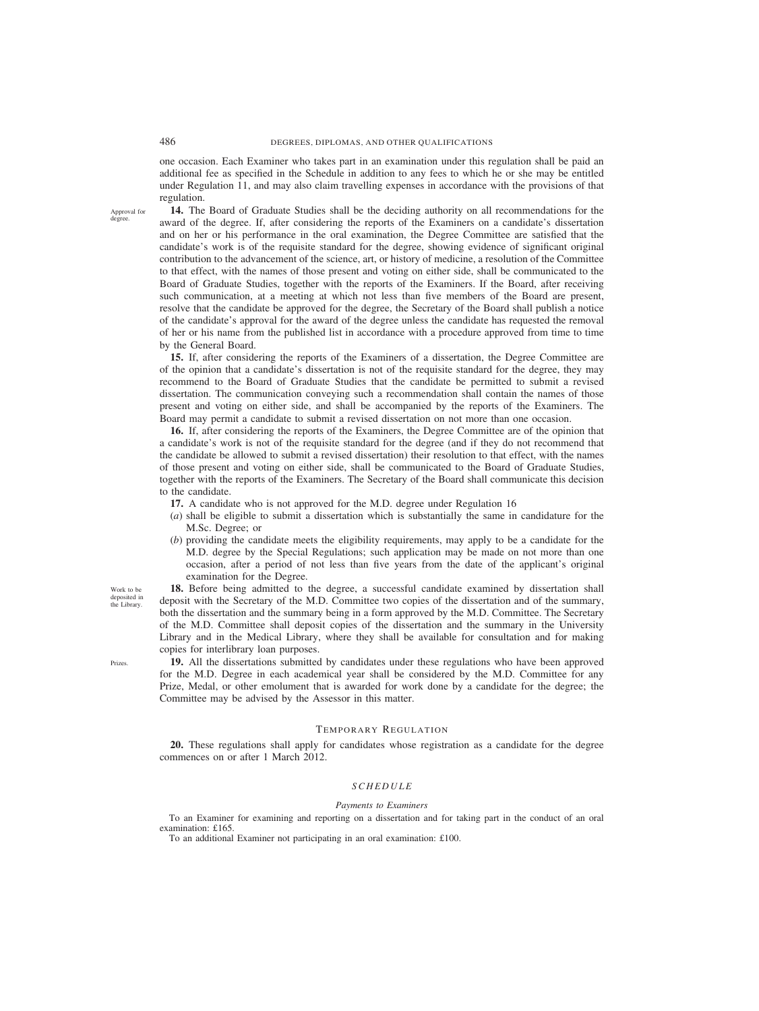one occasion. Each Examiner who takes part in an examination under this regulation shall be paid an additional fee as specified in the Schedule in addition to any fees to which he or she may be entitled under Regulation 11, and may also claim travelling expenses in accordance with the provisions of that regulation.

Approval for degree.

**14.** The Board of Graduate Studies shall be the deciding authority on all recommendations for the award of the degree. If, after considering the reports of the Examiners on a candidate's dissertation and on her or his performance in the oral examination, the Degree Committee are satisfied that the candidate's work is of the requisite standard for the degree, showing evidence of significant original contribution to the advancement of the science, art, or history of medicine, a resolution of the Committee to that effect, with the names of those present and voting on either side, shall be communicated to the Board of Graduate Studies, together with the reports of the Examiners. If the Board, after receiving such communication, at a meeting at which not less than five members of the Board are present, resolve that the candidate be approved for the degree, the Secretary of the Board shall publish a notice of the candidate's approval for the award of the degree unless the candidate has requested the removal of her or his name from the published list in accordance with a procedure approved from time to time by the General Board.

**15.** If, after considering the reports of the Examiners of a dissertation, the Degree Committee are of the opinion that a candidate's dissertation is not of the requisite standard for the degree, they may recommend to the Board of Graduate Studies that the candidate be permitted to submit a revised dissertation. The communication conveying such a recommendation shall contain the names of those present and voting on either side, and shall be accompanied by the reports of the Examiners. The Board may permit a candidate to submit a revised dissertation on not more than one occasion.

**16.** If, after considering the reports of the Examiners, the Degree Committee are of the opinion that a candidate's work is not of the requisite standard for the degree (and if they do not recommend that the candidate be allowed to submit a revised dissertation) their resolution to that effect, with the names of those present and voting on either side, shall be communicated to the Board of Graduate Studies, together with the reports of the Examiners. The Secretary of the Board shall communicate this decision to the candidate.

- **17.** A candidate who is not approved for the M.D. degree under Regulation 16
- (*a*) shall be eligible to submit a dissertation which is substantially the same in candidature for the M.Sc. Degree; or
- (*b*) providing the candidate meets the eligibility requirements, may apply to be a candidate for the M.D. degree by the Special Regulations; such application may be made on not more than one occasion, after a period of not less than five years from the date of the applicant's original examination for the Degree.

**18.** Before being admitted to the degree, a successful candidate examined by dissertation shall deposit with the Secretary of the M.D. Committee two copies of the dissertation and of the summary, both the dissertation and the summary being in a form approved by the M.D. Committee. The Secretary of the M.D. Committee shall deposit copies of the dissertation and the summary in the University Library and in the Medical Library, where they shall be available for consultation and for making copies for interlibrary loan purposes.

**19.** All the dissertations submitted by candidates under these regulations who have been approved for the M.D. Degree in each academical year shall be considered by the M.D. Committee for any Prize, Medal, or other emolument that is awarded for work done by a candidate for the degree; the Committee may be advised by the Assessor in this matter.

#### TEMPORARY REGULATION

**20.** These regulations shall apply for candidates whose registration as a candidate for the degree commences on or after 1 March 2012.

### *SCHEDULE*

#### *Payments to Examiners*

To an Examiner for examining and reporting on a dissertation and for taking part in the conduct of an oral examination: £165.

To an additional Examiner not participating in an oral examination: £100.

Work to be deposited in the Library.

Prizes.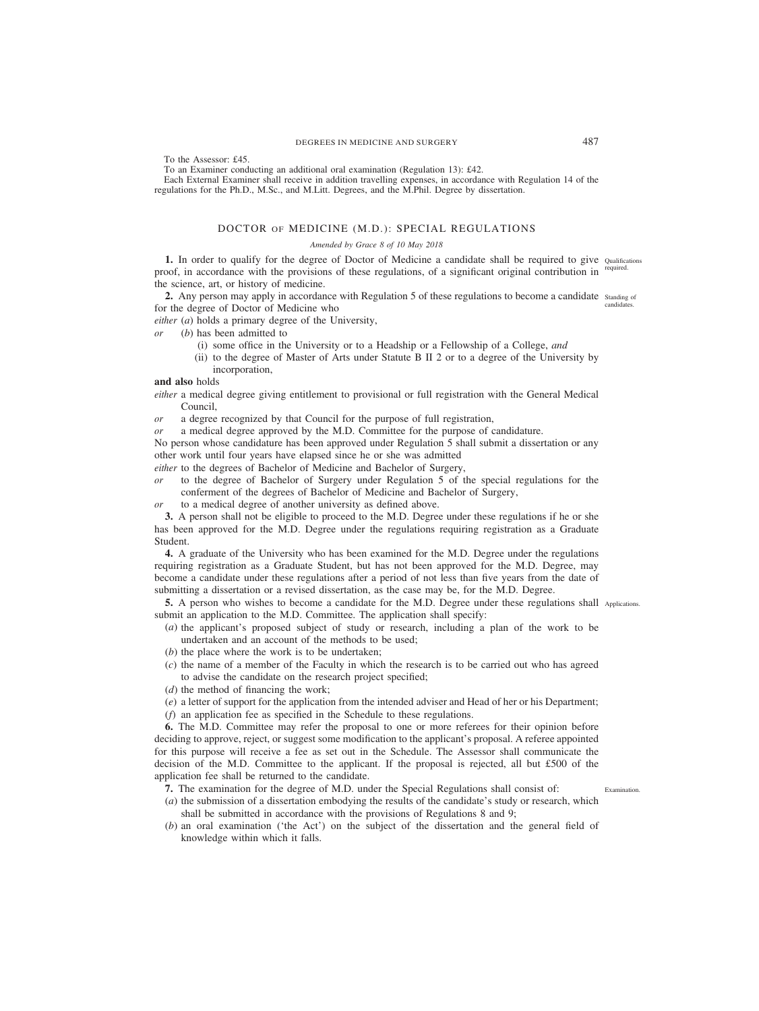To the Assessor: £45.

To an Examiner conducting an additional oral examination (Regulation 13): £42.

Each External Examiner shall receive in addition travelling expenses, in accordance with Regulation 14 of the regulations for the Ph.D., M.Sc., and M.Litt. Degrees, and the M.Phil. Degree by dissertation.

## DOCTOR OF MEDICINE (M.D.): SPECIAL REGULATIONS

## *Amended by Grace 8 of 10 May 2018*

1. In order to qualify for the degree of Doctor of Medicine a candidate shall be required to give Qualifications proof, in accordance with the provisions of these regulations, of a significant original contribution in <sup>required.</sup> the science, art, or history of medicine.

2. Any person may apply in accordance with Regulation 5 of these regulations to become a candidate standing of for the degree of Doctor of Medicine who candidates.

*either* (*a*) holds a primary degree of the University,

*or* (*b*) has been admitted to

- (i) some office in the University or to a Headship or a Fellowship of a College, *and*
- (ii) to the degree of Master of Arts under Statute B II 2 or to a degree of the University by incorporation,

**and also** holds

*either* a medical degree giving entitlement to provisional or full registration with the General Medical Council,

*or* a degree recognized by that Council for the purpose of full registration,

*or* a medical degree approved by the M.D. Committee for the purpose of candidature.

No person whose candidature has been approved under Regulation 5 shall submit a dissertation or any other work until four years have elapsed since he or she was admitted

*either* to the degrees of Bachelor of Medicine and Bachelor of Surgery,

- *or* to the degree of Bachelor of Surgery under Regulation 5 of the special regulations for the conferment of the degrees of Bachelor of Medicine and Bachelor of Surgery,
- *or* to a medical degree of another university as defined above.

**3.** A person shall not be eligible to proceed to the M.D. Degree under these regulations if he or she has been approved for the M.D. Degree under the regulations requiring registration as a Graduate Student.

**4.** A graduate of the University who has been examined for the M.D. Degree under the regulations requiring registration as a Graduate Student, but has not been approved for the M.D. Degree, may become a candidate under these regulations after a period of not less than five years from the date of submitting a dissertation or a revised dissertation, as the case may be, for the M.D. Degree.

**5.** A person who wishes to become a candidate for the M.D. Degree under these regulations shall Applications. submit an application to the M.D. Committee. The application shall specify:

- (*a*) the applicant's proposed subject of study or research, including a plan of the work to be undertaken and an account of the methods to be used;
- (*b*) the place where the work is to be undertaken;
- (*c*) the name of a member of the Faculty in which the research is to be carried out who has agreed to advise the candidate on the research project specified;
- (*d*) the method of financing the work;
- (*e*) a letter of support for the application from the intended adviser and Head of her or his Department;
- (*f*) an application fee as specified in the Schedule to these regulations.

**6.** The M.D. Committee may refer the proposal to one or more referees for their opinion before deciding to approve, reject, or suggest some modification to the applicant's proposal. A referee appointed for this purpose will receive a fee as set out in the Schedule. The Assessor shall communicate the decision of the M.D. Committee to the applicant. If the proposal is rejected, all but £500 of the application fee shall be returned to the candidate.

- **7.** The examination for the degree of M.D. under the Special Regulations shall consist of:
- (*a*) the submission of a dissertation embodying the results of the candidate's study or research, which shall be submitted in accordance with the provisions of Regulations 8 and 9;
- (*b*) an oral examination ('the Act') on the subject of the dissertation and the general field of knowledge within which it falls.

Examination.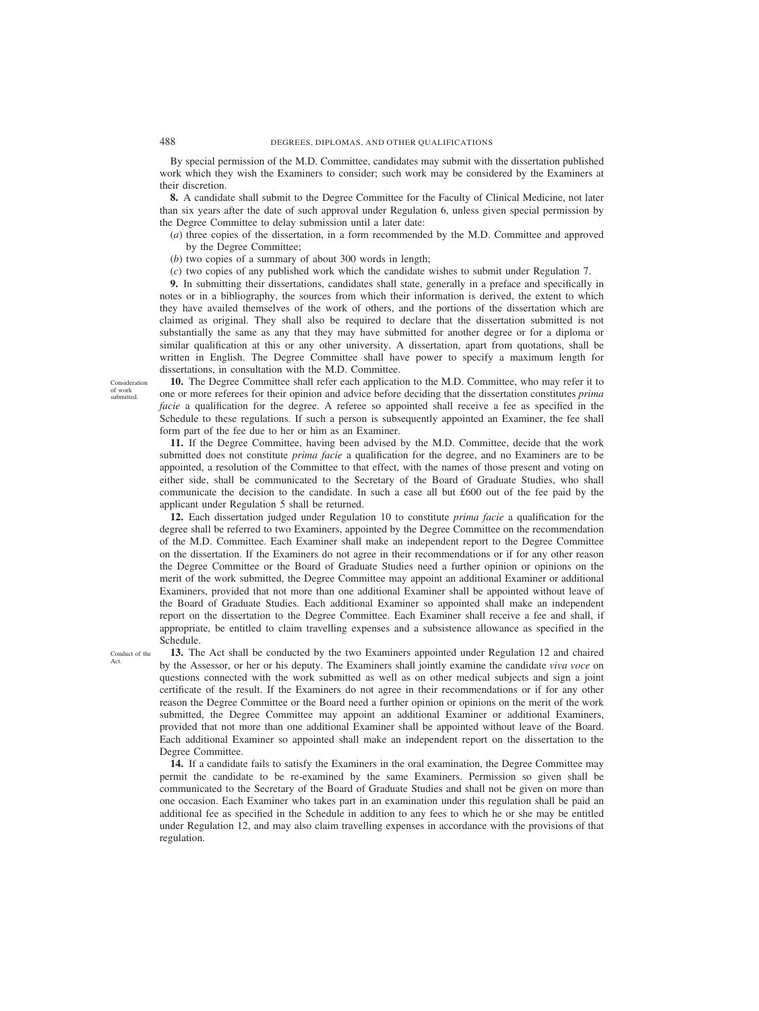By special permission of the M.D. Committee, candidates may submit with the dissertation published work which they wish the Examiners to consider; such work may be considered by the Examiners at their discretion.

**8.** A candidate shall submit to the Degree Committee for the Faculty of Clinical Medicine, not later than six years after the date of such approval under Regulation 6, unless given special permission by the Degree Committee to delay submission until a later date:

- (*a*) three copies of the dissertation, in a form recommended by the M.D. Committee and approved by the Degree Committee;
- (*b*) two copies of a summary of about 300 words in length;
- (*c*) two copies of any published work which the candidate wishes to submit under Regulation 7.

**9.** In submitting their dissertations, candidates shall state, generally in a preface and specifically in notes or in a bibliography, the sources from which their information is derived, the extent to which they have availed themselves of the work of others, and the portions of the dissertation which are claimed as original. They shall also be required to declare that the dissertation submitted is not substantially the same as any that they may have submitted for another degree or for a diploma or similar qualification at this or any other university. A dissertation, apart from quotations, shall be written in English. The Degree Committee shall have power to specify a maximum length for dissertations, in consultation with the M.D. Committee.

**10.** The Degree Committee shall refer each application to the M.D. Committee, who may refer it to one or more referees for their opinion and advice before deciding that the dissertation constitutes *prima facie* a qualification for the degree. A referee so appointed shall receive a fee as specified in the Schedule to these regulations. If such a person is subsequently appointed an Examiner, the fee shall form part of the fee due to her or him as an Examiner.

**11.** If the Degree Committee, having been advised by the M.D. Committee, decide that the work submitted does not constitute *prima facie* a qualification for the degree, and no Examiners are to be appointed, a resolution of the Committee to that effect, with the names of those present and voting on either side, shall be communicated to the Secretary of the Board of Graduate Studies, who shall communicate the decision to the candidate. In such a case all but £600 out of the fee paid by the applicant under Regulation 5 shall be returned.

**12.** Each dissertation judged under Regulation 10 to constitute *prima facie* a qualification for the degree shall be referred to two Examiners, appointed by the Degree Committee on the recommendation of the M.D. Committee. Each Examiner shall make an independent report to the Degree Committee on the dissertation. If the Examiners do not agree in their recommendations or if for any other reason the Degree Committee or the Board of Graduate Studies need a further opinion or opinions on the merit of the work submitted, the Degree Committee may appoint an additional Examiner or additional Examiners, provided that not more than one additional Examiner shall be appointed without leave of the Board of Graduate Studies. Each additional Examiner so appointed shall make an independent report on the dissertation to the Degree Committee. Each Examiner shall receive a fee and shall, if appropriate, be entitled to claim travelling expenses and a subsistence allowance as specified in the Schedule.

Conduct of the Act.

**13.** The Act shall be conducted by the two Examiners appointed under Regulation 12 and chaired by the Assessor, or her or his deputy. The Examiners shall jointly examine the candidate *viva voce* on questions connected with the work submitted as well as on other medical subjects and sign a joint certificate of the result. If the Examiners do not agree in their recommendations or if for any other reason the Degree Committee or the Board need a further opinion or opinions on the merit of the work submitted, the Degree Committee may appoint an additional Examiner or additional Examiners, provided that not more than one additional Examiner shall be appointed without leave of the Board. Each additional Examiner so appointed shall make an independent report on the dissertation to the Degree Committee.

**14.** If a candidate fails to satisfy the Examiners in the oral examination, the Degree Committee may permit the candidate to be re-examined by the same Examiners. Permission so given shall be communicated to the Secretary of the Board of Graduate Studies and shall not be given on more than one occasion. Each Examiner who takes part in an examination under this regulation shall be paid an additional fee as specified in the Schedule in addition to any fees to which he or she may be entitled under Regulation 12, and may also claim travelling expenses in accordance with the provisions of that regulation.

Consideration of work submitted.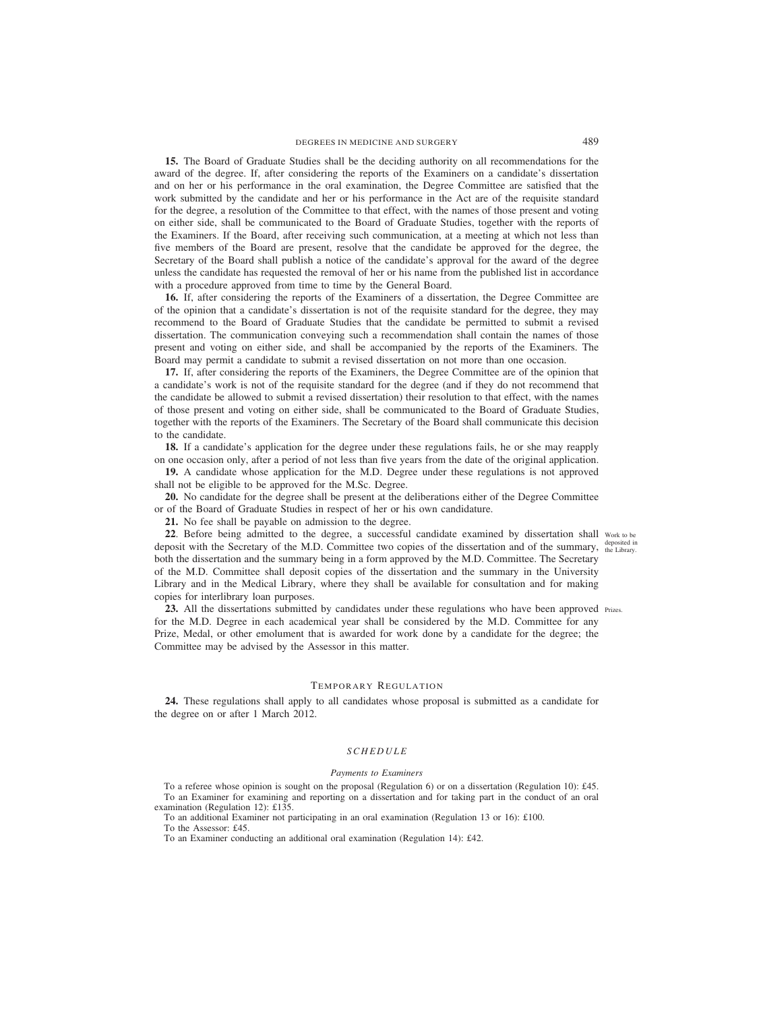**15.** The Board of Graduate Studies shall be the deciding authority on all recommendations for the award of the degree. If, after considering the reports of the Examiners on a candidate's dissertation and on her or his performance in the oral examination, the Degree Committee are satisfied that the work submitted by the candidate and her or his performance in the Act are of the requisite standard for the degree, a resolution of the Committee to that effect, with the names of those present and voting on either side, shall be communicated to the Board of Graduate Studies, together with the reports of the Examiners. If the Board, after receiving such communication, at a meeting at which not less than five members of the Board are present, resolve that the candidate be approved for the degree, the Secretary of the Board shall publish a notice of the candidate's approval for the award of the degree unless the candidate has requested the removal of her or his name from the published list in accordance with a procedure approved from time to time by the General Board.

**16.** If, after considering the reports of the Examiners of a dissertation, the Degree Committee are of the opinion that a candidate's dissertation is not of the requisite standard for the degree, they may recommend to the Board of Graduate Studies that the candidate be permitted to submit a revised dissertation. The communication conveying such a recommendation shall contain the names of those present and voting on either side, and shall be accompanied by the reports of the Examiners. The Board may permit a candidate to submit a revised dissertation on not more than one occasion.

**17.** If, after considering the reports of the Examiners, the Degree Committee are of the opinion that a candidate's work is not of the requisite standard for the degree (and if they do not recommend that the candidate be allowed to submit a revised dissertation) their resolution to that effect, with the names of those present and voting on either side, shall be communicated to the Board of Graduate Studies, together with the reports of the Examiners. The Secretary of the Board shall communicate this decision to the candidate.

**18.** If a candidate's application for the degree under these regulations fails, he or she may reapply on one occasion only, after a period of not less than five years from the date of the original application.

**19.** A candidate whose application for the M.D. Degree under these regulations is not approved shall not be eligible to be approved for the M.Sc. Degree.

**20.** No candidate for the degree shall be present at the deliberations either of the Degree Committee or of the Board of Graduate Studies in respect of her or his own candidature.

**21.** No fee shall be payable on admission to the degree.

22. Before being admitted to the degree, a successful candidate examined by dissertation shall work to be deposit with the Secretary of the M.D. Committee two copies of the dissertation and of the summary,  $t_{the\text{ Library}}^{\text{deposed in}}$ both the dissertation and the summary being in a form approved by the M.D. Committee. The Secretary of the M.D. Committee shall deposit copies of the dissertation and the summary in the University Library and in the Medical Library, where they shall be available for consultation and for making copies for interlibrary loan purposes. deposited in

23. All the dissertations submitted by candidates under these regulations who have been approved Prizes. for the M.D. Degree in each academical year shall be considered by the M.D. Committee for any Prize, Medal, or other emolument that is awarded for work done by a candidate for the degree; the Committee may be advised by the Assessor in this matter.

#### TEMPORARY REGULATION

**24.** These regulations shall apply to all candidates whose proposal is submitted as a candidate for the degree on or after 1 March 2012.

#### *SCHEDULE*

#### *Payments to Examiners*

To a referee whose opinion is sought on the proposal (Regulation 6) or on a dissertation (Regulation 10): £45. To an Examiner for examining and reporting on a dissertation and for taking part in the conduct of an oral examination (Regulation 12): £135.

To an additional Examiner not participating in an oral examination (Regulation 13 or 16): £100. To the Assessor: £45.

To an Examiner conducting an additional oral examination (Regulation 14): £42.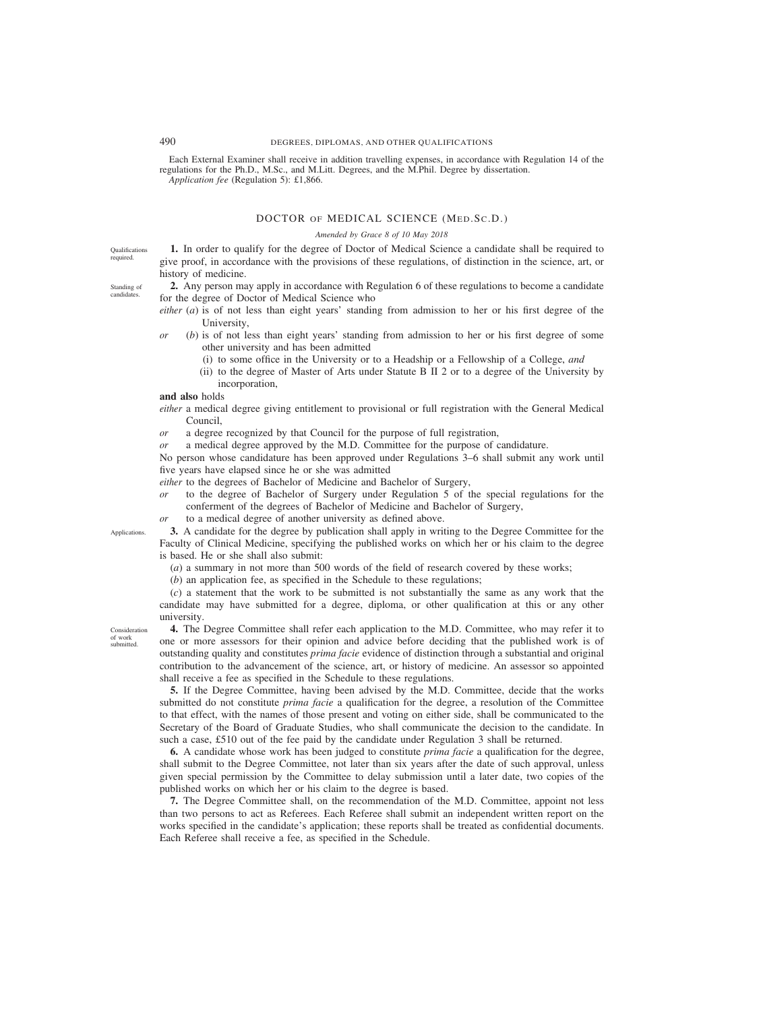Each External Examiner shall receive in addition travelling expenses, in accordance with Regulation 14 of the regulations for the Ph.D., M.Sc., and M.Litt. Degrees, and the M.Phil. Degree by dissertation. *Application fee* (Regulation 5): £1,866.

## DOCTOR OF MEDICAL SCIENCE (MED.Sc.D.)

#### *Amended by Grace 8 of 10 May 2018*

Qualifications required.

Standing of candidates.

**1.** In order to qualify for the degree of Doctor of Medical Science a candidate shall be required to give proof, in accordance with the provisions of these regulations, of distinction in the science, art, or history of medicine.

**2.** Any person may apply in accordance with Regulation 6 of these regulations to become a candidate for the degree of Doctor of Medical Science who

- *either* (*a*) is of not less than eight years' standing from admission to her or his first degree of the University,
- *or* (*b*) is of not less than eight years' standing from admission to her or his first degree of some other university and has been admitted
	- (i) to some office in the University or to a Headship or a Fellowship of a College, *and*
	- (ii) to the degree of Master of Arts under Statute B II 2 or to a degree of the University by incorporation,

**and also** holds

*either* a medical degree giving entitlement to provisional or full registration with the General Medical Council,

- *or* a degree recognized by that Council for the purpose of full registration,
- *or* a medical degree approved by the M.D. Committee for the purpose of candidature.

No person whose candidature has been approved under Regulations 3–6 shall submit any work until five years have elapsed since he or she was admitted

*either* to the degrees of Bachelor of Medicine and Bachelor of Surgery,

- *or* to the degree of Bachelor of Surgery under Regulation 5 of the special regulations for the conferment of the degrees of Bachelor of Medicine and Bachelor of Surgery,
- *or* to a medical degree of another university as defined above.

**3.** A candidate for the degree by publication shall apply in writing to the Degree Committee for the Faculty of Clinical Medicine, specifying the published works on which her or his claim to the degree is based. He or she shall also submit:

(*a*) a summary in not more than 500 words of the field of research covered by these works;

(*b*) an application fee, as specified in the Schedule to these regulations;

(*c*) a statement that the work to be submitted is not substantially the same as any work that the candidate may have submitted for a degree, diploma, or other qualification at this or any other university.

Consideration of work submitted.

Applications.

**4.** The Degree Committee shall refer each application to the M.D. Committee, who may refer it to one or more assessors for their opinion and advice before deciding that the published work is of outstanding quality and constitutes *prima facie* evidence of distinction through a substantial and original contribution to the advancement of the science, art, or history of medicine. An assessor so appointed shall receive a fee as specified in the Schedule to these regulations.

**5.** If the Degree Committee, having been advised by the M.D. Committee, decide that the works submitted do not constitute *prima facie* a qualification for the degree, a resolution of the Committee to that effect, with the names of those present and voting on either side, shall be communicated to the Secretary of the Board of Graduate Studies, who shall communicate the decision to the candidate. In such a case, £510 out of the fee paid by the candidate under Regulation 3 shall be returned.

**6.** A candidate whose work has been judged to constitute *prima facie* a qualification for the degree, shall submit to the Degree Committee, not later than six years after the date of such approval, unless given special permission by the Committee to delay submission until a later date, two copies of the published works on which her or his claim to the degree is based.

**7.** The Degree Committee shall, on the recommendation of the M.D. Committee, appoint not less than two persons to act as Referees. Each Referee shall submit an independent written report on the works specified in the candidate's application; these reports shall be treated as confidential documents. Each Referee shall receive a fee, as specified in the Schedule.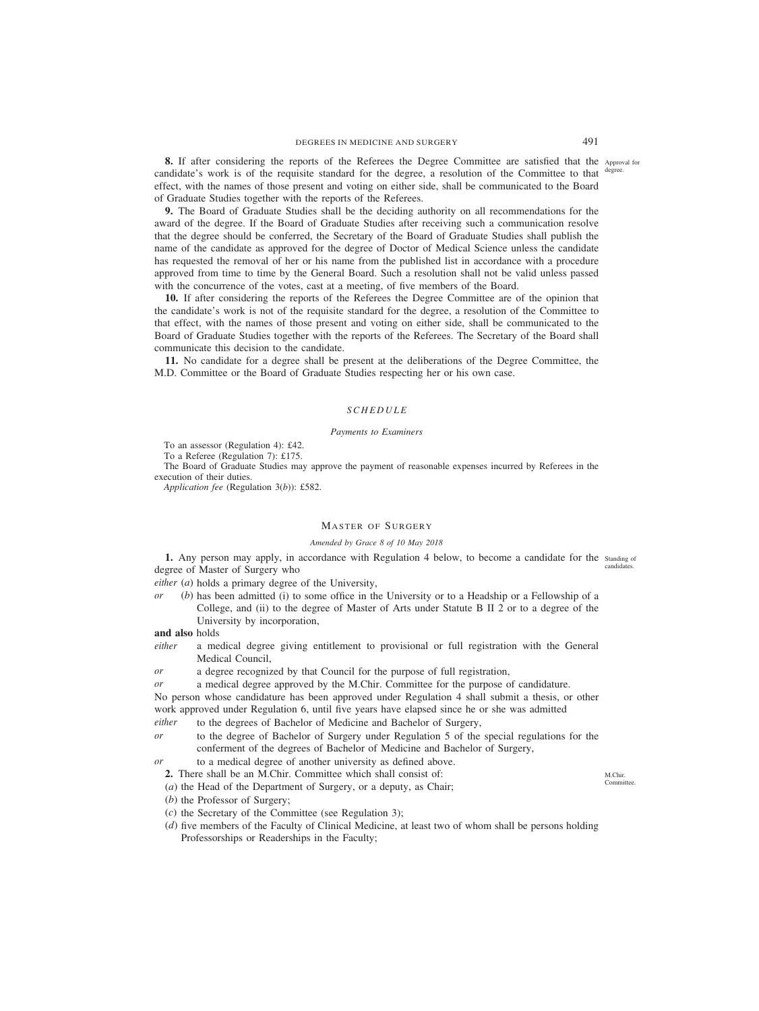**8.** If after considering the reports of the Referees the Degree Committee are satisfied that the Approval for candidate's work is of the requisite standard for the degree, a resolution of the Committee to that effect, with the names of those present and voting on either side, shall be communicated to the Board of Graduate Studies together with the reports of the Referees. degree.

**9.** The Board of Graduate Studies shall be the deciding authority on all recommendations for the award of the degree. If the Board of Graduate Studies after receiving such a communication resolve that the degree should be conferred, the Secretary of the Board of Graduate Studies shall publish the name of the candidate as approved for the degree of Doctor of Medical Science unless the candidate has requested the removal of her or his name from the published list in accordance with a procedure approved from time to time by the General Board. Such a resolution shall not be valid unless passed with the concurrence of the votes, cast at a meeting, of five members of the Board.

**10.** If after considering the reports of the Referees the Degree Committee are of the opinion that the candidate's work is not of the requisite standard for the degree, a resolution of the Committee to that effect, with the names of those present and voting on either side, shall be communicated to the Board of Graduate Studies together with the reports of the Referees. The Secretary of the Board shall communicate this decision to the candidate.

**11.** No candidate for a degree shall be present at the deliberations of the Degree Committee, the M.D. Committee or the Board of Graduate Studies respecting her or his own case.

#### *SCHEDULE*

#### *Payments to Examiners*

To an assessor (Regulation 4): £42.

To a Referee (Regulation 7): £175.

The Board of Graduate Studies may approve the payment of reasonable expenses incurred by Referees in the execution of their duties.

*Application fee* (Regulation 3(*b*)): £582.

## MASTER OF SURGERY

#### *Amended by Grace 8 of 10 May 2018*

**1.** Any person may apply, in accordance with Regulation 4 below, to become a candidate for the standing of degree of Master of Surgery who candidates.

*either* (*a*) holds a primary degree of the University,

*or* (*b*) has been admitted (i) to some office in the University or to a Headship or a Fellowship of a College, and (ii) to the degree of Master of Arts under Statute B II 2 or to a degree of the University by incorporation,

**and also** holds

*either* a medical degree giving entitlement to provisional or full registration with the General Medical Council,

*or* a degree recognized by that Council for the purpose of full registration,

*or* a medical degree approved by the M.Chir. Committee for the purpose of candidature.

No person whose candidature has been approved under Regulation 4 shall submit a thesis, or other work approved under Regulation 6, until five years have elapsed since he or she was admitted

- *either* to the degrees of Bachelor of Medicine and Bachelor of Surgery,
- *or* to the degree of Bachelor of Surgery under Regulation 5 of the special regulations for the conferment of the degrees of Bachelor of Medicine and Bachelor of Surgery,
- *or* to a medical degree of another university as defined above.
	- **2.** There shall be an M.Chir. Committee which shall consist of:
	- (*a*) the Head of the Department of Surgery, or a deputy, as Chair;
	- (*b*) the Professor of Surgery;
	- (*c*) the Secretary of the Committee (see Regulation 3);
	- (*d*) five members of the Faculty of Clinical Medicine, at least two of whom shall be persons holding Professorships or Readerships in the Faculty;

M.Chir. Committee.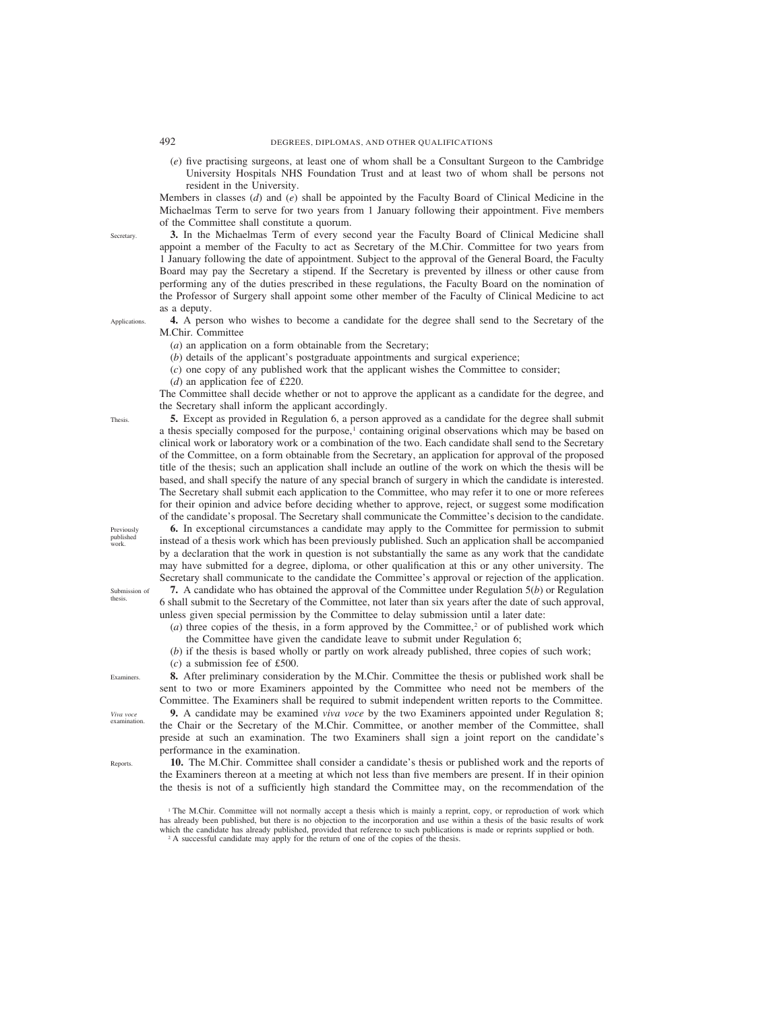(*e*) five practising surgeons, at least one of whom shall be a Consultant Surgeon to the Cambridge University Hospitals NHS Foundation Trust and at least two of whom shall be persons not resident in the University.

Members in classes (*d*) and (*e*) shall be appointed by the Faculty Board of Clinical Medicine in the Michaelmas Term to serve for two years from 1 January following their appointment. Five members of the Committee shall constitute a quorum.

**3.** In the Michaelmas Term of every second year the Faculty Board of Clinical Medicine shall appoint a member of the Faculty to act as Secretary of the M.Chir. Committee for two years from 1 January following the date of appointment. Subject to the approval of the General Board, the Faculty Board may pay the Secretary a stipend. If the Secretary is prevented by illness or other cause from performing any of the duties prescribed in these regulations, the Faculty Board on the nomination of the Professor of Surgery shall appoint some other member of the Faculty of Clinical Medicine to act as a deputy.

**4.** A person who wishes to become a candidate for the degree shall send to the Secretary of the M.Chir. Committee

(*a*) an application on a form obtainable from the Secretary;

(*b*) details of the applicant's postgraduate appointments and surgical experience;

(*c*) one copy of any published work that the applicant wishes the Committee to consider;

(*d*) an application fee of £220.

The Committee shall decide whether or not to approve the applicant as a candidate for the degree, and the Secretary shall inform the applicant accordingly.

**5.** Except as provided in Regulation 6, a person approved as a candidate for the degree shall submit a thesis specially composed for the purpose,<sup>1</sup> containing original observations which may be based on clinical work or laboratory work or a combination of the two. Each candidate shall send to the Secretary of the Committee, on a form obtainable from the Secretary, an application for approval of the proposed title of the thesis; such an application shall include an outline of the work on which the thesis will be based, and shall specify the nature of any special branch of surgery in which the candidate is interested. The Secretary shall submit each application to the Committee, who may refer it to one or more referees for their opinion and advice before deciding whether to approve, reject, or suggest some modification of the candidate's proposal. The Secretary shall communicate the Committee's decision to the candidate.

**6.** In exceptional circumstances a candidate may apply to the Committee for permission to submit instead of a thesis work which has been previously published. Such an application shall be accompanied by a declaration that the work in question is not substantially the same as any work that the candidate may have submitted for a degree, diploma, or other qualification at this or any other university. The Secretary shall communicate to the candidate the Committee's approval or rejection of the application.

**7.** A candidate who has obtained the approval of the Committee under Regulation 5(*b*) or Regulation 6 shall submit to the Secretary of the Committee, not later than six years after the date of such approval, unless given special permission by the Committee to delay submission until a later date:

 $(a)$  three copies of the thesis, in a form approved by the Committee,<sup>2</sup> or of published work which the Committee have given the candidate leave to submit under Regulation 6;

(*b*) if the thesis is based wholly or partly on work already published, three copies of such work;

(*c*) a submission fee of £500.

**8.** After preliminary consideration by the M.Chir. Committee the thesis or published work shall be sent to two or more Examiners appointed by the Committee who need not be members of the Committee. The Examiners shall be required to submit independent written reports to the Committee.

**9.** A candidate may be examined *viva voce* by the two Examiners appointed under Regulation 8; the Chair or the Secretary of the M.Chir. Committee, or another member of the Committee, shall preside at such an examination. The two Examiners shall sign a joint report on the candidate's performance in the examination.

**10.** The M.Chir. Committee shall consider a candidate's thesis or published work and the reports of the Examiners thereon at a meeting at which not less than five members are present. If in their opinion the thesis is not of a sufficiently high standard the Committee may, on the recommendation of the

<sup>1</sup> The M.Chir. Committee will not normally accept a thesis which is mainly a reprint, copy, or reproduction of work which has already been published, but there is no objection to the incorporation and use within a thesis of the basic results of work which the candidate has already published, provided that reference to such publications is made or reprints supplied or both. <sup>2</sup> A successful candidate may apply for the return of one of the copies of the thesis.

Thesis.

Previously published work.

thesis.

Submission of

Examiners.

*Viva voce* examination.

**Reports** 

**Applications** 

**Secretary**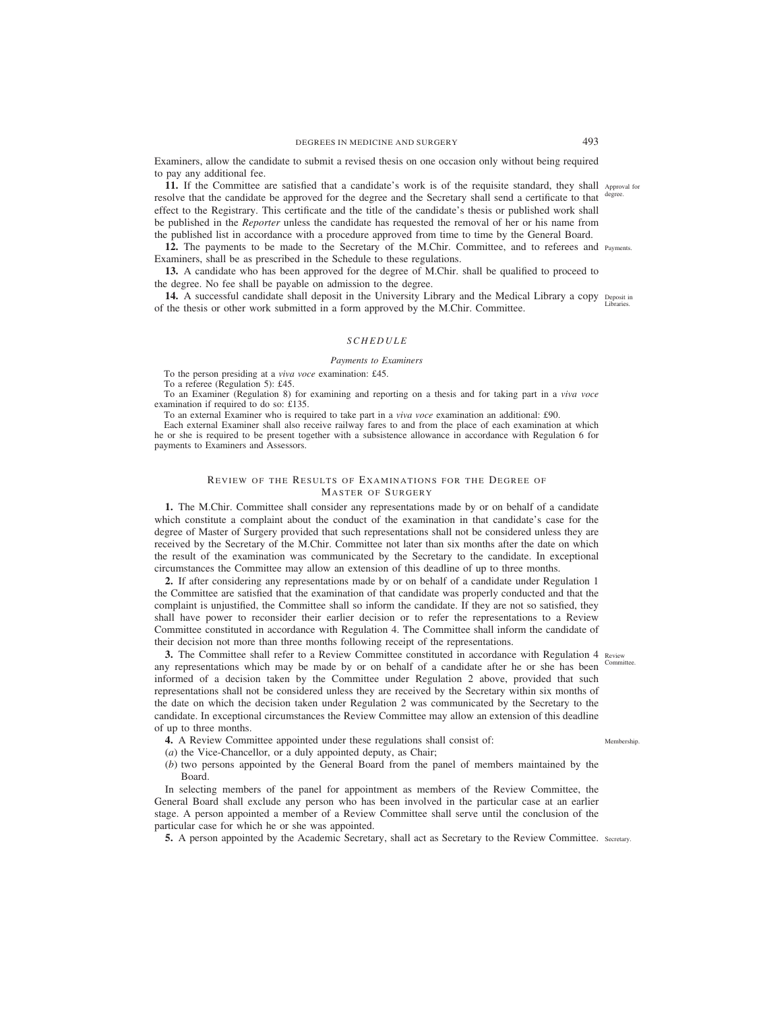Examiners, allow the candidate to submit a revised thesis on one occasion only without being required to pay any additional fee.

**11.** If the Committee are satisfied that a candidate's work is of the requisite standard, they shall Approval for resolve that the candidate be approved for the degree and the Secretary shall send a certificate to that degree. effect to the Registrary. This certificate and the title of the candidate's thesis or published work shall be published in the *Reporter* unless the candidate has requested the removal of her or his name from the published list in accordance with a procedure approved from time to time by the General Board.

**12.** The payments to be made to the Secretary of the M.Chir. Committee, and to referees and Payments. Examiners, shall be as prescribed in the Schedule to these regulations.

**13.** A candidate who has been approved for the degree of M.Chir. shall be qualified to proceed to the degree. No fee shall be payable on admission to the degree.

**14.** A successful candidate shall deposit in the University Library and the Medical Library a copy Deposit in of the thesis or other work submitted in a form approved by the M.Chir. Committee. Libraries.

# *SCHEDULE*

#### *Payments to Examiners*

To the person presiding at a *viva voce* examination: £45.

To a referee (Regulation 5): £45.

To an Examiner (Regulation 8) for examining and reporting on a thesis and for taking part in a *viva voce* examination if required to do so: £135.

To an external Examiner who is required to take part in a *viva voce* examination an additional: £90.

Each external Examiner shall also receive railway fares to and from the place of each examination at which he or she is required to be present together with a subsistence allowance in accordance with Regulation 6 for payments to Examiners and Assessors.

## REVIEW OF THE RESULTS OF EXAMINATIONS FOR THE DEGREE OF MASTER OF SURGERY

**1.** The M.Chir. Committee shall consider any representations made by or on behalf of a candidate which constitute a complaint about the conduct of the examination in that candidate's case for the degree of Master of Surgery provided that such representations shall not be considered unless they are received by the Secretary of the M.Chir. Committee not later than six months after the date on which the result of the examination was communicated by the Secretary to the candidate. In exceptional circumstances the Committee may allow an extension of this deadline of up to three months.

**2.** If after considering any representations made by or on behalf of a candidate under Regulation 1 the Committee are satisfied that the examination of that candidate was properly conducted and that the complaint is unjustified, the Committee shall so inform the candidate. If they are not so satisfied, they shall have power to reconsider their earlier decision or to refer the representations to a Review Committee constituted in accordance with Regulation 4. The Committee shall inform the candidate of their decision not more than three months following receipt of the representations.

**3.** The Committee shall refer to a Review Committee constituted in accordance with Regulation 4 Review any representations which may be made by or on behalf of a candidate after he or she has been informed of a decision taken by the Committee under Regulation 2 above, provided that such representations shall not be considered unless they are received by the Secretary within six months of the date on which the decision taken under Regulation 2 was communicated by the Secretary to the candidate. In exceptional circumstances the Review Committee may allow an extension of this deadline of up to three months.

- **4.** A Review Committee appointed under these regulations shall consist of:
- (*a*) the Vice-Chancellor, or a duly appointed deputy, as Chair;
- (*b*) two persons appointed by the General Board from the panel of members maintained by the Board.

In selecting members of the panel for appointment as members of the Review Committee, the General Board shall exclude any person who has been involved in the particular case at an earlier stage. A person appointed a member of a Review Committee shall serve until the conclusion of the particular case for which he or she was appointed.

**5.** A person appointed by the Academic Secretary, shall act as Secretary to the Review Committee. Secretary.

Committee.

Membership.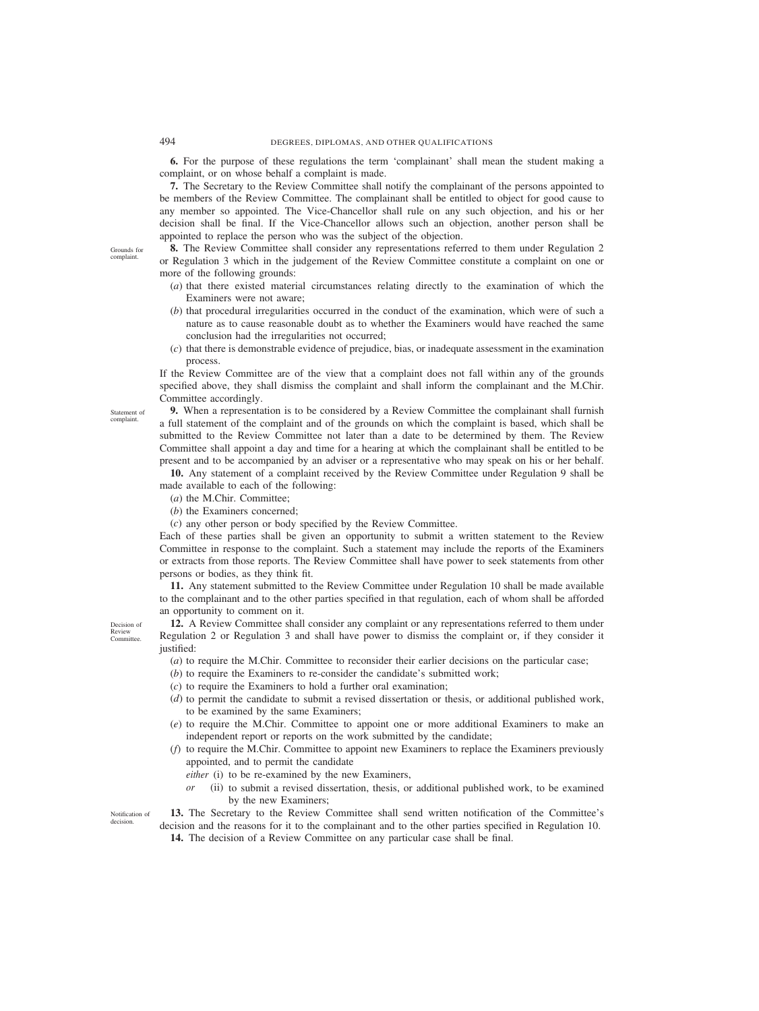**6.** For the purpose of these regulations the term 'complainant' shall mean the student making a complaint, or on whose behalf a complaint is made.

**7.** The Secretary to the Review Committee shall notify the complainant of the persons appointed to be members of the Review Committee. The complainant shall be entitled to object for good cause to any member so appointed. The Vice-Chancellor shall rule on any such objection, and his or her decision shall be final. If the Vice-Chancellor allows such an objection, another person shall be appointed to replace the person who was the subject of the objection.

Grounds for complaint.

Statement of complaint.

**8.** The Review Committee shall consider any representations referred to them under Regulation 2 or Regulation 3 which in the judgement of the Review Committee constitute a complaint on one or more of the following grounds:

- (*a*) that there existed material circumstances relating directly to the examination of which the Examiners were not aware;
- (*b*) that procedural irregularities occurred in the conduct of the examination, which were of such a nature as to cause reasonable doubt as to whether the Examiners would have reached the same conclusion had the irregularities not occurred;
- (*c*) that there is demonstrable evidence of prejudice, bias, or inadequate assessment in the examination process.

If the Review Committee are of the view that a complaint does not fall within any of the grounds specified above, they shall dismiss the complaint and shall inform the complainant and the M.Chir. Committee accordingly.

**9.** When a representation is to be considered by a Review Committee the complainant shall furnish a full statement of the complaint and of the grounds on which the complaint is based, which shall be submitted to the Review Committee not later than a date to be determined by them. The Review Committee shall appoint a day and time for a hearing at which the complainant shall be entitled to be present and to be accompanied by an adviser or a representative who may speak on his or her behalf.

**10.** Any statement of a complaint received by the Review Committee under Regulation 9 shall be made available to each of the following:

- (*a*) the M.Chir. Committee;
- (*b*) the Examiners concerned;

(*c*) any other person or body specified by the Review Committee.

Each of these parties shall be given an opportunity to submit a written statement to the Review Committee in response to the complaint. Such a statement may include the reports of the Examiners or extracts from those reports. The Review Committee shall have power to seek statements from other persons or bodies, as they think fit.

**11.** Any statement submitted to the Review Committee under Regulation 10 shall be made available to the complainant and to the other parties specified in that regulation, each of whom shall be afforded an opportunity to comment on it.

**12.** A Review Committee shall consider any complaint or any representations referred to them under Regulation 2 or Regulation 3 and shall have power to dismiss the complaint or, if they consider it justified:

(*a*) to require the M.Chir. Committee to reconsider their earlier decisions on the particular case;

- (*b*) to require the Examiners to re-consider the candidate's submitted work;
- (*c*) to require the Examiners to hold a further oral examination;
- (*d*) to permit the candidate to submit a revised dissertation or thesis, or additional published work, to be examined by the same Examiners;
- (*e*) to require the M.Chir. Committee to appoint one or more additional Examiners to make an independent report or reports on the work submitted by the candidate;
- (*f*) to require the M.Chir. Committee to appoint new Examiners to replace the Examiners previously appointed, and to permit the candidate
	- *either* (i) to be re-examined by the new Examiners,
	- *or* (ii) to submit a revised dissertation, thesis, or additional published work, to be examined by the new Examiners;

**13.** The Secretary to the Review Committee shall send written notification of the Committee's decision and the reasons for it to the complainant and to the other parties specified in Regulation 10. Notification of

**14.** The decision of a Review Committee on any particular case shall be final.

Decision of Review **Committee** 

decision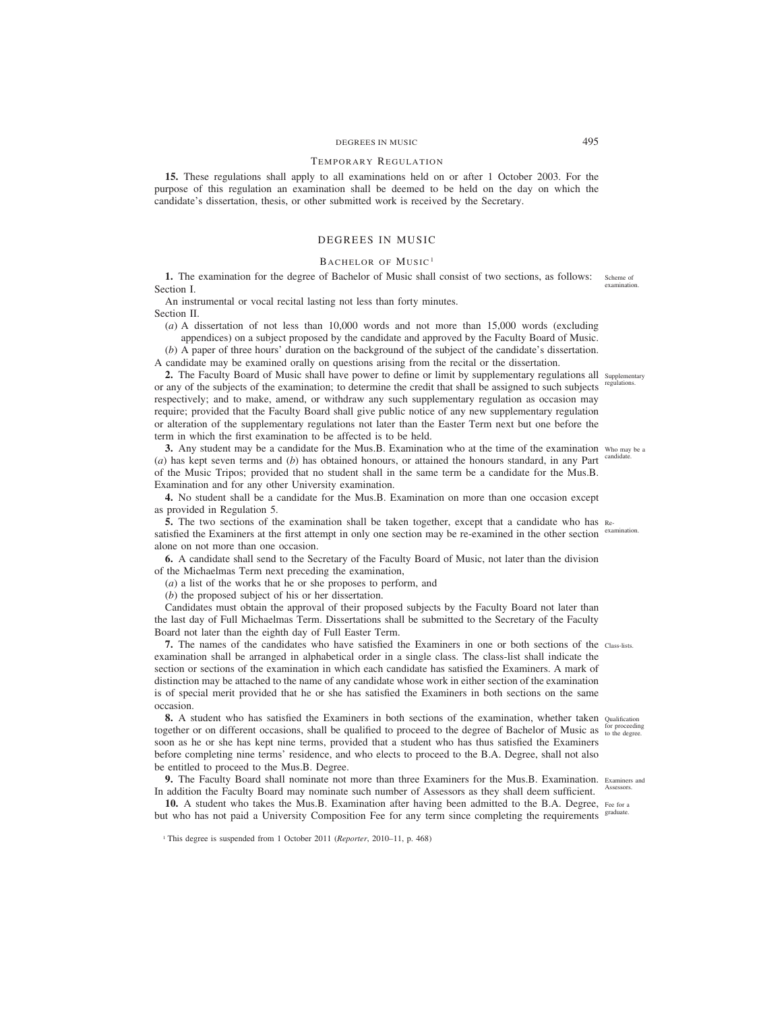# DEGREES IN MUSIC 495

#### TEMPORARY REGULATION

**15.** These regulations shall apply to all examinations held on or after 1 October 2003. For the purpose of this regulation an examination shall be deemed to be held on the day on which the candidate's dissertation, thesis, or other submitted work is received by the Secretary.

## DEGREES IN MUSIC

## BACHELOR OF MUSIC<sup>1</sup>

**1.** The examination for the degree of Bachelor of Music shall consist of two sections, as follows: Section I. Scheme of examination.

An instrumental or vocal recital lasting not less than forty minutes. Section II.

(*a*) A dissertation of not less than 10,000 words and not more than 15,000 words (excluding appendices) on a subject proposed by the candidate and approved by the Faculty Board of Music.

(*b*) A paper of three hours' duration on the background of the subject of the candidate's dissertation. A candidate may be examined orally on questions arising from the recital or the dissertation.

2. The Faculty Board of Music shall have power to define or limit by supplementary regulations all supplementary or any of the subjects of the examination; to determine the credit that shall be assigned to such subjects regulations. respectively; and to make, amend, or withdraw any such supplementary regulation as occasion may require; provided that the Faculty Board shall give public notice of any new supplementary regulation or alteration of the supplementary regulations not later than the Easter Term next but one before the term in which the first examination to be affected is to be held.

**3.** Any student may be a candidate for the Mus.B. Examination who at the time of the examination who may be a (*a*) has kept seven terms and (*b*) has obtained honours, or attained the honours standard, in any Part of the Music Tripos; provided that no student shall in the same term be a candidate for the Mus.B. Examination and for any other University examination. candidate.

**4.** No student shall be a candidate for the Mus.B. Examination on more than one occasion except as provided in Regulation 5.

**5.** The two sections of the examination shall be taken together, except that a candidate who has Resatisfied the Examiners at the first attempt in only one section may be re-examined in the other section <sup>examination.</sup> alone on not more than one occasion.

**6.** A candidate shall send to the Secretary of the Faculty Board of Music, not later than the division of the Michaelmas Term next preceding the examination,

(*a*) a list of the works that he or she proposes to perform, and

(*b*) the proposed subject of his or her dissertation.

Candidates must obtain the approval of their proposed subjects by the Faculty Board not later than the last day of Full Michaelmas Term. Dissertations shall be submitted to the Secretary of the Faculty Board not later than the eighth day of Full Easter Term.

**7.** The names of the candidates who have satisfied the Examiners in one or both sections of the Class-lists. examination shall be arranged in alphabetical order in a single class. The class-list shall indicate the section or sections of the examination in which each candidate has satisfied the Examiners. A mark of distinction may be attached to the name of any candidate whose work in either section of the examination is of special merit provided that he or she has satisfied the Examiners in both sections on the same occasion.

**8.** A student who has satisfied the Examiners in both sections of the examination, whether taken Qualification together or on different occasions, shall be qualified to proceed to the degree of Bachelor of Music as for proceeding soon as he or she has kept nine terms, provided that a student who has thus satisfied the Examiners before completing nine terms' residence, and who elects to proceed to the B.A. Degree, shall not also be entitled to proceed to the Mus.B. Degree.

**9.** The Faculty Board shall nominate not more than three Examiners for the Mus.B. Examination. Examiners and In addition the Faculty Board may nominate such number of Assessors as they shall deem sufficient. Assessors.

10. A student who takes the Mus.B. Examination after having been admitted to the B.A. Degree, Fee for a but who has not paid a University Composition Fee for any term since completing the requirements <sup>graduate.</sup>

<sup>&</sup>lt;sup>1</sup> This degree is suspended from 1 October 2011 (*Reporter*, 2010–11, p. 468)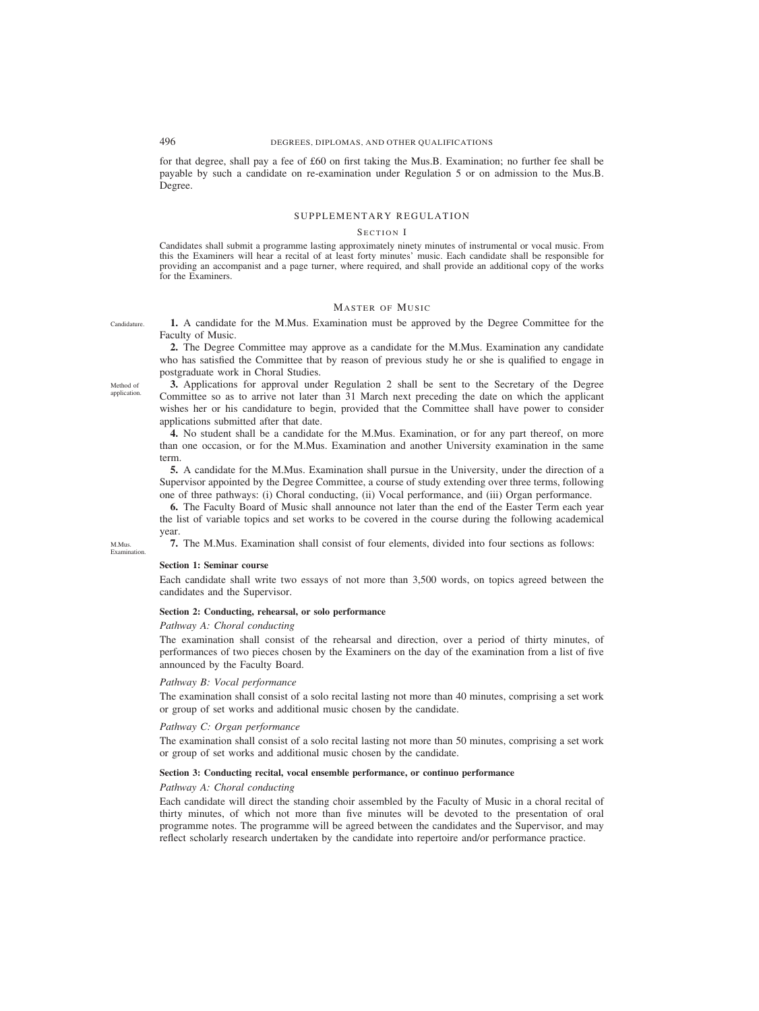for that degree, shall pay a fee of £60 on first taking the Mus.B. Examination; no further fee shall be payable by such a candidate on re-examination under Regulation 5 or on admission to the Mus.B. Degree.

## SUPPLEMENTARY REGULATION

#### SECTION I

Candidates shall submit a programme lasting approximately ninety minutes of instrumental or vocal music. From this the Examiners will hear a recital of at least forty minutes' music. Each candidate shall be responsible for providing an accompanist and a page turner, where required, and shall provide an additional copy of the works for the Examiners.

## MASTER OF MUSIC

**1.** A candidate for the M.Mus. Examination must be approved by the Degree Committee for the Faculty of Music.

**2.** The Degree Committee may approve as a candidate for the M.Mus. Examination any candidate who has satisfied the Committee that by reason of previous study he or she is qualified to engage in postgraduate work in Choral Studies.

**3.** Applications for approval under Regulation 2 shall be sent to the Secretary of the Degree Committee so as to arrive not later than 31 March next preceding the date on which the applicant wishes her or his candidature to begin, provided that the Committee shall have power to consider applications submitted after that date.

**4.** No student shall be a candidate for the M.Mus. Examination, or for any part thereof, on more than one occasion, or for the M.Mus. Examination and another University examination in the same term.

**5.** A candidate for the M.Mus. Examination shall pursue in the University, under the direction of a Supervisor appointed by the Degree Committee, a course of study extending over three terms, following one of three pathways: (i) Choral conducting, (ii) Vocal performance, and (iii) Organ performance.

**6.** The Faculty Board of Music shall announce not later than the end of the Easter Term each year the list of variable topics and set works to be covered in the course during the following academical year.

**7.** The M.Mus. Examination shall consist of four elements, divided into four sections as follows: M.Mus. Examination.

#### **Section 1: Seminar course**

Each candidate shall write two essays of not more than 3,500 words, on topics agreed between the candidates and the Supervisor.

## **Section 2: Conducting, rehearsal, or solo performance**

## *Pathway A: Choral conducting*

The examination shall consist of the rehearsal and direction, over a period of thirty minutes, of performances of two pieces chosen by the Examiners on the day of the examination from a list of five announced by the Faculty Board.

## *Pathway B: Vocal performance*

The examination shall consist of a solo recital lasting not more than 40 minutes, comprising a set work or group of set works and additional music chosen by the candidate.

## *Pathway C: Organ performance*

The examination shall consist of a solo recital lasting not more than 50 minutes, comprising a set work or group of set works and additional music chosen by the candidate.

### **Section 3: Conducting recital, vocal ensemble performance, or continuo performance**

## *Pathway A: Choral conducting*

Each candidate will direct the standing choir assembled by the Faculty of Music in a choral recital of thirty minutes, of which not more than five minutes will be devoted to the presentation of oral programme notes. The programme will be agreed between the candidates and the Supervisor, and may reflect scholarly research undertaken by the candidate into repertoire and/or performance practice.

Method of application.

Candidature.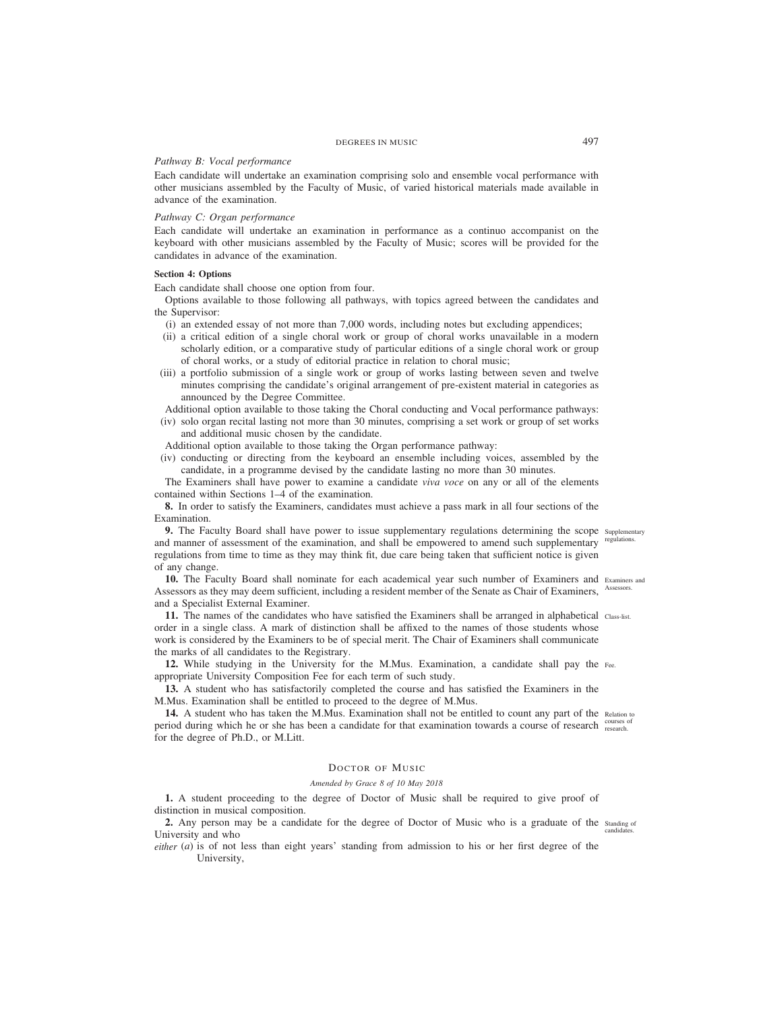### *Pathway B: Vocal performance*

Each candidate will undertake an examination comprising solo and ensemble vocal performance with other musicians assembled by the Faculty of Music, of varied historical materials made available in advance of the examination.

## *Pathway C: Organ performance*

Each candidate will undertake an examination in performance as a continuo accompanist on the keyboard with other musicians assembled by the Faculty of Music; scores will be provided for the candidates in advance of the examination.

# **Section 4: Options**

Each candidate shall choose one option from four.

Options available to those following all pathways, with topics agreed between the candidates and the Supervisor:

- (i) an extended essay of not more than 7,000 words, including notes but excluding appendices;
- (ii) a critical edition of a single choral work or group of choral works unavailable in a modern scholarly edition, or a comparative study of particular editions of a single choral work or group of choral works, or a study of editorial practice in relation to choral music;
- (iii) a portfolio submission of a single work or group of works lasting between seven and twelve minutes comprising the candidate's original arrangement of pre-existent material in categories as announced by the Degree Committee.
- Additional option available to those taking the Choral conducting and Vocal performance pathways:
- (iv) solo organ recital lasting not more than 30 minutes, comprising a set work or group of set works and additional music chosen by the candidate.

Additional option available to those taking the Organ performance pathway:

(iv) conducting or directing from the keyboard an ensemble including voices, assembled by the candidate, in a programme devised by the candidate lasting no more than 30 minutes.

The Examiners shall have power to examine a candidate *viva voce* on any or all of the elements contained within Sections 1–4 of the examination.

**8.** In order to satisfy the Examiners, candidates must achieve a pass mark in all four sections of the Examination.

**9.** The Faculty Board shall have power to issue supplementary regulations determining the scope supplementary and manner of assessment of the examination, and shall be empowered to amend such supplementary regulations. regulations from time to time as they may think fit, due care being taken that sufficient notice is given of any change.

10. The Faculty Board shall nominate for each academical year such number of Examiners and Examiners and Assessors as they may deem sufficient, including a resident member of the Senate as Chair of Examiners, Assessors. and a Specialist External Examiner.

11. The names of the candidates who have satisfied the Examiners shall be arranged in alphabetical class-list. order in a single class. A mark of distinction shall be affixed to the names of those students whose work is considered by the Examiners to be of special merit. The Chair of Examiners shall communicate the marks of all candidates to the Registrary.

**12.** While studying in the University for the M.Mus. Examination, a candidate shall pay the Fee. appropriate University Composition Fee for each term of such study.

**13.** A student who has satisfactorily completed the course and has satisfied the Examiners in the M.Mus. Examination shall be entitled to proceed to the degree of M.Mus.

14. A student who has taken the M.Mus. Examination shall not be entitled to count any part of the Relation to period during which he or she has been a candidate for that examination towards a course of research courses of for the degree of Ph.D., or M.Litt.

#### DOCTOR OF MUSIC

## *Amended by Grace 8 of 10 May 2018*

**1.** A student proceeding to the degree of Doctor of Music shall be required to give proof of distinction in musical composition.

2. Any person may be a candidate for the degree of Doctor of Music who is a graduate of the standing of University and who candidates.

*either* (*a*) is of not less than eight years' standing from admission to his or her first degree of the University,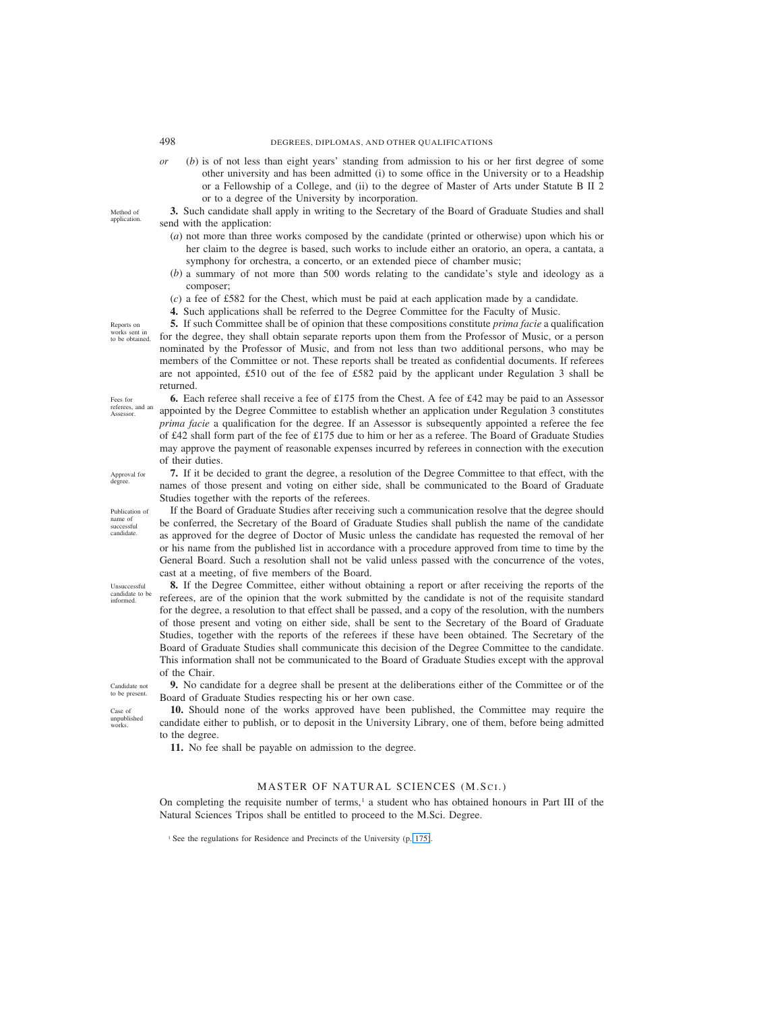*or* (*b*) is of not less than eight years' standing from admission to his or her first degree of some other university and has been admitted (i) to some office in the University or to a Headship or a Fellowship of a College, and (ii) to the degree of Master of Arts under Statute B II 2 or to a degree of the University by incorporation.

**3.** Such candidate shall apply in writing to the Secretary of the Board of Graduate Studies and shall send with the application:

- (*a*) not more than three works composed by the candidate (printed or otherwise) upon which his or her claim to the degree is based, such works to include either an oratorio, an opera, a cantata, a symphony for orchestra, a concerto, or an extended piece of chamber music;
- (*b*) a summary of not more than 500 words relating to the candidate's style and ideology as a composer;
- (*c*) a fee of £582 for the Chest, which must be paid at each application made by a candidate.
- **4.** Such applications shall be referred to the Degree Committee for the Faculty of Music.

**5.** If such Committee shall be of opinion that these compositions constitute *prima facie* a qualification for the degree, they shall obtain separate reports upon them from the Professor of Music, or a person nominated by the Professor of Music, and from not less than two additional persons, who may be members of the Committee or not. These reports shall be treated as confidential documents. If referees are not appointed, £510 out of the fee of £582 paid by the applicant under Regulation 3 shall be returned.

**6.** Each referee shall receive a fee of £175 from the Chest. A fee of £42 may be paid to an Assessor appointed by the Degree Committee to establish whether an application under Regulation 3 constitutes *prima facie* a qualification for the degree. If an Assessor is subsequently appointed a referee the fee of £42 shall form part of the fee of £175 due to him or her as a referee. The Board of Graduate Studies may approve the payment of reasonable expenses incurred by referees in connection with the execution of their duties.

**7.** If it be decided to grant the degree, a resolution of the Degree Committee to that effect, with the names of those present and voting on either side, shall be communicated to the Board of Graduate Studies together with the reports of the referees.

If the Board of Graduate Studies after receiving such a communication resolve that the degree should be conferred, the Secretary of the Board of Graduate Studies shall publish the name of the candidate as approved for the degree of Doctor of Music unless the candidate has requested the removal of her or his name from the published list in accordance with a procedure approved from time to time by the General Board. Such a resolution shall not be valid unless passed with the concurrence of the votes, cast at a meeting, of five members of the Board.

**8.** If the Degree Committee, either without obtaining a report or after receiving the reports of the referees, are of the opinion that the work submitted by the candidate is not of the requisite standard for the degree, a resolution to that effect shall be passed, and a copy of the resolution, with the numbers of those present and voting on either side, shall be sent to the Secretary of the Board of Graduate Studies, together with the reports of the referees if these have been obtained. The Secretary of the Board of Graduate Studies shall communicate this decision of the Degree Committee to the candidate. This information shall not be communicated to the Board of Graduate Studies except with the approval of the Chair.

**9.** No candidate for a degree shall be present at the deliberations either of the Committee or of the Board of Graduate Studies respecting his or her own case.

**10.** Should none of the works approved have been published, the Committee may require the candidate either to publish, or to deposit in the University Library, one of them, before being admitted to the degree.

**11.** No fee shall be payable on admission to the degree.

## MASTER OF NATURAL SCIENCES (M.SCI.)

On completing the requisite number of terms,<sup>1</sup> a student who has obtained honours in Part III of the Natural Sciences Tripos shall be entitled to proceed to the M.Sci. Degree.

<sup>1</sup> See the regulations for Residence and Precincts of the University (p. 175).

Reports on works sent in to be obtained.

Method of application.

Approval for degree

Fees for referees, and an Assessor.

Publication of name of successful candidate.

candidate to be informed.

Unsuccessful

Candidate not to be present

Case of unpublished works.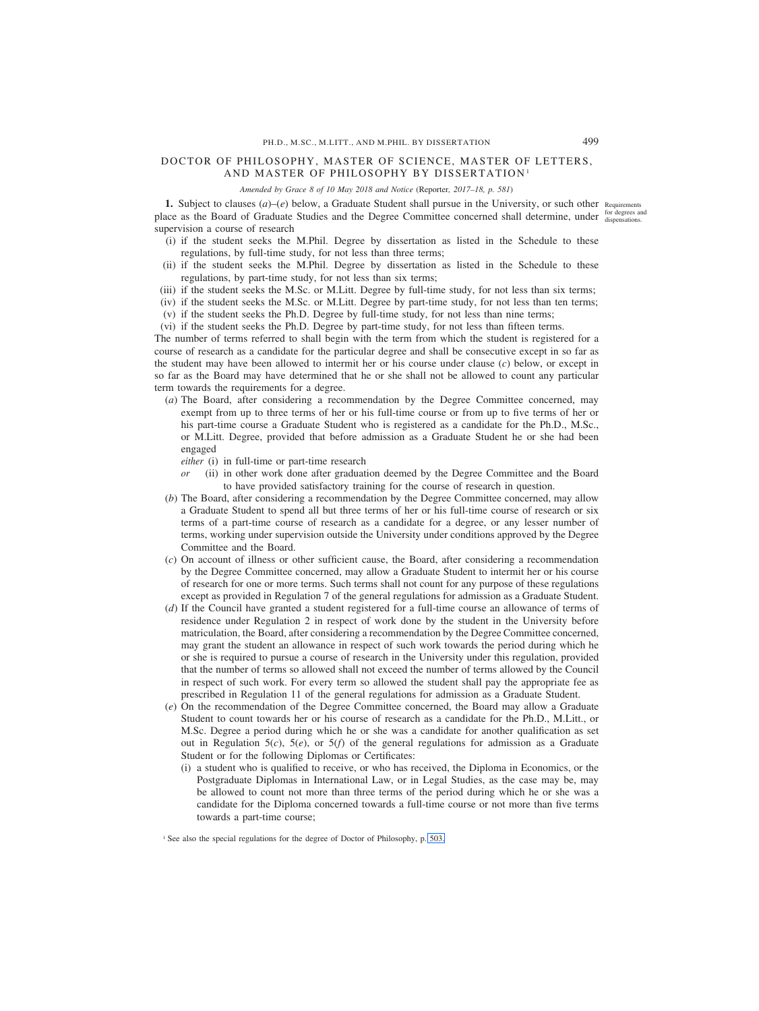# <span id="page-54-0"></span>DOCTOR OF PHILOSOPHY, MASTER OF SCIENCE, MASTER OF LETTERS, AND MASTER OF PHILOSOPHY BY DISSERTATION<sup>1</sup>

*Amended by Grace 8 of 10 May 2018 and Notice (*Reporter*, 2017–18, p. 581)*

**1.** Subject to clauses  $(a)$ – $(e)$  below, a Graduate Student shall pursue in the University, or such other Requirements place as the Board of Graduate Studies and the Degree Committee concerned shall determine, under for degrees and supervision a course of research

- (i) if the student seeks the M.Phil. Degree by dissertation as listed in the Schedule to these regulations, by full-time study, for not less than three terms;
- (ii) if the student seeks the M.Phil. Degree by dissertation as listed in the Schedule to these regulations, by part-time study, for not less than six terms;
- (iii) if the student seeks the M.Sc. or M.Litt. Degree by full-time study, for not less than six terms;
- (iv) if the student seeks the M.Sc. or M.Litt. Degree by part-time study, for not less than ten terms;
- (v) if the student seeks the Ph.D. Degree by full-time study, for not less than nine terms;
- (vi) if the student seeks the Ph.D. Degree by part-time study, for not less than fifteen terms.

The number of terms referred to shall begin with the term from which the student is registered for a course of research as a candidate for the particular degree and shall be consecutive except in so far as the student may have been allowed to intermit her or his course under clause (*c*) below, or except in so far as the Board may have determined that he or she shall not be allowed to count any particular term towards the requirements for a degree.

- (*a*) The Board, after considering a recommendation by the Degree Committee concerned, may exempt from up to three terms of her or his full-time course or from up to five terms of her or his part-time course a Graduate Student who is registered as a candidate for the Ph.D., M.Sc., or M.Litt. Degree, provided that before admission as a Graduate Student he or she had been engaged
	- *either* (i) in full-time or part-time research
	- *or* (ii) in other work done after graduation deemed by the Degree Committee and the Board to have provided satisfactory training for the course of research in question.
- (*b*) The Board, after considering a recommendation by the Degree Committee concerned, may allow a Graduate Student to spend all but three terms of her or his full-time course of research or six terms of a part-time course of research as a candidate for a degree, or any lesser number of terms, working under supervision outside the University under conditions approved by the Degree Committee and the Board.
- (*c*) On account of illness or other sufficient cause, the Board, after considering a recommendation by the Degree Committee concerned, may allow a Graduate Student to intermit her or his course of research for one or more terms. Such terms shall not count for any purpose of these regulations except as provided in Regulation 7 of the general regulations for admission as a Graduate Student.
- (*d*) If the Council have granted a student registered for a full-time course an allowance of terms of residence under Regulation 2 in respect of work done by the student in the University before matriculation, the Board, after considering a recommendation by the Degree Committee concerned, may grant the student an allowance in respect of such work towards the period during which he or she is required to pursue a course of research in the University under this regulation, provided that the number of terms so allowed shall not exceed the number of terms allowed by the Council in respect of such work. For every term so allowed the student shall pay the appropriate fee as prescribed in Regulation 11 of the general regulations for admission as a Graduate Student.
- (*e*) On the recommendation of the Degree Committee concerned, the Board may allow a Graduate Student to count towards her or his course of research as a candidate for the Ph.D., M.Litt., or M.Sc. Degree a period during which he or she was a candidate for another qualification as set out in Regulation  $5(c)$ ,  $5(e)$ , or  $5(f)$  of the general regulations for admission as a Graduate Student or for the following Diplomas or Certificates:
	- (i) a student who is qualified to receive, or who has received, the Diploma in Economics, or the Postgraduate Diplomas in International Law, or in Legal Studies, as the case may be, may be allowed to count not more than three terms of the period during which he or she was a candidate for the Diploma concerned towards a full-time course or not more than five terms towards a part-time course;

<sup>&</sup>lt;sup>1</sup> See also the special regulations for the degree of Doctor of Philosophy, p. [503.](#page-58-0)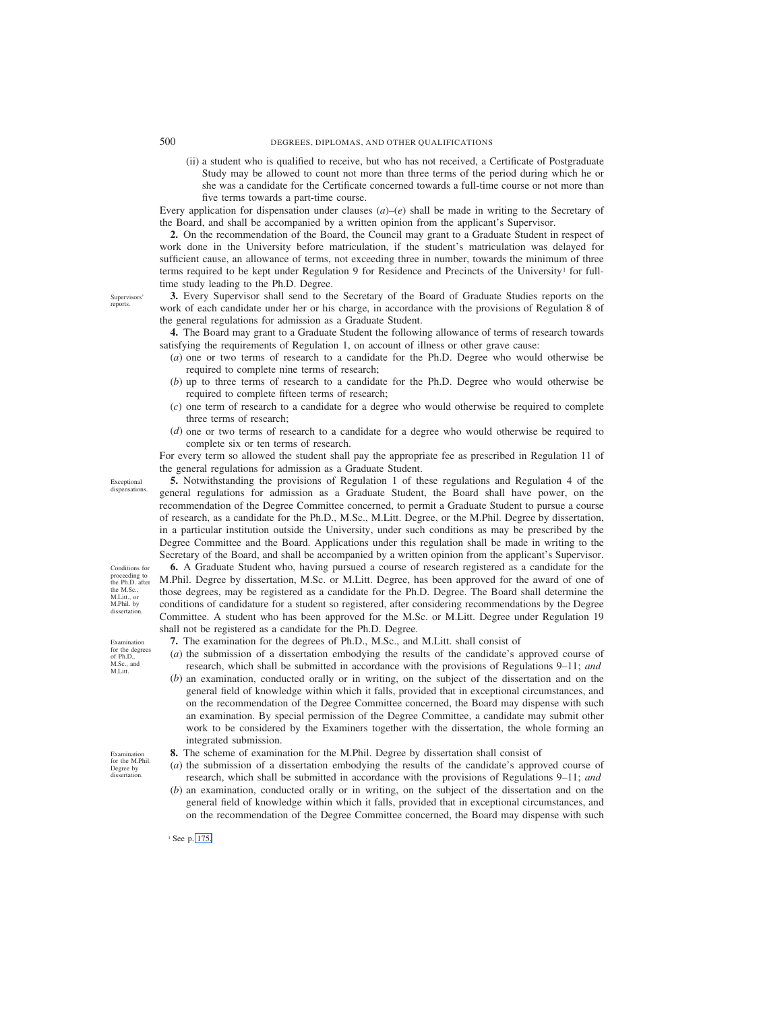(ii) a student who is qualified to receive, but who has not received, a Certificate of Postgraduate Study may be allowed to count not more than three terms of the period during which he or she was a candidate for the Certificate concerned towards a full-time course or not more than five terms towards a part-time course.

Every application for dispensation under clauses  $(a)$ – $(e)$  shall be made in writing to the Secretary of the Board, and shall be accompanied by a written opinion from the applicant's Supervisor.

**2.** On the recommendation of the Board, the Council may grant to a Graduate Student in respect of work done in the University before matriculation, if the student's matriculation was delayed for sufficient cause, an allowance of terms, not exceeding three in number, towards the minimum of three terms required to be kept under Regulation 9 for Residence and Precincts of the University<sup>1</sup> for fulltime study leading to the Ph.D. Degree.

**3.** Every Supervisor shall send to the Secretary of the Board of Graduate Studies reports on the work of each candidate under her or his charge, in accordance with the provisions of Regulation 8 of the general regulations for admission as a Graduate Student.

**4.** The Board may grant to a Graduate Student the following allowance of terms of research towards satisfying the requirements of Regulation 1, on account of illness or other grave cause:

- (*a*) one or two terms of research to a candidate for the Ph.D. Degree who would otherwise be required to complete nine terms of research;
- (*b*) up to three terms of research to a candidate for the Ph.D. Degree who would otherwise be required to complete fifteen terms of research;
- (*c*) one term of research to a candidate for a degree who would otherwise be required to complete three terms of research;
- (*d*) one or two terms of research to a candidate for a degree who would otherwise be required to complete six or ten terms of research.

For every term so allowed the student shall pay the appropriate fee as prescribed in Regulation 11 of the general regulations for admission as a Graduate Student.

**5.** Notwithstanding the provisions of Regulation 1 of these regulations and Regulation 4 of the general regulations for admission as a Graduate Student, the Board shall have power, on the recommendation of the Degree Committee concerned, to permit a Graduate Student to pursue a course of research, as a candidate for the Ph.D., M.Sc., M.Litt. Degree, or the M.Phil. Degree by dissertation, in a particular institution outside the University, under such conditions as may be prescribed by the Degree Committee and the Board. Applications under this regulation shall be made in writing to the Secretary of the Board, and shall be accompanied by a written opinion from the applicant's Supervisor.

**6.** A Graduate Student who, having pursued a course of research registered as a candidate for the M.Phil. Degree by dissertation, M.Sc. or M.Litt. Degree, has been approved for the award of one of those degrees, may be registered as a candidate for the Ph.D. Degree. The Board shall determine the conditions of candidature for a student so registered, after considering recommendations by the Degree Committee. A student who has been approved for the M.Sc. or M.Litt. Degree under Regulation 19 shall not be registered as a candidate for the Ph.D. Degree.

- **7.** The examination for the degrees of Ph.D., M.Sc., and M.Litt. shall consist of
- (*a*) the submission of a dissertation embodying the results of the candidate's approved course of research, which shall be submitted in accordance with the provisions of Regulations 9–11; *and*
- (*b*) an examination, conducted orally or in writing, on the subject of the dissertation and on the general field of knowledge within which it falls, provided that in exceptional circumstances, and on the recommendation of the Degree Committee concerned, the Board may dispense with such an examination. By special permission of the Degree Committee, a candidate may submit other work to be considered by the Examiners together with the dissertation, the whole forming an integrated submission.
- **8.** The scheme of examination for the M.Phil. Degree by dissertation shall consist of
- (*a*) the submission of a dissertation embodying the results of the candidate's approved course of research, which shall be submitted in accordance with the provisions of Regulations 9–11; *and*
- (*b*) an examination, conducted orally or in writing, on the subject of the dissertation and on the general field of knowledge within which it falls, provided that in exceptional circumstances, and on the recommendation of the Degree Committee concerned, the Board may dispense with such

<sup>1</sup> See p. 175.

Supervisors' reports.

dispensations.

Exceptional

Conditions for proceeding to the Ph.D. after the M.Sc., M.Litt., or M.Phil. by dissertation.

Examination for the degrees of Ph.D.,  $M.Sc.,$  and M.Litt.

Examination for the M.Phil. Degree by dissertation.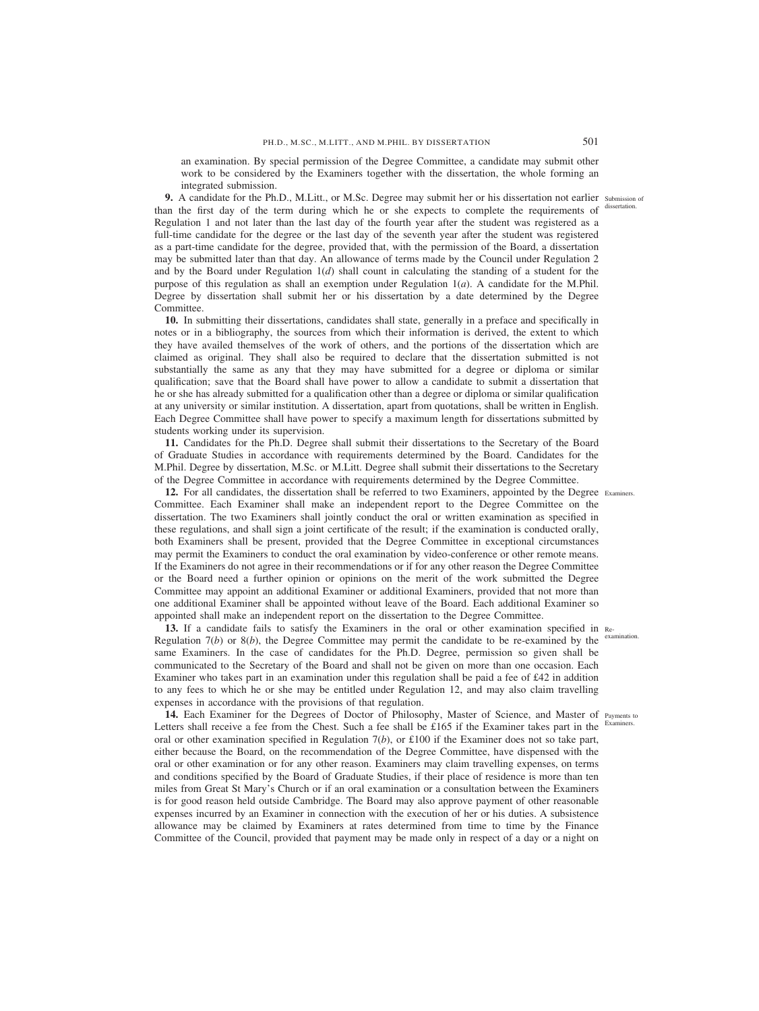an examination. By special permission of the Degree Committee, a candidate may submit other work to be considered by the Examiners together with the dissertation, the whole forming an integrated submission.

**9.** A candidate for the Ph.D., M.Litt., or M.Sc. Degree may submit her or his dissertation not earlier submission of than the first day of the term during which he or she expects to complete the requirements of Regulation 1 and not later than the last day of the fourth year after the student was registered as a full-time candidate for the degree or the last day of the seventh year after the student was registered as a part-time candidate for the degree, provided that, with the permission of the Board, a dissertation may be submitted later than that day. An allowance of terms made by the Council under Regulation 2 and by the Board under Regulation 1(*d*) shall count in calculating the standing of a student for the purpose of this regulation as shall an exemption under Regulation 1(*a*). A candidate for the M.Phil. Degree by dissertation shall submit her or his dissertation by a date determined by the Degree Committee.

**10.** In submitting their dissertations, candidates shall state, generally in a preface and specifically in notes or in a bibliography, the sources from which their information is derived, the extent to which they have availed themselves of the work of others, and the portions of the dissertation which are claimed as original. They shall also be required to declare that the dissertation submitted is not substantially the same as any that they may have submitted for a degree or diploma or similar qualification; save that the Board shall have power to allow a candidate to submit a dissertation that he or she has already submitted for a qualification other than a degree or diploma or similar qualification at any university or similar institution. A dissertation, apart from quotations, shall be written in English. Each Degree Committee shall have power to specify a maximum length for dissertations submitted by students working under its supervision.

**11.** Candidates for the Ph.D. Degree shall submit their dissertations to the Secretary of the Board of Graduate Studies in accordance with requirements determined by the Board. Candidates for the M.Phil. Degree by dissertation, M.Sc. or M.Litt. Degree shall submit their dissertations to the Secretary of the Degree Committee in accordance with requirements determined by the Degree Committee.

**12.** For all candidates, the dissertation shall be referred to two Examiners, appointed by the Degree Examiners. Committee. Each Examiner shall make an independent report to the Degree Committee on the dissertation. The two Examiners shall jointly conduct the oral or written examination as specified in these regulations, and shall sign a joint certificate of the result; if the examination is conducted orally, both Examiners shall be present, provided that the Degree Committee in exceptional circumstances may permit the Examiners to conduct the oral examination by video-conference or other remote means. If the Examiners do not agree in their recommendations or if for any other reason the Degree Committee or the Board need a further opinion or opinions on the merit of the work submitted the Degree Committee may appoint an additional Examiner or additional Examiners, provided that not more than one additional Examiner shall be appointed without leave of the Board. Each additional Examiner so appointed shall make an independent report on the dissertation to the Degree Committee.

**13.** If a candidate fails to satisfy the Examiners in the oral or other examination specified in Re-Regulation  $7(b)$  or  $8(b)$ , the Degree Committee may permit the candidate to be re-examined by the <sup>examination</sup>. same Examiners. In the case of candidates for the Ph.D. Degree, permission so given shall be communicated to the Secretary of the Board and shall not be given on more than one occasion. Each Examiner who takes part in an examination under this regulation shall be paid a fee of £42 in addition to any fees to which he or she may be entitled under Regulation 12, and may also claim travelling expenses in accordance with the provisions of that regulation.

14. Each Examiner for the Degrees of Doctor of Philosophy, Master of Science, and Master of Payments to Letters shall receive a fee from the Chest. Such a fee shall be £165 if the Examiner takes part in the oral or other examination specified in Regulation 7(*b*), or £100 if the Examiner does not so take part, either because the Board, on the recommendation of the Degree Committee, have dispensed with the oral or other examination or for any other reason. Examiners may claim travelling expenses, on terms and conditions specified by the Board of Graduate Studies, if their place of residence is more than ten miles from Great St Mary's Church or if an oral examination or a consultation between the Examiners is for good reason held outside Cambridge. The Board may also approve payment of other reasonable expenses incurred by an Examiner in connection with the execution of her or his duties. A subsistence allowance may be claimed by Examiners at rates determined from time to time by the Finance Committee of the Council, provided that payment may be made only in respect of a day or a night on

Examiners.

dissertation.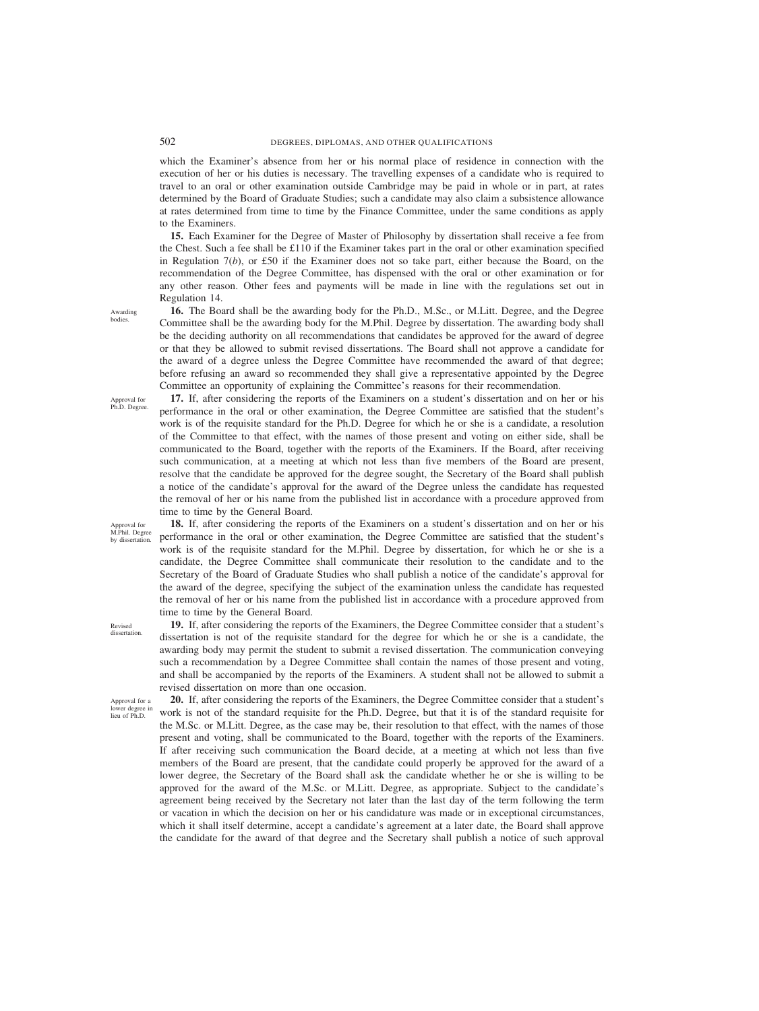which the Examiner's absence from her or his normal place of residence in connection with the execution of her or his duties is necessary. The travelling expenses of a candidate who is required to travel to an oral or other examination outside Cambridge may be paid in whole or in part, at rates determined by the Board of Graduate Studies; such a candidate may also claim a subsistence allowance at rates determined from time to time by the Finance Committee, under the same conditions as apply to the Examiners.

**15.** Each Examiner for the Degree of Master of Philosophy by dissertation shall receive a fee from the Chest. Such a fee shall be  $\pounds$ 110 if the Examiner takes part in the oral or other examination specified in Regulation 7(*b*), or £50 if the Examiner does not so take part, either because the Board, on the recommendation of the Degree Committee, has dispensed with the oral or other examination or for any other reason. Other fees and payments will be made in line with the regulations set out in Regulation 14.

**16.** The Board shall be the awarding body for the Ph.D., M.Sc., or M.Litt. Degree, and the Degree Committee shall be the awarding body for the M.Phil. Degree by dissertation. The awarding body shall be the deciding authority on all recommendations that candidates be approved for the award of degree or that they be allowed to submit revised dissertations. The Board shall not approve a candidate for the award of a degree unless the Degree Committee have recommended the award of that degree; before refusing an award so recommended they shall give a representative appointed by the Degree Committee an opportunity of explaining the Committee's reasons for their recommendation.

**17.** If, after considering the reports of the Examiners on a student's dissertation and on her or his performance in the oral or other examination, the Degree Committee are satisfied that the student's work is of the requisite standard for the Ph.D. Degree for which he or she is a candidate, a resolution of the Committee to that effect, with the names of those present and voting on either side, shall be communicated to the Board, together with the reports of the Examiners. If the Board, after receiving such communication, at a meeting at which not less than five members of the Board are present, resolve that the candidate be approved for the degree sought, the Secretary of the Board shall publish a notice of the candidate's approval for the award of the Degree unless the candidate has requested the removal of her or his name from the published list in accordance with a procedure approved from time to time by the General Board.

**18.** If, after considering the reports of the Examiners on a student's dissertation and on her or his performance in the oral or other examination, the Degree Committee are satisfied that the student's work is of the requisite standard for the M.Phil. Degree by dissertation, for which he or she is a candidate, the Degree Committee shall communicate their resolution to the candidate and to the Secretary of the Board of Graduate Studies who shall publish a notice of the candidate's approval for the award of the degree, specifying the subject of the examination unless the candidate has requested the removal of her or his name from the published list in accordance with a procedure approved from time to time by the General Board.

Revised dissertation.

Approval for a lower degree in lieu of Ph.D.

**19.** If, after considering the reports of the Examiners, the Degree Committee consider that a student's dissertation is not of the requisite standard for the degree for which he or she is a candidate, the awarding body may permit the student to submit a revised dissertation. The communication conveying such a recommendation by a Degree Committee shall contain the names of those present and voting, and shall be accompanied by the reports of the Examiners. A student shall not be allowed to submit a revised dissertation on more than one occasion. **20.** If, after considering the reports of the Examiners, the Degree Committee consider that a student's work is not of the standard requisite for the Ph.D. Degree, but that it is of the standard requisite for

the M.Sc. or M.Litt. Degree, as the case may be, their resolution to that effect, with the names of those present and voting, shall be communicated to the Board, together with the reports of the Examiners. If after receiving such communication the Board decide, at a meeting at which not less than five members of the Board are present, that the candidate could properly be approved for the award of a lower degree, the Secretary of the Board shall ask the candidate whether he or she is willing to be approved for the award of the M.Sc. or M.Litt. Degree, as appropriate. Subject to the candidate's agreement being received by the Secretary not later than the last day of the term following the term or vacation in which the decision on her or his candidature was made or in exceptional circumstances,

which it shall itself determine, accept a candidate's agreement at a later date, the Board shall approve the candidate for the award of that degree and the Secretary shall publish a notice of such approval

Approval for Ph.D. Degree.

Awarding bodies.

Approval for M.Phil. Degree

by dissertation.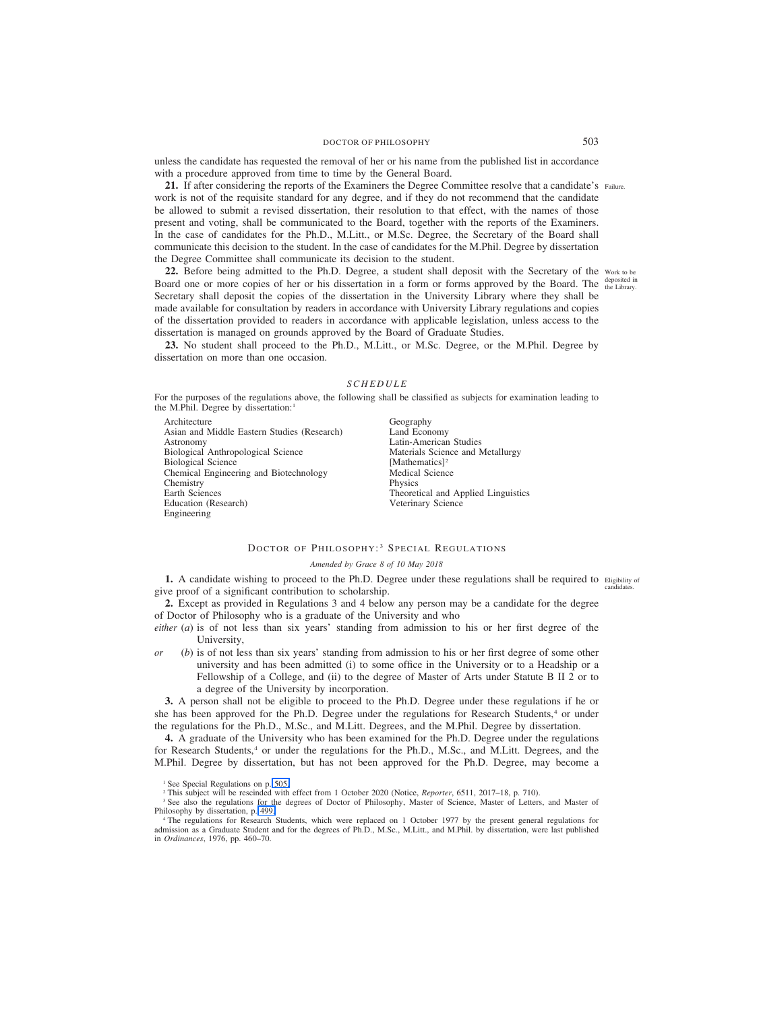<span id="page-58-0"></span>unless the candidate has requested the removal of her or his name from the published list in accordance with a procedure approved from time to time by the General Board.

21. If after considering the reports of the Examiners the Degree Committee resolve that a candidate's Failure. work is not of the requisite standard for any degree, and if they do not recommend that the candidate be allowed to submit a revised dissertation, their resolution to that effect, with the names of those present and voting, shall be communicated to the Board, together with the reports of the Examiners. In the case of candidates for the Ph.D., M.Litt., or M.Sc. Degree, the Secretary of the Board shall communicate this decision to the student. In the case of candidates for the M.Phil. Degree by dissertation the Degree Committee shall communicate its decision to the student.

**22.** Before being admitted to the Ph.D. Degree, a student shall deposit with the Secretary of the Work to be Board one or more copies of her or his dissertation in a form or forms approved by the Board. The deposited in Secretary shall deposit the copies of the dissertation in the University Library where they shall be made available for consultation by readers in accordance with University Library regulations and copies of the dissertation provided to readers in accordance with applicable legislation, unless access to the dissertation is managed on grounds approved by the Board of Graduate Studies.

**23.** No student shall proceed to the Ph.D., M.Litt., or M.Sc. Degree, or the M.Phil. Degree by dissertation on more than one occasion.

#### *SCHEDULE*

For the purposes of the regulations above, the following shall be classified as subjects for examination leading to the M.Phil. Degree by dissertation:<sup>1</sup>

Architecture Asian and Middle Eastern Studies (Research) Astronomy Biological Anthropological Science Biological Science Chemical Engineering and Biotechnology **Chemistry** Earth Sciences Education (Research) Engineering

Geography Land Economy Latin-American Studies Materials Science and Metallurgy [Mathematics]<sup>2</sup> Medical Science Physics Theoretical and Applied Linguistics Veterinary Science

# DOCTOR OF PHILOSOPHY:<sup>3</sup> SPECIAL REGULATIONS

#### *Amended by Grace 8 of 10 May 2018*

1. A candidate wishing to proceed to the Ph.D. Degree under these regulations shall be required to Eligibility of give proof of a significant contribution to scholarship. candidates.

**2.** Except as provided in Regulations 3 and 4 below any person may be a candidate for the degree of Doctor of Philosophy who is a graduate of the University and who

*either* (*a*) is of not less than six years' standing from admission to his or her first degree of the University,

*or* (*b*) is of not less than six years' standing from admission to his or her first degree of some other university and has been admitted (i) to some office in the University or to a Headship or a Fellowship of a College, and (ii) to the degree of Master of Arts under Statute B II 2 or to a degree of the University by incorporation.

**3.** A person shall not be eligible to proceed to the Ph.D. Degree under these regulations if he or she has been approved for the Ph.D. Degree under the regulations for Research Students,<sup>4</sup> or under the regulations for the Ph.D., M.Sc., and M.Litt. Degrees, and the M.Phil. Degree by dissertation.

**4.** A graduate of the University who has been examined for the Ph.D. Degree under the regulations for Research Students,<sup>4</sup> or under the regulations for the Ph.D., M.Sc., and M.Litt. Degrees, and the M.Phil. Degree by dissertation, but has not been approved for the Ph.D. Degree, may become a

<sup>4</sup> The regulations for Research Students, which were replaced on 1 October 1977 by the present general regulations for admission as a Graduate Student and for the degrees of Ph.D., M.Sc., M.Litt., and M.Phil. by dissertation, were last published in *Ordinances*, 1976, pp. 460–70.

<sup>&</sup>lt;sup>1</sup> See Special Regulations on p. [505.](#page-60-0)

<sup>2</sup> This subject will be rescinded with effect from 1 October 2020 (Notice, *Reporter*, 6511, 2017–18, p. 710).

<sup>&</sup>lt;sup>3</sup> See also the regulations for the degrees of Doctor of Philosophy, Master of Science, Master of Letters, and Master of Philosophy by dissertation, p. [499.](#page-54-0)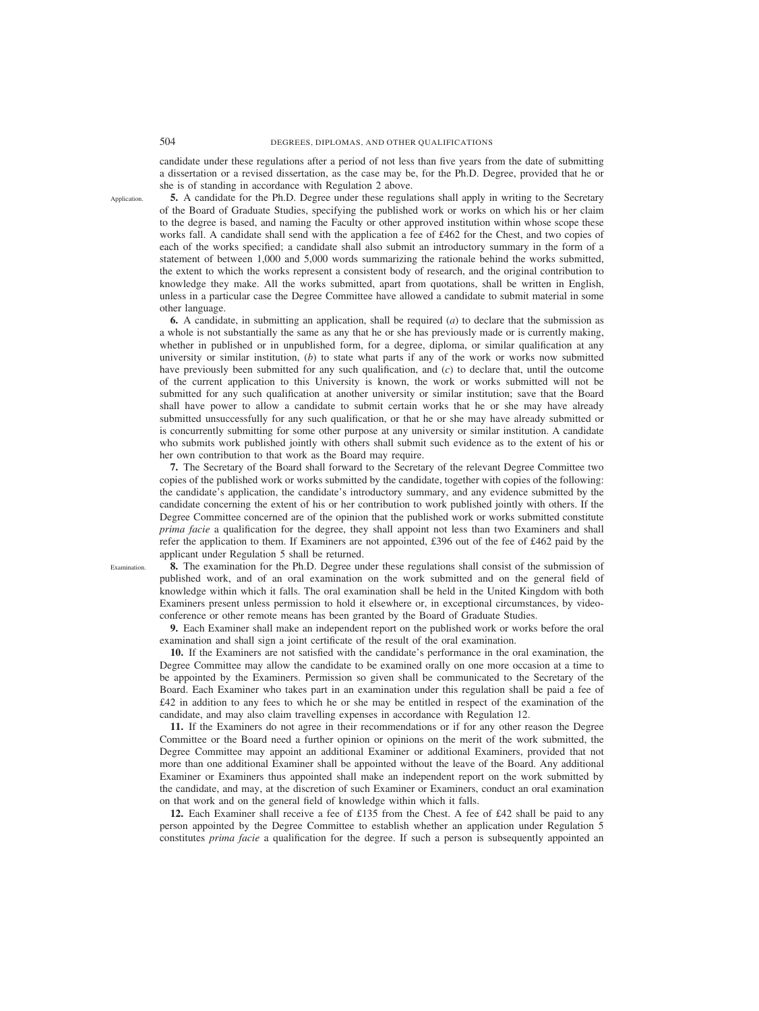candidate under these regulations after a period of not less than five years from the date of submitting a dissertation or a revised dissertation, as the case may be, for the Ph.D. Degree, provided that he or she is of standing in accordance with Regulation 2 above.

**5.** A candidate for the Ph.D. Degree under these regulations shall apply in writing to the Secretary of the Board of Graduate Studies, specifying the published work or works on which his or her claim to the degree is based, and naming the Faculty or other approved institution within whose scope these works fall. A candidate shall send with the application a fee of £462 for the Chest, and two copies of each of the works specified; a candidate shall also submit an introductory summary in the form of a statement of between 1,000 and 5,000 words summarizing the rationale behind the works submitted, the extent to which the works represent a consistent body of research, and the original contribution to knowledge they make. All the works submitted, apart from quotations, shall be written in English, unless in a particular case the Degree Committee have allowed a candidate to submit material in some other language.

**6.** A candidate, in submitting an application, shall be required (*a*) to declare that the submission as a whole is not substantially the same as any that he or she has previously made or is currently making, whether in published or in unpublished form, for a degree, diploma, or similar qualification at any university or similar institution, (*b*) to state what parts if any of the work or works now submitted have previously been submitted for any such qualification, and (*c*) to declare that, until the outcome of the current application to this University is known, the work or works submitted will not be submitted for any such qualification at another university or similar institution; save that the Board shall have power to allow a candidate to submit certain works that he or she may have already submitted unsuccessfully for any such qualification, or that he or she may have already submitted or is concurrently submitting for some other purpose at any university or similar institution. A candidate who submits work published jointly with others shall submit such evidence as to the extent of his or her own contribution to that work as the Board may require.

**7.** The Secretary of the Board shall forward to the Secretary of the relevant Degree Committee two copies of the published work or works submitted by the candidate, together with copies of the following: the candidate's application, the candidate's introductory summary, and any evidence submitted by the candidate concerning the extent of his or her contribution to work published jointly with others. If the Degree Committee concerned are of the opinion that the published work or works submitted constitute *prima facie* a qualification for the degree, they shall appoint not less than two Examiners and shall refer the application to them. If Examiners are not appointed, £396 out of the fee of £462 paid by the applicant under Regulation 5 shall be returned.

**8.** The examination for the Ph.D. Degree under these regulations shall consist of the submission of published work, and of an oral examination on the work submitted and on the general field of knowledge within which it falls. The oral examination shall be held in the United Kingdom with both Examiners present unless permission to hold it elsewhere or, in exceptional circumstances, by videoconference or other remote means has been granted by the Board of Graduate Studies.

**9.** Each Examiner shall make an independent report on the published work or works before the oral examination and shall sign a joint certificate of the result of the oral examination.

**10.** If the Examiners are not satisfied with the candidate's performance in the oral examination, the Degree Committee may allow the candidate to be examined orally on one more occasion at a time to be appointed by the Examiners. Permission so given shall be communicated to the Secretary of the Board. Each Examiner who takes part in an examination under this regulation shall be paid a fee of £42 in addition to any fees to which he or she may be entitled in respect of the examination of the candidate, and may also claim travelling expenses in accordance with Regulation 12.

**11.** If the Examiners do not agree in their recommendations or if for any other reason the Degree Committee or the Board need a further opinion or opinions on the merit of the work submitted, the Degree Committee may appoint an additional Examiner or additional Examiners, provided that not more than one additional Examiner shall be appointed without the leave of the Board. Any additional Examiner or Examiners thus appointed shall make an independent report on the work submitted by the candidate, and may, at the discretion of such Examiner or Examiners, conduct an oral examination on that work and on the general field of knowledge within which it falls.

**12.** Each Examiner shall receive a fee of £135 from the Chest. A fee of £42 shall be paid to any person appointed by the Degree Committee to establish whether an application under Regulation 5 constitutes *prima facie* a qualification for the degree. If such a person is subsequently appointed an

**Application** 

Examination.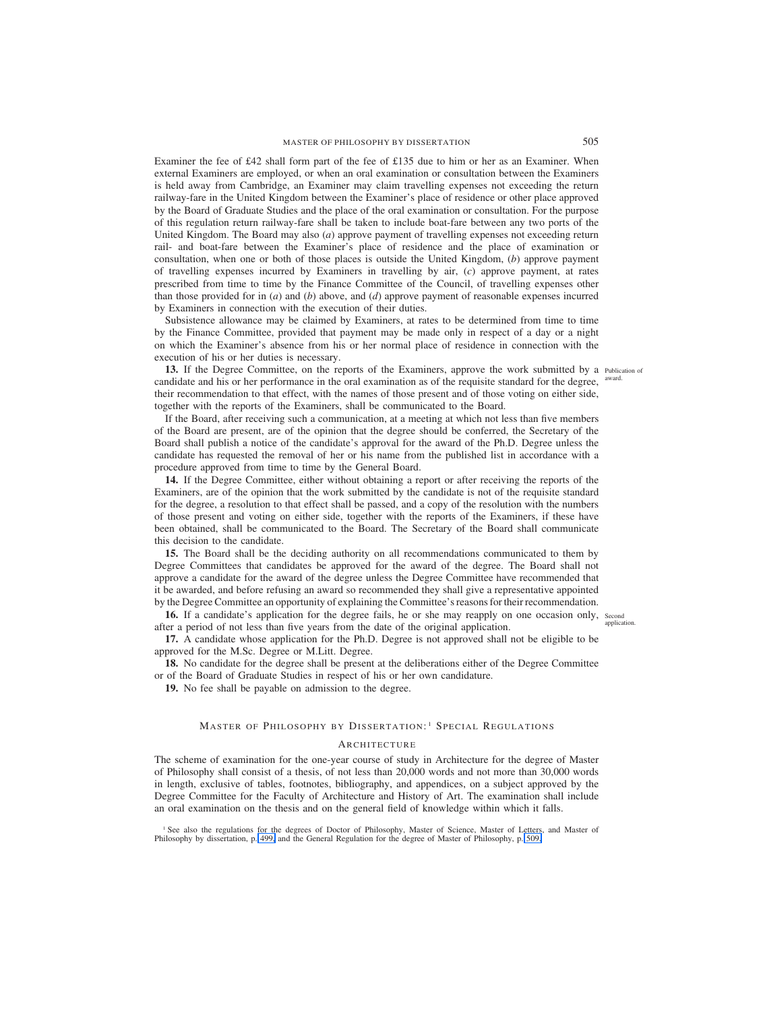<span id="page-60-0"></span>Examiner the fee of £42 shall form part of the fee of £135 due to him or her as an Examiner. When external Examiners are employed, or when an oral examination or consultation between the Examiners is held away from Cambridge, an Examiner may claim travelling expenses not exceeding the return railway-fare in the United Kingdom between the Examiner's place of residence or other place approved by the Board of Graduate Studies and the place of the oral examination or consultation. For the purpose of this regulation return railway-fare shall be taken to include boat-fare between any two ports of the United Kingdom. The Board may also (*a*) approve payment of travelling expenses not exceeding return rail- and boat-fare between the Examiner's place of residence and the place of examination or consultation, when one or both of those places is outside the United Kingdom, (*b*) approve payment of travelling expenses incurred by Examiners in travelling by air, (*c*) approve payment, at rates prescribed from time to time by the Finance Committee of the Council, of travelling expenses other than those provided for in (*a*) and (*b*) above, and (*d*) approve payment of reasonable expenses incurred by Examiners in connection with the execution of their duties.

Subsistence allowance may be claimed by Examiners, at rates to be determined from time to time by the Finance Committee, provided that payment may be made only in respect of a day or a night on which the Examiner's absence from his or her normal place of residence in connection with the execution of his or her duties is necessary.

13. If the Degree Committee, on the reports of the Examiners, approve the work submitted by a Publication of candidate and his or her performance in the oral examination as of the requisite standard for the degree, their recommendation to that effect, with the names of those present and of those voting on either side, together with the reports of the Examiners, shall be communicated to the Board. award.

If the Board, after receiving such a communication, at a meeting at which not less than five members of the Board are present, are of the opinion that the degree should be conferred, the Secretary of the Board shall publish a notice of the candidate's approval for the award of the Ph.D. Degree unless the candidate has requested the removal of her or his name from the published list in accordance with a procedure approved from time to time by the General Board.

**14.** If the Degree Committee, either without obtaining a report or after receiving the reports of the Examiners, are of the opinion that the work submitted by the candidate is not of the requisite standard for the degree, a resolution to that effect shall be passed, and a copy of the resolution with the numbers of those present and voting on either side, together with the reports of the Examiners, if these have been obtained, shall be communicated to the Board. The Secretary of the Board shall communicate this decision to the candidate.

**15.** The Board shall be the deciding authority on all recommendations communicated to them by Degree Committees that candidates be approved for the award of the degree. The Board shall not approve a candidate for the award of the degree unless the Degree Committee have recommended that it be awarded, and before refusing an award so recommended they shall give a representative appointed by the Degree Committee an opportunity of explaining the Committee's reasonsfor their recommendation.

**16.** If a candidate's application for the degree fails, he or she may reapply on one occasion only, second after a period of not less than five years from the date of the original application.

**17.** A candidate whose application for the Ph.D. Degree is not approved shall not be eligible to be approved for the M.Sc. Degree or M.Litt. Degree.

**18.** No candidate for the degree shall be present at the deliberations either of the Degree Committee or of the Board of Graduate Studies in respect of his or her own candidature.

**19.** No fee shall be payable on admission to the degree.

## MASTER OF PHILOSOPHY BY DISSERTATION:<sup>1</sup> SPECIAL REGULATIONS

#### **ARCHITECTURE**

The scheme of examination for the one-year course of study in Architecture for the degree of Master of Philosophy shall consist of a thesis, of not less than 20,000 words and not more than 30,000 words in length, exclusive of tables, footnotes, bibliography, and appendices, on a subject approved by the Degree Committee for the Faculty of Architecture and History of Art. The examination shall include an oral examination on the thesis and on the general field of knowledge within which it falls.

<sup>1</sup> See also the regulations for the degrees of Doctor of Philosophy, Master of Science, Master of Letters, and Master of Philosophy by dissertation, p. [499,](#page-54-0) and the General Regulation for the degree of Master of Philosophy, p. [509.](#page-64-0)

application.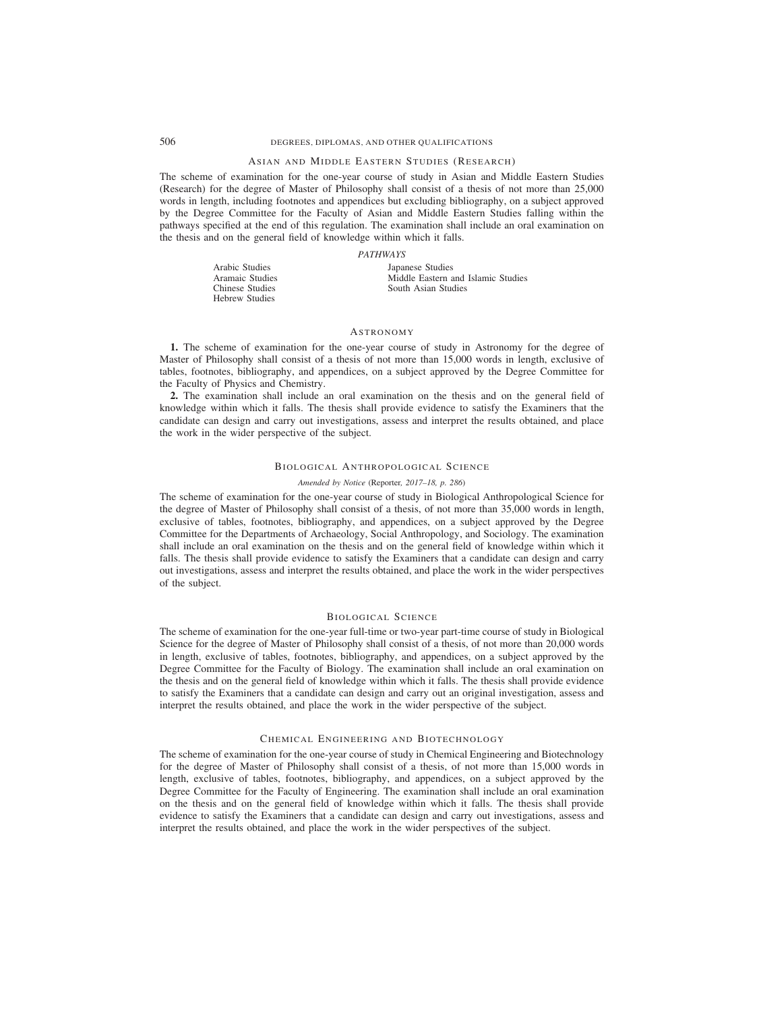# 506 DEGREES, DIPLOMAS, AND OTHER QUALIFICATIONS

# ASIAN AND MIDDLE EASTERN STUDIES (RESEARCH)

The scheme of examination for the one-year course of study in Asian and Middle Eastern Studies (Research) for the degree of Master of Philosophy shall consist of a thesis of not more than 25,000 words in length, including footnotes and appendices but excluding bibliography, on a subject approved by the Degree Committee for the Faculty of Asian and Middle Eastern Studies falling within the pathways specified at the end of this regulation. The examination shall include an oral examination on the thesis and on the general field of knowledge within which it falls.

## *PATHWAYS*

| Arabic Studies<br>Japanese Studies                    |  |
|-------------------------------------------------------|--|
| Middle Eastern and Islamic Studies<br>Aramaic Studies |  |
| Chinese Studies<br>South Asian Studies                |  |
| Hebrew Studies                                        |  |

# **ASTRONOMY**

**1.** The scheme of examination for the one-year course of study in Astronomy for the degree of Master of Philosophy shall consist of a thesis of not more than 15,000 words in length, exclusive of tables, footnotes, bibliography, and appendices, on a subject approved by the Degree Committee for the Faculty of Physics and Chemistry.

**2.** The examination shall include an oral examination on the thesis and on the general field of knowledge within which it falls. The thesis shall provide evidence to satisfy the Examiners that the candidate can design and carry out investigations, assess and interpret the results obtained, and place the work in the wider perspective of the subject.

## BIOLOGICAL ANTHROPOLOGICAL SCIENCE

## *Amended by Notice (*Reporter*, 2017–18, p. 286)*

The scheme of examination for the one-year course of study in Biological Anthropological Science for the degree of Master of Philosophy shall consist of a thesis, of not more than 35,000 words in length, exclusive of tables, footnotes, bibliography, and appendices, on a subject approved by the Degree Committee for the Departments of Archaeology, Social Anthropology, and Sociology. The examination shall include an oral examination on the thesis and on the general field of knowledge within which it falls. The thesis shall provide evidence to satisfy the Examiners that a candidate can design and carry out investigations, assess and interpret the results obtained, and place the work in the wider perspectives of the subject.

## BIOLOGICAL SCIENCE

The scheme of examination for the one-year full-time or two-year part-time course of study in Biological Science for the degree of Master of Philosophy shall consist of a thesis, of not more than 20,000 words in length, exclusive of tables, footnotes, bibliography, and appendices, on a subject approved by the Degree Committee for the Faculty of Biology. The examination shall include an oral examination on the thesis and on the general field of knowledge within which it falls. The thesis shall provide evidence to satisfy the Examiners that a candidate can design and carry out an original investigation, assess and interpret the results obtained, and place the work in the wider perspective of the subject.

# CHEMICAL ENGINEERING AND BIOTECHNOLOGY

The scheme of examination for the one-year course of study in Chemical Engineering and Biotechnology for the degree of Master of Philosophy shall consist of a thesis, of not more than 15,000 words in length, exclusive of tables, footnotes, bibliography, and appendices, on a subject approved by the Degree Committee for the Faculty of Engineering. The examination shall include an oral examination on the thesis and on the general field of knowledge within which it falls. The thesis shall provide evidence to satisfy the Examiners that a candidate can design and carry out investigations, assess and interpret the results obtained, and place the work in the wider perspectives of the subject.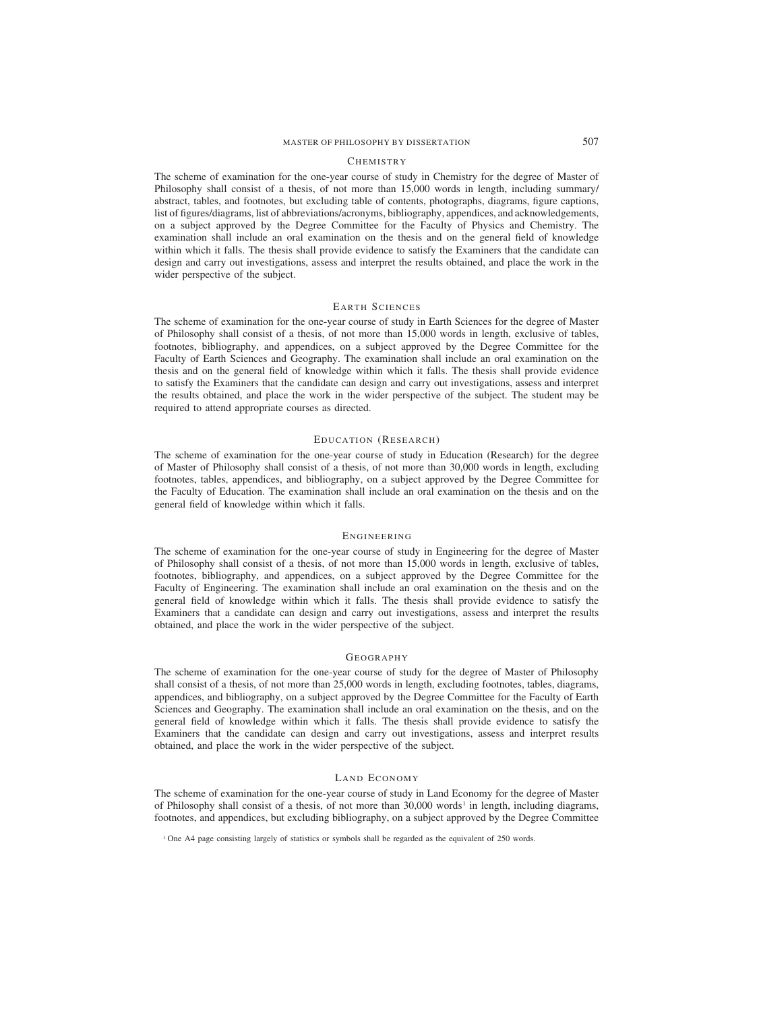# MASTER OF PHILOSOPHY BY DISSERTATION 507

#### **CHEMISTRY**

The scheme of examination for the one-year course of study in Chemistry for the degree of Master of Philosophy shall consist of a thesis, of not more than 15,000 words in length, including summary/ abstract, tables, and footnotes, but excluding table of contents, photographs, diagrams, figure captions, list of figures/diagrams, list of abbreviations/acronyms, bibliography, appendices, and acknowledgements, on a subject approved by the Degree Committee for the Faculty of Physics and Chemistry. The examination shall include an oral examination on the thesis and on the general field of knowledge within which it falls. The thesis shall provide evidence to satisfy the Examiners that the candidate can design and carry out investigations, assess and interpret the results obtained, and place the work in the wider perspective of the subject.

# EARTH SCIENCES

The scheme of examination for the one-year course of study in Earth Sciences for the degree of Master of Philosophy shall consist of a thesis, of not more than 15,000 words in length, exclusive of tables, footnotes, bibliography, and appendices, on a subject approved by the Degree Committee for the Faculty of Earth Sciences and Geography. The examination shall include an oral examination on the thesis and on the general field of knowledge within which it falls. The thesis shall provide evidence to satisfy the Examiners that the candidate can design and carry out investigations, assess and interpret the results obtained, and place the work in the wider perspective of the subject. The student may be required to attend appropriate courses as directed.

#### EDUCATION (RESEARCH)

The scheme of examination for the one-year course of study in Education (Research) for the degree of Master of Philosophy shall consist of a thesis, of not more than 30,000 words in length, excluding footnotes, tables, appendices, and bibliography, on a subject approved by the Degree Committee for the Faculty of Education. The examination shall include an oral examination on the thesis and on the general field of knowledge within which it falls.

### ENGINEERING

The scheme of examination for the one-year course of study in Engineering for the degree of Master of Philosophy shall consist of a thesis, of not more than 15,000 words in length, exclusive of tables, footnotes, bibliography, and appendices, on a subject approved by the Degree Committee for the Faculty of Engineering. The examination shall include an oral examination on the thesis and on the general field of knowledge within which it falls. The thesis shall provide evidence to satisfy the Examiners that a candidate can design and carry out investigations, assess and interpret the results obtained, and place the work in the wider perspective of the subject.

#### GEOGRAPHY

The scheme of examination for the one-year course of study for the degree of Master of Philosophy shall consist of a thesis, of not more than 25,000 words in length, excluding footnotes, tables, diagrams, appendices, and bibliography, on a subject approved by the Degree Committee for the Faculty of Earth Sciences and Geography. The examination shall include an oral examination on the thesis, and on the general field of knowledge within which it falls. The thesis shall provide evidence to satisfy the Examiners that the candidate can design and carry out investigations, assess and interpret results obtained, and place the work in the wider perspective of the subject.

## LAND ECONOMY

The scheme of examination for the one-year course of study in Land Economy for the degree of Master of Philosophy shall consist of a thesis, of not more than  $30,000$  words<sup>1</sup> in length, including diagrams, footnotes, and appendices, but excluding bibliography, on a subject approved by the Degree Committee

<sup>1</sup> One A4 page consisting largely of statistics or symbols shall be regarded as the equivalent of 250 words.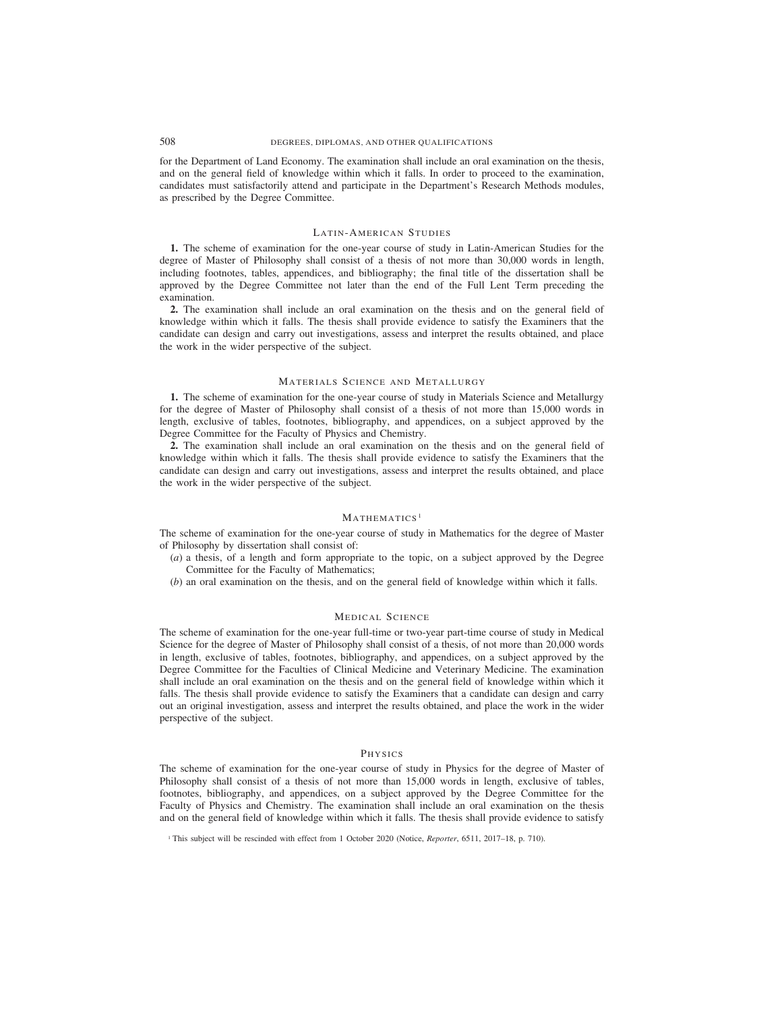for the Department of Land Economy. The examination shall include an oral examination on the thesis, and on the general field of knowledge within which it falls. In order to proceed to the examination, candidates must satisfactorily attend and participate in the Department's Research Methods modules, as prescribed by the Degree Committee.

## LATIN-AMERICAN STUDIES

**1.** The scheme of examination for the one-year course of study in Latin-American Studies for the degree of Master of Philosophy shall consist of a thesis of not more than 30,000 words in length, including footnotes, tables, appendices, and bibliography; the final title of the dissertation shall be approved by the Degree Committee not later than the end of the Full Lent Term preceding the examination.

**2.** The examination shall include an oral examination on the thesis and on the general field of knowledge within which it falls. The thesis shall provide evidence to satisfy the Examiners that the candidate can design and carry out investigations, assess and interpret the results obtained, and place the work in the wider perspective of the subject.

#### MATERIALS SCIENCE AND METALLURGY

**1.** The scheme of examination for the one-year course of study in Materials Science and Metallurgy for the degree of Master of Philosophy shall consist of a thesis of not more than 15,000 words in length, exclusive of tables, footnotes, bibliography, and appendices, on a subject approved by the Degree Committee for the Faculty of Physics and Chemistry.

**2.** The examination shall include an oral examination on the thesis and on the general field of knowledge within which it falls. The thesis shall provide evidence to satisfy the Examiners that the candidate can design and carry out investigations, assess and interpret the results obtained, and place the work in the wider perspective of the subject.

## MATHEMATICS<sup>1</sup>

The scheme of examination for the one-year course of study in Mathematics for the degree of Master of Philosophy by dissertation shall consist of:

- (*a*) a thesis, of a length and form appropriate to the topic, on a subject approved by the Degree Committee for the Faculty of Mathematics;
- (*b*) an oral examination on the thesis, and on the general field of knowledge within which it falls.

## MEDICAL SCIENCE

The scheme of examination for the one-year full-time or two-year part-time course of study in Medical Science for the degree of Master of Philosophy shall consist of a thesis, of not more than 20,000 words in length, exclusive of tables, footnotes, bibliography, and appendices, on a subject approved by the Degree Committee for the Faculties of Clinical Medicine and Veterinary Medicine. The examination shall include an oral examination on the thesis and on the general field of knowledge within which it falls. The thesis shall provide evidence to satisfy the Examiners that a candidate can design and carry out an original investigation, assess and interpret the results obtained, and place the work in the wider perspective of the subject.

## **PHYSICS**

The scheme of examination for the one-year course of study in Physics for the degree of Master of Philosophy shall consist of a thesis of not more than 15,000 words in length, exclusive of tables, footnotes, bibliography, and appendices, on a subject approved by the Degree Committee for the Faculty of Physics and Chemistry. The examination shall include an oral examination on the thesis and on the general field of knowledge within which it falls. The thesis shall provide evidence to satisfy

<sup>1</sup> This subject will be rescinded with effect from 1 October 2020 (Notice, *Reporter*, 6511, 2017–18, p. 710).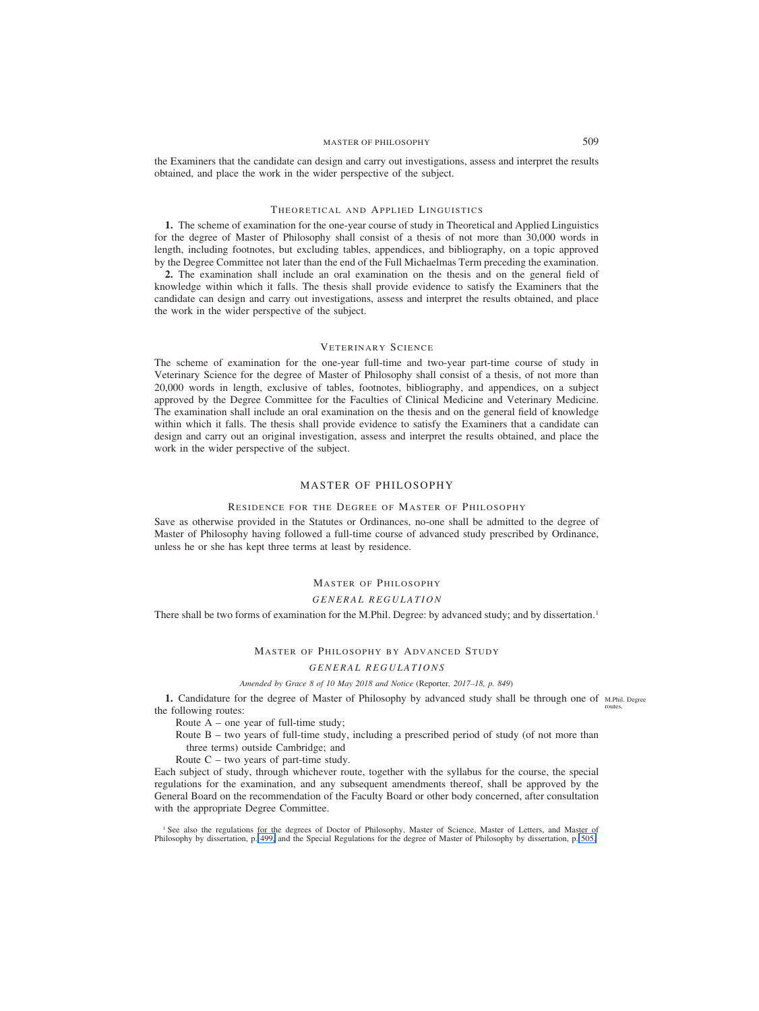## MASTER OF PHILOSOPHY 509

<span id="page-64-0"></span>the Examiners that the candidate can design and carry out investigations, assess and interpret the results obtained, and place the work in the wider perspective of the subject.

## THEORETICAL AND APPLIED LINGUISTICS

**1.** The scheme of examination for the one-year course of study in Theoretical and Applied Linguistics for the degree of Master of Philosophy shall consist of a thesis of not more than 30,000 words in length, including footnotes, but excluding tables, appendices, and bibliography, on a topic approved by the Degree Committee not later than the end of the Full Michaelmas Term preceding the examination.

**2.** The examination shall include an oral examination on the thesis and on the general field of knowledge within which it falls. The thesis shall provide evidence to satisfy the Examiners that the candidate can design and carry out investigations, assess and interpret the results obtained, and place the work in the wider perspective of the subject.

# VETERINARY SCIENCE

The scheme of examination for the one-year full-time and two-year part-time course of study in Veterinary Science for the degree of Master of Philosophy shall consist of a thesis, of not more than 20,000 words in length, exclusive of tables, footnotes, bibliography, and appendices, on a subject approved by the Degree Committee for the Faculties of Clinical Medicine and Veterinary Medicine. The examination shall include an oral examination on the thesis and on the general field of knowledge within which it falls. The thesis shall provide evidence to satisfy the Examiners that a candidate can design and carry out an original investigation, assess and interpret the results obtained, and place the work in the wider perspective of the subject.

## MASTER OF PHILOSOPHY

#### RESIDENCE FOR THE DEGREE OF MASTER OF PHILOSOPHY

Save as otherwise provided in the Statutes or Ordinances, no-one shall be admitted to the degree of Master of Philosophy having followed a full-time course of advanced study prescribed by Ordinance, unless he or she has kept three terms at least by residence.

# MASTER OF PHILOSOPHY

### *GENERAL REGULATION*

There shall be two forms of examination for the M.Phil. Degree: by advanced study; and by dissertation.<sup>1</sup>

#### MASTER OF PHILOSOPHY BY ADVANCED STUDY

#### *GENERAL REGULATIONS*

## *Amended by Grace 8 of 10 May 2018 and Notice (*Reporter*, 2017–18, p. 849)*

1. Candidature for the degree of Master of Philosophy by advanced study shall be through one of M.Phil. Degree the following routes: routes.

Route  $A$  – one year of full-time study;

Route B – two years of full-time study, including a prescribed period of study (of not more than three terms) outside Cambridge; and

Route  $C$  – two years of part-time study.

Each subject of study, through whichever route, together with the syllabus for the course, the special regulations for the examination, and any subsequent amendments thereof, shall be approved by the General Board on the recommendation of the Faculty Board or other body concerned, after consultation with the appropriate Degree Committee.

<sup>1</sup> See also the regulations for the degrees of Doctor of Philosophy, Master of Science, Master of Letters, and Master of Philosophy by dissertation, p. [499,](#page-54-0) and the Special Regulations for the degree of Master of Philosophy by dissertation, p. [505.](#page-60-0)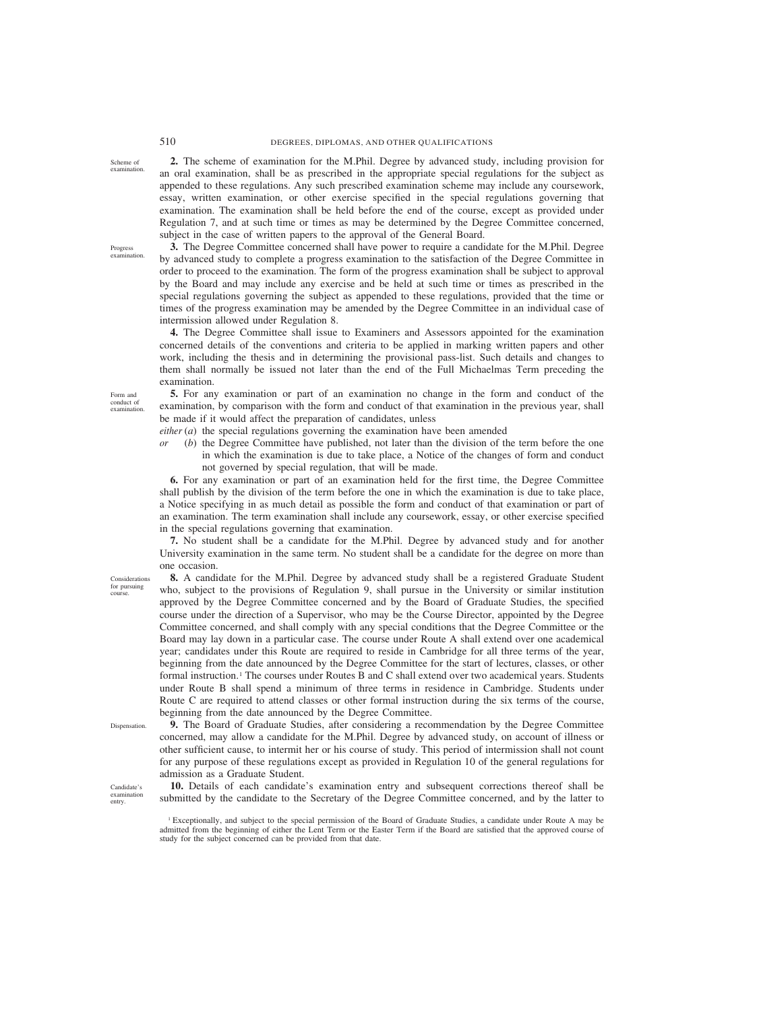**2.** The scheme of examination for the M.Phil. Degree by advanced study, including provision for an oral examination, shall be as prescribed in the appropriate special regulations for the subject as appended to these regulations. Any such prescribed examination scheme may include any coursework, essay, written examination, or other exercise specified in the special regulations governing that examination. The examination shall be held before the end of the course, except as provided under Regulation 7, and at such time or times as may be determined by the Degree Committee concerned, subject in the case of written papers to the approval of the General Board.

**3.** The Degree Committee concerned shall have power to require a candidate for the M.Phil. Degree by advanced study to complete a progress examination to the satisfaction of the Degree Committee in order to proceed to the examination. The form of the progress examination shall be subject to approval by the Board and may include any exercise and be held at such time or times as prescribed in the special regulations governing the subject as appended to these regulations, provided that the time or times of the progress examination may be amended by the Degree Committee in an individual case of intermission allowed under Regulation 8.

**4.** The Degree Committee shall issue to Examiners and Assessors appointed for the examination concerned details of the conventions and criteria to be applied in marking written papers and other work, including the thesis and in determining the provisional pass-list. Such details and changes to them shall normally be issued not later than the end of the Full Michaelmas Term preceding the examination.

**5.** For any examination or part of an examination no change in the form and conduct of the examination, by comparison with the form and conduct of that examination in the previous year, shall be made if it would affect the preparation of candidates, unless

*either* (*a*) the special regulations governing the examination have been amended

*or* (*b*) the Degree Committee have published, not later than the division of the term before the one in which the examination is due to take place, a Notice of the changes of form and conduct not governed by special regulation, that will be made.

**6.** For any examination or part of an examination held for the first time, the Degree Committee shall publish by the division of the term before the one in which the examination is due to take place, a Notice specifying in as much detail as possible the form and conduct of that examination or part of an examination. The term examination shall include any coursework, essay, or other exercise specified in the special regulations governing that examination.

**7.** No student shall be a candidate for the M.Phil. Degree by advanced study and for another University examination in the same term. No student shall be a candidate for the degree on more than one occasion.

**8.** A candidate for the M.Phil. Degree by advanced study shall be a registered Graduate Student who, subject to the provisions of Regulation 9, shall pursue in the University or similar institution approved by the Degree Committee concerned and by the Board of Graduate Studies, the specified course under the direction of a Supervisor, who may be the Course Director, appointed by the Degree Committee concerned, and shall comply with any special conditions that the Degree Committee or the Board may lay down in a particular case. The course under Route A shall extend over one academical year; candidates under this Route are required to reside in Cambridge for all three terms of the year, beginning from the date announced by the Degree Committee for the start of lectures, classes, or other formal instruction.<sup>1</sup> The courses under Routes B and C shall extend over two academical years. Students under Route B shall spend a minimum of three terms in residence in Cambridge. Students under Route C are required to attend classes or other formal instruction during the six terms of the course, beginning from the date announced by the Degree Committee.

**9.** The Board of Graduate Studies, after considering a recommendation by the Degree Committee concerned, may allow a candidate for the M.Phil. Degree by advanced study, on account of illness or other sufficient cause, to intermit her or his course of study. This period of intermission shall not count for any purpose of these regulations except as provided in Regulation 10 of the general regulations for admission as a Graduate Student.

**10.** Details of each candidate's examination entry and subsequent corrections thereof shall be submitted by the candidate to the Secretary of the Degree Committee concerned, and by the latter to

Scheme of examination.

Progress examination.

Form and conduct of examination.

Considerations for pursuing course.

Dispensation.

Candidate's examination entry.

<sup>&</sup>lt;sup>1</sup> Exceptionally, and subject to the special permission of the Board of Graduate Studies, a candidate under Route A may be admitted from the beginning of either the Lent Term or the Easter Term if the Board are satisfied that the approved course of study for the subject concerned can be provided from that date.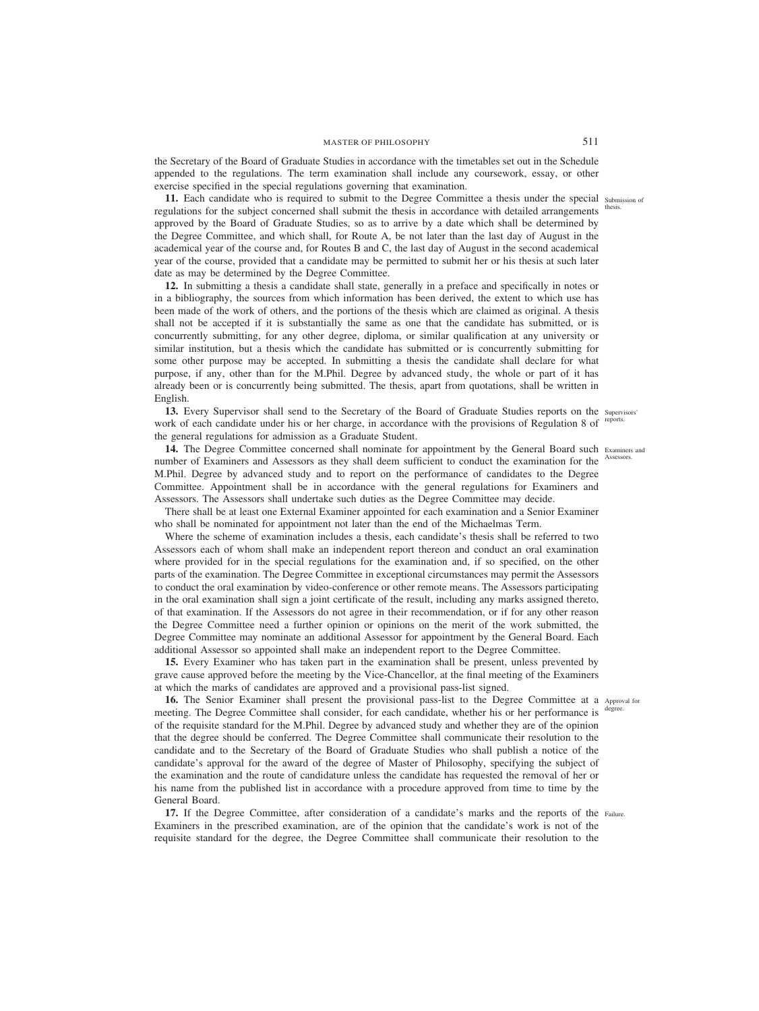the Secretary of the Board of Graduate Studies in accordance with the timetables set out in the Schedule appended to the regulations. The term examination shall include any coursework, essay, or other exercise specified in the special regulations governing that examination.

11. Each candidate who is required to submit to the Degree Committee a thesis under the special submission of regulations for the subject concerned shall submit the thesis in accordance with detailed arrangements thesis. approved by the Board of Graduate Studies, so as to arrive by a date which shall be determined by the Degree Committee, and which shall, for Route A, be not later than the last day of August in the academical year of the course and, for Routes B and C, the last day of August in the second academical year of the course, provided that a candidate may be permitted to submit her or his thesis at such later date as may be determined by the Degree Committee.

**12.** In submitting a thesis a candidate shall state, generally in a preface and specifically in notes or in a bibliography, the sources from which information has been derived, the extent to which use has been made of the work of others, and the portions of the thesis which are claimed as original. A thesis shall not be accepted if it is substantially the same as one that the candidate has submitted, or is concurrently submitting, for any other degree, diploma, or similar qualification at any university or similar institution, but a thesis which the candidate has submitted or is concurrently submitting for some other purpose may be accepted. In submitting a thesis the candidate shall declare for what purpose, if any, other than for the M.Phil. Degree by advanced study, the whole or part of it has already been or is concurrently being submitted. The thesis, apart from quotations, shall be written in English.

13. Every Supervisor shall send to the Secretary of the Board of Graduate Studies reports on the supervisors' work of each candidate under his or her charge, in accordance with the provisions of Regulation 8 of reports. the general regulations for admission as a Graduate Student.

14. The Degree Committee concerned shall nominate for appointment by the General Board such Examiners and number of Examiners and Assessors as they shall deem sufficient to conduct the examination for the M.Phil. Degree by advanced study and to report on the performance of candidates to the Degree Committee. Appointment shall be in accordance with the general regulations for Examiners and Assessors. The Assessors shall undertake such duties as the Degree Committee may decide.

There shall be at least one External Examiner appointed for each examination and a Senior Examiner who shall be nominated for appointment not later than the end of the Michaelmas Term.

Where the scheme of examination includes a thesis, each candidate's thesis shall be referred to two Assessors each of whom shall make an independent report thereon and conduct an oral examination where provided for in the special regulations for the examination and, if so specified, on the other parts of the examination. The Degree Committee in exceptional circumstances may permit the Assessors to conduct the oral examination by video-conference or other remote means. The Assessors participating in the oral examination shall sign a joint certificate of the result, including any marks assigned thereto, of that examination. If the Assessors do not agree in their recommendation, or if for any other reason the Degree Committee need a further opinion or opinions on the merit of the work submitted, the Degree Committee may nominate an additional Assessor for appointment by the General Board. Each additional Assessor so appointed shall make an independent report to the Degree Committee.

**15.** Every Examiner who has taken part in the examination shall be present, unless prevented by grave cause approved before the meeting by the Vice-Chancellor, at the final meeting of the Examiners at which the marks of candidates are approved and a provisional pass-list signed.

16. The Senior Examiner shall present the provisional pass-list to the Degree Committee at a Approval for meeting. The Degree Committee shall consider, for each candidate, whether his or her performance is of the requisite standard for the M.Phil. Degree by advanced study and whether they are of the opinion that the degree should be conferred. The Degree Committee shall communicate their resolution to the candidate and to the Secretary of the Board of Graduate Studies who shall publish a notice of the candidate's approval for the award of the degree of Master of Philosophy, specifying the subject of the examination and the route of candidature unless the candidate has requested the removal of her or his name from the published list in accordance with a procedure approved from time to time by the General Board. degree.

17. If the Degree Committee, after consideration of a candidate's marks and the reports of the Failure. Examiners in the prescribed examination, are of the opinion that the candidate's work is not of the requisite standard for the degree, the Degree Committee shall communicate their resolution to the

Assessors.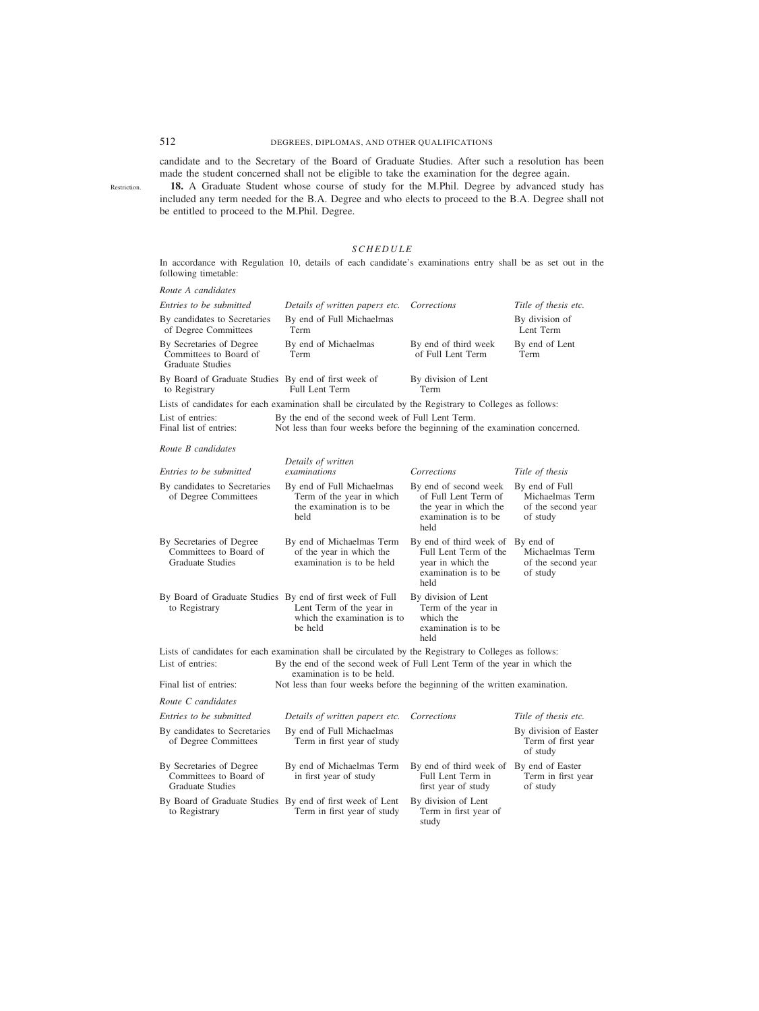# 512 DEGREES, DIPLOMAS, AND OTHER QUALIFICATIONS

candidate and to the Secretary of the Board of Graduate Studies. After such a resolution has been made the student concerned shall not be eligible to take the examination for the degree again.

**18.** A Graduate Student whose course of study for the M.Phil. Degree by advanced study has included any term needed for the B.A. Degree and who elects to proceed to the B.A. Degree shall not be entitled to proceed to the M.Phil. Degree.

## *SCHEDULE*

In accordance with Regulation 10, details of each candidate's examinations entry shall be as set out in the following timetable:

| Route A candidates                                                            |                                                                                                                                 |                                                                                                                 |                                                                     |
|-------------------------------------------------------------------------------|---------------------------------------------------------------------------------------------------------------------------------|-----------------------------------------------------------------------------------------------------------------|---------------------------------------------------------------------|
| Entries to be submitted                                                       | Details of written papers etc.                                                                                                  | Corrections                                                                                                     | Title of thesis etc.                                                |
| By candidates to Secretaries<br>of Degree Committees                          | By end of Full Michaelmas<br>Term                                                                                               |                                                                                                                 | By division of<br>Lent Term                                         |
| By Secretaries of Degree<br>Committees to Board of<br>Graduate Studies        | By end of Michaelmas<br>Term                                                                                                    | By end of third week<br>of Full Lent Term                                                                       | By end of Lent<br>Term                                              |
| By Board of Graduate Studies By end of first week of<br>to Registrary         | Full Lent Term                                                                                                                  | By division of Lent<br>Term                                                                                     |                                                                     |
|                                                                               | Lists of candidates for each examination shall be circulated by the Registrary to Colleges as follows:                          |                                                                                                                 |                                                                     |
| List of entries:<br>Final list of entries:                                    | By the end of the second week of Full Lent Term.<br>Not less than four weeks before the beginning of the examination concerned. |                                                                                                                 |                                                                     |
| Route B candidates                                                            |                                                                                                                                 |                                                                                                                 |                                                                     |
| Entries to be submitted                                                       | Details of written<br>examinations                                                                                              | Corrections                                                                                                     | Title of thesis                                                     |
|                                                                               |                                                                                                                                 |                                                                                                                 |                                                                     |
| By candidates to Secretaries<br>of Degree Committees                          | By end of Full Michaelmas<br>Term of the year in which<br>the examination is to be<br>held                                      | By end of second week<br>of Full Lent Term of<br>the year in which the<br>examination is to be<br>held          | By end of Full<br>Michaelmas Term<br>of the second year<br>of study |
| By Secretaries of Degree<br>Committees to Board of<br><b>Graduate Studies</b> | By end of Michaelmas Term<br>of the year in which the<br>examination is to be held                                              | By end of third week of By end of<br>Full Lent Term of the<br>year in which the<br>examination is to be<br>held | Michaelmas Term<br>of the second year<br>of study                   |
| By Board of Graduate Studies By end of first week of Full<br>to Registrary    | Lent Term of the year in<br>which the examination is to<br>be held                                                              | By division of Lent<br>Term of the year in<br>which the<br>examination is to be<br>held                         |                                                                     |
|                                                                               | Lists of candidates for each examination shall be circulated by the Registrary to Colleges as follows:                          |                                                                                                                 |                                                                     |
| List of entries:                                                              | By the end of the second week of Full Lent Term of the year in which the<br>examination is to be held.                          |                                                                                                                 |                                                                     |
| Final list of entries:                                                        | Not less than four weeks before the beginning of the written examination.                                                       |                                                                                                                 |                                                                     |
| Route C candidates                                                            |                                                                                                                                 |                                                                                                                 |                                                                     |
| Entries to be submitted                                                       | Details of written papers etc.                                                                                                  | Corrections                                                                                                     | Title of thesis etc.                                                |
| By candidates to Secretaries<br>of Degree Committees                          | By end of Full Michaelmas<br>Term in first year of study                                                                        |                                                                                                                 | By division of Easter<br>Term of first year<br>of study             |
| By Secretaries of Degree<br>Committees to Board of<br>Graduate Studies        | By end of Michaelmas Term<br>in first year of study                                                                             | By end of third week of<br>Full Lent Term in<br>first year of study                                             | By end of Easter<br>Term in first year<br>of study                  |
| By Board of Graduate Studies By end of first week of Lent<br>to Registrary    | Term in first year of study                                                                                                     | By division of Lent<br>Term in first year of<br>study                                                           |                                                                     |

Restriction.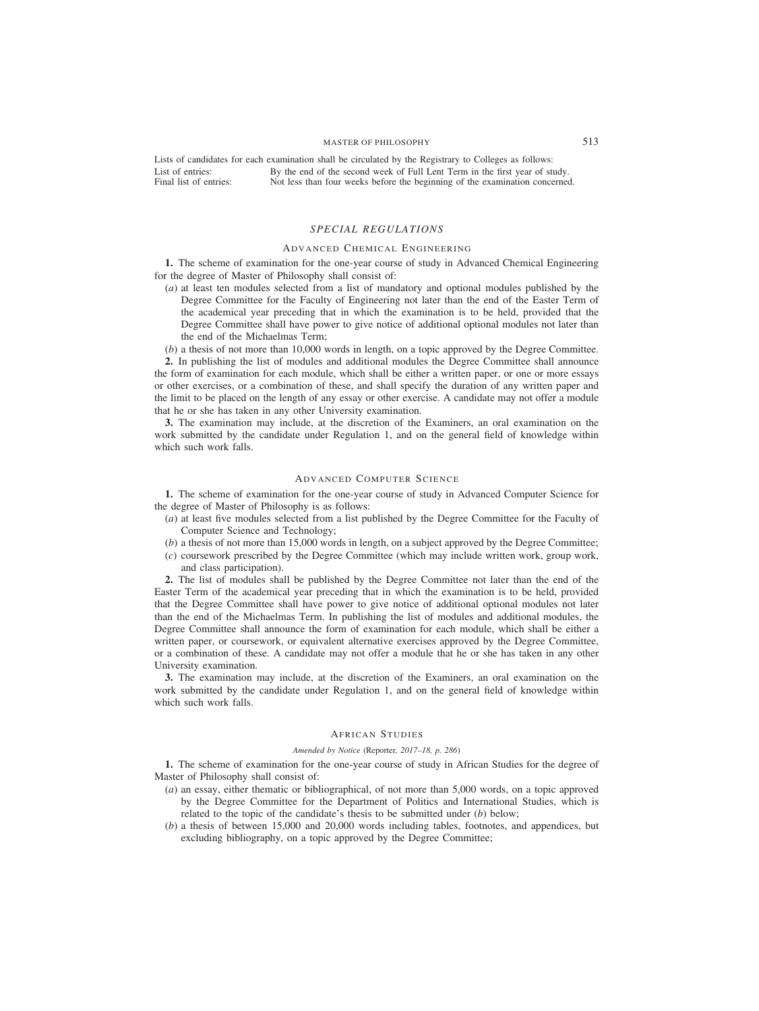Lists of candidates for each examination shall be circulated by the Registrary to Colleges as follows: List of entries: Final list of entries: By the end of the second week of Full Lent Term in the first year of study. Not less than four weeks before the beginning of the examination concerned.

## *SPECIAL REGULATIONS*

## ADVANCED CHEMICAL ENGINEERING

**1.** The scheme of examination for the one-year course of study in Advanced Chemical Engineering for the degree of Master of Philosophy shall consist of:

(*a*) at least ten modules selected from a list of mandatory and optional modules published by the Degree Committee for the Faculty of Engineering not later than the end of the Easter Term of the academical year preceding that in which the examination is to be held, provided that the Degree Committee shall have power to give notice of additional optional modules not later than the end of the Michaelmas Term;

(*b*) a thesis of not more than 10,000 words in length, on a topic approved by the Degree Committee. **2.** In publishing the list of modules and additional modules the Degree Committee shall announce the form of examination for each module, which shall be either a written paper, or one or more essays or other exercises, or a combination of these, and shall specify the duration of any written paper and the limit to be placed on the length of any essay or other exercise. A candidate may not offer a module that he or she has taken in any other University examination.

**3.** The examination may include, at the discretion of the Examiners, an oral examination on the work submitted by the candidate under Regulation 1, and on the general field of knowledge within which such work falls.

#### ADVANCED COMPUTER SCIENCE

**1.** The scheme of examination for the one-year course of study in Advanced Computer Science for the degree of Master of Philosophy is as follows:

- (*a*) at least five modules selected from a list published by the Degree Committee for the Faculty of Computer Science and Technology;
- (*b*) a thesis of not more than 15,000 words in length, on a subject approved by the Degree Committee;
- (*c*) coursework prescribed by the Degree Committee (which may include written work, group work, and class participation).

**2.** The list of modules shall be published by the Degree Committee not later than the end of the Easter Term of the academical year preceding that in which the examination is to be held, provided that the Degree Committee shall have power to give notice of additional optional modules not later than the end of the Michaelmas Term. In publishing the list of modules and additional modules, the Degree Committee shall announce the form of examination for each module, which shall be either a written paper, or coursework, or equivalent alternative exercises approved by the Degree Committee, or a combination of these. A candidate may not offer a module that he or she has taken in any other University examination.

**3.** The examination may include, at the discretion of the Examiners, an oral examination on the work submitted by the candidate under Regulation 1, and on the general field of knowledge within which such work falls.

#### AFRICAN STUDIES

## *Amended by Notice (*Reporter*, 2017–18, p. 286)*

**1.** The scheme of examination for the one-year course of study in African Studies for the degree of Master of Philosophy shall consist of:

- (*a*) an essay, either thematic or bibliographical, of not more than 5,000 words, on a topic approved by the Degree Committee for the Department of Politics and International Studies, which is related to the topic of the candidate's thesis to be submitted under (*b*) below;
- (*b*) a thesis of between 15,000 and 20,000 words including tables, footnotes, and appendices, but excluding bibliography, on a topic approved by the Degree Committee;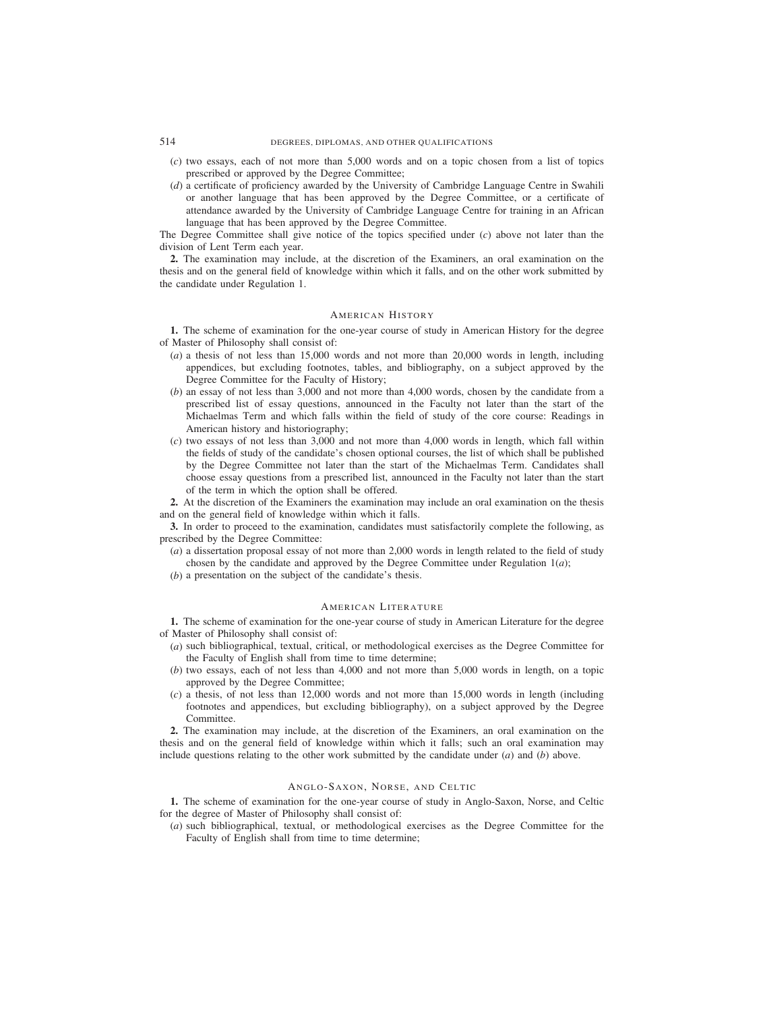- (*c*) two essays, each of not more than 5,000 words and on a topic chosen from a list of topics prescribed or approved by the Degree Committee;
- (*d*) a certificate of proficiency awarded by the University of Cambridge Language Centre in Swahili or another language that has been approved by the Degree Committee, or a certificate of attendance awarded by the University of Cambridge Language Centre for training in an African language that has been approved by the Degree Committee.

The Degree Committee shall give notice of the topics specified under (*c*) above not later than the division of Lent Term each year.

**2.** The examination may include, at the discretion of the Examiners, an oral examination on the thesis and on the general field of knowledge within which it falls, and on the other work submitted by the candidate under Regulation 1.

## AMERICAN HISTORY

**1.** The scheme of examination for the one-year course of study in American History for the degree of Master of Philosophy shall consist of:

- (*a*) a thesis of not less than 15,000 words and not more than 20,000 words in length, including appendices, but excluding footnotes, tables, and bibliography, on a subject approved by the Degree Committee for the Faculty of History;
- (*b*) an essay of not less than 3,000 and not more than 4,000 words, chosen by the candidate from a prescribed list of essay questions, announced in the Faculty not later than the start of the Michaelmas Term and which falls within the field of study of the core course: Readings in American history and historiography;
- (*c*) two essays of not less than 3,000 and not more than 4,000 words in length, which fall within the fields of study of the candidate's chosen optional courses, the list of which shall be published by the Degree Committee not later than the start of the Michaelmas Term. Candidates shall choose essay questions from a prescribed list, announced in the Faculty not later than the start of the term in which the option shall be offered.

**2.** At the discretion of the Examiners the examination may include an oral examination on the thesis and on the general field of knowledge within which it falls.

**3.** In order to proceed to the examination, candidates must satisfactorily complete the following, as prescribed by the Degree Committee:

- (*a*) a dissertation proposal essay of not more than 2,000 words in length related to the field of study chosen by the candidate and approved by the Degree Committee under Regulation  $1(a)$ ;
- (*b*) a presentation on the subject of the candidate's thesis.

## AMERICAN LITERATURE

**1.** The scheme of examination for the one-year course of study in American Literature for the degree of Master of Philosophy shall consist of:

- (*a*) such bibliographical, textual, critical, or methodological exercises as the Degree Committee for the Faculty of English shall from time to time determine;
- (*b*) two essays, each of not less than 4,000 and not more than 5,000 words in length, on a topic approved by the Degree Committee;
- (*c*) a thesis, of not less than 12,000 words and not more than 15,000 words in length (including footnotes and appendices, but excluding bibliography), on a subject approved by the Degree Committee.

**2.** The examination may include, at the discretion of the Examiners, an oral examination on the thesis and on the general field of knowledge within which it falls; such an oral examination may include questions relating to the other work submitted by the candidate under (*a*) and (*b*) above.

## ANGLO-SAXON, NORSE, AND CELTIC

**1.** The scheme of examination for the one-year course of study in Anglo-Saxon, Norse, and Celtic for the degree of Master of Philosophy shall consist of:

(*a*) such bibliographical, textual, or methodological exercises as the Degree Committee for the Faculty of English shall from time to time determine;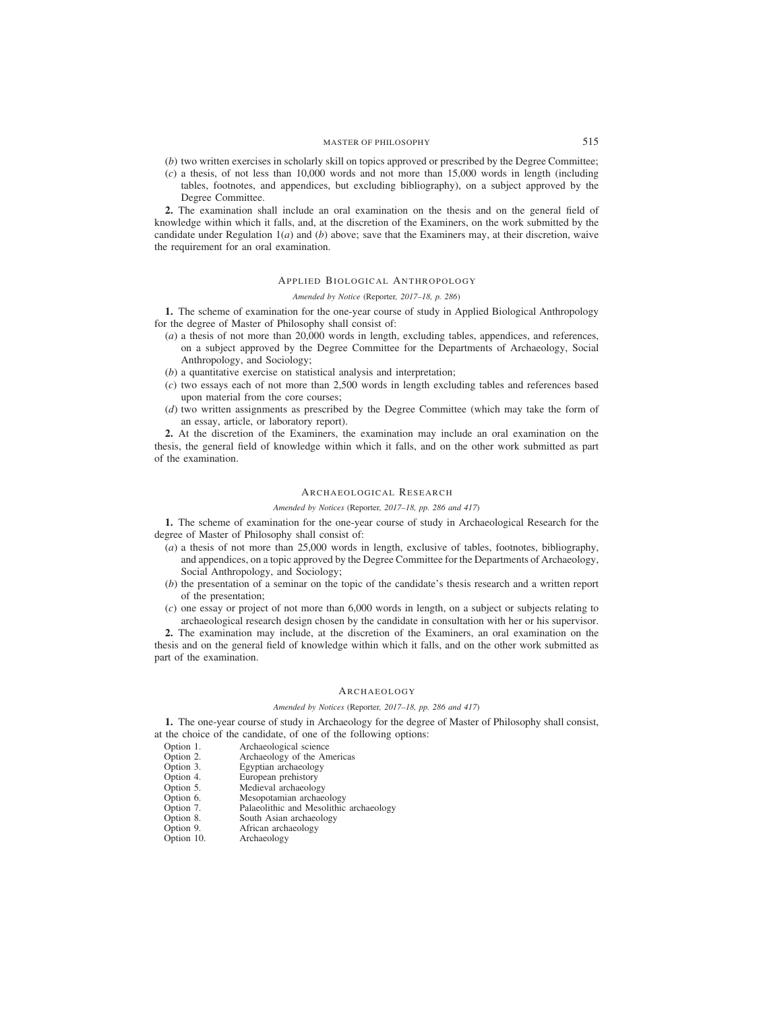# MASTER OF PHILOSOPHY 515

- (*b*) two written exercises in scholarly skill on topics approved or prescribed by the Degree Committee;
- (*c*) a thesis, of not less than 10,000 words and not more than 15,000 words in length (including tables, footnotes, and appendices, but excluding bibliography), on a subject approved by the Degree Committee.

**2.** The examination shall include an oral examination on the thesis and on the general field of knowledge within which it falls, and, at the discretion of the Examiners, on the work submitted by the candidate under Regulation 1(*a*) and (*b*) above; save that the Examiners may, at their discretion, waive the requirement for an oral examination.

## APPLIED BIOLOGICAL ANTHROPOLOGY

## *Amended by Notice (*Reporter*, 2017–18, p. 286)*

**1.** The scheme of examination for the one-year course of study in Applied Biological Anthropology for the degree of Master of Philosophy shall consist of:

- (*a*) a thesis of not more than 20,000 words in length, excluding tables, appendices, and references, on a subject approved by the Degree Committee for the Departments of Archaeology, Social Anthropology, and Sociology;
- (*b*) a quantitative exercise on statistical analysis and interpretation;
- (*c*) two essays each of not more than 2,500 words in length excluding tables and references based upon material from the core courses;
- (*d*) two written assignments as prescribed by the Degree Committee (which may take the form of an essay, article, or laboratory report).

**2.** At the discretion of the Examiners, the examination may include an oral examination on the thesis, the general field of knowledge within which it falls, and on the other work submitted as part of the examination.

# ARCHAEOLOGICAL RESEARCH

#### *Amended by Notices (*Reporter*, 2017–18, pp. 286 and 417)*

**1.** The scheme of examination for the one-year course of study in Archaeological Research for the degree of Master of Philosophy shall consist of:

- (*a*) a thesis of not more than 25,000 words in length, exclusive of tables, footnotes, bibliography, and appendices, on a topic approved by the Degree Committee for the Departments of Archaeology, Social Anthropology, and Sociology;
- (*b*) the presentation of a seminar on the topic of the candidate's thesis research and a written report of the presentation;
- (*c*) one essay or project of not more than 6,000 words in length, on a subject or subjects relating to archaeological research design chosen by the candidate in consultation with her or his supervisor.

**2.** The examination may include, at the discretion of the Examiners, an oral examination on the thesis and on the general field of knowledge within which it falls, and on the other work submitted as part of the examination.

## ARCHAEOLOGY

## *Amended by Notices (*Reporter*, 2017–18, pp. 286 and 417)*

**1.** The one-year course of study in Archaeology for the degree of Master of Philosophy shall consist, at the choice of the candidate, of one of the following options:

- Option 1. Archaeological science<br>Option 2. Archaeology of the An
- Option 2. Archaeology of the Americas<br>Option 3. Egyptian archaeology
- 
- Option 3. Egyptian archaeology<br>Option 4. European prehistory Option 4. European prehistory<br>Option 5. Medieval archaeolog
- Medieval archaeology
- Option 6. Mesopotamian archaeology<br>Option 7. Palaeolithic and Mesolithic
- Palaeolithic and Mesolithic archaeology
- Option 8. South Asian archaeology<br>Option 9. African archaeology
- Option 9. African archaeology<br>Option 10. Archaeology
- Archaeology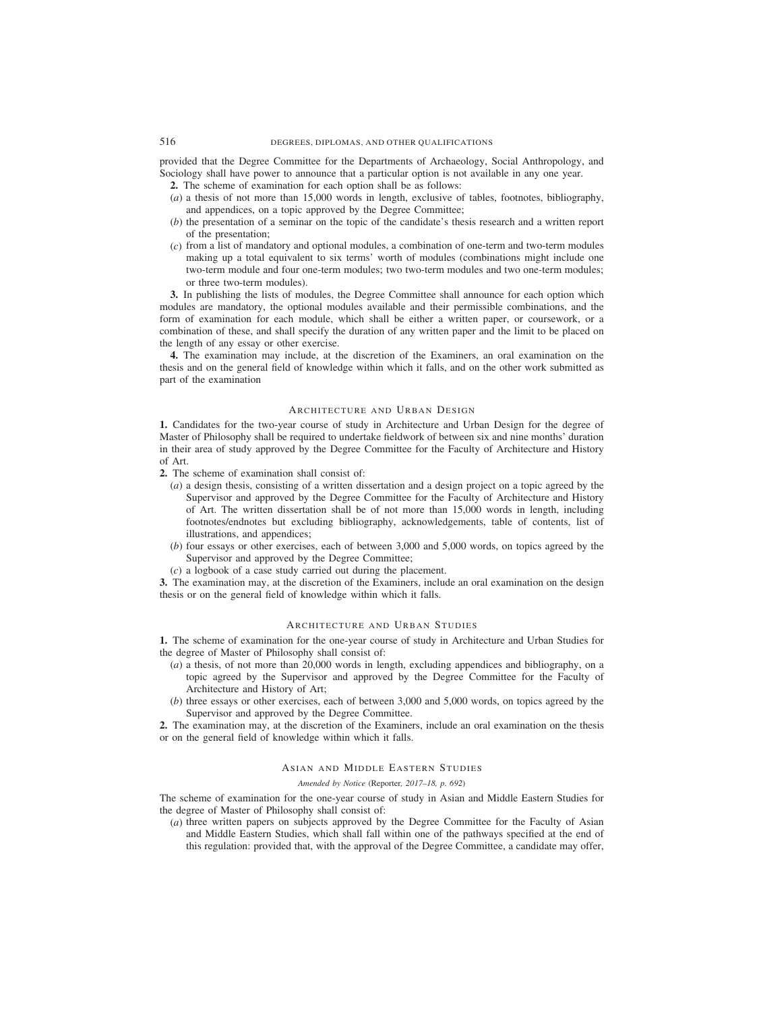provided that the Degree Committee for the Departments of Archaeology, Social Anthropology, and Sociology shall have power to announce that a particular option is not available in any one year.

**2.** The scheme of examination for each option shall be as follows:

- (*a*) a thesis of not more than 15,000 words in length, exclusive of tables, footnotes, bibliography, and appendices, on a topic approved by the Degree Committee;
- (*b*) the presentation of a seminar on the topic of the candidate's thesis research and a written report of the presentation;
- (*c*) from a list of mandatory and optional modules, a combination of one-term and two-term modules making up a total equivalent to six terms' worth of modules (combinations might include one two-term module and four one-term modules; two two-term modules and two one-term modules; or three two-term modules).

**3.** In publishing the lists of modules, the Degree Committee shall announce for each option which modules are mandatory, the optional modules available and their permissible combinations, and the form of examination for each module, which shall be either a written paper, or coursework, or a combination of these, and shall specify the duration of any written paper and the limit to be placed on the length of any essay or other exercise.

**4.** The examination may include, at the discretion of the Examiners, an oral examination on the thesis and on the general field of knowledge within which it falls, and on the other work submitted as part of the examination

# ARCHITECTURE AND URBAN DESIGN

**1.** Candidates for the two-year course of study in Architecture and Urban Design for the degree of Master of Philosophy shall be required to undertake fieldwork of between six and nine months' duration in their area of study approved by the Degree Committee for the Faculty of Architecture and History of Art.

**2.** The scheme of examination shall consist of:

- (*a*) a design thesis, consisting of a written dissertation and a design project on a topic agreed by the Supervisor and approved by the Degree Committee for the Faculty of Architecture and History of Art. The written dissertation shall be of not more than 15,000 words in length, including footnotes/endnotes but excluding bibliography, acknowledgements, table of contents, list of illustrations, and appendices;
- (*b*) four essays or other exercises, each of between 3,000 and 5,000 words, on topics agreed by the Supervisor and approved by the Degree Committee;
- (*c*) a logbook of a case study carried out during the placement.

**3.** The examination may, at the discretion of the Examiners, include an oral examination on the design thesis or on the general field of knowledge within which it falls.

# ARCHITECTURE AND URBAN STUDIES

**1.** The scheme of examination for the one-year course of study in Architecture and Urban Studies for the degree of Master of Philosophy shall consist of:

- (*a*) a thesis, of not more than 20,000 words in length, excluding appendices and bibliography, on a topic agreed by the Supervisor and approved by the Degree Committee for the Faculty of Architecture and History of Art;
- (*b*) three essays or other exercises, each of between 3,000 and 5,000 words, on topics agreed by the Supervisor and approved by the Degree Committee.

**2.** The examination may, at the discretion of the Examiners, include an oral examination on the thesis or on the general field of knowledge within which it falls.

# ASIAN AND MIDDLE EASTERN STUDIES

## *Amended by Notice (*Reporter*, 2017–18, p. 692)*

The scheme of examination for the one-year course of study in Asian and Middle Eastern Studies for the degree of Master of Philosophy shall consist of:

(*a*) three written papers on subjects approved by the Degree Committee for the Faculty of Asian and Middle Eastern Studies, which shall fall within one of the pathways specified at the end of this regulation: provided that, with the approval of the Degree Committee, a candidate may offer,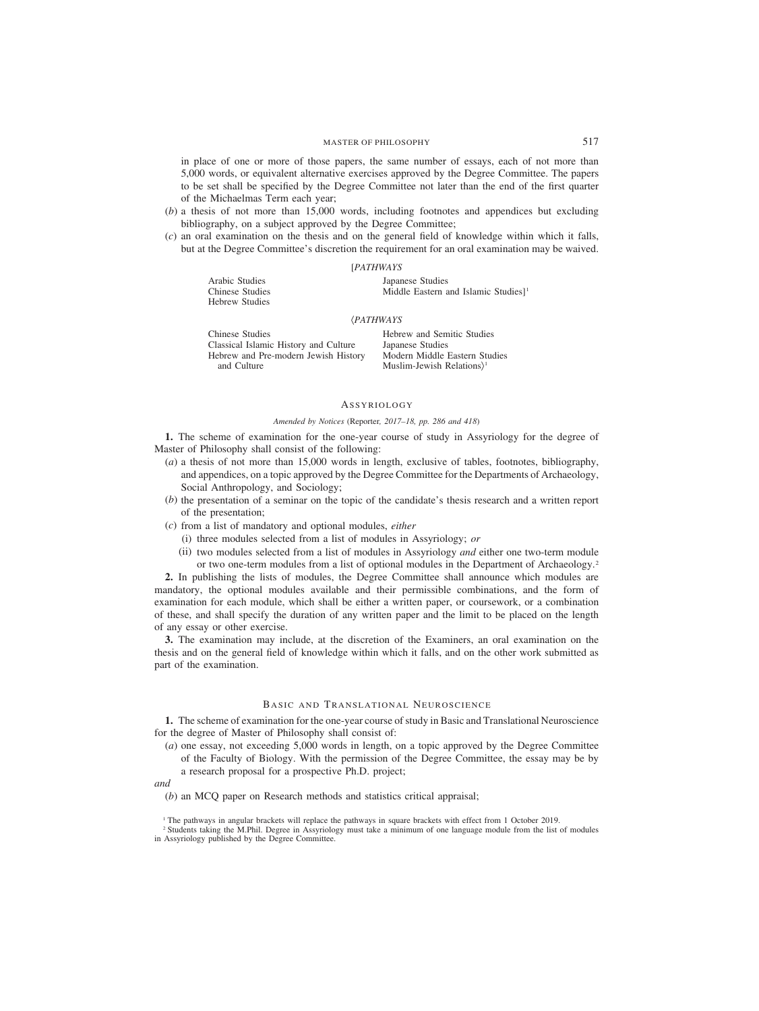in place of one or more of those papers, the same number of essays, each of not more than 5,000 words, or equivalent alternative exercises approved by the Degree Committee. The papers to be set shall be specified by the Degree Committee not later than the end of the first quarter of the Michaelmas Term each year;

- (*b*) a thesis of not more than 15,000 words, including footnotes and appendices but excluding bibliography, on a subject approved by the Degree Committee;
- (*c*) an oral examination on the thesis and on the general field of knowledge within which it falls, but at the Degree Committee's discretion the requirement for an oral examination may be waived.

#### [*PATHWAYS*

Arabic Studies Japanese Studies Hebrew Studies

Chinese Studies Middle Eastern and Islamic Studies]<sup>1</sup>

#### (*PATHWAYS*

| Hebrew and Sen   |
|------------------|
| Japanese Studies |
| Modern Middle    |
| Muslim-Jewish I  |
|                  |

**Comitic Studies** le Eastern Studies h Relations)<sup>1</sup>

# **ASSYRIOLOGY**

### *Amended by Notices (*Reporter*, 2017–18, pp. 286 and 418)*

**1.** The scheme of examination for the one-year course of study in Assyriology for the degree of Master of Philosophy shall consist of the following:

- (*a*) a thesis of not more than 15,000 words in length, exclusive of tables, footnotes, bibliography, and appendices, on a topic approved by the Degree Committee for the Departments of Archaeology, Social Anthropology, and Sociology;
- (*b*) the presentation of a seminar on the topic of the candidate's thesis research and a written report of the presentation;
- (*c*) from a list of mandatory and optional modules, *either*
	- (i) three modules selected from a list of modules in Assyriology; *or*
	- (ii) two modules selected from a list of modules in Assyriology *and* either one two-term module or two one-term modules from a list of optional modules in the Department of Archaeology.2

**2.** In publishing the lists of modules, the Degree Committee shall announce which modules are mandatory, the optional modules available and their permissible combinations, and the form of examination for each module, which shall be either a written paper, or coursework, or a combination of these, and shall specify the duration of any written paper and the limit to be placed on the length of any essay or other exercise.

**3.** The examination may include, at the discretion of the Examiners, an oral examination on the thesis and on the general field of knowledge within which it falls, and on the other work submitted as part of the examination.

# BASIC AND TRANSLATIONAL NEUROSCIENCE

**1.** The scheme of examination for the one-year course of study in Basic and Translational Neuroscience for the degree of Master of Philosophy shall consist of:

(*a*) one essay, not exceeding 5,000 words in length, on a topic approved by the Degree Committee of the Faculty of Biology. With the permission of the Degree Committee, the essay may be by a research proposal for a prospective Ph.D. project;

*and*

(*b*) an MCQ paper on Research methods and statistics critical appraisal;

<sup>1</sup> The pathways in angular brackets will replace the pathways in square brackets with effect from 1 October 2019.

<sup>2</sup> Students taking the M.Phil. Degree in Assyriology must take a minimum of one language module from the list of modules in Assyriology published by the Degree Committee.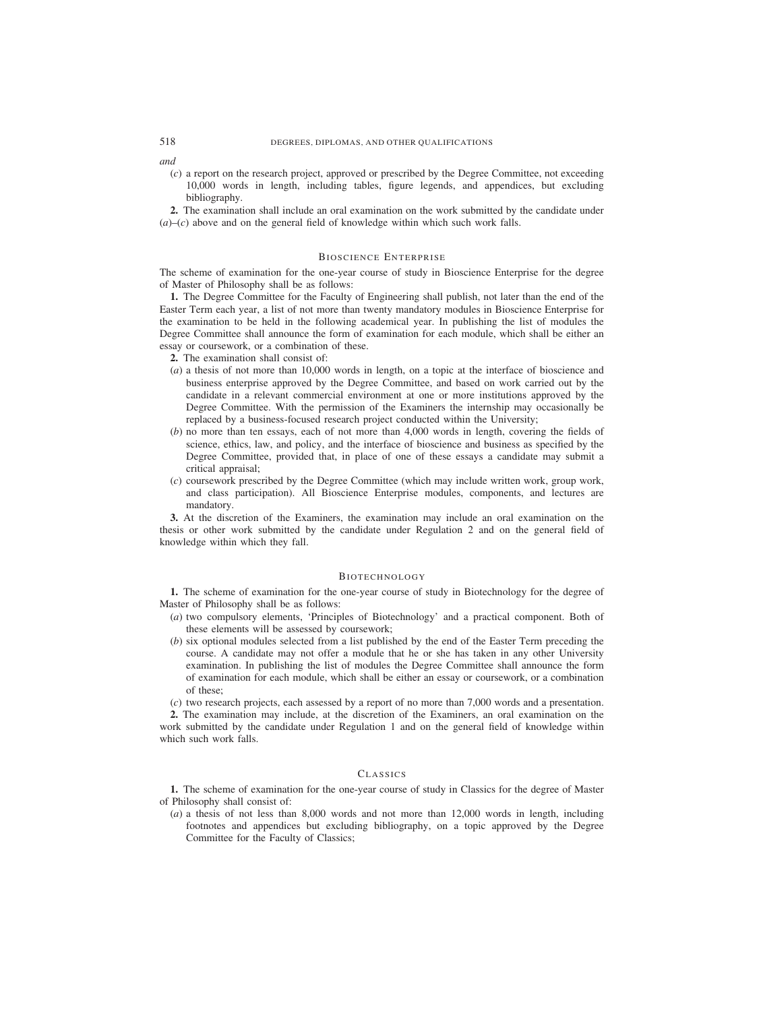*and*

(*c*) a report on the research project, approved or prescribed by the Degree Committee, not exceeding 10,000 words in length, including tables, figure legends, and appendices, but excluding bibliography.

**2.** The examination shall include an oral examination on the work submitted by the candidate under  $(a)$ – $(c)$  above and on the general field of knowledge within which such work falls.

#### BIOSCIENCE ENTERPRISE

The scheme of examination for the one-year course of study in Bioscience Enterprise for the degree of Master of Philosophy shall be as follows:

**1.** The Degree Committee for the Faculty of Engineering shall publish, not later than the end of the Easter Term each year, a list of not more than twenty mandatory modules in Bioscience Enterprise for the examination to be held in the following academical year. In publishing the list of modules the Degree Committee shall announce the form of examination for each module, which shall be either an essay or coursework, or a combination of these.

**2.** The examination shall consist of:

- (*a*) a thesis of not more than 10,000 words in length, on a topic at the interface of bioscience and business enterprise approved by the Degree Committee, and based on work carried out by the candidate in a relevant commercial environment at one or more institutions approved by the Degree Committee. With the permission of the Examiners the internship may occasionally be replaced by a business-focused research project conducted within the University;
- (*b*) no more than ten essays, each of not more than 4,000 words in length, covering the fields of science, ethics, law, and policy, and the interface of bioscience and business as specified by the Degree Committee, provided that, in place of one of these essays a candidate may submit a critical appraisal;
- (*c*) coursework prescribed by the Degree Committee (which may include written work, group work, and class participation). All Bioscience Enterprise modules, components, and lectures are mandatory.

**3.** At the discretion of the Examiners, the examination may include an oral examination on the thesis or other work submitted by the candidate under Regulation 2 and on the general field of knowledge within which they fall.

#### BIOTECHNOLOGY

**1.** The scheme of examination for the one-year course of study in Biotechnology for the degree of Master of Philosophy shall be as follows:

- (*a*) two compulsory elements, 'Principles of Biotechnology' and a practical component. Both of these elements will be assessed by coursework;
- (*b*) six optional modules selected from a list published by the end of the Easter Term preceding the course. A candidate may not offer a module that he or she has taken in any other University examination. In publishing the list of modules the Degree Committee shall announce the form of examination for each module, which shall be either an essay or coursework, or a combination of these;

(*c*) two research projects, each assessed by a report of no more than 7,000 words and a presentation.

**2.** The examination may include, at the discretion of the Examiners, an oral examination on the work submitted by the candidate under Regulation 1 and on the general field of knowledge within which such work falls.

# CLASSICS

**1.** The scheme of examination for the one-year course of study in Classics for the degree of Master of Philosophy shall consist of:

(*a*) a thesis of not less than 8,000 words and not more than 12,000 words in length, including footnotes and appendices but excluding bibliography, on a topic approved by the Degree Committee for the Faculty of Classics;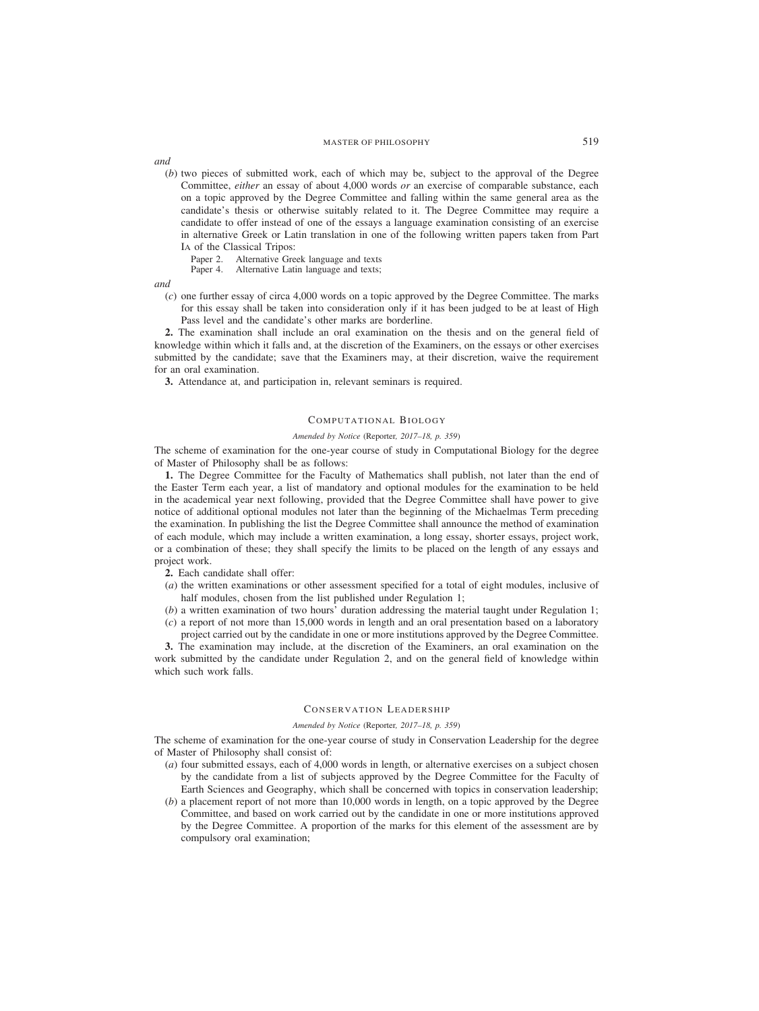*and*

- (*b*) two pieces of submitted work, each of which may be, subject to the approval of the Degree Committee, *either* an essay of about 4,000 words *or* an exercise of comparable substance, each on a topic approved by the Degree Committee and falling within the same general area as the candidate's thesis or otherwise suitably related to it. The Degree Committee may require a candidate to offer instead of one of the essays a language examination consisting of an exercise in alternative Greek or Latin translation in one of the following written papers taken from Part IA of the Classical Tripos:
	- Paper 2. Alternative Greek language and texts<br>Paper 4. Alternative Latin language and texts;
	- Alternative Latin language and texts;

*and*

(*c*) one further essay of circa 4,000 words on a topic approved by the Degree Committee. The marks for this essay shall be taken into consideration only if it has been judged to be at least of High Pass level and the candidate's other marks are borderline.

**2.** The examination shall include an oral examination on the thesis and on the general field of knowledge within which it falls and, at the discretion of the Examiners, on the essays or other exercises submitted by the candidate; save that the Examiners may, at their discretion, waive the requirement for an oral examination.

**3.** Attendance at, and participation in, relevant seminars is required.

# COMPUTATIONAL BIOLOGY

#### *Amended by Notice (*Reporter*, 2017–18, p. 359)*

The scheme of examination for the one-year course of study in Computational Biology for the degree of Master of Philosophy shall be as follows:

**1.** The Degree Committee for the Faculty of Mathematics shall publish, not later than the end of the Easter Term each year, a list of mandatory and optional modules for the examination to be held in the academical year next following, provided that the Degree Committee shall have power to give notice of additional optional modules not later than the beginning of the Michaelmas Term preceding the examination. In publishing the list the Degree Committee shall announce the method of examination of each module, which may include a written examination, a long essay, shorter essays, project work, or a combination of these; they shall specify the limits to be placed on the length of any essays and project work.

- **2.** Each candidate shall offer:
- (*a*) the written examinations or other assessment specified for a total of eight modules, inclusive of half modules, chosen from the list published under Regulation 1;
- (*b*) a written examination of two hours' duration addressing the material taught under Regulation 1;
- (*c*) a report of not more than 15,000 words in length and an oral presentation based on a laboratory project carried out by the candidate in one or more institutions approved by the Degree Committee.

**3.** The examination may include, at the discretion of the Examiners, an oral examination on the work submitted by the candidate under Regulation 2, and on the general field of knowledge within which such work falls.

#### CONSERVATION LEADERSHIP

#### *Amended by Notice (*Reporter*, 2017–18, p. 359)*

The scheme of examination for the one-year course of study in Conservation Leadership for the degree of Master of Philosophy shall consist of:

- (*a*) four submitted essays, each of 4,000 words in length, or alternative exercises on a subject chosen by the candidate from a list of subjects approved by the Degree Committee for the Faculty of Earth Sciences and Geography, which shall be concerned with topics in conservation leadership;
- (*b*) a placement report of not more than 10,000 words in length, on a topic approved by the Degree Committee, and based on work carried out by the candidate in one or more institutions approved by the Degree Committee. A proportion of the marks for this element of the assessment are by compulsory oral examination;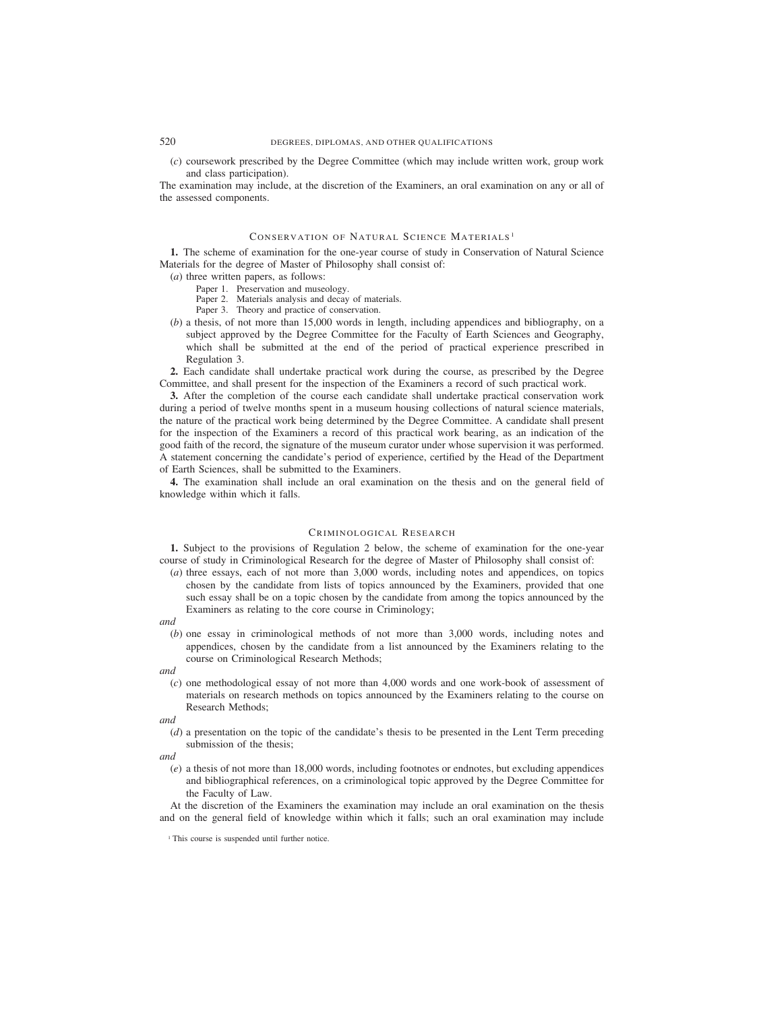# 520 DEGREES, DIPLOMAS, AND OTHER QUALIFICATIONS

(*c*) coursework prescribed by the Degree Committee (which may include written work, group work and class participation).

The examination may include, at the discretion of the Examiners, an oral examination on any or all of the assessed components.

#### CONSERVATION OF NATURAL SCIENCE MATERIALS <sup>1</sup>

**1.** The scheme of examination for the one-year course of study in Conservation of Natural Science Materials for the degree of Master of Philosophy shall consist of:

- (*a*) three written papers, as follows:
	- Paper 1. Preservation and museology.
	- Paper 2. Materials analysis and decay of materials.
	- Paper 3. Theory and practice of conservation.
- (*b*) a thesis, of not more than 15,000 words in length, including appendices and bibliography, on a subject approved by the Degree Committee for the Faculty of Earth Sciences and Geography, which shall be submitted at the end of the period of practical experience prescribed in Regulation 3.

**2.** Each candidate shall undertake practical work during the course, as prescribed by the Degree Committee, and shall present for the inspection of the Examiners a record of such practical work.

**3.** After the completion of the course each candidate shall undertake practical conservation work during a period of twelve months spent in a museum housing collections of natural science materials, the nature of the practical work being determined by the Degree Committee. A candidate shall present for the inspection of the Examiners a record of this practical work bearing, as an indication of the good faith of the record, the signature of the museum curator under whose supervision it was performed. A statement concerning the candidate's period of experience, certified by the Head of the Department of Earth Sciences, shall be submitted to the Examiners.

**4.** The examination shall include an oral examination on the thesis and on the general field of knowledge within which it falls.

# CRIMINOLOGICAL RESEARCH

**1.** Subject to the provisions of Regulation 2 below, the scheme of examination for the one-year course of study in Criminological Research for the degree of Master of Philosophy shall consist of:

- (*a*) three essays, each of not more than 3,000 words, including notes and appendices, on topics chosen by the candidate from lists of topics announced by the Examiners, provided that one such essay shall be on a topic chosen by the candidate from among the topics announced by the Examiners as relating to the core course in Criminology;
- *and*
	- (*b*) one essay in criminological methods of not more than 3,000 words, including notes and appendices, chosen by the candidate from a list announced by the Examiners relating to the course on Criminological Research Methods;

*and*

(*c*) one methodological essay of not more than 4,000 words and one work-book of assessment of materials on research methods on topics announced by the Examiners relating to the course on Research Methods;

*and*

(*d*) a presentation on the topic of the candidate's thesis to be presented in the Lent Term preceding submission of the thesis;

*and*

(*e*) a thesis of not more than 18,000 words, including footnotes or endnotes, but excluding appendices and bibliographical references, on a criminological topic approved by the Degree Committee for the Faculty of Law.

At the discretion of the Examiners the examination may include an oral examination on the thesis and on the general field of knowledge within which it falls; such an oral examination may include

<sup>&</sup>lt;sup>1</sup> This course is suspended until further notice.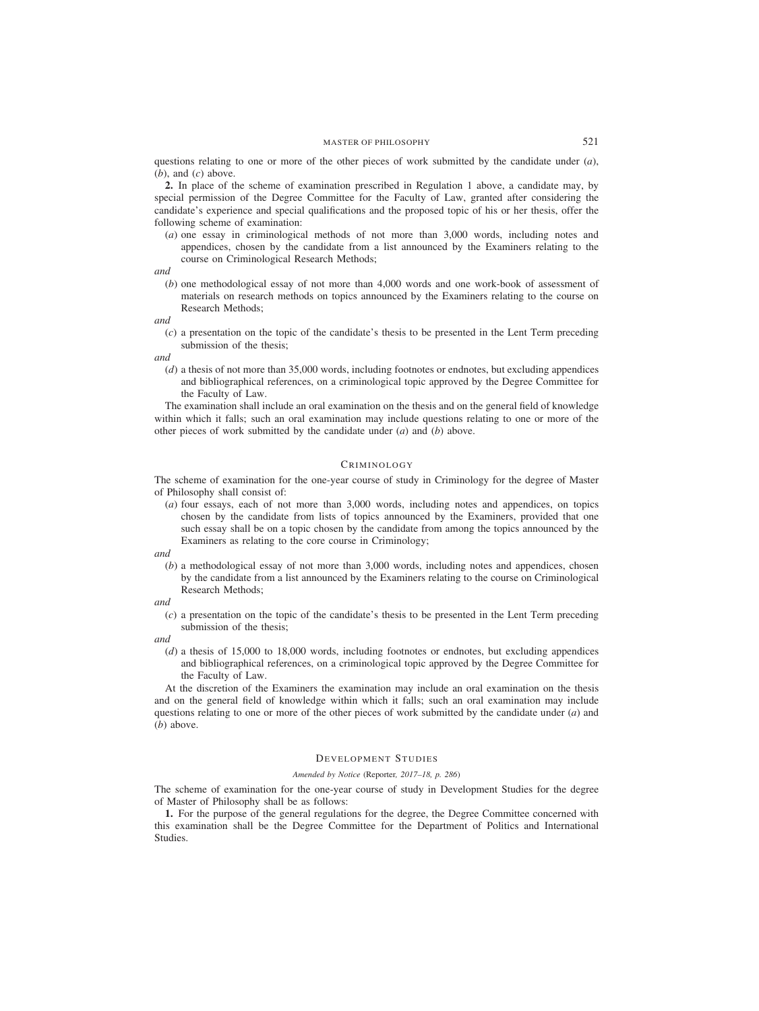questions relating to one or more of the other pieces of work submitted by the candidate under (*a*),  $(b)$ , and  $(c)$  above.

**2.** In place of the scheme of examination prescribed in Regulation 1 above, a candidate may, by special permission of the Degree Committee for the Faculty of Law, granted after considering the candidate's experience and special qualifications and the proposed topic of his or her thesis, offer the following scheme of examination:

(*a*) one essay in criminological methods of not more than 3,000 words, including notes and appendices, chosen by the candidate from a list announced by the Examiners relating to the course on Criminological Research Methods;

*and*

(*b*) one methodological essay of not more than 4,000 words and one work-book of assessment of materials on research methods on topics announced by the Examiners relating to the course on Research Methods;

*and*

- (*c*) a presentation on the topic of the candidate's thesis to be presented in the Lent Term preceding submission of the thesis;
- *and*
	- (*d*) a thesis of not more than 35,000 words, including footnotes or endnotes, but excluding appendices and bibliographical references, on a criminological topic approved by the Degree Committee for the Faculty of Law.

The examination shall include an oral examination on the thesis and on the general field of knowledge within which it falls; such an oral examination may include questions relating to one or more of the other pieces of work submitted by the candidate under (*a*) and (*b*) above.

# CRIMINOLOGY

The scheme of examination for the one-year course of study in Criminology for the degree of Master of Philosophy shall consist of:

(*a*) four essays, each of not more than 3,000 words, including notes and appendices, on topics chosen by the candidate from lists of topics announced by the Examiners, provided that one such essay shall be on a topic chosen by the candidate from among the topics announced by the Examiners as relating to the core course in Criminology;

*and*

(*b*) a methodological essay of not more than 3,000 words, including notes and appendices, chosen by the candidate from a list announced by the Examiners relating to the course on Criminological Research Methods;

*and*

(*c*) a presentation on the topic of the candidate's thesis to be presented in the Lent Term preceding submission of the thesis;

*and*

(*d*) a thesis of 15,000 to 18,000 words, including footnotes or endnotes, but excluding appendices and bibliographical references, on a criminological topic approved by the Degree Committee for the Faculty of Law.

At the discretion of the Examiners the examination may include an oral examination on the thesis and on the general field of knowledge within which it falls; such an oral examination may include questions relating to one or more of the other pieces of work submitted by the candidate under (*a*) and (*b*) above.

### DEVELOPMENT STUDIES

## *Amended by Notice (*Reporter*, 2017–18, p. 286)*

The scheme of examination for the one-year course of study in Development Studies for the degree of Master of Philosophy shall be as follows:

**1.** For the purpose of the general regulations for the degree, the Degree Committee concerned with this examination shall be the Degree Committee for the Department of Politics and International Studies.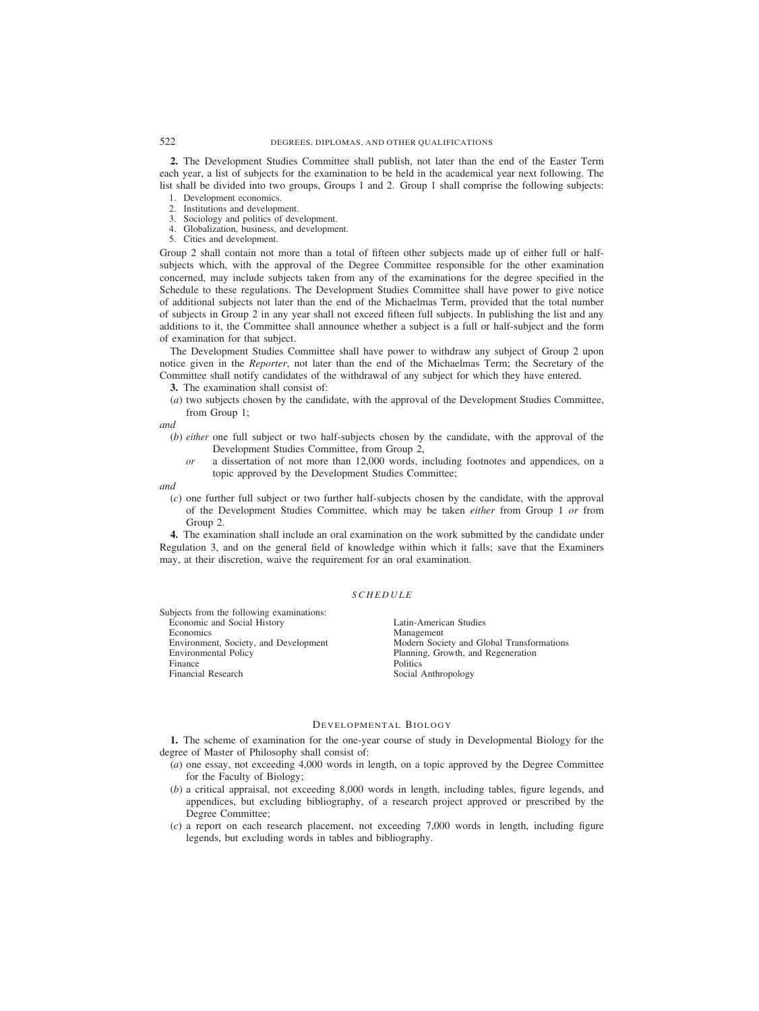**2.** The Development Studies Committee shall publish, not later than the end of the Easter Term each year, a list of subjects for the examination to be held in the academical year next following. The list shall be divided into two groups, Groups 1 and 2. Group 1 shall comprise the following subjects:

- 1. Development economics.
- 2. Institutions and development.
- 3. Sociology and politics of development.
- 4. Globalization, business, and development.
- 5. Cities and development.

Group 2 shall contain not more than a total of fifteen other subjects made up of either full or halfsubjects which, with the approval of the Degree Committee responsible for the other examination concerned, may include subjects taken from any of the examinations for the degree specified in the Schedule to these regulations. The Development Studies Committee shall have power to give notice of additional subjects not later than the end of the Michaelmas Term, provided that the total number of subjects in Group 2 in any year shall not exceed fifteen full subjects. In publishing the list and any additions to it, the Committee shall announce whether a subject is a full or half-subject and the form of examination for that subject.

The Development Studies Committee shall have power to withdraw any subject of Group 2 upon notice given in the *Reporter*, not later than the end of the Michaelmas Term; the Secretary of the Committee shall notify candidates of the withdrawal of any subject for which they have entered.

**3.** The examination shall consist of:

(*a*) two subjects chosen by the candidate, with the approval of the Development Studies Committee, from Group 1;

*and*

- (*b*) *either* one full subject or two half-subjects chosen by the candidate, with the approval of the Development Studies Committee, from Group 2,
	- *or* a dissertation of not more than 12,000 words, including footnotes and appendices, on a topic approved by the Development Studies Committee;

*and*

(*c*) one further full subject or two further half-subjects chosen by the candidate, with the approval of the Development Studies Committee, which may be taken *either* from Group 1 *or* from Group 2.

**4.** The examination shall include an oral examination on the work submitted by the candidate under Regulation 3, and on the general field of knowledge within which it falls; save that the Examiners may, at their discretion, waive the requirement for an oral examination.

## *SCHEDULE*

Subjects from the following examinations: Economic and Social History **Latin-American Studies**<br>
Economics Management Economics Management<br>
Environment, Society, and Development Modern Soci Finance Politics Financial Research Social Anthropology

Environment, Society, and Development Modern Society and Global Transformations<br>
Environmental Policy Planning, Growth, and Regeneration Planning, Growth, and Regeneration

#### DEVELOPMENTAL BIOLOGY

**1.** The scheme of examination for the one-year course of study in Developmental Biology for the degree of Master of Philosophy shall consist of:

- (*a*) one essay, not exceeding 4,000 words in length, on a topic approved by the Degree Committee for the Faculty of Biology;
- (*b*) a critical appraisal, not exceeding 8,000 words in length, including tables, figure legends, and appendices, but excluding bibliography, of a research project approved or prescribed by the Degree Committee;
- (*c*) a report on each research placement, not exceeding 7,000 words in length, including figure legends, but excluding words in tables and bibliography.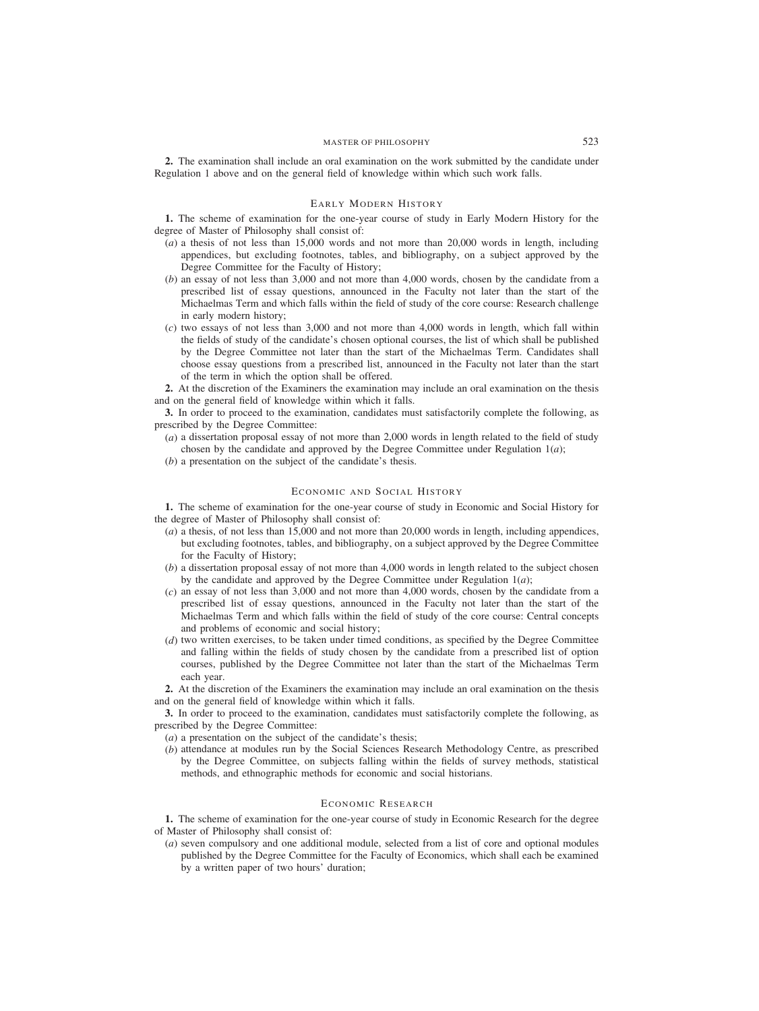**2.** The examination shall include an oral examination on the work submitted by the candidate under Regulation 1 above and on the general field of knowledge within which such work falls.

# EARLY MODERN HISTORY

**1.** The scheme of examination for the one-year course of study in Early Modern History for the degree of Master of Philosophy shall consist of:

- (*a*) a thesis of not less than 15,000 words and not more than 20,000 words in length, including appendices, but excluding footnotes, tables, and bibliography, on a subject approved by the Degree Committee for the Faculty of History;
- (*b*) an essay of not less than 3,000 and not more than 4,000 words, chosen by the candidate from a prescribed list of essay questions, announced in the Faculty not later than the start of the Michaelmas Term and which falls within the field of study of the core course: Research challenge in early modern history;
- (*c*) two essays of not less than 3,000 and not more than 4,000 words in length, which fall within the fields of study of the candidate's chosen optional courses, the list of which shall be published by the Degree Committee not later than the start of the Michaelmas Term. Candidates shall choose essay questions from a prescribed list, announced in the Faculty not later than the start of the term in which the option shall be offered.

**2.** At the discretion of the Examiners the examination may include an oral examination on the thesis and on the general field of knowledge within which it falls.

**3.** In order to proceed to the examination, candidates must satisfactorily complete the following, as prescribed by the Degree Committee:

- (*a*) a dissertation proposal essay of not more than 2,000 words in length related to the field of study chosen by the candidate and approved by the Degree Committee under Regulation  $1(a)$ ;
- (*b*) a presentation on the subject of the candidate's thesis.

# ECONOMIC AND SOCIAL HISTORY

**1.** The scheme of examination for the one-year course of study in Economic and Social History for the degree of Master of Philosophy shall consist of:

- (*a*) a thesis, of not less than 15,000 and not more than 20,000 words in length, including appendices, but excluding footnotes, tables, and bibliography, on a subject approved by the Degree Committee for the Faculty of History;
- (*b*) a dissertation proposal essay of not more than 4,000 words in length related to the subject chosen by the candidate and approved by the Degree Committee under Regulation  $1(a)$ ;
- (*c*) an essay of not less than 3,000 and not more than 4,000 words, chosen by the candidate from a prescribed list of essay questions, announced in the Faculty not later than the start of the Michaelmas Term and which falls within the field of study of the core course: Central concepts and problems of economic and social history;
- (*d*) two written exercises, to be taken under timed conditions, as specified by the Degree Committee and falling within the fields of study chosen by the candidate from a prescribed list of option courses, published by the Degree Committee not later than the start of the Michaelmas Term each year.

**2.** At the discretion of the Examiners the examination may include an oral examination on the thesis and on the general field of knowledge within which it falls.

**3.** In order to proceed to the examination, candidates must satisfactorily complete the following, as prescribed by the Degree Committee:

- (*a*) a presentation on the subject of the candidate's thesis;
- (*b*) attendance at modules run by the Social Sciences Research Methodology Centre, as prescribed by the Degree Committee, on subjects falling within the fields of survey methods, statistical methods, and ethnographic methods for economic and social historians.

#### ECONOMIC RESEARCH

**1.** The scheme of examination for the one-year course of study in Economic Research for the degree of Master of Philosophy shall consist of:

(*a*) seven compulsory and one additional module, selected from a list of core and optional modules published by the Degree Committee for the Faculty of Economics, which shall each be examined by a written paper of two hours' duration;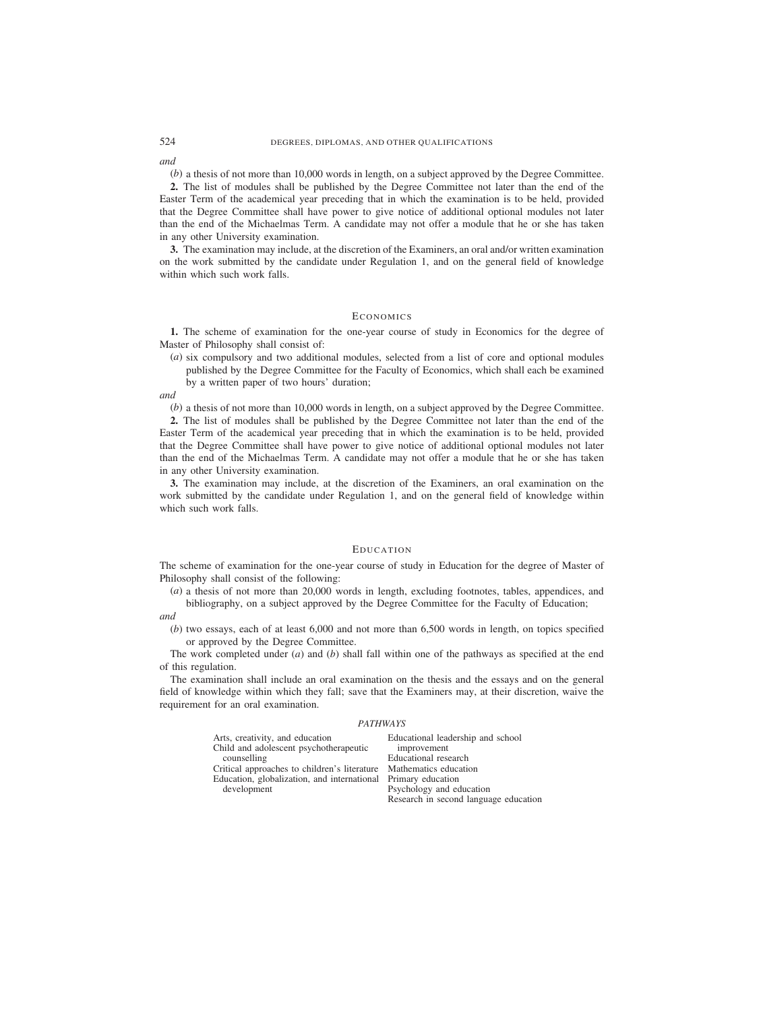*and*

(*b*) a thesis of not more than 10,000 words in length, on a subject approved by the Degree Committee.

**2.** The list of modules shall be published by the Degree Committee not later than the end of the Easter Term of the academical year preceding that in which the examination is to be held, provided that the Degree Committee shall have power to give notice of additional optional modules not later than the end of the Michaelmas Term. A candidate may not offer a module that he or she has taken in any other University examination.

**3.** The examination may include, at the discretion of the Examiners, an oral and/or written examination on the work submitted by the candidate under Regulation 1, and on the general field of knowledge within which such work falls.

## **ECONOMICS**

**1.** The scheme of examination for the one-year course of study in Economics for the degree of Master of Philosophy shall consist of:

(*a*) six compulsory and two additional modules, selected from a list of core and optional modules published by the Degree Committee for the Faculty of Economics, which shall each be examined by a written paper of two hours' duration;

*and*

(*b*) a thesis of not more than 10,000 words in length, on a subject approved by the Degree Committee.

**2.** The list of modules shall be published by the Degree Committee not later than the end of the Easter Term of the academical year preceding that in which the examination is to be held, provided that the Degree Committee shall have power to give notice of additional optional modules not later than the end of the Michaelmas Term. A candidate may not offer a module that he or she has taken in any other University examination.

**3.** The examination may include, at the discretion of the Examiners, an oral examination on the work submitted by the candidate under Regulation 1, and on the general field of knowledge within which such work falls.

## EDUCATION

The scheme of examination for the one-year course of study in Education for the degree of Master of Philosophy shall consist of the following:

(*a*) a thesis of not more than 20,000 words in length, excluding footnotes, tables, appendices, and bibliography, on a subject approved by the Degree Committee for the Faculty of Education;

*and*

(*b*) two essays, each of at least 6,000 and not more than 6,500 words in length, on topics specified or approved by the Degree Committee.

The work completed under (*a*) and (*b*) shall fall within one of the pathways as specified at the end of this regulation.

The examination shall include an oral examination on the thesis and the essays and on the general field of knowledge within which they fall; save that the Examiners may, at their discretion, waive the requirement for an oral examination.

### *PATHWAYS*

| Arts, creativity, and education              | Educational leaders         |
|----------------------------------------------|-----------------------------|
| Child and adolescent psychotherapeutic       | improvement                 |
| counselling                                  | <b>Educational</b> researcl |
| Critical approaches to children's literature | Mathematics educat          |
| Education, globalization, and international  | Primary education           |
| development                                  | Psychology and edu          |
|                                              | Dananak in nanand           |

hip and school Educational research tion teation Research in second language education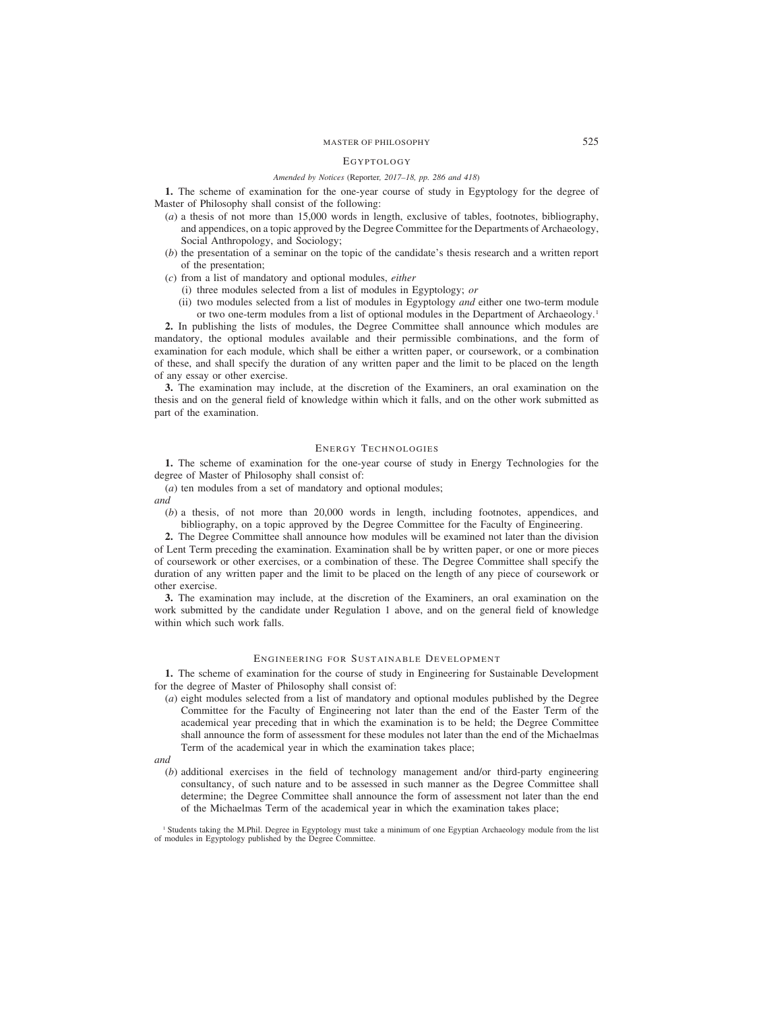#### EGYPTOLOGY

#### *Amended by Notices (*Reporter*, 2017–18, pp. 286 and 418)*

**1.** The scheme of examination for the one-year course of study in Egyptology for the degree of Master of Philosophy shall consist of the following:

- (*a*) a thesis of not more than 15,000 words in length, exclusive of tables, footnotes, bibliography, and appendices, on a topic approved by the Degree Committee for the Departments of Archaeology, Social Anthropology, and Sociology;
- (*b*) the presentation of a seminar on the topic of the candidate's thesis research and a written report of the presentation;
- (*c*) from a list of mandatory and optional modules, *either*
	- (i) three modules selected from a list of modules in Egyptology; *or*
	- (ii) two modules selected from a list of modules in Egyptology *and* either one two-term module or two one-term modules from a list of optional modules in the Department of Archaeology.1

**2.** In publishing the lists of modules, the Degree Committee shall announce which modules are mandatory, the optional modules available and their permissible combinations, and the form of examination for each module, which shall be either a written paper, or coursework, or a combination of these, and shall specify the duration of any written paper and the limit to be placed on the length of any essay or other exercise.

**3.** The examination may include, at the discretion of the Examiners, an oral examination on the thesis and on the general field of knowledge within which it falls, and on the other work submitted as part of the examination.

#### ENERGY TECHNOLOGIES

**1.** The scheme of examination for the one-year course of study in Energy Technologies for the degree of Master of Philosophy shall consist of:

- (*a*) ten modules from a set of mandatory and optional modules;
- *and*
	- (*b*) a thesis, of not more than 20,000 words in length, including footnotes, appendices, and bibliography, on a topic approved by the Degree Committee for the Faculty of Engineering.

**2.** The Degree Committee shall announce how modules will be examined not later than the division of Lent Term preceding the examination. Examination shall be by written paper, or one or more pieces of coursework or other exercises, or a combination of these. The Degree Committee shall specify the duration of any written paper and the limit to be placed on the length of any piece of coursework or other exercise.

**3.** The examination may include, at the discretion of the Examiners, an oral examination on the work submitted by the candidate under Regulation 1 above, and on the general field of knowledge within which such work falls.

## ENGINEERING FOR SUSTAINABLE DEVELOPMENT

**1.** The scheme of examination for the course of study in Engineering for Sustainable Development for the degree of Master of Philosophy shall consist of:

- (*a*) eight modules selected from a list of mandatory and optional modules published by the Degree Committee for the Faculty of Engineering not later than the end of the Easter Term of the academical year preceding that in which the examination is to be held; the Degree Committee shall announce the form of assessment for these modules not later than the end of the Michaelmas Term of the academical year in which the examination takes place;
- *and*
	- (*b*) additional exercises in the field of technology management and/or third-party engineering consultancy, of such nature and to be assessed in such manner as the Degree Committee shall determine; the Degree Committee shall announce the form of assessment not later than the end of the Michaelmas Term of the academical year in which the examination takes place;

<sup>1</sup> Students taking the M.Phil. Degree in Egyptology must take a minimum of one Egyptian Archaeology module from the list of modules in Egyptology published by the Degree Committee.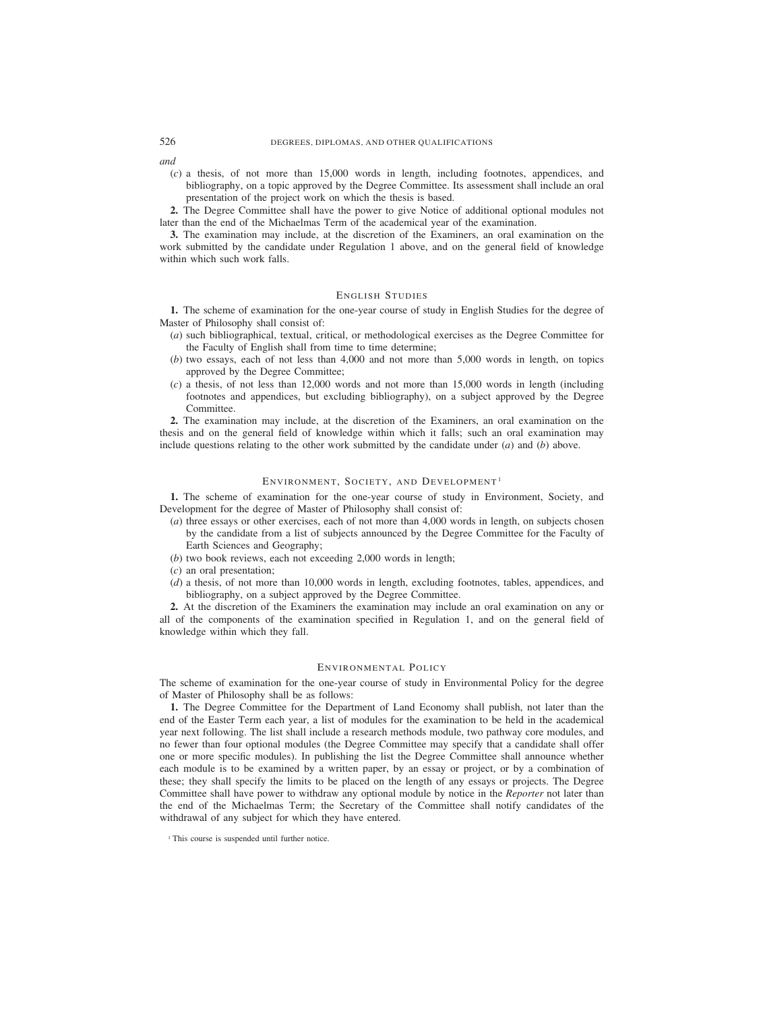*and*

(*c*) a thesis, of not more than 15,000 words in length, including footnotes, appendices, and bibliography, on a topic approved by the Degree Committee. Its assessment shall include an oral presentation of the project work on which the thesis is based.

**2.** The Degree Committee shall have the power to give Notice of additional optional modules not later than the end of the Michaelmas Term of the academical year of the examination.

**3.** The examination may include, at the discretion of the Examiners, an oral examination on the work submitted by the candidate under Regulation 1 above, and on the general field of knowledge within which such work falls.

## ENGLISH STUDIES

**1.** The scheme of examination for the one-year course of study in English Studies for the degree of Master of Philosophy shall consist of:

- (*a*) such bibliographical, textual, critical, or methodological exercises as the Degree Committee for the Faculty of English shall from time to time determine;
- (*b*) two essays, each of not less than 4,000 and not more than 5,000 words in length, on topics approved by the Degree Committee;
- (*c*) a thesis, of not less than 12,000 words and not more than 15,000 words in length (including footnotes and appendices, but excluding bibliography), on a subject approved by the Degree Committee.

**2.** The examination may include, at the discretion of the Examiners, an oral examination on the thesis and on the general field of knowledge within which it falls; such an oral examination may include questions relating to the other work submitted by the candidate under (*a*) and (*b*) above.

# ENVIRONMENT, SOCIETY, AND DEVELOPMENT<sup>1</sup>

**1.** The scheme of examination for the one-year course of study in Environment, Society, and Development for the degree of Master of Philosophy shall consist of:

- (*a*) three essays or other exercises, each of not more than 4,000 words in length, on subjects chosen by the candidate from a list of subjects announced by the Degree Committee for the Faculty of Earth Sciences and Geography;
- (*b*) two book reviews, each not exceeding 2,000 words in length;
- (*c*) an oral presentation;
- (*d*) a thesis, of not more than 10,000 words in length, excluding footnotes, tables, appendices, and bibliography, on a subject approved by the Degree Committee.

**2.** At the discretion of the Examiners the examination may include an oral examination on any or all of the components of the examination specified in Regulation 1, and on the general field of knowledge within which they fall.

### ENVIRONMENTAL POLICY

The scheme of examination for the one-year course of study in Environmental Policy for the degree of Master of Philosophy shall be as follows:

**1.** The Degree Committee for the Department of Land Economy shall publish, not later than the end of the Easter Term each year, a list of modules for the examination to be held in the academical year next following. The list shall include a research methods module, two pathway core modules, and no fewer than four optional modules (the Degree Committee may specify that a candidate shall offer one or more specific modules). In publishing the list the Degree Committee shall announce whether each module is to be examined by a written paper, by an essay or project, or by a combination of these; they shall specify the limits to be placed on the length of any essays or projects. The Degree Committee shall have power to withdraw any optional module by notice in the *Reporter* not later than the end of the Michaelmas Term; the Secretary of the Committee shall notify candidates of the withdrawal of any subject for which they have entered.

<sup>&</sup>lt;sup>1</sup> This course is suspended until further notice.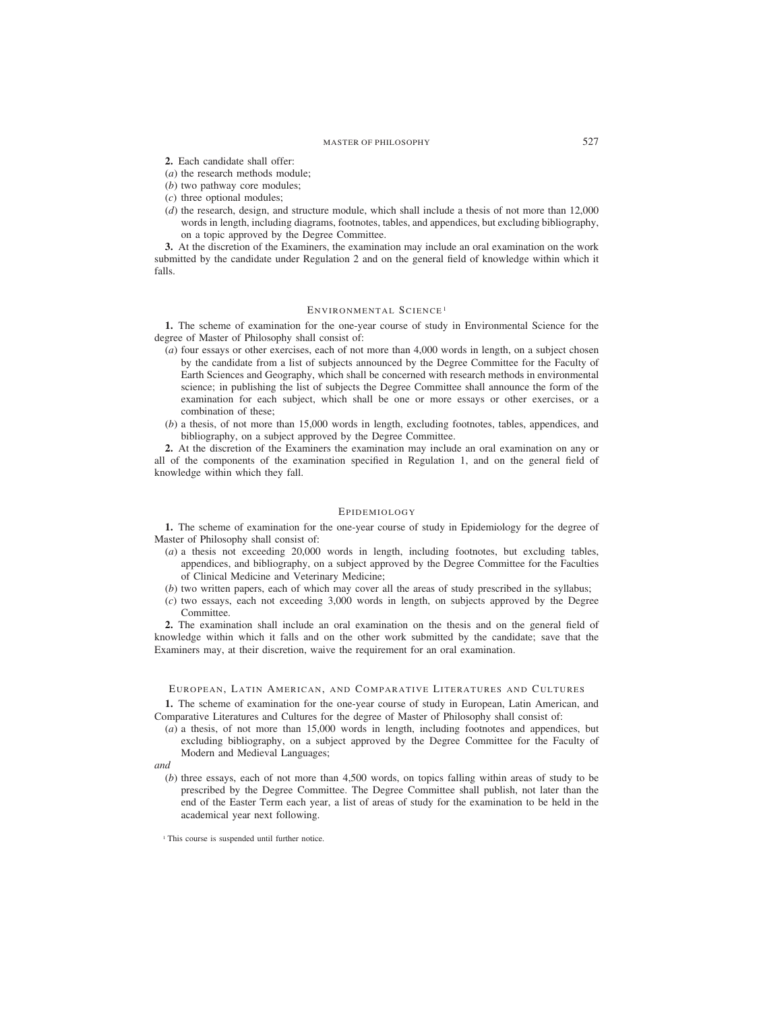**2.** Each candidate shall offer:

- (*a*) the research methods module;
- (*b*) two pathway core modules;
- (*c*) three optional modules;
- (*d*) the research, design, and structure module, which shall include a thesis of not more than 12,000 words in length, including diagrams, footnotes, tables, and appendices, but excluding bibliography, on a topic approved by the Degree Committee.

**3.** At the discretion of the Examiners, the examination may include an oral examination on the work submitted by the candidate under Regulation 2 and on the general field of knowledge within which it falls.

# ENVIRONMENTAL SCIENCE<sup>1</sup>

**1.** The scheme of examination for the one-year course of study in Environmental Science for the degree of Master of Philosophy shall consist of:

- (*a*) four essays or other exercises, each of not more than 4,000 words in length, on a subject chosen by the candidate from a list of subjects announced by the Degree Committee for the Faculty of Earth Sciences and Geography, which shall be concerned with research methods in environmental science; in publishing the list of subjects the Degree Committee shall announce the form of the examination for each subject, which shall be one or more essays or other exercises, or a combination of these;
- (*b*) a thesis, of not more than 15,000 words in length, excluding footnotes, tables, appendices, and bibliography, on a subject approved by the Degree Committee.

**2.** At the discretion of the Examiners the examination may include an oral examination on any or all of the components of the examination specified in Regulation 1, and on the general field of knowledge within which they fall.

# EPIDEMIOLOGY

**1.** The scheme of examination for the one-year course of study in Epidemiology for the degree of Master of Philosophy shall consist of:

- (*a*) a thesis not exceeding 20,000 words in length, including footnotes, but excluding tables, appendices, and bibliography, on a subject approved by the Degree Committee for the Faculties of Clinical Medicine and Veterinary Medicine;
- (*b*) two written papers, each of which may cover all the areas of study prescribed in the syllabus;
- (*c*) two essays, each not exceeding 3,000 words in length, on subjects approved by the Degree Committee.

**2.** The examination shall include an oral examination on the thesis and on the general field of knowledge within which it falls and on the other work submitted by the candidate; save that the Examiners may, at their discretion, waive the requirement for an oral examination.

### EUROPEAN, LATIN AMERICAN, AND COMPARATIVE LITERATURES AND CULTURES

**1.** The scheme of examination for the one-year course of study in European, Latin American, and Comparative Literatures and Cultures for the degree of Master of Philosophy shall consist of:

(*a*) a thesis, of not more than 15,000 words in length, including footnotes and appendices, but excluding bibliography, on a subject approved by the Degree Committee for the Faculty of Modern and Medieval Languages;

(*b*) three essays, each of not more than 4,500 words, on topics falling within areas of study to be prescribed by the Degree Committee. The Degree Committee shall publish, not later than the end of the Easter Term each year, a list of areas of study for the examination to be held in the academical year next following.

*and*

<sup>&</sup>lt;sup>1</sup> This course is suspended until further notice.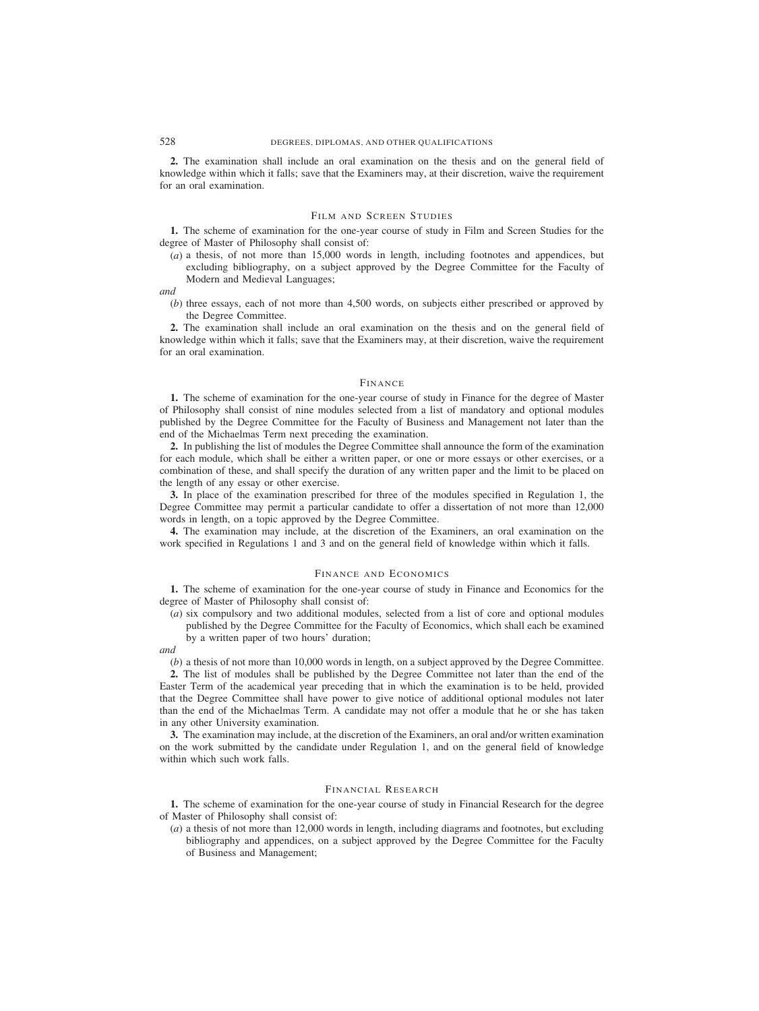**2.** The examination shall include an oral examination on the thesis and on the general field of knowledge within which it falls; save that the Examiners may, at their discretion, waive the requirement for an oral examination.

# FILM AND SCREEN STUDIES

**1.** The scheme of examination for the one-year course of study in Film and Screen Studies for the degree of Master of Philosophy shall consist of:

(*a*) a thesis, of not more than 15,000 words in length, including footnotes and appendices, but excluding bibliography, on a subject approved by the Degree Committee for the Faculty of Modern and Medieval Languages;

*and*

(*b*) three essays, each of not more than 4,500 words, on subjects either prescribed or approved by the Degree Committee.

**2.** The examination shall include an oral examination on the thesis and on the general field of knowledge within which it falls; save that the Examiners may, at their discretion, waive the requirement for an oral examination.

#### FINANCE

**1.** The scheme of examination for the one-year course of study in Finance for the degree of Master of Philosophy shall consist of nine modules selected from a list of mandatory and optional modules published by the Degree Committee for the Faculty of Business and Management not later than the end of the Michaelmas Term next preceding the examination.

**2.** In publishing the list of modules the Degree Committee shall announce the form of the examination for each module, which shall be either a written paper, or one or more essays or other exercises, or a combination of these, and shall specify the duration of any written paper and the limit to be placed on the length of any essay or other exercise.

**3.** In place of the examination prescribed for three of the modules specified in Regulation 1, the Degree Committee may permit a particular candidate to offer a dissertation of not more than 12,000 words in length, on a topic approved by the Degree Committee.

**4.** The examination may include, at the discretion of the Examiners, an oral examination on the work specified in Regulations 1 and 3 and on the general field of knowledge within which it falls.

#### FINANCE AND ECONOMICS

**1.** The scheme of examination for the one-year course of study in Finance and Economics for the degree of Master of Philosophy shall consist of:

(*a*) six compulsory and two additional modules, selected from a list of core and optional modules published by the Degree Committee for the Faculty of Economics, which shall each be examined by a written paper of two hours' duration;

*and*

(*b*) a thesis of not more than 10,000 words in length, on a subject approved by the Degree Committee.

**2.** The list of modules shall be published by the Degree Committee not later than the end of the Easter Term of the academical year preceding that in which the examination is to be held, provided that the Degree Committee shall have power to give notice of additional optional modules not later than the end of the Michaelmas Term. A candidate may not offer a module that he or she has taken in any other University examination.

**3.** The examination may include, at the discretion of the Examiners, an oral and/or written examination on the work submitted by the candidate under Regulation 1, and on the general field of knowledge within which such work falls.

#### FINANCIAL RESEARCH

**1.** The scheme of examination for the one-year course of study in Financial Research for the degree of Master of Philosophy shall consist of:

(*a*) a thesis of not more than 12,000 words in length, including diagrams and footnotes, but excluding bibliography and appendices, on a subject approved by the Degree Committee for the Faculty of Business and Management;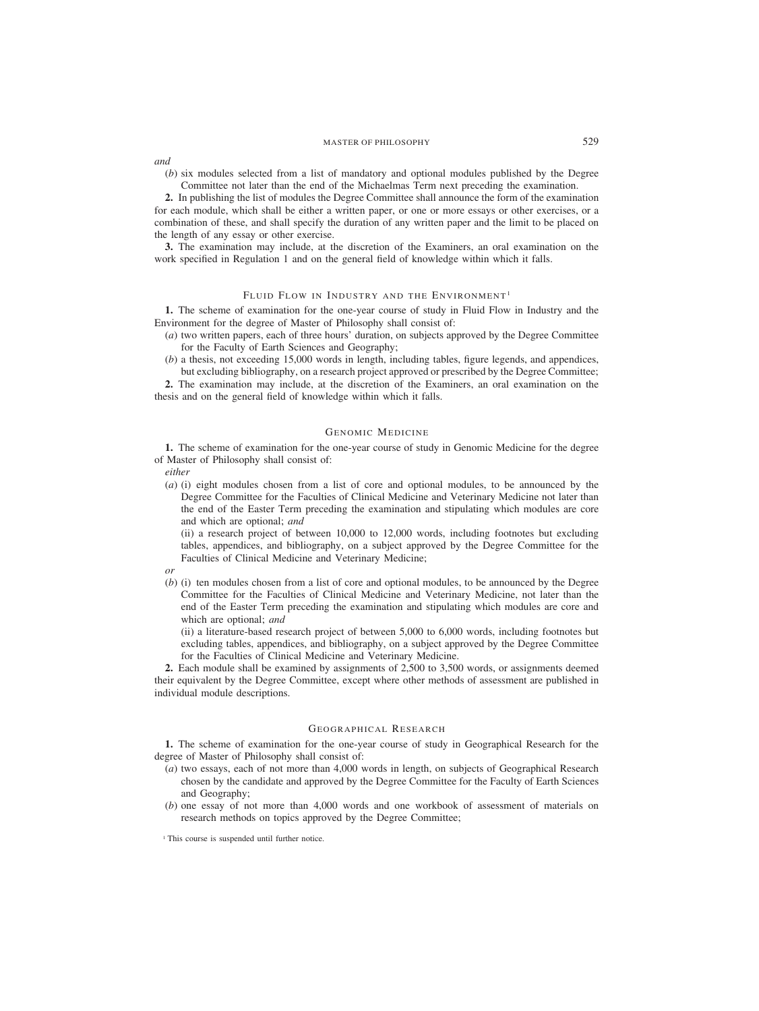*and*

(*b*) six modules selected from a list of mandatory and optional modules published by the Degree Committee not later than the end of the Michaelmas Term next preceding the examination.

**2.** In publishing the list of modules the Degree Committee shall announce the form of the examination for each module, which shall be either a written paper, or one or more essays or other exercises, or a combination of these, and shall specify the duration of any written paper and the limit to be placed on the length of any essay or other exercise.

**3.** The examination may include, at the discretion of the Examiners, an oral examination on the work specified in Regulation 1 and on the general field of knowledge within which it falls.

# FLUID FLOW IN INDUSTRY AND THE ENVIRONMENT<sup>1</sup>

**1.** The scheme of examination for the one-year course of study in Fluid Flow in Industry and the Environment for the degree of Master of Philosophy shall consist of:

- (*a*) two written papers, each of three hours' duration, on subjects approved by the Degree Committee for the Faculty of Earth Sciences and Geography;
- (*b*) a thesis, not exceeding 15,000 words in length, including tables, figure legends, and appendices, but excluding bibliography, on a research project approved or prescribed by the Degree Committee;

**2.** The examination may include, at the discretion of the Examiners, an oral examination on the thesis and on the general field of knowledge within which it falls.

# GENOMIC MEDICINE

**1.** The scheme of examination for the one-year course of study in Genomic Medicine for the degree of Master of Philosophy shall consist of:

*either*

(*a*) (i) eight modules chosen from a list of core and optional modules, to be announced by the Degree Committee for the Faculties of Clinical Medicine and Veterinary Medicine not later than the end of the Easter Term preceding the examination and stipulating which modules are core and which are optional; *and*

(ii) a research project of between 10,000 to 12,000 words, including footnotes but excluding tables, appendices, and bibliography, on a subject approved by the Degree Committee for the Faculties of Clinical Medicine and Veterinary Medicine;

*or*

(*b*) (i) ten modules chosen from a list of core and optional modules, to be announced by the Degree Committee for the Faculties of Clinical Medicine and Veterinary Medicine, not later than the end of the Easter Term preceding the examination and stipulating which modules are core and which are optional; *and*

(ii) a literature-based research project of between 5,000 to 6,000 words, including footnotes but excluding tables, appendices, and bibliography, on a subject approved by the Degree Committee for the Faculties of Clinical Medicine and Veterinary Medicine.

**2.** Each module shall be examined by assignments of 2,500 to 3,500 words, or assignments deemed their equivalent by the Degree Committee, except where other methods of assessment are published in individual module descriptions.

# GEOGRAPHICAL RESEARCH

**1.** The scheme of examination for the one-year course of study in Geographical Research for the degree of Master of Philosophy shall consist of:

- (*a*) two essays, each of not more than 4,000 words in length, on subjects of Geographical Research chosen by the candidate and approved by the Degree Committee for the Faculty of Earth Sciences and Geography;
- (*b*) one essay of not more than 4,000 words and one workbook of assessment of materials on research methods on topics approved by the Degree Committee;

<sup>&</sup>lt;sup>1</sup> This course is suspended until further notice.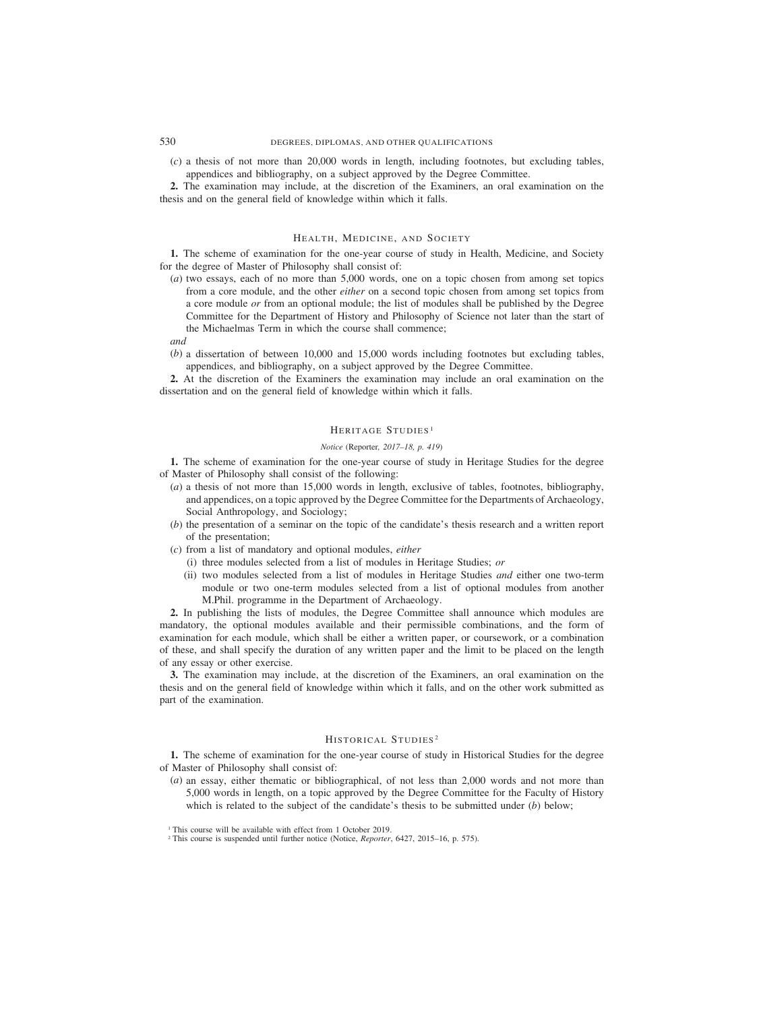(*c*) a thesis of not more than 20,000 words in length, including footnotes, but excluding tables, appendices and bibliography, on a subject approved by the Degree Committee.

**2.** The examination may include, at the discretion of the Examiners, an oral examination on the thesis and on the general field of knowledge within which it falls.

## HEALTH, MEDICINE, AND SOCIETY

**1.** The scheme of examination for the one-year course of study in Health, Medicine, and Society for the degree of Master of Philosophy shall consist of:

- (*a*) two essays, each of no more than 5,000 words, one on a topic chosen from among set topics from a core module, and the other *either* on a second topic chosen from among set topics from a core module *or* from an optional module; the list of modules shall be published by the Degree Committee for the Department of History and Philosophy of Science not later than the start of the Michaelmas Term in which the course shall commence;
- *and*
- (*b*) a dissertation of between 10,000 and 15,000 words including footnotes but excluding tables, appendices, and bibliography, on a subject approved by the Degree Committee.

**2.** At the discretion of the Examiners the examination may include an oral examination on the dissertation and on the general field of knowledge within which it falls.

## HERITAGE STUDIES<sup>1</sup>

### *Notice (*Reporter*, 2017–18, p. 419)*

**1.** The scheme of examination for the one-year course of study in Heritage Studies for the degree of Master of Philosophy shall consist of the following:

- (*a*) a thesis of not more than 15,000 words in length, exclusive of tables, footnotes, bibliography, and appendices, on a topic approved by the Degree Committee for the Departments of Archaeology, Social Anthropology, and Sociology;
- (*b*) the presentation of a seminar on the topic of the candidate's thesis research and a written report of the presentation;
- (*c*) from a list of mandatory and optional modules, *either*
	- (i) three modules selected from a list of modules in Heritage Studies; *or*
	- (ii) two modules selected from a list of modules in Heritage Studies *and* either one two-term module or two one-term modules selected from a list of optional modules from another M.Phil. programme in the Department of Archaeology.

**2.** In publishing the lists of modules, the Degree Committee shall announce which modules are mandatory, the optional modules available and their permissible combinations, and the form of examination for each module, which shall be either a written paper, or coursework, or a combination of these, and shall specify the duration of any written paper and the limit to be placed on the length of any essay or other exercise.

**3.** The examination may include, at the discretion of the Examiners, an oral examination on the thesis and on the general field of knowledge within which it falls, and on the other work submitted as part of the examination.

# HISTORICAL STUDIES <sup>2</sup>

**1.** The scheme of examination for the one-year course of study in Historical Studies for the degree of Master of Philosophy shall consist of:

(*a*) an essay, either thematic or bibliographical, of not less than 2,000 words and not more than 5,000 words in length, on a topic approved by the Degree Committee for the Faculty of History which is related to the subject of the candidate's thesis to be submitted under (*b*) below;

<sup>&</sup>lt;sup>1</sup> This course will be available with effect from 1 October 2019.

<sup>2</sup> This course is suspended until further notice (Notice, *Reporter*, 6427, 2015–16, p. 575).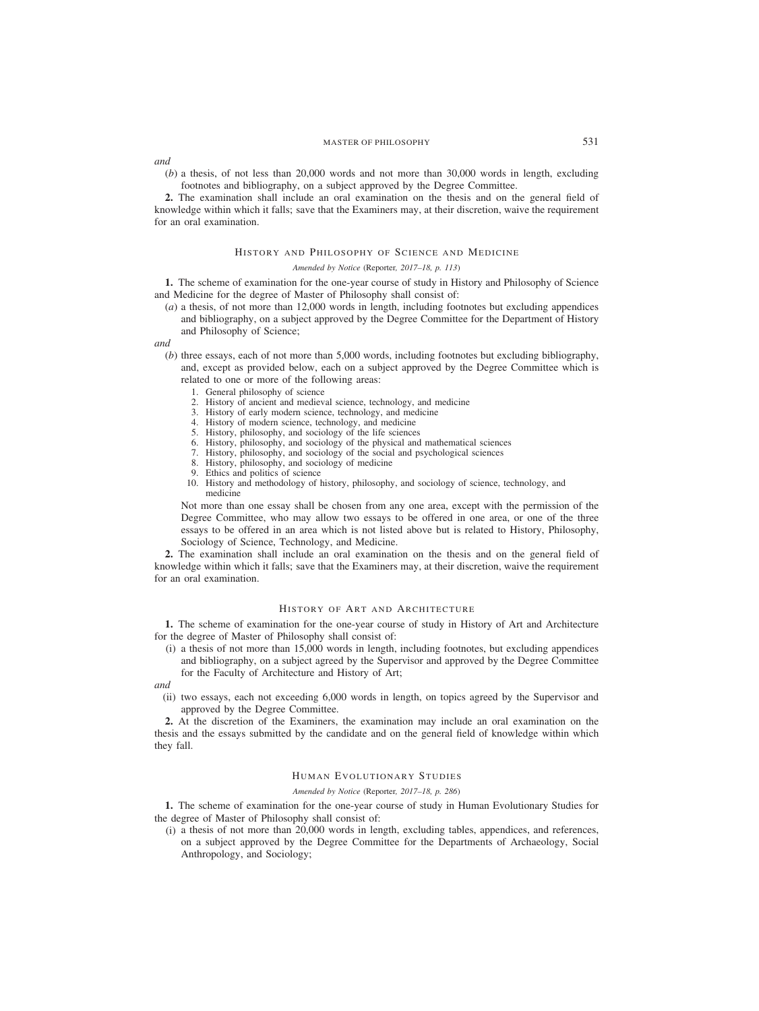*and*

(*b*) a thesis, of not less than 20,000 words and not more than 30,000 words in length, excluding footnotes and bibliography, on a subject approved by the Degree Committee.

**2.** The examination shall include an oral examination on the thesis and on the general field of knowledge within which it falls; save that the Examiners may, at their discretion, waive the requirement for an oral examination.

# HISTORY AND PHILOSOPHY OF SCIENCE AND MEDICINE

#### *Amended by Notice (*Reporter*, 2017–18, p. 113)*

**1.** The scheme of examination for the one-year course of study in History and Philosophy of Science and Medicine for the degree of Master of Philosophy shall consist of:

(*a*) a thesis, of not more than 12,000 words in length, including footnotes but excluding appendices and bibliography, on a subject approved by the Degree Committee for the Department of History and Philosophy of Science;

*and*

- (*b*) three essays, each of not more than 5,000 words, including footnotes but excluding bibliography, and, except as provided below, each on a subject approved by the Degree Committee which is related to one or more of the following areas:
	- 1. General philosophy of science
	- 2. History of ancient and medieval science, technology, and medicine
	- 3. History of early modern science, technology, and medicine
	- 4. History of modern science, technology, and medicine
	- 5. History, philosophy, and sociology of the life sciences
	- 6. History, philosophy, and sociology of the physical and mathematical sciences
	- 7. History, philosophy, and sociology of the social and psychological sciences
	- 8. History, philosophy, and sociology of medicine
	- 9. Ethics and politics of science
	- 10. History and methodology of history, philosophy, and sociology of science, technology, and medicine

Not more than one essay shall be chosen from any one area, except with the permission of the Degree Committee, who may allow two essays to be offered in one area, or one of the three essays to be offered in an area which is not listed above but is related to History, Philosophy, Sociology of Science, Technology, and Medicine.

**2.** The examination shall include an oral examination on the thesis and on the general field of knowledge within which it falls; save that the Examiners may, at their discretion, waive the requirement for an oral examination.

### HISTORY OF ART AND ARCHITECTURE

**1.** The scheme of examination for the one-year course of study in History of Art and Architecture for the degree of Master of Philosophy shall consist of:

(i) a thesis of not more than 15,000 words in length, including footnotes, but excluding appendices and bibliography, on a subject agreed by the Supervisor and approved by the Degree Committee for the Faculty of Architecture and History of Art;

*and*

(ii) two essays, each not exceeding 6,000 words in length, on topics agreed by the Supervisor and approved by the Degree Committee.

**2.** At the discretion of the Examiners, the examination may include an oral examination on the thesis and the essays submitted by the candidate and on the general field of knowledge within which they fall.

# HUMAN EVOLUTIONARY STUDIES

#### *Amended by Notice (*Reporter*, 2017–18, p. 286)*

**1.** The scheme of examination for the one-year course of study in Human Evolutionary Studies for the degree of Master of Philosophy shall consist of:

(i) a thesis of not more than 20,000 words in length, excluding tables, appendices, and references, on a subject approved by the Degree Committee for the Departments of Archaeology, Social Anthropology, and Sociology;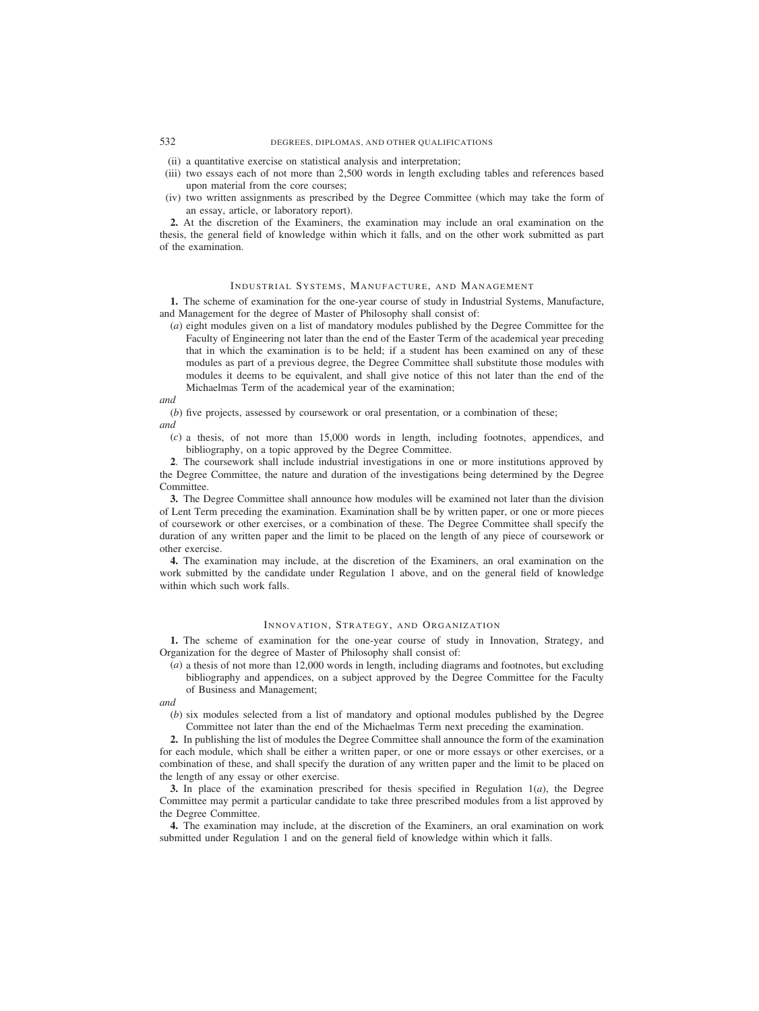# 532 DEGREES, DIPLOMAS, AND OTHER QUALIFICATIONS

- (ii) a quantitative exercise on statistical analysis and interpretation;
- (iii) two essays each of not more than 2,500 words in length excluding tables and references based upon material from the core courses;
- (iv) two written assignments as prescribed by the Degree Committee (which may take the form of an essay, article, or laboratory report).

**2.** At the discretion of the Examiners, the examination may include an oral examination on the thesis, the general field of knowledge within which it falls, and on the other work submitted as part of the examination.

### INDUSTRIAL SYSTEMS, MANUFACTURE, AND MANAGEMENT

**1.** The scheme of examination for the one-year course of study in Industrial Systems, Manufacture, and Management for the degree of Master of Philosophy shall consist of:

(*a*) eight modules given on a list of mandatory modules published by the Degree Committee for the Faculty of Engineering not later than the end of the Easter Term of the academical year preceding that in which the examination is to be held; if a student has been examined on any of these modules as part of a previous degree, the Degree Committee shall substitute those modules with modules it deems to be equivalent, and shall give notice of this not later than the end of the Michaelmas Term of the academical year of the examination;

## *and*

(*b*) five projects, assessed by coursework or oral presentation, or a combination of these; *and*

- - (*c*) a thesis, of not more than 15,000 words in length, including footnotes, appendices, and bibliography, on a topic approved by the Degree Committee.

**2**. The coursework shall include industrial investigations in one or more institutions approved by the Degree Committee, the nature and duration of the investigations being determined by the Degree Committee.

**3.** The Degree Committee shall announce how modules will be examined not later than the division of Lent Term preceding the examination. Examination shall be by written paper, or one or more pieces of coursework or other exercises, or a combination of these. The Degree Committee shall specify the duration of any written paper and the limit to be placed on the length of any piece of coursework or other exercise.

**4.** The examination may include, at the discretion of the Examiners, an oral examination on the work submitted by the candidate under Regulation 1 above, and on the general field of knowledge within which such work falls.

# INNOVATION, STRATEGY, AND ORGANIZATION

**1.** The scheme of examination for the one-year course of study in Innovation, Strategy, and Organization for the degree of Master of Philosophy shall consist of:

(*a*) a thesis of not more than 12,000 words in length, including diagrams and footnotes, but excluding bibliography and appendices, on a subject approved by the Degree Committee for the Faculty of Business and Management;

*and*

(*b*) six modules selected from a list of mandatory and optional modules published by the Degree Committee not later than the end of the Michaelmas Term next preceding the examination.

**2.** In publishing the list of modules the Degree Committee shall announce the form of the examination for each module, which shall be either a written paper, or one or more essays or other exercises, or a combination of these, and shall specify the duration of any written paper and the limit to be placed on the length of any essay or other exercise.

**3.** In place of the examination prescribed for thesis specified in Regulation  $1(a)$ , the Degree Committee may permit a particular candidate to take three prescribed modules from a list approved by the Degree Committee.

**4.** The examination may include, at the discretion of the Examiners, an oral examination on work submitted under Regulation 1 and on the general field of knowledge within which it falls.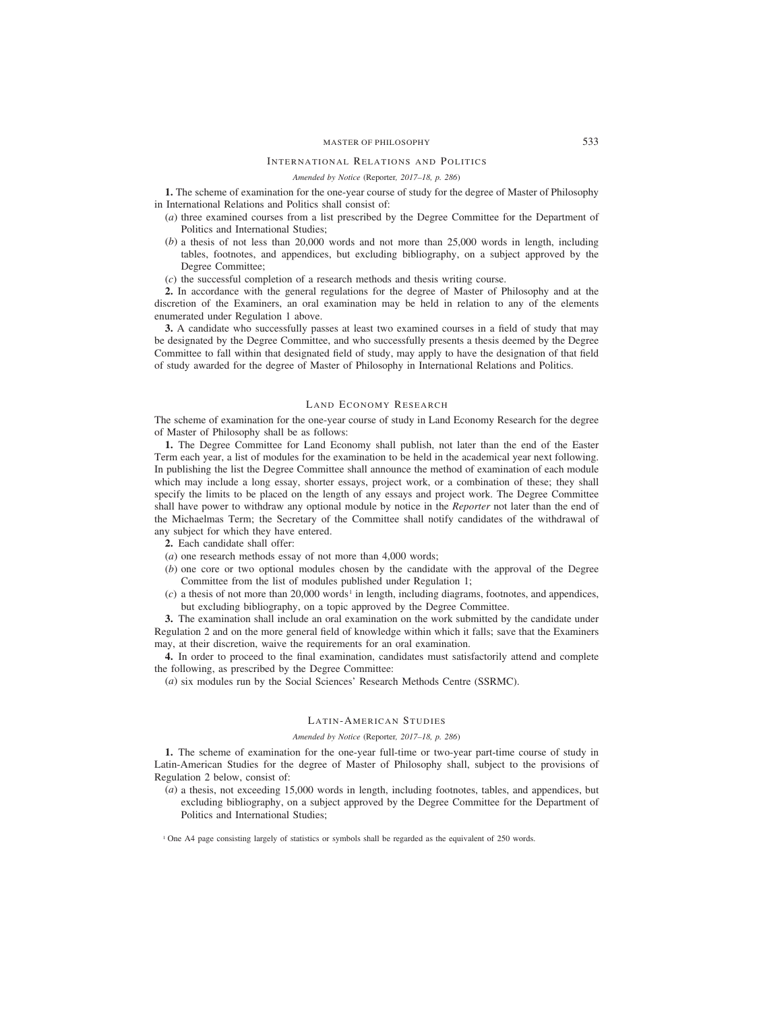## INTERNATIONAL RELATIONS AND POLITICS

# *Amended by Notice (*Reporter*, 2017–18, p. 286)*

**1.** The scheme of examination for the one-year course of study for the degree of Master of Philosophy in International Relations and Politics shall consist of:

- (*a*) three examined courses from a list prescribed by the Degree Committee for the Department of Politics and International Studies;
- (*b*) a thesis of not less than 20,000 words and not more than 25,000 words in length, including tables, footnotes, and appendices, but excluding bibliography, on a subject approved by the Degree Committee;

(*c*) the successful completion of a research methods and thesis writing course.

**2.** In accordance with the general regulations for the degree of Master of Philosophy and at the discretion of the Examiners, an oral examination may be held in relation to any of the elements enumerated under Regulation 1 above.

**3.** A candidate who successfully passes at least two examined courses in a field of study that may be designated by the Degree Committee, and who successfully presents a thesis deemed by the Degree Committee to fall within that designated field of study, may apply to have the designation of that field of study awarded for the degree of Master of Philosophy in International Relations and Politics.

#### LAND ECONOMY RESEARCH

The scheme of examination for the one-year course of study in Land Economy Research for the degree of Master of Philosophy shall be as follows:

**1.** The Degree Committee for Land Economy shall publish, not later than the end of the Easter Term each year, a list of modules for the examination to be held in the academical year next following. In publishing the list the Degree Committee shall announce the method of examination of each module which may include a long essay, shorter essays, project work, or a combination of these; they shall specify the limits to be placed on the length of any essays and project work. The Degree Committee shall have power to withdraw any optional module by notice in the *Reporter* not later than the end of the Michaelmas Term; the Secretary of the Committee shall notify candidates of the withdrawal of any subject for which they have entered.

- **2.** Each candidate shall offer:
- (*a*) one research methods essay of not more than 4,000 words;
- (*b*) one core or two optional modules chosen by the candidate with the approval of the Degree Committee from the list of modules published under Regulation 1;
- $(c)$  a thesis of not more than 20,000 words<sup>1</sup> in length, including diagrams, footnotes, and appendices, but excluding bibliography, on a topic approved by the Degree Committee.

**3.** The examination shall include an oral examination on the work submitted by the candidate under Regulation 2 and on the more general field of knowledge within which it falls; save that the Examiners may, at their discretion, waive the requirements for an oral examination.

**4.** In order to proceed to the final examination, candidates must satisfactorily attend and complete the following, as prescribed by the Degree Committee:

(*a*) six modules run by the Social Sciences' Research Methods Centre (SSRMC).

### LATIN-AMERICAN STUDIES

### *Amended by Notice (*Reporter*, 2017–18, p. 286)*

**1.** The scheme of examination for the one-year full-time or two-year part-time course of study in Latin-American Studies for the degree of Master of Philosophy shall, subject to the provisions of Regulation 2 below, consist of:

(*a*) a thesis, not exceeding 15,000 words in length, including footnotes, tables, and appendices, but excluding bibliography, on a subject approved by the Degree Committee for the Department of Politics and International Studies;

<sup>1</sup> One A4 page consisting largely of statistics or symbols shall be regarded as the equivalent of 250 words.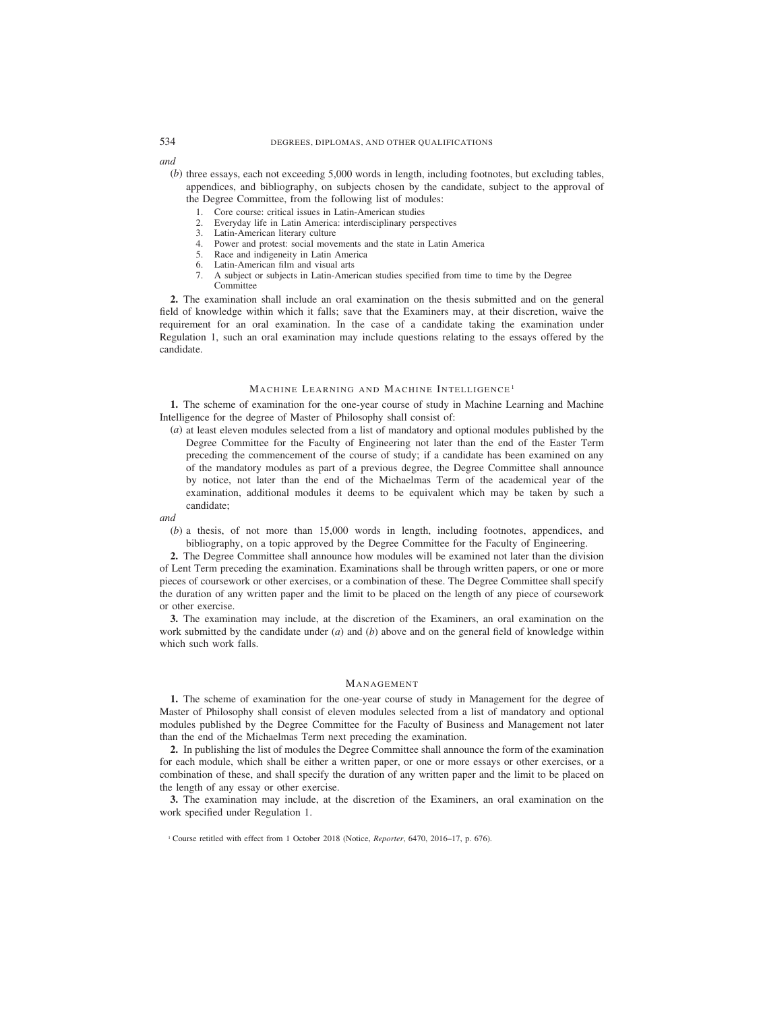*and*

- (*b*) three essays, each not exceeding 5,000 words in length, including footnotes, but excluding tables, appendices, and bibliography, on subjects chosen by the candidate, subject to the approval of the Degree Committee, from the following list of modules:
	- 1. Core course: critical issues in Latin-American studies
	- 2. Everyday life in Latin America: interdisciplinary perspectives
	- 3. Latin-American literary culture
	- 4. Power and protest: social movements and the state in Latin America
	- 5. Race and indigeneity in Latin America
	- 6. Latin-American film and visual arts
	- 7. A subject or subjects in Latin-American studies specified from time to time by the Degree Committee

**2.** The examination shall include an oral examination on the thesis submitted and on the general field of knowledge within which it falls; save that the Examiners may, at their discretion, waive the requirement for an oral examination. In the case of a candidate taking the examination under Regulation 1, such an oral examination may include questions relating to the essays offered by the candidate.

## MACHINE LEARNING AND MACHINE INTELLIGENCE<sup>1</sup>

**1.** The scheme of examination for the one-year course of study in Machine Learning and Machine Intelligence for the degree of Master of Philosophy shall consist of:

(*a*) at least eleven modules selected from a list of mandatory and optional modules published by the Degree Committee for the Faculty of Engineering not later than the end of the Easter Term preceding the commencement of the course of study; if a candidate has been examined on any of the mandatory modules as part of a previous degree, the Degree Committee shall announce by notice, not later than the end of the Michaelmas Term of the academical year of the examination, additional modules it deems to be equivalent which may be taken by such a candidate;

*and*

(*b*) a thesis, of not more than 15,000 words in length, including footnotes, appendices, and bibliography, on a topic approved by the Degree Committee for the Faculty of Engineering.

**2.** The Degree Committee shall announce how modules will be examined not later than the division of Lent Term preceding the examination. Examinations shall be through written papers, or one or more pieces of coursework or other exercises, or a combination of these. The Degree Committee shall specify the duration of any written paper and the limit to be placed on the length of any piece of coursework or other exercise.

**3.** The examination may include, at the discretion of the Examiners, an oral examination on the work submitted by the candidate under (*a*) and (*b*) above and on the general field of knowledge within which such work falls.

### MANAGEMENT

**1.** The scheme of examination for the one-year course of study in Management for the degree of Master of Philosophy shall consist of eleven modules selected from a list of mandatory and optional modules published by the Degree Committee for the Faculty of Business and Management not later than the end of the Michaelmas Term next preceding the examination.

**2.** In publishing the list of modules the Degree Committee shall announce the form of the examination for each module, which shall be either a written paper, or one or more essays or other exercises, or a combination of these, and shall specify the duration of any written paper and the limit to be placed on the length of any essay or other exercise.

**3.** The examination may include, at the discretion of the Examiners, an oral examination on the work specified under Regulation 1.

<sup>&</sup>lt;sup>1</sup> Course retitled with effect from 1 October 2018 (Notice, *Reporter*, 6470, 2016–17, p. 676).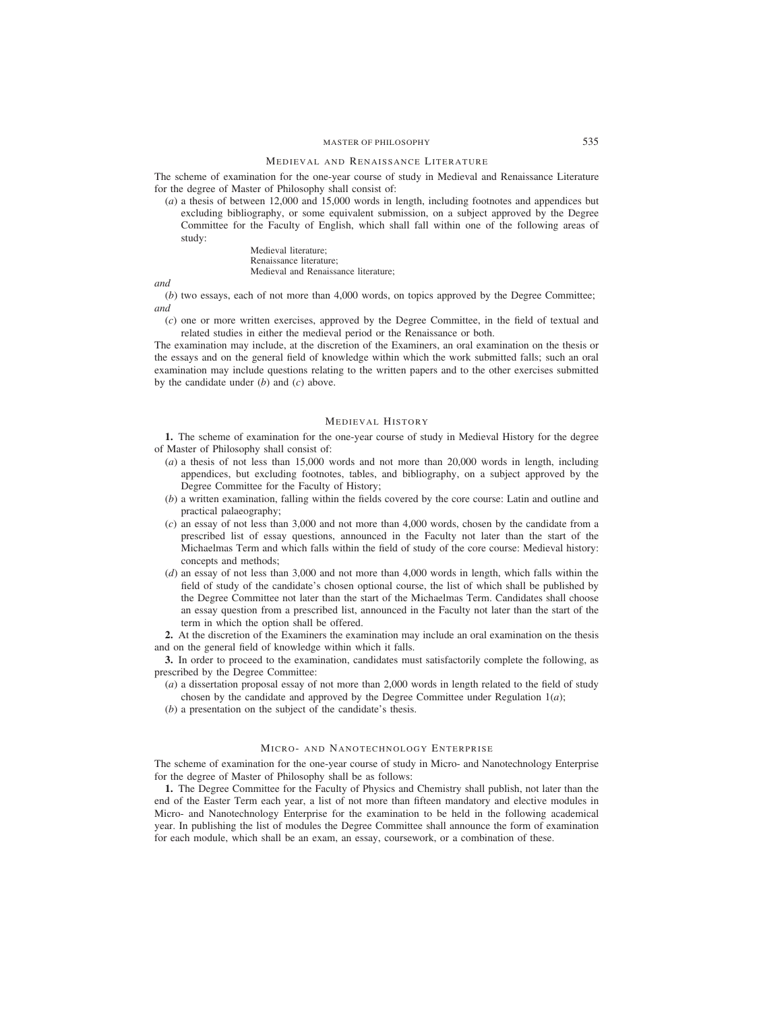#### MEDIEVAL AND RENAISSANCE LITERATURE

The scheme of examination for the one-year course of study in Medieval and Renaissance Literature for the degree of Master of Philosophy shall consist of:

(*a*) a thesis of between 12,000 and 15,000 words in length, including footnotes and appendices but excluding bibliography, or some equivalent submission, on a subject approved by the Degree Committee for the Faculty of English, which shall fall within one of the following areas of study:

> Medieval literature; Renaissance literature; Medieval and Renaissance literature;

*and*

(*b*) two essays, each of not more than 4,000 words, on topics approved by the Degree Committee; *and*

(*c*) one or more written exercises, approved by the Degree Committee, in the field of textual and related studies in either the medieval period or the Renaissance or both.

The examination may include, at the discretion of the Examiners, an oral examination on the thesis or the essays and on the general field of knowledge within which the work submitted falls; such an oral examination may include questions relating to the written papers and to the other exercises submitted by the candidate under (*b*) and (*c*) above.

#### MEDIEVAL HISTORY

**1.** The scheme of examination for the one-year course of study in Medieval History for the degree of Master of Philosophy shall consist of:

- (*a*) a thesis of not less than 15,000 words and not more than 20,000 words in length, including appendices, but excluding footnotes, tables, and bibliography, on a subject approved by the Degree Committee for the Faculty of History;
- (*b*) a written examination, falling within the fields covered by the core course: Latin and outline and practical palaeography;
- (*c*) an essay of not less than 3,000 and not more than 4,000 words, chosen by the candidate from a prescribed list of essay questions, announced in the Faculty not later than the start of the Michaelmas Term and which falls within the field of study of the core course: Medieval history: concepts and methods;
- (*d*) an essay of not less than 3,000 and not more than 4,000 words in length, which falls within the field of study of the candidate's chosen optional course, the list of which shall be published by the Degree Committee not later than the start of the Michaelmas Term. Candidates shall choose an essay question from a prescribed list, announced in the Faculty not later than the start of the term in which the option shall be offered.

**2.** At the discretion of the Examiners the examination may include an oral examination on the thesis and on the general field of knowledge within which it falls.

**3.** In order to proceed to the examination, candidates must satisfactorily complete the following, as prescribed by the Degree Committee:

- (*a*) a dissertation proposal essay of not more than 2,000 words in length related to the field of study chosen by the candidate and approved by the Degree Committee under Regulation  $1(a)$ ;
- (*b*) a presentation on the subject of the candidate's thesis.

# MICRO- AND NANOTECHNOLOGY ENTERPRISE

The scheme of examination for the one-year course of study in Micro- and Nanotechnology Enterprise for the degree of Master of Philosophy shall be as follows:

**1.** The Degree Committee for the Faculty of Physics and Chemistry shall publish, not later than the end of the Easter Term each year, a list of not more than fifteen mandatory and elective modules in Micro- and Nanotechnology Enterprise for the examination to be held in the following academical year. In publishing the list of modules the Degree Committee shall announce the form of examination for each module, which shall be an exam, an essay, coursework, or a combination of these.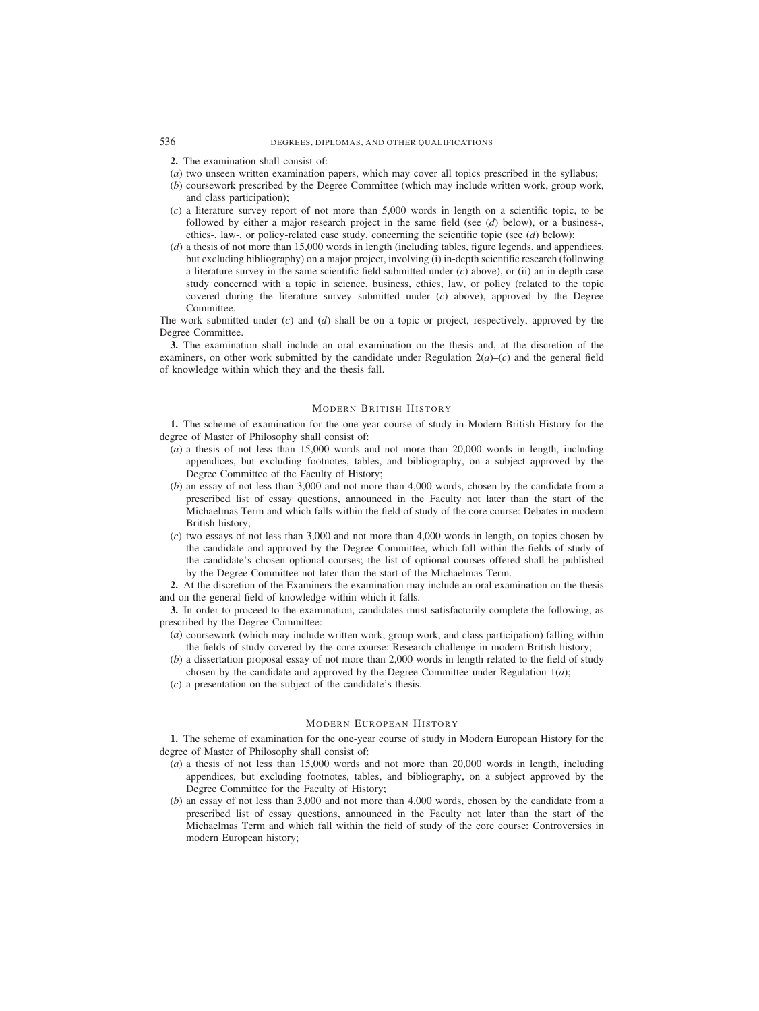# 536 DEGREES, DIPLOMAS, AND OTHER QUALIFICATIONS

- **2.** The examination shall consist of:
- (*a*) two unseen written examination papers, which may cover all topics prescribed in the syllabus;
- (*b*) coursework prescribed by the Degree Committee (which may include written work, group work, and class participation);
- (*c*) a literature survey report of not more than 5,000 words in length on a scientific topic, to be followed by either a major research project in the same field (see (*d*) below), or a business-, ethics-, law-, or policy-related case study, concerning the scientific topic (see (*d*) below);
- (*d*) a thesis of not more than 15,000 words in length (including tables, figure legends, and appendices, but excluding bibliography) on a major project, involving (i) in-depth scientific research (following a literature survey in the same scientific field submitted under (*c*) above), or (ii) an in-depth case study concerned with a topic in science, business, ethics, law, or policy (related to the topic covered during the literature survey submitted under (*c*) above), approved by the Degree Committee.

The work submitted under (*c*) and (*d*) shall be on a topic or project, respectively, approved by the Degree Committee.

**3.** The examination shall include an oral examination on the thesis and, at the discretion of the examiners, on other work submitted by the candidate under Regulation  $2(a)$ – $(c)$  and the general field of knowledge within which they and the thesis fall.

# MODERN BRITISH HISTORY

**1.** The scheme of examination for the one-year course of study in Modern British History for the degree of Master of Philosophy shall consist of:

- (*a*) a thesis of not less than 15,000 words and not more than 20,000 words in length, including appendices, but excluding footnotes, tables, and bibliography, on a subject approved by the Degree Committee of the Faculty of History;
- (*b*) an essay of not less than 3,000 and not more than 4,000 words, chosen by the candidate from a prescribed list of essay questions, announced in the Faculty not later than the start of the Michaelmas Term and which falls within the field of study of the core course: Debates in modern British history;
- (*c*) two essays of not less than 3,000 and not more than 4,000 words in length, on topics chosen by the candidate and approved by the Degree Committee, which fall within the fields of study of the candidate's chosen optional courses; the list of optional courses offered shall be published by the Degree Committee not later than the start of the Michaelmas Term.

**2.** At the discretion of the Examiners the examination may include an oral examination on the thesis and on the general field of knowledge within which it falls.

**3.** In order to proceed to the examination, candidates must satisfactorily complete the following, as prescribed by the Degree Committee:

- (*a*) coursework (which may include written work, group work, and class participation) falling within the fields of study covered by the core course: Research challenge in modern British history;
- (*b*) a dissertation proposal essay of not more than 2,000 words in length related to the field of study chosen by the candidate and approved by the Degree Committee under Regulation  $1(a)$ ;
- (*c*) a presentation on the subject of the candidate's thesis.

## MODERN EUROPEAN HISTORY

**1.** The scheme of examination for the one-year course of study in Modern European History for the degree of Master of Philosophy shall consist of:

- (*a*) a thesis of not less than 15,000 words and not more than 20,000 words in length, including appendices, but excluding footnotes, tables, and bibliography, on a subject approved by the Degree Committee for the Faculty of History;
- (*b*) an essay of not less than 3,000 and not more than 4,000 words, chosen by the candidate from a prescribed list of essay questions, announced in the Faculty not later than the start of the Michaelmas Term and which fall within the field of study of the core course: Controversies in modern European history;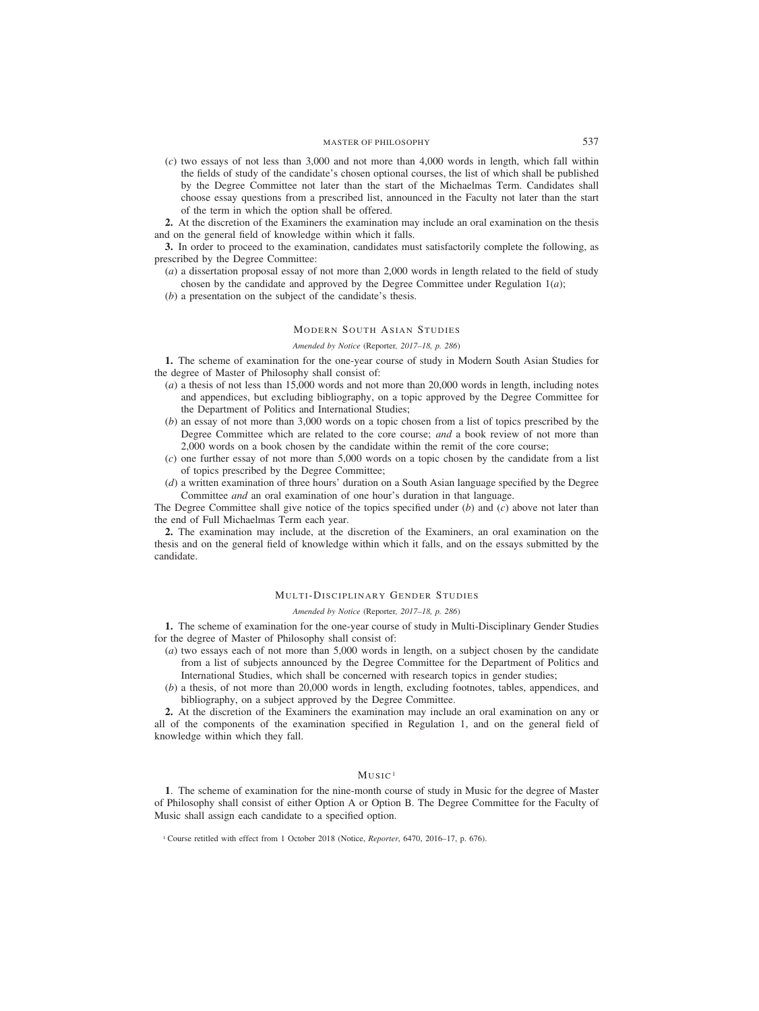(*c*) two essays of not less than 3,000 and not more than 4,000 words in length, which fall within the fields of study of the candidate's chosen optional courses, the list of which shall be published by the Degree Committee not later than the start of the Michaelmas Term. Candidates shall choose essay questions from a prescribed list, announced in the Faculty not later than the start of the term in which the option shall be offered.

**2.** At the discretion of the Examiners the examination may include an oral examination on the thesis and on the general field of knowledge within which it falls.

**3.** In order to proceed to the examination, candidates must satisfactorily complete the following, as prescribed by the Degree Committee:

- (*a*) a dissertation proposal essay of not more than 2,000 words in length related to the field of study chosen by the candidate and approved by the Degree Committee under Regulation  $1(a)$ ;
- (*b*) a presentation on the subject of the candidate's thesis.

# MODERN SOUTH ASIAN STUDIES

### *Amended by Notice (*Reporter*, 2017–18, p. 286)*

**1.** The scheme of examination for the one-year course of study in Modern South Asian Studies for the degree of Master of Philosophy shall consist of:

- (*a*) a thesis of not less than 15,000 words and not more than 20,000 words in length, including notes and appendices, but excluding bibliography, on a topic approved by the Degree Committee for the Department of Politics and International Studies;
- (*b*) an essay of not more than 3,000 words on a topic chosen from a list of topics prescribed by the Degree Committee which are related to the core course; *and* a book review of not more than 2,000 words on a book chosen by the candidate within the remit of the core course;
- (*c*) one further essay of not more than 5,000 words on a topic chosen by the candidate from a list of topics prescribed by the Degree Committee;
- (*d*) a written examination of three hours' duration on a South Asian language specified by the Degree Committee *and* an oral examination of one hour's duration in that language.

The Degree Committee shall give notice of the topics specified under (*b*) and (*c*) above not later than the end of Full Michaelmas Term each year.

**2.** The examination may include, at the discretion of the Examiners, an oral examination on the thesis and on the general field of knowledge within which it falls, and on the essays submitted by the candidate.

# MULTI-DISCIPLINARY GENDER STUDIES

#### *Amended by Notice (*Reporter*, 2017–18, p. 286)*

**1.** The scheme of examination for the one-year course of study in Multi-Disciplinary Gender Studies for the degree of Master of Philosophy shall consist of:

- (*a*) two essays each of not more than 5,000 words in length, on a subject chosen by the candidate from a list of subjects announced by the Degree Committee for the Department of Politics and International Studies, which shall be concerned with research topics in gender studies;
- (*b*) a thesis, of not more than 20,000 words in length, excluding footnotes, tables, appendices, and bibliography, on a subject approved by the Degree Committee.

**2.** At the discretion of the Examiners the examination may include an oral examination on any or all of the components of the examination specified in Regulation 1, and on the general field of knowledge within which they fall.

## $M$ USIC<sup>1</sup>

**1**. The scheme of examination for the nine-month course of study in Music for the degree of Master of Philosophy shall consist of either Option A or Option B. The Degree Committee for the Faculty of Music shall assign each candidate to a specified option.

<sup>&</sup>lt;sup>1</sup> Course retitled with effect from 1 October 2018 (Notice, *Reporter*, 6470, 2016–17, p. 676).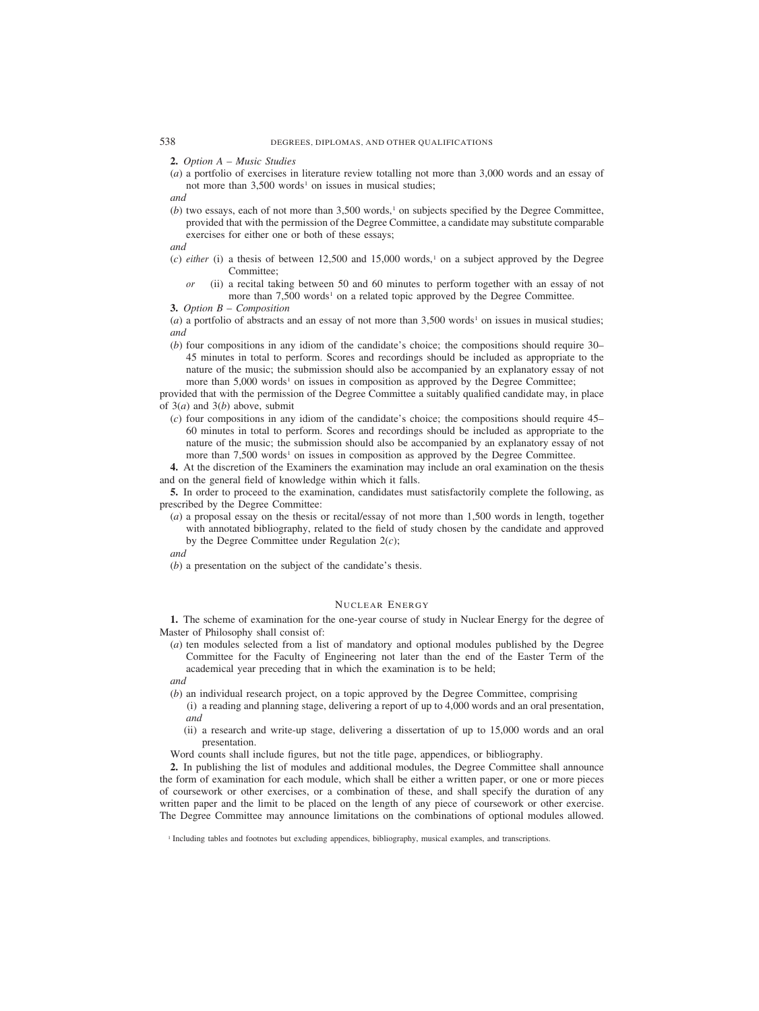**2.** *Option A – Music Studies*

(*a*) a portfolio of exercises in literature review totalling not more than 3,000 words and an essay of not more than  $3,500$  words<sup>1</sup> on issues in musical studies;

*and*

 $(b)$  two essays, each of not more than  $3,500$  words,<sup>1</sup> on subjects specified by the Degree Committee, provided that with the permission of the Degree Committee, a candidate may substitute comparable exercises for either one or both of these essays;

*and*

- $(c)$  *either* (i) a thesis of between 12,500 and 15,000 words,<sup>1</sup> on a subject approved by the Degree Committee;
	- *or* (ii) a recital taking between 50 and 60 minutes to perform together with an essay of not more than  $7,500$  words<sup>1</sup> on a related topic approved by the Degree Committee.

**3.** *Option B – Composition*

(*a*) a portfolio of abstracts and an essay of not more than  $3,500$  words<sup>1</sup> on issues in musical studies; *and*

(*b*) four compositions in any idiom of the candidate's choice; the compositions should require 30– 45 minutes in total to perform. Scores and recordings should be included as appropriate to the nature of the music; the submission should also be accompanied by an explanatory essay of not more than  $5,000$  words<sup>1</sup> on issues in composition as approved by the Degree Committee;

provided that with the permission of the Degree Committee a suitably qualified candidate may, in place of 3(*a*) and 3(*b*) above, submit

(*c*) four compositions in any idiom of the candidate's choice; the compositions should require 45– 60 minutes in total to perform. Scores and recordings should be included as appropriate to the nature of the music; the submission should also be accompanied by an explanatory essay of not more than 7,500 words<sup>1</sup> on issues in composition as approved by the Degree Committee.

**4.** At the discretion of the Examiners the examination may include an oral examination on the thesis and on the general field of knowledge within which it falls.

**5.** In order to proceed to the examination, candidates must satisfactorily complete the following, as prescribed by the Degree Committee:

(*a*) a proposal essay on the thesis or recital/essay of not more than 1,500 words in length, together with annotated bibliography, related to the field of study chosen by the candidate and approved by the Degree Committee under Regulation 2(*c*);

*and*

(*b*) a presentation on the subject of the candidate's thesis.

## NUCLEAR ENERGY

**1.** The scheme of examination for the one-year course of study in Nuclear Energy for the degree of Master of Philosophy shall consist of:

(*a*) ten modules selected from a list of mandatory and optional modules published by the Degree Committee for the Faculty of Engineering not later than the end of the Easter Term of the academical year preceding that in which the examination is to be held;

*and*

- (*b*) an individual research project, on a topic approved by the Degree Committee, comprising
	- (i) a reading and planning stage, delivering a report of up to 4,000 words and an oral presentation, *and*
	- (ii) a research and write-up stage, delivering a dissertation of up to 15,000 words and an oral presentation.
- Word counts shall include figures, but not the title page, appendices, or bibliography.

**2.** In publishing the list of modules and additional modules, the Degree Committee shall announce the form of examination for each module, which shall be either a written paper, or one or more pieces of coursework or other exercises, or a combination of these, and shall specify the duration of any written paper and the limit to be placed on the length of any piece of coursework or other exercise. The Degree Committee may announce limitations on the combinations of optional modules allowed.

<sup>1</sup> Including tables and footnotes but excluding appendices, bibliography, musical examples, and transcriptions.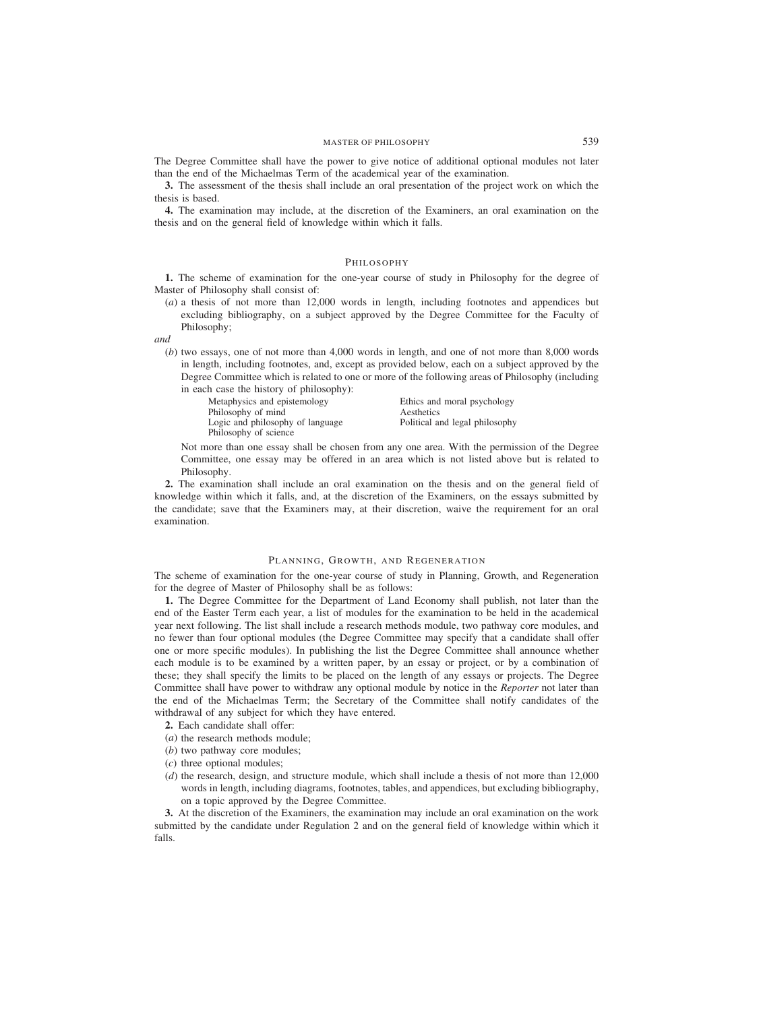The Degree Committee shall have the power to give notice of additional optional modules not later than the end of the Michaelmas Term of the academical year of the examination.

**3.** The assessment of the thesis shall include an oral presentation of the project work on which the thesis is based.

**4.** The examination may include, at the discretion of the Examiners, an oral examination on the thesis and on the general field of knowledge within which it falls.

### PHILOSOPHY

**1.** The scheme of examination for the one-year course of study in Philosophy for the degree of Master of Philosophy shall consist of:

(*a*) a thesis of not more than 12,000 words in length, including footnotes and appendices but excluding bibliography, on a subject approved by the Degree Committee for the Faculty of Philosophy;

*and*

(*b*) two essays, one of not more than 4,000 words in length, and one of not more than 8,000 words in length, including footnotes, and, except as provided below, each on a subject approved by the Degree Committee which is related to one or more of the following areas of Philosophy (including in each case the history of philosophy):

Metaphysics and epistemology Ethics and moral psychology Philosophy of mind<br>
Logic and philosophy of language<br>
Political and legal philosophy Logic and philosophy of language Philosophy of science

Not more than one essay shall be chosen from any one area. With the permission of the Degree Committee, one essay may be offered in an area which is not listed above but is related to Philosophy.

**2.** The examination shall include an oral examination on the thesis and on the general field of knowledge within which it falls, and, at the discretion of the Examiners, on the essays submitted by the candidate; save that the Examiners may, at their discretion, waive the requirement for an oral examination.

### PLANNING, GROWTH, AND REGENERATION

The scheme of examination for the one-year course of study in Planning, Growth, and Regeneration for the degree of Master of Philosophy shall be as follows:

**1.** The Degree Committee for the Department of Land Economy shall publish, not later than the end of the Easter Term each year, a list of modules for the examination to be held in the academical year next following. The list shall include a research methods module, two pathway core modules, and no fewer than four optional modules (the Degree Committee may specify that a candidate shall offer one or more specific modules). In publishing the list the Degree Committee shall announce whether each module is to be examined by a written paper, by an essay or project, or by a combination of these; they shall specify the limits to be placed on the length of any essays or projects. The Degree Committee shall have power to withdraw any optional module by notice in the *Reporter* not later than the end of the Michaelmas Term; the Secretary of the Committee shall notify candidates of the withdrawal of any subject for which they have entered.

**2.** Each candidate shall offer:

- (*a*) the research methods module;
- (*b*) two pathway core modules;
- (*c*) three optional modules;
- (*d*) the research, design, and structure module, which shall include a thesis of not more than 12,000 words in length, including diagrams, footnotes, tables, and appendices, but excluding bibliography, on a topic approved by the Degree Committee.

**3.** At the discretion of the Examiners, the examination may include an oral examination on the work submitted by the candidate under Regulation 2 and on the general field of knowledge within which it falls.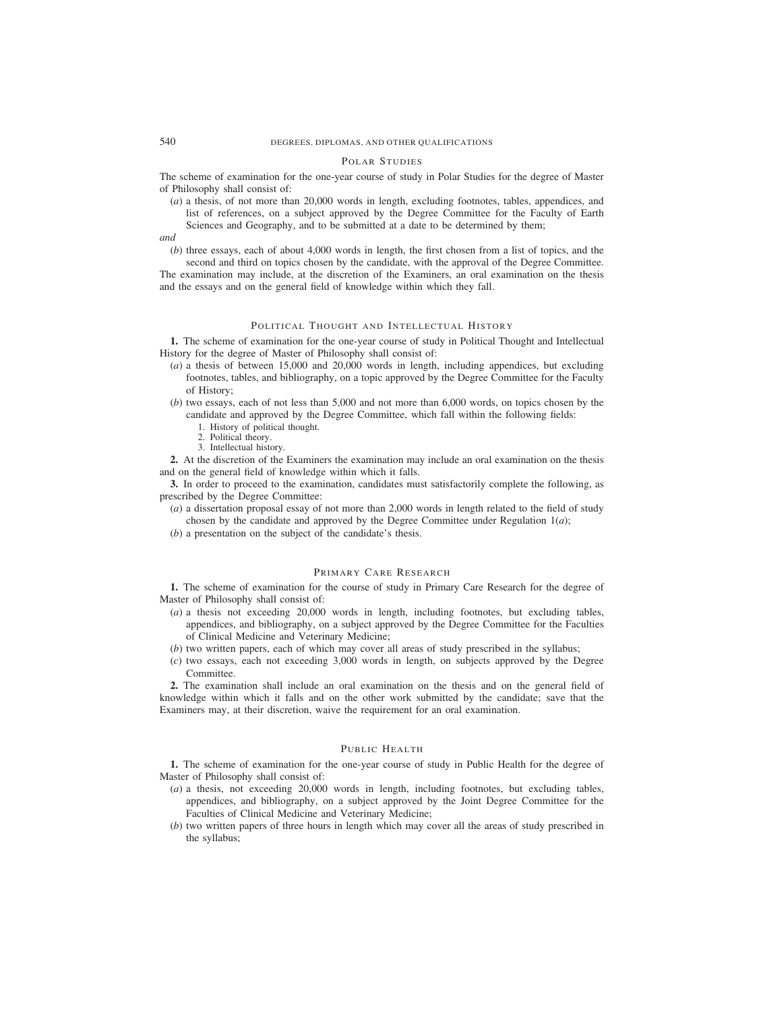### POLAR STUDIES

The scheme of examination for the one-year course of study in Polar Studies for the degree of Master of Philosophy shall consist of:

(*a*) a thesis, of not more than 20,000 words in length, excluding footnotes, tables, appendices, and list of references, on a subject approved by the Degree Committee for the Faculty of Earth Sciences and Geography, and to be submitted at a date to be determined by them;

*and*

(*b*) three essays, each of about 4,000 words in length, the first chosen from a list of topics, and the second and third on topics chosen by the candidate, with the approval of the Degree Committee.

The examination may include, at the discretion of the Examiners, an oral examination on the thesis and the essays and on the general field of knowledge within which they fall.

## POLITICAL THOUGHT AND INTELLECTUAL HISTORY

**1.** The scheme of examination for the one-year course of study in Political Thought and Intellectual History for the degree of Master of Philosophy shall consist of:

- (*a*) a thesis of between 15,000 and 20,000 words in length, including appendices, but excluding footnotes, tables, and bibliography, on a topic approved by the Degree Committee for the Faculty of History;
- (*b*) two essays, each of not less than 5,000 and not more than 6,000 words, on topics chosen by the candidate and approved by the Degree Committee, which fall within the following fields:
	- 1. History of political thought.
	- 2. Political theory.
	- 3. Intellectual history.

**2.** At the discretion of the Examiners the examination may include an oral examination on the thesis and on the general field of knowledge within which it falls.

**3.** In order to proceed to the examination, candidates must satisfactorily complete the following, as prescribed by the Degree Committee:

- (*a*) a dissertation proposal essay of not more than 2,000 words in length related to the field of study chosen by the candidate and approved by the Degree Committee under Regulation  $1(a)$ ;
- (*b*) a presentation on the subject of the candidate's thesis.

# PRIMARY CARE RESEARCH

**1.** The scheme of examination for the course of study in Primary Care Research for the degree of Master of Philosophy shall consist of:

- (*a*) a thesis not exceeding 20,000 words in length, including footnotes, but excluding tables, appendices, and bibliography, on a subject approved by the Degree Committee for the Faculties of Clinical Medicine and Veterinary Medicine;
- (*b*) two written papers, each of which may cover all areas of study prescribed in the syllabus;
- (*c*) two essays, each not exceeding 3,000 words in length, on subjects approved by the Degree Committee.

**2.** The examination shall include an oral examination on the thesis and on the general field of knowledge within which it falls and on the other work submitted by the candidate; save that the Examiners may, at their discretion, waive the requirement for an oral examination.

# PUBLIC HEALTH

**1.** The scheme of examination for the one-year course of study in Public Health for the degree of Master of Philosophy shall consist of:

- (*a*) a thesis, not exceeding 20,000 words in length, including footnotes, but excluding tables, appendices, and bibliography, on a subject approved by the Joint Degree Committee for the Faculties of Clinical Medicine and Veterinary Medicine;
- (*b*) two written papers of three hours in length which may cover all the areas of study prescribed in the syllabus;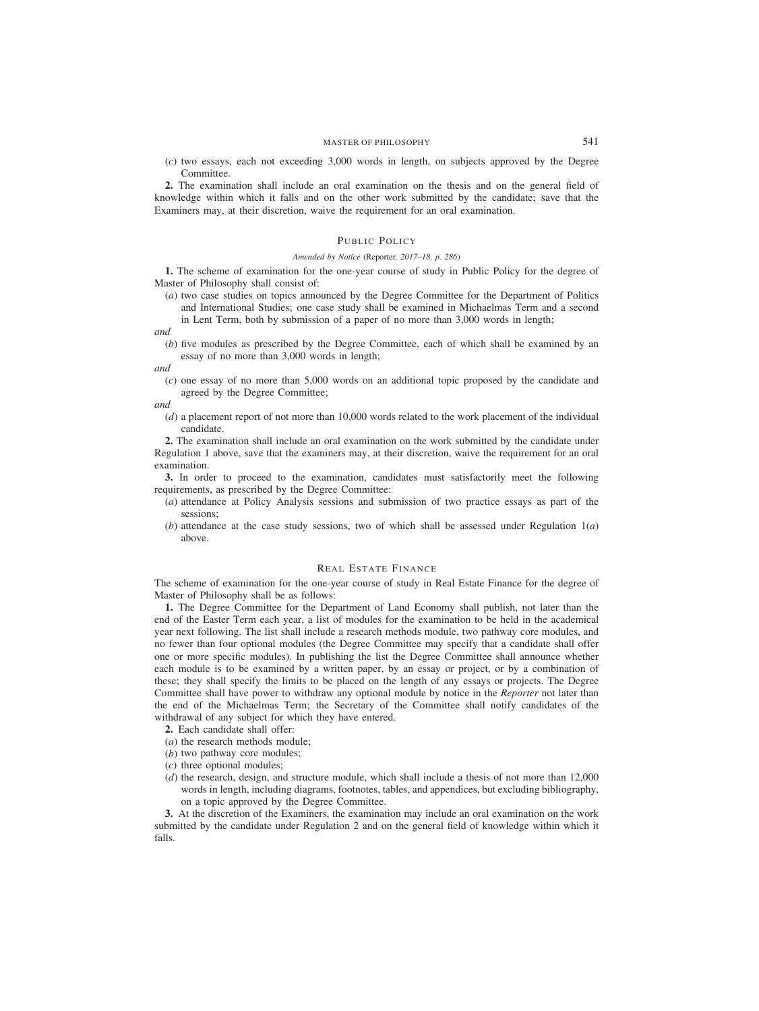(*c*) two essays, each not exceeding 3,000 words in length, on subjects approved by the Degree Committee.

**2.** The examination shall include an oral examination on the thesis and on the general field of knowledge within which it falls and on the other work submitted by the candidate; save that the Examiners may, at their discretion, waive the requirement for an oral examination.

# PUBLIC POLICY

#### *Amended by Notice (*Reporter*, 2017–18, p. 286)*

**1.** The scheme of examination for the one-year course of study in Public Policy for the degree of Master of Philosophy shall consist of:

(*a*) two case studies on topics announced by the Degree Committee for the Department of Politics and International Studies; one case study shall be examined in Michaelmas Term and a second in Lent Term, both by submission of a paper of no more than 3,000 words in length;

*and*

(*b*) five modules as prescribed by the Degree Committee, each of which shall be examined by an essay of no more than 3,000 words in length;

*and*

(*c*) one essay of no more than 5,000 words on an additional topic proposed by the candidate and agreed by the Degree Committee;

*and*

(*d*) a placement report of not more than 10,000 words related to the work placement of the individual candidate.

**2.** The examination shall include an oral examination on the work submitted by the candidate under Regulation 1 above, save that the examiners may, at their discretion, waive the requirement for an oral examination.

**3.** In order to proceed to the examination, candidates must satisfactorily meet the following requirements, as prescribed by the Degree Committee:

- (*a*) attendance at Policy Analysis sessions and submission of two practice essays as part of the sessions;
- (*b*) attendance at the case study sessions, two of which shall be assessed under Regulation 1(*a*) above.

# REAL ESTATE FINANCE

The scheme of examination for the one-year course of study in Real Estate Finance for the degree of Master of Philosophy shall be as follows:

**1.** The Degree Committee for the Department of Land Economy shall publish, not later than the end of the Easter Term each year, a list of modules for the examination to be held in the academical year next following. The list shall include a research methods module, two pathway core modules, and no fewer than four optional modules (the Degree Committee may specify that a candidate shall offer one or more specific modules). In publishing the list the Degree Committee shall announce whether each module is to be examined by a written paper, by an essay or project, or by a combination of these; they shall specify the limits to be placed on the length of any essays or projects. The Degree Committee shall have power to withdraw any optional module by notice in the *Reporter* not later than the end of the Michaelmas Term; the Secretary of the Committee shall notify candidates of the withdrawal of any subject for which they have entered.

- **2.** Each candidate shall offer:
- (*a*) the research methods module;
- (*b*) two pathway core modules;
- (*c*) three optional modules;
- (*d*) the research, design, and structure module, which shall include a thesis of not more than 12,000 words in length, including diagrams, footnotes, tables, and appendices, but excluding bibliography, on a topic approved by the Degree Committee.

**3.** At the discretion of the Examiners, the examination may include an oral examination on the work submitted by the candidate under Regulation 2 and on the general field of knowledge within which it falls.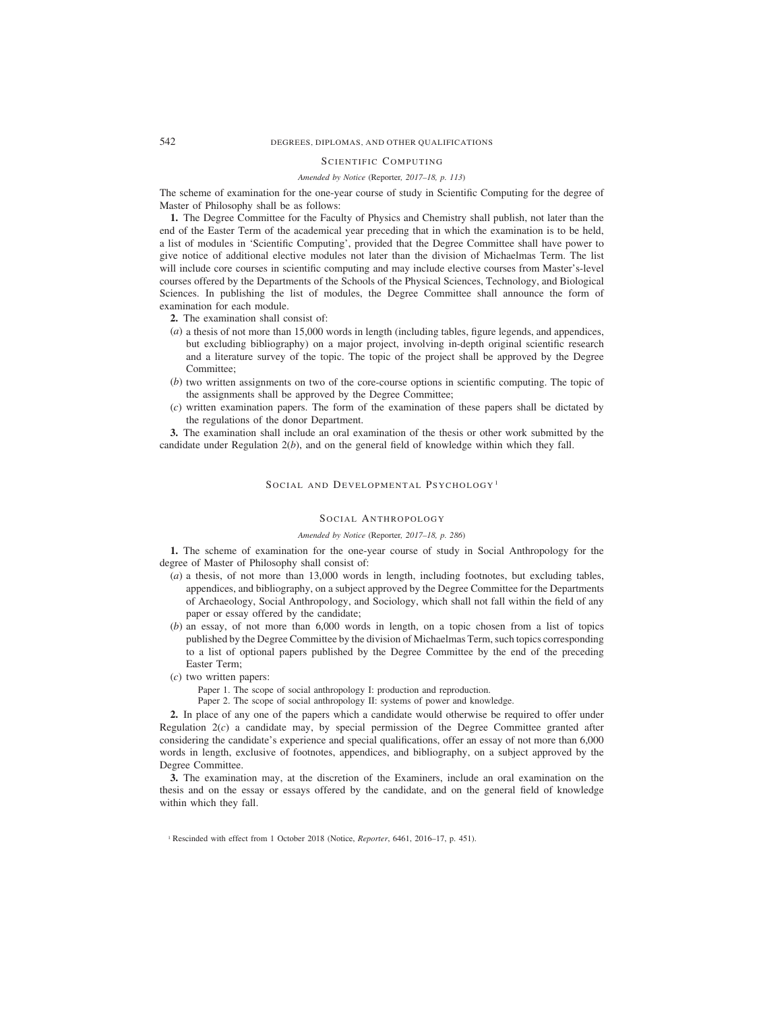# 542 DEGREES, DIPLOMAS, AND OTHER QUALIFICATIONS

# SCIENTIFIC COMPUTING

# *Amended by Notice (*Reporter*, 2017–18, p. 113)*

The scheme of examination for the one-year course of study in Scientific Computing for the degree of Master of Philosophy shall be as follows:

**1.** The Degree Committee for the Faculty of Physics and Chemistry shall publish, not later than the end of the Easter Term of the academical year preceding that in which the examination is to be held, a list of modules in 'Scientific Computing', provided that the Degree Committee shall have power to give notice of additional elective modules not later than the division of Michaelmas Term. The list will include core courses in scientific computing and may include elective courses from Master's-level courses offered by the Departments of the Schools of the Physical Sciences, Technology, and Biological Sciences. In publishing the list of modules, the Degree Committee shall announce the form of examination for each module.

- **2.** The examination shall consist of:
- (*a*) a thesis of not more than 15,000 words in length (including tables, figure legends, and appendices, but excluding bibliography) on a major project, involving in-depth original scientific research and a literature survey of the topic. The topic of the project shall be approved by the Degree Committee;
- (*b*) two written assignments on two of the core-course options in scientific computing. The topic of the assignments shall be approved by the Degree Committee;
- (*c*) written examination papers. The form of the examination of these papers shall be dictated by the regulations of the donor Department.

**3.** The examination shall include an oral examination of the thesis or other work submitted by the candidate under Regulation 2(*b*), and on the general field of knowledge within which they fall.

#### SOCIAL AND DEVELOPMENTAL PSYCHOLOGY<sup>1</sup>

### SOCIAL ANTHROPOLOGY

#### *Amended by Notice (*Reporter*, 2017–18, p. 286)*

**1.** The scheme of examination for the one-year course of study in Social Anthropology for the degree of Master of Philosophy shall consist of:

- (*a*) a thesis, of not more than 13,000 words in length, including footnotes, but excluding tables, appendices, and bibliography, on a subject approved by the Degree Committee for the Departments of Archaeology, Social Anthropology, and Sociology, which shall not fall within the field of any paper or essay offered by the candidate;
- (*b*) an essay, of not more than 6,000 words in length, on a topic chosen from a list of topics published by the Degree Committee by the division of Michaelmas Term, such topics corresponding to a list of optional papers published by the Degree Committee by the end of the preceding Easter Term;
- (*c*) two written papers:

Paper 1. The scope of social anthropology I: production and reproduction.

Paper 2. The scope of social anthropology II: systems of power and knowledge.

**2.** In place of any one of the papers which a candidate would otherwise be required to offer under Regulation 2(*c*) a candidate may, by special permission of the Degree Committee granted after considering the candidate's experience and special qualifications, offer an essay of not more than 6,000 words in length, exclusive of footnotes, appendices, and bibliography, on a subject approved by the Degree Committee.

**3.** The examination may, at the discretion of the Examiners, include an oral examination on the thesis and on the essay or essays offered by the candidate, and on the general field of knowledge within which they fall.

<sup>&</sup>lt;sup>1</sup> Rescinded with effect from 1 October 2018 (Notice, *Reporter*, 6461, 2016–17, p. 451).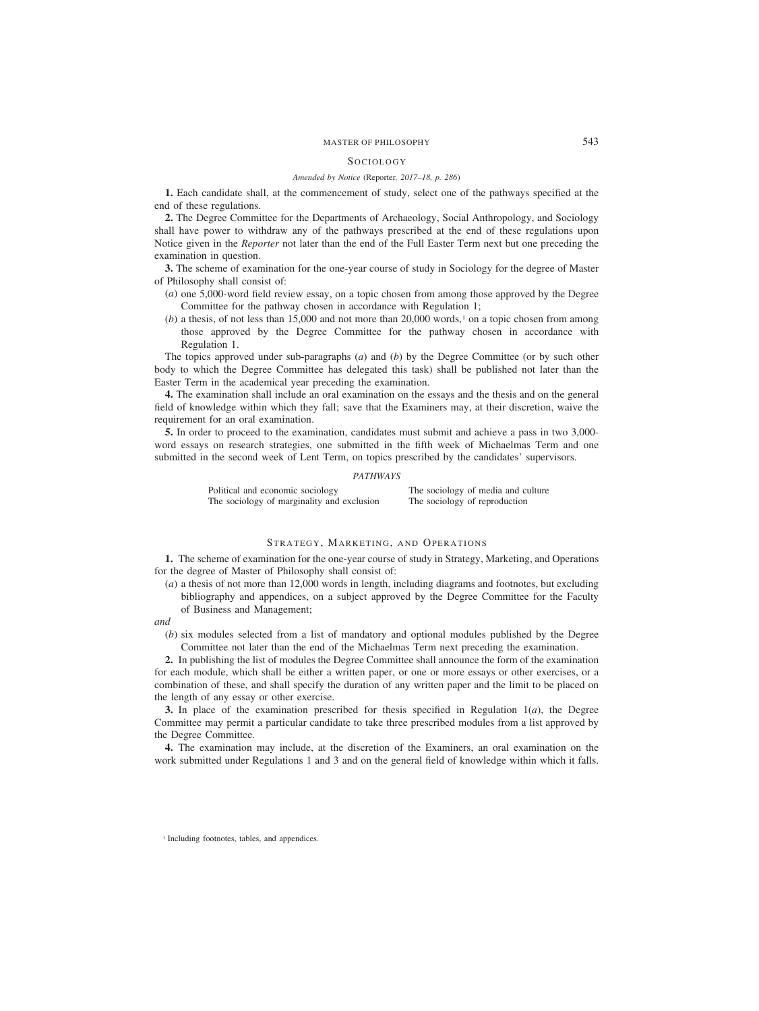#### Sociology

#### *Amended by Notice (*Reporter*, 2017–18, p. 286)*

**1.** Each candidate shall, at the commencement of study, select one of the pathways specified at the end of these regulations.

**2.** The Degree Committee for the Departments of Archaeology, Social Anthropology, and Sociology shall have power to withdraw any of the pathways prescribed at the end of these regulations upon Notice given in the *Reporter* not later than the end of the Full Easter Term next but one preceding the examination in question.

**3.** The scheme of examination for the one-year course of study in Sociology for the degree of Master of Philosophy shall consist of:

- (*a*) one 5,000-word field review essay, on a topic chosen from among those approved by the Degree Committee for the pathway chosen in accordance with Regulation 1;
- $(b)$  a thesis, of not less than 15,000 and not more than 20,000 words,<sup>1</sup> on a topic chosen from among those approved by the Degree Committee for the pathway chosen in accordance with Regulation 1.

The topics approved under sub-paragraphs (*a*) and (*b*) by the Degree Committee (or by such other body to which the Degree Committee has delegated this task) shall be published not later than the Easter Term in the academical year preceding the examination.

**4.** The examination shall include an oral examination on the essays and the thesis and on the general field of knowledge within which they fall; save that the Examiners may, at their discretion, waive the requirement for an oral examination.

**5.** In order to proceed to the examination, candidates must submit and achieve a pass in two 3,000 word essays on research strategies, one submitted in the fifth week of Michaelmas Term and one submitted in the second week of Lent Term, on topics prescribed by the candidates' supervisors.

# *PATHWAYS*

Political and economic sociology<br>
The sociology of media and culture<br>
The sociology of reproduction<br>
The sociology of reproduction The sociology of marginality and exclusion

### STRATEGY, MARKETING, AND OPERATIONS

**1.** The scheme of examination for the one-year course of study in Strategy, Marketing, and Operations for the degree of Master of Philosophy shall consist of:

(*a*) a thesis of not more than 12,000 words in length, including diagrams and footnotes, but excluding bibliography and appendices, on a subject approved by the Degree Committee for the Faculty of Business and Management;

#### *and*

(*b*) six modules selected from a list of mandatory and optional modules published by the Degree Committee not later than the end of the Michaelmas Term next preceding the examination.

**2.** In publishing the list of modules the Degree Committee shall announce the form of the examination for each module, which shall be either a written paper, or one or more essays or other exercises, or a combination of these, and shall specify the duration of any written paper and the limit to be placed on the length of any essay or other exercise.

**3.** In place of the examination prescribed for thesis specified in Regulation  $1(a)$ , the Degree Committee may permit a particular candidate to take three prescribed modules from a list approved by the Degree Committee.

**4.** The examination may include, at the discretion of the Examiners, an oral examination on the work submitted under Regulations 1 and 3 and on the general field of knowledge within which it falls.

<sup>1</sup> Including footnotes, tables, and appendices.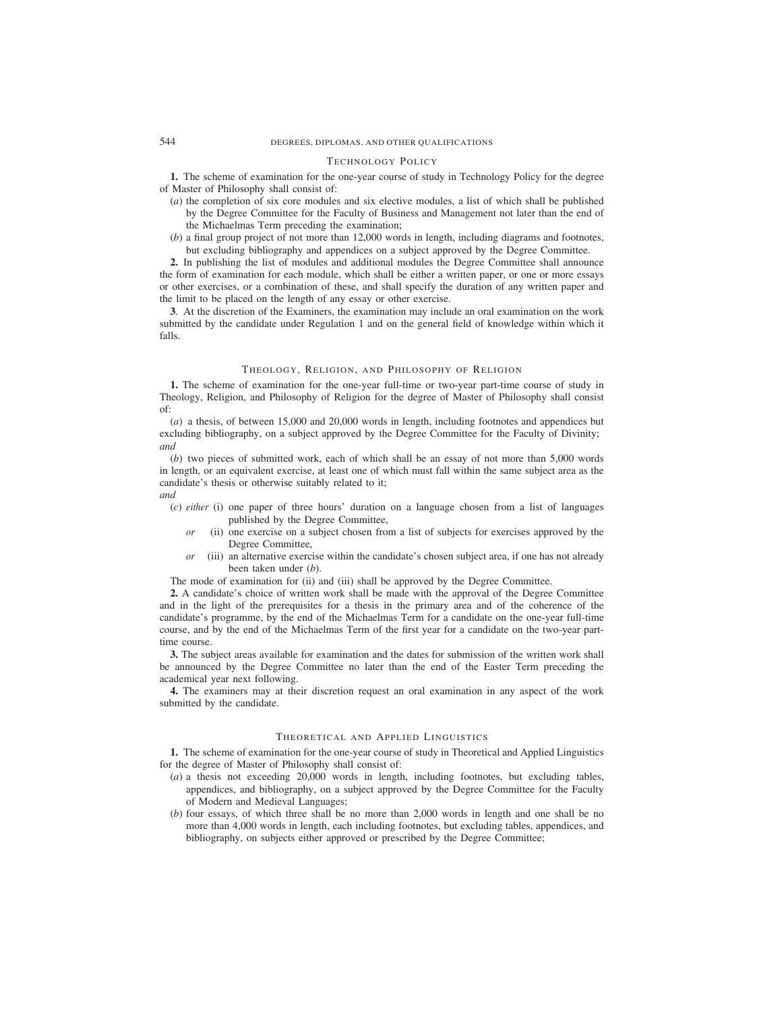### TECHNOLOGY POLICY

**1.** The scheme of examination for the one-year course of study in Technology Policy for the degree of Master of Philosophy shall consist of:

- (*a*) the completion of six core modules and six elective modules, a list of which shall be published by the Degree Committee for the Faculty of Business and Management not later than the end of the Michaelmas Term preceding the examination;
- (*b*) a final group project of not more than 12,000 words in length, including diagrams and footnotes, but excluding bibliography and appendices on a subject approved by the Degree Committee.

**2.** In publishing the list of modules and additional modules the Degree Committee shall announce the form of examination for each module, which shall be either a written paper, or one or more essays or other exercises, or a combination of these, and shall specify the duration of any written paper and the limit to be placed on the length of any essay or other exercise.

**3**. At the discretion of the Examiners, the examination may include an oral examination on the work submitted by the candidate under Regulation 1 and on the general field of knowledge within which it falls.

## THEOLOGY, RELIGION, AND PHILOSOPHY OF RELIGION

**1.** The scheme of examination for the one-year full-time or two-year part-time course of study in Theology, Religion, and Philosophy of Religion for the degree of Master of Philosophy shall consist of:

(*a*) a thesis, of between 15,000 and 20,000 words in length, including footnotes and appendices but excluding bibliography, on a subject approved by the Degree Committee for the Faculty of Divinity; *and*

(*b*) two pieces of submitted work, each of which shall be an essay of not more than 5,000 words in length, or an equivalent exercise, at least one of which must fall within the same subject area as the candidate's thesis or otherwise suitably related to it; *and*

- (*c*) *either* (i) one paper of three hours' duration on a language chosen from a list of languages published by the Degree Committee,
	- *or* (ii) one exercise on a subject chosen from a list of subjects for exercises approved by the Degree Committee,
	- *or* (iii) an alternative exercise within the candidate's chosen subject area, if one has not already been taken under (*b*).

The mode of examination for (ii) and (iii) shall be approved by the Degree Committee.

**2.** A candidate's choice of written work shall be made with the approval of the Degree Committee and in the light of the prerequisites for a thesis in the primary area and of the coherence of the candidate's programme, by the end of the Michaelmas Term for a candidate on the one-year full-time course, and by the end of the Michaelmas Term of the first year for a candidate on the two-year parttime course.

**3.** The subject areas available for examination and the dates for submission of the written work shall be announced by the Degree Committee no later than the end of the Easter Term preceding the academical year next following.

**4.** The examiners may at their discretion request an oral examination in any aspect of the work submitted by the candidate.

# THEORETICAL AND APPLIED LINGUISTICS

**1.** The scheme of examination for the one-year course of study in Theoretical and Applied Linguistics for the degree of Master of Philosophy shall consist of:

- (*a*) a thesis not exceeding 20,000 words in length, including footnotes, but excluding tables, appendices, and bibliography, on a subject approved by the Degree Committee for the Faculty of Modern and Medieval Languages;
- (*b*) four essays, of which three shall be no more than 2,000 words in length and one shall be no more than 4,000 words in length, each including footnotes, but excluding tables, appendices, and bibliography, on subjects either approved or prescribed by the Degree Committee;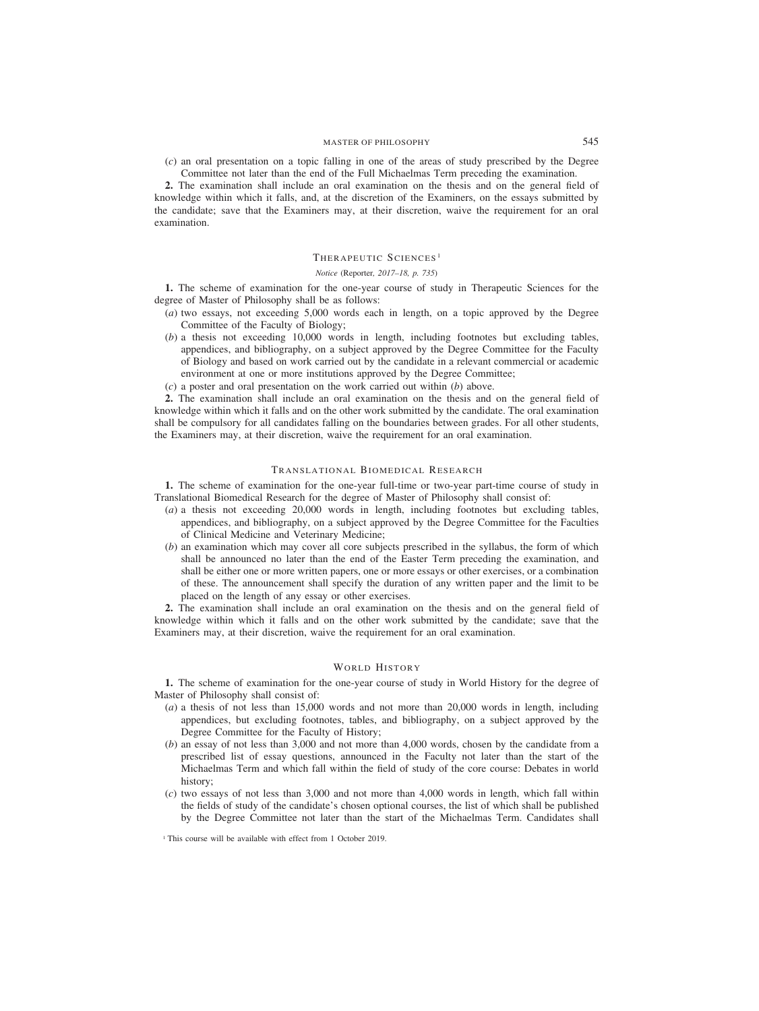(*c*) an oral presentation on a topic falling in one of the areas of study prescribed by the Degree Committee not later than the end of the Full Michaelmas Term preceding the examination.

**2.** The examination shall include an oral examination on the thesis and on the general field of knowledge within which it falls, and, at the discretion of the Examiners, on the essays submitted by the candidate; save that the Examiners may, at their discretion, waive the requirement for an oral examination.

#### THERAPEUTIC SCIENCES <sup>1</sup>

#### *Notice (*Reporter*, 2017–18, p. 735)*

**1.** The scheme of examination for the one-year course of study in Therapeutic Sciences for the degree of Master of Philosophy shall be as follows:

- (*a*) two essays, not exceeding 5,000 words each in length, on a topic approved by the Degree Committee of the Faculty of Biology;
- (*b*) a thesis not exceeding 10,000 words in length, including footnotes but excluding tables, appendices, and bibliography, on a subject approved by the Degree Committee for the Faculty of Biology and based on work carried out by the candidate in a relevant commercial or academic environment at one or more institutions approved by the Degree Committee;
- (*c*) a poster and oral presentation on the work carried out within (*b*) above.

**2.** The examination shall include an oral examination on the thesis and on the general field of knowledge within which it falls and on the other work submitted by the candidate. The oral examination shall be compulsory for all candidates falling on the boundaries between grades. For all other students, the Examiners may, at their discretion, waive the requirement for an oral examination.

### TRANSLATIONAL BIOMEDICAL RESEARCH

**1.** The scheme of examination for the one-year full-time or two-year part-time course of study in Translational Biomedical Research for the degree of Master of Philosophy shall consist of:

- (*a*) a thesis not exceeding 20,000 words in length, including footnotes but excluding tables, appendices, and bibliography, on a subject approved by the Degree Committee for the Faculties of Clinical Medicine and Veterinary Medicine;
- (*b*) an examination which may cover all core subjects prescribed in the syllabus, the form of which shall be announced no later than the end of the Easter Term preceding the examination, and shall be either one or more written papers, one or more essays or other exercises, or a combination of these. The announcement shall specify the duration of any written paper and the limit to be placed on the length of any essay or other exercises.

**2.** The examination shall include an oral examination on the thesis and on the general field of knowledge within which it falls and on the other work submitted by the candidate; save that the Examiners may, at their discretion, waive the requirement for an oral examination.

### WORLD HISTORY

**1.** The scheme of examination for the one-year course of study in World History for the degree of Master of Philosophy shall consist of:

- (*a*) a thesis of not less than 15,000 words and not more than 20,000 words in length, including appendices, but excluding footnotes, tables, and bibliography, on a subject approved by the Degree Committee for the Faculty of History;
- (*b*) an essay of not less than 3,000 and not more than 4,000 words, chosen by the candidate from a prescribed list of essay questions, announced in the Faculty not later than the start of the Michaelmas Term and which fall within the field of study of the core course: Debates in world history;
- (*c*) two essays of not less than 3,000 and not more than 4,000 words in length, which fall within the fields of study of the candidate's chosen optional courses, the list of which shall be published by the Degree Committee not later than the start of the Michaelmas Term. Candidates shall

<sup>&</sup>lt;sup>1</sup> This course will be available with effect from 1 October 2019.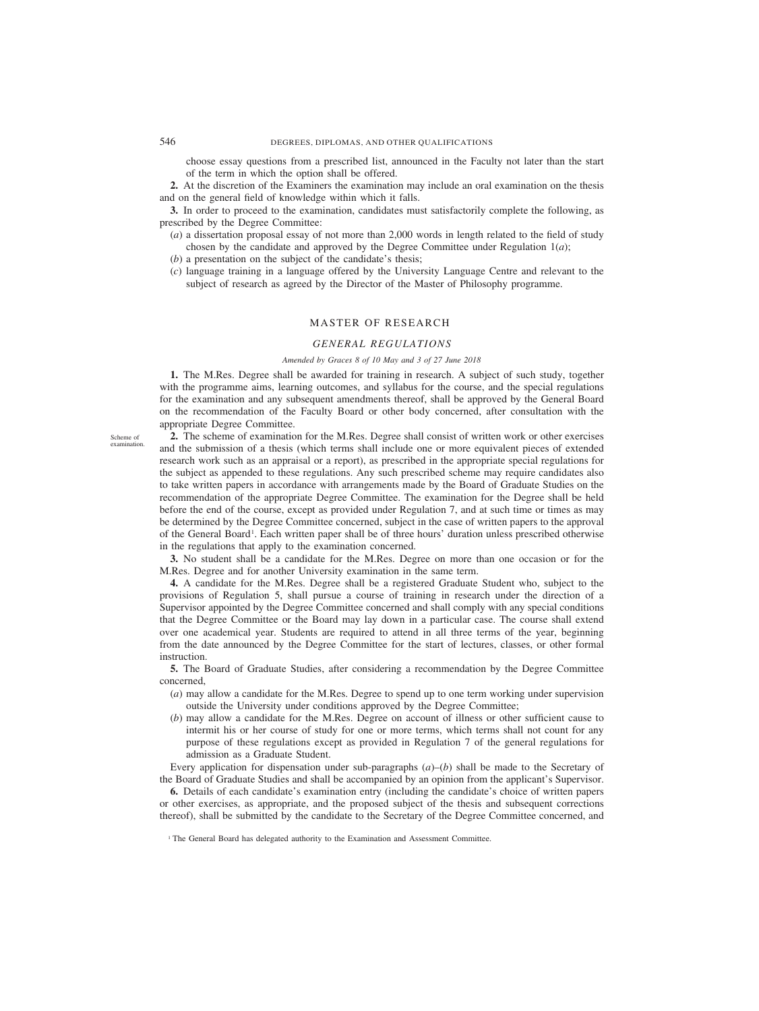choose essay questions from a prescribed list, announced in the Faculty not later than the start of the term in which the option shall be offered.

**2.** At the discretion of the Examiners the examination may include an oral examination on the thesis and on the general field of knowledge within which it falls.

**3.** In order to proceed to the examination, candidates must satisfactorily complete the following, as prescribed by the Degree Committee:

- (*a*) a dissertation proposal essay of not more than 2,000 words in length related to the field of study chosen by the candidate and approved by the Degree Committee under Regulation  $1(a)$ ;
- (*b*) a presentation on the subject of the candidate's thesis;
- (*c*) language training in a language offered by the University Language Centre and relevant to the subject of research as agreed by the Director of the Master of Philosophy programme.

# MASTER OF RESEARCH

## *GENERAL REGULATIONS*

#### *Amended by Graces 8 of 10 May and 3 of 27 June 2018*

**1.** The M.Res. Degree shall be awarded for training in research. A subject of such study, together with the programme aims, learning outcomes, and syllabus for the course, and the special regulations for the examination and any subsequent amendments thereof, shall be approved by the General Board on the recommendation of the Faculty Board or other body concerned, after consultation with the appropriate Degree Committee.

Scheme of examination.

**2.** The scheme of examination for the M.Res. Degree shall consist of written work or other exercises and the submission of a thesis (which terms shall include one or more equivalent pieces of extended research work such as an appraisal or a report), as prescribed in the appropriate special regulations for the subject as appended to these regulations. Any such prescribed scheme may require candidates also to take written papers in accordance with arrangements made by the Board of Graduate Studies on the recommendation of the appropriate Degree Committee. The examination for the Degree shall be held before the end of the course, except as provided under Regulation 7, and at such time or times as may be determined by the Degree Committee concerned, subject in the case of written papers to the approval of the General Board<sup>1</sup>. Each written paper shall be of three hours' duration unless prescribed otherwise in the regulations that apply to the examination concerned.

**3.** No student shall be a candidate for the M.Res. Degree on more than one occasion or for the M.Res. Degree and for another University examination in the same term.

**4.** A candidate for the M.Res. Degree shall be a registered Graduate Student who, subject to the provisions of Regulation 5, shall pursue a course of training in research under the direction of a Supervisor appointed by the Degree Committee concerned and shall comply with any special conditions that the Degree Committee or the Board may lay down in a particular case. The course shall extend over one academical year. Students are required to attend in all three terms of the year, beginning from the date announced by the Degree Committee for the start of lectures, classes, or other formal instruction.

**5.** The Board of Graduate Studies, after considering a recommendation by the Degree Committee concerned,

- (*a*) may allow a candidate for the M.Res. Degree to spend up to one term working under supervision outside the University under conditions approved by the Degree Committee;
- (*b*) may allow a candidate for the M.Res. Degree on account of illness or other sufficient cause to intermit his or her course of study for one or more terms, which terms shall not count for any purpose of these regulations except as provided in Regulation 7 of the general regulations for admission as a Graduate Student.

Every application for dispensation under sub-paragraphs (*a*)–(*b*) shall be made to the Secretary of the Board of Graduate Studies and shall be accompanied by an opinion from the applicant's Supervisor.

**6.** Details of each candidate's examination entry (including the candidate's choice of written papers or other exercises, as appropriate, and the proposed subject of the thesis and subsequent corrections thereof), shall be submitted by the candidate to the Secretary of the Degree Committee concerned, and

<sup>1</sup> The General Board has delegated authority to the Examination and Assessment Committee.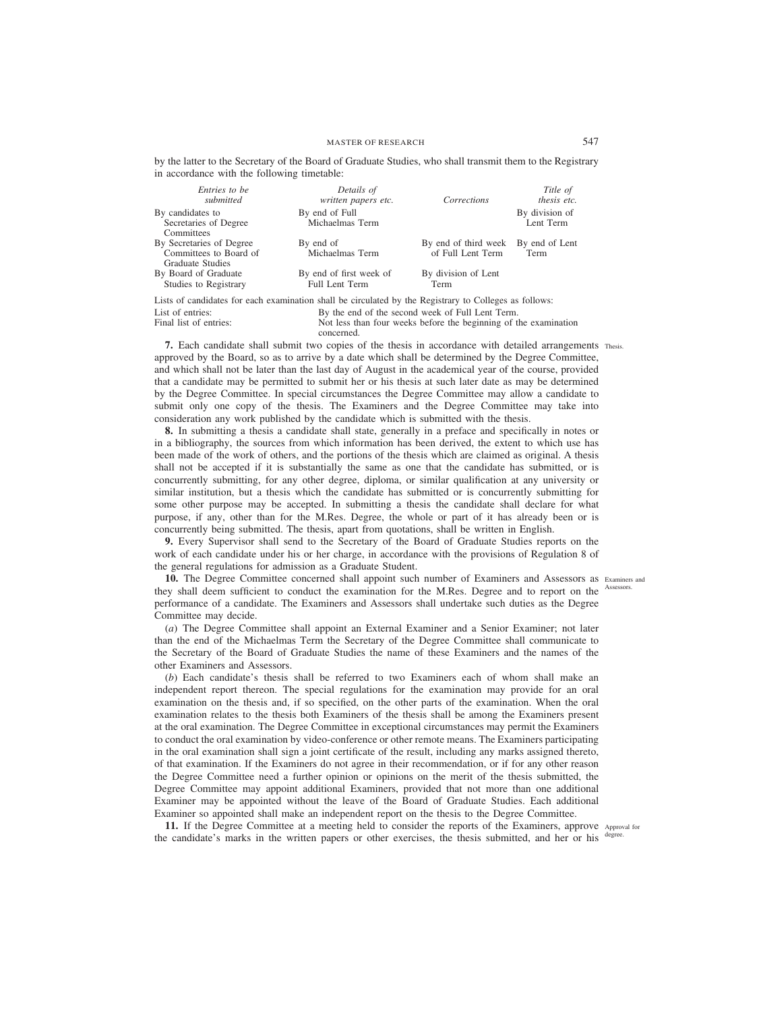| <i>Entries to be</i>                                                                                   | Details of              |                                     | Title of           |  |
|--------------------------------------------------------------------------------------------------------|-------------------------|-------------------------------------|--------------------|--|
| submitted                                                                                              | written papers etc.     | Corrections                         | <i>thesis etc.</i> |  |
| By candidates to                                                                                       | By end of Full          |                                     | By division of     |  |
| Secretaries of Degree                                                                                  | Michaelmas Term         |                                     | Lent Term          |  |
| Committees                                                                                             |                         |                                     |                    |  |
| By Secretaries of Degree                                                                               | By end of               | By end of third week By end of Lent |                    |  |
| Committees to Board of                                                                                 | Michaelmas Term         | of Full Lent Term                   | Term               |  |
| Graduate Studies                                                                                       |                         |                                     |                    |  |
| By Board of Graduate                                                                                   | By end of first week of | By division of Lent                 |                    |  |
| Studies to Registrary                                                                                  | <b>Full Lent Term</b>   | Term                                |                    |  |
| Lists of candidates for each examination shall be circulated by the Registrary to Colleges as follows: |                         |                                     |                    |  |

by the latter to the Secretary of the Board of Graduate Studies, who shall transmit them to the Registrary in accordance with the following timetable:

Lists of candidates for each examination shall be circulated by the Registrary to Colleges as follows: List of entries:<br>
By the end of the second week of Full Lent Term.<br>
Final list of entries:<br>
Not less than four weeks before the beginning of the Not less than four weeks before the beginning of the examination concerned.

**7.** Each candidate shall submit two copies of the thesis in accordance with detailed arrangements Thesis. approved by the Board, so as to arrive by a date which shall be determined by the Degree Committee, and which shall not be later than the last day of August in the academical year of the course, provided that a candidate may be permitted to submit her or his thesis at such later date as may be determined by the Degree Committee. In special circumstances the Degree Committee may allow a candidate to submit only one copy of the thesis. The Examiners and the Degree Committee may take into consideration any work published by the candidate which is submitted with the thesis.

**8.** In submitting a thesis a candidate shall state, generally in a preface and specifically in notes or in a bibliography, the sources from which information has been derived, the extent to which use has been made of the work of others, and the portions of the thesis which are claimed as original. A thesis shall not be accepted if it is substantially the same as one that the candidate has submitted, or is concurrently submitting, for any other degree, diploma, or similar qualification at any university or similar institution, but a thesis which the candidate has submitted or is concurrently submitting for some other purpose may be accepted. In submitting a thesis the candidate shall declare for what purpose, if any, other than for the M.Res. Degree, the whole or part of it has already been or is concurrently being submitted. The thesis, apart from quotations, shall be written in English.

**9.** Every Supervisor shall send to the Secretary of the Board of Graduate Studies reports on the work of each candidate under his or her charge, in accordance with the provisions of Regulation 8 of the general regulations for admission as a Graduate Student.

10. The Degree Committee concerned shall appoint such number of Examiners and Assessors as Examiners and they shall deem sufficient to conduct the examination for the M.Res. Degree and to report on the Assessors. performance of a candidate. The Examiners and Assessors shall undertake such duties as the Degree Committee may decide.

(*a*) The Degree Committee shall appoint an External Examiner and a Senior Examiner; not later than the end of the Michaelmas Term the Secretary of the Degree Committee shall communicate to the Secretary of the Board of Graduate Studies the name of these Examiners and the names of the other Examiners and Assessors.

(*b*) Each candidate's thesis shall be referred to two Examiners each of whom shall make an independent report thereon. The special regulations for the examination may provide for an oral examination on the thesis and, if so specified, on the other parts of the examination. When the oral examination relates to the thesis both Examiners of the thesis shall be among the Examiners present at the oral examination. The Degree Committee in exceptional circumstances may permit the Examiners to conduct the oral examination by video-conference or other remote means. The Examiners participating in the oral examination shall sign a joint certificate of the result, including any marks assigned thereto, of that examination. If the Examiners do not agree in their recommendation, or if for any other reason the Degree Committee need a further opinion or opinions on the merit of the thesis submitted, the Degree Committee may appoint additional Examiners, provided that not more than one additional Examiner may be appointed without the leave of the Board of Graduate Studies. Each additional Examiner so appointed shall make an independent report on the thesis to the Degree Committee.

**11.** If the Degree Committee at a meeting held to consider the reports of the Examiners, approve Approval for the candidate's marks in the written papers or other exercises, the thesis submitted, and her or his degree.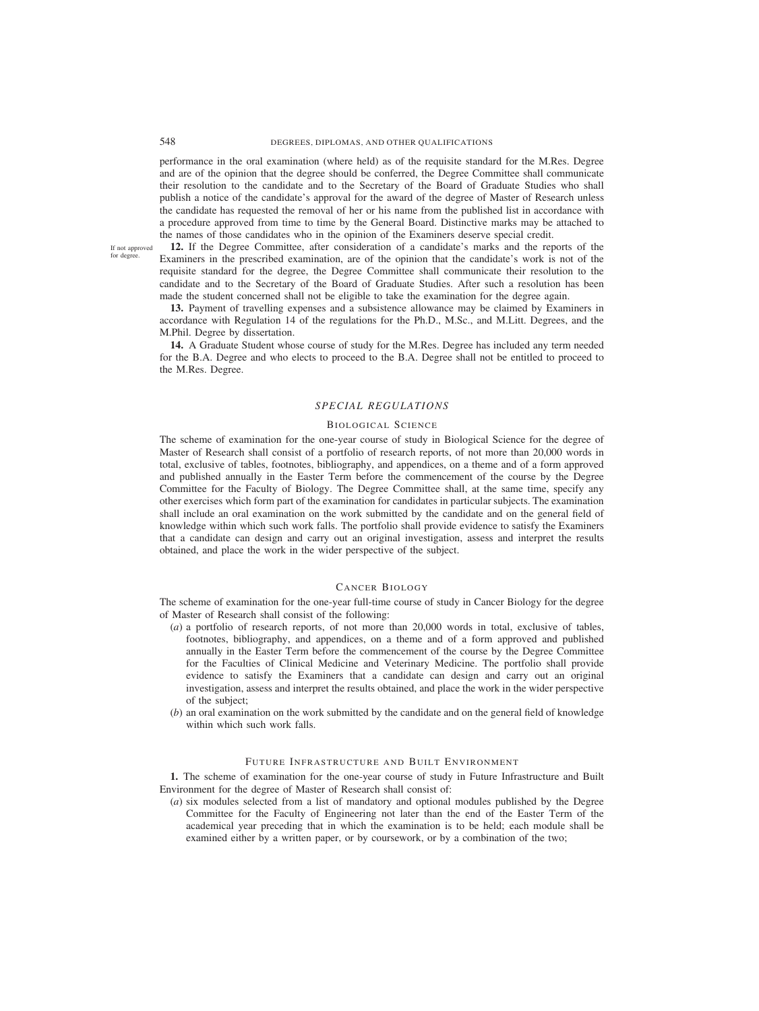# 548 DEGREES, DIPLOMAS, AND OTHER QUALIFICATIONS

performance in the oral examination (where held) as of the requisite standard for the M.Res. Degree and are of the opinion that the degree should be conferred, the Degree Committee shall communicate their resolution to the candidate and to the Secretary of the Board of Graduate Studies who shall publish a notice of the candidate's approval for the award of the degree of Master of Research unless the candidate has requested the removal of her or his name from the published list in accordance with a procedure approved from time to time by the General Board. Distinctive marks may be attached to the names of those candidates who in the opinion of the Examiners deserve special credit.

If not approved for degree

**12.** If the Degree Committee, after consideration of a candidate's marks and the reports of the Examiners in the prescribed examination, are of the opinion that the candidate's work is not of the requisite standard for the degree, the Degree Committee shall communicate their resolution to the candidate and to the Secretary of the Board of Graduate Studies. After such a resolution has been made the student concerned shall not be eligible to take the examination for the degree again.

**13.** Payment of travelling expenses and a subsistence allowance may be claimed by Examiners in accordance with Regulation 14 of the regulations for the Ph.D., M.Sc., and M.Litt. Degrees, and the M.Phil. Degree by dissertation.

**14.** A Graduate Student whose course of study for the M.Res. Degree has included any term needed for the B.A. Degree and who elects to proceed to the B.A. Degree shall not be entitled to proceed to the M.Res. Degree.

# *SPECIAL REGULATIONS*

### BIOLOGICAL SCIENCE

The scheme of examination for the one-year course of study in Biological Science for the degree of Master of Research shall consist of a portfolio of research reports, of not more than 20,000 words in total, exclusive of tables, footnotes, bibliography, and appendices, on a theme and of a form approved and published annually in the Easter Term before the commencement of the course by the Degree Committee for the Faculty of Biology. The Degree Committee shall, at the same time, specify any other exercises which form part of the examination for candidates in particular subjects. The examination shall include an oral examination on the work submitted by the candidate and on the general field of knowledge within which such work falls. The portfolio shall provide evidence to satisfy the Examiners that a candidate can design and carry out an original investigation, assess and interpret the results obtained, and place the work in the wider perspective of the subject.

#### CANCER BIOLOGY

The scheme of examination for the one-year full-time course of study in Cancer Biology for the degree of Master of Research shall consist of the following:

- (*a*) a portfolio of research reports, of not more than 20,000 words in total, exclusive of tables, footnotes, bibliography, and appendices, on a theme and of a form approved and published annually in the Easter Term before the commencement of the course by the Degree Committee for the Faculties of Clinical Medicine and Veterinary Medicine. The portfolio shall provide evidence to satisfy the Examiners that a candidate can design and carry out an original investigation, assess and interpret the results obtained, and place the work in the wider perspective of the subject;
- (*b*) an oral examination on the work submitted by the candidate and on the general field of knowledge within which such work falls.

# FUTURE INFRASTRUCTURE AND BUILT ENVIRONMENT

**1.** The scheme of examination for the one-year course of study in Future Infrastructure and Built Environment for the degree of Master of Research shall consist of:

(*a*) six modules selected from a list of mandatory and optional modules published by the Degree Committee for the Faculty of Engineering not later than the end of the Easter Term of the academical year preceding that in which the examination is to be held; each module shall be examined either by a written paper, or by coursework, or by a combination of the two;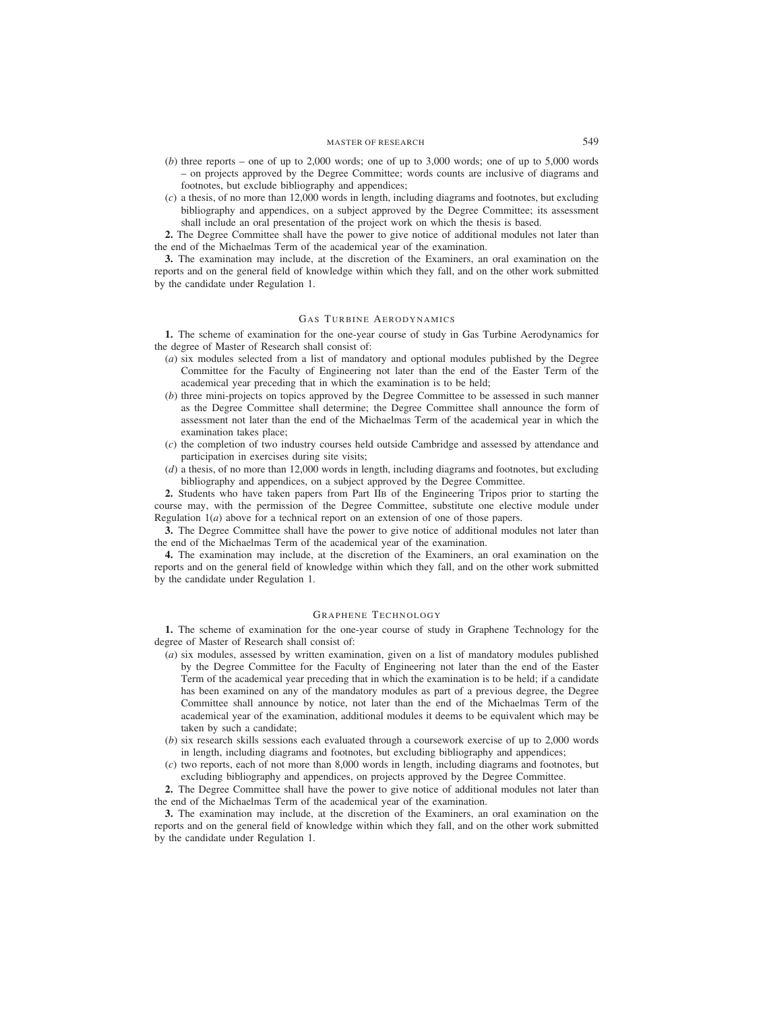- (*b*) three reports one of up to 2,000 words; one of up to 3,000 words; one of up to 5,000 words – on projects approved by the Degree Committee; words counts are inclusive of diagrams and footnotes, but exclude bibliography and appendices;
- (*c*) a thesis, of no more than 12,000 words in length, including diagrams and footnotes, but excluding bibliography and appendices, on a subject approved by the Degree Committee; its assessment shall include an oral presentation of the project work on which the thesis is based.

**2.** The Degree Committee shall have the power to give notice of additional modules not later than the end of the Michaelmas Term of the academical year of the examination.

**3.** The examination may include, at the discretion of the Examiners, an oral examination on the reports and on the general field of knowledge within which they fall, and on the other work submitted by the candidate under Regulation 1.

## GAS TURBINE AERODYNAMICS

**1.** The scheme of examination for the one-year course of study in Gas Turbine Aerodynamics for the degree of Master of Research shall consist of:

- (*a*) six modules selected from a list of mandatory and optional modules published by the Degree Committee for the Faculty of Engineering not later than the end of the Easter Term of the academical year preceding that in which the examination is to be held;
- (*b*) three mini-projects on topics approved by the Degree Committee to be assessed in such manner as the Degree Committee shall determine; the Degree Committee shall announce the form of assessment not later than the end of the Michaelmas Term of the academical year in which the examination takes place;
- (*c*) the completion of two industry courses held outside Cambridge and assessed by attendance and participation in exercises during site visits;
- (*d*) a thesis, of no more than 12,000 words in length, including diagrams and footnotes, but excluding bibliography and appendices, on a subject approved by the Degree Committee.

**2.** Students who have taken papers from Part IIB of the Engineering Tripos prior to starting the course may, with the permission of the Degree Committee, substitute one elective module under Regulation 1(*a*) above for a technical report on an extension of one of those papers.

**3.** The Degree Committee shall have the power to give notice of additional modules not later than the end of the Michaelmas Term of the academical year of the examination.

**4.** The examination may include, at the discretion of the Examiners, an oral examination on the reports and on the general field of knowledge within which they fall, and on the other work submitted by the candidate under Regulation 1.

# GRAPHENE TECHNOLOGY

**1.** The scheme of examination for the one-year course of study in Graphene Technology for the degree of Master of Research shall consist of:

- (*a*) six modules, assessed by written examination, given on a list of mandatory modules published by the Degree Committee for the Faculty of Engineering not later than the end of the Easter Term of the academical year preceding that in which the examination is to be held; if a candidate has been examined on any of the mandatory modules as part of a previous degree, the Degree Committee shall announce by notice, not later than the end of the Michaelmas Term of the academical year of the examination, additional modules it deems to be equivalent which may be taken by such a candidate;
- (*b*) six research skills sessions each evaluated through a coursework exercise of up to 2,000 words in length, including diagrams and footnotes, but excluding bibliography and appendices;
- (*c*) two reports, each of not more than 8,000 words in length, including diagrams and footnotes, but excluding bibliography and appendices, on projects approved by the Degree Committee.

**2.** The Degree Committee shall have the power to give notice of additional modules not later than the end of the Michaelmas Term of the academical year of the examination.

**3.** The examination may include, at the discretion of the Examiners, an oral examination on the reports and on the general field of knowledge within which they fall, and on the other work submitted by the candidate under Regulation 1.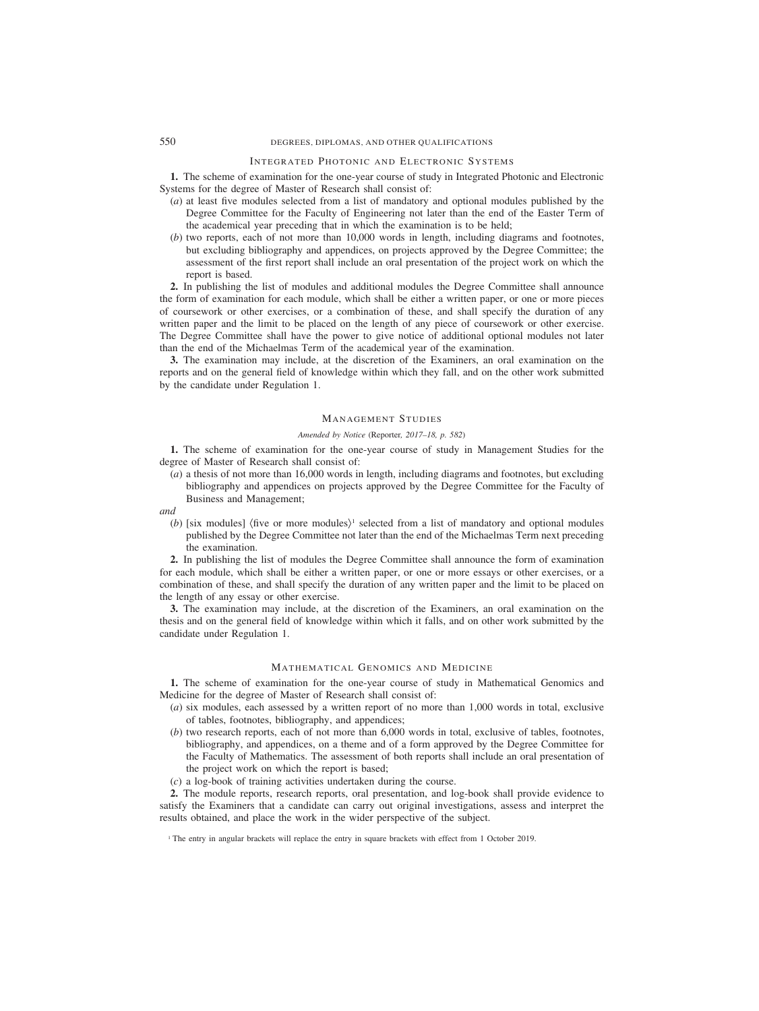# 550 DEGREES, DIPLOMAS, AND OTHER QUALIFICATIONS

## INTEGRATED PHOTONIC AND ELECTRONIC SYSTEMS

**1.** The scheme of examination for the one-year course of study in Integrated Photonic and Electronic Systems for the degree of Master of Research shall consist of:

- (*a*) at least five modules selected from a list of mandatory and optional modules published by the Degree Committee for the Faculty of Engineering not later than the end of the Easter Term of the academical year preceding that in which the examination is to be held;
- (*b*) two reports, each of not more than 10,000 words in length, including diagrams and footnotes, but excluding bibliography and appendices, on projects approved by the Degree Committee; the assessment of the first report shall include an oral presentation of the project work on which the report is based.

**2.** In publishing the list of modules and additional modules the Degree Committee shall announce the form of examination for each module, which shall be either a written paper, or one or more pieces of coursework or other exercises, or a combination of these, and shall specify the duration of any written paper and the limit to be placed on the length of any piece of coursework or other exercise. The Degree Committee shall have the power to give notice of additional optional modules not later than the end of the Michaelmas Term of the academical year of the examination.

**3.** The examination may include, at the discretion of the Examiners, an oral examination on the reports and on the general field of knowledge within which they fall, and on the other work submitted by the candidate under Regulation 1.

## MANAGEMENT STUDIES

### *Amended by Notice (*Reporter*, 2017–18, p. 582)*

**1.** The scheme of examination for the one-year course of study in Management Studies for the degree of Master of Research shall consist of:

(*a*) a thesis of not more than 16,000 words in length, including diagrams and footnotes, but excluding bibliography and appendices on projects approved by the Degree Committee for the Faculty of Business and Management;

#### *and*

(*b*) [six modules] (five or more modules)<sup>1</sup> selected from a list of mandatory and optional modules published by the Degree Committee not later than the end of the Michaelmas Term next preceding the examination.

**2.** In publishing the list of modules the Degree Committee shall announce the form of examination for each module, which shall be either a written paper, or one or more essays or other exercises, or a combination of these, and shall specify the duration of any written paper and the limit to be placed on the length of any essay or other exercise.

**3.** The examination may include, at the discretion of the Examiners, an oral examination on the thesis and on the general field of knowledge within which it falls, and on other work submitted by the candidate under Regulation 1.

## MATHEMATICAL GENOMICS AND MEDICINE

**1.** The scheme of examination for the one-year course of study in Mathematical Genomics and Medicine for the degree of Master of Research shall consist of:

- (*a*) six modules, each assessed by a written report of no more than 1,000 words in total, exclusive of tables, footnotes, bibliography, and appendices;
- (*b*) two research reports, each of not more than 6,000 words in total, exclusive of tables, footnotes, bibliography, and appendices, on a theme and of a form approved by the Degree Committee for the Faculty of Mathematics. The assessment of both reports shall include an oral presentation of the project work on which the report is based;
- (*c*) a log-book of training activities undertaken during the course.

**2.** The module reports, research reports, oral presentation, and log-book shall provide evidence to satisfy the Examiners that a candidate can carry out original investigations, assess and interpret the results obtained, and place the work in the wider perspective of the subject.

<sup>&</sup>lt;sup>1</sup> The entry in angular brackets will replace the entry in square brackets with effect from 1 October 2019.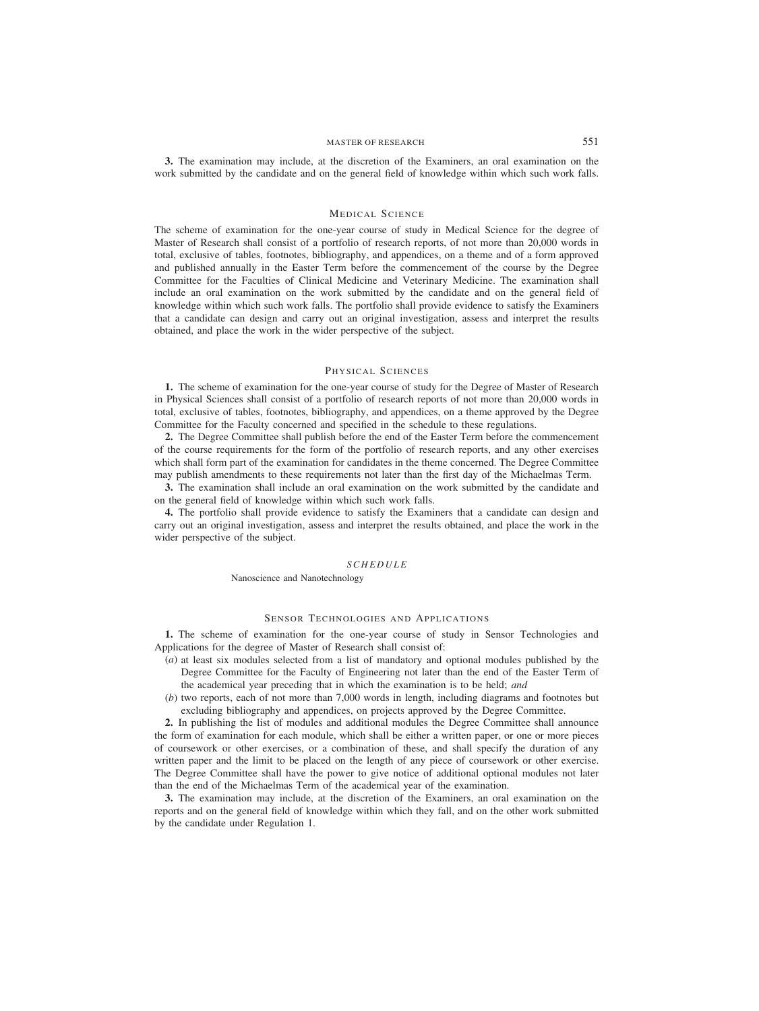## MASTER OF RESEARCH 551

**3.** The examination may include, at the discretion of the Examiners, an oral examination on the work submitted by the candidate and on the general field of knowledge within which such work falls.

#### MEDICAL SCIENCE

The scheme of examination for the one-year course of study in Medical Science for the degree of Master of Research shall consist of a portfolio of research reports, of not more than 20,000 words in total, exclusive of tables, footnotes, bibliography, and appendices, on a theme and of a form approved and published annually in the Easter Term before the commencement of the course by the Degree Committee for the Faculties of Clinical Medicine and Veterinary Medicine. The examination shall include an oral examination on the work submitted by the candidate and on the general field of knowledge within which such work falls. The portfolio shall provide evidence to satisfy the Examiners that a candidate can design and carry out an original investigation, assess and interpret the results obtained, and place the work in the wider perspective of the subject.

## PHYSICAL SCIENCES

**1.** The scheme of examination for the one-year course of study for the Degree of Master of Research in Physical Sciences shall consist of a portfolio of research reports of not more than 20,000 words in total, exclusive of tables, footnotes, bibliography, and appendices, on a theme approved by the Degree Committee for the Faculty concerned and specified in the schedule to these regulations.

**2.** The Degree Committee shall publish before the end of the Easter Term before the commencement of the course requirements for the form of the portfolio of research reports, and any other exercises which shall form part of the examination for candidates in the theme concerned. The Degree Committee may publish amendments to these requirements not later than the first day of the Michaelmas Term.

**3.** The examination shall include an oral examination on the work submitted by the candidate and on the general field of knowledge within which such work falls.

**4.** The portfolio shall provide evidence to satisfy the Examiners that a candidate can design and carry out an original investigation, assess and interpret the results obtained, and place the work in the wider perspective of the subject.

#### *SCHEDULE*

Nanoscience and Nanotechnology

# SENSOR TECHNOLOGIES AND APPLICATIONS

**1.** The scheme of examination for the one-year course of study in Sensor Technologies and Applications for the degree of Master of Research shall consist of:

- (*a*) at least six modules selected from a list of mandatory and optional modules published by the Degree Committee for the Faculty of Engineering not later than the end of the Easter Term of the academical year preceding that in which the examination is to be held; *and*
- (*b*) two reports, each of not more than 7,000 words in length, including diagrams and footnotes but excluding bibliography and appendices, on projects approved by the Degree Committee.

**2.** In publishing the list of modules and additional modules the Degree Committee shall announce the form of examination for each module, which shall be either a written paper, or one or more pieces of coursework or other exercises, or a combination of these, and shall specify the duration of any written paper and the limit to be placed on the length of any piece of coursework or other exercise. The Degree Committee shall have the power to give notice of additional optional modules not later than the end of the Michaelmas Term of the academical year of the examination.

**3.** The examination may include, at the discretion of the Examiners, an oral examination on the reports and on the general field of knowledge within which they fall, and on the other work submitted by the candidate under Regulation 1.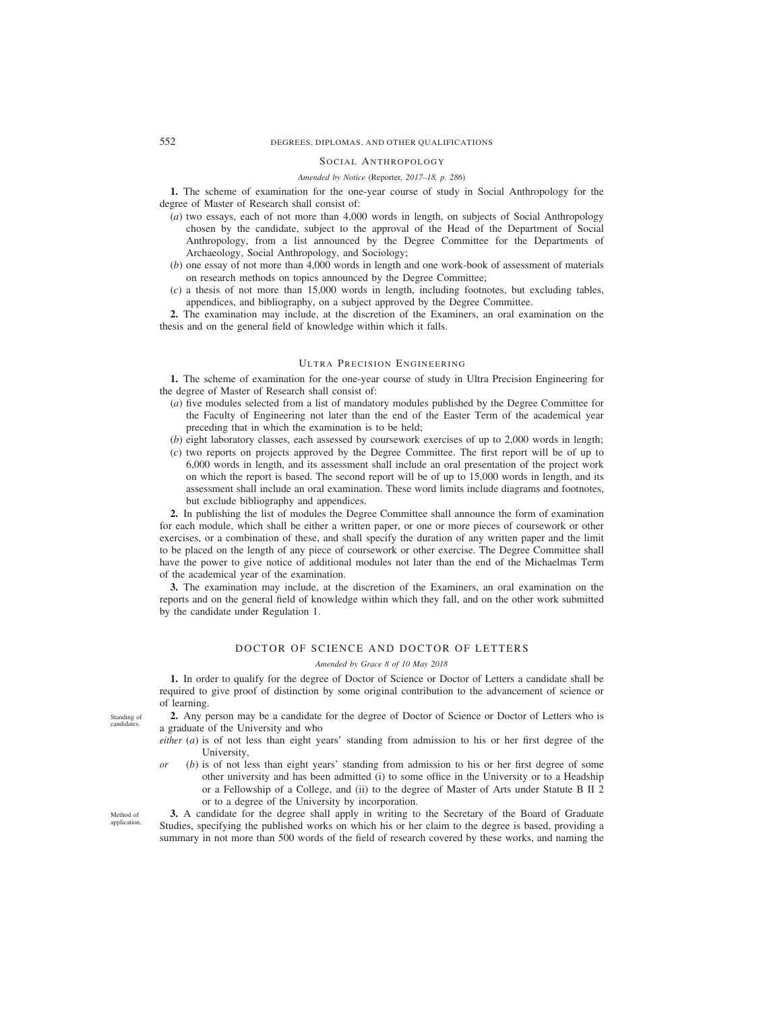# 552 DEGREES, DIPLOMAS, AND OTHER QUALIFICATIONS

### SOCIAL ANTHROPOLOGY

#### *Amended by Notice (*Reporter*, 2017–18, p. 286)*

**1.** The scheme of examination for the one-year course of study in Social Anthropology for the degree of Master of Research shall consist of:

- (*a*) two essays, each of not more than 4,000 words in length, on subjects of Social Anthropology chosen by the candidate, subject to the approval of the Head of the Department of Social Anthropology, from a list announced by the Degree Committee for the Departments of Archaeology, Social Anthropology, and Sociology;
- (*b*) one essay of not more than 4,000 words in length and one work-book of assessment of materials on research methods on topics announced by the Degree Committee;
- (*c*) a thesis of not more than 15,000 words in length, including footnotes, but excluding tables, appendices, and bibliography, on a subject approved by the Degree Committee.

**2.** The examination may include, at the discretion of the Examiners, an oral examination on the thesis and on the general field of knowledge within which it falls.

### ULTRA PRECISION ENGINEERING

**1.** The scheme of examination for the one-year course of study in Ultra Precision Engineering for the degree of Master of Research shall consist of:

- (*a*) five modules selected from a list of mandatory modules published by the Degree Committee for the Faculty of Engineering not later than the end of the Easter Term of the academical year preceding that in which the examination is to be held;
- (*b*) eight laboratory classes, each assessed by coursework exercises of up to 2,000 words in length;
- (*c*) two reports on projects approved by the Degree Committee. The first report will be of up to 6,000 words in length, and its assessment shall include an oral presentation of the project work on which the report is based. The second report will be of up to 15,000 words in length, and its assessment shall include an oral examination. These word limits include diagrams and footnotes, but exclude bibliography and appendices.

**2.** In publishing the list of modules the Degree Committee shall announce the form of examination for each module, which shall be either a written paper, or one or more pieces of coursework or other exercises, or a combination of these, and shall specify the duration of any written paper and the limit to be placed on the length of any piece of coursework or other exercise. The Degree Committee shall have the power to give notice of additional modules not later than the end of the Michaelmas Term of the academical year of the examination.

**3.** The examination may include, at the discretion of the Examiners, an oral examination on the reports and on the general field of knowledge within which they fall, and on the other work submitted by the candidate under Regulation 1.

# DOCTOR OF SCIENCE AND DOCTOR OF LETTERS

### *Amended by Grace 8 of 10 May 2018*

**1.** In order to qualify for the degree of Doctor of Science or Doctor of Letters a candidate shall be required to give proof of distinction by some original contribution to the advancement of science or of learning.

**2.** Any person may be a candidate for the degree of Doctor of Science or Doctor of Letters who is a graduate of the University and who

- *either* (*a*) is of not less than eight years' standing from admission to his or her first degree of the University,
- *or* (*b*) is of not less than eight years' standing from admission to his or her first degree of some other university and has been admitted (i) to some office in the University or to a Headship or a Fellowship of a College, and (ii) to the degree of Master of Arts under Statute B II 2 or to a degree of the University by incorporation.

**3.** A candidate for the degree shall apply in writing to the Secretary of the Board of Graduate Studies, specifying the published works on which his or her claim to the degree is based, providing a summary in not more than 500 words of the field of research covered by these works, and naming the

Standing of candidate

Method of application.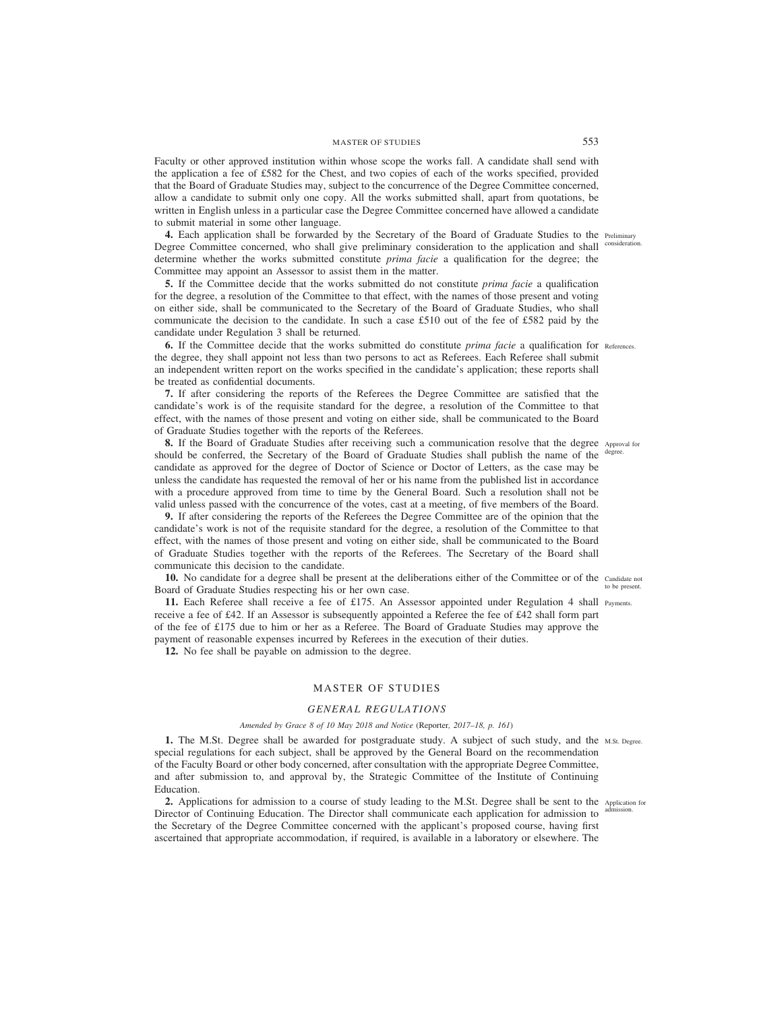Faculty or other approved institution within whose scope the works fall. A candidate shall send with the application a fee of £582 for the Chest, and two copies of each of the works specified, provided that the Board of Graduate Studies may, subject to the concurrence of the Degree Committee concerned, allow a candidate to submit only one copy. All the works submitted shall, apart from quotations, be written in English unless in a particular case the Degree Committee concerned have allowed a candidate to submit material in some other language.

**4.** Each application shall be forwarded by the Secretary of the Board of Graduate Studies to the Preliminary Degree Committee concerned, who shall give preliminary consideration to the application and shall determine whether the works submitted constitute *prima facie* a qualification for the degree; the Committee may appoint an Assessor to assist them in the matter.

**5.** If the Committee decide that the works submitted do not constitute *prima facie* a qualification for the degree, a resolution of the Committee to that effect, with the names of those present and voting on either side, shall be communicated to the Secretary of the Board of Graduate Studies, who shall communicate the decision to the candidate. In such a case £510 out of the fee of £582 paid by the candidate under Regulation 3 shall be returned.

**6.** If the Committee decide that the works submitted do constitute *prima facie* a qualification for References. the degree, they shall appoint not less than two persons to act as Referees. Each Referee shall submit an independent written report on the works specified in the candidate's application; these reports shall be treated as confidential documents.

**7.** If after considering the reports of the Referees the Degree Committee are satisfied that the candidate's work is of the requisite standard for the degree, a resolution of the Committee to that effect, with the names of those present and voting on either side, shall be communicated to the Board of Graduate Studies together with the reports of the Referees.

**8.** If the Board of Graduate Studies after receiving such a communication resolve that the degree Approval for should be conferred, the Secretary of the Board of Graduate Studies shall publish the name of the degree. candidate as approved for the degree of Doctor of Science or Doctor of Letters, as the case may be unless the candidate has requested the removal of her or his name from the published list in accordance with a procedure approved from time to time by the General Board. Such a resolution shall not be valid unless passed with the concurrence of the votes, cast at a meeting, of five members of the Board.

**9.** If after considering the reports of the Referees the Degree Committee are of the opinion that the candidate's work is not of the requisite standard for the degree, a resolution of the Committee to that effect, with the names of those present and voting on either side, shall be communicated to the Board of Graduate Studies together with the reports of the Referees. The Secretary of the Board shall communicate this decision to the candidate.

10. No candidate for a degree shall be present at the deliberations either of the Committee or of the Candidate not Board of Graduate Studies respecting his or her own case. to be present.

11. Each Referee shall receive a fee of £175. An Assessor appointed under Regulation 4 shall Payments. receive a fee of £42. If an Assessor is subsequently appointed a Referee the fee of £42 shall form part of the fee of £175 due to him or her as a Referee. The Board of Graduate Studies may approve the payment of reasonable expenses incurred by Referees in the execution of their duties.

**12.** No fee shall be payable on admission to the degree.

# MASTER OF STUDIES

### *GENERAL REGULATIONS*

# *Amended by Grace 8 of 10 May 2018 and Notice (*Reporter*, 2017–18, p. 161)*

**1.** The M.St. Degree shall be awarded for postgraduate study. A subject of such study, and the M.St. Degree. special regulations for each subject, shall be approved by the General Board on the recommendation of the Faculty Board or other body concerned, after consultation with the appropriate Degree Committee, and after submission to, and approval by, the Strategic Committee of the Institute of Continuing Education.

2. Applications for admission to a course of study leading to the M.St. Degree shall be sent to the Application for Director of Continuing Education. The Director shall communicate each application for admission to the Secretary of the Degree Committee concerned with the applicant's proposed course, having first ascertained that appropriate accommodation, if required, is available in a laboratory or elsewhere. The admission.

consideration.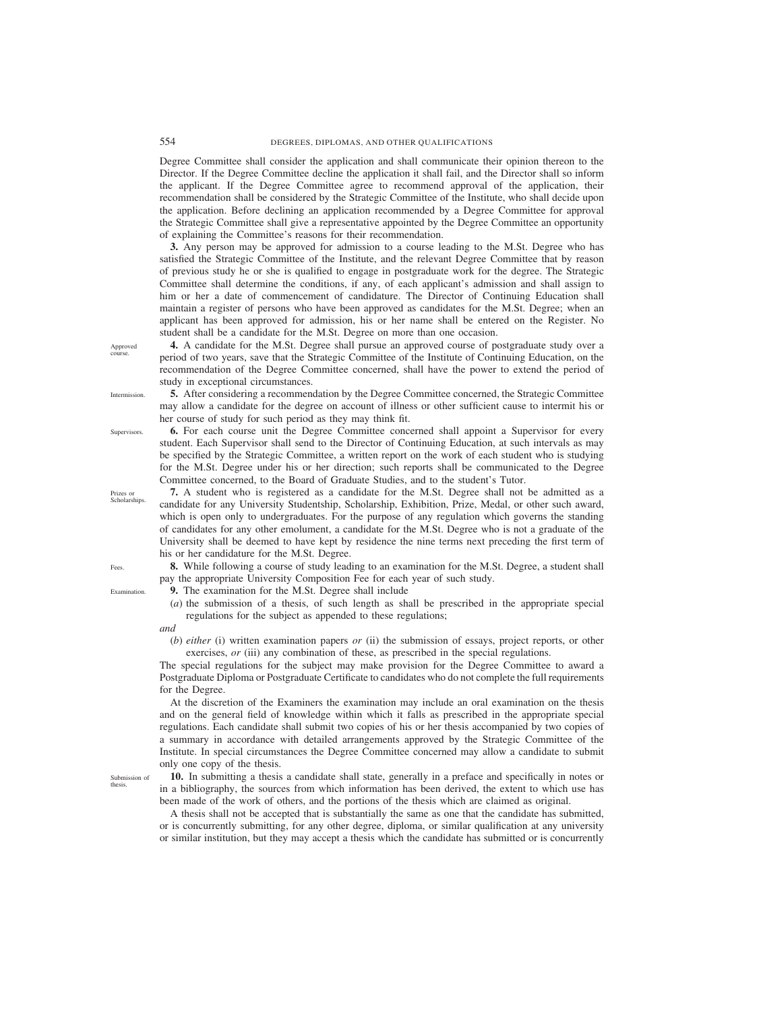Degree Committee shall consider the application and shall communicate their opinion thereon to the Director. If the Degree Committee decline the application it shall fail, and the Director shall so inform the applicant. If the Degree Committee agree to recommend approval of the application, their recommendation shall be considered by the Strategic Committee of the Institute, who shall decide upon the application. Before declining an application recommended by a Degree Committee for approval the Strategic Committee shall give a representative appointed by the Degree Committee an opportunity of explaining the Committee's reasons for their recommendation.

**3.** Any person may be approved for admission to a course leading to the M.St. Degree who has satisfied the Strategic Committee of the Institute, and the relevant Degree Committee that by reason of previous study he or she is qualified to engage in postgraduate work for the degree. The Strategic Committee shall determine the conditions, if any, of each applicant's admission and shall assign to him or her a date of commencement of candidature. The Director of Continuing Education shall maintain a register of persons who have been approved as candidates for the M.St. Degree; when an applicant has been approved for admission, his or her name shall be entered on the Register. No student shall be a candidate for the M.St. Degree on more than one occasion.

**4.** A candidate for the M.St. Degree shall pursue an approved course of postgraduate study over a period of two years, save that the Strategic Committee of the Institute of Continuing Education, on the recommendation of the Degree Committee concerned, shall have the power to extend the period of study in exceptional circumstances.

**5.** After considering a recommendation by the Degree Committee concerned, the Strategic Committee may allow a candidate for the degree on account of illness or other sufficient cause to intermit his or her course of study for such period as they may think fit.

**6.** For each course unit the Degree Committee concerned shall appoint a Supervisor for every student. Each Supervisor shall send to the Director of Continuing Education, at such intervals as may be specified by the Strategic Committee, a written report on the work of each student who is studying for the M.St. Degree under his or her direction; such reports shall be communicated to the Degree Committee concerned, to the Board of Graduate Studies, and to the student's Tutor.

**7.** A student who is registered as a candidate for the M.St. Degree shall not be admitted as a candidate for any University Studentship, Scholarship, Exhibition, Prize, Medal, or other such award, which is open only to undergraduates. For the purpose of any regulation which governs the standing of candidates for any other emolument, a candidate for the M.St. Degree who is not a graduate of the University shall be deemed to have kept by residence the nine terms next preceding the first term of his or her candidature for the M.St. Degree.

**8.** While following a course of study leading to an examination for the M.St. Degree, a student shall pay the appropriate University Composition Fee for each year of such study.

**9.** The examination for the M.St. Degree shall include

(*a*) the submission of a thesis, of such length as shall be prescribed in the appropriate special regulations for the subject as appended to these regulations;

#### *and*

(*b*) *either* (i) written examination papers *or* (ii) the submission of essays, project reports, or other exercises, *or* (iii) any combination of these, as prescribed in the special regulations.

The special regulations for the subject may make provision for the Degree Committee to award a Postgraduate Diploma or Postgraduate Certificate to candidates who do not complete the full requirements for the Degree.

At the discretion of the Examiners the examination may include an oral examination on the thesis and on the general field of knowledge within which it falls as prescribed in the appropriate special regulations. Each candidate shall submit two copies of his or her thesis accompanied by two copies of a summary in accordance with detailed arrangements approved by the Strategic Committee of the Institute. In special circumstances the Degree Committee concerned may allow a candidate to submit only one copy of the thesis.

**10.** In submitting a thesis a candidate shall state, generally in a preface and specifically in notes or in a bibliography, the sources from which information has been derived, the extent to which use has been made of the work of others, and the portions of the thesis which are claimed as original.

A thesis shall not be accepted that is substantially the same as one that the candidate has submitted, or is concurrently submitting, for any other degree, diploma, or similar qualification at any university or similar institution, but they may accept a thesis which the candidate has submitted or is concurrently

Approved course.

Intermission.

Supervisors.

Prizes or Scholarships.

Fees.

Examination.

Submission of thesis.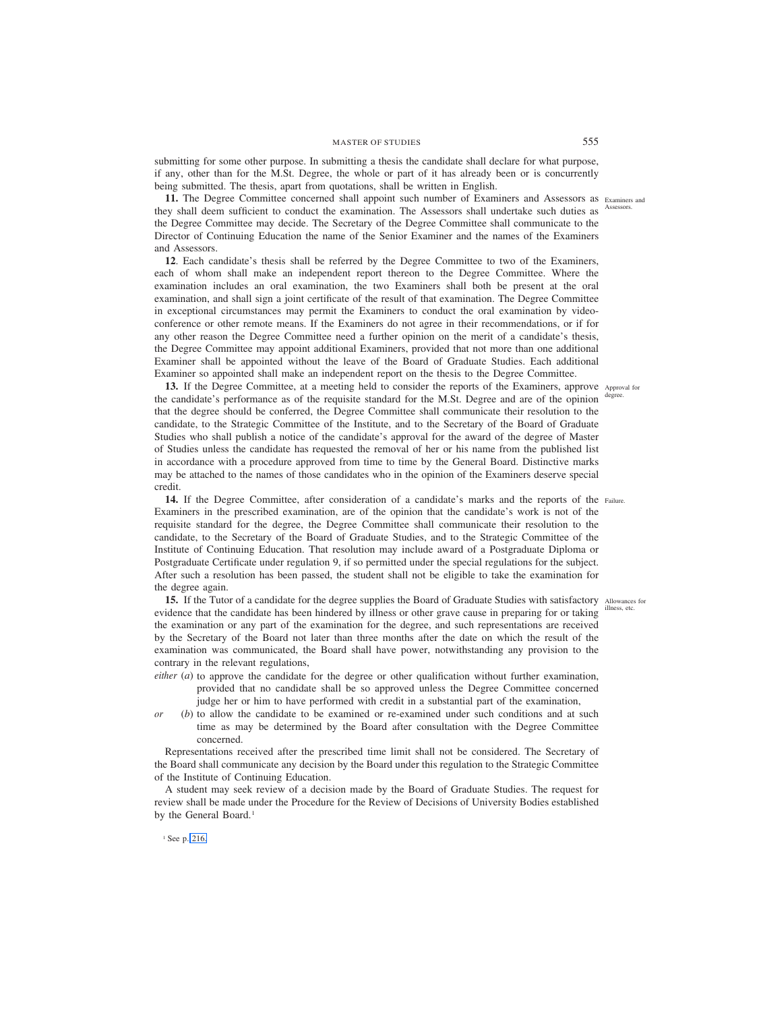# MASTER OF STUDIES 555

submitting for some other purpose. In submitting a thesis the candidate shall declare for what purpose, if any, other than for the M.St. Degree, the whole or part of it has already been or is concurrently being submitted. The thesis, apart from quotations, shall be written in English.

11. The Degree Committee concerned shall appoint such number of Examiners and Assessors as Examiners and they shall deem sufficient to conduct the examination. The Assessors shall undertake such duties as Assessors. the Degree Committee may decide. The Secretary of the Degree Committee shall communicate to the Director of Continuing Education the name of the Senior Examiner and the names of the Examiners and Assessors.

**12**. Each candidate's thesis shall be referred by the Degree Committee to two of the Examiners, each of whom shall make an independent report thereon to the Degree Committee. Where the examination includes an oral examination, the two Examiners shall both be present at the oral examination, and shall sign a joint certificate of the result of that examination. The Degree Committee in exceptional circumstances may permit the Examiners to conduct the oral examination by videoconference or other remote means. If the Examiners do not agree in their recommendations, or if for any other reason the Degree Committee need a further opinion on the merit of a candidate's thesis, the Degree Committee may appoint additional Examiners, provided that not more than one additional Examiner shall be appointed without the leave of the Board of Graduate Studies. Each additional Examiner so appointed shall make an independent report on the thesis to the Degree Committee.

13. If the Degree Committee, at a meeting held to consider the reports of the Examiners, approve Approval for the candidate's performance as of the requisite standard for the M.St. Degree and are of the opinion degree. that the degree should be conferred, the Degree Committee shall communicate their resolution to the candidate, to the Strategic Committee of the Institute, and to the Secretary of the Board of Graduate Studies who shall publish a notice of the candidate's approval for the award of the degree of Master of Studies unless the candidate has requested the removal of her or his name from the published list in accordance with a procedure approved from time to time by the General Board. Distinctive marks may be attached to the names of those candidates who in the opinion of the Examiners deserve special credit.

14. If the Degree Committee, after consideration of a candidate's marks and the reports of the Failure. Examiners in the prescribed examination, are of the opinion that the candidate's work is not of the requisite standard for the degree, the Degree Committee shall communicate their resolution to the candidate, to the Secretary of the Board of Graduate Studies, and to the Strategic Committee of the Institute of Continuing Education. That resolution may include award of a Postgraduate Diploma or Postgraduate Certificate under regulation 9, if so permitted under the special regulations for the subject. After such a resolution has been passed, the student shall not be eligible to take the examination for the degree again.

15. If the Tutor of a candidate for the degree supplies the Board of Graduate Studies with satisfactory Allowances for evidence that the candidate has been hindered by illness or other grave cause in preparing for or taking the examination or any part of the examination for the degree, and such representations are received by the Secretary of the Board not later than three months after the date on which the result of the examination was communicated, the Board shall have power, notwithstanding any provision to the contrary in the relevant regulations, illness, etc.

- *either* (*a*) to approve the candidate for the degree or other qualification without further examination, provided that no candidate shall be so approved unless the Degree Committee concerned judge her or him to have performed with credit in a substantial part of the examination,
- *or* (*b*) to allow the candidate to be examined or re-examined under such conditions and at such time as may be determined by the Board after consultation with the Degree Committee concerned.

Representations received after the prescribed time limit shall not be considered. The Secretary of the Board shall communicate any decision by the Board under this regulation to the Strategic Committee of the Institute of Continuing Education.

A student may seek review of a decision made by the Board of Graduate Studies. The request for review shall be made under the Procedure for the Review of Decisions of University Bodies established by the General Board.<sup>1</sup>

<sup>1</sup> See p. 216.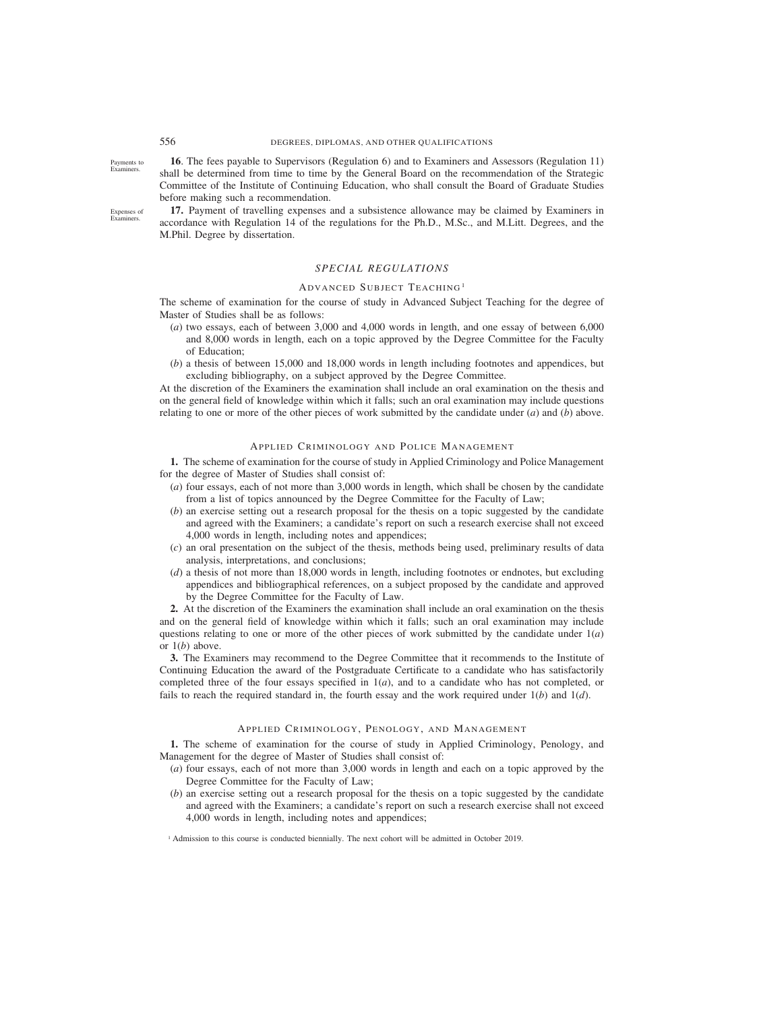Payments to Examiners.

**16**. The fees payable to Supervisors (Regulation 6) and to Examiners and Assessors (Regulation 11) shall be determined from time to time by the General Board on the recommendation of the Strategic Committee of the Institute of Continuing Education, who shall consult the Board of Graduate Studies before making such a recommendation.

Expenses of Examiners.

**17.** Payment of travelling expenses and a subsistence allowance may be claimed by Examiners in accordance with Regulation 14 of the regulations for the Ph.D., M.Sc., and M.Litt. Degrees, and the M.Phil. Degree by dissertation.

# *SPECIAL REGULATIONS*

#### ADVANCED SUBJECT TEACHING <sup>1</sup>

The scheme of examination for the course of study in Advanced Subject Teaching for the degree of Master of Studies shall be as follows:

- (*a*) two essays, each of between 3,000 and 4,000 words in length, and one essay of between 6,000 and 8,000 words in length, each on a topic approved by the Degree Committee for the Faculty of Education;
- (*b*) a thesis of between 15,000 and 18,000 words in length including footnotes and appendices, but excluding bibliography, on a subject approved by the Degree Committee.

At the discretion of the Examiners the examination shall include an oral examination on the thesis and on the general field of knowledge within which it falls; such an oral examination may include questions relating to one or more of the other pieces of work submitted by the candidate under (*a*) and (*b*) above.

# APPLIED CRIMINOLOGY AND POLICE MANAGEMENT

**1.** The scheme of examination for the course of study in Applied Criminology and Police Management for the degree of Master of Studies shall consist of:

- (*a*) four essays, each of not more than 3,000 words in length, which shall be chosen by the candidate from a list of topics announced by the Degree Committee for the Faculty of Law;
- (*b*) an exercise setting out a research proposal for the thesis on a topic suggested by the candidate and agreed with the Examiners; a candidate's report on such a research exercise shall not exceed 4,000 words in length, including notes and appendices;
- (*c*) an oral presentation on the subject of the thesis, methods being used, preliminary results of data analysis, interpretations, and conclusions;
- (*d*) a thesis of not more than 18,000 words in length, including footnotes or endnotes, but excluding appendices and bibliographical references, on a subject proposed by the candidate and approved by the Degree Committee for the Faculty of Law.

**2.** At the discretion of the Examiners the examination shall include an oral examination on the thesis and on the general field of knowledge within which it falls; such an oral examination may include questions relating to one or more of the other pieces of work submitted by the candidate under 1(*a*) or 1(*b*) above.

**3.** The Examiners may recommend to the Degree Committee that it recommends to the Institute of Continuing Education the award of the Postgraduate Certificate to a candidate who has satisfactorily completed three of the four essays specified in 1(*a*), and to a candidate who has not completed, or fails to reach the required standard in, the fourth essay and the work required under 1(*b*) and 1(*d*).

# APPLIED CRIMINOLOGY, PENOLOGY, AND MANAGEMENT

**1.** The scheme of examination for the course of study in Applied Criminology, Penology, and Management for the degree of Master of Studies shall consist of:

- (*a*) four essays, each of not more than 3,000 words in length and each on a topic approved by the Degree Committee for the Faculty of Law;
- (*b*) an exercise setting out a research proposal for the thesis on a topic suggested by the candidate and agreed with the Examiners; a candidate's report on such a research exercise shall not exceed 4,000 words in length, including notes and appendices;

<sup>1</sup> Admission to this course is conducted biennially. The next cohort will be admitted in October 2019.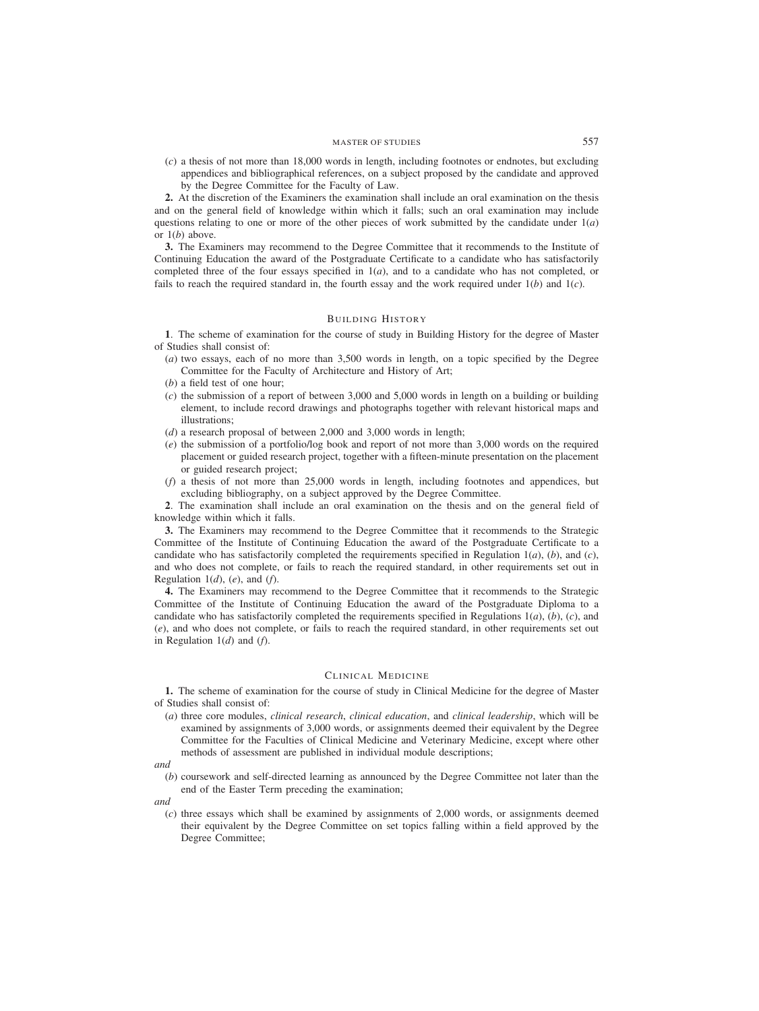(*c*) a thesis of not more than 18,000 words in length, including footnotes or endnotes, but excluding appendices and bibliographical references, on a subject proposed by the candidate and approved by the Degree Committee for the Faculty of Law.

**2.** At the discretion of the Examiners the examination shall include an oral examination on the thesis and on the general field of knowledge within which it falls; such an oral examination may include questions relating to one or more of the other pieces of work submitted by the candidate under  $1(a)$ or 1(*b*) above.

**3.** The Examiners may recommend to the Degree Committee that it recommends to the Institute of Continuing Education the award of the Postgraduate Certificate to a candidate who has satisfactorily completed three of the four essays specified in 1(*a*), and to a candidate who has not completed, or fails to reach the required standard in, the fourth essay and the work required under 1(*b*) and 1(*c*).

# BUILDING HISTORY

**1**. The scheme of examination for the course of study in Building History for the degree of Master of Studies shall consist of:

- (*a*) two essays, each of no more than 3,500 words in length, on a topic specified by the Degree Committee for the Faculty of Architecture and History of Art;
- (*b*) a field test of one hour;
- (*c*) the submission of a report of between 3,000 and 5,000 words in length on a building or building element, to include record drawings and photographs together with relevant historical maps and illustrations;
- (*d*) a research proposal of between 2,000 and 3,000 words in length;
- (*e*) the submission of a portfolio/log book and report of not more than 3,000 words on the required placement or guided research project, together with a fifteen-minute presentation on the placement or guided research project;
- (*f*) a thesis of not more than 25,000 words in length, including footnotes and appendices, but excluding bibliography, on a subject approved by the Degree Committee.

**2**. The examination shall include an oral examination on the thesis and on the general field of knowledge within which it falls.

**3.** The Examiners may recommend to the Degree Committee that it recommends to the Strategic Committee of the Institute of Continuing Education the award of the Postgraduate Certificate to a candidate who has satisfactorily completed the requirements specified in Regulation  $1(a)$ ,  $(b)$ , and  $(c)$ , and who does not complete, or fails to reach the required standard, in other requirements set out in Regulation  $1(d)$ ,  $(e)$ , and  $(f)$ .

**4.** The Examiners may recommend to the Degree Committee that it recommends to the Strategic Committee of the Institute of Continuing Education the award of the Postgraduate Diploma to a candidate who has satisfactorily completed the requirements specified in Regulations 1(*a*), (*b*), (*c*), and (*e*), and who does not complete, or fails to reach the required standard, in other requirements set out in Regulation 1(*d*) and (*f*).

#### CLINICAL MEDICINE

**1.** The scheme of examination for the course of study in Clinical Medicine for the degree of Master of Studies shall consist of:

- (*a*) three core modules, *clinical research*, *clinical education*, and *clinical leadership*, which will be examined by assignments of 3,000 words, or assignments deemed their equivalent by the Degree Committee for the Faculties of Clinical Medicine and Veterinary Medicine, except where other methods of assessment are published in individual module descriptions;
- *and*
	- (*b*) coursework and self-directed learning as announced by the Degree Committee not later than the end of the Easter Term preceding the examination;
- *and*
	- (*c*) three essays which shall be examined by assignments of 2,000 words, or assignments deemed their equivalent by the Degree Committee on set topics falling within a field approved by the Degree Committee;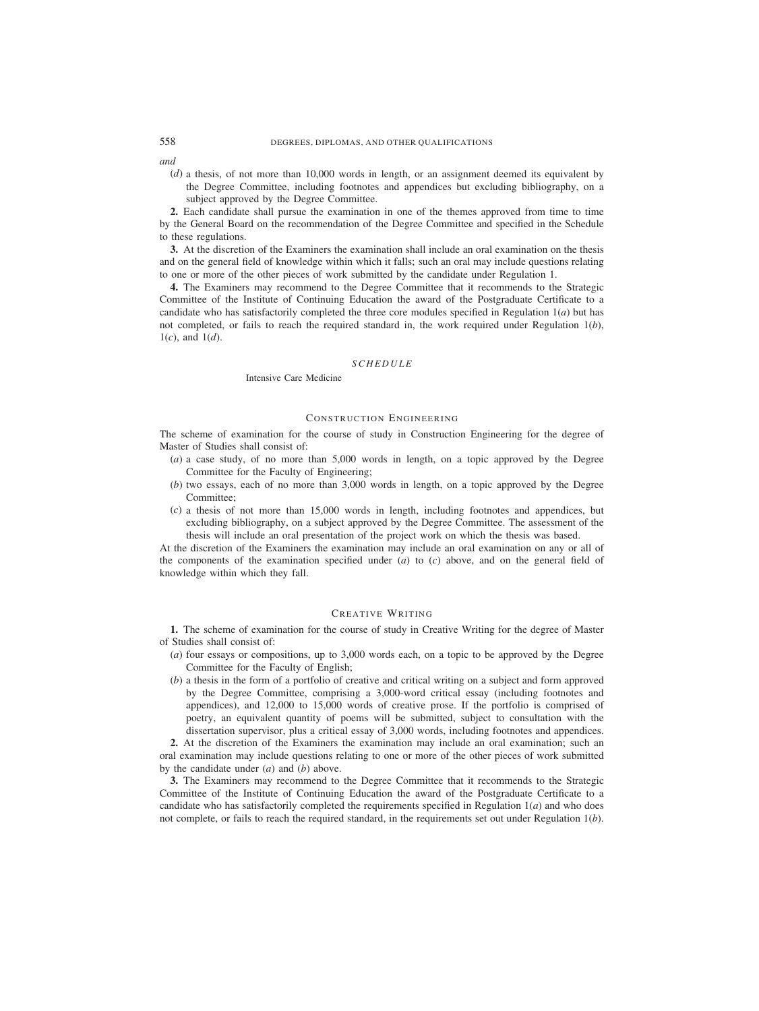*and*

(*d*) a thesis, of not more than 10,000 words in length, or an assignment deemed its equivalent by the Degree Committee, including footnotes and appendices but excluding bibliography, on a subject approved by the Degree Committee.

**2.** Each candidate shall pursue the examination in one of the themes approved from time to time by the General Board on the recommendation of the Degree Committee and specified in the Schedule to these regulations.

**3.** At the discretion of the Examiners the examination shall include an oral examination on the thesis and on the general field of knowledge within which it falls; such an oral may include questions relating to one or more of the other pieces of work submitted by the candidate under Regulation 1.

**4.** The Examiners may recommend to the Degree Committee that it recommends to the Strategic Committee of the Institute of Continuing Education the award of the Postgraduate Certificate to a candidate who has satisfactorily completed the three core modules specified in Regulation 1(*a*) but has not completed, or fails to reach the required standard in, the work required under Regulation 1(*b*),  $1(c)$ , and  $1(d)$ .

# *SCHEDULE*

#### Intensive Care Medicine

# CONSTRUCTION ENGINEERING

The scheme of examination for the course of study in Construction Engineering for the degree of Master of Studies shall consist of:

- (*a*) a case study, of no more than 5,000 words in length, on a topic approved by the Degree Committee for the Faculty of Engineering;
- (*b*) two essays, each of no more than 3,000 words in length, on a topic approved by the Degree Committee;
- (*c*) a thesis of not more than 15,000 words in length, including footnotes and appendices, but excluding bibliography, on a subject approved by the Degree Committee. The assessment of the thesis will include an oral presentation of the project work on which the thesis was based.

At the discretion of the Examiners the examination may include an oral examination on any or all of the components of the examination specified under (*a*) to (*c*) above, and on the general field of knowledge within which they fall.

# CREATIVE WRITING

**1.** The scheme of examination for the course of study in Creative Writing for the degree of Master of Studies shall consist of:

- (*a*) four essays or compositions, up to 3,000 words each, on a topic to be approved by the Degree Committee for the Faculty of English;
- (*b*) a thesis in the form of a portfolio of creative and critical writing on a subject and form approved by the Degree Committee, comprising a 3,000-word critical essay (including footnotes and appendices), and 12,000 to 15,000 words of creative prose. If the portfolio is comprised of poetry, an equivalent quantity of poems will be submitted, subject to consultation with the dissertation supervisor, plus a critical essay of 3,000 words, including footnotes and appendices.

**2.** At the discretion of the Examiners the examination may include an oral examination; such an oral examination may include questions relating to one or more of the other pieces of work submitted by the candidate under (*a*) and (*b*) above.

**3.** The Examiners may recommend to the Degree Committee that it recommends to the Strategic Committee of the Institute of Continuing Education the award of the Postgraduate Certificate to a candidate who has satisfactorily completed the requirements specified in Regulation 1(*a*) and who does not complete, or fails to reach the required standard, in the requirements set out under Regulation 1(*b*).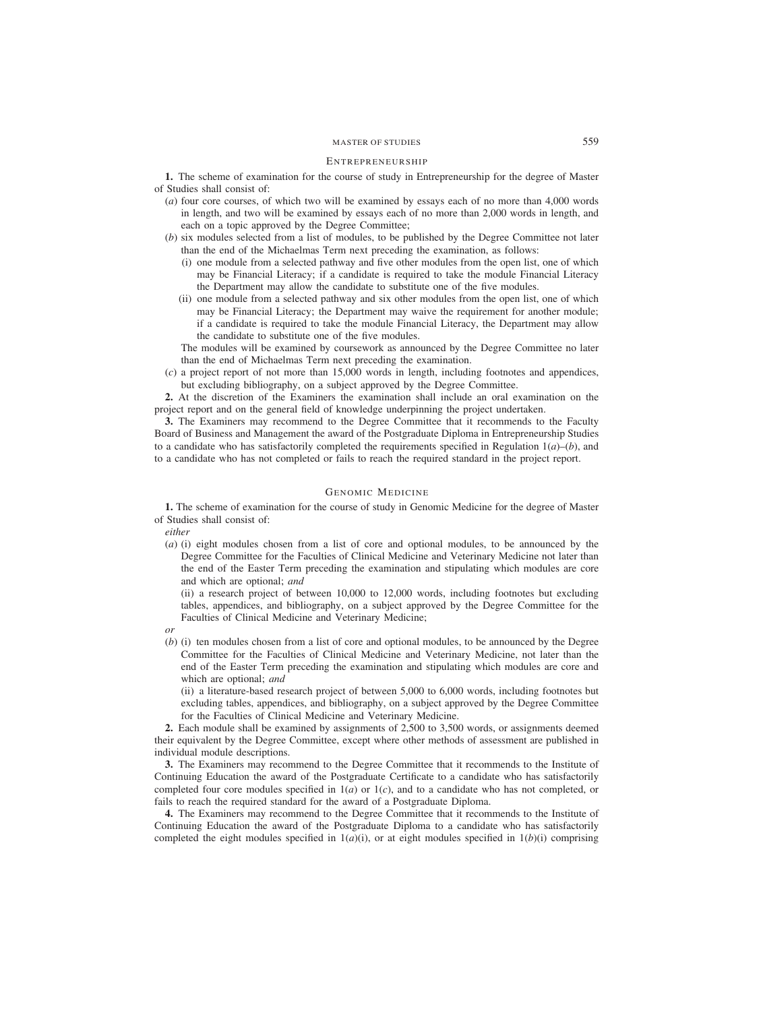# MASTER OF STUDIES 559

#### ENTREPRENEURSHIP

**1.** The scheme of examination for the course of study in Entrepreneurship for the degree of Master of Studies shall consist of:

- (*a*) four core courses, of which two will be examined by essays each of no more than 4,000 words in length, and two will be examined by essays each of no more than 2,000 words in length, and each on a topic approved by the Degree Committee;
- (*b*) six modules selected from a list of modules, to be published by the Degree Committee not later than the end of the Michaelmas Term next preceding the examination, as follows:
	- (i) one module from a selected pathway and five other modules from the open list, one of which may be Financial Literacy; if a candidate is required to take the module Financial Literacy the Department may allow the candidate to substitute one of the five modules.
	- (ii) one module from a selected pathway and six other modules from the open list, one of which may be Financial Literacy; the Department may waive the requirement for another module; if a candidate is required to take the module Financial Literacy, the Department may allow the candidate to substitute one of the five modules.

The modules will be examined by coursework as announced by the Degree Committee no later than the end of Michaelmas Term next preceding the examination.

(*c*) a project report of not more than 15,000 words in length, including footnotes and appendices, but excluding bibliography, on a subject approved by the Degree Committee.

**2.** At the discretion of the Examiners the examination shall include an oral examination on the project report and on the general field of knowledge underpinning the project undertaken.

**3.** The Examiners may recommend to the Degree Committee that it recommends to the Faculty Board of Business and Management the award of the Postgraduate Diploma in Entrepreneurship Studies to a candidate who has satisfactorily completed the requirements specified in Regulation  $1(a)$ –(*b*), and to a candidate who has not completed or fails to reach the required standard in the project report.

# GENOMIC MEDICINE

**1.** The scheme of examination for the course of study in Genomic Medicine for the degree of Master of Studies shall consist of:

*either*

(*a*) (i) eight modules chosen from a list of core and optional modules, to be announced by the Degree Committee for the Faculties of Clinical Medicine and Veterinary Medicine not later than the end of the Easter Term preceding the examination and stipulating which modules are core and which are optional; *and*

(ii) a research project of between 10,000 to 12,000 words, including footnotes but excluding tables, appendices, and bibliography, on a subject approved by the Degree Committee for the Faculties of Clinical Medicine and Veterinary Medicine;

- *or*
- (*b*) (i) ten modules chosen from a list of core and optional modules, to be announced by the Degree Committee for the Faculties of Clinical Medicine and Veterinary Medicine, not later than the end of the Easter Term preceding the examination and stipulating which modules are core and which are optional; *and*

(ii) a literature-based research project of between 5,000 to 6,000 words, including footnotes but excluding tables, appendices, and bibliography, on a subject approved by the Degree Committee for the Faculties of Clinical Medicine and Veterinary Medicine.

**2.** Each module shall be examined by assignments of 2,500 to 3,500 words, or assignments deemed their equivalent by the Degree Committee, except where other methods of assessment are published in individual module descriptions.

**3.** The Examiners may recommend to the Degree Committee that it recommends to the Institute of Continuing Education the award of the Postgraduate Certificate to a candidate who has satisfactorily completed four core modules specified in  $1(a)$  or  $1(c)$ , and to a candidate who has not completed, or fails to reach the required standard for the award of a Postgraduate Diploma.

**4.** The Examiners may recommend to the Degree Committee that it recommends to the Institute of Continuing Education the award of the Postgraduate Diploma to a candidate who has satisfactorily completed the eight modules specified in  $1(a)(i)$ , or at eight modules specified in  $1(b)(i)$  comprising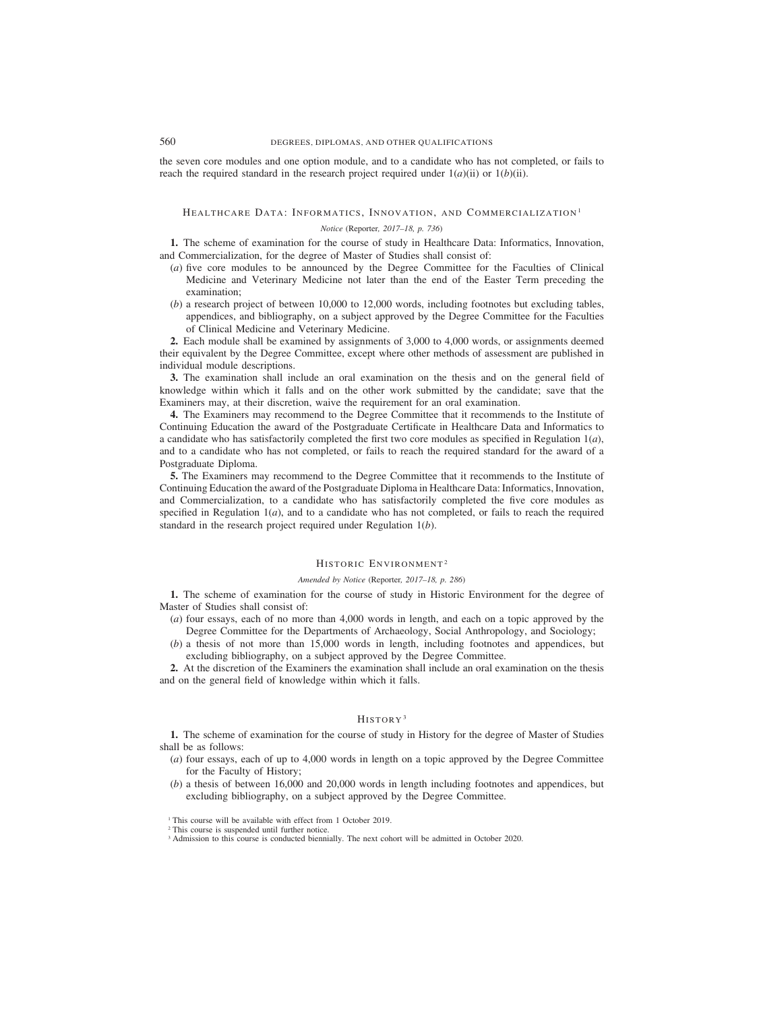the seven core modules and one option module, and to a candidate who has not completed, or fails to reach the required standard in the research project required under  $1(a)(ii)$  or  $1(b)(ii)$ .

#### HEALTHCARE DATA: INFORMATICS, INNOVATION, AND COMMERCIALIZATION<sup>1</sup>

# *Notice (*Reporter*, 2017–18, p. 736)*

**1.** The scheme of examination for the course of study in Healthcare Data: Informatics, Innovation, and Commercialization, for the degree of Master of Studies shall consist of:

- (*a*) five core modules to be announced by the Degree Committee for the Faculties of Clinical Medicine and Veterinary Medicine not later than the end of the Easter Term preceding the examination;
- (*b*) a research project of between 10,000 to 12,000 words, including footnotes but excluding tables, appendices, and bibliography, on a subject approved by the Degree Committee for the Faculties of Clinical Medicine and Veterinary Medicine.

**2.** Each module shall be examined by assignments of 3,000 to 4,000 words, or assignments deemed their equivalent by the Degree Committee, except where other methods of assessment are published in individual module descriptions.

**3.** The examination shall include an oral examination on the thesis and on the general field of knowledge within which it falls and on the other work submitted by the candidate; save that the Examiners may, at their discretion, waive the requirement for an oral examination.

**4.** The Examiners may recommend to the Degree Committee that it recommends to the Institute of Continuing Education the award of the Postgraduate Certificate in Healthcare Data and Informatics to a candidate who has satisfactorily completed the first two core modules as specified in Regulation 1(*a*), and to a candidate who has not completed, or fails to reach the required standard for the award of a Postgraduate Diploma.

**5.** The Examiners may recommend to the Degree Committee that it recommends to the Institute of Continuing Education the award of the Postgraduate Diploma in Healthcare Data: Informatics, Innovation, and Commercialization, to a candidate who has satisfactorily completed the five core modules as specified in Regulation  $1(a)$ , and to a candidate who has not completed, or fails to reach the required standard in the research project required under Regulation 1(*b*).

## HISTORIC ENVIRONMENT<sup>2</sup>

#### *Amended by Notice (*Reporter*, 2017–18, p. 286)*

**1.** The scheme of examination for the course of study in Historic Environment for the degree of Master of Studies shall consist of:

- (*a*) four essays, each of no more than 4,000 words in length, and each on a topic approved by the Degree Committee for the Departments of Archaeology, Social Anthropology, and Sociology;
- (*b*) a thesis of not more than 15,000 words in length, including footnotes and appendices, but excluding bibliography, on a subject approved by the Degree Committee.

**2.** At the discretion of the Examiners the examination shall include an oral examination on the thesis and on the general field of knowledge within which it falls.

# HISTORY <sup>3</sup>

**1.** The scheme of examination for the course of study in History for the degree of Master of Studies shall be as follows:

- (*a*) four essays, each of up to 4,000 words in length on a topic approved by the Degree Committee for the Faculty of History;
- (*b*) a thesis of between 16,000 and 20,000 words in length including footnotes and appendices, but excluding bibliography, on a subject approved by the Degree Committee.

<sup>&</sup>lt;sup>1</sup> This course will be available with effect from 1 October 2019.

<sup>&</sup>lt;sup>2</sup> This course is suspended until further notice.

<sup>&</sup>lt;sup>3</sup> Admission to this course is conducted biennially. The next cohort will be admitted in October 2020.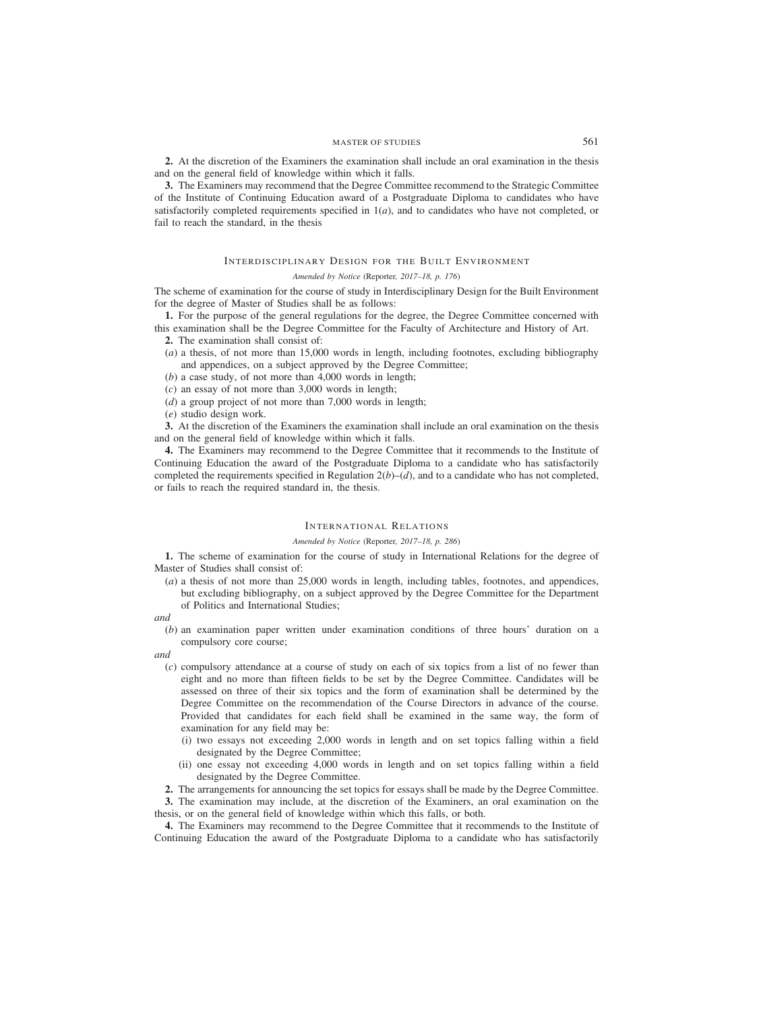**2.** At the discretion of the Examiners the examination shall include an oral examination in the thesis and on the general field of knowledge within which it falls.

**3.** The Examiners may recommend that the Degree Committee recommend to the Strategic Committee of the Institute of Continuing Education award of a Postgraduate Diploma to candidates who have satisfactorily completed requirements specified in  $1(a)$ , and to candidates who have not completed, or fail to reach the standard, in the thesis

# INTERDISCIPLINARY DESIGN FOR THE BUILT ENVIRONMENT

# *Amended by Notice (*Reporter*, 2017–18, p. 176)*

The scheme of examination for the course of study in Interdisciplinary Design for the Built Environment for the degree of Master of Studies shall be as follows:

**1.** For the purpose of the general regulations for the degree, the Degree Committee concerned with this examination shall be the Degree Committee for the Faculty of Architecture and History of Art.

**2.** The examination shall consist of:

- (*a*) a thesis, of not more than 15,000 words in length, including footnotes, excluding bibliography and appendices, on a subject approved by the Degree Committee;
- (*b*) a case study, of not more than 4,000 words in length;
- (*c*) an essay of not more than 3,000 words in length;
- (*d*) a group project of not more than 7,000 words in length;
- (*e*) studio design work.

**3.** At the discretion of the Examiners the examination shall include an oral examination on the thesis and on the general field of knowledge within which it falls.

**4.** The Examiners may recommend to the Degree Committee that it recommends to the Institute of Continuing Education the award of the Postgraduate Diploma to a candidate who has satisfactorily completed the requirements specified in Regulation  $2(b)$ –(*d*), and to a candidate who has not completed, or fails to reach the required standard in, the thesis.

#### INTERNATIONAL RELATIONS

#### *Amended by Notice (*Reporter*, 2017–18, p. 286)*

**1.** The scheme of examination for the course of study in International Relations for the degree of Master of Studies shall consist of:

- (*a*) a thesis of not more than 25,000 words in length, including tables, footnotes, and appendices, but excluding bibliography, on a subject approved by the Degree Committee for the Department of Politics and International Studies;
- *and*
	- (*b*) an examination paper written under examination conditions of three hours' duration on a compulsory core course;

*and*

- (*c*) compulsory attendance at a course of study on each of six topics from a list of no fewer than eight and no more than fifteen fields to be set by the Degree Committee. Candidates will be assessed on three of their six topics and the form of examination shall be determined by the Degree Committee on the recommendation of the Course Directors in advance of the course. Provided that candidates for each field shall be examined in the same way, the form of examination for any field may be:
	- (i) two essays not exceeding 2,000 words in length and on set topics falling within a field designated by the Degree Committee;
	- (ii) one essay not exceeding 4,000 words in length and on set topics falling within a field designated by the Degree Committee.

**2.** The arrangements for announcing the set topics for essays shall be made by the Degree Committee.

**3.** The examination may include, at the discretion of the Examiners, an oral examination on the thesis, or on the general field of knowledge within which this falls, or both.

**4.** The Examiners may recommend to the Degree Committee that it recommends to the Institute of Continuing Education the award of the Postgraduate Diploma to a candidate who has satisfactorily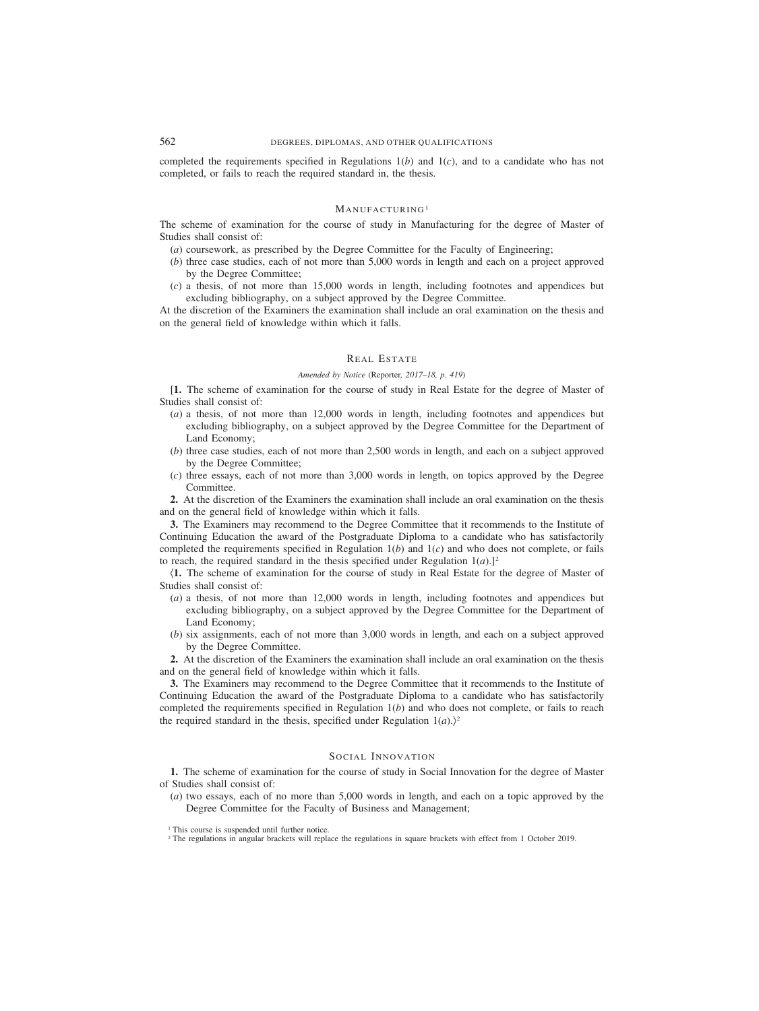completed the requirements specified in Regulations 1(*b*) and 1(*c*), and to a candidate who has not completed, or fails to reach the required standard in, the thesis.

# MANUFACTURING<sup>1</sup>

The scheme of examination for the course of study in Manufacturing for the degree of Master of Studies shall consist of:

- (*a*) coursework, as prescribed by the Degree Committee for the Faculty of Engineering;
- (*b*) three case studies, each of not more than 5,000 words in length and each on a project approved by the Degree Committee;
- (*c*) a thesis, of not more than 15,000 words in length, including footnotes and appendices but excluding bibliography, on a subject approved by the Degree Committee.

At the discretion of the Examiners the examination shall include an oral examination on the thesis and on the general field of knowledge within which it falls.

# REAL ESTATE

# *Amended by Notice (*Reporter*, 2017–18, p. 419)*

[**1.** The scheme of examination for the course of study in Real Estate for the degree of Master of Studies shall consist of:

- (*a*) a thesis, of not more than 12,000 words in length, including footnotes and appendices but excluding bibliography, on a subject approved by the Degree Committee for the Department of Land Economy;
- (*b*) three case studies, each of not more than 2,500 words in length, and each on a subject approved by the Degree Committee;
- (*c*) three essays, each of not more than 3,000 words in length, on topics approved by the Degree Committee.

**2.** At the discretion of the Examiners the examination shall include an oral examination on the thesis and on the general field of knowledge within which it falls.

**3.** The Examiners may recommend to the Degree Committee that it recommends to the Institute of Continuing Education the award of the Postgraduate Diploma to a candidate who has satisfactorily completed the requirements specified in Regulation  $1(b)$  and  $1(c)$  and who does not complete, or fails to reach, the required standard in the thesis specified under Regulation  $1(a)$ .]<sup>2</sup>

(**1.** The scheme of examination for the course of study in Real Estate for the degree of Master of Studies shall consist of:

- (*a*) a thesis, of not more than 12,000 words in length, including footnotes and appendices but excluding bibliography, on a subject approved by the Degree Committee for the Department of Land Economy;
- (*b*) six assignments, each of not more than 3,000 words in length, and each on a subject approved by the Degree Committee.

**2.** At the discretion of the Examiners the examination shall include an oral examination on the thesis and on the general field of knowledge within which it falls.

**3.** The Examiners may recommend to the Degree Committee that it recommends to the Institute of Continuing Education the award of the Postgraduate Diploma to a candidate who has satisfactorily completed the requirements specified in Regulation 1(*b*) and who does not complete, or fails to reach the required standard in the thesis, specified under Regulation  $1(a)$ .)<sup>2</sup>

# SOCIAL INNOVATION

**1.** The scheme of examination for the course of study in Social Innovation for the degree of Master of Studies shall consist of:

(*a*) two essays, each of no more than 5,000 words in length, and each on a topic approved by the Degree Committee for the Faculty of Business and Management;

<sup>2</sup> The regulations in angular brackets will replace the regulations in square brackets with effect from 1 October 2019.

<sup>&</sup>lt;sup>1</sup> This course is suspended until further notice.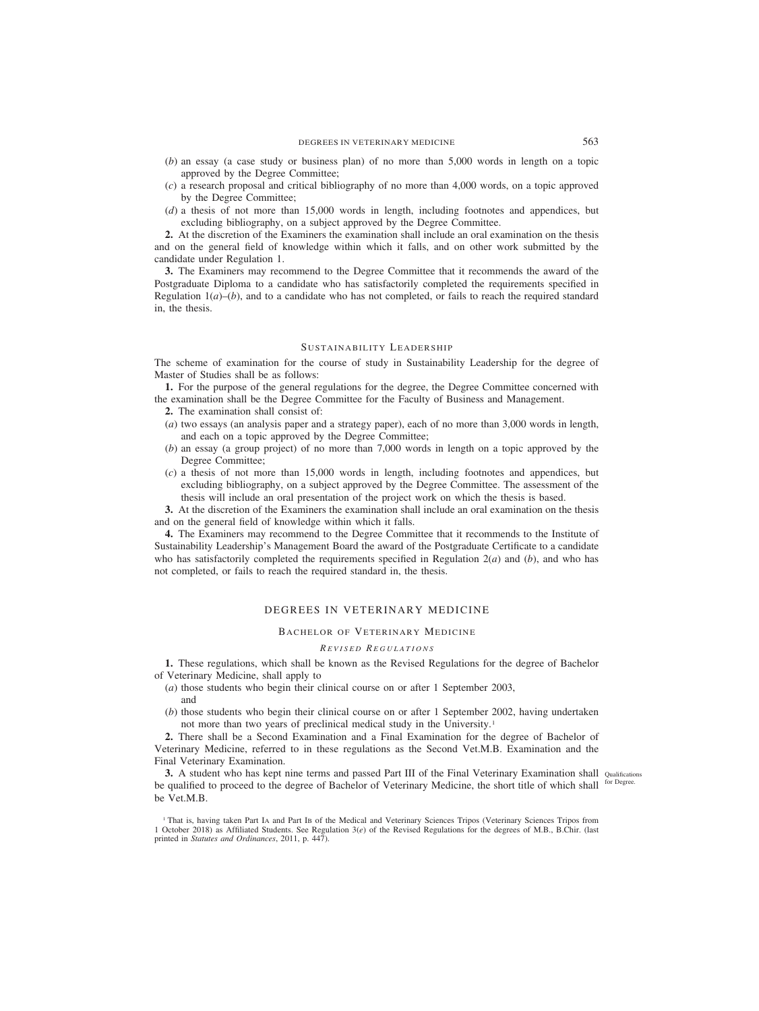- (*b*) an essay (a case study or business plan) of no more than 5,000 words in length on a topic approved by the Degree Committee;
- (*c*) a research proposal and critical bibliography of no more than 4,000 words, on a topic approved by the Degree Committee;
- (*d*) a thesis of not more than 15,000 words in length, including footnotes and appendices, but excluding bibliography, on a subject approved by the Degree Committee.

**2.** At the discretion of the Examiners the examination shall include an oral examination on the thesis and on the general field of knowledge within which it falls, and on other work submitted by the candidate under Regulation 1.

**3.** The Examiners may recommend to the Degree Committee that it recommends the award of the Postgraduate Diploma to a candidate who has satisfactorily completed the requirements specified in Regulation  $1(a)$ –(*b*), and to a candidate who has not completed, or fails to reach the required standard in, the thesis.

# SUSTAINABILITY LEADERSHIP

The scheme of examination for the course of study in Sustainability Leadership for the degree of Master of Studies shall be as follows:

**1.** For the purpose of the general regulations for the degree, the Degree Committee concerned with the examination shall be the Degree Committee for the Faculty of Business and Management.

- **2.** The examination shall consist of:
- (*a*) two essays (an analysis paper and a strategy paper), each of no more than 3,000 words in length, and each on a topic approved by the Degree Committee;
- (*b*) an essay (a group project) of no more than 7,000 words in length on a topic approved by the Degree Committee;
- (*c*) a thesis of not more than 15,000 words in length, including footnotes and appendices, but excluding bibliography, on a subject approved by the Degree Committee. The assessment of the thesis will include an oral presentation of the project work on which the thesis is based.

**3.** At the discretion of the Examiners the examination shall include an oral examination on the thesis and on the general field of knowledge within which it falls.

**4.** The Examiners may recommend to the Degree Committee that it recommends to the Institute of Sustainability Leadership's Management Board the award of the Postgraduate Certificate to a candidate who has satisfactorily completed the requirements specified in Regulation  $2(a)$  and  $(b)$ , and who has not completed, or fails to reach the required standard in, the thesis.

# DEGREES IN VETERINARY MEDICINE

### BACHELOR OF VETERINARY MEDICINE

# *R EVISED R EGULATIONS*

**1.** These regulations, which shall be known as the Revised Regulations for the degree of Bachelor of Veterinary Medicine, shall apply to

- (*a*) those students who begin their clinical course on or after 1 September 2003, and
- (*b*) those students who begin their clinical course on or after 1 September 2002, having undertaken not more than two years of preclinical medical study in the University.1

**2.** There shall be a Second Examination and a Final Examination for the degree of Bachelor of Veterinary Medicine, referred to in these regulations as the Second Vet.M.B. Examination and the Final Veterinary Examination.

**3.** A student who has kept nine terms and passed Part III of the Final Veterinary Examination shall Qualifications be qualified to proceed to the degree of Bachelor of Veterinary Medicine, the short title of which shall for Degree. be Vet.M.B.

<sup>1</sup> That is, having taken Part IA and Part IB of the Medical and Veterinary Sciences Tripos (Veterinary Sciences Tripos from 1 October 2018) as Affiliated Students. See Regulation 3(*e*) of the Revised Regulations for the degrees of M.B., B.Chir. (last printed in *Statutes and Ordinances*, 2011, p. 447).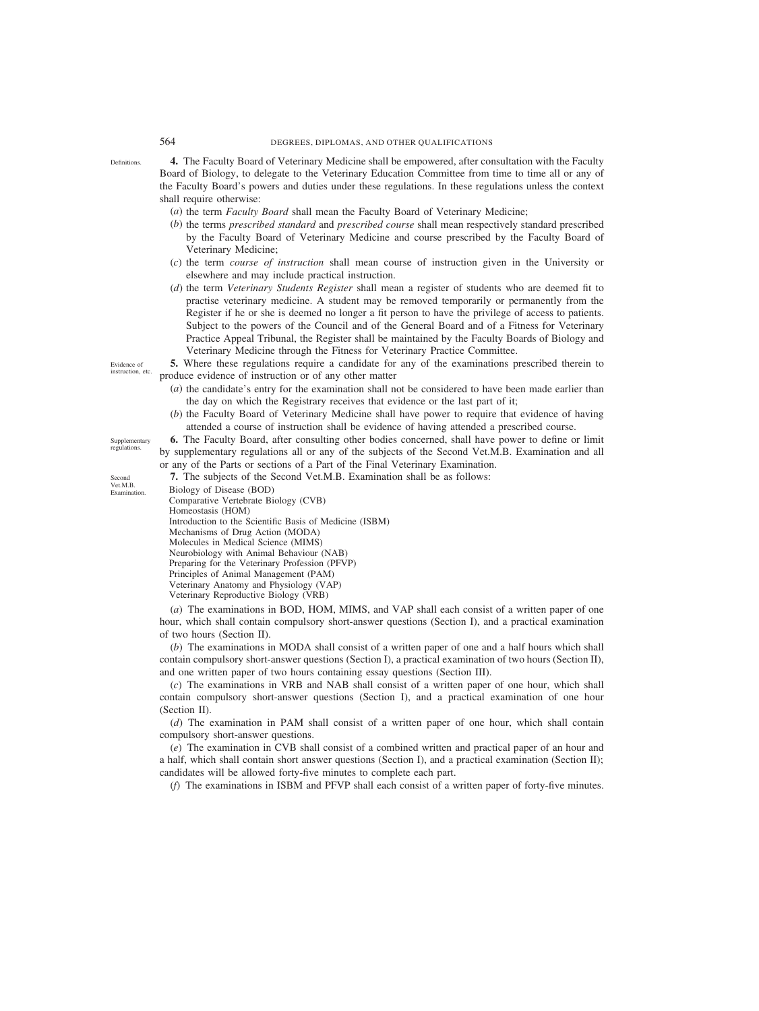**4.** The Faculty Board of Veterinary Medicine shall be empowered, after consultation with the Faculty Board of Biology, to delegate to the Veterinary Education Committee from time to time all or any of the Faculty Board's powers and duties under these regulations. In these regulations unless the context shall require otherwise:

- (*a*) the term *Faculty Board* shall mean the Faculty Board of Veterinary Medicine;
- (*b*) the terms *prescribed standard* and *prescribed course* shall mean respectively standard prescribed by the Faculty Board of Veterinary Medicine and course prescribed by the Faculty Board of Veterinary Medicine;
- (*c*) the term *course of instruction* shall mean course of instruction given in the University or elsewhere and may include practical instruction.
- (*d*) the term *Veterinary Students Register* shall mean a register of students who are deemed fit to practise veterinary medicine. A student may be removed temporarily or permanently from the Register if he or she is deemed no longer a fit person to have the privilege of access to patients. Subject to the powers of the Council and of the General Board and of a Fitness for Veterinary Practice Appeal Tribunal, the Register shall be maintained by the Faculty Boards of Biology and Veterinary Medicine through the Fitness for Veterinary Practice Committee.

**5.** Where these regulations require a candidate for any of the examinations prescribed therein to produce evidence of instruction or of any other matter

- (*a*) the candidate's entry for the examination shall not be considered to have been made earlier than the day on which the Registrary receives that evidence or the last part of it;
- (*b*) the Faculty Board of Veterinary Medicine shall have power to require that evidence of having attended a course of instruction shall be evidence of having attended a prescribed course.

**6.** The Faculty Board, after consulting other bodies concerned, shall have power to define or limit by supplementary regulations all or any of the subjects of the Second Vet.M.B. Examination and all or any of the Parts or sections of a Part of the Final Veterinary Examination.

**7.** The subjects of the Second Vet.M.B. Examination shall be as follows:

Biology of Disease (BOD) Comparative Vertebrate Biology (CVB) Homeostasis (HOM) Introduction to the Scientific Basis of Medicine (ISBM) Mechanisms of Drug Action (MODA) Molecules in Medical Science (MIMS) Neurobiology with Animal Behaviour (NAB) Preparing for the Veterinary Profession (PFVP) Principles of Animal Management (PAM) Veterinary Anatomy and Physiology (VAP) Veterinary Reproductive Biology (VRB)

(*a*) The examinations in BOD, HOM, MIMS, and VAP shall each consist of a written paper of one hour, which shall contain compulsory short-answer questions (Section I), and a practical examination of two hours (Section II).

(*b*) The examinations in MODA shall consist of a written paper of one and a half hours which shall contain compulsory short-answer questions (Section I), a practical examination of two hours (Section II), and one written paper of two hours containing essay questions (Section III).

(*c*) The examinations in VRB and NAB shall consist of a written paper of one hour, which shall contain compulsory short-answer questions (Section I), and a practical examination of one hour (Section II).

(*d*) The examination in PAM shall consist of a written paper of one hour, which shall contain compulsory short-answer questions.

(*e*) The examination in CVB shall consist of a combined written and practical paper of an hour and a half, which shall contain short answer questions (Section I), and a practical examination (Section II); candidates will be allowed forty-five minutes to complete each part.

(*f*) The examinations in ISBM and PFVP shall each consist of a written paper of forty-five minutes.

Evidence of instruction, etc.

Definitions.

**Supplementary** regulations.

Second Vet.M.B. Examination.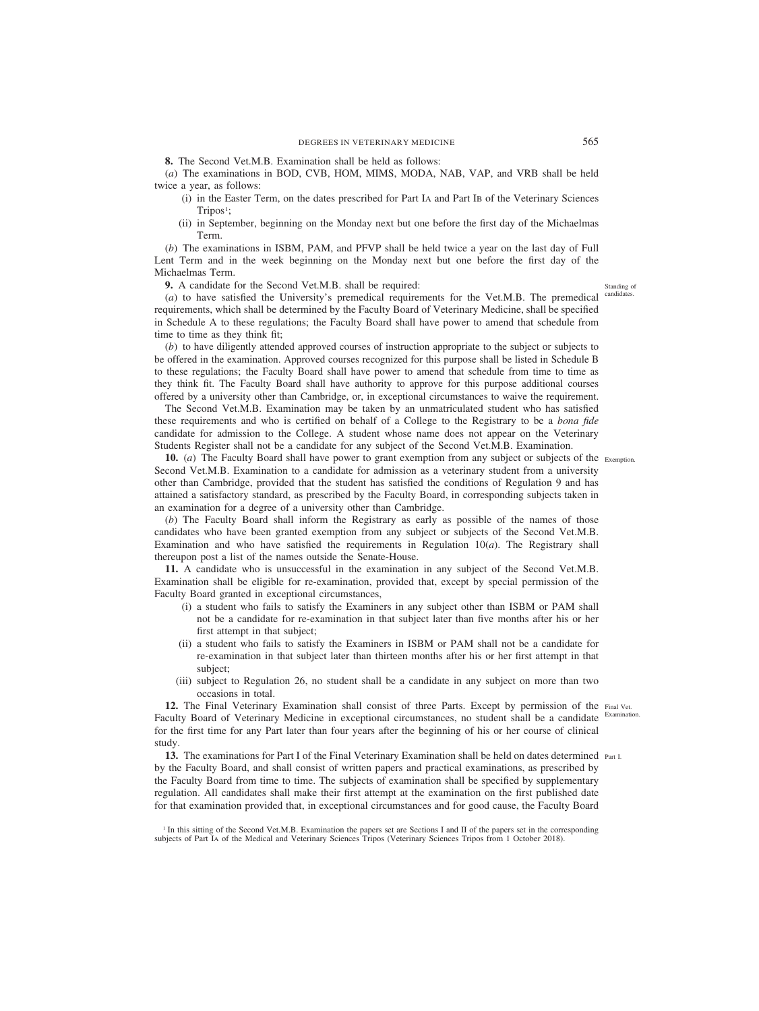**8.** The Second Vet.M.B. Examination shall be held as follows:

(*a*) The examinations in BOD, CVB, HOM, MIMS, MODA, NAB, VAP, and VRB shall be held twice a year, as follows:

- (i) in the Easter Term, on the dates prescribed for Part IA and Part IB of the Veterinary Sciences  $Tripos<sup>1</sup>;$
- (ii) in September, beginning on the Monday next but one before the first day of the Michaelmas Term.

(*b*) The examinations in ISBM, PAM, and PFVP shall be held twice a year on the last day of Full Lent Term and in the week beginning on the Monday next but one before the first day of the Michaelmas Term.

**9.** A candidate for the Second Vet.M.B. shall be required:

(*a*) to have satisfied the University's premedical requirements for the Vet.M.B. The premedical requirements, which shall be determined by the Faculty Board of Veterinary Medicine, shall be specified in Schedule A to these regulations; the Faculty Board shall have power to amend that schedule from time to time as they think fit;

(*b*) to have diligently attended approved courses of instruction appropriate to the subject or subjects to be offered in the examination. Approved courses recognized for this purpose shall be listed in Schedule B to these regulations; the Faculty Board shall have power to amend that schedule from time to time as they think fit. The Faculty Board shall have authority to approve for this purpose additional courses offered by a university other than Cambridge, or, in exceptional circumstances to waive the requirement.

The Second Vet.M.B. Examination may be taken by an unmatriculated student who has satisfied these requirements and who is certified on behalf of a College to the Registrary to be a *bona fide* candidate for admission to the College. A student whose name does not appear on the Veterinary Students Register shall not be a candidate for any subject of the Second Vet.M.B. Examination.

**10.** (*a*) The Faculty Board shall have power to grant exemption from any subject or subjects of the Exemption. Second Vet.M.B. Examination to a candidate for admission as a veterinary student from a university other than Cambridge, provided that the student has satisfied the conditions of Regulation 9 and has attained a satisfactory standard, as prescribed by the Faculty Board, in corresponding subjects taken in an examination for a degree of a university other than Cambridge.

(*b*) The Faculty Board shall inform the Registrary as early as possible of the names of those candidates who have been granted exemption from any subject or subjects of the Second Vet.M.B. Examination and who have satisfied the requirements in Regulation  $10(a)$ . The Registrary shall thereupon post a list of the names outside the Senate-House.

**11.** A candidate who is unsuccessful in the examination in any subject of the Second Vet.M.B. Examination shall be eligible for re-examination, provided that, except by special permission of the Faculty Board granted in exceptional circumstances,

- (i) a student who fails to satisfy the Examiners in any subject other than ISBM or PAM shall not be a candidate for re-examination in that subject later than five months after his or her first attempt in that subject;
- (ii) a student who fails to satisfy the Examiners in ISBM or PAM shall not be a candidate for re-examination in that subject later than thirteen months after his or her first attempt in that subject;
- (iii) subject to Regulation 26, no student shall be a candidate in any subject on more than two occasions in total.

12. The Final Veterinary Examination shall consist of three Parts. Except by permission of the Final Vet. Faculty Board of Veterinary Medicine in exceptional circumstances, no student shall be a candidate for the first time for any Part later than four years after the beginning of his or her course of clinical study. Examination.

13. The examinations for Part I of the Final Veterinary Examination shall be held on dates determined Part I. by the Faculty Board, and shall consist of written papers and practical examinations, as prescribed by the Faculty Board from time to time. The subjects of examination shall be specified by supplementary regulation. All candidates shall make their first attempt at the examination on the first published date for that examination provided that, in exceptional circumstances and for good cause, the Faculty Board

<sup>1</sup> In this sitting of the Second Vet.M.B. Examination the papers set are Sections I and II of the papers set in the corresponding subjects of Part IA of the Medical and Veterinary Sciences Tripos (Veterinary Sciences Tripos from 1 October 2018).

Standing of candidates.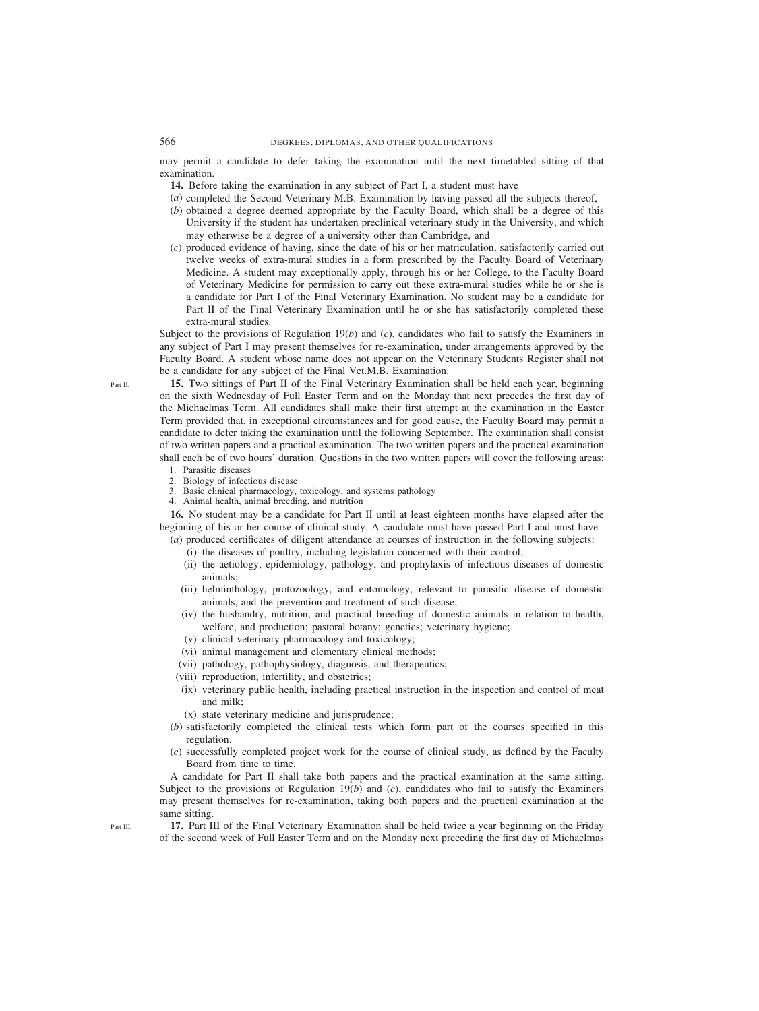may permit a candidate to defer taking the examination until the next timetabled sitting of that examination.

**14.** Before taking the examination in any subject of Part I, a student must have

- (*a*) completed the Second Veterinary M.B. Examination by having passed all the subjects thereof,
- (*b*) obtained a degree deemed appropriate by the Faculty Board, which shall be a degree of this University if the student has undertaken preclinical veterinary study in the University, and which may otherwise be a degree of a university other than Cambridge, and
- (*c*) produced evidence of having, since the date of his or her matriculation, satisfactorily carried out twelve weeks of extra-mural studies in a form prescribed by the Faculty Board of Veterinary Medicine. A student may exceptionally apply, through his or her College, to the Faculty Board of Veterinary Medicine for permission to carry out these extra-mural studies while he or she is a candidate for Part I of the Final Veterinary Examination. No student may be a candidate for Part II of the Final Veterinary Examination until he or she has satisfactorily completed these extra-mural studies.

Subject to the provisions of Regulation 19(*b*) and (*c*), candidates who fail to satisfy the Examiners in any subject of Part I may present themselves for re-examination, under arrangements approved by the Faculty Board. A student whose name does not appear on the Veterinary Students Register shall not be a candidate for any subject of the Final Vet.M.B. Examination.

**15.** Two sittings of Part II of the Final Veterinary Examination shall be held each year, beginning on the sixth Wednesday of Full Easter Term and on the Monday that next precedes the first day of the Michaelmas Term. All candidates shall make their first attempt at the examination in the Easter Term provided that, in exceptional circumstances and for good cause, the Faculty Board may permit a candidate to defer taking the examination until the following September. The examination shall consist of two written papers and a practical examination. The two written papers and the practical examination shall each be of two hours' duration. Questions in the two written papers will cover the following areas:

- 1. Parasitic diseases
- 2. Biology of infectious disease
- 3. Basic clinical pharmacology, toxicology, and systems pathology
- 4. Animal health, animal breeding, and nutrition

**16.** No student may be a candidate for Part II until at least eighteen months have elapsed after the beginning of his or her course of clinical study. A candidate must have passed Part I and must have

- (*a*) produced certificates of diligent attendance at courses of instruction in the following subjects:
	- (i) the diseases of poultry, including legislation concerned with their control;
	- (ii) the aetiology, epidemiology, pathology, and prophylaxis of infectious diseases of domestic animals;
	- (iii) helminthology, protozoology, and entomology, relevant to parasitic disease of domestic animals, and the prevention and treatment of such disease;
	- (iv) the husbandry, nutrition, and practical breeding of domestic animals in relation to health, welfare, and production; pastoral botany; genetics; veterinary hygiene;
	- (v) clinical veterinary pharmacology and toxicology;
	- (vi) animal management and elementary clinical methods;
	- (vii) pathology, pathophysiology, diagnosis, and therapeutics;
	- (viii) reproduction, infertility, and obstetrics;
	- (ix) veterinary public health, including practical instruction in the inspection and control of meat and milk;
	- (x) state veterinary medicine and jurisprudence;
- (*b*) satisfactorily completed the clinical tests which form part of the courses specified in this regulation.
- (*c*) successfully completed project work for the course of clinical study, as defined by the Faculty Board from time to time.

A candidate for Part II shall take both papers and the practical examination at the same sitting. Subject to the provisions of Regulation  $19(b)$  and  $(c)$ , candidates who fail to satisfy the Examiners may present themselves for re-examination, taking both papers and the practical examination at the same sitting.

**17.** Part III of the Final Veterinary Examination shall be held twice a year beginning on the Friday of the second week of Full Easter Term and on the Monday next preceding the first day of Michaelmas

Part II.

Part III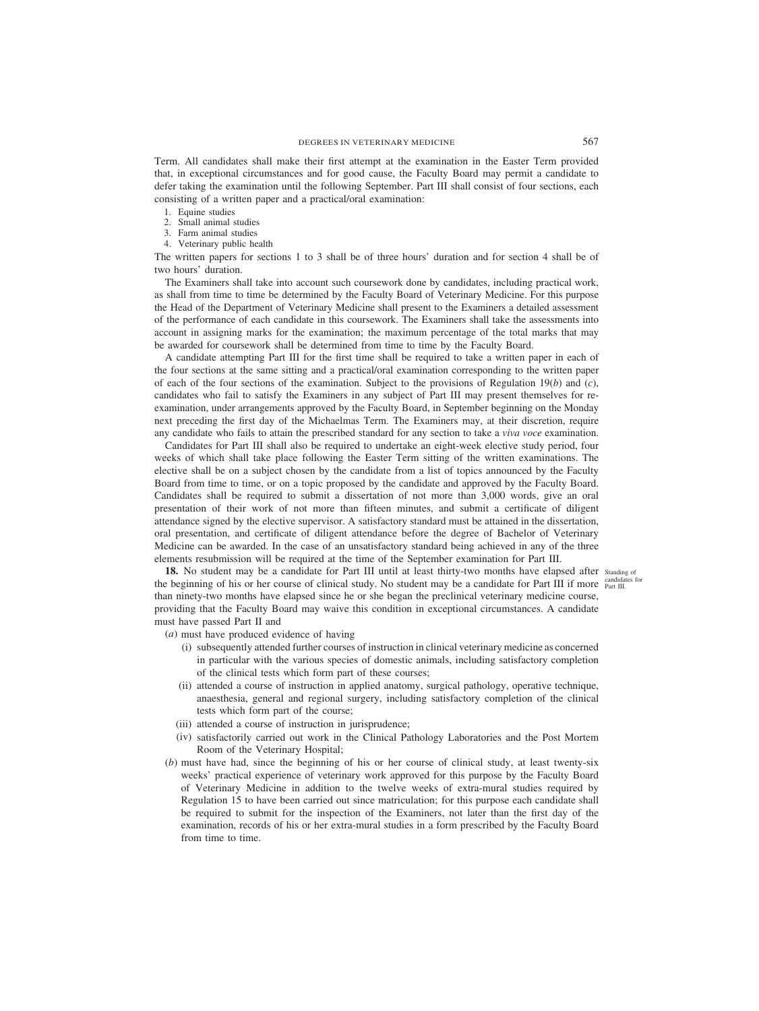Term. All candidates shall make their first attempt at the examination in the Easter Term provided that, in exceptional circumstances and for good cause, the Faculty Board may permit a candidate to defer taking the examination until the following September. Part III shall consist of four sections, each consisting of a written paper and a practical/oral examination:

- 1. Equine studies
- 2. Small animal studies
- 3. Farm animal studies
- 4. Veterinary public health

The written papers for sections 1 to 3 shall be of three hours' duration and for section 4 shall be of two hours' duration.

The Examiners shall take into account such coursework done by candidates, including practical work, as shall from time to time be determined by the Faculty Board of Veterinary Medicine. For this purpose the Head of the Department of Veterinary Medicine shall present to the Examiners a detailed assessment of the performance of each candidate in this coursework. The Examiners shall take the assessments into account in assigning marks for the examination; the maximum percentage of the total marks that may be awarded for coursework shall be determined from time to time by the Faculty Board.

A candidate attempting Part III for the first time shall be required to take a written paper in each of the four sections at the same sitting and a practical/oral examination corresponding to the written paper of each of the four sections of the examination. Subject to the provisions of Regulation 19(*b*) and (*c*), candidates who fail to satisfy the Examiners in any subject of Part III may present themselves for reexamination, under arrangements approved by the Faculty Board, in September beginning on the Monday next preceding the first day of the Michaelmas Term. The Examiners may, at their discretion, require any candidate who fails to attain the prescribed standard for any section to take a *viva voce* examination.

Candidates for Part III shall also be required to undertake an eight-week elective study period, four weeks of which shall take place following the Easter Term sitting of the written examinations. The elective shall be on a subject chosen by the candidate from a list of topics announced by the Faculty Board from time to time, or on a topic proposed by the candidate and approved by the Faculty Board. Candidates shall be required to submit a dissertation of not more than 3,000 words, give an oral presentation of their work of not more than fifteen minutes, and submit a certificate of diligent attendance signed by the elective supervisor. A satisfactory standard must be attained in the dissertation, oral presentation, and certificate of diligent attendance before the degree of Bachelor of Veterinary Medicine can be awarded. In the case of an unsatisfactory standard being achieved in any of the three elements resubmission will be required at the time of the September examination for Part III.

18. No student may be a candidate for Part III until at least thirty-two months have elapsed after standing of the beginning of his or her course of clinical study. No student may be a candidate for Part III if more candidates for than ninety-two months have elapsed since he or she began the preclinical veterinary medicine course, providing that the Faculty Board may waive this condition in exceptional circumstances. A candidate must have passed Part II and

- (*a*) must have produced evidence of having
	- (i) subsequently attended further courses of instruction in clinical veterinary medicine as concerned in particular with the various species of domestic animals, including satisfactory completion of the clinical tests which form part of these courses;
	- (ii) attended a course of instruction in applied anatomy, surgical pathology, operative technique, anaesthesia, general and regional surgery, including satisfactory completion of the clinical tests which form part of the course;
	- (iii) attended a course of instruction in jurisprudence;
	- (iv) satisfactorily carried out work in the Clinical Pathology Laboratories and the Post Mortem Room of the Veterinary Hospital;
- (*b*) must have had, since the beginning of his or her course of clinical study, at least twenty-six weeks' practical experience of veterinary work approved for this purpose by the Faculty Board of Veterinary Medicine in addition to the twelve weeks of extra-mural studies required by Regulation 15 to have been carried out since matriculation; for this purpose each candidate shall be required to submit for the inspection of the Examiners, not later than the first day of the examination, records of his or her extra-mural studies in a form prescribed by the Faculty Board from time to time.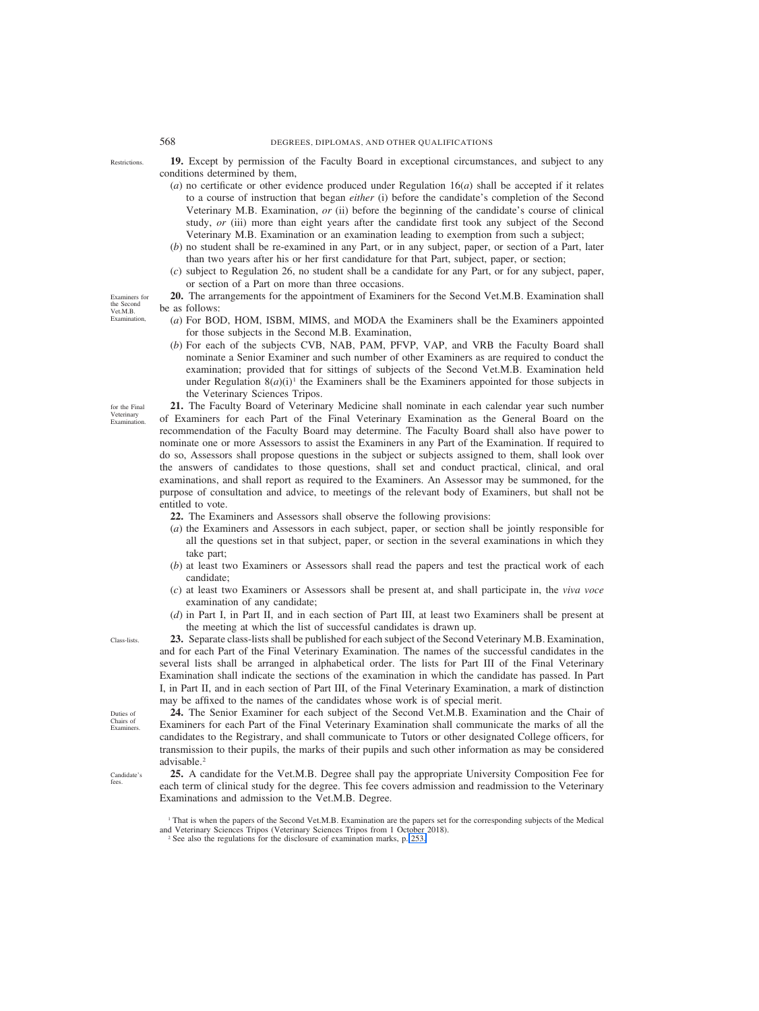- **19.** Except by permission of the Faculty Board in exceptional circumstances, and subject to any conditions determined by them,
	- (*a*) no certificate or other evidence produced under Regulation 16(*a*) shall be accepted if it relates to a course of instruction that began *either* (i) before the candidate's completion of the Second Veterinary M.B. Examination, *or* (ii) before the beginning of the candidate's course of clinical study, *or* (iii) more than eight years after the candidate first took any subject of the Second Veterinary M.B. Examination or an examination leading to exemption from such a subject;
	- (*b*) no student shall be re-examined in any Part, or in any subject, paper, or section of a Part, later than two years after his or her first candidature for that Part, subject, paper, or section;
	- (*c*) subject to Regulation 26, no student shall be a candidate for any Part, or for any subject, paper, or section of a Part on more than three occasions.
- **20.** The arrangements for the appointment of Examiners for the Second Vet.M.B. Examination shall be as follows:
	- (*a*) For BOD, HOM, ISBM, MIMS, and MODA the Examiners shall be the Examiners appointed for those subjects in the Second M.B. Examination,
	- (*b*) For each of the subjects CVB, NAB, PAM, PFVP, VAP, and VRB the Faculty Board shall nominate a Senior Examiner and such number of other Examiners as are required to conduct the examination; provided that for sittings of subjects of the Second Vet.M.B. Examination held under Regulation  $8(a)(i)$ <sup>1</sup> the Examiners shall be the Examiners appointed for those subjects in the Veterinary Sciences Tripos.

**21.** The Faculty Board of Veterinary Medicine shall nominate in each calendar year such number of Examiners for each Part of the Final Veterinary Examination as the General Board on the recommendation of the Faculty Board may determine. The Faculty Board shall also have power to nominate one or more Assessors to assist the Examiners in any Part of the Examination. If required to do so, Assessors shall propose questions in the subject or subjects assigned to them, shall look over the answers of candidates to those questions, shall set and conduct practical, clinical, and oral examinations, and shall report as required to the Examiners. An Assessor may be summoned, for the purpose of consultation and advice, to meetings of the relevant body of Examiners, but shall not be entitled to vote.

- **22.** The Examiners and Assessors shall observe the following provisions:
- (*a*) the Examiners and Assessors in each subject, paper, or section shall be jointly responsible for all the questions set in that subject, paper, or section in the several examinations in which they take part;
- (*b*) at least two Examiners or Assessors shall read the papers and test the practical work of each candidate;
- (*c*) at least two Examiners or Assessors shall be present at, and shall participate in, the *viva voce* examination of any candidate;
- (*d*) in Part I, in Part II, and in each section of Part III, at least two Examiners shall be present at the meeting at which the list of successful candidates is drawn up.

**23.** Separate class-lists shall be published for each subject of the Second Veterinary M.B. Examination, and for each Part of the Final Veterinary Examination. The names of the successful candidates in the several lists shall be arranged in alphabetical order. The lists for Part III of the Final Veterinary Examination shall indicate the sections of the examination in which the candidate has passed. In Part I, in Part II, and in each section of Part III, of the Final Veterinary Examination, a mark of distinction may be affixed to the names of the candidates whose work is of special merit.

**24.** The Senior Examiner for each subject of the Second Vet.M.B. Examination and the Chair of Examiners for each Part of the Final Veterinary Examination shall communicate the marks of all the candidates to the Registrary, and shall communicate to Tutors or other designated College officers, for transmission to their pupils, the marks of their pupils and such other information as may be considered advisable.<sup>2</sup>

**25.** A candidate for the Vet.M.B. Degree shall pay the appropriate University Composition Fee for each term of clinical study for the degree. This fee covers admission and readmission to the Veterinary Examinations and admission to the Vet.M.B. Degree.

Examiners for the Second Vet.M.B. Examination,

for the Final Veterinary Examination

Restrictions.

Class-lists.

Duties of Chairs of Examiners.

Candidate's fees.

<sup>1</sup> That is when the papers of the Second Vet.M.B. Examination are the papers set for the corresponding subjects of the Medical and Veterinary Sciences Tripos (Veterinary Sciences Tripos from 1 October 2018).

<sup>&</sup>lt;sup>2</sup> See also the regulations for the disclosure of examination marks, p. 253.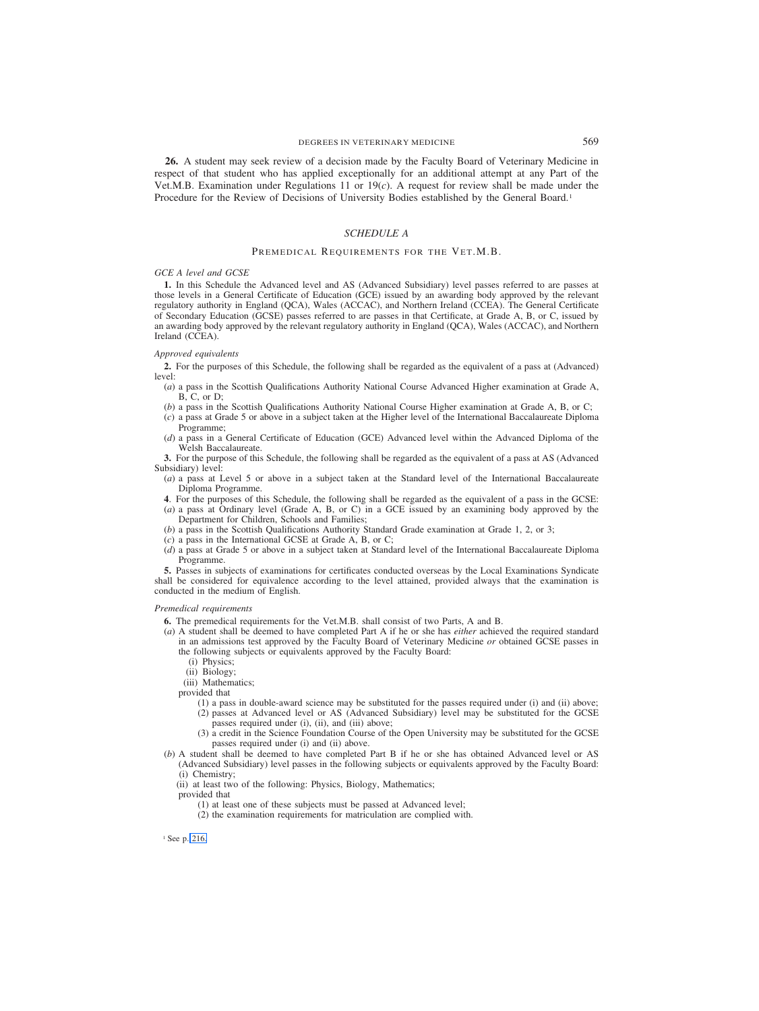**26.** A student may seek review of a decision made by the Faculty Board of Veterinary Medicine in respect of that student who has applied exceptionally for an additional attempt at any Part of the Vet.M.B. Examination under Regulations 11 or 19(*c*). A request for review shall be made under the Procedure for the Review of Decisions of University Bodies established by the General Board.1

#### *SCHEDULE A*

#### PREMEDICAL REQUIREMENTS FOR THE VET.M.B.

#### *GCE A level and GCSE*

**1.** In this Schedule the Advanced level and AS (Advanced Subsidiary) level passes referred to are passes at those levels in a General Certificate of Education (GCE) issued by an awarding body approved by the relevant regulatory authority in England (QCA), Wales (ACCAC), and Northern Ireland (CCEA). The General Certificate of Secondary Education (GCSE) passes referred to are passes in that Certificate, at Grade A, B, or C, issued by an awarding body approved by the relevant regulatory authority in England (QCA), Wales (ACCAC), and Northern Ireland (CCEA).

#### *Approved equivalents*

**2.** For the purposes of this Schedule, the following shall be regarded as the equivalent of a pass at (Advanced) level:

- (*a*) a pass in the Scottish Qualifications Authority National Course Advanced Higher examination at Grade A, B, C, or D;
- (*b*) a pass in the Scottish Qualifications Authority National Course Higher examination at Grade A, B, or C;
- (*c*) a pass at Grade 5 or above in a subject taken at the Higher level of the International Baccalaureate Diploma Programme;
- (*d*) a pass in a General Certificate of Education (GCE) Advanced level within the Advanced Diploma of the Welsh Baccalaureate.

**3.** For the purpose of this Schedule, the following shall be regarded as the equivalent of a pass at AS (Advanced Subsidiary) level:

- (*a*) a pass at Level 5 or above in a subject taken at the Standard level of the International Baccalaureate Diploma Programme.
- **4**. For the purposes of this Schedule, the following shall be regarded as the equivalent of a pass in the GCSE:
- (*a*) a pass at Ordinary level (Grade A, B, or C) in a GCE issued by an examining body approved by the Department for Children, Schools and Families;
- (*b*) a pass in the Scottish Qualifications Authority Standard Grade examination at Grade 1, 2, or 3;
- (*c*) a pass in the International GCSE at Grade A, B, or C;
- (*d*) a pass at Grade 5 or above in a subject taken at Standard level of the International Baccalaureate Diploma Programme.

**5.** Passes in subjects of examinations for certificates conducted overseas by the Local Examinations Syndicate shall be considered for equivalence according to the level attained, provided always that the examination is conducted in the medium of English.

#### *Premedical requirements*

**6.** The premedical requirements for the Vet.M.B. shall consist of two Parts, A and B.

- (*a*) A student shall be deemed to have completed Part A if he or she has *either* achieved the required standard in an admissions test approved by the Faculty Board of Veterinary Medicine *or* obtained GCSE passes in the following subjects or equivalents approved by the Faculty Board:
	- (i) Physics;
	- (ii) Biology;
	- (iii) Mathematics;
	- provided that
		- (1) a pass in double-award science may be substituted for the passes required under (i) and (ii) above; (2) passes at Advanced level or AS (Advanced Subsidiary) level may be substituted for the GCSE passes required under (i), (ii), and (iii) above;
		- (3) a credit in the Science Foundation Course of the Open University may be substituted for the GCSE passes required under (i) and (ii) above.
- (*b*) A student shall be deemed to have completed Part B if he or she has obtained Advanced level or AS (Advanced Subsidiary) level passes in the following subjects or equivalents approved by the Faculty Board: (i) Chemistry;
	- (ii) at least two of the following: Physics, Biology, Mathematics;
	- provided that
		- (1) at least one of these subjects must be passed at Advanced level;
		- (2) the examination requirements for matriculation are complied with.

<sup>1</sup> See p. 216.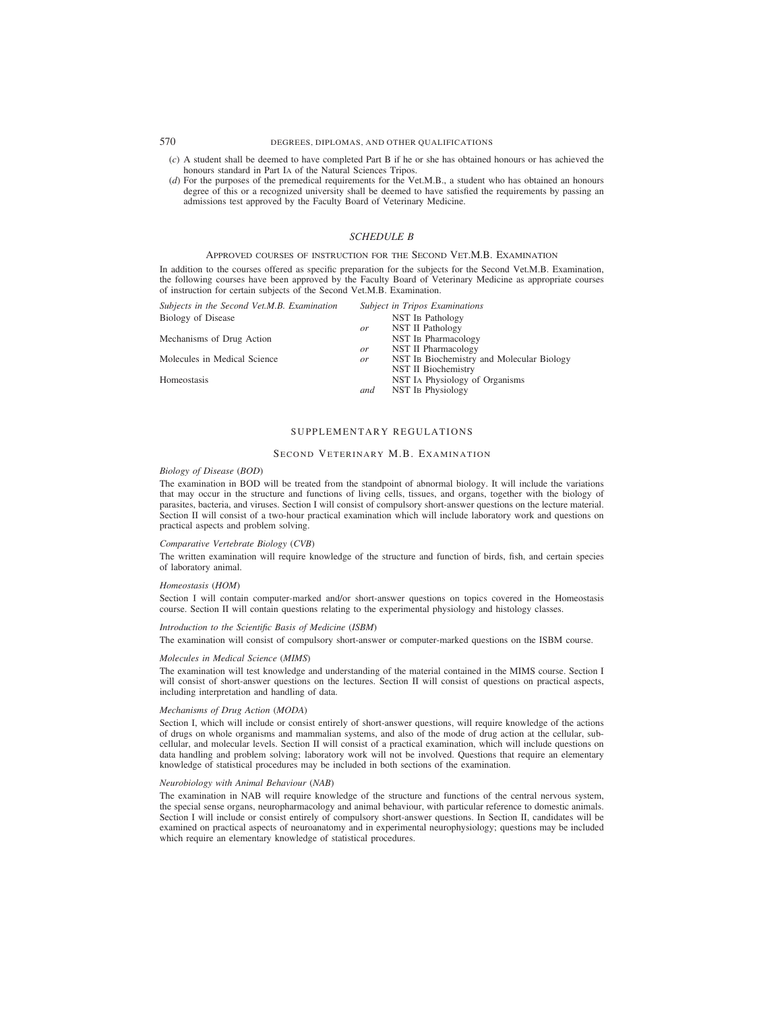# 570 DEGREES, DIPLOMAS, AND OTHER QUALIFICATIONS

- (*c*) A student shall be deemed to have completed Part B if he or she has obtained honours or has achieved the honours standard in Part I<sub>A</sub> of the Natural Sciences Tripos.
- (*d*) For the purposes of the premedical requirements for the Vet.M.B., a student who has obtained an honours degree of this or a recognized university shall be deemed to have satisfied the requirements by passing an admissions test approved by the Faculty Board of Veterinary Medicine.

#### *SCHEDULE B*

# APPROVED COURSES OF INSTRUCTION FOR THE SECOND VET.M.B. EXAMINATION

In addition to the courses offered as specific preparation for the subjects for the Second Vet.M.B. Examination, the following courses have been approved by the Faculty Board of Veterinary Medicine as appropriate courses of instruction for certain subjects of the Second Vet.M.B. Examination.

| Subject in Tripos Examinations                  |
|-------------------------------------------------|
| <b>NST IB Pathology</b>                         |
| NST II Pathology<br>or                          |
| NST IB Pharmacology                             |
| NST II Pharmacology<br>or                       |
| NST In Biochemistry and Molecular Biology<br>or |
| NST II Biochemistry                             |
| NST IA Physiology of Organisms                  |
| NST In Physiology<br>and                        |
|                                                 |

# SUPPLEMENTARY REGULATIONS

# SECOND VETERINARY M.B. EXAMINATION

# *Biology of Disease (BOD)*

The examination in BOD will be treated from the standpoint of abnormal biology. It will include the variations that may occur in the structure and functions of living cells, tissues, and organs, together with the biology of parasites, bacteria, and viruses. Section I will consist of compulsory short-answer questions on the lecture material. Section II will consist of a two-hour practical examination which will include laboratory work and questions on practical aspects and problem solving.

#### *Comparative Vertebrate Biology (CVB)*

The written examination will require knowledge of the structure and function of birds, fish, and certain species of laboratory animal.

#### *Homeostasis (HOM)*

Section I will contain computer-marked and/or short-answer questions on topics covered in the Homeostasis course. Section II will contain questions relating to the experimental physiology and histology classes.

#### *Introduction to the Scientific Basis of Medicine (ISBM)*

The examination will consist of compulsory short-answer or computer-marked questions on the ISBM course.

#### *Molecules in Medical Science (MIMS)*

The examination will test knowledge and understanding of the material contained in the MIMS course. Section I will consist of short-answer questions on the lectures. Section II will consist of questions on practical aspects, including interpretation and handling of data.

#### *Mechanisms of Drug Action (MODA)*

Section I, which will include or consist entirely of short-answer questions, will require knowledge of the actions of drugs on whole organisms and mammalian systems, and also of the mode of drug action at the cellular, subcellular, and molecular levels. Section II will consist of a practical examination, which will include questions on data handling and problem solving; laboratory work will not be involved. Questions that require an elementary knowledge of statistical procedures may be included in both sections of the examination.

#### *Neurobiology with Animal Behaviour (NAB)*

The examination in NAB will require knowledge of the structure and functions of the central nervous system, the special sense organs, neuropharmacology and animal behaviour, with particular reference to domestic animals. Section I will include or consist entirely of compulsory short-answer questions. In Section II, candidates will be examined on practical aspects of neuroanatomy and in experimental neurophysiology; questions may be included which require an elementary knowledge of statistical procedures.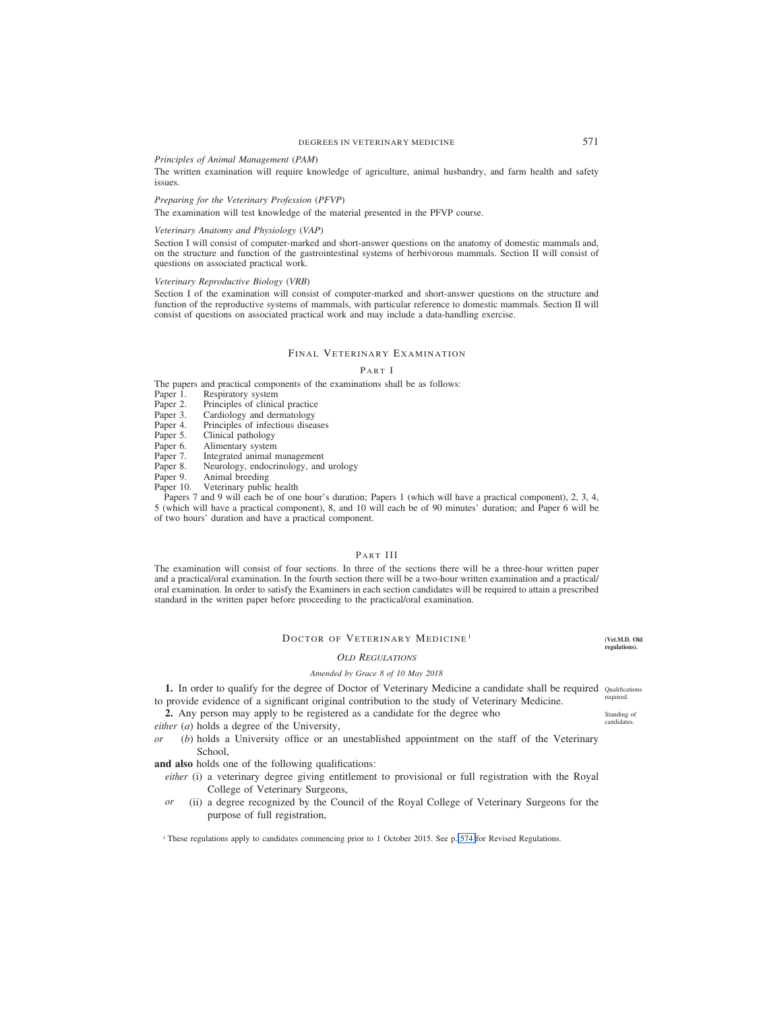# DEGREES IN VETERINARY MEDICINE 571

# *Principles of Animal Management (PAM)*

The written examination will require knowledge of agriculture, animal husbandry, and farm health and safety issues.

# *Preparing for the Veterinary Profession (PFVP)*

The examination will test knowledge of the material presented in the PFVP course.

#### *Veterinary Anatomy and Physiology (VAP)*

Section I will consist of computer-marked and short-answer questions on the anatomy of domestic mammals and, on the structure and function of the gastrointestinal systems of herbivorous mammals. Section II will consist of questions on associated practical work.

#### *Veterinary Reproductive Biology (VRB)*

Section I of the examination will consist of computer-marked and short-answer questions on the structure and function of the reproductive systems of mammals, with particular reference to domestic mammals. Section II will consist of questions on associated practical work and may include a data-handling exercise.

# FINAL VETERINARY EXAMINATION

# P ART I

The papers and practical components of the examinations shall be as follows:<br>Paper 1. Respiratory system

Paper 1. Respiratory system<br>Paper 2. Principles of clinical

Paper 2. Principles of clinical practice<br>Paper 3. Cardiology and dermatology

Paper 3. Cardiology and dermatology<br>Paper 4. Principles of infectious disea

- Paper 4. Principles of infectious diseases<br>Paper 5. Clinical pathology
- Paper 5. Clinical pathology<br>Paper 6. Alimentary system
- Paper 6. Alimentary system<br>Paper 7. Integrated animal r
- Paper 7. Integrated animal management<br>Paper 8. Neurology, endocrinology, and
- Paper 8. Neurology, endocrinology, and urology<br>Paper 9. Animal breeding
- Paper 9. Animal breeding<br>Paper 10. Veterinary public
- Veterinary public health

Papers 7 and 9 will each be of one hour's duration; Papers 1 (which will have a practical component), 2, 3, 4, 5 (which will have a practical component), 8, and 10 will each be of 90 minutes' duration; and Paper 6 will be of two hours' duration and have a practical component.

# PART III

The examination will consist of four sections. In three of the sections there will be a three-hour written paper and a practical/oral examination. In the fourth section there will be a two-hour written examination and a practical/ oral examination. In order to satisfy the Examiners in each section candidates will be required to attain a prescribed standard in the written paper before proceeding to the practical/oral examination.

# DOCTOR OF VETERINARY MEDICINE<sup>1</sup>

#### *OLD REGULATIONS*

# *Amended by Grace 8 of 10 May 2018*

1. In order to qualify for the degree of Doctor of Veterinary Medicine a candidate shall be required Qualifications to provide evidence of a significant original contribution to the study of Veterinary Medicine.

**2.** Any person may apply to be registered as a candidate for the degree who

*either* (*a*) holds a degree of the University,

*or* (*b*) holds a University office or an unestablished appointment on the staff of the Veterinary School,

**and also** holds one of the following qualifications:

- *either* (i) a veterinary degree giving entitlement to provisional or full registration with the Royal College of Veterinary Surgeons,
- *or* (ii) a degree recognized by the Council of the Royal College of Veterinary Surgeons for the purpose of full registration,

<sup>1</sup> These regulations apply to candidates commencing prior to 1 October 2015. See p. [574](#page-129-0) for Revised Regulations.

**(Vet.M.D. Old regulations).**

required.

Standing of candidates.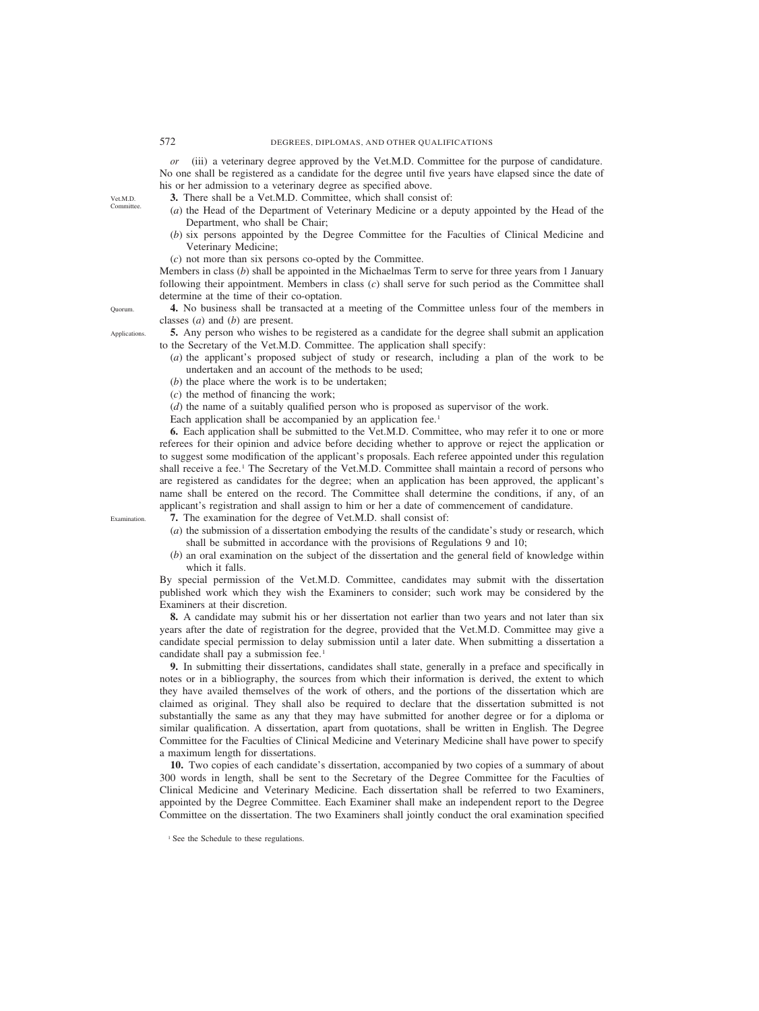*or* (iii) a veterinary degree approved by the Vet.M.D. Committee for the purpose of candidature. No one shall be registered as a candidate for the degree until five years have elapsed since the date of his or her admission to a veterinary degree as specified above.

- **3.** There shall be a Vet.M.D. Committee, which shall consist of:
- (*a*) the Head of the Department of Veterinary Medicine or a deputy appointed by the Head of the Department, who shall be Chair;
- (*b*) six persons appointed by the Degree Committee for the Faculties of Clinical Medicine and Veterinary Medicine;
- (*c*) not more than six persons co-opted by the Committee.

Members in class (*b*) shall be appointed in the Michaelmas Term to serve for three years from 1 January following their appointment. Members in class (*c*) shall serve for such period as the Committee shall determine at the time of their co-optation.

**4.** No business shall be transacted at a meeting of the Committee unless four of the members in classes (*a*) and (*b*) are present.

**5.** Any person who wishes to be registered as a candidate for the degree shall submit an application to the Secretary of the Vet.M.D. Committee. The application shall specify:

- (*a*) the applicant's proposed subject of study or research, including a plan of the work to be undertaken and an account of the methods to be used;
- (*b*) the place where the work is to be undertaken;
- (*c*) the method of financing the work;
- (*d*) the name of a suitably qualified person who is proposed as supervisor of the work.
- Each application shall be accompanied by an application fee.<sup>1</sup>

**6.** Each application shall be submitted to the Vet.M.D. Committee, who may refer it to one or more referees for their opinion and advice before deciding whether to approve or reject the application or to suggest some modification of the applicant's proposals. Each referee appointed under this regulation shall receive a fee.1 The Secretary of the Vet.M.D. Committee shall maintain a record of persons who are registered as candidates for the degree; when an application has been approved, the applicant's name shall be entered on the record. The Committee shall determine the conditions, if any, of an applicant's registration and shall assign to him or her a date of commencement of candidature.

Examination.

- **7.** The examination for the degree of Vet.M.D. shall consist of:
- (*a*) the submission of a dissertation embodying the results of the candidate's study or research, which shall be submitted in accordance with the provisions of Regulations 9 and 10;
- (*b*) an oral examination on the subject of the dissertation and the general field of knowledge within which it falls.

By special permission of the Vet.M.D. Committee, candidates may submit with the dissertation published work which they wish the Examiners to consider; such work may be considered by the Examiners at their discretion.

**8.** A candidate may submit his or her dissertation not earlier than two years and not later than six years after the date of registration for the degree, provided that the Vet.M.D. Committee may give a candidate special permission to delay submission until a later date. When submitting a dissertation a candidate shall pay a submission fee.<sup>1</sup>

**9.** In submitting their dissertations, candidates shall state, generally in a preface and specifically in notes or in a bibliography, the sources from which their information is derived, the extent to which they have availed themselves of the work of others, and the portions of the dissertation which are claimed as original. They shall also be required to declare that the dissertation submitted is not substantially the same as any that they may have submitted for another degree or for a diploma or similar qualification. A dissertation, apart from quotations, shall be written in English. The Degree Committee for the Faculties of Clinical Medicine and Veterinary Medicine shall have power to specify a maximum length for dissertations.

**10.** Two copies of each candidate's dissertation, accompanied by two copies of a summary of about 300 words in length, shall be sent to the Secretary of the Degree Committee for the Faculties of Clinical Medicine and Veterinary Medicine. Each dissertation shall be referred to two Examiners, appointed by the Degree Committee. Each Examiner shall make an independent report to the Degree Committee on the dissertation. The two Examiners shall jointly conduct the oral examination specified

<sup>1</sup> See the Schedule to these regulations.

Applications.

Quorum.

Vet.M.D. Committ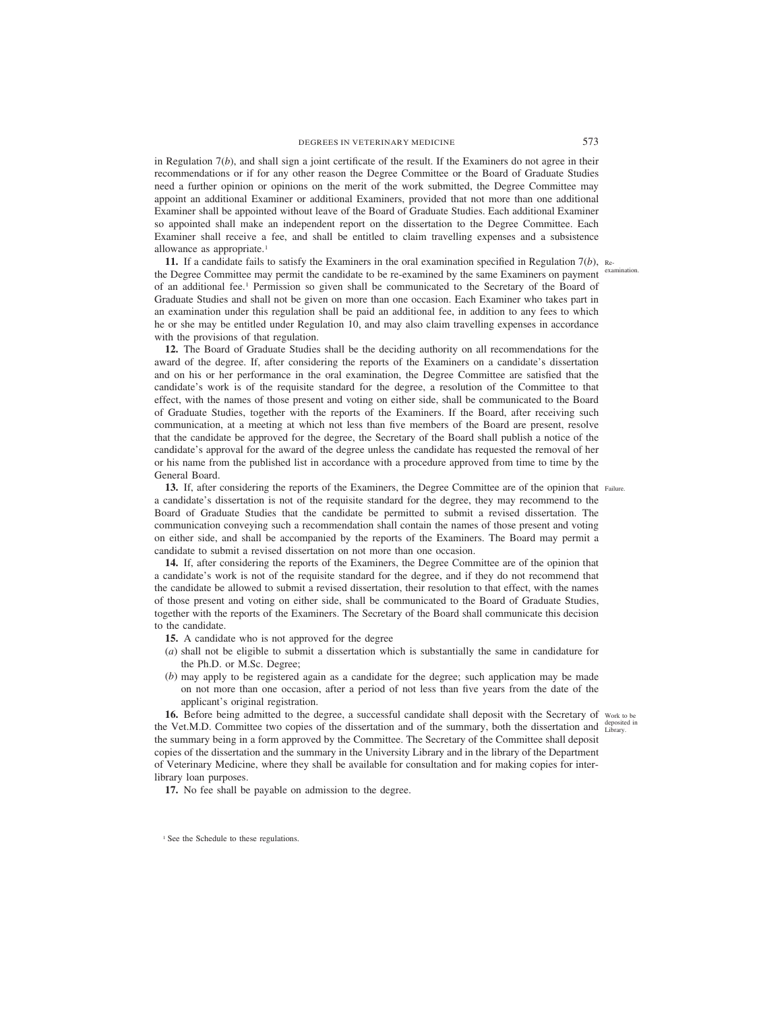in Regulation 7(*b*), and shall sign a joint certificate of the result. If the Examiners do not agree in their recommendations or if for any other reason the Degree Committee or the Board of Graduate Studies need a further opinion or opinions on the merit of the work submitted, the Degree Committee may appoint an additional Examiner or additional Examiners, provided that not more than one additional Examiner shall be appointed without leave of the Board of Graduate Studies. Each additional Examiner so appointed shall make an independent report on the dissertation to the Degree Committee. Each Examiner shall receive a fee, and shall be entitled to claim travelling expenses and a subsistence allowance as appropriate.<sup>1</sup>

**11.** If a candidate fails to satisfy the Examiners in the oral examination specified in Regulation  $7(b)$ , Re-<br>examination. the Degree Committee may permit the candidate to be re-examined by the same Examiners on payment of an additional fee.1 Permission so given shall be communicated to the Secretary of the Board of Graduate Studies and shall not be given on more than one occasion. Each Examiner who takes part in an examination under this regulation shall be paid an additional fee, in addition to any fees to which he or she may be entitled under Regulation 10, and may also claim travelling expenses in accordance with the provisions of that regulation.

**12.** The Board of Graduate Studies shall be the deciding authority on all recommendations for the award of the degree. If, after considering the reports of the Examiners on a candidate's dissertation and on his or her performance in the oral examination, the Degree Committee are satisfied that the candidate's work is of the requisite standard for the degree, a resolution of the Committee to that effect, with the names of those present and voting on either side, shall be communicated to the Board of Graduate Studies, together with the reports of the Examiners. If the Board, after receiving such communication, at a meeting at which not less than five members of the Board are present, resolve that the candidate be approved for the degree, the Secretary of the Board shall publish a notice of the candidate's approval for the award of the degree unless the candidate has requested the removal of her or his name from the published list in accordance with a procedure approved from time to time by the General Board.

13. If, after considering the reports of the Examiners, the Degree Committee are of the opinion that Failure. a candidate's dissertation is not of the requisite standard for the degree, they may recommend to the Board of Graduate Studies that the candidate be permitted to submit a revised dissertation. The communication conveying such a recommendation shall contain the names of those present and voting on either side, and shall be accompanied by the reports of the Examiners. The Board may permit a candidate to submit a revised dissertation on not more than one occasion.

**14.** If, after considering the reports of the Examiners, the Degree Committee are of the opinion that a candidate's work is not of the requisite standard for the degree, and if they do not recommend that the candidate be allowed to submit a revised dissertation, their resolution to that effect, with the names of those present and voting on either side, shall be communicated to the Board of Graduate Studies, together with the reports of the Examiners. The Secretary of the Board shall communicate this decision to the candidate.

- **15.** A candidate who is not approved for the degree
- (*a*) shall not be eligible to submit a dissertation which is substantially the same in candidature for the Ph.D. or M.Sc. Degree;
- (*b*) may apply to be registered again as a candidate for the degree; such application may be made on not more than one occasion, after a period of not less than five years from the date of the applicant's original registration.

**16.** Before being admitted to the degree, a successful candidate shall deposit with the Secretary of work to be the Vet.M.D. Committee two copies of the dissertation and of the summary, both the dissertation and deposited in the summary being in a form approved by the Committee. The Secretary of the Committee shall deposit copies of the dissertation and the summary in the University Library and in the library of the Department of Veterinary Medicine, where they shall be available for consultation and for making copies for interlibrary loan purposes.

**17.** No fee shall be payable on admission to the degree.

<sup>&</sup>lt;sup>1</sup> See the Schedule to these regulations.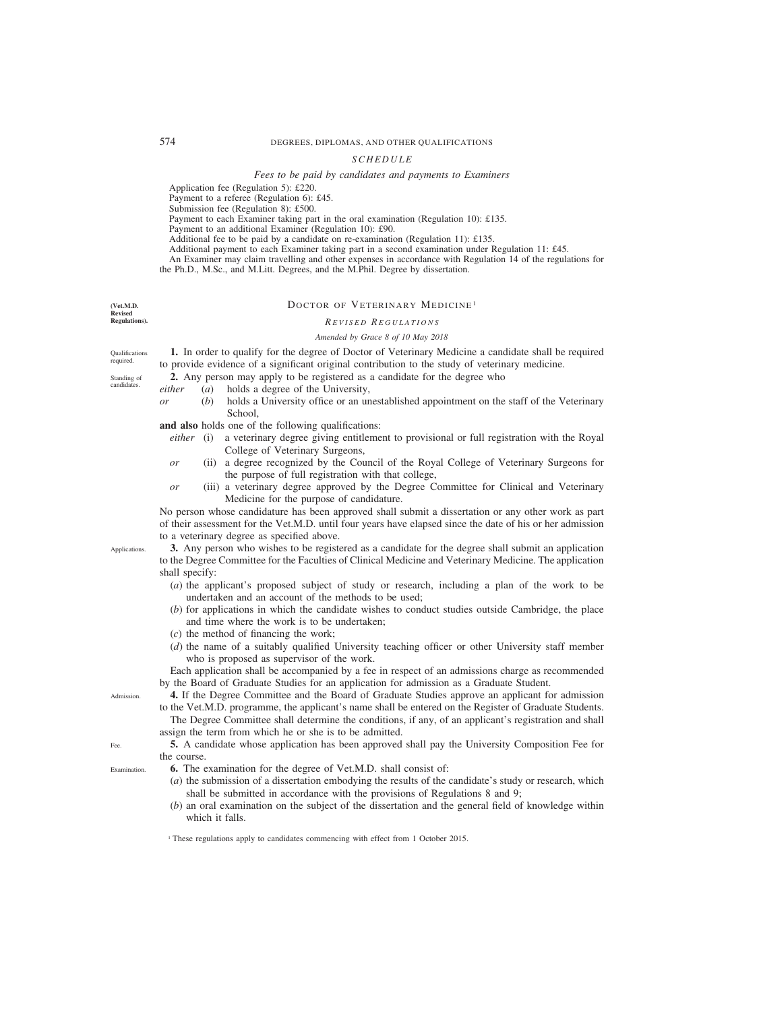### *SCHEDULE*

#### *Fees to be paid by candidates and payments to Examiners*

<span id="page-129-0"></span>Application fee (Regulation 5): £220.

Payment to a referee (Regulation 6): £45.

Submission fee (Regulation 8): £500.

Payment to each Examiner taking part in the oral examination (Regulation 10): £135.

Payment to an additional Examiner (Regulation 10): £90.

Additional fee to be paid by a candidate on re-examination (Regulation 11): £135.

Additional payment to each Examiner taking part in a second examination under Regulation 11: £45.

An Examiner may claim travelling and other expenses in accordance with Regulation 14 of the regulations for the Ph.D., M.Sc., and M.Litt. Degrees, and the M.Phil. Degree by dissertation.

**(Vet.M.D. Revised**

# **Regulations).**

**Oualifications** required. Standing of candidates.

# *R EVISED R EGULATIONS Amended by Grace 8 of 10 May 2018*

DOCTOR OF VETERINARY MEDICINE<sup>1</sup>

**1.** In order to qualify for the degree of Doctor of Veterinary Medicine a candidate shall be required to provide evidence of a significant original contribution to the study of veterinary medicine.

**2.** Any person may apply to be registered as a candidate for the degree who

- *either* (*a*) holds a degree of the University,
- *or* (*b*) holds a University office or an unestablished appointment on the staff of the Veterinary School,

**and also** holds one of the following qualifications:

- *either* (i) a veterinary degree giving entitlement to provisional or full registration with the Royal College of Veterinary Surgeons,
- *or* (ii) a degree recognized by the Council of the Royal College of Veterinary Surgeons for the purpose of full registration with that college,
- *or* (iii) a veterinary degree approved by the Degree Committee for Clinical and Veterinary Medicine for the purpose of candidature.

No person whose candidature has been approved shall submit a dissertation or any other work as part of their assessment for the Vet.M.D. until four years have elapsed since the date of his or her admission to a veterinary degree as specified above.

**3.** Any person who wishes to be registered as a candidate for the degree shall submit an application to the Degree Committee for the Faculties of Clinical Medicine and Veterinary Medicine. The application shall specify:

- (*a*) the applicant's proposed subject of study or research, including a plan of the work to be undertaken and an account of the methods to be used;
- (*b*) for applications in which the candidate wishes to conduct studies outside Cambridge, the place and time where the work is to be undertaken;
- (*c*) the method of financing the work;
- (*d*) the name of a suitably qualified University teaching officer or other University staff member who is proposed as supervisor of the work.

Each application shall be accompanied by a fee in respect of an admissions charge as recommended by the Board of Graduate Studies for an application for admission as a Graduate Student.

**4.** If the Degree Committee and the Board of Graduate Studies approve an applicant for admission to the Vet.M.D. programme, the applicant's name shall be entered on the Register of Graduate Students.

The Degree Committee shall determine the conditions, if any, of an applicant's registration and shall assign the term from which he or she is to be admitted.

- **5.** A candidate whose application has been approved shall pay the University Composition Fee for the course.
- **6.** The examination for the degree of Vet.M.D. shall consist of:
	- (*a*) the submission of a dissertation embodying the results of the candidate's study or research, which shall be submitted in accordance with the provisions of Regulations 8 and 9;
	- (*b*) an oral examination on the subject of the dissertation and the general field of knowledge within which it falls.

<sup>1</sup> These regulations apply to candidates commencing with effect from 1 October 2015.

Admission.

Fee.

Examination.

**Applications**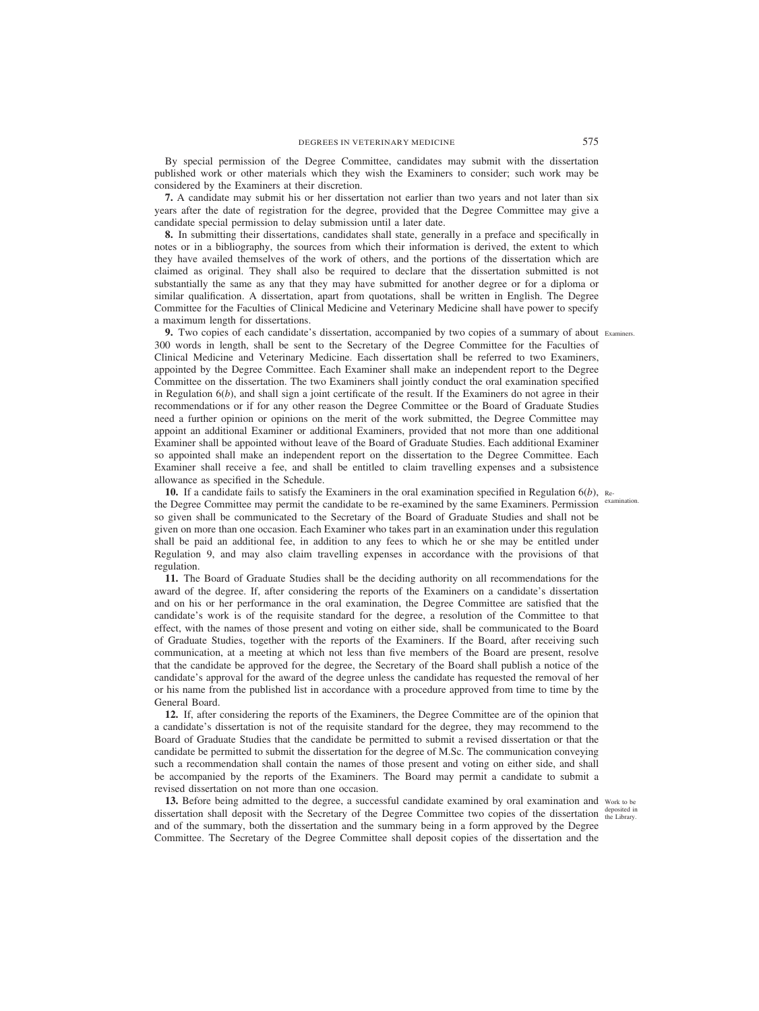By special permission of the Degree Committee, candidates may submit with the dissertation published work or other materials which they wish the Examiners to consider; such work may be considered by the Examiners at their discretion.

**7.** A candidate may submit his or her dissertation not earlier than two years and not later than six years after the date of registration for the degree, provided that the Degree Committee may give a candidate special permission to delay submission until a later date.

**8.** In submitting their dissertations, candidates shall state, generally in a preface and specifically in notes or in a bibliography, the sources from which their information is derived, the extent to which they have availed themselves of the work of others, and the portions of the dissertation which are claimed as original. They shall also be required to declare that the dissertation submitted is not substantially the same as any that they may have submitted for another degree or for a diploma or similar qualification. A dissertation, apart from quotations, shall be written in English. The Degree Committee for the Faculties of Clinical Medicine and Veterinary Medicine shall have power to specify a maximum length for dissertations.

**9.** Two copies of each candidate's dissertation, accompanied by two copies of a summary of about Examiners. 300 words in length, shall be sent to the Secretary of the Degree Committee for the Faculties of Clinical Medicine and Veterinary Medicine. Each dissertation shall be referred to two Examiners, appointed by the Degree Committee. Each Examiner shall make an independent report to the Degree Committee on the dissertation. The two Examiners shall jointly conduct the oral examination specified in Regulation 6(*b*), and shall sign a joint certificate of the result. If the Examiners do not agree in their recommendations or if for any other reason the Degree Committee or the Board of Graduate Studies need a further opinion or opinions on the merit of the work submitted, the Degree Committee may appoint an additional Examiner or additional Examiners, provided that not more than one additional Examiner shall be appointed without leave of the Board of Graduate Studies. Each additional Examiner so appointed shall make an independent report on the dissertation to the Degree Committee. Each Examiner shall receive a fee, and shall be entitled to claim travelling expenses and a subsistence allowance as specified in the Schedule.

**10.** If a candidate fails to satisfy the Examiners in the oral examination specified in Regulation 6(*b*), Rethe Degree Committee may permit the candidate to be re-examined by the same Examiners. Permission examination. so given shall be communicated to the Secretary of the Board of Graduate Studies and shall not be given on more than one occasion. Each Examiner who takes part in an examination under this regulation shall be paid an additional fee, in addition to any fees to which he or she may be entitled under Regulation 9, and may also claim travelling expenses in accordance with the provisions of that regulation.

**11.** The Board of Graduate Studies shall be the deciding authority on all recommendations for the award of the degree. If, after considering the reports of the Examiners on a candidate's dissertation and on his or her performance in the oral examination, the Degree Committee are satisfied that the candidate's work is of the requisite standard for the degree, a resolution of the Committee to that effect, with the names of those present and voting on either side, shall be communicated to the Board of Graduate Studies, together with the reports of the Examiners. If the Board, after receiving such communication, at a meeting at which not less than five members of the Board are present, resolve that the candidate be approved for the degree, the Secretary of the Board shall publish a notice of the candidate's approval for the award of the degree unless the candidate has requested the removal of her or his name from the published list in accordance with a procedure approved from time to time by the General Board.

**12.** If, after considering the reports of the Examiners, the Degree Committee are of the opinion that a candidate's dissertation is not of the requisite standard for the degree, they may recommend to the Board of Graduate Studies that the candidate be permitted to submit a revised dissertation or that the candidate be permitted to submit the dissertation for the degree of M.Sc. The communication conveying such a recommendation shall contain the names of those present and voting on either side, and shall be accompanied by the reports of the Examiners. The Board may permit a candidate to submit a revised dissertation on not more than one occasion.

13. Before being admitted to the degree, a successful candidate examined by oral examination and Work to be dissertation shall deposit with the Secretary of the Degree Committee two copies of the dissertation deposited in and of the summary, both the dissertation and the summary being in a form approved by the Degree Committee. The Secretary of the Degree Committee shall deposit copies of the dissertation and the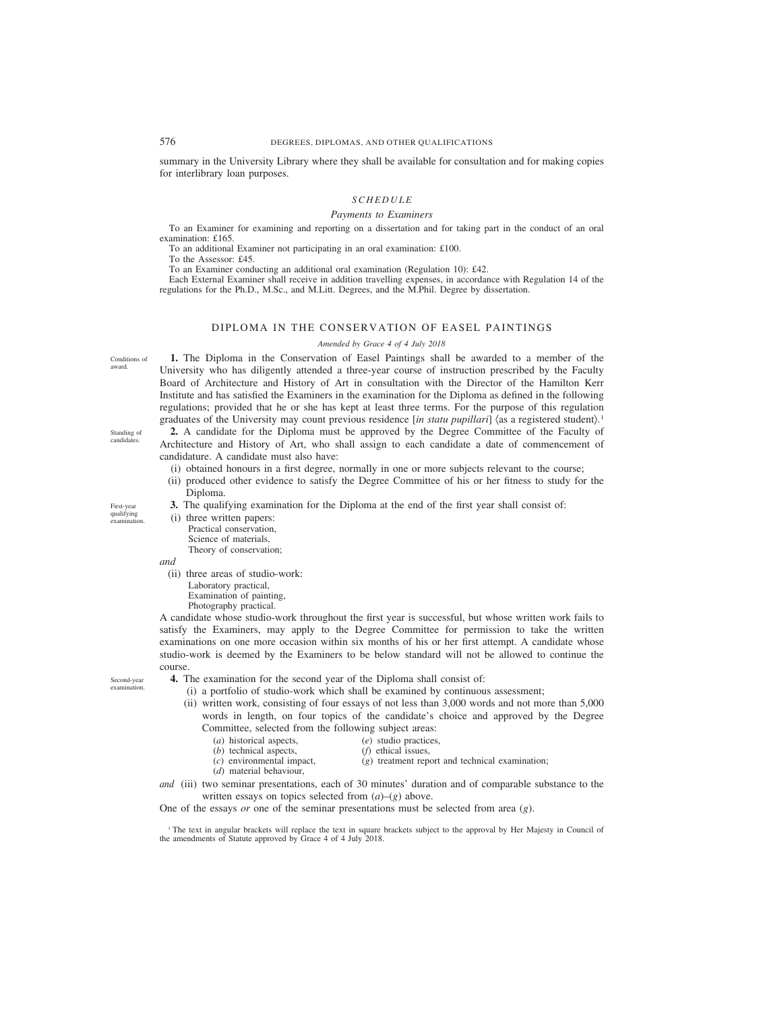# 576 DEGREES, DIPLOMAS, AND OTHER QUALIFICATIONS

summary in the University Library where they shall be available for consultation and for making copies for interlibrary loan purposes.

#### *SCHEDULE*

#### *Payments to Examiners*

To an Examiner for examining and reporting on a dissertation and for taking part in the conduct of an oral examination: £165.

To an additional Examiner not participating in an oral examination: £100.

To the Assessor: £45.

To an Examiner conducting an additional oral examination (Regulation 10): £42.

Each External Examiner shall receive in addition travelling expenses, in accordance with Regulation 14 of the regulations for the Ph.D., M.Sc., and M.Litt. Degrees, and the M.Phil. Degree by dissertation.

# DIPLOMA IN THE CONSERVATION OF EASEL PAINTINGS

#### *Amended by Grace 4 of 4 July 2018*

Conditions of award.

**1.** The Diploma in the Conservation of Easel Paintings shall be awarded to a member of the University who has diligently attended a three-year course of instruction prescribed by the Faculty Board of Architecture and History of Art in consultation with the Director of the Hamilton Kerr Institute and has satisfied the Examiners in the examination for the Diploma as defined in the following regulations; provided that he or she has kept at least three terms. For the purpose of this regulation graduates of the University may count previous residence [*in statu pupillari*] (as a registered student).1

**2.** A candidate for the Diploma must be approved by the Degree Committee of the Faculty of Architecture and History of Art, who shall assign to each candidate a date of commencement of candidature. A candidate must also have:

- (i) obtained honours in a first degree, normally in one or more subjects relevant to the course;
- (ii) produced other evidence to satisfy the Degree Committee of his or her fitness to study for the Diploma.
- **3.** The qualifying examination for the Diploma at the end of the first year shall consist of:

(i) three written papers:

Practical conservation, Science of materials, Theory of conservation;

*and*

(ii) three areas of studio-work: Laboratory practical, Examination of painting, Photography practical.

A candidate whose studio-work throughout the first year is successful, but whose written work fails to satisfy the Examiners, may apply to the Degree Committee for permission to take the written examinations on one more occasion within six months of his or her first attempt. A candidate whose studio-work is deemed by the Examiners to be below standard will not be allowed to continue the course.

Second-year examination.

- **4.** The examination for the second year of the Diploma shall consist of:
	- (i) a portfolio of studio-work which shall be examined by continuous assessment;
	- (ii) written work, consisting of four essays of not less than 3,000 words and not more than 5,000 words in length, on four topics of the candidate's choice and approved by the Degree Committee, selected from the following subject areas:
		- -
		- (*a*) historical aspects, (*e*) studio practices,<br>(*b*) technical aspects, (*f*) ethical issues.
			-
- 
- $(b)$  technical aspects,  $(c)$  environmental impact, (*d*) material behaviour,
- $(g)$  treatment report and technical examination;
- *and* (iii) two seminar presentations, each of 30 minutes' duration and of comparable substance to the written essays on topics selected from (*a*)–(*g*) above.

One of the essays *or* one of the seminar presentations must be selected from area (*g*).

<sup>1</sup> The text in angular brackets will replace the text in square brackets subject to the approval by Her Majesty in Council of the amendments of Statute approved by Grace 4 of 4 July 2018.

Standing of candidates.

First-year qualifying

examination.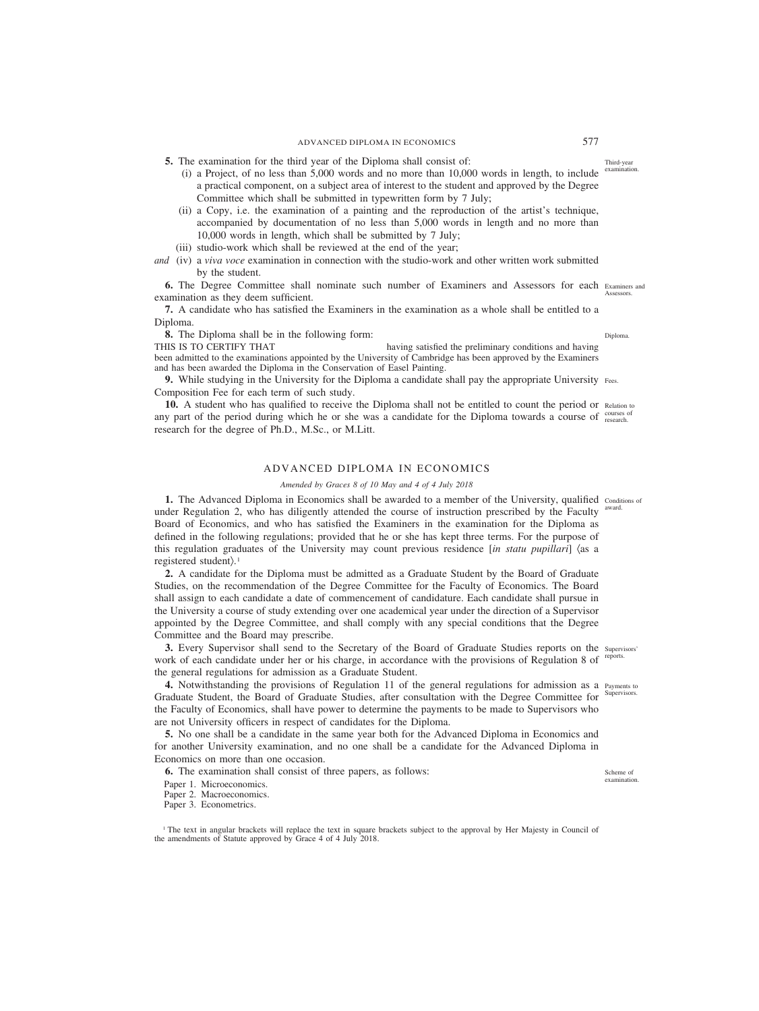- (i) a Project, of no less than  $5,000$  words and no more than  $10,000$  words in length, to include <sup>examination.</sup> a practical component, on a subject area of interest to the student and approved by the Degree Committee which shall be submitted in typewritten form by 7 July;
- (ii) a Copy, i.e. the examination of a painting and the reproduction of the artist's technique, accompanied by documentation of no less than 5,000 words in length and no more than 10,000 words in length, which shall be submitted by 7 July;
- (iii) studio-work which shall be reviewed at the end of the year;
- *and* (iv) a *viva voce* examination in connection with the studio-work and other written work submitted by the student.

**6.** The Degree Committee shall nominate such number of Examiners and Assessors for each Examiners and examination as they deem sufficient. **Assessors** 

**7.** A candidate who has satisfied the Examiners in the examination as a whole shall be entitled to a Diploma.

**8.** The Diploma shall be in the following form:

THIS IS TO CERTIFY THAT having satisfied the preliminary conditions and having been admitted to the examinations appointed by the University of Cambridge has been approved by the Examiners and has been awarded the Diploma in the Conservation of Easel Painting.

**9.** While studying in the University for the Diploma a candidate shall pay the appropriate University Fees. Composition Fee for each term of such study.

**10.** A student who has qualified to receive the Diploma shall not be entitled to count the period or Relation to any part of the period during which he or she was a candidate for the Diploma towards a course of courses of courses research for the degree of Ph.D., M.Sc., or M.Litt.

# ADVANCED DIPLOMA IN ECONOMICS

#### *Amended by Graces 8 of 10 May and 4 of 4 July 2018*

**1.** The Advanced Diploma in Economics shall be awarded to a member of the University, qualified conditions of under Regulation 2, who has diligently attended the course of instruction prescribed by the Faculty <sup>award.</sup> Board of Economics, and who has satisfied the Examiners in the examination for the Diploma as defined in the following regulations; provided that he or she has kept three terms. For the purpose of this regulation graduates of the University may count previous residence [*in statu pupillari*] (as a registered student).<sup>1</sup>

**2.** A candidate for the Diploma must be admitted as a Graduate Student by the Board of Graduate Studies, on the recommendation of the Degree Committee for the Faculty of Economics. The Board shall assign to each candidate a date of commencement of candidature. Each candidate shall pursue in the University a course of study extending over one academical year under the direction of a Supervisor appointed by the Degree Committee, and shall comply with any special conditions that the Degree Committee and the Board may prescribe.

**3.** Every Supervisor shall send to the Secretary of the Board of Graduate Studies reports on the supervisors' work of each candidate under her or his charge, in accordance with the provisions of Regulation 8 of reports. the general regulations for admission as a Graduate Student.

4. Notwithstanding the provisions of Regulation 11 of the general regulations for admission as a Payments to Graduate Student, the Board of Graduate Studies, after consultation with the Degree Committee for the Faculty of Economics, shall have power to determine the payments to be made to Supervisors who are not University officers in respect of candidates for the Diploma. Supervisors.

**5.** No one shall be a candidate in the same year both for the Advanced Diploma in Economics and for another University examination, and no one shall be a candidate for the Advanced Diploma in Economics on more than one occasion.

**6.** The examination shall consist of three papers, as follows:

Paper 1. Microeconomics.

Paper 2. Macroeconomics.

Paper 3. Econometrics.

<sup>1</sup> The text in angular brackets will replace the text in square brackets subject to the approval by Her Majesty in Council of the amendments of Statute approved by Grace 4 of 4 July 2018.

Third-year

Diploma.

Scheme of examination.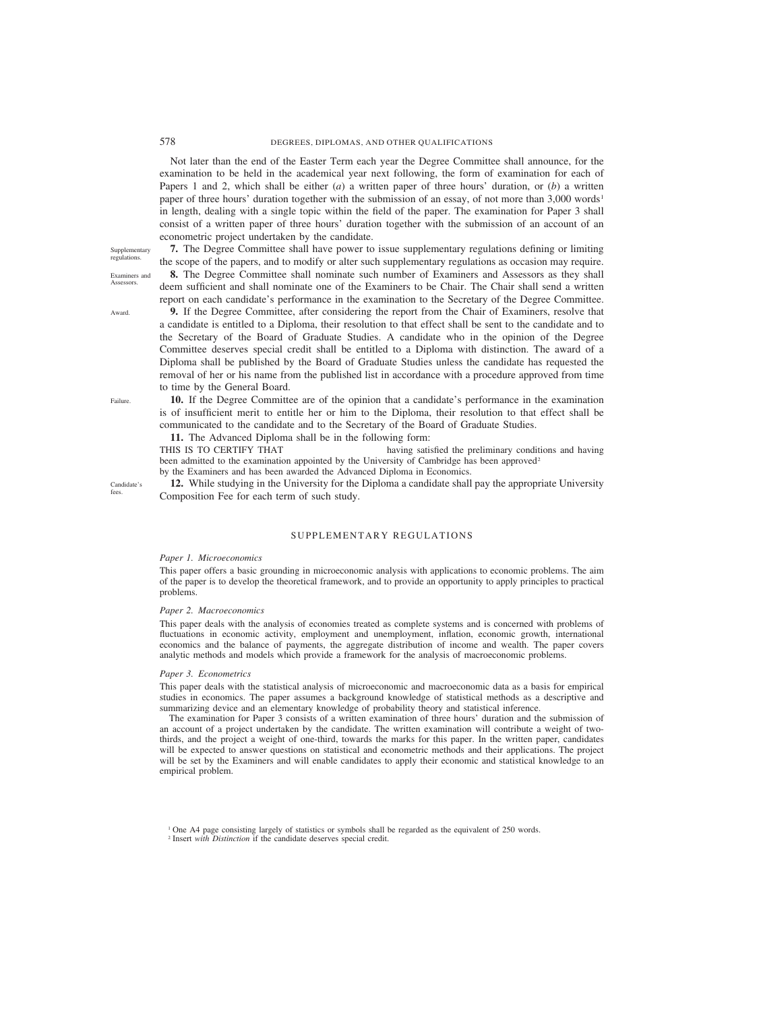Not later than the end of the Easter Term each year the Degree Committee shall announce, for the examination to be held in the academical year next following, the form of examination for each of Papers 1 and 2, which shall be either (*a*) a written paper of three hours' duration, or (*b*) a written paper of three hours' duration together with the submission of an essay, of not more than  $3,000$  words<sup>1</sup> in length, dealing with a single topic within the field of the paper. The examination for Paper 3 shall consist of a written paper of three hours' duration together with the submission of an account of an econometric project undertaken by the candidate.

Supplementary regulations. Examiners and

Award.

**Assessors** 

**7.** The Degree Committee shall have power to issue supplementary regulations defining or limiting the scope of the papers, and to modify or alter such supplementary regulations as occasion may require.

**8.** The Degree Committee shall nominate such number of Examiners and Assessors as they shall deem sufficient and shall nominate one of the Examiners to be Chair. The Chair shall send a written report on each candidate's performance in the examination to the Secretary of the Degree Committee.

**9.** If the Degree Committee, after considering the report from the Chair of Examiners, resolve that a candidate is entitled to a Diploma, their resolution to that effect shall be sent to the candidate and to the Secretary of the Board of Graduate Studies. A candidate who in the opinion of the Degree Committee deserves special credit shall be entitled to a Diploma with distinction. The award of a Diploma shall be published by the Board of Graduate Studies unless the candidate has requested the removal of her or his name from the published list in accordance with a procedure approved from time to time by the General Board.

**10.** If the Degree Committee are of the opinion that a candidate's performance in the examination is of insufficient merit to entitle her or him to the Diploma, their resolution to that effect shall be communicated to the candidate and to the Secretary of the Board of Graduate Studies.

**11.** The Advanced Diploma shall be in the following form:

THIS IS TO CERTIFY THAT having satisfied the preliminary conditions and having been admitted to the examination appointed by the University of Cambridge has been approved<sup>2</sup>

by the Examiners and has been awarded the Advanced Diploma in Economics.

**12.** While studying in the University for the Diploma a candidate shall pay the appropriate University Composition Fee for each term of such study.

# SUPPLEMENTARY REGULATIONS

#### *Paper 1. Microeconomics*

This paper offers a basic grounding in microeconomic analysis with applications to economic problems. The aim of the paper is to develop the theoretical framework, and to provide an opportunity to apply principles to practical problems.

#### *Paper 2. Macroeconomics*

This paper deals with the analysis of economies treated as complete systems and is concerned with problems of fluctuations in economic activity, employment and unemployment, inflation, economic growth, international economics and the balance of payments, the aggregate distribution of income and wealth. The paper covers analytic methods and models which provide a framework for the analysis of macroeconomic problems.

#### *Paper 3. Econometrics*

This paper deals with the statistical analysis of microeconomic and macroeconomic data as a basis for empirical studies in economics. The paper assumes a background knowledge of statistical methods as a descriptive and summarizing device and an elementary knowledge of probability theory and statistical inference.

The examination for Paper 3 consists of a written examination of three hours' duration and the submission of an account of a project undertaken by the candidate. The written examination will contribute a weight of twothirds, and the project a weight of one-third, towards the marks for this paper. In the written paper, candidates will be expected to answer questions on statistical and econometric methods and their applications. The project will be set by the Examiners and will enable candidates to apply their economic and statistical knowledge to an empirical problem.

Failure.

Candidate's fees.

<sup>1</sup> One A4 page consisting largely of statistics or symbols shall be regarded as the equivalent of 250 words.

<sup>2</sup> Insert *with Distinction* if the candidate deserves special credit.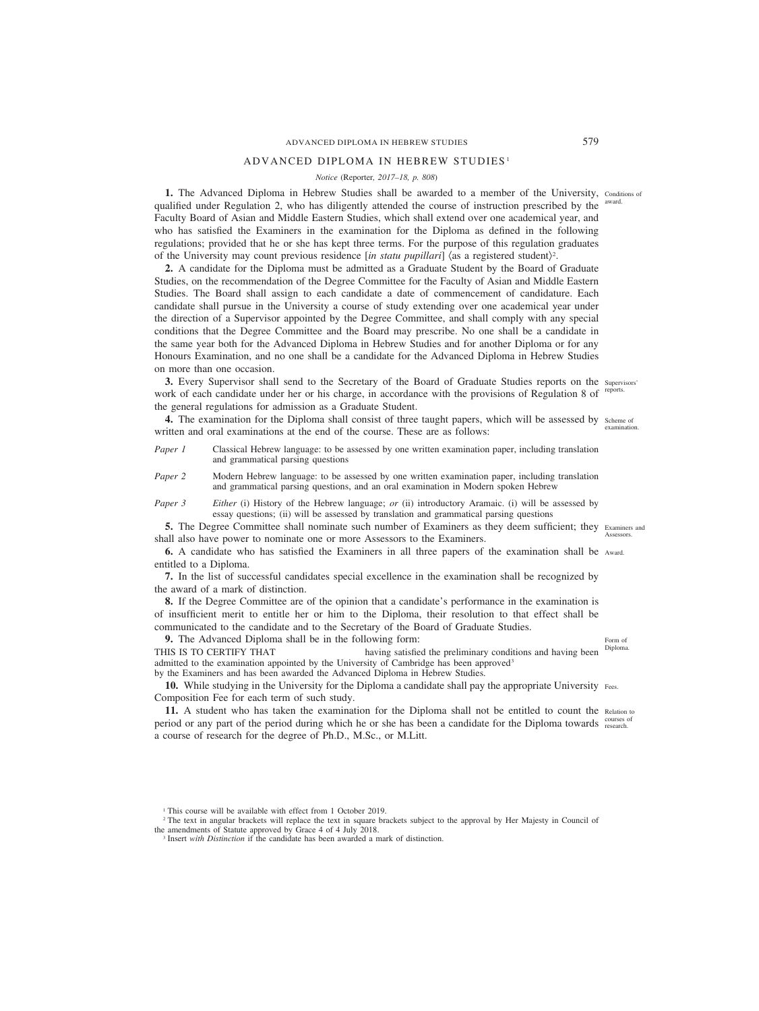# ADVANCED DIPLOMA IN HEBREW STUDIES 579

# ADVANCED DIPLOMA IN HEBREW STUDIES <sup>1</sup>

# *Notice (*Reporter*, 2017–18, p. 808)*

**1.** The Advanced Diploma in Hebrew Studies shall be awarded to a member of the University, Conditions of qualified under Regulation 2, who has diligently attended the course of instruction prescribed by the Faculty Board of Asian and Middle Eastern Studies, which shall extend over one academical year, and who has satisfied the Examiners in the examination for the Diploma as defined in the following regulations; provided that he or she has kept three terms. For the purpose of this regulation graduates of the University may count previous residence [in statu pupillari]  $\langle$  as a registered student $\rangle$ <sup>2</sup>. award.

**2.** A candidate for the Diploma must be admitted as a Graduate Student by the Board of Graduate Studies, on the recommendation of the Degree Committee for the Faculty of Asian and Middle Eastern Studies. The Board shall assign to each candidate a date of commencement of candidature. Each candidate shall pursue in the University a course of study extending over one academical year under the direction of a Supervisor appointed by the Degree Committee, and shall comply with any special conditions that the Degree Committee and the Board may prescribe. No one shall be a candidate in the same year both for the Advanced Diploma in Hebrew Studies and for another Diploma or for any Honours Examination, and no one shall be a candidate for the Advanced Diploma in Hebrew Studies on more than one occasion.

**3.** Every Supervisor shall send to the Secretary of the Board of Graduate Studies reports on the supervisors' work of each candidate under her or his charge, in accordance with the provisions of Regulation 8 of reports. the general regulations for admission as a Graduate Student.

**4.** The examination for the Diploma shall consist of three taught papers, which will be assessed by scheme of written and oral examinations at the end of the course. These are as follows: examination.

- *Paper 1* Classical Hebrew language: to be assessed by one written examination paper, including translation and grammatical parsing questions
- *Paper 2* Modern Hebrew language: to be assessed by one written examination paper, including translation and grammatical parsing questions, and an oral examination in Modern spoken Hebrew

*Paper 3* Either (i) History of the Hebrew language; *or* (ii) introductory Aramaic. (i) will be assessed by essay questions; (ii) will be assessed by translation and grammatical parsing questions

**5.** The Degree Committee shall nominate such number of Examiners as they deem sufficient; they Examiners and shall also have power to nominate one or more Assessors to the Examiners. Assessors.

**6.** A candidate who has satisfied the Examiners in all three papers of the examination shall be Award. entitled to a Diploma.

**7.** In the list of successful candidates special excellence in the examination shall be recognized by the award of a mark of distinction.

**8.** If the Degree Committee are of the opinion that a candidate's performance in the examination is of insufficient merit to entitle her or him to the Diploma, their resolution to that effect shall be communicated to the candidate and to the Secretary of the Board of Graduate Studies.

**9.** The Advanced Diploma shall be in the following form:

THIS IS TO CERTIFY THAT having satisfied the preliminary conditions and having been admitted to the examination appointed by the University of Cambridge has been approved<sup>3</sup> Diploma.

by the Examiners and has been awarded the Advanced Diploma in Hebrew Studies.

**10.** While studying in the University for the Diploma a candidate shall pay the appropriate University Fees. Composition Fee for each term of such study.

11. A student who has taken the examination for the Diploma shall not be entitled to count the Relation to period or any part of the period during which he or she has been a candidate for the Diploma towards courses of a course of research for the degree of Ph.D., M.Sc., or M.Litt.

Form of

<sup>&</sup>lt;sup>1</sup> This course will be available with effect from 1 October 2019.

<sup>&</sup>lt;sup>2</sup> The text in angular brackets will replace the text in square brackets subject to the approval by Her Majesty in Council of the amendments of Statute approved by Grace 4 of 4 July 2018.

<sup>3</sup> Insert *with Distinction* if the candidate has been awarded a mark of distinction.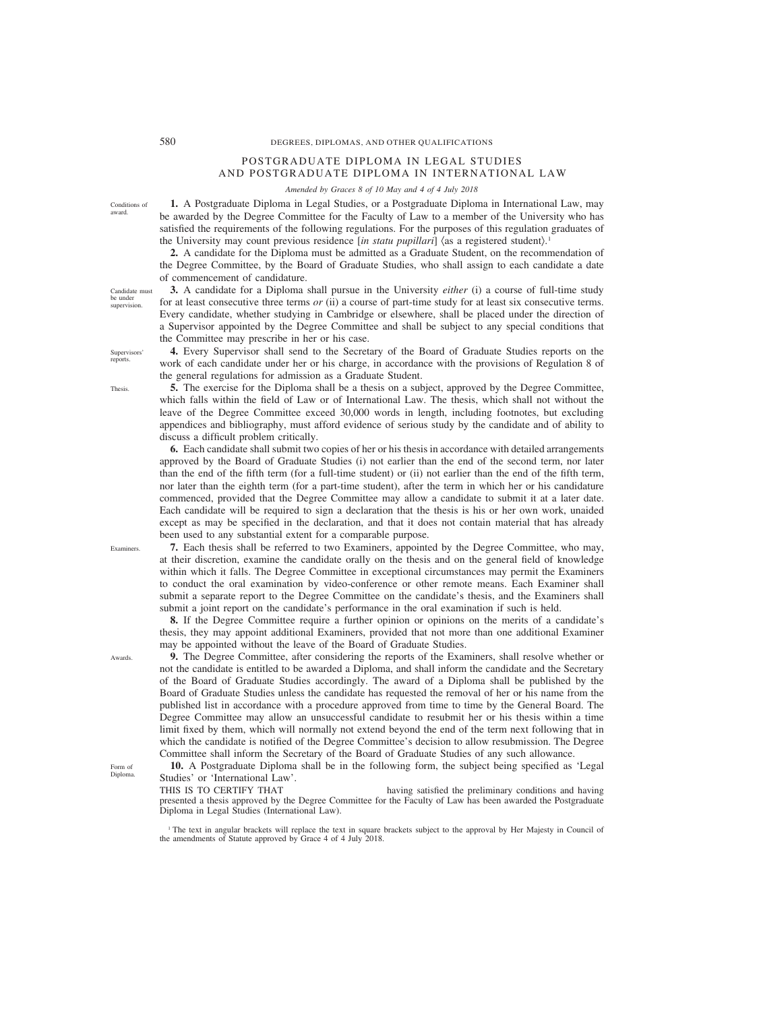# 580 DEGREES, DIPLOMAS, AND OTHER QUALIFICATIONS

# POSTGRADUATE DIPLOMA IN LEGAL STUDIES AND POSTGRADUATE DIPLOMA IN INTERNATIONAL LAW

*Amended by Graces 8 of 10 May and 4 of 4 July 2018*

**1.** A Postgraduate Diploma in Legal Studies, or a Postgraduate Diploma in International Law, may be awarded by the Degree Committee for the Faculty of Law to a member of the University who has satisfied the requirements of the following regulations. For the purposes of this regulation graduates of the University may count previous residence [*in statu pupillari*] (as a registered student). 1

**2.** A candidate for the Diploma must be admitted as a Graduate Student, on the recommendation of the Degree Committee, by the Board of Graduate Studies, who shall assign to each candidate a date of commencement of candidature.

# **3.** A candidate for a Diploma shall pursue in the University *either* (i) a course of full-time study for at least consecutive three terms *or* (ii) a course of part-time study for at least six consecutive terms. Every candidate, whether studying in Cambridge or elsewhere, shall be placed under the direction of a Supervisor appointed by the Degree Committee and shall be subject to any special conditions that the Committee may prescribe in her or his case.

**4.** Every Supervisor shall send to the Secretary of the Board of Graduate Studies reports on the work of each candidate under her or his charge, in accordance with the provisions of Regulation 8 of the general regulations for admission as a Graduate Student.

**5.** The exercise for the Diploma shall be a thesis on a subject, approved by the Degree Committee, which falls within the field of Law or of International Law. The thesis, which shall not without the leave of the Degree Committee exceed 30,000 words in length, including footnotes, but excluding appendices and bibliography, must afford evidence of serious study by the candidate and of ability to discuss a difficult problem critically.

**6.** Each candidate shall submit two copies of her or his thesis in accordance with detailed arrangements approved by the Board of Graduate Studies (i) not earlier than the end of the second term, nor later than the end of the fifth term (for a full-time student) or (ii) not earlier than the end of the fifth term, nor later than the eighth term (for a part-time student), after the term in which her or his candidature commenced, provided that the Degree Committee may allow a candidate to submit it at a later date. Each candidate will be required to sign a declaration that the thesis is his or her own work, unaided except as may be specified in the declaration, and that it does not contain material that has already been used to any substantial extent for a comparable purpose.

**7.** Each thesis shall be referred to two Examiners, appointed by the Degree Committee, who may, at their discretion, examine the candidate orally on the thesis and on the general field of knowledge within which it falls. The Degree Committee in exceptional circumstances may permit the Examiners to conduct the oral examination by video-conference or other remote means. Each Examiner shall submit a separate report to the Degree Committee on the candidate's thesis, and the Examiners shall submit a joint report on the candidate's performance in the oral examination if such is held.

**8.** If the Degree Committee require a further opinion or opinions on the merits of a candidate's thesis, they may appoint additional Examiners, provided that not more than one additional Examiner may be appointed without the leave of the Board of Graduate Studies.

**9.** The Degree Committee, after considering the reports of the Examiners, shall resolve whether or not the candidate is entitled to be awarded a Diploma, and shall inform the candidate and the Secretary of the Board of Graduate Studies accordingly. The award of a Diploma shall be published by the Board of Graduate Studies unless the candidate has requested the removal of her or his name from the published list in accordance with a procedure approved from time to time by the General Board. The Degree Committee may allow an unsuccessful candidate to resubmit her or his thesis within a time limit fixed by them, which will normally not extend beyond the end of the term next following that in which the candidate is notified of the Degree Committee's decision to allow resubmission. The Degree Committee shall inform the Secretary of the Board of Graduate Studies of any such allowance.

**10.** A Postgraduate Diploma shall be in the following form, the subject being specified as 'Legal Studies' or 'International Law'.

THIS IS TO CERTIFY THAT having satisfied the preliminary conditions and having presented a thesis approved by the Degree Committee for the Faculty of Law has been awarded the Postgraduate Diploma in Legal Studies (International Law).

<sup>1</sup> The text in angular brackets will replace the text in square brackets subject to the approval by Her Majesty in Council of the amendments of Statute approved by Grace 4 of 4 July 2018.

Candidate must be under supervision.

Conditions of award.

**Supervisors** reports.

Thesis.

Awards.

Examiners.

Form of Diploma.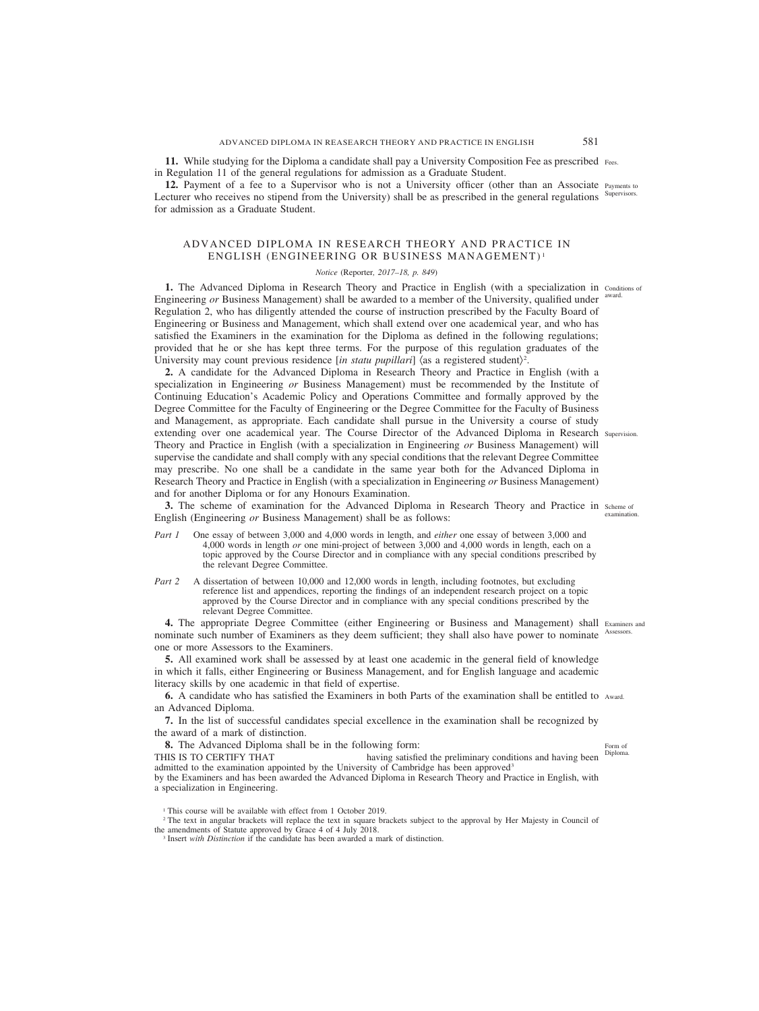**11.** While studying for the Diploma a candidate shall pay a University Composition Fee as prescribed Fees. in Regulation 11 of the general regulations for admission as a Graduate Student.

12. Payment of a fee to a Supervisor who is not a University officer (other than an Associate Payments to Lecturer who receives no stipend from the University) shall be as prescribed in the general regulations Supervisors. for admission as a Graduate Student.

# ADVANCED DIPLOMA IN RESEARCH THEORY AND PRACTICE IN ENGLISH (ENGINEERING OR BUSINESS MANAGEMENT) <sup>1</sup>

#### *Notice (*Reporter*, 2017–18, p. 849)*

**1.** The Advanced Diploma in Research Theory and Practice in English (with a specialization in conditions of Engineering or Business Management) shall be awarded to a member of the University, qualified under <sup>award.</sup> Regulation 2, who has diligently attended the course of instruction prescribed by the Faculty Board of Engineering or Business and Management, which shall extend over one academical year, and who has satisfied the Examiners in the examination for the Diploma as defined in the following regulations; provided that he or she has kept three terms. For the purpose of this regulation graduates of the University may count previous residence [in statu pupillari] (as a registered student)<sup>2</sup>.

**2.** A candidate for the Advanced Diploma in Research Theory and Practice in English (with a specialization in Engineering *or* Business Management) must be recommended by the Institute of Continuing Education's Academic Policy and Operations Committee and formally approved by the Degree Committee for the Faculty of Engineering or the Degree Committee for the Faculty of Business and Management, as appropriate. Each candidate shall pursue in the University a course of study extending over one academical year. The Course Director of the Advanced Diploma in Research Supervision. Theory and Practice in English (with a specialization in Engineering *or* Business Management) will supervise the candidate and shall comply with any special conditions that the relevant Degree Committee may prescribe. No one shall be a candidate in the same year both for the Advanced Diploma in Research Theory and Practice in English (with a specialization in Engineering *or* Business Management) and for another Diploma or for any Honours Examination.

**3.** The scheme of examination for the Advanced Diploma in Research Theory and Practice in scheme of English (Engineering *or* Business Management) shall be as follows: examination.

- *Part 1* One essay of between 3,000 and 4,000 words in length, and *either* one essay of between 3,000 and 4,000 words in length *or* one mini-project of between 3,000 and 4,000 words in length, each on a topic approved by the Course Director and in compliance with any special conditions prescribed by the relevant Degree Committee.
- *Part 2* A dissertation of between 10,000 and 12,000 words in length, including footnotes, but excluding reference list and appendices, reporting the findings of an independent research project on a topic approved by the Course Director and in compliance with any special conditions prescribed by the relevant Degree Committee.

4. The appropriate Degree Committee (either Engineering or Business and Management) shall Examiners and nominate such number of Examiners as they deem sufficient; they shall also have power to nominate Assessors. one or more Assessors to the Examiners.

**5.** All examined work shall be assessed by at least one academic in the general field of knowledge in which it falls, either Engineering or Business Management, and for English language and academic literacy skills by one academic in that field of expertise.

**6.** A candidate who has satisfied the Examiners in both Parts of the examination shall be entitled to Award. an Advanced Diploma.

**7.** In the list of successful candidates special excellence in the examination shall be recognized by the award of a mark of distinction.

**8.** The Advanced Diploma shall be in the following form:

THIS IS TO CERTIFY THAT having satisfied the preliminary conditions and having been admitted to the examination appointed by the University of Cambridge has been approved3 by the Examiners and has been awarded the Advanced Diploma in Research Theory and Practice in English, with

a specialization in Engineering.

<sup>2</sup> The text in angular brackets will replace the text in square brackets subject to the approval by Her Majesty in Council of the amendments of Statute approved by Grace 4 of 4 July 2018.

<sup>3</sup> Insert *with Distinction* if the candidate has been awarded a mark of distinction.

Diploma.

Form of

<sup>&</sup>lt;sup>1</sup> This course will be available with effect from 1 October 2019.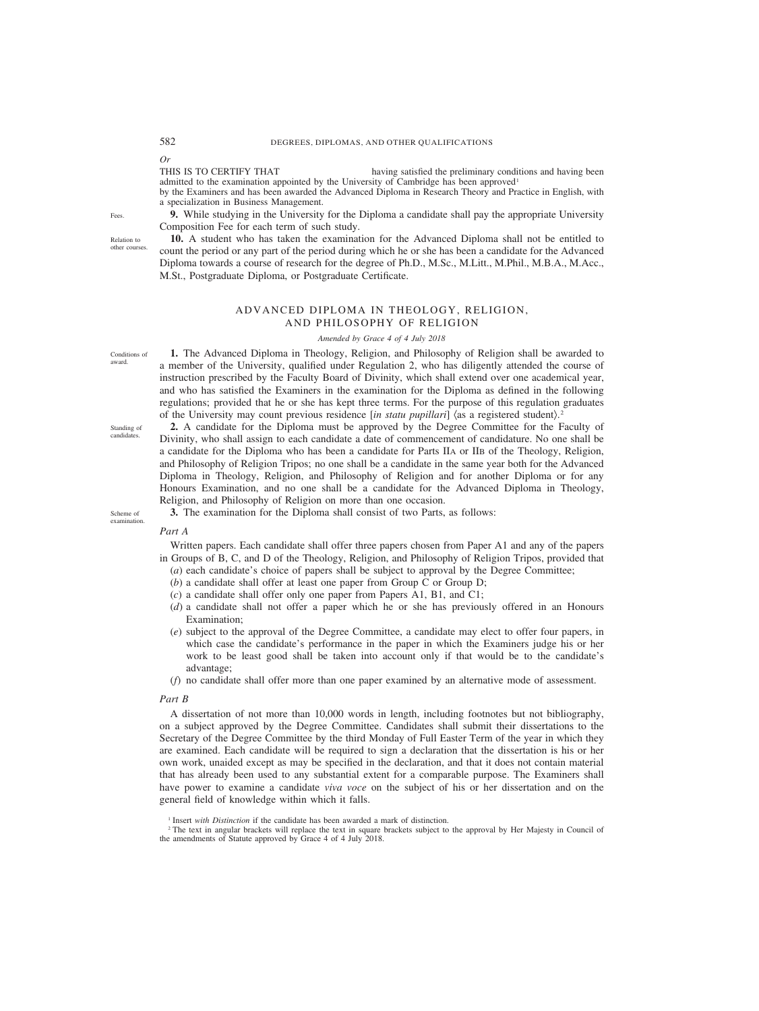*Or*

THIS IS TO CERTIFY THAT having satisfied the preliminary conditions and having been admitted to the examination appointed by the University of Cambridge has been approved<sup>1</sup> by the Examiners and has been awarded the Advanced Diploma in Research Theory and Practice in English, with

a specialization in Business Management.

**9.** While studying in the University for the Diploma a candidate shall pay the appropriate University Composition Fee for each term of such study.

**10.** A student who has taken the examination for the Advanced Diploma shall not be entitled to count the period or any part of the period during which he or she has been a candidate for the Advanced Diploma towards a course of research for the degree of Ph.D., M.Sc., M.Litt., M.Phil., M.B.A., M.Acc., M.St., Postgraduate Diploma, or Postgraduate Certificate.

# ADVANCED DIPLOMA IN THEOLOGY, RELIGION, AND PHILOSOPHY OF RELIGION

#### *Amended by Grace 4 of 4 July 2018*

**1.** The Advanced Diploma in Theology, Religion, and Philosophy of Religion shall be awarded to a member of the University, qualified under Regulation 2, who has diligently attended the course of instruction prescribed by the Faculty Board of Divinity, which shall extend over one academical year, and who has satisfied the Examiners in the examination for the Diploma as defined in the following regulations; provided that he or she has kept three terms. For the purpose of this regulation graduates of the University may count previous residence [*in statu pupillari*] (as a registered student). 2

Standing of candidates.

Conditions of award.

> **2.** A candidate for the Diploma must be approved by the Degree Committee for the Faculty of Divinity, who shall assign to each candidate a date of commencement of candidature. No one shall be a candidate for the Diploma who has been a candidate for Parts IIA or IIB of the Theology, Religion, and Philosophy of Religion Tripos; no one shall be a candidate in the same year both for the Advanced Diploma in Theology, Religion, and Philosophy of Religion and for another Diploma or for any Honours Examination, and no one shall be a candidate for the Advanced Diploma in Theology, Religion, and Philosophy of Religion on more than one occasion. **3.** The examination for the Diploma shall consist of two Parts, as follows:

Scheme of examination.

*Part A*

Written papers. Each candidate shall offer three papers chosen from Paper A1 and any of the papers in Groups of B, C, and D of the Theology, Religion, and Philosophy of Religion Tripos, provided that

- (*a*) each candidate's choice of papers shall be subject to approval by the Degree Committee;
- (*b*) a candidate shall offer at least one paper from Group C or Group D;
- (*c*) a candidate shall offer only one paper from Papers A1, B1, and C1;
- (*d*) a candidate shall not offer a paper which he or she has previously offered in an Honours Examination;
- (*e*) subject to the approval of the Degree Committee, a candidate may elect to offer four papers, in which case the candidate's performance in the paper in which the Examiners judge his or her work to be least good shall be taken into account only if that would be to the candidate's advantage;
- (*f*) no candidate shall offer more than one paper examined by an alternative mode of assessment.

#### *Part B*

A dissertation of not more than 10,000 words in length, including footnotes but not bibliography, on a subject approved by the Degree Committee. Candidates shall submit their dissertations to the Secretary of the Degree Committee by the third Monday of Full Easter Term of the year in which they are examined. Each candidate will be required to sign a declaration that the dissertation is his or her own work, unaided except as may be specified in the declaration, and that it does not contain material that has already been used to any substantial extent for a comparable purpose. The Examiners shall have power to examine a candidate *viva voce* on the subject of his or her dissertation and on the general field of knowledge within which it falls.

Fees.

Relation to other courses.

<sup>&</sup>lt;sup>1</sup> Insert *with Distinction* if the candidate has been awarded a mark of distinction.

<sup>&</sup>lt;sup>2</sup> The text in angular brackets will replace the text in square brackets subject to the approval by Her Majesty in Council of the amendments of Statute approved by Grace 4 of 4 July 2018.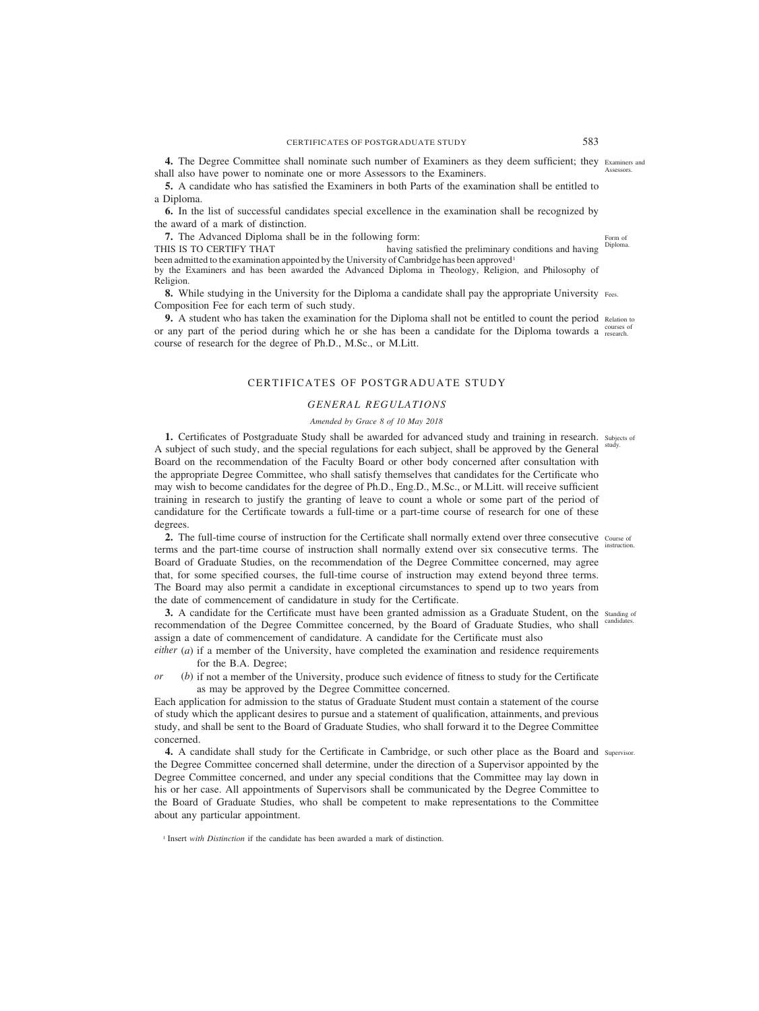4. The Degree Committee shall nominate such number of Examiners as they deem sufficient; they Examiners and shall also have power to nominate one or more Assessors to the Examiners. Assessors.

**5.** A candidate who has satisfied the Examiners in both Parts of the examination shall be entitled to a Diploma.

**6.** In the list of successful candidates special excellence in the examination shall be recognized by the award of a mark of distinction.

**7.** The Advanced Diploma shall be in the following form:

THIS IS TO CERTIFY THAT having satisfied the preliminary conditions and having been admitted to the examination appointed by the University of Cambridge has been approved<sup>1</sup> by the Examiners and has been awarded the Advanced Diploma in Theology, Religion, and Philosophy of Religion. Diploma.

**8.** While studying in the University for the Diploma a candidate shall pay the appropriate University Fees. Composition Fee for each term of such study.

**9.** A student who has taken the examination for the Diploma shall not be entitled to count the period Relation to or any part of the period during which he or she has been a candidate for the Diploma towards a courses of course of research for the degree of Ph.D., M.Sc., or M.Litt.

# CERTIFICATES OF POSTGRADUATE STUDY

# *GENERAL REGULATIONS*

# *Amended by Grace 8 of 10 May 2018*

1. Certificates of Postgraduate Study shall be awarded for advanced study and training in research. Subjects of A subject of such study, and the special regulations for each subject, shall be approved by the General study. Board on the recommendation of the Faculty Board or other body concerned after consultation with the appropriate Degree Committee, who shall satisfy themselves that candidates for the Certificate who may wish to become candidates for the degree of Ph.D., Eng.D., M.Sc., or M.Litt. will receive sufficient training in research to justify the granting of leave to count a whole or some part of the period of candidature for the Certificate towards a full-time or a part-time course of research for one of these degrees.

2. The full-time course of instruction for the Certificate shall normally extend over three consecutive course of terms and the part-time course of instruction shall normally extend over six consecutive terms. The instruction. Board of Graduate Studies, on the recommendation of the Degree Committee concerned, may agree that, for some specified courses, the full-time course of instruction may extend beyond three terms. The Board may also permit a candidate in exceptional circumstances to spend up to two years from the date of commencement of candidature in study for the Certificate.

**3.** A candidate for the Certificate must have been granted admission as a Graduate Student, on the standing of recommendation of the Degree Committee concerned, by the Board of Graduate Studies, who shall candidates. assign a date of commencement of candidature. A candidate for the Certificate must also

*either* (*a*) if a member of the University, have completed the examination and residence requirements for the B.A. Degree;

*or* (*b*) if not a member of the University, produce such evidence of fitness to study for the Certificate as may be approved by the Degree Committee concerned.

Each application for admission to the status of Graduate Student must contain a statement of the course of study which the applicant desires to pursue and a statement of qualification, attainments, and previous study, and shall be sent to the Board of Graduate Studies, who shall forward it to the Degree Committee concerned.

**4.** A candidate shall study for the Certificate in Cambridge, or such other place as the Board and Supervisor.the Degree Committee concerned shall determine, under the direction of a Supervisor appointed by the Degree Committee concerned, and under any special conditions that the Committee may lay down in his or her case. All appointments of Supervisors shall be communicated by the Degree Committee to the Board of Graduate Studies, who shall be competent to make representations to the Committee about any particular appointment.

<sup>1</sup> Insert *with Distinction* if the candidate has been awarded a mark of distinction.

Form of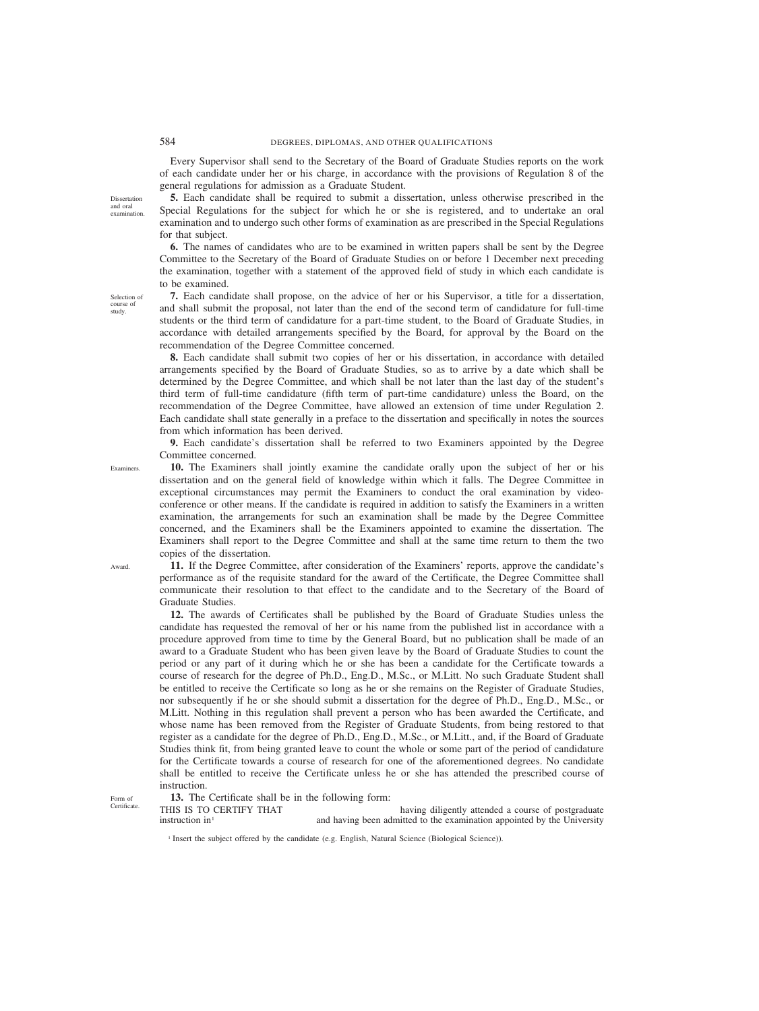Every Supervisor shall send to the Secretary of the Board of Graduate Studies reports on the work of each candidate under her or his charge, in accordance with the provisions of Regulation 8 of the general regulations for admission as a Graduate Student.

**5.** Each candidate shall be required to submit a dissertation, unless otherwise prescribed in the Special Regulations for the subject for which he or she is registered, and to undertake an oral examination and to undergo such other forms of examination as are prescribed in the Special Regulations for that subject.

**6.** The names of candidates who are to be examined in written papers shall be sent by the Degree Committee to the Secretary of the Board of Graduate Studies on or before 1 December next preceding the examination, together with a statement of the approved field of study in which each candidate is to be examined.

**7.** Each candidate shall propose, on the advice of her or his Supervisor, a title for a dissertation, and shall submit the proposal, not later than the end of the second term of candidature for full-time students or the third term of candidature for a part-time student, to the Board of Graduate Studies, in accordance with detailed arrangements specified by the Board, for approval by the Board on the recommendation of the Degree Committee concerned.

**8.** Each candidate shall submit two copies of her or his dissertation, in accordance with detailed arrangements specified by the Board of Graduate Studies, so as to arrive by a date which shall be determined by the Degree Committee, and which shall be not later than the last day of the student's third term of full-time candidature (fifth term of part-time candidature) unless the Board, on the recommendation of the Degree Committee, have allowed an extension of time under Regulation 2. Each candidate shall state generally in a preface to the dissertation and specifically in notes the sources from which information has been derived.

**9.** Each candidate's dissertation shall be referred to two Examiners appointed by the Degree Committee concerned.

**10.** The Examiners shall jointly examine the candidate orally upon the subject of her or his dissertation and on the general field of knowledge within which it falls. The Degree Committee in exceptional circumstances may permit the Examiners to conduct the oral examination by videoconference or other means. If the candidate is required in addition to satisfy the Examiners in a written examination, the arrangements for such an examination shall be made by the Degree Committee concerned, and the Examiners shall be the Examiners appointed to examine the dissertation. The Examiners shall report to the Degree Committee and shall at the same time return to them the two copies of the dissertation.

**11.** If the Degree Committee, after consideration of the Examiners' reports, approve the candidate's performance as of the requisite standard for the award of the Certificate, the Degree Committee shall communicate their resolution to that effect to the candidate and to the Secretary of the Board of Graduate Studies.

**12.** The awards of Certificates shall be published by the Board of Graduate Studies unless the candidate has requested the removal of her or his name from the published list in accordance with a procedure approved from time to time by the General Board, but no publication shall be made of an award to a Graduate Student who has been given leave by the Board of Graduate Studies to count the period or any part of it during which he or she has been a candidate for the Certificate towards a course of research for the degree of Ph.D., Eng.D., M.Sc., or M.Litt. No such Graduate Student shall be entitled to receive the Certificate so long as he or she remains on the Register of Graduate Studies, nor subsequently if he or she should submit a dissertation for the degree of Ph.D., Eng.D., M.Sc., or M.Litt. Nothing in this regulation shall prevent a person who has been awarded the Certificate, and whose name has been removed from the Register of Graduate Students, from being restored to that register as a candidate for the degree of Ph.D., Eng.D., M.Sc., or M.Litt., and, if the Board of Graduate Studies think fit, from being granted leave to count the whole or some part of the period of candidature for the Certificate towards a course of research for one of the aforementioned degrees. No candidate shall be entitled to receive the Certificate unless he or she has attended the prescribed course of instruction.

#### **13.** The Certificate shall be in the following form:

THIS IS TO CERTIFY THAT having diligently attended a course of postgraduate instruction in<sup>1</sup> and having been admitted to the examination appointed by the University

<sup>1</sup> Insert the subject offered by the candidate (e.g. English, Natural Science (Biological Science)).

**Dissertation** and oral examination.

Selection of course of study.

Award.

Examiners.

Form of **Certificate**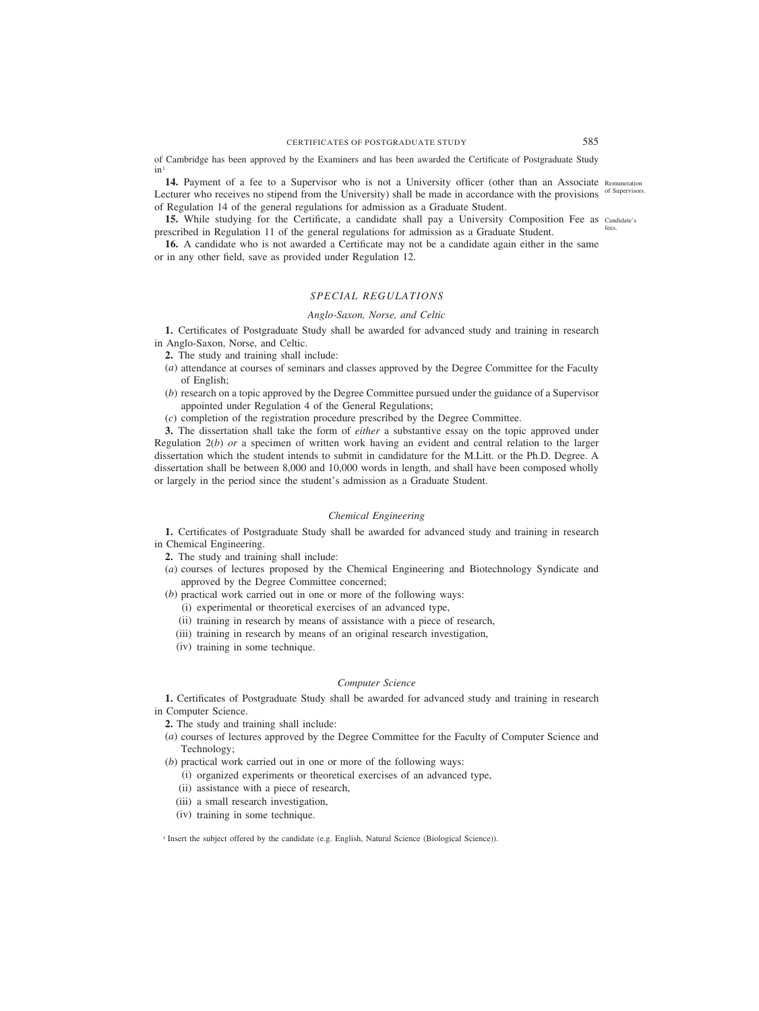of Cambridge has been approved by the Examiners and has been awarded the Certificate of Postgraduate Study in1

14. Payment of a fee to a Supervisor who is not a University officer (other than an Associate Remuneration Lecturer who receives no stipend from the University) shall be made in accordance with the provisions of Supervisors. of Regulation 14 of the general regulations for admission as a Graduate Student.

**15.** While studying for the Certificate, a candidate shall pay a University Composition Fee as candidate's prescribed in Regulation 11 of the general regulations for admission as a Graduate Student. fees.

**16.** A candidate who is not awarded a Certificate may not be a candidate again either in the same or in any other field, save as provided under Regulation 12.

# *SPECIAL REGULATIONS*

#### *Anglo-Saxon, Norse, and Celtic*

**1.** Certificates of Postgraduate Study shall be awarded for advanced study and training in research in Anglo-Saxon, Norse, and Celtic.

- **2.** The study and training shall include:
- (*a*) attendance at courses of seminars and classes approved by the Degree Committee for the Faculty of English;
- (*b*) research on a topic approved by the Degree Committee pursued under the guidance of a Supervisor appointed under Regulation 4 of the General Regulations;
- (*c*) completion of the registration procedure prescribed by the Degree Committee.

**3.** The dissertation shall take the form of *either* a substantive essay on the topic approved under Regulation 2(*b*) *or* a specimen of written work having an evident and central relation to the larger dissertation which the student intends to submit in candidature for the M.Litt. or the Ph.D. Degree. A dissertation shall be between 8,000 and 10,000 words in length, and shall have been composed wholly or largely in the period since the student's admission as a Graduate Student.

## *Chemical Engineering*

**1.** Certificates of Postgraduate Study shall be awarded for advanced study and training in research in Chemical Engineering.

**2.** The study and training shall include:

(*a*) courses of lectures proposed by the Chemical Engineering and Biotechnology Syndicate and approved by the Degree Committee concerned;

(*b*) practical work carried out in one or more of the following ways:

- (i) experimental or theoretical exercises of an advanced type,
- (ii) training in research by means of assistance with a piece of research,

(iii) training in research by means of an original research investigation,

(iv) training in some technique.

# *Computer Science*

**1.** Certificates of Postgraduate Study shall be awarded for advanced study and training in research in Computer Science.

**2.** The study and training shall include:

(*a*) courses of lectures approved by the Degree Committee for the Faculty of Computer Science and Technology;

(*b*) practical work carried out in one or more of the following ways:

- (i) organized experiments or theoretical exercises of an advanced type,
- (ii) assistance with a piece of research,
- (iii) a small research investigation,
- (iv) training in some technique.

<sup>1</sup> Insert the subject offered by the candidate (e.g. English, Natural Science (Biological Science)).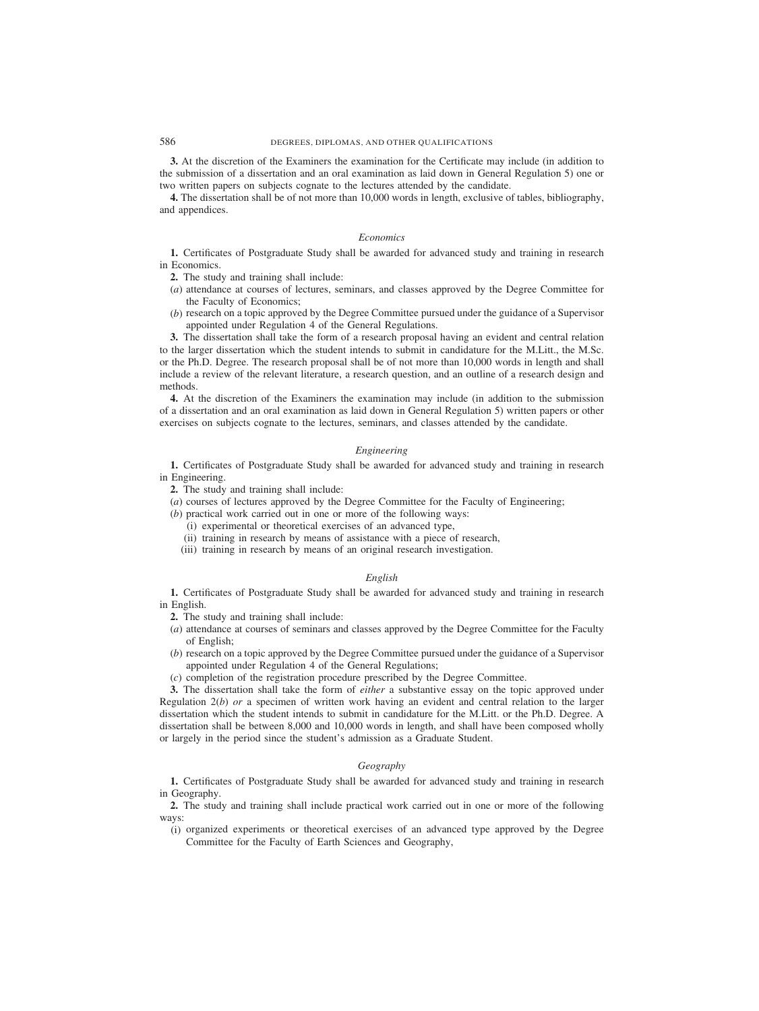# 586 DEGREES, DIPLOMAS, AND OTHER QUALIFICATIONS

**3.** At the discretion of the Examiners the examination for the Certificate may include (in addition to the submission of a dissertation and an oral examination as laid down in General Regulation 5) one or two written papers on subjects cognate to the lectures attended by the candidate.

**4.** The dissertation shall be of not more than 10,000 words in length, exclusive of tables, bibliography, and appendices.

# *Economics*

**1.** Certificates of Postgraduate Study shall be awarded for advanced study and training in research in Economics.

**2.** The study and training shall include:

- (*a*) attendance at courses of lectures, seminars, and classes approved by the Degree Committee for the Faculty of Economics;
- (*b*) research on a topic approved by the Degree Committee pursued under the guidance of a Supervisor appointed under Regulation 4 of the General Regulations.

**3.** The dissertation shall take the form of a research proposal having an evident and central relation to the larger dissertation which the student intends to submit in candidature for the M.Litt., the M.Sc. or the Ph.D. Degree. The research proposal shall be of not more than 10,000 words in length and shall include a review of the relevant literature, a research question, and an outline of a research design and methods.

**4.** At the discretion of the Examiners the examination may include (in addition to the submission of a dissertation and an oral examination as laid down in General Regulation 5) written papers or other exercises on subjects cognate to the lectures, seminars, and classes attended by the candidate.

### *Engineering*

**1.** Certificates of Postgraduate Study shall be awarded for advanced study and training in research in Engineering.

**2.** The study and training shall include:

(*a*) courses of lectures approved by the Degree Committee for the Faculty of Engineering;

- (*b*) practical work carried out in one or more of the following ways:
	- (i) experimental or theoretical exercises of an advanced type,
	- (ii) training in research by means of assistance with a piece of research,
	- (iii) training in research by means of an original research investigation.

# *English*

**1.** Certificates of Postgraduate Study shall be awarded for advanced study and training in research in English.

**2.** The study and training shall include:

- (*a*) attendance at courses of seminars and classes approved by the Degree Committee for the Faculty of English;
- (*b*) research on a topic approved by the Degree Committee pursued under the guidance of a Supervisor appointed under Regulation 4 of the General Regulations;
- (*c*) completion of the registration procedure prescribed by the Degree Committee.

**3.** The dissertation shall take the form of *either* a substantive essay on the topic approved under Regulation 2(*b*) *or* a specimen of written work having an evident and central relation to the larger dissertation which the student intends to submit in candidature for the M.Litt. or the Ph.D. Degree. A dissertation shall be between 8,000 and 10,000 words in length, and shall have been composed wholly or largely in the period since the student's admission as a Graduate Student.

# *Geography*

**1.** Certificates of Postgraduate Study shall be awarded for advanced study and training in research in Geography.

**2.** The study and training shall include practical work carried out in one or more of the following ways:

(i) organized experiments or theoretical exercises of an advanced type approved by the Degree Committee for the Faculty of Earth Sciences and Geography,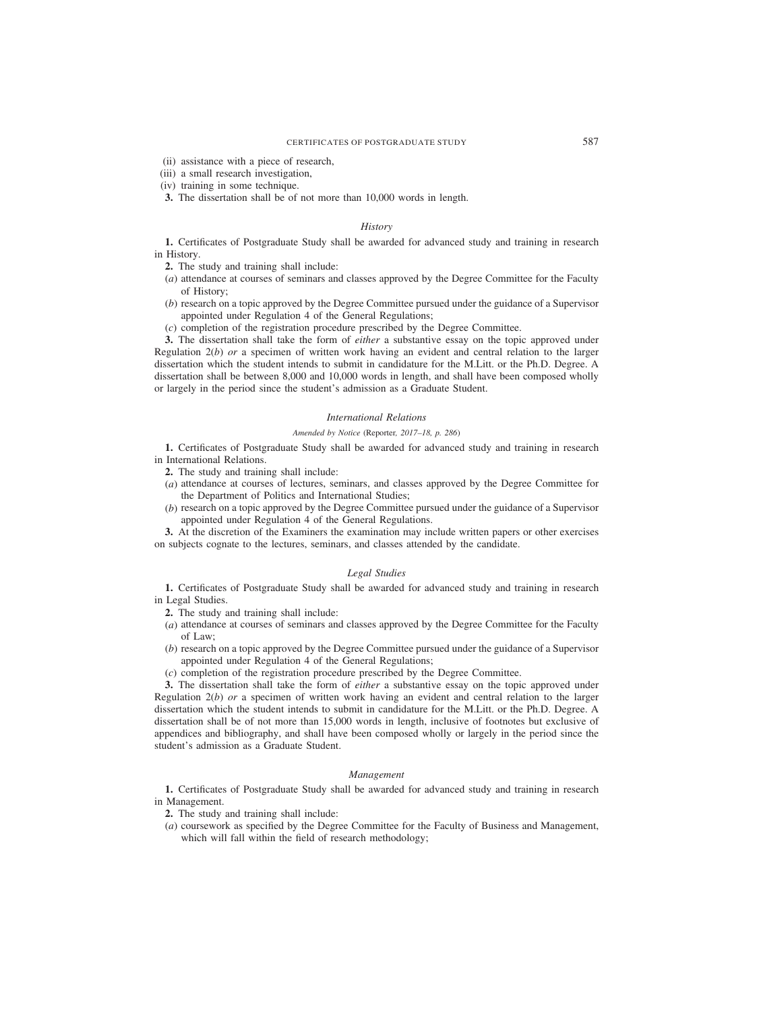- (ii) assistance with a piece of research,
- (iii) a small research investigation,
- (iv) training in some technique.
- **3.** The dissertation shall be of not more than 10,000 words in length.

# *History*

**1.** Certificates of Postgraduate Study shall be awarded for advanced study and training in research in History.

- **2.** The study and training shall include:
- (*a*) attendance at courses of seminars and classes approved by the Degree Committee for the Faculty of History;
- (*b*) research on a topic approved by the Degree Committee pursued under the guidance of a Supervisor appointed under Regulation 4 of the General Regulations;
- (*c*) completion of the registration procedure prescribed by the Degree Committee.

**3.** The dissertation shall take the form of *either* a substantive essay on the topic approved under Regulation 2(*b*) *or* a specimen of written work having an evident and central relation to the larger dissertation which the student intends to submit in candidature for the M.Litt. or the Ph.D. Degree. A dissertation shall be between 8,000 and 10,000 words in length, and shall have been composed wholly or largely in the period since the student's admission as a Graduate Student.

#### *International Relations*

# *Amended by Notice (*Reporter*, 2017–18, p. 286)*

**1.** Certificates of Postgraduate Study shall be awarded for advanced study and training in research in International Relations.

**2.** The study and training shall include:

- (*a*) attendance at courses of lectures, seminars, and classes approved by the Degree Committee for the Department of Politics and International Studies;
- (*b*) research on a topic approved by the Degree Committee pursued under the guidance of a Supervisor appointed under Regulation 4 of the General Regulations.

**3.** At the discretion of the Examiners the examination may include written papers or other exercises on subjects cognate to the lectures, seminars, and classes attended by the candidate.

#### *Legal Studies*

**1.** Certificates of Postgraduate Study shall be awarded for advanced study and training in research in Legal Studies.

**2.** The study and training shall include:

- (*a*) attendance at courses of seminars and classes approved by the Degree Committee for the Faculty of Law;
- (*b*) research on a topic approved by the Degree Committee pursued under the guidance of a Supervisor appointed under Regulation 4 of the General Regulations;
- (*c*) completion of the registration procedure prescribed by the Degree Committee.

**3.** The dissertation shall take the form of *either* a substantive essay on the topic approved under Regulation 2(*b*) *or* a specimen of written work having an evident and central relation to the larger dissertation which the student intends to submit in candidature for the M.Litt. or the Ph.D. Degree. A dissertation shall be of not more than 15,000 words in length, inclusive of footnotes but exclusive of appendices and bibliography, and shall have been composed wholly or largely in the period since the student's admission as a Graduate Student.

### *Management*

**1.** Certificates of Postgraduate Study shall be awarded for advanced study and training in research in Management.

**2.** The study and training shall include:

(*a*) coursework as specified by the Degree Committee for the Faculty of Business and Management, which will fall within the field of research methodology;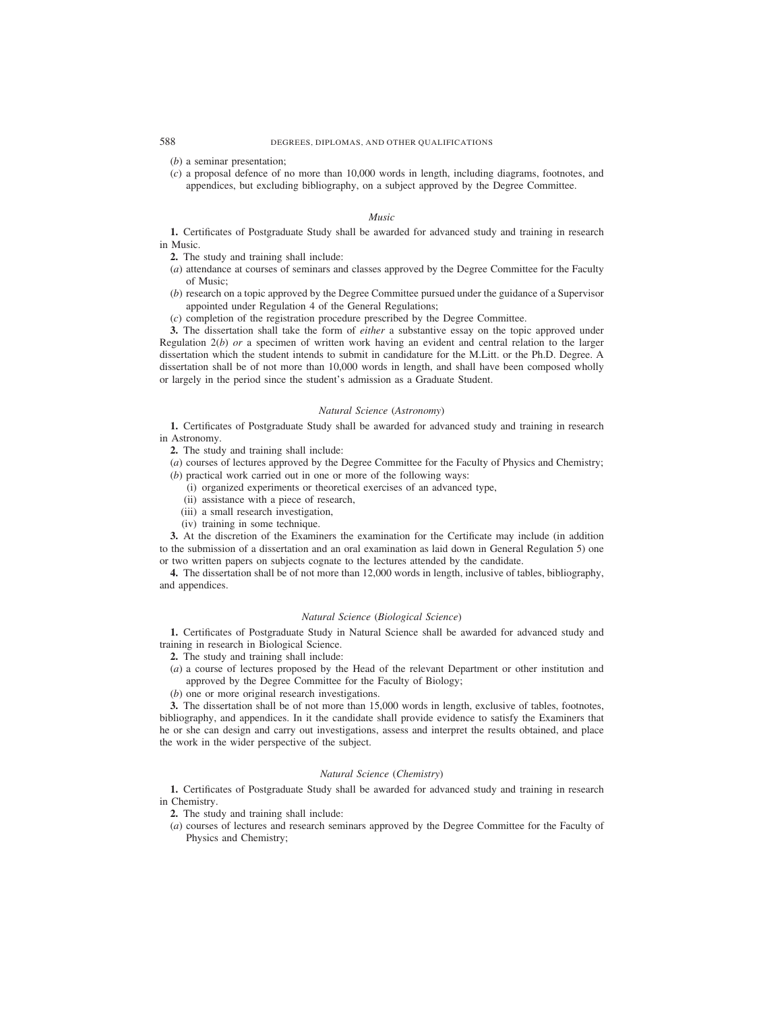- (*b*) a seminar presentation;
- (*c*) a proposal defence of no more than 10,000 words in length, including diagrams, footnotes, and appendices, but excluding bibliography, on a subject approved by the Degree Committee.

# *Music*

**1.** Certificates of Postgraduate Study shall be awarded for advanced study and training in research in Music.

**2.** The study and training shall include:

- (*a*) attendance at courses of seminars and classes approved by the Degree Committee for the Faculty of Music;
- (*b*) research on a topic approved by the Degree Committee pursued under the guidance of a Supervisor appointed under Regulation 4 of the General Regulations;
- (*c*) completion of the registration procedure prescribed by the Degree Committee.

**3.** The dissertation shall take the form of *either* a substantive essay on the topic approved under Regulation 2(*b*) *or* a specimen of written work having an evident and central relation to the larger dissertation which the student intends to submit in candidature for the M.Litt. or the Ph.D. Degree. A dissertation shall be of not more than 10,000 words in length, and shall have been composed wholly or largely in the period since the student's admission as a Graduate Student.

# *Natural Science (Astronomy)*

**1.** Certificates of Postgraduate Study shall be awarded for advanced study and training in research in Astronomy.

**2.** The study and training shall include:

(*a*) courses of lectures approved by the Degree Committee for the Faculty of Physics and Chemistry; (*b*) practical work carried out in one or more of the following ways:

- (i) organized experiments or theoretical exercises of an advanced type,
- (ii) assistance with a piece of research,
- (iii) a small research investigation,
- (iv) training in some technique.

**3.** At the discretion of the Examiners the examination for the Certificate may include (in addition to the submission of a dissertation and an oral examination as laid down in General Regulation 5) one or two written papers on subjects cognate to the lectures attended by the candidate.

**4.** The dissertation shall be of not more than 12,000 words in length, inclusive of tables, bibliography, and appendices.

# *Natural Science (Biological Science)*

**1.** Certificates of Postgraduate Study in Natural Science shall be awarded for advanced study and training in research in Biological Science.

- **2.** The study and training shall include:
- (*a*) a course of lectures proposed by the Head of the relevant Department or other institution and approved by the Degree Committee for the Faculty of Biology;
- (*b*) one or more original research investigations.

**3.** The dissertation shall be of not more than 15,000 words in length, exclusive of tables, footnotes, bibliography, and appendices. In it the candidate shall provide evidence to satisfy the Examiners that he or she can design and carry out investigations, assess and interpret the results obtained, and place the work in the wider perspective of the subject.

# *Natural Science (Chemistry)*

**1.** Certificates of Postgraduate Study shall be awarded for advanced study and training in research in Chemistry.

**2.** The study and training shall include:

(*a*) courses of lectures and research seminars approved by the Degree Committee for the Faculty of Physics and Chemistry;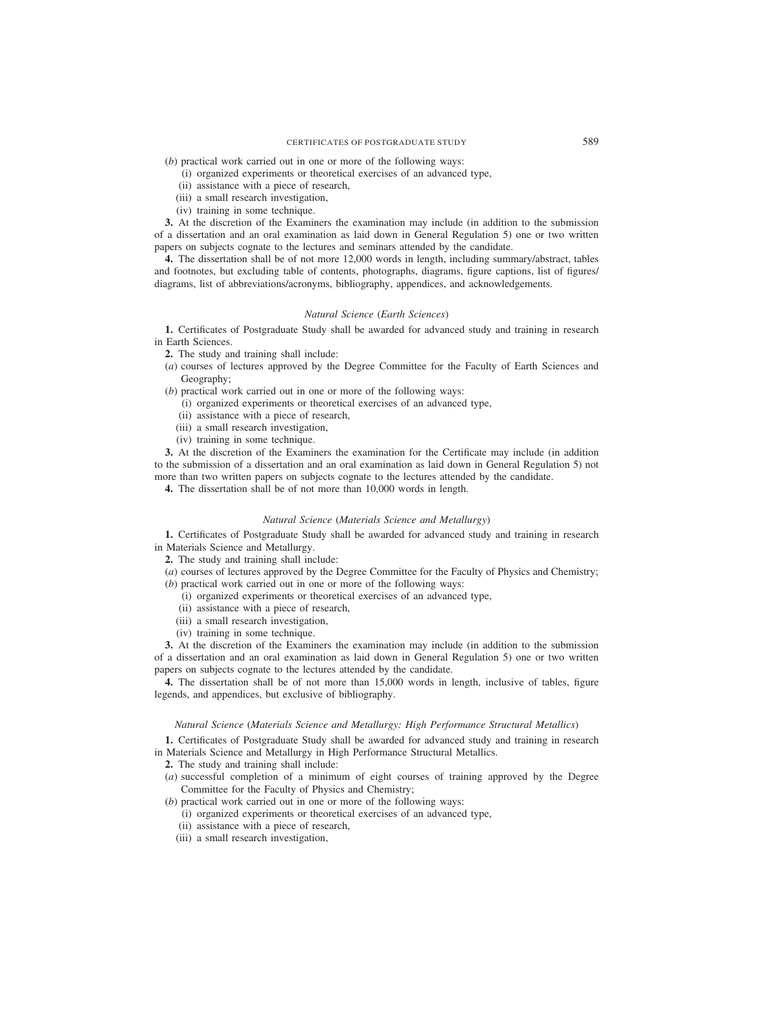# CERTIFICATES OF POSTGRADUATE STUDY 589

- (*b*) practical work carried out in one or more of the following ways:
	- (i) organized experiments or theoretical exercises of an advanced type,
	- (ii) assistance with a piece of research,
	- (iii) a small research investigation,
	- (iv) training in some technique.

**3.** At the discretion of the Examiners the examination may include (in addition to the submission of a dissertation and an oral examination as laid down in General Regulation 5) one or two written papers on subjects cognate to the lectures and seminars attended by the candidate.

**4.** The dissertation shall be of not more 12,000 words in length, including summary/abstract, tables and footnotes, but excluding table of contents, photographs, diagrams, figure captions, list of figures/ diagrams, list of abbreviations/acronyms, bibliography, appendices, and acknowledgements.

#### *Natural Science (Earth Sciences)*

**1.** Certificates of Postgraduate Study shall be awarded for advanced study and training in research in Earth Sciences.

- **2.** The study and training shall include:
- (*a*) courses of lectures approved by the Degree Committee for the Faculty of Earth Sciences and Geography;
- (*b*) practical work carried out in one or more of the following ways:
	- (i) organized experiments or theoretical exercises of an advanced type,
	- (ii) assistance with a piece of research,
	- (iii) a small research investigation,
	- (iv) training in some technique.

**3.** At the discretion of the Examiners the examination for the Certificate may include (in addition to the submission of a dissertation and an oral examination as laid down in General Regulation 5) not more than two written papers on subjects cognate to the lectures attended by the candidate.

**4.** The dissertation shall be of not more than 10,000 words in length.

#### *Natural Science (Materials Science and Metallurgy)*

**1.** Certificates of Postgraduate Study shall be awarded for advanced study and training in research in Materials Science and Metallurgy.

**2.** The study and training shall include:

(*a*) courses of lectures approved by the Degree Committee for the Faculty of Physics and Chemistry; (*b*) practical work carried out in one or more of the following ways:

- (i) organized experiments or theoretical exercises of an advanced type,
- (ii) assistance with a piece of research,
- (iii) a small research investigation,
- (iv) training in some technique.

**3.** At the discretion of the Examiners the examination may include (in addition to the submission of a dissertation and an oral examination as laid down in General Regulation 5) one or two written papers on subjects cognate to the lectures attended by the candidate.

**4.** The dissertation shall be of not more than 15,000 words in length, inclusive of tables, figure legends, and appendices, but exclusive of bibliography.

#### *Natural Science (Materials Science and Metallurgy: High Performance Structural Metallics)*

**1.** Certificates of Postgraduate Study shall be awarded for advanced study and training in research in Materials Science and Metallurgy in High Performance Structural Metallics.

- **2.** The study and training shall include:
- (*a*) successful completion of a minimum of eight courses of training approved by the Degree Committee for the Faculty of Physics and Chemistry;
- (*b*) practical work carried out in one or more of the following ways:
	- (i) organized experiments or theoretical exercises of an advanced type,
	- (ii) assistance with a piece of research,
	- (iii) a small research investigation,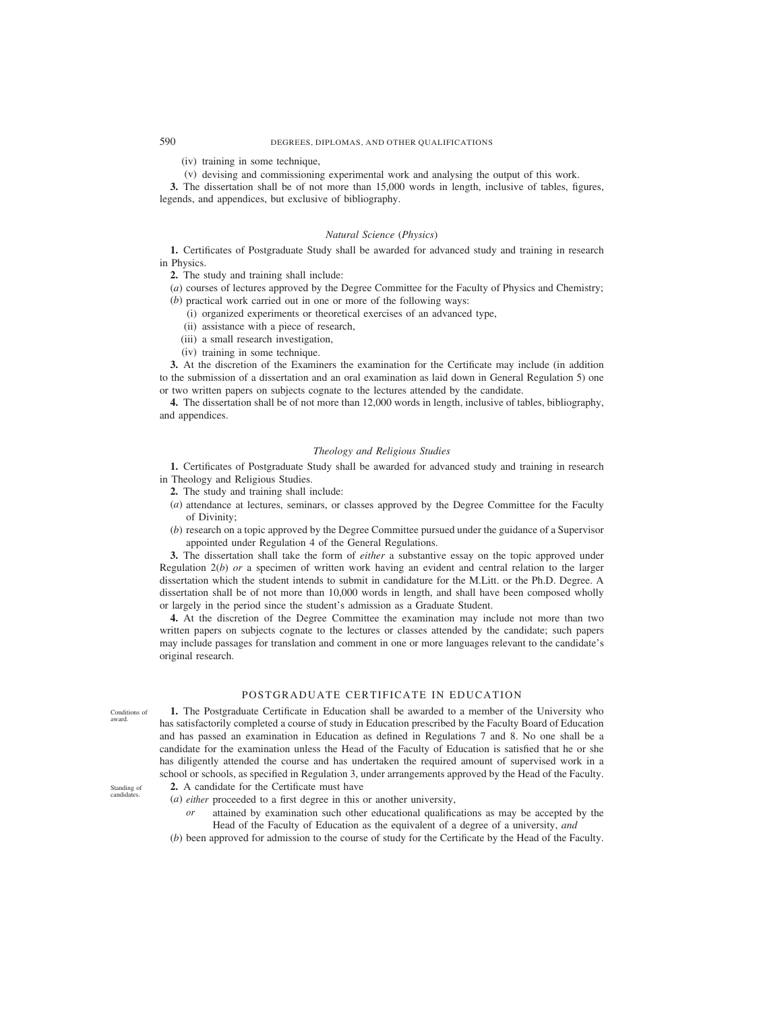# 590 DEGREES, DIPLOMAS, AND OTHER QUALIFICATIONS

(iv) training in some technique,

(v) devising and commissioning experimental work and analysing the output of this work.

**3.** The dissertation shall be of not more than 15,000 words in length, inclusive of tables, figures, legends, and appendices, but exclusive of bibliography.

#### *Natural Science (Physics)*

**1.** Certificates of Postgraduate Study shall be awarded for advanced study and training in research in Physics.

**2.** The study and training shall include:

(*a*) courses of lectures approved by the Degree Committee for the Faculty of Physics and Chemistry; (*b*) practical work carried out in one or more of the following ways:

- (i) organized experiments or theoretical exercises of an advanced type,
- (ii) assistance with a piece of research,
- (iii) a small research investigation,
- (iv) training in some technique.

**3.** At the discretion of the Examiners the examination for the Certificate may include (in addition to the submission of a dissertation and an oral examination as laid down in General Regulation 5) one or two written papers on subjects cognate to the lectures attended by the candidate.

**4.** The dissertation shall be of not more than 12,000 words in length, inclusive of tables, bibliography, and appendices.

#### *Theology and Religious Studies*

**1.** Certificates of Postgraduate Study shall be awarded for advanced study and training in research in Theology and Religious Studies.

- **2.** The study and training shall include:
- (*a*) attendance at lectures, seminars, or classes approved by the Degree Committee for the Faculty of Divinity;
- (*b*) research on a topic approved by the Degree Committee pursued under the guidance of a Supervisor appointed under Regulation 4 of the General Regulations.

**3.** The dissertation shall take the form of *either* a substantive essay on the topic approved under Regulation 2(*b*) *or* a specimen of written work having an evident and central relation to the larger dissertation which the student intends to submit in candidature for the M.Litt. or the Ph.D. Degree. A dissertation shall be of not more than 10,000 words in length, and shall have been composed wholly or largely in the period since the student's admission as a Graduate Student.

**4.** At the discretion of the Degree Committee the examination may include not more than two written papers on subjects cognate to the lectures or classes attended by the candidate; such papers may include passages for translation and comment in one or more languages relevant to the candidate's original research.

# POSTGRADUATE CERTIFICATE IN EDUCATION

**1.** The Postgraduate Certificate in Education shall be awarded to a member of the University who has satisfactorily completed a course of study in Education prescribed by the Faculty Board of Education and has passed an examination in Education as defined in Regulations 7 and 8. No one shall be a candidate for the examination unless the Head of the Faculty of Education is satisfied that he or she has diligently attended the course and has undertaken the required amount of supervised work in a school or schools, as specified in Regulation 3, under arrangements approved by the Head of the Faculty.

Standing of candidates.

Conditions of award.

- **2.** A candidate for the Certificate must have
- (*a*) *either* proceeded to a first degree in this or another university,
	- *or* attained by examination such other educational qualifications as may be accepted by the Head of the Faculty of Education as the equivalent of a degree of a university, *and*
- (*b*) been approved for admission to the course of study for the Certificate by the Head of the Faculty.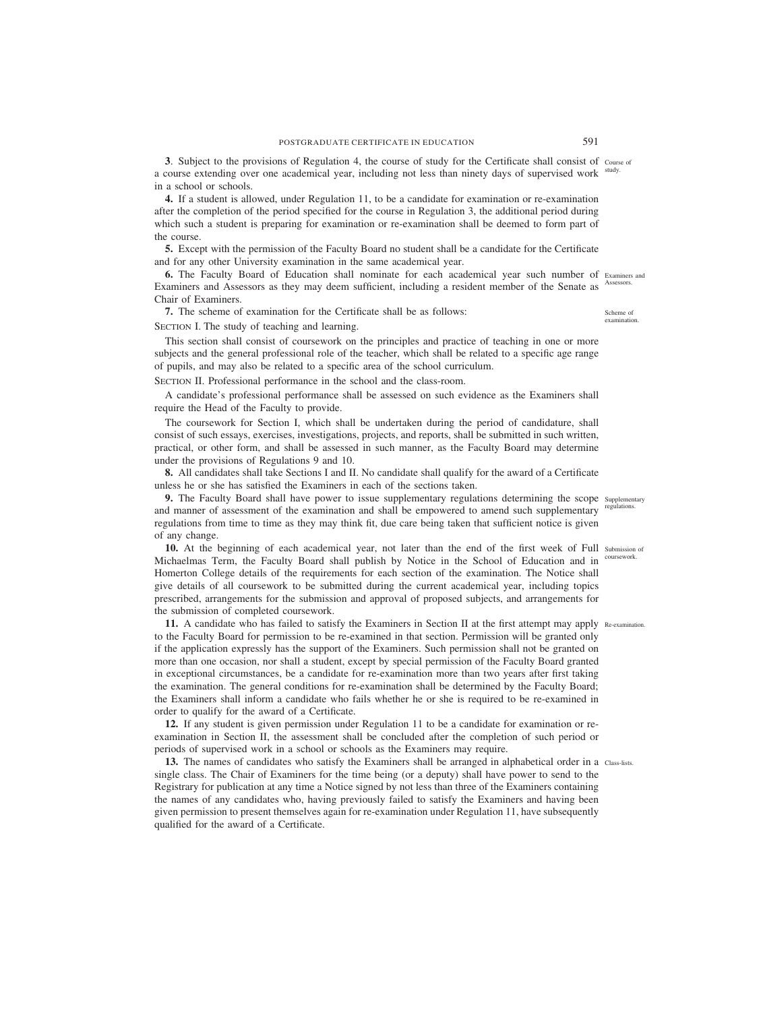**3**. Subject to the provisions of Regulation 4, the course of study for the Certificate shall consist of course of a course extending over one academical year, including not less than ninety days of supervised work study. in a school or schools.

**4.** If a student is allowed, under Regulation 11, to be a candidate for examination or re-examination after the completion of the period specified for the course in Regulation 3, the additional period during which such a student is preparing for examination or re-examination shall be deemed to form part of the course.

**5.** Except with the permission of the Faculty Board no student shall be a candidate for the Certificate and for any other University examination in the same academical year.

**6.** The Faculty Board of Education shall nominate for each academical year such number of Examiners and Examiners and Assessors as they may deem sufficient, including a resident member of the Senate as Assessors. Chair of Examiners.

**7.** The scheme of examination for the Certificate shall be as follows:

SECTION I. The study of teaching and learning.

This section shall consist of coursework on the principles and practice of teaching in one or more subjects and the general professional role of the teacher, which shall be related to a specific age range of pupils, and may also be related to a specific area of the school curriculum.

SECTION II. Professional performance in the school and the class-room.

A candidate's professional performance shall be assessed on such evidence as the Examiners shall require the Head of the Faculty to provide.

The coursework for Section I, which shall be undertaken during the period of candidature, shall consist of such essays, exercises, investigations, projects, and reports, shall be submitted in such written, practical, or other form, and shall be assessed in such manner, as the Faculty Board may determine under the provisions of Regulations 9 and 10.

**8.** All candidates shall take Sections I and II. No candidate shall qualify for the award of a Certificate unless he or she has satisfied the Examiners in each of the sections taken.

**9.** The Faculty Board shall have power to issue supplementary regulations determining the scope supplementary and manner of assessment of the examination and shall be empowered to amend such supplementary regulations from time to time as they may think fit, due care being taken that sufficient notice is given of any change.

10. At the beginning of each academical year, not later than the end of the first week of Full submission of Michaelmas Term, the Faculty Board shall publish by Notice in the School of Education and in Homerton College details of the requirements for each section of the examination. The Notice shall give details of all coursework to be submitted during the current academical year, including topics prescribed, arrangements for the submission and approval of proposed subjects, and arrangements for the submission of completed coursework. coursework.

**11.** A candidate who has failed to satisfy the Examiners in Section II at the first attempt may apply Re-examination. to the Faculty Board for permission to be re-examined in that section. Permission will be granted only if the application expressly has the support of the Examiners. Such permission shall not be granted on more than one occasion, nor shall a student, except by special permission of the Faculty Board granted in exceptional circumstances, be a candidate for re-examination more than two years after first taking the examination. The general conditions for re-examination shall be determined by the Faculty Board; the Examiners shall inform a candidate who fails whether he or she is required to be re-examined in order to qualify for the award of a Certificate.

**12.** If any student is given permission under Regulation 11 to be a candidate for examination or reexamination in Section II, the assessment shall be concluded after the completion of such period or periods of supervised work in a school or schools as the Examiners may require.

13. The names of candidates who satisfy the Examiners shall be arranged in alphabetical order in a class-lists. single class. The Chair of Examiners for the time being (or a deputy) shall have power to send to the Registrary for publication at any time a Notice signed by not less than three of the Examiners containing the names of any candidates who, having previously failed to satisfy the Examiners and having been given permission to present themselves again for re-examination under Regulation 11, have subsequently qualified for the award of a Certificate.

Scheme of examination.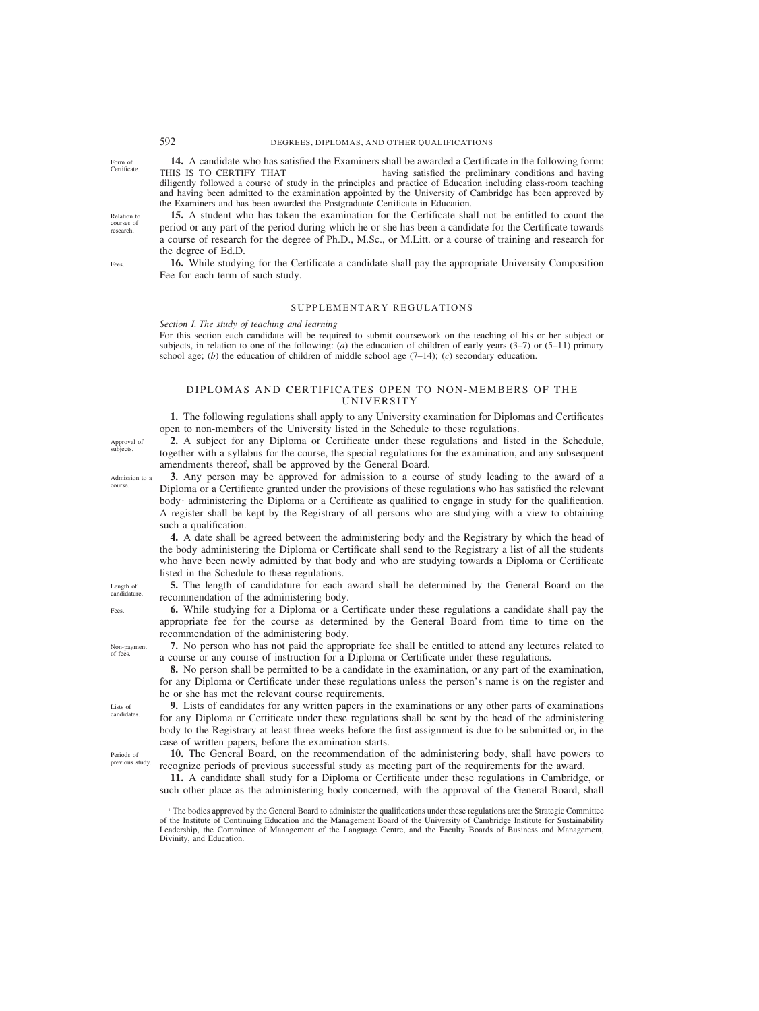**14.** A candidate who has satisfied the Examiners shall be awarded a Certificate in the following form: THIS IS TO CERTIFY THAT having satisfied the preliminary conditions and having diligently followed a course of study in the principles and practice of Education including class-room teaching and having been admitted to the examination appointed by the University of Cambridge has been approved by the Examiners and has been awarded the Postgraduate Certificate in Education.

**15.** A student who has taken the examination for the Certificate shall not be entitled to count the period or any part of the period during which he or she has been a candidate for the Certificate towards a course of research for the degree of Ph.D., M.Sc., or M.Litt. or a course of training and research for the degree of Ed.D.

**16.** While studying for the Certificate a candidate shall pay the appropriate University Composition Fee for each term of such study.

# SUPPLEMENTARY REGULATIONS

*Section I. The study of teaching and learning*

For this section each candidate will be required to submit coursework on the teaching of his or her subject or subjects, in relation to one of the following: (*a*) the education of children of early years (3–7) or (5–11) primary school age; (*b*) the education of children of middle school age  $(7-14)$ ; (*c*) secondary education.

#### DIPLOMAS AND CERTIFICATES OPEN TO NON-MEMBERS OF THE UNIVERSITY

**1.** The following regulations shall apply to any University examination for Diplomas and Certificates open to non-members of the University listed in the Schedule to these regulations.

**2.** A subject for any Diploma or Certificate under these regulations and listed in the Schedule, together with a syllabus for the course, the special regulations for the examination, and any subsequent amendments thereof, shall be approved by the General Board.

**3.** Any person may be approved for admission to a course of study leading to the award of a Diploma or a Certificate granted under the provisions of these regulations who has satisfied the relevant body<sup>1</sup> administering the Diploma or a Certificate as qualified to engage in study for the qualification. A register shall be kept by the Registrary of all persons who are studying with a view to obtaining such a qualification.

**4.** A date shall be agreed between the administering body and the Registrary by which the head of the body administering the Diploma or Certificate shall send to the Registrary a list of all the students who have been newly admitted by that body and who are studying towards a Diploma or Certificate listed in the Schedule to these regulations.

**5.** The length of candidature for each award shall be determined by the General Board on the recommendation of the administering body.

**6.** While studying for a Diploma or a Certificate under these regulations a candidate shall pay the appropriate fee for the course as determined by the General Board from time to time on the recommendation of the administering body.

**7.** No person who has not paid the appropriate fee shall be entitled to attend any lectures related to a course or any course of instruction for a Diploma or Certificate under these regulations.

**8.** No person shall be permitted to be a candidate in the examination, or any part of the examination, for any Diploma or Certificate under these regulations unless the person's name is on the register and he or she has met the relevant course requirements.

**9.** Lists of candidates for any written papers in the examinations or any other parts of examinations for any Diploma or Certificate under these regulations shall be sent by the head of the administering body to the Registrary at least three weeks before the first assignment is due to be submitted or, in the case of written papers, before the examination starts.

**10.** The General Board, on the recommendation of the administering body, shall have powers to recognize periods of previous successful study as meeting part of the requirements for the award.

**11.** A candidate shall study for a Diploma or Certificate under these regulations in Cambridge, or such other place as the administering body concerned, with the approval of the General Board, shall

<sup>1</sup> The bodies approved by the General Board to administer the qualifications under these regulations are: the Strategic Committee of the Institute of Continuing Education and the Management Board of the University of Cambridge Institute for Sustainability Leadership, the Committee of Management of the Language Centre, and the Faculty Boards of Business and Management, Divinity, and Education.

Approval of subjects.

Admission to a course.

Length of candidature. Fees.

Lists of candidates.

Non-payment of fees.

Periods of previous study.

courses of research.

Fees.

Relation to

Form of **Certificate**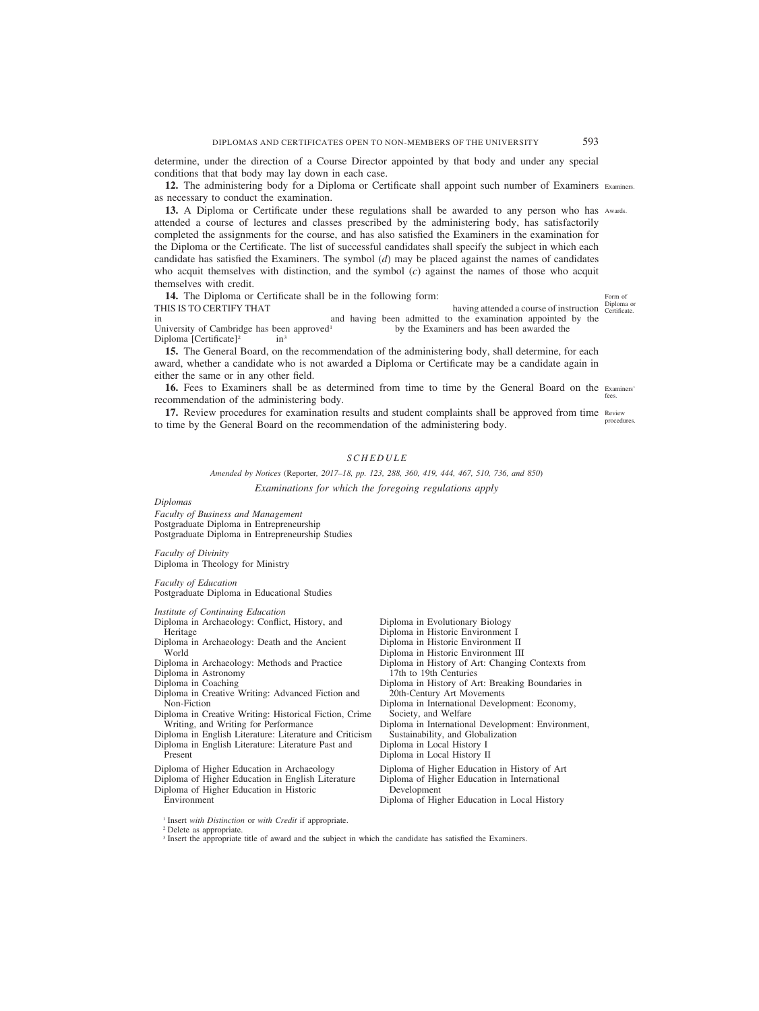determine, under the direction of a Course Director appointed by that body and under any special conditions that that body may lay down in each case.

12. The administering body for a Diploma or Certificate shall appoint such number of Examiners Examiners. as necessary to conduct the examination.

**13.** A Diploma or Certificate under these regulations shall be awarded to any person who has Awards. attended a course of lectures and classes prescribed by the administering body, has satisfactorily completed the assignments for the course, and has also satisfied the Examiners in the examination for the Diploma or the Certificate. The list of successful candidates shall specify the subject in which each candidate has satisfied the Examiners. The symbol (*d*) may be placed against the names of candidates who acquit themselves with distinction, and the symbol (*c*) against the names of those who acquit themselves with credit.

| <b>14.</b> The Diploma or Certificate shall be in the following form: |  |  | Form of                                                      |                            |
|-----------------------------------------------------------------------|--|--|--------------------------------------------------------------|----------------------------|
| THIS IS TO CERTIFY THAT                                               |  |  | having attended a course of instruction                      | Diploma or<br>Certificate. |
| 1n                                                                    |  |  | and having been admitted to the examination appointed by the |                            |
| University of Cambridge has been approved <sup>1</sup>                |  |  | by the Examiners and has been awarded the                    |                            |
| Diploma [Certificate] $2$                                             |  |  |                                                              |                            |
|                                                                       |  |  |                                                              |                            |

**15.** The General Board, on the recommendation of the administering body, shall determine, for each award, whether a candidate who is not awarded a Diploma or Certificate may be a candidate again in either the same or in any other field.

16. Fees to Examiners shall be as determined from time to time by the General Board on the Examiners' recommendation of the administering body. fees.

17. Review procedures for examination results and student complaints shall be approved from time Review to time by the General Board on the recommendation of the administering body. procedures.

# *SCHEDULE*

*Amended by Notices (*Reporter*, 2017–18, pp. 123, 288, 360, 419, 444, 467, 510, 736, and 850) Examinations for which the foregoing regulations apply*

*Diplomas*

*Faculty of Business and Management* Postgraduate Diploma in Entrepreneurship Postgraduate Diploma in Entrepreneurship Studies

*Faculty of Divinity* Diploma in Theology for Ministry

*Faculty of Education* Postgraduate Diploma in Educational Studies

*Institute of Continuing Education*

- Diploma in Archaeology: Conflict, History, and Heritage
- Diploma in Archaeology: Death and the Ancient World
- Diploma in Archaeology: Methods and Practice
- Diploma in Astronomy
- Diploma in Coaching
- Diploma in Creative Writing: Advanced Fiction and Non-Fiction
- Diploma in Creative Writing: Historical Fiction, Crime Writing, and Writing for Performance
- Diploma in English Literature: Literature and Criticism Diploma in English Literature: Literature Past and
- Present
- Diploma of Higher Education in Archaeology
- Diploma of Higher Education in English Literature
- Diploma of Higher Education in Historic

Environment

- Diploma in Evolutionary Biology
- Diploma in Historic Environment I
- Diploma in Historic Environment II
- Diploma in Historic Environment III
- Diploma in History of Art: Changing Contexts from 17th to 19th Centuries
- Diploma in History of Art: Breaking Boundaries in 20th-Century Art Movements
- Diploma in International Development: Economy, Society, and Welfare
- Diploma in International Development: Environment, Sustainability, and Globalization
- Diploma in Local History I
- Diploma in Local History II
- Diploma of Higher Education in History of Art
- Diploma of Higher Education in International
- Development Diploma of Higher Education in Local History

<sup>1</sup> Insert *with Distinction* or *with Credit* if appropriate.

<sup>2</sup> Delete as appropriate.

<sup>3</sup> Insert the appropriate title of award and the subject in which the candidate has satisfied the Examiners.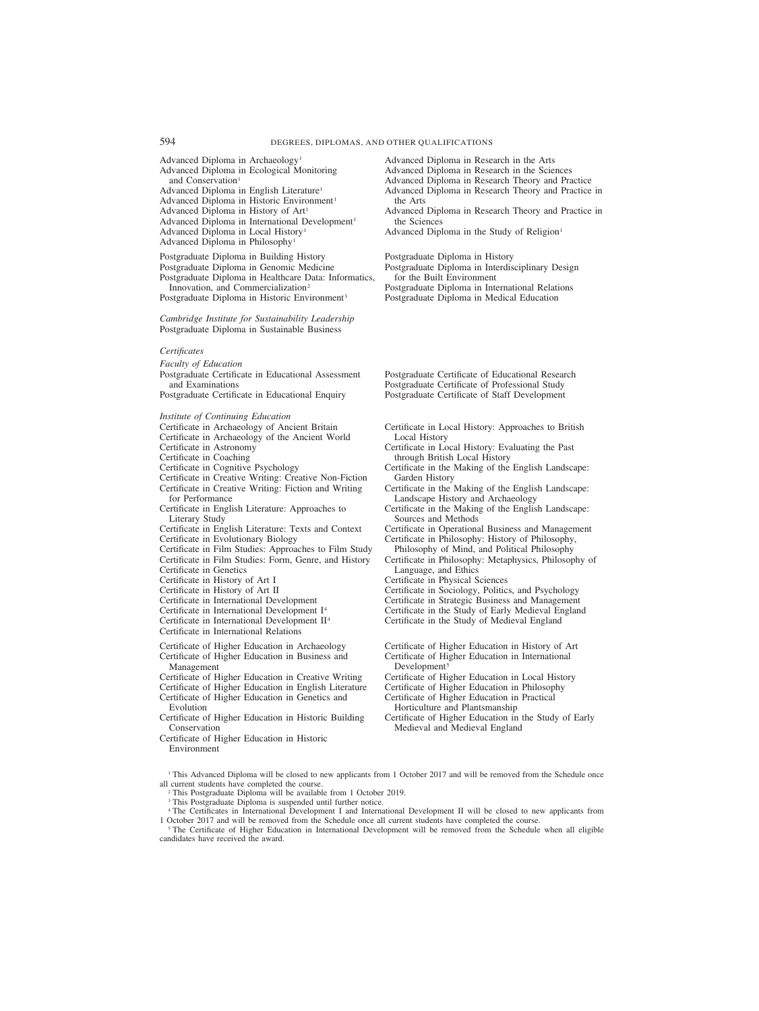| 994                                                                                                                                                                                                                                                                                                                                                                                                                                                                                                                                                                                                                                                                                                                                                                                                                                                                                                                                                                           | DEGREES, DIPLOMAS, AND OTHER QUALIFICATIONS                                                                                                                                                                                                                                                                                                                                                                                                                                                                                                                                                                                                                                                                                                                                                                                                                                                                   |
|-------------------------------------------------------------------------------------------------------------------------------------------------------------------------------------------------------------------------------------------------------------------------------------------------------------------------------------------------------------------------------------------------------------------------------------------------------------------------------------------------------------------------------------------------------------------------------------------------------------------------------------------------------------------------------------------------------------------------------------------------------------------------------------------------------------------------------------------------------------------------------------------------------------------------------------------------------------------------------|---------------------------------------------------------------------------------------------------------------------------------------------------------------------------------------------------------------------------------------------------------------------------------------------------------------------------------------------------------------------------------------------------------------------------------------------------------------------------------------------------------------------------------------------------------------------------------------------------------------------------------------------------------------------------------------------------------------------------------------------------------------------------------------------------------------------------------------------------------------------------------------------------------------|
| Advanced Diploma in Archaeology <sup>1</sup><br>Advanced Diploma in Ecological Monitoring<br>and Conservation <sup>1</sup><br>Advanced Diploma in English Literature <sup>1</sup><br>Advanced Diploma in Historic Environment <sup>1</sup><br>Advanced Diploma in History of Art <sup>1</sup><br>Advanced Diploma in International Development <sup>1</sup><br>Advanced Diploma in Local History <sup>1</sup><br>Advanced Diploma in Philosophy <sup>1</sup><br>Postgraduate Diploma in Building History<br>Postgraduate Diploma in Genomic Medicine<br>Postgraduate Diploma in Healthcare Data: Informatics,<br>Innovation, and Commercialization <sup>2</sup><br>Postgraduate Diploma in Historic Environment <sup>3</sup>                                                                                                                                                                                                                                                  | Advanced Diploma in Research in the Arts<br>Advanced Diploma in Research in the Sciences<br>Advanced Diploma in Research Theory and Practice<br>Advanced Diploma in Research Theory and Practice in<br>the Arts<br>Advanced Diploma in Research Theory and Practice in<br>the Sciences<br>Advanced Diploma in the Study of Religion <sup>1</sup><br>Postgraduate Diploma in History<br>Postgraduate Diploma in Interdisciplinary Design<br>for the Built Environment<br>Postgraduate Diploma in International Relations<br>Postgraduate Diploma in Medical Education                                                                                                                                                                                                                                                                                                                                          |
| Cambridge Institute for Sustainability Leadership<br>Postgraduate Diploma in Sustainable Business                                                                                                                                                                                                                                                                                                                                                                                                                                                                                                                                                                                                                                                                                                                                                                                                                                                                             |                                                                                                                                                                                                                                                                                                                                                                                                                                                                                                                                                                                                                                                                                                                                                                                                                                                                                                               |
| Certificates<br><b>Faculty of Education</b><br>Postgraduate Certificate in Educational Assessment<br>and Examinations<br>Postgraduate Certificate in Educational Enquiry                                                                                                                                                                                                                                                                                                                                                                                                                                                                                                                                                                                                                                                                                                                                                                                                      | Postgraduate Certificate of Educational Research<br>Postgraduate Certificate of Professional Study<br>Postgraduate Certificate of Staff Development                                                                                                                                                                                                                                                                                                                                                                                                                                                                                                                                                                                                                                                                                                                                                           |
| Institute of Continuing Education<br>Certificate in Archaeology of Ancient Britain<br>Certificate in Archaeology of the Ancient World<br>Certificate in Astronomy<br>Certificate in Coaching<br>Certificate in Cognitive Psychology<br>Certificate in Creative Writing: Creative Non-Fiction<br>Certificate in Creative Writing: Fiction and Writing<br>for Performance<br>Certificate in English Literature: Approaches to<br>Literary Study<br>Certificate in English Literature: Texts and Context<br>Certificate in Evolutionary Biology<br>Certificate in Film Studies: Approaches to Film Study<br>Certificate in Film Studies: Form, Genre, and History<br>Certificate in Genetics<br>Certificate in History of Art I<br>Certificate in History of Art II<br>Certificate in International Development<br>Certificate in International Development I <sup>4</sup><br>Certificate in International Development II <sup>4</sup><br>Certificate in International Relations | Certificate in Local History: Approaches to British<br>Local History<br>Certificate in Local History: Evaluating the Past<br>through British Local History<br>Certificate in the Making of the English Landscape:<br>Garden History<br>Certificate in the Making of the English Landscape:<br>Landscape History and Archaeology<br>Certificate in the Making of the English Landscape:<br>Sources and Methods<br>Certificate in Operational Business and Management<br>Certificate in Philosophy: History of Philosophy,<br>Philosophy of Mind, and Political Philosophy<br>Certificate in Philosophy: Metaphysics, Philosophy of<br>Language, and Ethics<br>Certificate in Physical Sciences<br>Certificate in Sociology, Politics, and Psychology<br>Certificate in Strategic Business and Management<br>Certificate in the Study of Early Medieval England<br>Certificate in the Study of Medieval England |
| Certificate of Higher Education in Archaeology<br>Certificate of Higher Education in Business and<br>Management<br>Certificate of Higher Education in Creative Writing<br>Certificate of Higher Education in English Literature<br>Certificate of Higher Education in Genetics and<br>Evolution<br>Certificate of Higher Education in Historic Building<br>Conservation<br>Certificate of Higher Education in Historic<br>Environment                                                                                                                                                                                                                                                                                                                                                                                                                                                                                                                                         | Certificate of Higher Education in History of Art<br>Certificate of Higher Education in International<br>Development <sup>5</sup><br>Certificate of Higher Education in Local History<br>Certificate of Higher Education in Philosophy<br>Certificate of Higher Education in Practical<br>Horticulture and Plantsmanship<br>Certificate of Higher Education in the Study of Early<br>Medieval and Medieval England                                                                                                                                                                                                                                                                                                                                                                                                                                                                                            |
| all current students have completed the course.<br><sup>2</sup> This Postgraduate Diploma will be available from 1 October 2019.<br><sup>3</sup> This Postgraduate Diploma is suspended until further notice.<br>1 October 2017 and will be removed from the Schedule once all current students have completed the course.                                                                                                                                                                                                                                                                                                                                                                                                                                                                                                                                                                                                                                                    | <sup>1</sup> This Advanced Diploma will be closed to new applicants from 1 October 2017 and will be removed from the Schedule once<br><sup>4</sup> The Certificates in International Development I and International Development II will be closed to new applicants from                                                                                                                                                                                                                                                                                                                                                                                                                                                                                                                                                                                                                                     |

<sup>5</sup> The Certificate of Higher Education in International Development will be removed from the Schedule when all eligible candidates have received the award.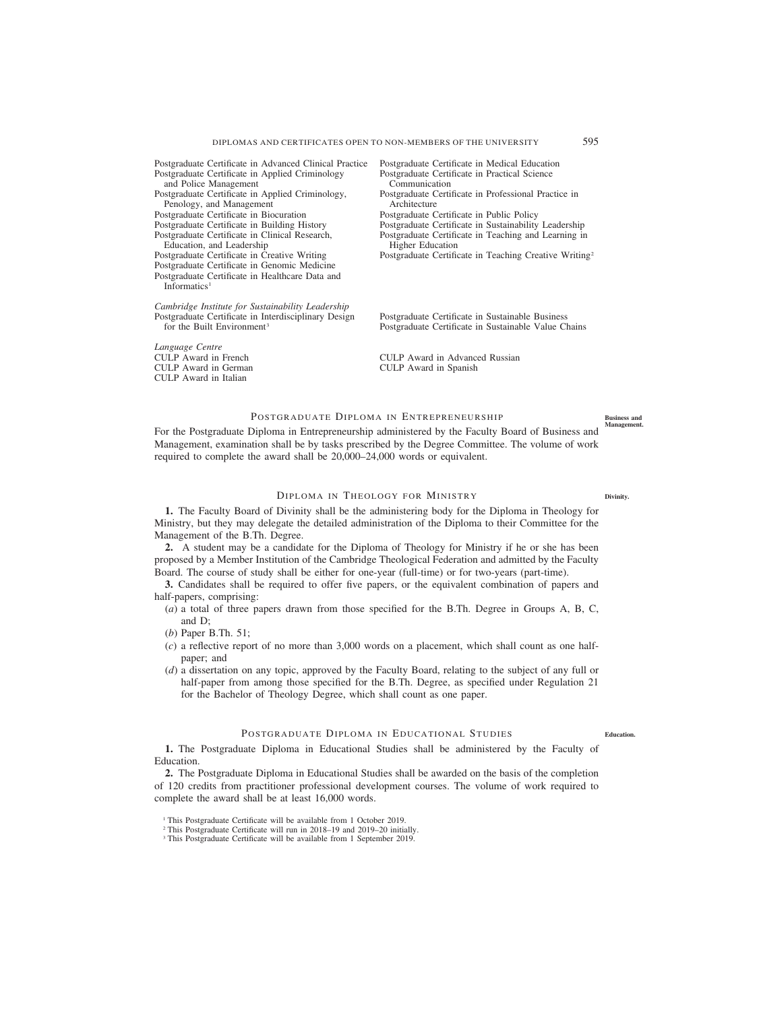| Postgraduate Certificate in Advanced Clinical Practice                      | Postgraduate Certificate in Medical Education                      |
|-----------------------------------------------------------------------------|--------------------------------------------------------------------|
| Postgraduate Certificate in Applied Criminology                             | Postgraduate Certificate in Practical Science                      |
| and Police Management                                                       | Communication                                                      |
| Postgraduate Certificate in Applied Criminology,                            | Postgraduate Certificate in Professional Practice in               |
| Penology, and Management                                                    | Architecture                                                       |
| Postgraduate Certificate in Biocuration                                     | Postgraduate Certificate in Public Policy                          |
| Postgraduate Certificate in Building History                                | Postgraduate Certificate in Sustainability Leadership              |
| Postgraduate Certificate in Clinical Research,                              | Postgraduate Certificate in Teaching and Learning in               |
| Education, and Leadership                                                   | <b>Higher Education</b>                                            |
| Postgraduate Certificate in Creative Writing                                | Postgraduate Certificate in Teaching Creative Writing <sup>2</sup> |
| Postgraduate Certificate in Genomic Medicine                                |                                                                    |
| Postgraduate Certificate in Healthcare Data and<br>Informatics <sup>1</sup> |                                                                    |
|                                                                             |                                                                    |
| Cambridge Institute for Sustainability Leadership                           |                                                                    |
| Postgraduate Certificate in Interdisciplinary Design                        | Postgraduate Certificate in Sustainable Business                   |
| for the Built Environment <sup>3</sup>                                      | Postgraduate Certificate in Sustainable Value Chains               |
|                                                                             |                                                                    |
| Language Centre                                                             |                                                                    |
| CULP Award in French                                                        | CULP Award in Advanced Russian                                     |
| CULP Award in German                                                        | CULP Award in Spanish                                              |
| CULP Award in Italian                                                       |                                                                    |

# POSTGRADUATE DIPLOMA IN ENTREPRENEURSHIP

For the Postgraduate Diploma in Entrepreneurship administered by the Faculty Board of Business and Management, examination shall be by tasks prescribed by the Degree Committee. The volume of work required to complete the award shall be 20,000–24,000 words or equivalent. **Management.**

#### DIPLOMA IN THEOLOGY FOR MINISTRY

**Divinity.**

**Business and**

**1.** The Faculty Board of Divinity shall be the administering body for the Diploma in Theology for Ministry, but they may delegate the detailed administration of the Diploma to their Committee for the Management of the B.Th. Degree.

**2.** A student may be a candidate for the Diploma of Theology for Ministry if he or she has been proposed by a Member Institution of the Cambridge Theological Federation and admitted by the Faculty Board. The course of study shall be either for one-year (full-time) or for two-years (part-time).

**3.** Candidates shall be required to offer five papers, or the equivalent combination of papers and half-papers, comprising:

(*a*) a total of three papers drawn from those specified for the B.Th. Degree in Groups A, B, C, and D;

(*b*) Paper B.Th. 51;

- (*c*) a reflective report of no more than 3,000 words on a placement, which shall count as one halfpaper; and
- (*d*) a dissertation on any topic, approved by the Faculty Board, relating to the subject of any full or half-paper from among those specified for the B.Th. Degree, as specified under Regulation 21 for the Bachelor of Theology Degree, which shall count as one paper.

# POSTGRADUATE DIPLOMA IN EDUCATIONAL STUDIES

**1.** The Postgraduate Diploma in Educational Studies shall be administered by the Faculty of Education.

**2.** The Postgraduate Diploma in Educational Studies shall be awarded on the basis of the completion of 120 credits from practitioner professional development courses. The volume of work required to complete the award shall be at least 16,000 words.

**Education.**

<sup>&</sup>lt;sup>1</sup> This Postgraduate Certificate will be available from 1 October 2019.

<sup>2</sup> This Postgraduate Certificate will run in 2018–19 and 2019–20 initially.

<sup>&</sup>lt;sup>3</sup> This Postgraduate Certificate will be available from 1 September 2019.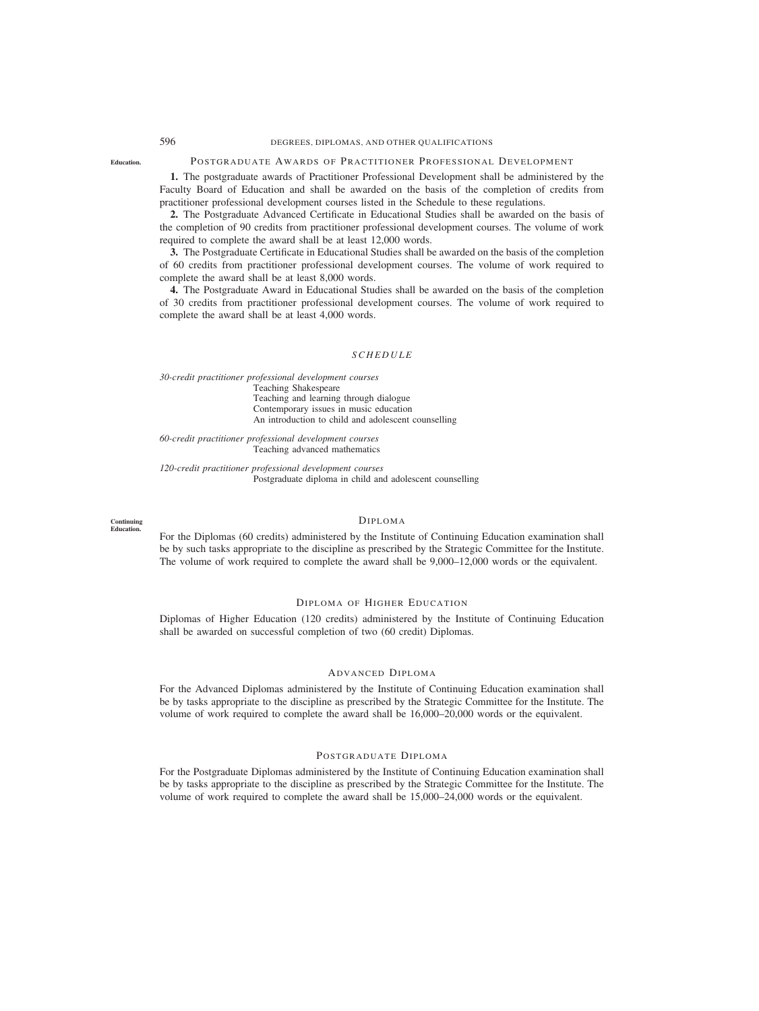# 596 DEGREES, DIPLOMAS, AND OTHER QUALIFICATIONS

#### **Education.** POSTGRADUATE AWARDS OF PRACTITIONER PROFESSIONAL DEVELOPMENT

**1.** The postgraduate awards of Practitioner Professional Development shall be administered by the Faculty Board of Education and shall be awarded on the basis of the completion of credits from practitioner professional development courses listed in the Schedule to these regulations.

**2.** The Postgraduate Advanced Certificate in Educational Studies shall be awarded on the basis of the completion of 90 credits from practitioner professional development courses. The volume of work required to complete the award shall be at least 12,000 words.

**3.** The Postgraduate Certificate in Educational Studies shall be awarded on the basis of the completion of 60 credits from practitioner professional development courses. The volume of work required to complete the award shall be at least 8,000 words.

**4.** The Postgraduate Award in Educational Studies shall be awarded on the basis of the completion of 30 credits from practitioner professional development courses. The volume of work required to complete the award shall be at least 4,000 words.

#### *SCHEDULE*

*30-credit practitioner professional development courses* Teaching Shakespeare Teaching and learning through dialogue Contemporary issues in music education An introduction to child and adolescent counselling

*60-credit practitioner professional development courses* Teaching advanced mathematics

*120-credit practitioner professional development courses* Postgraduate diploma in child and adolescent counselling

#### **Continuing Education.**

#### DIPLOMA

For the Diplomas (60 credits) administered by the Institute of Continuing Education examination shall be by such tasks appropriate to the discipline as prescribed by the Strategic Committee for the Institute. The volume of work required to complete the award shall be 9,000–12,000 words or the equivalent.

## DIPLOMA OF HIGHER EDUCATION

Diplomas of Higher Education (120 credits) administered by the Institute of Continuing Education shall be awarded on successful completion of two (60 credit) Diplomas.

# ADVANCED DIPLOMA

For the Advanced Diplomas administered by the Institute of Continuing Education examination shall be by tasks appropriate to the discipline as prescribed by the Strategic Committee for the Institute. The volume of work required to complete the award shall be 16,000–20,000 words or the equivalent.

# POSTGRADUATE DIPLOMA

For the Postgraduate Diplomas administered by the Institute of Continuing Education examination shall be by tasks appropriate to the discipline as prescribed by the Strategic Committee for the Institute. The volume of work required to complete the award shall be 15,000–24,000 words or the equivalent.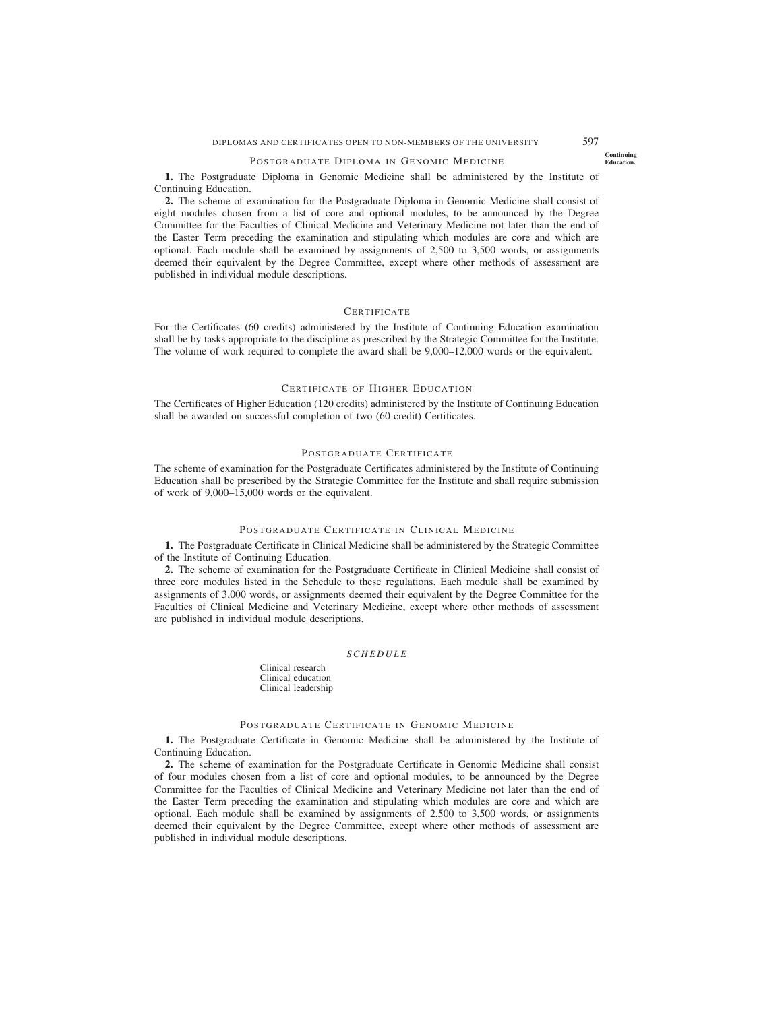## POSTGRADUATE DIPLOMA IN GENOMIC MEDICINE

**1.** The Postgraduate Diploma in Genomic Medicine shall be administered by the Institute of Continuing Education.

**2.** The scheme of examination for the Postgraduate Diploma in Genomic Medicine shall consist of eight modules chosen from a list of core and optional modules, to be announced by the Degree Committee for the Faculties of Clinical Medicine and Veterinary Medicine not later than the end of the Easter Term preceding the examination and stipulating which modules are core and which are optional. Each module shall be examined by assignments of 2,500 to 3,500 words, or assignments deemed their equivalent by the Degree Committee, except where other methods of assessment are published in individual module descriptions.

#### **CERTIFICATE**

For the Certificates (60 credits) administered by the Institute of Continuing Education examination shall be by tasks appropriate to the discipline as prescribed by the Strategic Committee for the Institute. The volume of work required to complete the award shall be 9,000–12,000 words or the equivalent.

# CERTIFICATE OF HIGHER EDUCATION

The Certificates of Higher Education (120 credits) administered by the Institute of Continuing Education shall be awarded on successful completion of two (60-credit) Certificates.

#### POSTGRADUATE CERTIFICATE

The scheme of examination for the Postgraduate Certificates administered by the Institute of Continuing Education shall be prescribed by the Strategic Committee for the Institute and shall require submission of work of 9,000–15,000 words or the equivalent.

#### POSTGRADUATE CERTIFICATE IN CLINICAL MEDICINE

**1.** The Postgraduate Certificate in Clinical Medicine shall be administered by the Strategic Committee of the Institute of Continuing Education.

**2.** The scheme of examination for the Postgraduate Certificate in Clinical Medicine shall consist of three core modules listed in the Schedule to these regulations. Each module shall be examined by assignments of 3,000 words, or assignments deemed their equivalent by the Degree Committee for the Faculties of Clinical Medicine and Veterinary Medicine, except where other methods of assessment are published in individual module descriptions.

#### *SCHEDULE*

Clinical research Clinical education Clinical leadership

#### POSTGRADUATE CERTIFICATE IN GENOMIC MEDICINE

**1.** The Postgraduate Certificate in Genomic Medicine shall be administered by the Institute of Continuing Education.

**2.** The scheme of examination for the Postgraduate Certificate in Genomic Medicine shall consist of four modules chosen from a list of core and optional modules, to be announced by the Degree Committee for the Faculties of Clinical Medicine and Veterinary Medicine not later than the end of the Easter Term preceding the examination and stipulating which modules are core and which are optional. Each module shall be examined by assignments of 2,500 to 3,500 words, or assignments deemed their equivalent by the Degree Committee, except where other methods of assessment are published in individual module descriptions.

**Continuing**